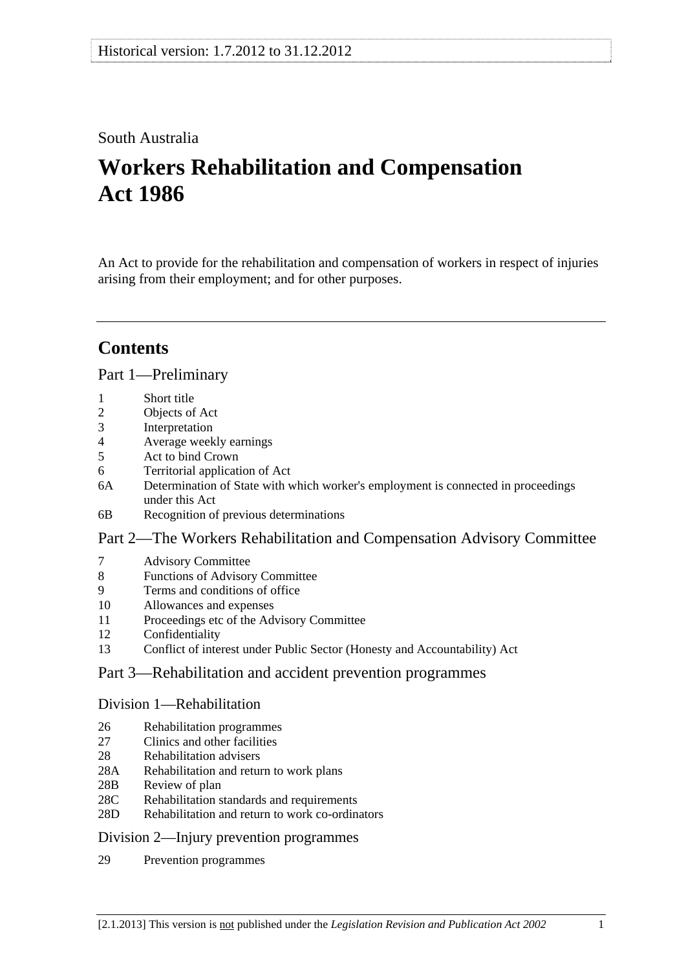## South Australia

# **Workers Rehabilitation and Compensation Act 1986**

An Act to provide for the rehabilitation and compensation of workers in respect of injuries arising from their employment; and for other purposes.

## **Contents**

#### [Part 1—Preliminary](#page-10-0)

- [1 Short title](#page-10-0)
- [2 Objects of Act](#page-10-0)
- [3 Interpretation](#page-10-0)
- [4 Average weekly earnings](#page-19-0)
- [5 Act to bind Crown](#page-22-0)
- [6 Territorial application of Act](#page-22-0)
- [6A Determination of State with which worker's employment is connected in proceedings](#page-23-0)  [under this Act](#page-23-0)
- [6B Recognition of previous determinations](#page-23-0)

#### [Part 2—The Workers Rehabilitation and Compensation Advisory Committee](#page-26-0)

- [7 Advisory Committee](#page-26-0)
- [8 Functions of Advisory Committee](#page-26-0)
- [9 Terms and conditions of office](#page-27-0)
- [10 Allowances and expenses](#page-27-0)
- [11 Proceedings etc of the Advisory Committee](#page-27-0)
- [12 Confidentiality](#page-28-0)
- [13 Conflict of interest under Public Sector \(Honesty and Accountability\) Act](#page-28-0)

#### [Part 3—Rehabilitation and accident prevention programmes](#page-30-0)

#### [Division 1—Rehabilitation](#page-30-0)

- [26 Rehabilitation programmes](#page-30-0)
- 27 Clinics and other facilities
- [28 Rehabilitation advisers](#page-31-0)
- [28A Rehabilitation and return to work plans](#page-31-0)
- [28B Review of plan](#page-32-0)
- [28C Rehabilitation standards and requirements](#page-32-0)
- [28D Rehabilitation and return to work co-ordinators](#page-33-0)

#### [Division 2—Injury prevention programmes](#page-34-0)

[29 Prevention programmes](#page-34-0)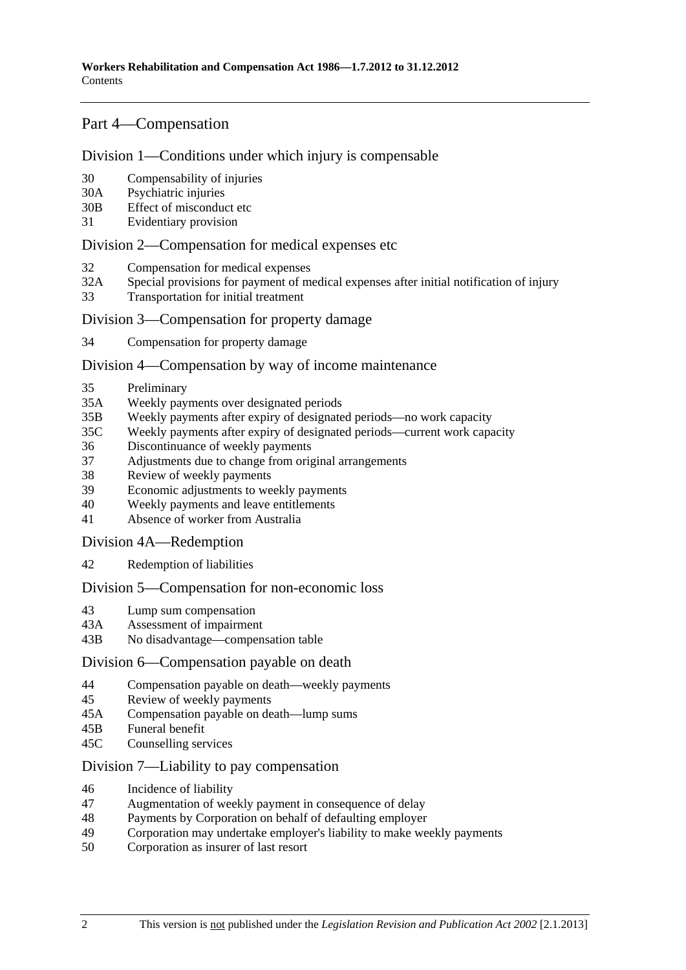### [Part 4—Compensation](#page-36-0)

#### [Division 1—Conditions under which injury is compensable](#page-36-0)

- [30 Compensability of injuries](#page-36-0)
- [30A Psychiatric injuries](#page-37-0)
- [30B Effect of misconduct etc](#page-37-0)
- [31 Evidentiary provision](#page-38-0)

#### [Division 2—Compensation for medical expenses etc](#page-38-0)

- [32 Compensation for medical expenses](#page-38-0)
- [32A Special provisions for payment of medical expenses after initial notification of injury](#page-41-0)
- [33 Transportation for initial treatment](#page-42-0)

#### [Division 3—Compensation for property damage](#page-42-0)

[34 Compensation for property damage](#page-42-0) 

#### [Division 4—Compensation by way of income maintenance](#page-42-0)

- [35 Preliminary](#page-42-0)
- [35A Weekly payments over designated periods](#page-44-0)
- [35B Weekly payments after expiry of designated periods—no work capacity](#page-45-0)
- [35C Weekly payments after expiry of designated periods—current work capacity](#page-46-0)
- [36 Discontinuance of weekly payments](#page-47-0)
- [37 Adjustments due to change from original arrangements](#page-53-0)
- [38 Review of weekly payments](#page-54-0)
- [39 Economic adjustments to weekly payments](#page-54-0)
- [40 Weekly payments and leave entitlements](#page-55-0)
- [41 Absence of worker from Australia](#page-56-0)

[Division 4A—Redemption](#page-56-0)

[42 Redemption of liabilities](#page-56-0)

#### [Division 5—Compensation for non-economic loss](#page-58-0)

- [43 Lump sum compensation](#page-58-0)
- [43A Assessment of impairment](#page-59-0)
- [43B No disadvantage—compensation table](#page-60-0)

#### [Division 6—Compensation payable on death](#page-61-0)

- [44 Compensation payable on death—weekly payments](#page-61-0)
- [45 Review of weekly payments](#page-63-0)
- [45A Compensation payable on death—lump sums](#page-64-0)
- [45B Funeral benefit](#page-66-0)
- [45C Counselling services](#page-67-0)

#### [Division 7—Liability to pay compensation](#page-67-0)

- [46 Incidence of liability](#page-67-0)
- [47 Augmentation of weekly payment in consequence of delay](#page-69-0)
- [48 Payments by Corporation on behalf of defaulting employer](#page-69-0)
- [49 Corporation may undertake employer's liability to make weekly payments](#page-69-0)
- [50 Corporation as insurer of last resort](#page-69-0)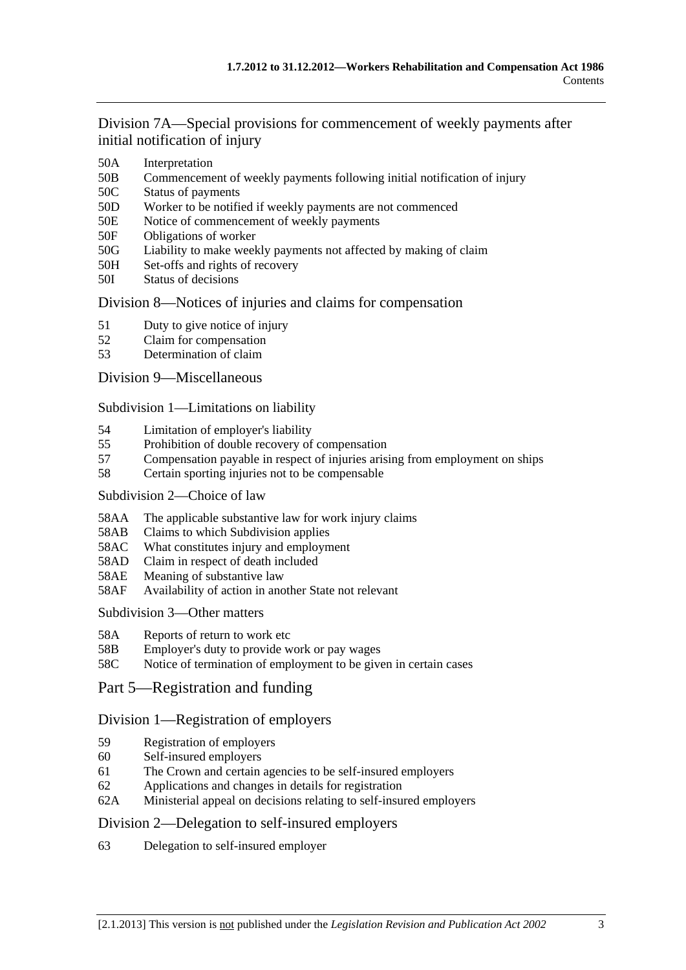[Division 7A—Special provisions for commencement of weekly payments after](#page-70-0)  [initial notification of injury](#page-70-0)

- [50A Interpretation](#page-70-0)
- [50B Commencement of weekly payments following initial notification of injury](#page-70-0)
- [50C Status of payments](#page-70-0)
- [50D Worker to be notified if weekly payments are not commenced](#page-71-0)
- [50E Notice of commencement of weekly payments](#page-71-0)
- [50F Obligations of worker](#page-71-0)
- [50G Liability to make weekly payments not affected by making of claim](#page-71-0)
- [50H Set-offs and rights of recovery](#page-71-0)
- [50I Status of decisions](#page-72-0)

#### [Division 8—Notices of injuries and claims for compensation](#page-72-0)

- [51 Duty to give notice of injury](#page-72-0)
- [52 Claim for compensation](#page-73-0)
- [53 Determination of claim](#page-75-0)

#### [Division 9—Miscellaneous](#page-76-0)

[Subdivision 1—Limitations on liability](#page-76-0)

- [54 Limitation of employer's liability](#page-76-0)
- [55 Prohibition of double recovery of compensation](#page-79-0)
- [57 Compensation payable in respect of injuries arising from employment on ships](#page-80-0)
- [58 Certain sporting injuries not to be compensable](#page-80-0)

#### [Subdivision 2—Choice of law](#page-81-0)

- [58AA The applicable substantive law for work injury claims](#page-81-0)
- [58AB Claims to which Subdivision applies](#page-81-0)
- [58AC What constitutes injury and employment](#page-82-0)
- [58AD Claim in respect of death included](#page-82-0)
- [58AE Meaning of substantive law](#page-82-0)
- [58AF Availability of action in another State not relevant](#page-83-0)

#### [Subdivision 3—Other matters](#page-83-0)

- [58A Reports of return to work etc](#page-83-0)
- [58B Employer's duty to provide work or pay wages](#page-84-0)
- [58C Notice of termination of employment to be given in certain cases](#page-84-0)

#### [Part 5—Registration and funding](#page-86-0)

#### [Division 1—Registration of employers](#page-86-0)

- [59 Registration of employers](#page-86-0)
- [60 Self-insured employers](#page-86-0)
- [61 The Crown and certain agencies to be self-insured employers](#page-89-0)
- [62 Applications and changes in details for registration](#page-89-0)
- [62A Ministerial appeal on decisions relating to self-insured employers](#page-90-0)

#### [Division 2—Delegation to self-insured employers](#page-90-0)

[63 Delegation to self-insured employer](#page-90-0)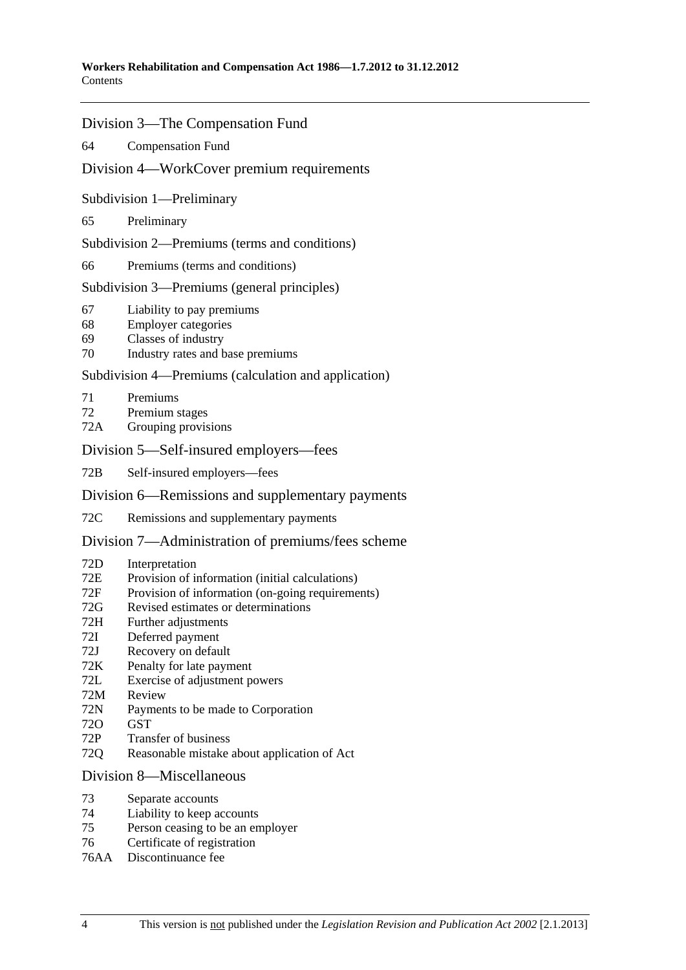#### [Division 3—The Compensation Fund](#page-92-0)

[64 Compensation Fund](#page-92-0) 

#### [Division 4—WorkCover premium requirements](#page-94-0)

[Subdivision 1—Preliminary](#page-94-0) 

[65 Preliminary](#page-94-0) 

[Subdivision 2—Premiums \(terms and conditions\)](#page-94-0) 

[66 Premiums \(terms and conditions\)](#page-94-0)

[Subdivision 3—Premiums \(general principles\)](#page-94-0) 

- [67 Liability to pay premiums](#page-94-0)
- [68 Employer categories](#page-95-0)
- [69 Classes of industry](#page-95-0)
- [70 Industry rates and base premiums](#page-96-0)

#### [Subdivision 4—Premiums \(calculation and application\)](#page-97-0)

- [71 Premiums](#page-97-0)
- [72 Premium stages](#page-99-0)
- [72A Grouping provisions](#page-100-0)

#### [Division 5—Self-insured employers—fees](#page-101-0)

[72B Self-insured employers—fees](#page-101-0) 

#### [Division 6—Remissions and supplementary payments](#page-101-0)

[72C Remissions and supplementary payments](#page-101-0)

#### [Division 7—Administration of premiums/fees scheme](#page-103-0)

- [72D Interpretation](#page-103-0)
- [72E Provision of information \(initial calculations\)](#page-103-0)
- [72F Provision of information \(on-going requirements\)](#page-104-0)
- [72G Revised estimates or determinations](#page-104-0)
- [72H Further adjustments](#page-104-0)
- [72I Deferred payment](#page-105-0)
- [72J Recovery on default](#page-105-0)
- [72K Penalty for late payment](#page-106-0)
- [72L Exercise of adjustment powers](#page-106-0)
- [72M Review](#page-107-0)
- [72N Payments to be made to Corporation](#page-108-0)
- [72O GST](#page-108-0)
- [72P Transfer of business](#page-108-0)
- [72Q Reasonable mistake about application of Act](#page-108-0)

#### [Division 8—Miscellaneous](#page-109-0)

- [73 Separate accounts](#page-109-0)
- [74 Liability to keep accounts](#page-109-0)
- [75 Person ceasing to be an employer](#page-109-0)
- [76 Certificate of registration](#page-110-0)
- [76AA Discontinuance fee](#page-110-0)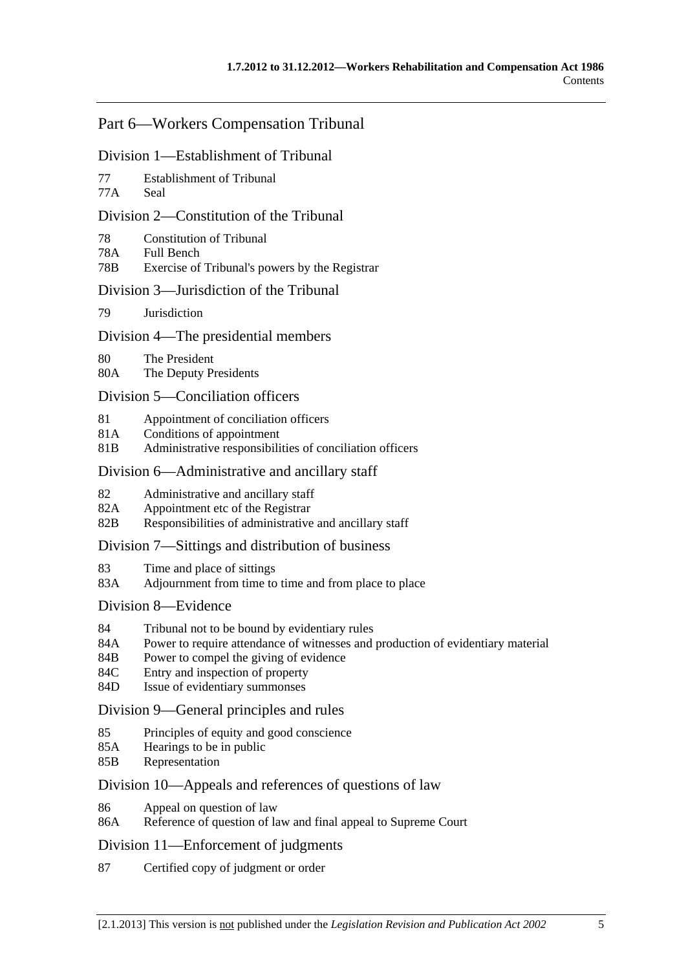### [Part 6—Workers Compensation Tribunal](#page-112-0)

#### [Division 1—Establishment of Tribunal](#page-112-0)

- [77 Establishment of Tribunal](#page-112-0)
- [77A Seal](#page-112-0)

#### [Division 2—Constitution of the Tribunal](#page-112-0)

- [78 Constitution of Tribunal](#page-112-0)
- [78A Full Bench](#page-112-0)
- [78B Exercise of Tribunal's powers by the Registrar](#page-112-0)

#### [Division 3—Jurisdiction of the Tribunal](#page-112-0)

[79 Jurisdiction](#page-112-0)

#### [Division 4—The presidential members](#page-112-0)

- [80 The President](#page-112-0)
- [80A The Deputy Presidents](#page-113-0)

#### [Division 5—Conciliation officers](#page-114-0)

- [81 Appointment of conciliation officers](#page-114-0)
- [81A Conditions of appointment](#page-114-0)
- [81B Administrative responsibilities of conciliation officers](#page-115-0)

#### [Division 6—Administrative and ancillary staff](#page-115-0)

- [82 Administrative and ancillary staff](#page-115-0)
- [82A Appointment etc of the Registrar](#page-115-0)
- [82B Responsibilities of administrative and ancillary staff](#page-115-0)

#### [Division 7—Sittings and distribution of business](#page-115-0)

- [83 Time and place of sittings](#page-115-0)
- [83A Adjournment from time to time and from place to place](#page-116-0)

#### [Division 8—Evidence](#page-116-0)

- [84 Tribunal not to be bound by evidentiary rules](#page-116-0)
- [84A Power to require attendance of witnesses and production of evidentiary material](#page-116-0)
- [84B Power to compel the giving of evidence](#page-116-0)
- [84C Entry and inspection of property](#page-116-0)
- [84D Issue of evidentiary summonses](#page-117-0)

#### [Division 9—General principles and rules](#page-117-0)

- [85 Principles of equity and good conscience](#page-117-0)
- [85A Hearings to be in public](#page-117-0)
- [85B Representation](#page-117-0)

#### [Division 10—Appeals and references of questions of law](#page-118-0)

- [86 Appeal on question of law](#page-118-0)
- [86A Reference of question of law and final appeal to Supreme Court](#page-118-0)

#### [Division 11—Enforcement of judgments](#page-118-0)

[87 Certified copy of judgment or order](#page-118-0)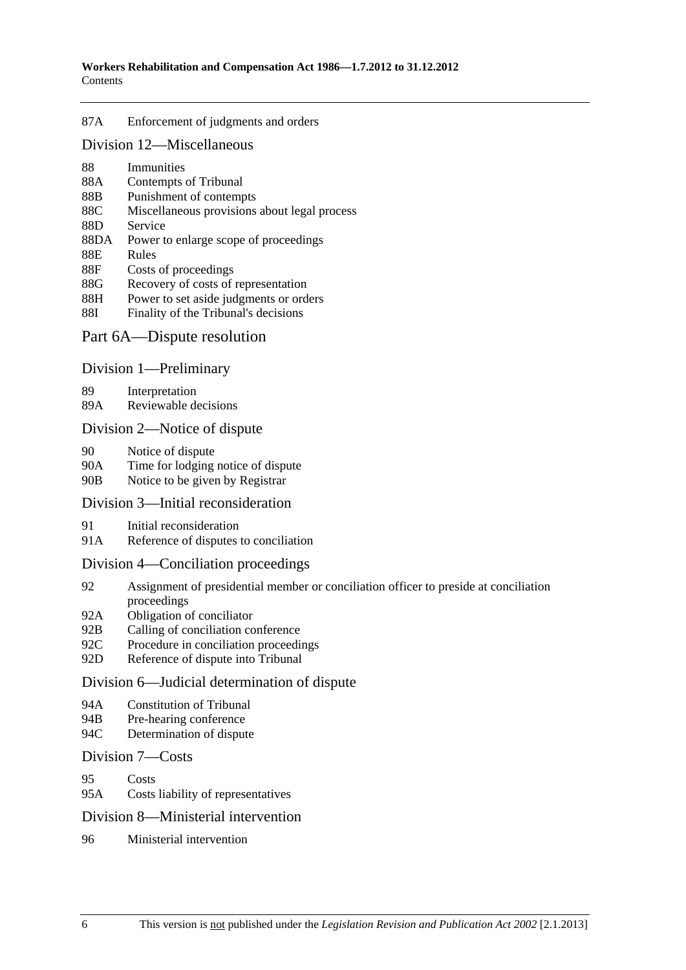#### [87A Enforcement of judgments and orders](#page-118-0)

#### [Division 12—Miscellaneous](#page-118-0)

- [88 Immunities](#page-118-0)
- [88A Contempts of Tribunal](#page-119-0)
- [88B Punishment of contempts](#page-119-0)
- [88C Miscellaneous provisions about legal process](#page-119-0)
- [88D Service](#page-119-0)
- [88DA Power to enlarge scope of proceedings](#page-119-0)
- [88E Rules](#page-120-0)
- [88F Costs of proceedings](#page-120-0)
- [88G Recovery of costs of representation](#page-120-0)
- [88H Power to set aside judgments or orders](#page-120-0)
- [88I Finality of the Tribunal's decisions](#page-121-0)

#### [Part 6A—Dispute resolution](#page-122-0)

#### [Division 1—Preliminary](#page-122-0)

[89 Interpretation](#page-122-0) 

[89A Reviewable decisions](#page-122-0)

#### [Division 2—Notice of dispute](#page-123-0)

- [90 Notice of dispute](#page-123-0)
- [90A Time for lodging notice of dispute](#page-123-0)
- [90B Notice to be given by Registrar](#page-123-0)

#### [Division 3—Initial reconsideration](#page-123-0)

- [91 Initial reconsideration](#page-123-0)
- [91A Reference of disputes to conciliation](#page-124-0)

#### [Division 4—Conciliation proceedings](#page-125-0)

- [92 Assignment of presidential member or conciliation officer to preside at conciliation](#page-125-0)  [proceedings](#page-125-0)
- [92A Obligation of conciliator](#page-125-0)
- [92B Calling of conciliation conference](#page-125-0)
- [92C Procedure in conciliation proceedings](#page-125-0)
- [92D Reference of dispute into Tribunal](#page-126-0)

#### [Division 6—Judicial determination of dispute](#page-126-0)

- [94A Constitution of Tribunal](#page-126-0)
- [94B Pre-hearing conference](#page-126-0)
- [94C Determination of dispute](#page-126-0)

#### [Division 7—Costs](#page-127-0)

- [95 Costs](#page-127-0)
- [95A Costs liability of representatives](#page-127-0)

#### [Division 8—Ministerial intervention](#page-128-0)

[96 Ministerial intervention](#page-128-0)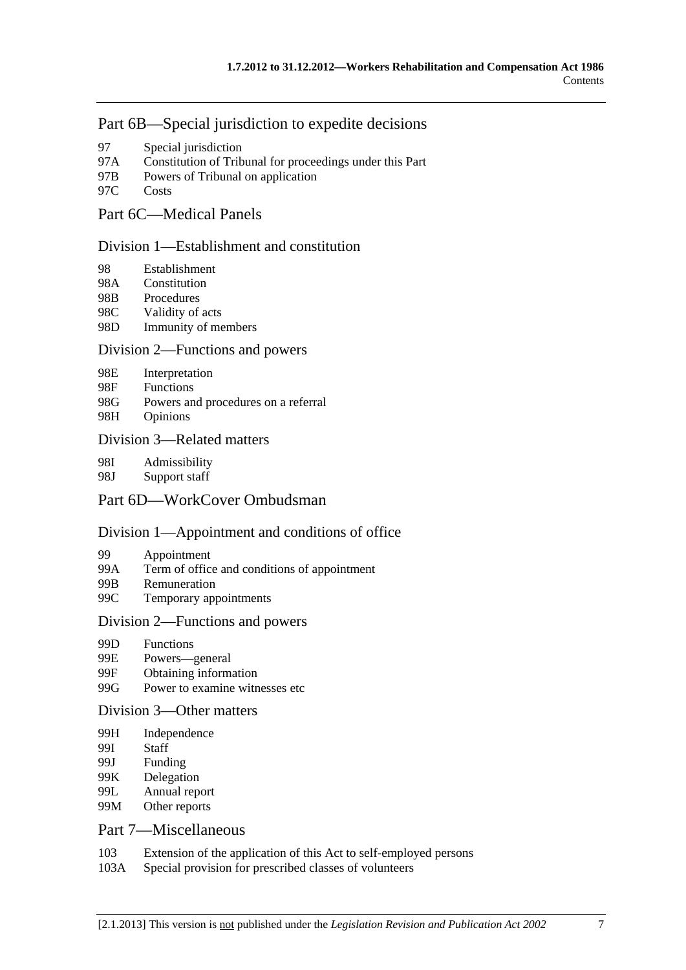### [Part 6B—Special jurisdiction to expedite decisions](#page-130-0)

- [97 Special jurisdiction](#page-130-0)
- [97A Constitution of Tribunal for proceedings under this Part](#page-130-0)
- [97B Powers of Tribunal on application](#page-130-0)
- [97C Costs](#page-130-0)

## [Part 6C—Medical Panels](#page-132-0)

#### [Division 1—Establishment and constitution](#page-132-0)

- [98 Establishment](#page-132-0)
- [98A Constitution](#page-133-0)
- [98B Procedures](#page-133-0)
- [98C Validity of acts](#page-133-0)
- [98D Immunity of members](#page-134-0)

#### [Division 2—Functions and powers](#page-134-0)

- [98E Interpretation](#page-134-0)
- [98F Functions](#page-135-0)
- [98G Powers and procedures on a referral](#page-135-0)
- [98H Opinions](#page-136-0)

#### [Division 3—Related matters](#page-137-0)

[98I Admissibility](#page-137-0) 

[98J Support staff](#page-137-0) 

## [Part 6D—WorkCover Ombudsman](#page-138-0)

#### [Division 1—Appointment and conditions of office](#page-138-0)

- [99 Appointment](#page-138-0)
- [99A Term of office and conditions of appointment](#page-138-0)
- [99B Remuneration](#page-139-0)
- [99C Temporary appointments](#page-139-0)

#### [Division 2—Functions and powers](#page-139-0)

- [99D Functions](#page-139-0)
- [99E Powers—general](#page-141-0)
- [99F Obtaining information](#page-141-0)
- [99G Power to examine witnesses etc](#page-141-0)

#### [Division 3—Other matters](#page-142-0)

- [99H Independence](#page-142-0)
- [99I Staff](#page-142-0)
- [99J Funding](#page-142-0)
- [99K Delegation](#page-142-0)
- [99L Annual report](#page-143-0)
- [99M Other reports](#page-143-0)

#### [Part 7—Miscellaneous](#page-144-0)

- [103 Extension of the application of this Act to self-employed persons](#page-144-0)
- [103A Special provision for prescribed classes of volunteers](#page-144-0)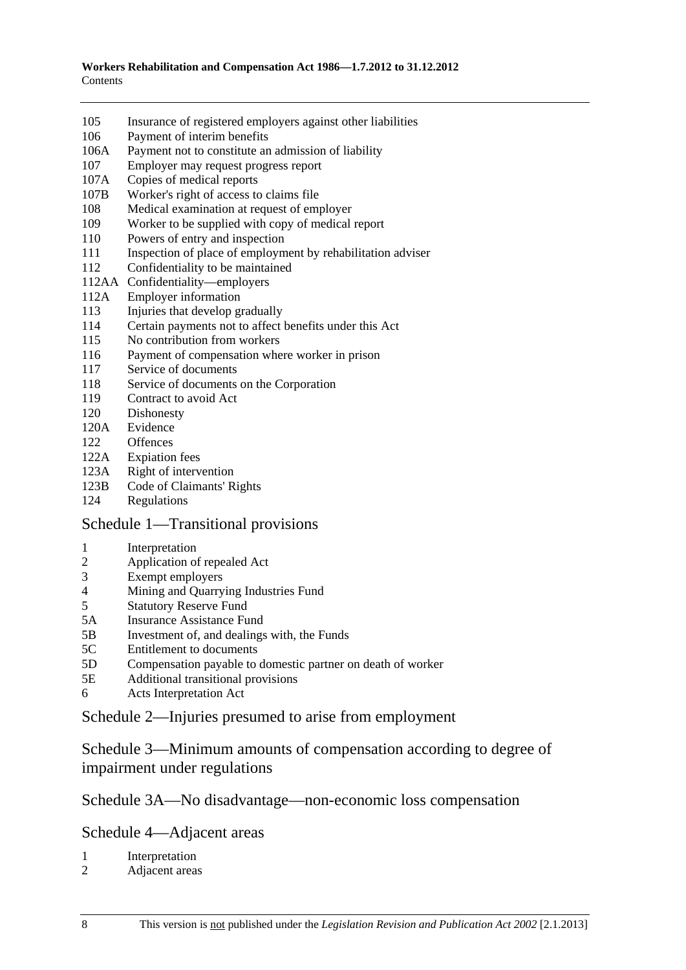- [105 Insurance of registered employers against other liabilities](#page-145-0)
- [106 Payment of interim benefits](#page-145-0)
- [106A Payment not to constitute an admission of liability](#page-145-0)
- [107 Employer may request progress report](#page-145-0)
- [107A Copies of medical reports](#page-146-0)
- [107B Worker's right of access to claims file](#page-146-0)
- [108 Medical examination at request of employer](#page-146-0)
- [109 Worker to be supplied with copy of medical report](#page-147-0)
- [110 Powers of entry and inspection](#page-147-0)
- 111 Inspection of place of employment by rehabilitation adviser
- [112 Confidentiality to be maintained](#page-149-0)
- [112AA Confidentiality—employers](#page-150-0)
- [112A Employer information](#page-151-0)
- [113 Injuries that develop gradually](#page-151-0)
- [114 Certain payments not to affect benefits under this Act](#page-152-0)
- [115 No contribution from workers](#page-152-0)
- [116 Payment of compensation where worker in prison](#page-153-0)
- [117 Service of documents](#page-153-0)
- [118 Service of documents on the Corporation](#page-153-0)
- [119 Contract to avoid Act](#page-153-0)
- [120 Dishonesty](#page-154-0)
- [120A Evidence](#page-154-0)
- [122 Offences](#page-155-0)
- [122A Expiation fees](#page-155-0)
- [123A Right of intervention](#page-155-0)
- [123B Code of Claimants' Rights](#page-156-0)
- [124 Regulations](#page-156-0)

#### [Schedule 1—Transitional provisions](#page-158-0)

- [1 Interpretation](#page-158-0)
- [2 Application of repealed Act](#page-158-0)
- [3 Exempt employers](#page-159-0)
- [4 Mining and Quarrying Industries Fund](#page-160-0)
- [5 Statutory Reserve Fund](#page-161-0)
- [5A Insurance Assistance Fund](#page-162-0)
- [5B Investment of, and dealings with, the Funds](#page-162-0)
- [5C Entitlement to documents](#page-162-0)
- [5D Compensation payable to domestic partner on death of worker](#page-163-0)
- [5E Additional transitional provisions](#page-163-0)
- [6 Acts Interpretation Act](#page-163-0)

#### [Schedule 2—Injuries presumed to arise from employment](#page-163-0)

[Schedule 3—Minimum amounts of compensation according to degree of](#page-165-0)  [impairment under regulations](#page-165-0) 

### [Schedule 3A—No disadvantage—non-economic loss compensation](#page-165-0)

[Schedule 4—Adjacent areas](#page-166-0) 

- [1 Interpretation](#page-166-0)
- [2 Adjacent areas](#page-167-0)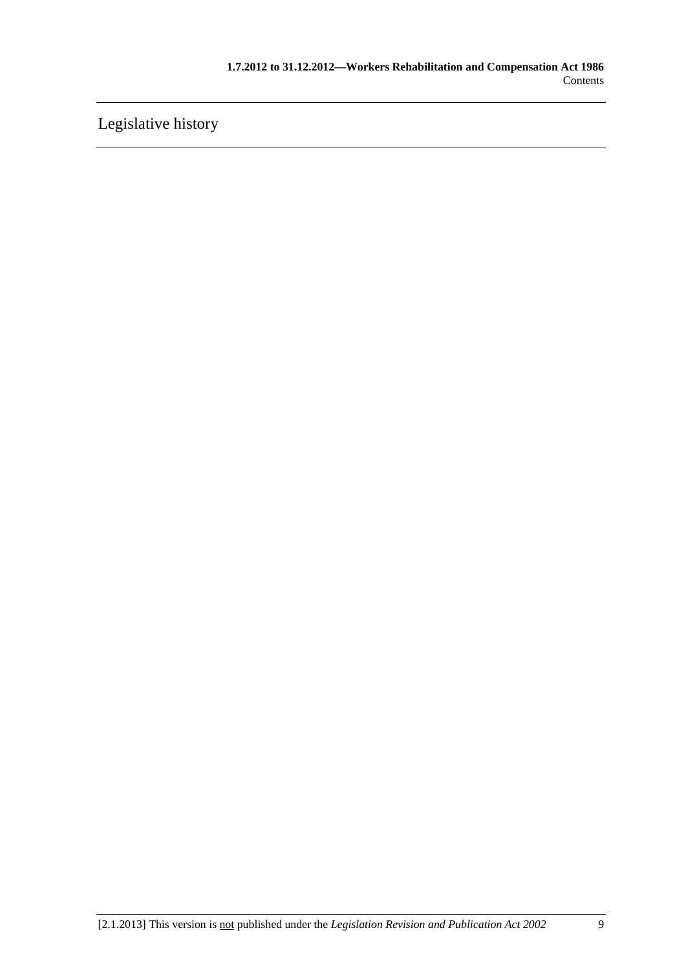[Legislative history](#page-168-0)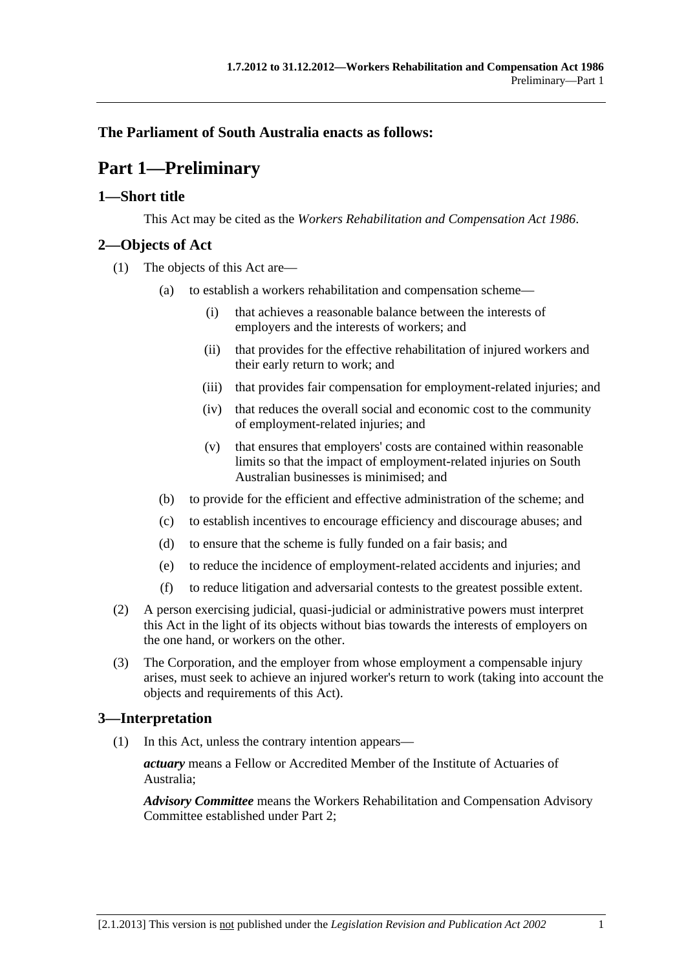### <span id="page-10-0"></span>**The Parliament of South Australia enacts as follows:**

## **Part 1—Preliminary**

#### **1—Short title**

This Act may be cited as the *Workers Rehabilitation and Compensation Act 1986*.

#### **2—Objects of Act**

- (1) The objects of this Act are—
	- (a) to establish a workers rehabilitation and compensation scheme—
		- (i) that achieves a reasonable balance between the interests of employers and the interests of workers; and
		- (ii) that provides for the effective rehabilitation of injured workers and their early return to work; and
		- (iii) that provides fair compensation for employment-related injuries; and
		- (iv) that reduces the overall social and economic cost to the community of employment-related injuries; and
		- (v) that ensures that employers' costs are contained within reasonable limits so that the impact of employment-related injuries on South Australian businesses is minimised; and
	- (b) to provide for the efficient and effective administration of the scheme; and
	- (c) to establish incentives to encourage efficiency and discourage abuses; and
	- (d) to ensure that the scheme is fully funded on a fair basis; and
	- (e) to reduce the incidence of employment-related accidents and injuries; and
	- (f) to reduce litigation and adversarial contests to the greatest possible extent.
- (2) A person exercising judicial, quasi-judicial or administrative powers must interpret this Act in the light of its objects without bias towards the interests of employers on the one hand, or workers on the other.
- (3) The Corporation, and the employer from whose employment a compensable injury arises, must seek to achieve an injured worker's return to work (taking into account the objects and requirements of this Act).

#### **3—Interpretation**

(1) In this Act, unless the contrary intention appears—

*actuary* means a Fellow or Accredited Member of the Institute of Actuaries of Australia;

*Advisory Committee* means the Workers Rehabilitation and Compensation Advisory Committee established under [Part 2](#page-26-0);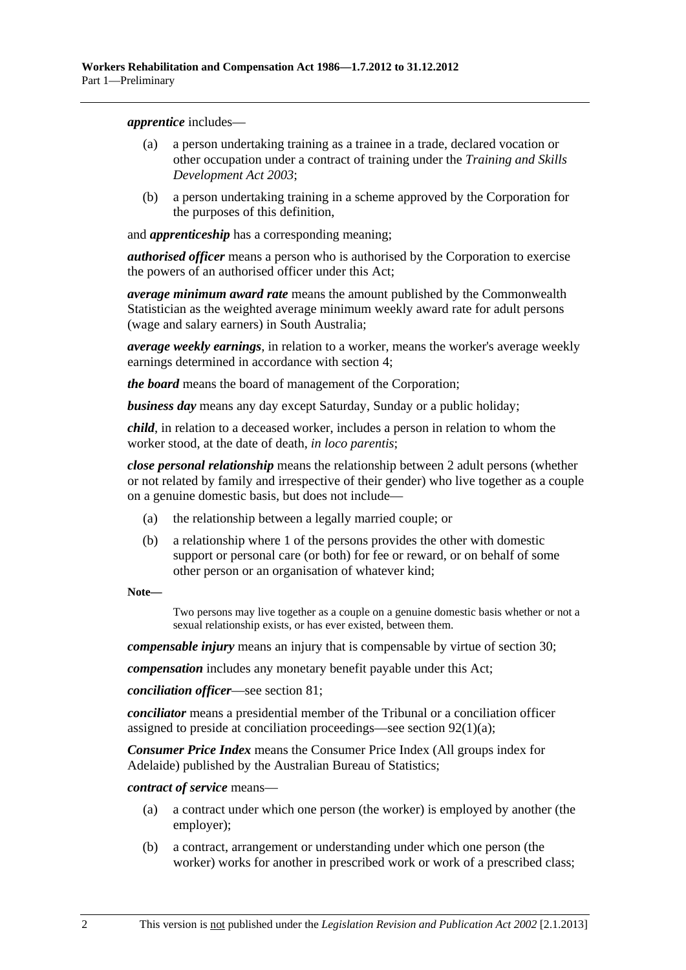<span id="page-11-0"></span>*apprentice* includes—

- (a) a person undertaking training as a trainee in a trade, declared vocation or other occupation under a contract of training under the *[Training and Skills](http://www.legislation.sa.gov.au/index.aspx?action=legref&type=act&legtitle=Training%20and%20Skills%20Development%20Act%202003)  [Development Act 2003](http://www.legislation.sa.gov.au/index.aspx?action=legref&type=act&legtitle=Training%20and%20Skills%20Development%20Act%202003)*;
- (b) a person undertaking training in a scheme approved by the Corporation for the purposes of this definition,

and *apprenticeship* has a corresponding meaning;

*authorised officer* means a person who is authorised by the Corporation to exercise the powers of an authorised officer under this Act;

*average minimum award rate* means the amount published by the Commonwealth Statistician as the weighted average minimum weekly award rate for adult persons (wage and salary earners) in South Australia;

*average weekly earnings*, in relation to a worker, means the worker's average weekly earnings determined in accordance with [section 4;](#page-19-0)

*the board* means the board of management of the Corporation;

*business day* means any day except Saturday, Sunday or a public holiday;

*child*, in relation to a deceased worker, includes a person in relation to whom the worker stood, at the date of death, *in loco parentis*;

*close personal relationship* means the relationship between 2 adult persons (whether or not related by family and irrespective of their gender) who live together as a couple on a genuine domestic basis, but does not include—

- (a) the relationship between a legally married couple; or
- (b) a relationship where 1 of the persons provides the other with domestic support or personal care (or both) for fee or reward, or on behalf of some other person or an organisation of whatever kind;

**Note—** 

Two persons may live together as a couple on a genuine domestic basis whether or not a sexual relationship exists, or has ever existed, between them.

*compensable injury* means an injury that is compensable by virtue of [section 30;](#page-36-0)

*compensation* includes any monetary benefit payable under this Act;

*conciliation officer*—see [section 81](#page-114-0);

*conciliator* means a presidential member of the Tribunal or a conciliation officer assigned to preside at conciliation proceedings—see [section 92\(1\)\(a\)](#page-125-0);

*Consumer Price Index* means the Consumer Price Index (All groups index for Adelaide) published by the Australian Bureau of Statistics;

*contract of service* means—

- (a) a contract under which one person (the worker) is employed by another (the employer);
- (b) a contract, arrangement or understanding under which one person (the worker) works for another in prescribed work or work of a prescribed class;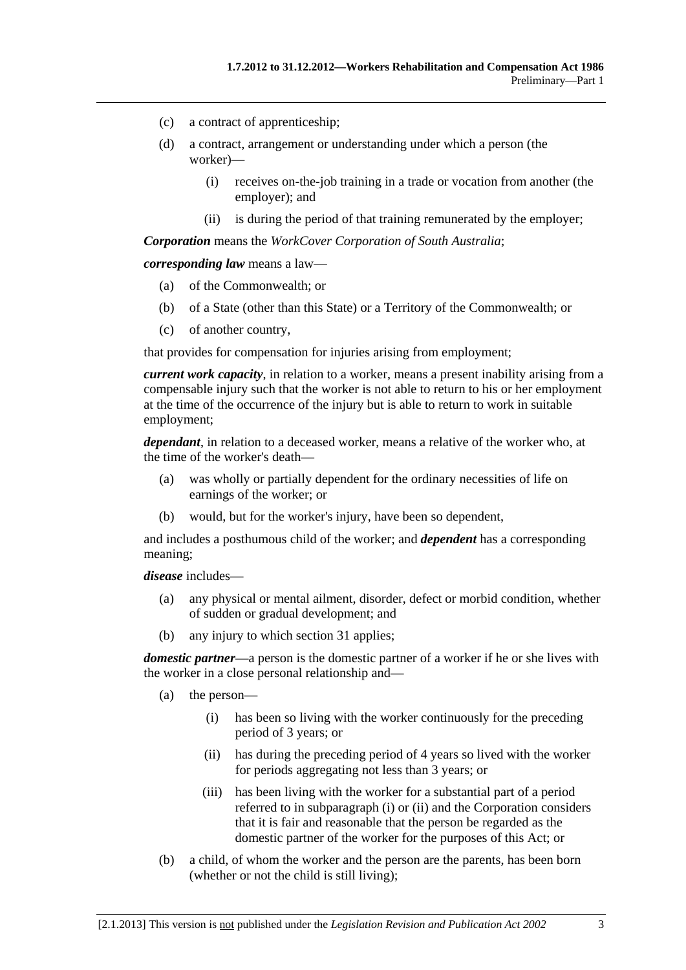- <span id="page-12-0"></span>(c) a contract of apprenticeship;
- (d) a contract, arrangement or understanding under which a person (the worker)—
	- (i) receives on-the-job training in a trade or vocation from another (the employer); and
	- (ii) is during the period of that training remunerated by the employer;

*Corporation* means the *WorkCover Corporation of South Australia*;

*corresponding law* means a law—

- (a) of the Commonwealth; or
- (b) of a State (other than this State) or a Territory of the Commonwealth; or
- (c) of another country,

that provides for compensation for injuries arising from employment;

*current work capacity*, in relation to a worker, means a present inability arising from a compensable injury such that the worker is not able to return to his or her employment at the time of the occurrence of the injury but is able to return to work in suitable employment;

*dependant*, in relation to a deceased worker, means a relative of the worker who, at the time of the worker's death—

- (a) was wholly or partially dependent for the ordinary necessities of life on earnings of the worker; or
- (b) would, but for the worker's injury, have been so dependent,

and includes a posthumous child of the worker; and *dependent* has a corresponding meaning;

*disease* includes—

- (a) any physical or mental ailment, disorder, defect or morbid condition, whether of sudden or gradual development; and
- (b) any injury to which [section 31](#page-38-0) applies;

*domestic partner*—a person is the domestic partner of a worker if he or she lives with the worker in a close personal relationship and—

- (a) the person—
	- (i) has been so living with the worker continuously for the preceding period of 3 years; or
	- (ii) has during the preceding period of 4 years so lived with the worker for periods aggregating not less than 3 years; or
	- (iii) has been living with the worker for a substantial part of a period referred to in [subparagraph \(i\)](#page-12-0) or [\(ii\)](#page-12-0) and the Corporation considers that it is fair and reasonable that the person be regarded as the domestic partner of the worker for the purposes of this Act; or
- (b) a child, of whom the worker and the person are the parents, has been born (whether or not the child is still living);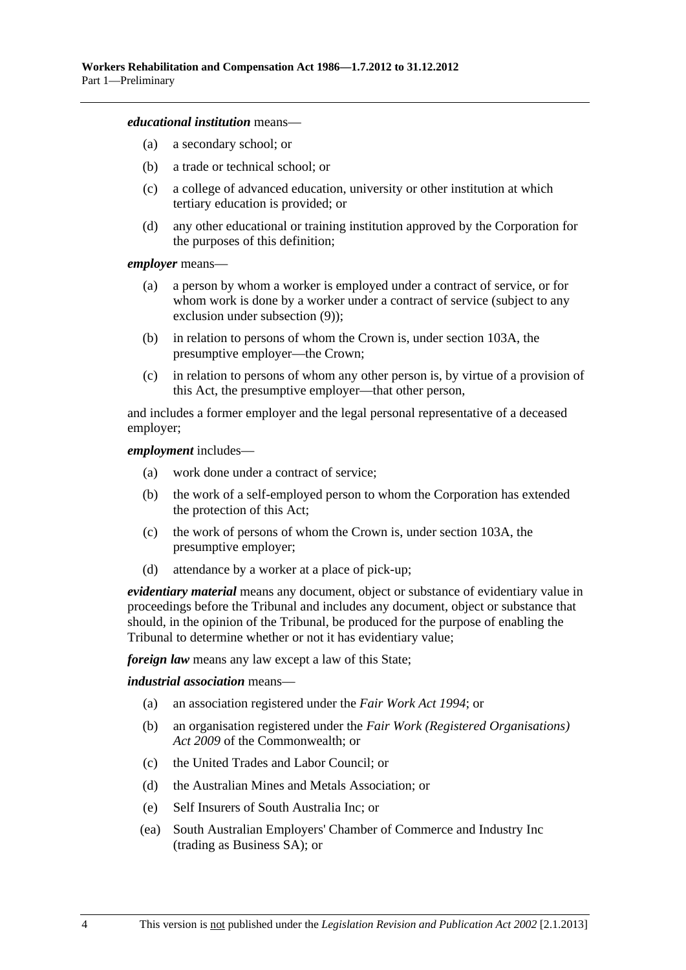#### *educational institution* means—

- (a) a secondary school; or
- (b) a trade or technical school; or
- (c) a college of advanced education, university or other institution at which tertiary education is provided; or
- (d) any other educational or training institution approved by the Corporation for the purposes of this definition;

*employer* means—

- (a) a person by whom a worker is employed under a contract of service, or for whom work is done by a worker under a contract of service (subject to any exclusion under [subsection \(9\)](#page-18-0));
- (b) in relation to persons of whom the Crown is, under [section 103A,](#page-144-0) the presumptive employer—the Crown;
- (c) in relation to persons of whom any other person is, by virtue of a provision of this Act, the presumptive employer—that other person,

and includes a former employer and the legal personal representative of a deceased employer;

#### *employment* includes—

- (a) work done under a contract of service;
- (b) the work of a self-employed person to whom the Corporation has extended the protection of this Act;
- (c) the work of persons of whom the Crown is, under [section 103A,](#page-144-0) the presumptive employer;
- (d) attendance by a worker at a place of pick-up;

*evidentiary material* means any document, object or substance of evidentiary value in proceedings before the Tribunal and includes any document, object or substance that should, in the opinion of the Tribunal, be produced for the purpose of enabling the Tribunal to determine whether or not it has evidentiary value;

*foreign law* means any law except a law of this State;

#### *industrial association* means—

- (a) an association registered under the *[Fair Work Act 1994](http://www.legislation.sa.gov.au/index.aspx?action=legref&type=act&legtitle=Fair%20Work%20Act%201994)*; or
- (b) an organisation registered under the *Fair Work (Registered Organisations) Act 2009* of the Commonwealth; or
- (c) the United Trades and Labor Council; or
- (d) the Australian Mines and Metals Association; or
- (e) Self Insurers of South Australia Inc; or
- (ea) South Australian Employers' Chamber of Commerce and Industry Inc (trading as Business SA); or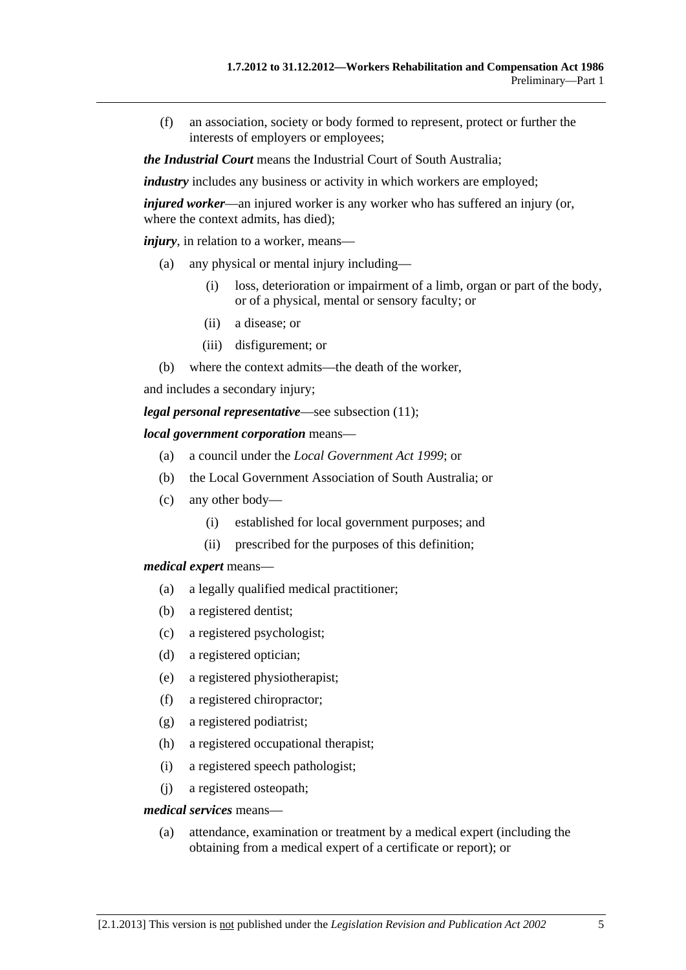(f) an association, society or body formed to represent, protect or further the interests of employers or employees;

*the Industrial Court* means the Industrial Court of South Australia;

*industry* includes any business or activity in which workers are employed;

*injured worker*—an injured worker is any worker who has suffered an injury (or, where the context admits, has died);

*injury*, in relation to a worker, means—

- (a) any physical or mental injury including—
	- (i) loss, deterioration or impairment of a limb, organ or part of the body, or of a physical, mental or sensory faculty; or
	- (ii) a disease; or
	- (iii) disfigurement; or
- (b) where the context admits—the death of the worker,

and includes a secondary injury;

*legal personal representative*—see [subsection \(11\);](#page-18-0)

#### *local government corporation* means—

- (a) a council under the *[Local Government Act 1999](http://www.legislation.sa.gov.au/index.aspx?action=legref&type=act&legtitle=Local%20Government%20Act%201999)*; or
- (b) the Local Government Association of South Australia; or
- (c) any other body—
	- (i) established for local government purposes; and
	- (ii) prescribed for the purposes of this definition;

#### *medical expert* means—

- (a) a legally qualified medical practitioner;
- (b) a registered dentist;
- (c) a registered psychologist;
- (d) a registered optician;
- (e) a registered physiotherapist;
- (f) a registered chiropractor;
- (g) a registered podiatrist;
- (h) a registered occupational therapist;
- (i) a registered speech pathologist;
- (j) a registered osteopath;

#### *medical services* means—

 (a) attendance, examination or treatment by a medical expert (including the obtaining from a medical expert of a certificate or report); or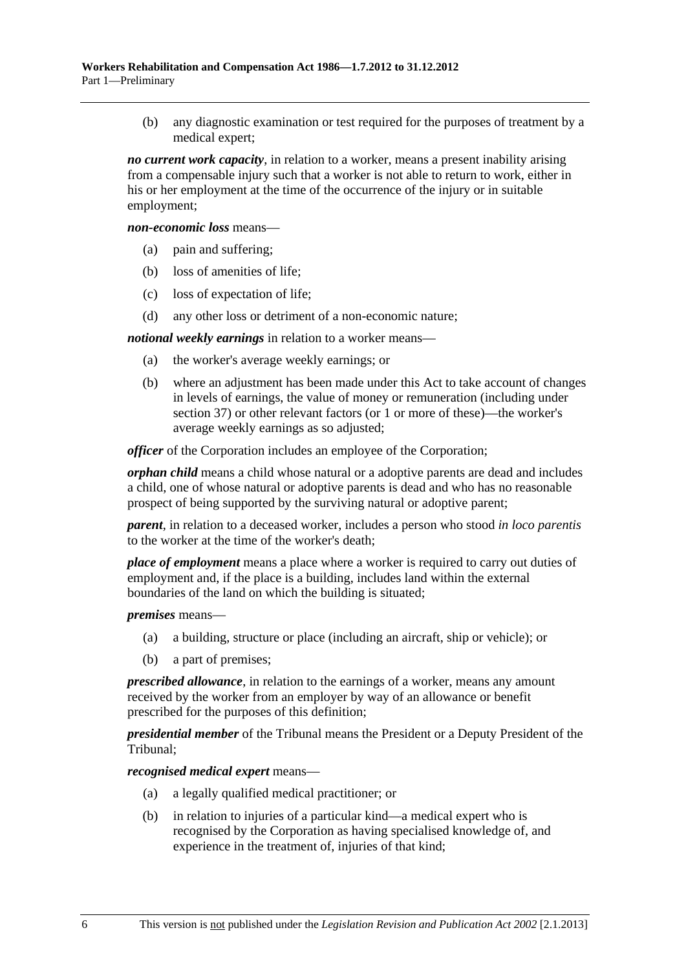(b) any diagnostic examination or test required for the purposes of treatment by a medical expert;

*no current work capacity*, in relation to a worker, means a present inability arising from a compensable injury such that a worker is not able to return to work, either in his or her employment at the time of the occurrence of the injury or in suitable employment;

*non-economic loss* means—

- (a) pain and suffering;
- (b) loss of amenities of life;
- (c) loss of expectation of life;
- (d) any other loss or detriment of a non-economic nature;

*notional weekly earnings* in relation to a worker means—

- (a) the worker's average weekly earnings; or
- (b) where an adjustment has been made under this Act to take account of changes in levels of earnings, the value of money or remuneration (including under [section 37](#page-53-0)) or other relevant factors (or 1 or more of these)—the worker's average weekly earnings as so adjusted;

*officer* of the Corporation includes an employee of the Corporation:

*orphan child* means a child whose natural or a adoptive parents are dead and includes a child, one of whose natural or adoptive parents is dead and who has no reasonable prospect of being supported by the surviving natural or adoptive parent;

*parent*, in relation to a deceased worker, includes a person who stood *in loco parentis* to the worker at the time of the worker's death;

*place of employment* means a place where a worker is required to carry out duties of employment and, if the place is a building, includes land within the external boundaries of the land on which the building is situated;

*premises* means—

- (a) a building, structure or place (including an aircraft, ship or vehicle); or
- (b) a part of premises;

*prescribed allowance*, in relation to the earnings of a worker, means any amount received by the worker from an employer by way of an allowance or benefit prescribed for the purposes of this definition;

*presidential member* of the Tribunal means the President or a Deputy President of the Tribunal;

*recognised medical expert* means—

- (a) a legally qualified medical practitioner; or
- (b) in relation to injuries of a particular kind—a medical expert who is recognised by the Corporation as having specialised knowledge of, and experience in the treatment of, injuries of that kind;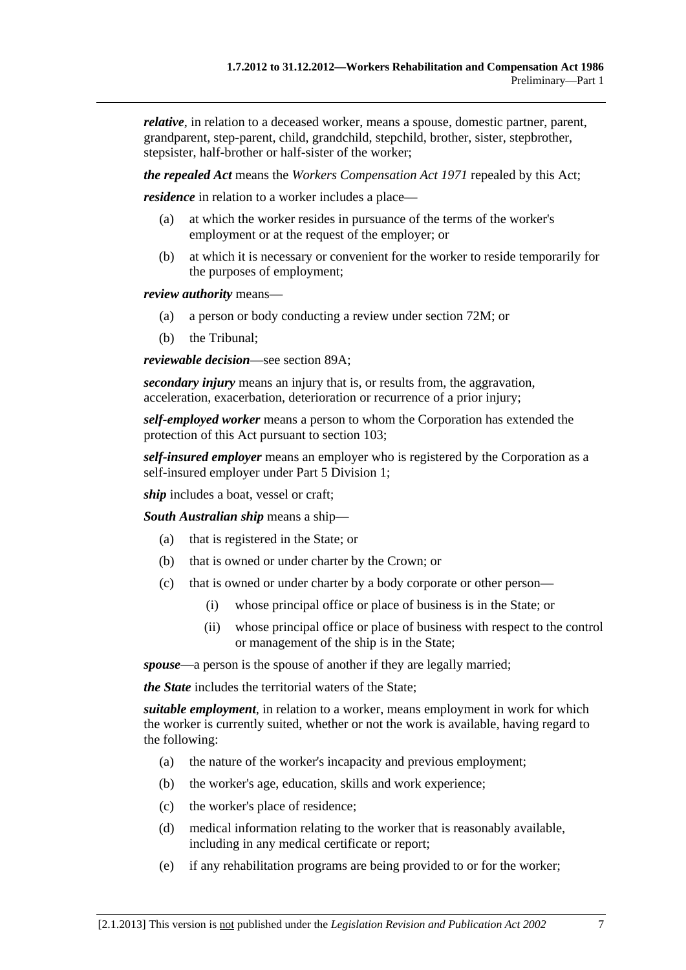*relative*, in relation to a deceased worker, means a spouse, domestic partner, parent, grandparent, step-parent, child, grandchild, stepchild, brother, sister, stepbrother, stepsister, half-brother or half-sister of the worker;

*the repealed Act* means the *[Workers Compensation Act 1971](http://www.legislation.sa.gov.au/index.aspx?action=legref&type=act&legtitle=Workers%20Compensation%20Act%201971)* repealed by this Act;

*residence* in relation to a worker includes a place—

- (a) at which the worker resides in pursuance of the terms of the worker's employment or at the request of the employer; or
- (b) at which it is necessary or convenient for the worker to reside temporarily for the purposes of employment;

*review authority* means—

- (a) a person or body conducting a review under [section 72M;](#page-107-0) or
- (b) the Tribunal;

*reviewable decision*—see [section 89A;](#page-122-0)

*secondary injury* means an injury that is, or results from, the aggravation, acceleration, exacerbation, deterioration or recurrence of a prior injury;

*self-employed worker* means a person to whom the Corporation has extended the protection of this Act pursuant to [section 103;](#page-144-0)

*self-insured employer* means an employer who is registered by the Corporation as a self-insured employer under [Part 5 Division 1;](#page-86-0)

*ship* includes a boat, vessel or craft;

*South Australian ship* means a ship—

- (a) that is registered in the State; or
- (b) that is owned or under charter by the Crown; or
- (c) that is owned or under charter by a body corporate or other person—
	- (i) whose principal office or place of business is in the State; or
	- (ii) whose principal office or place of business with respect to the control or management of the ship is in the State;

*spouse*—a person is the spouse of another if they are legally married;

*the State* includes the territorial waters of the State;

*suitable employment*, in relation to a worker, means employment in work for which the worker is currently suited, whether or not the work is available, having regard to the following:

- (a) the nature of the worker's incapacity and previous employment;
- (b) the worker's age, education, skills and work experience;
- (c) the worker's place of residence;
- (d) medical information relating to the worker that is reasonably available, including in any medical certificate or report;
- (e) if any rehabilitation programs are being provided to or for the worker;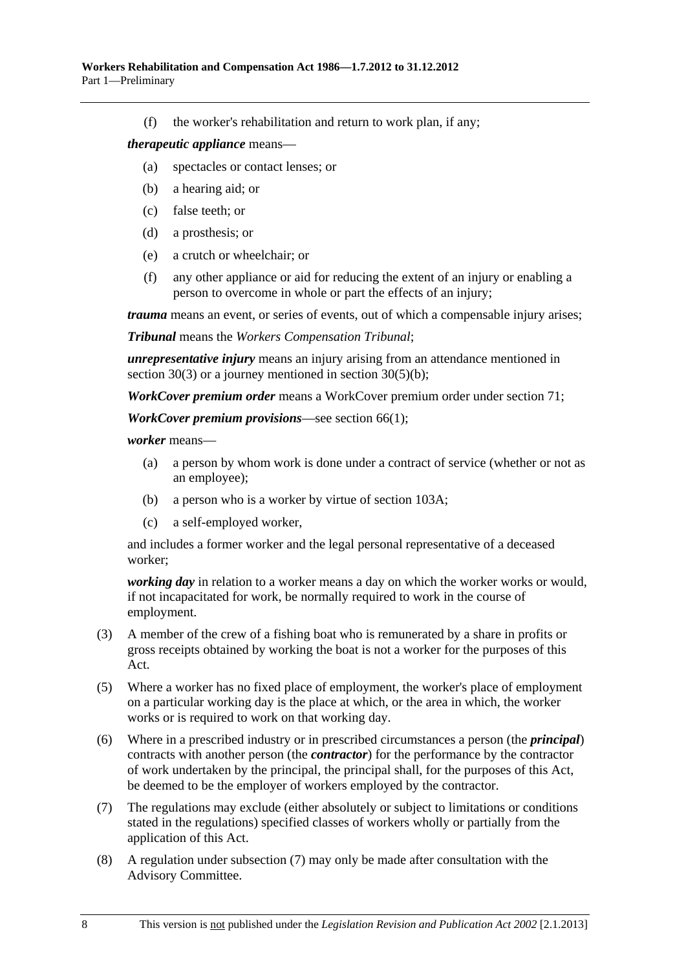<span id="page-17-0"></span>(f) the worker's rehabilitation and return to work plan, if any;

#### *therapeutic appliance* means—

- (a) spectacles or contact lenses; or
- (b) a hearing aid; or
- (c) false teeth; or
- (d) a prosthesis; or
- (e) a crutch or wheelchair; or
- (f) any other appliance or aid for reducing the extent of an injury or enabling a person to overcome in whole or part the effects of an injury;

*trauma* means an event, or series of events, out of which a compensable injury arises;

*Tribunal* means the *Workers Compensation Tribunal*;

*unrepresentative injury* means an injury arising from an attendance mentioned in [section 30\(3\)](#page-36-0) or a journey mentioned in [section 30\(5\)\(b\)](#page-36-0);

*WorkCover premium order* means a WorkCover premium order under [section 71;](#page-97-0)

*WorkCover premium provisions*—see [section 66\(1\)](#page-94-0);

*worker* means—

- (a) a person by whom work is done under a contract of service (whether or not as an employee);
- (b) a person who is a worker by virtue of [section 103A](#page-144-0);
- (c) a self-employed worker,

and includes a former worker and the legal personal representative of a deceased worker;

*working day* in relation to a worker means a day on which the worker works or would, if not incapacitated for work, be normally required to work in the course of employment.

- (3) A member of the crew of a fishing boat who is remunerated by a share in profits or gross receipts obtained by working the boat is not a worker for the purposes of this Act.
- (5) Where a worker has no fixed place of employment, the worker's place of employment on a particular working day is the place at which, or the area in which, the worker works or is required to work on that working day.
- (6) Where in a prescribed industry or in prescribed circumstances a person (the *principal*) contracts with another person (the *contractor*) for the performance by the contractor of work undertaken by the principal, the principal shall, for the purposes of this Act, be deemed to be the employer of workers employed by the contractor.
- (7) The regulations may exclude (either absolutely or subject to limitations or conditions stated in the regulations) specified classes of workers wholly or partially from the application of this Act.
- (8) A regulation under [subsection \(7\)](#page-17-0) may only be made after consultation with the Advisory Committee.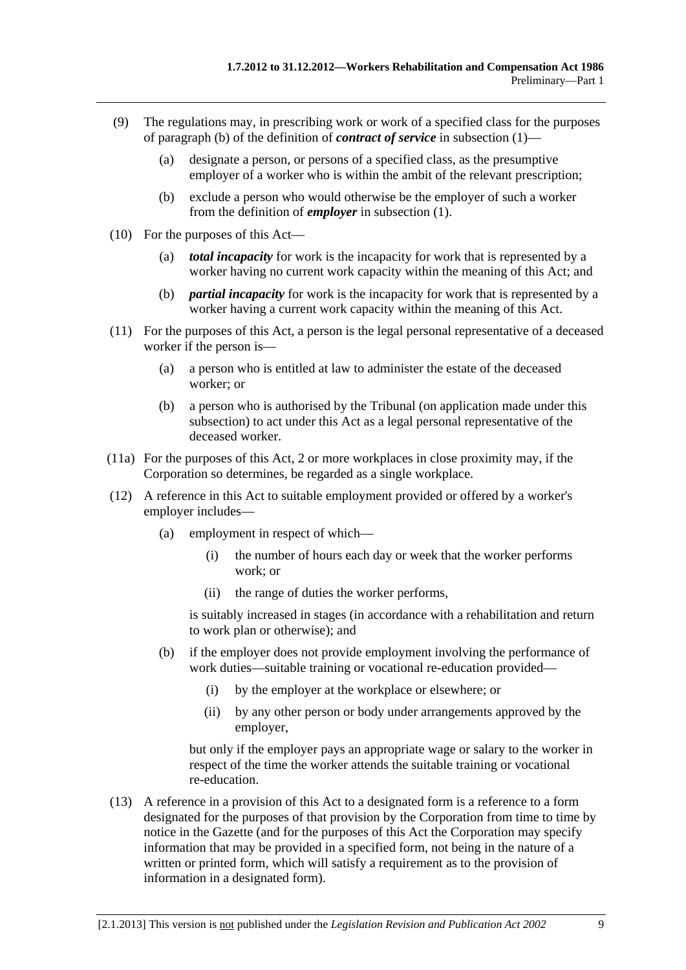- <span id="page-18-0"></span> (9) The regulations may, in prescribing work or work of a specified class for the purposes of [paragraph \(b\)](#page-11-0) of the definition of *contract of service* in [subsection \(1\)](#page-10-0)—
	- (a) designate a person, or persons of a specified class, as the presumptive employer of a worker who is within the ambit of the relevant prescription;
	- (b) exclude a person who would otherwise be the employer of such a worker from the definition of *employer* in [subsection \(1\).](#page-10-0)
- (10) For the purposes of this Act—
	- (a) *total incapacity* for work is the incapacity for work that is represented by a worker having no current work capacity within the meaning of this Act; and
	- (b) *partial incapacity* for work is the incapacity for work that is represented by a worker having a current work capacity within the meaning of this Act.
- (11) For the purposes of this Act, a person is the legal personal representative of a deceased worker if the person is—
	- (a) a person who is entitled at law to administer the estate of the deceased worker; or
	- (b) a person who is authorised by the Tribunal (on application made under this subsection) to act under this Act as a legal personal representative of the deceased worker.
- (11a) For the purposes of this Act, 2 or more workplaces in close proximity may, if the Corporation so determines, be regarded as a single workplace.
- (12) A reference in this Act to suitable employment provided or offered by a worker's employer includes—
	- (a) employment in respect of which—
		- (i) the number of hours each day or week that the worker performs work; or
		- (ii) the range of duties the worker performs,

is suitably increased in stages (in accordance with a rehabilitation and return to work plan or otherwise); and

- (b) if the employer does not provide employment involving the performance of work duties—suitable training or vocational re-education provided—
	- (i) by the employer at the workplace or elsewhere; or
	- (ii) by any other person or body under arrangements approved by the employer,

but only if the employer pays an appropriate wage or salary to the worker in respect of the time the worker attends the suitable training or vocational re-education.

 (13) A reference in a provision of this Act to a designated form is a reference to a form designated for the purposes of that provision by the Corporation from time to time by notice in the Gazette (and for the purposes of this Act the Corporation may specify information that may be provided in a specified form, not being in the nature of a written or printed form, which will satisfy a requirement as to the provision of information in a designated form).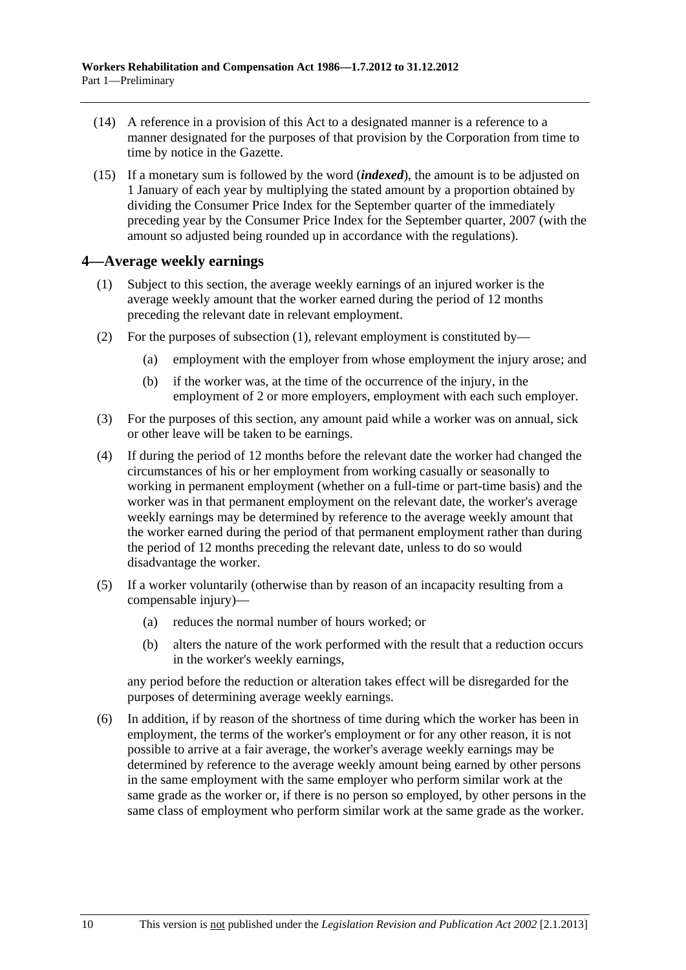- <span id="page-19-0"></span> (14) A reference in a provision of this Act to a designated manner is a reference to a manner designated for the purposes of that provision by the Corporation from time to time by notice in the Gazette.
- (15) If a monetary sum is followed by the word (*indexed*), the amount is to be adjusted on 1 January of each year by multiplying the stated amount by a proportion obtained by dividing the Consumer Price Index for the September quarter of the immediately preceding year by the Consumer Price Index for the September quarter, 2007 (with the amount so adjusted being rounded up in accordance with the regulations).

#### **4—Average weekly earnings**

- (1) Subject to this section, the average weekly earnings of an injured worker is the average weekly amount that the worker earned during the period of 12 months preceding the relevant date in relevant employment.
- (2) For the purposes of [subsection \(1\)](#page-19-0), relevant employment is constituted by—
	- (a) employment with the employer from whose employment the injury arose; and
	- (b) if the worker was, at the time of the occurrence of the injury, in the employment of 2 or more employers, employment with each such employer.
- (3) For the purposes of this section, any amount paid while a worker was on annual, sick or other leave will be taken to be earnings.
- (4) If during the period of 12 months before the relevant date the worker had changed the circumstances of his or her employment from working casually or seasonally to working in permanent employment (whether on a full-time or part-time basis) and the worker was in that permanent employment on the relevant date, the worker's average weekly earnings may be determined by reference to the average weekly amount that the worker earned during the period of that permanent employment rather than during the period of 12 months preceding the relevant date, unless to do so would disadvantage the worker.
- (5) If a worker voluntarily (otherwise than by reason of an incapacity resulting from a compensable injury)—
	- (a) reduces the normal number of hours worked; or
	- (b) alters the nature of the work performed with the result that a reduction occurs in the worker's weekly earnings,

any period before the reduction or alteration takes effect will be disregarded for the purposes of determining average weekly earnings.

 (6) In addition, if by reason of the shortness of time during which the worker has been in employment, the terms of the worker's employment or for any other reason, it is not possible to arrive at a fair average, the worker's average weekly earnings may be determined by reference to the average weekly amount being earned by other persons in the same employment with the same employer who perform similar work at the same grade as the worker or, if there is no person so employed, by other persons in the same class of employment who perform similar work at the same grade as the worker.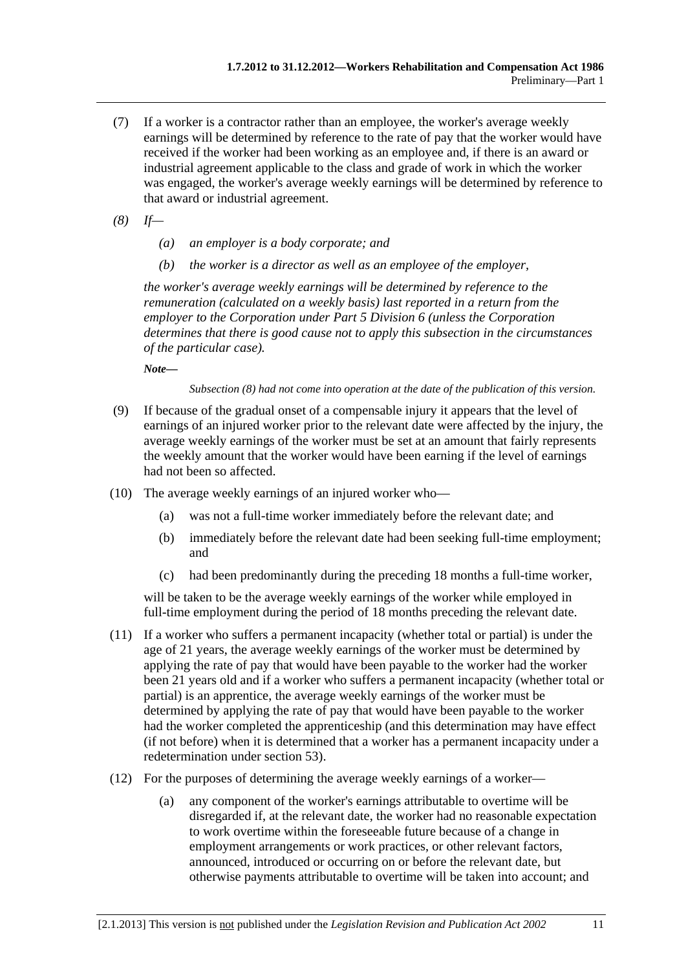- (7) If a worker is a contractor rather than an employee, the worker's average weekly earnings will be determined by reference to the rate of pay that the worker would have received if the worker had been working as an employee and, if there is an award or industrial agreement applicable to the class and grade of work in which the worker was engaged, the worker's average weekly earnings will be determined by reference to that award or industrial agreement.
- *(8) If—* 
	- *(a) an employer is a body corporate; and*
	- *(b) the worker is a director as well as an employee of the employer,*

*the worker's average weekly earnings will be determined by reference to the remuneration (calculated on a weekly basis) last reported in a return from the employer to the Corporation under Part 5 Division 6 (unless the Corporation determines that there is good cause not to apply this subsection in the circumstances of the particular case).* 

*Note—* 

*Subsection (8) had not come into operation at the date of the publication of this version.* 

- (9) If because of the gradual onset of a compensable injury it appears that the level of earnings of an injured worker prior to the relevant date were affected by the injury, the average weekly earnings of the worker must be set at an amount that fairly represents the weekly amount that the worker would have been earning if the level of earnings had not been so affected.
- (10) The average weekly earnings of an injured worker who—
	- (a) was not a full-time worker immediately before the relevant date; and
	- (b) immediately before the relevant date had been seeking full-time employment; and
	- (c) had been predominantly during the preceding 18 months a full-time worker,

will be taken to be the average weekly earnings of the worker while employed in full-time employment during the period of 18 months preceding the relevant date.

- (11) If a worker who suffers a permanent incapacity (whether total or partial) is under the age of 21 years, the average weekly earnings of the worker must be determined by applying the rate of pay that would have been payable to the worker had the worker been 21 years old and if a worker who suffers a permanent incapacity (whether total or partial) is an apprentice, the average weekly earnings of the worker must be determined by applying the rate of pay that would have been payable to the worker had the worker completed the apprenticeship (and this determination may have effect (if not before) when it is determined that a worker has a permanent incapacity under a redetermination under [section 53\)](#page-75-0).
- (12) For the purposes of determining the average weekly earnings of a worker—
	- (a) any component of the worker's earnings attributable to overtime will be disregarded if, at the relevant date, the worker had no reasonable expectation to work overtime within the foreseeable future because of a change in employment arrangements or work practices, or other relevant factors, announced, introduced or occurring on or before the relevant date, but otherwise payments attributable to overtime will be taken into account; and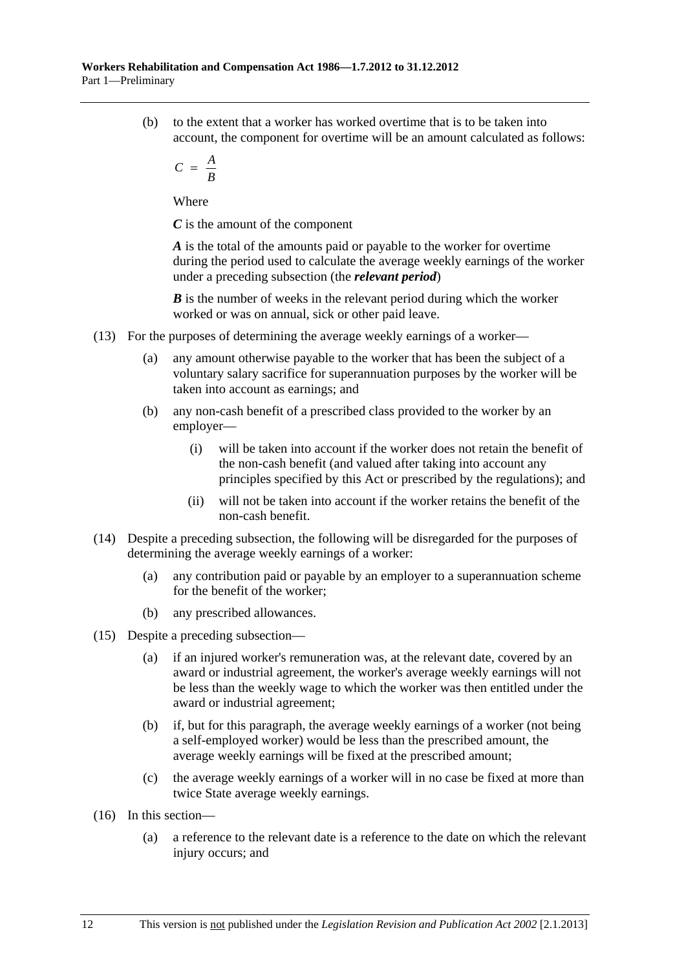(b) to the extent that a worker has worked overtime that is to be taken into account, the component for overtime will be an amount calculated as follows:

$$
C = \frac{A}{B}
$$

Where

*C* is the amount of the component

*A* is the total of the amounts paid or payable to the worker for overtime during the period used to calculate the average weekly earnings of the worker under a preceding subsection (the *relevant period*)

*B* is the number of weeks in the relevant period during which the worker worked or was on annual, sick or other paid leave.

- (13) For the purposes of determining the average weekly earnings of a worker—
	- (a) any amount otherwise payable to the worker that has been the subject of a voluntary salary sacrifice for superannuation purposes by the worker will be taken into account as earnings; and
	- (b) any non-cash benefit of a prescribed class provided to the worker by an employer—
		- (i) will be taken into account if the worker does not retain the benefit of the non-cash benefit (and valued after taking into account any principles specified by this Act or prescribed by the regulations); and
		- (ii) will not be taken into account if the worker retains the benefit of the non-cash benefit.
- (14) Despite a preceding subsection, the following will be disregarded for the purposes of determining the average weekly earnings of a worker:
	- (a) any contribution paid or payable by an employer to a superannuation scheme for the benefit of the worker;
	- (b) any prescribed allowances.
- (15) Despite a preceding subsection—
	- (a) if an injured worker's remuneration was, at the relevant date, covered by an award or industrial agreement, the worker's average weekly earnings will not be less than the weekly wage to which the worker was then entitled under the award or industrial agreement;
	- (b) if, but for this paragraph, the average weekly earnings of a worker (not being a self-employed worker) would be less than the prescribed amount, the average weekly earnings will be fixed at the prescribed amount;
	- (c) the average weekly earnings of a worker will in no case be fixed at more than twice State average weekly earnings.
- (16) In this section—
	- (a) a reference to the relevant date is a reference to the date on which the relevant injury occurs; and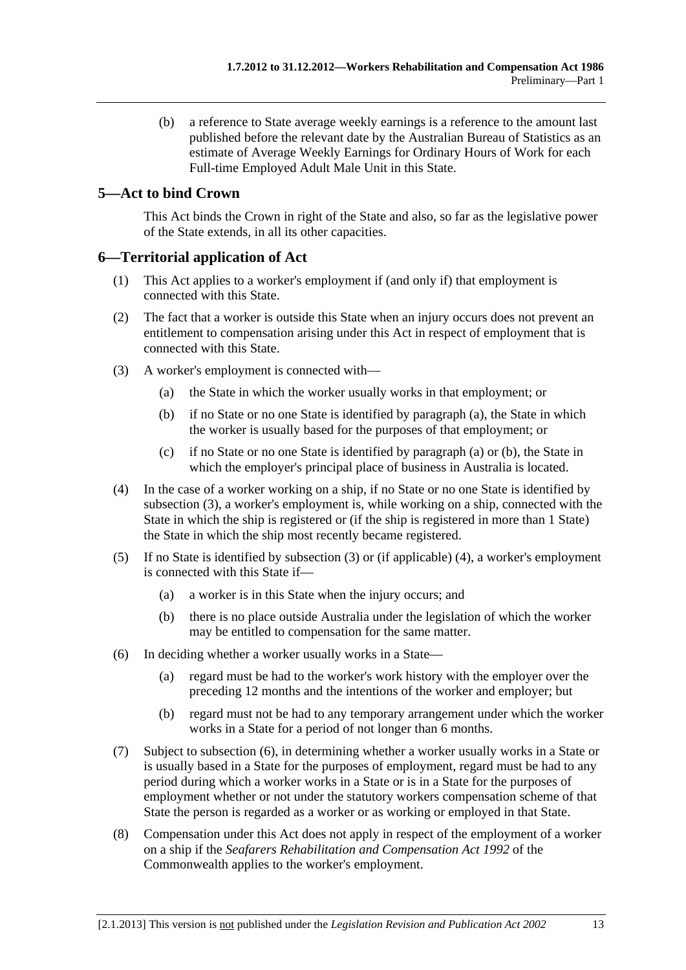<span id="page-22-0"></span> (b) a reference to State average weekly earnings is a reference to the amount last published before the relevant date by the Australian Bureau of Statistics as an estimate of Average Weekly Earnings for Ordinary Hours of Work for each Full-time Employed Adult Male Unit in this State.

### **5—Act to bind Crown**

This Act binds the Crown in right of the State and also, so far as the legislative power of the State extends, in all its other capacities.

#### **6—Territorial application of Act**

- (1) This Act applies to a worker's employment if (and only if) that employment is connected with this State.
- (2) The fact that a worker is outside this State when an injury occurs does not prevent an entitlement to compensation arising under this Act in respect of employment that is connected with this State.
- (3) A worker's employment is connected with—
	- (a) the State in which the worker usually works in that employment; or
	- (b) if no State or no one State is identified by [paragraph \(a\)](#page-22-0), the State in which the worker is usually based for the purposes of that employment; or
	- (c) if no State or no one State is identified by [paragraph \(a\)](#page-22-0) or [\(b\),](#page-22-0) the State in which the employer's principal place of business in Australia is located.
- (4) In the case of a worker working on a ship, if no State or no one State is identified by [subsection \(3\),](#page-22-0) a worker's employment is, while working on a ship, connected with the State in which the ship is registered or (if the ship is registered in more than 1 State) the State in which the ship most recently became registered.
- (5) If no State is identified by [subsection \(3\)](#page-22-0) or (if applicable) [\(4\),](#page-22-0) a worker's employment is connected with this State if—
	- (a) a worker is in this State when the injury occurs; and
	- (b) there is no place outside Australia under the legislation of which the worker may be entitled to compensation for the same matter.
- (6) In deciding whether a worker usually works in a State—
	- (a) regard must be had to the worker's work history with the employer over the preceding 12 months and the intentions of the worker and employer; but
	- (b) regard must not be had to any temporary arrangement under which the worker works in a State for a period of not longer than 6 months.
- (7) Subject to [subsection \(6\),](#page-22-0) in determining whether a worker usually works in a State or is usually based in a State for the purposes of employment, regard must be had to any period during which a worker works in a State or is in a State for the purposes of employment whether or not under the statutory workers compensation scheme of that State the person is regarded as a worker or as working or employed in that State.
- (8) Compensation under this Act does not apply in respect of the employment of a worker on a ship if the *Seafarers Rehabilitation and Compensation Act 1992* of the Commonwealth applies to the worker's employment.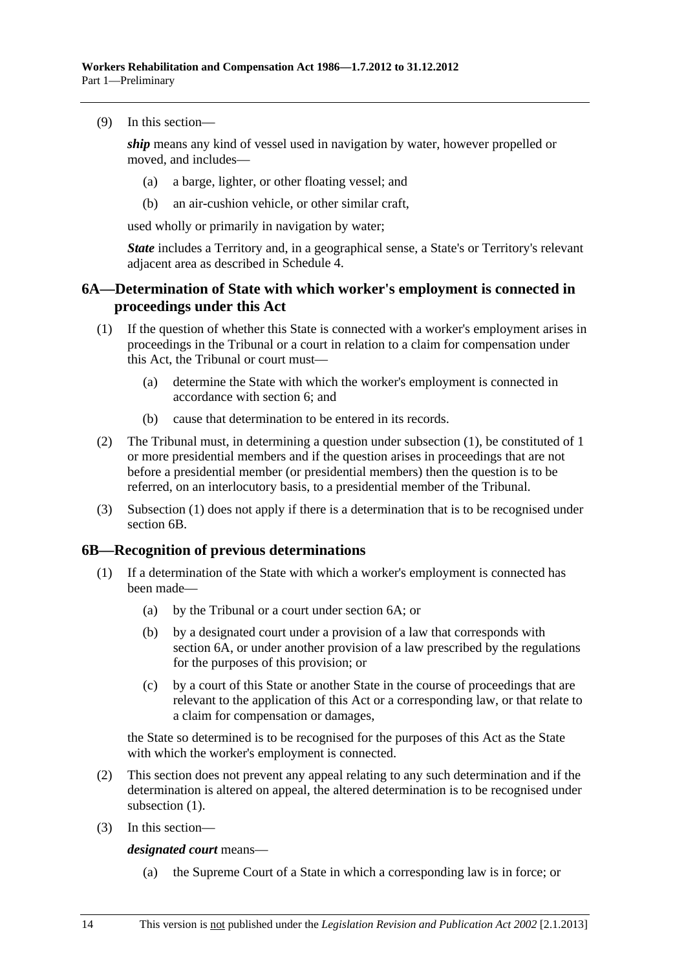<span id="page-23-0"></span>(9) In this section—

*ship* means any kind of vessel used in navigation by water, however propelled or moved, and includes—

- (a) a barge, lighter, or other floating vessel; and
- (b) an air-cushion vehicle, or other similar craft,

used wholly or primarily in navigation by water;

*State* includes a Territory and, in a geographical sense, a State's or Territory's relevant adjacent area as described in [Schedule 4.](#page-166-0)

#### **6A—Determination of State with which worker's employment is connected in proceedings under this Act**

- (1) If the question of whether this State is connected with a worker's employment arises in proceedings in the Tribunal or a court in relation to a claim for compensation under this Act, the Tribunal or court must—
	- (a) determine the State with which the worker's employment is connected in accordance with [section 6](#page-22-0); and
	- (b) cause that determination to be entered in its records.
- (2) The Tribunal must, in determining a question under [subsection \(1\)](#page-23-0), be constituted of 1 or more presidential members and if the question arises in proceedings that are not before a presidential member (or presidential members) then the question is to be referred, on an interlocutory basis, to a presidential member of the Tribunal.
- (3) [Subsection \(1\)](#page-23-0) does not apply if there is a determination that is to be recognised under [section 6B.](#page-23-0)

#### **6B—Recognition of previous determinations**

- (1) If a determination of the State with which a worker's employment is connected has been made—
	- (a) by the Tribunal or a court under [section 6A;](#page-23-0) or
	- (b) by a designated court under a provision of a law that corresponds with [section 6A,](#page-23-0) or under another provision of a law prescribed by the regulations for the purposes of this provision; or
	- (c) by a court of this State or another State in the course of proceedings that are relevant to the application of this Act or a corresponding law, or that relate to a claim for compensation or damages,

the State so determined is to be recognised for the purposes of this Act as the State with which the worker's employment is connected.

- (2) This section does not prevent any appeal relating to any such determination and if the determination is altered on appeal, the altered determination is to be recognised under subsection  $(1)$ .
- (3) In this section—

*designated court* means—

(a) the Supreme Court of a State in which a corresponding law is in force; or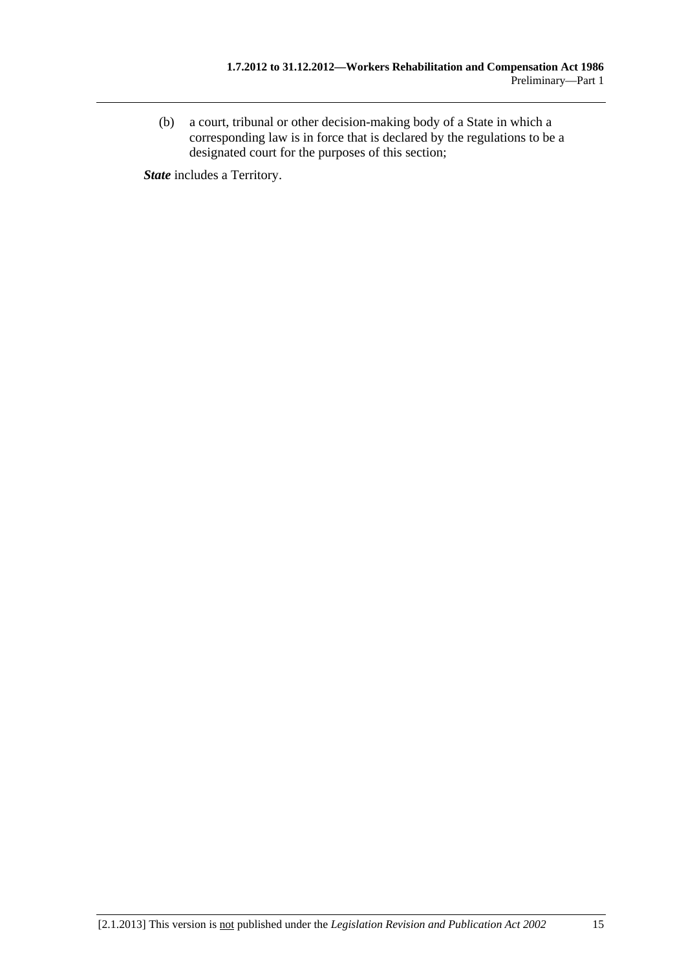(b) a court, tribunal or other decision-making body of a State in which a corresponding law is in force that is declared by the regulations to be a designated court for the purposes of this section;

*State* includes a Territory.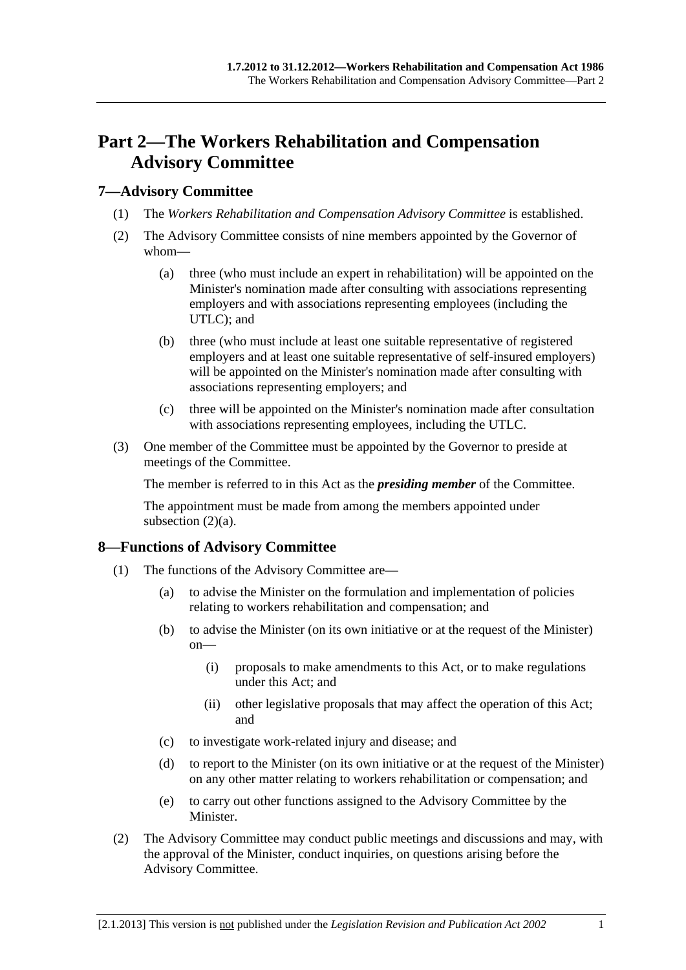## <span id="page-26-0"></span>**Part 2—The Workers Rehabilitation and Compensation Advisory Committee**

#### **7—Advisory Committee**

- (1) The *Workers Rehabilitation and Compensation Advisory Committee* is established.
- (2) The Advisory Committee consists of nine members appointed by the Governor of whom—
	- (a) three (who must include an expert in rehabilitation) will be appointed on the Minister's nomination made after consulting with associations representing employers and with associations representing employees (including the UTLC); and
	- (b) three (who must include at least one suitable representative of registered employers and at least one suitable representative of self-insured employers) will be appointed on the Minister's nomination made after consulting with associations representing employers; and
	- (c) three will be appointed on the Minister's nomination made after consultation with associations representing employees, including the UTLC.
- (3) One member of the Committee must be appointed by the Governor to preside at meetings of the Committee.

The member is referred to in this Act as the *presiding member* of the Committee.

The appointment must be made from among the members appointed under subsection  $(2)(a)$ .

#### **8—Functions of Advisory Committee**

- (1) The functions of the Advisory Committee are—
	- (a) to advise the Minister on the formulation and implementation of policies relating to workers rehabilitation and compensation; and
	- (b) to advise the Minister (on its own initiative or at the request of the Minister) on—
		- (i) proposals to make amendments to this Act, or to make regulations under this Act; and
		- (ii) other legislative proposals that may affect the operation of this Act; and
	- (c) to investigate work-related injury and disease; and
	- (d) to report to the Minister (on its own initiative or at the request of the Minister) on any other matter relating to workers rehabilitation or compensation; and
	- (e) to carry out other functions assigned to the Advisory Committee by the Minister.
- (2) The Advisory Committee may conduct public meetings and discussions and may, with the approval of the Minister, conduct inquiries, on questions arising before the Advisory Committee.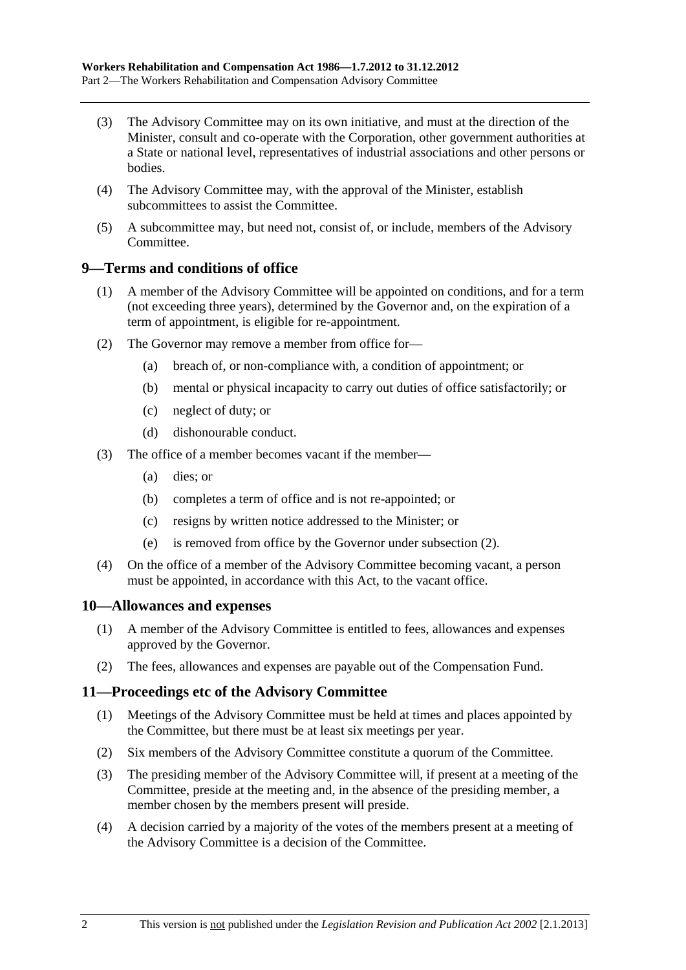- <span id="page-27-0"></span> (3) The Advisory Committee may on its own initiative, and must at the direction of the Minister, consult and co-operate with the Corporation, other government authorities at a State or national level, representatives of industrial associations and other persons or bodies.
- (4) The Advisory Committee may, with the approval of the Minister, establish subcommittees to assist the Committee.
- (5) A subcommittee may, but need not, consist of, or include, members of the Advisory Committee.

#### **9—Terms and conditions of office**

- (1) A member of the Advisory Committee will be appointed on conditions, and for a term (not exceeding three years), determined by the Governor and, on the expiration of a term of appointment, is eligible for re-appointment.
- (2) The Governor may remove a member from office for—
	- (a) breach of, or non-compliance with, a condition of appointment; or
	- (b) mental or physical incapacity to carry out duties of office satisfactorily; or
	- (c) neglect of duty; or
	- (d) dishonourable conduct.
- (3) The office of a member becomes vacant if the member—
	- (a) dies; or
	- (b) completes a term of office and is not re-appointed; or
	- (c) resigns by written notice addressed to the Minister; or
	- (e) is removed from office by the Governor under [subsection \(2\)](#page-27-0).
- (4) On the office of a member of the Advisory Committee becoming vacant, a person must be appointed, in accordance with this Act, to the vacant office.

#### **10—Allowances and expenses**

- (1) A member of the Advisory Committee is entitled to fees, allowances and expenses approved by the Governor.
- (2) The fees, allowances and expenses are payable out of the Compensation Fund.

#### **11—Proceedings etc of the Advisory Committee**

- (1) Meetings of the Advisory Committee must be held at times and places appointed by the Committee, but there must be at least six meetings per year.
- (2) Six members of the Advisory Committee constitute a quorum of the Committee.
- (3) The presiding member of the Advisory Committee will, if present at a meeting of the Committee, preside at the meeting and, in the absence of the presiding member, a member chosen by the members present will preside.
- (4) A decision carried by a majority of the votes of the members present at a meeting of the Advisory Committee is a decision of the Committee.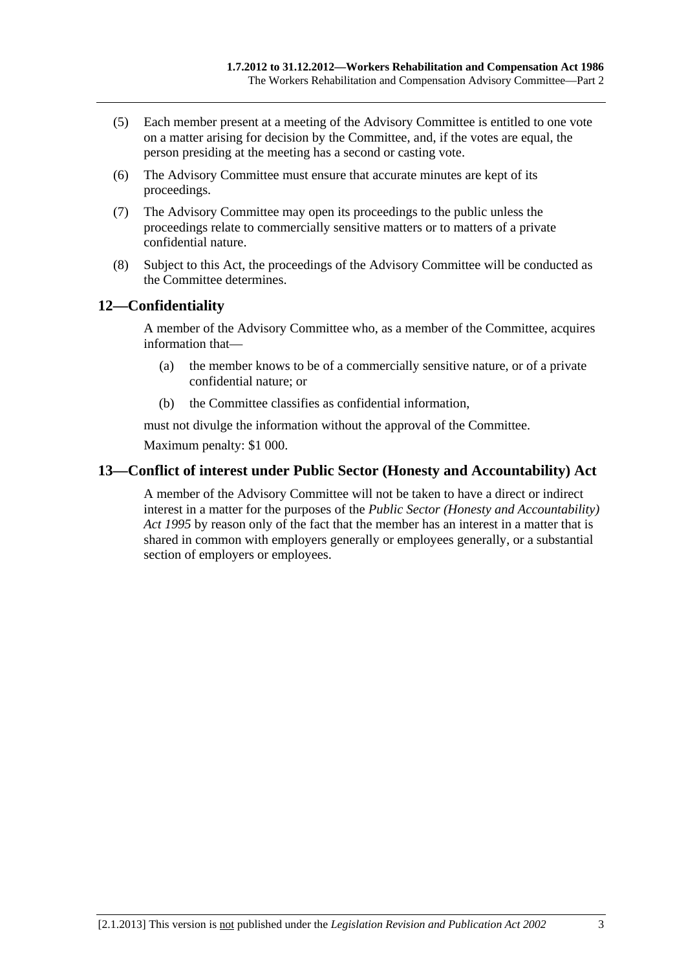- <span id="page-28-0"></span> (5) Each member present at a meeting of the Advisory Committee is entitled to one vote on a matter arising for decision by the Committee, and, if the votes are equal, the person presiding at the meeting has a second or casting vote.
- (6) The Advisory Committee must ensure that accurate minutes are kept of its proceedings.
- (7) The Advisory Committee may open its proceedings to the public unless the proceedings relate to commercially sensitive matters or to matters of a private confidential nature.
- (8) Subject to this Act, the proceedings of the Advisory Committee will be conducted as the Committee determines.

### **12—Confidentiality**

A member of the Advisory Committee who, as a member of the Committee, acquires information that—

- (a) the member knows to be of a commercially sensitive nature, or of a private confidential nature; or
- (b) the Committee classifies as confidential information,

must not divulge the information without the approval of the Committee. Maximum penalty: \$1 000.

### **13—Conflict of interest under Public Sector (Honesty and Accountability) Act**

A member of the Advisory Committee will not be taken to have a direct or indirect interest in a matter for the purposes of the *[Public Sector \(Honesty and Accountability\)](http://www.legislation.sa.gov.au/index.aspx?action=legref&type=act&legtitle=Public%20Sector%20(Honesty%20and%20Accountability)%20Act%201995)  [Act 1995](http://www.legislation.sa.gov.au/index.aspx?action=legref&type=act&legtitle=Public%20Sector%20(Honesty%20and%20Accountability)%20Act%201995)* by reason only of the fact that the member has an interest in a matter that is shared in common with employers generally or employees generally, or a substantial section of employers or employees.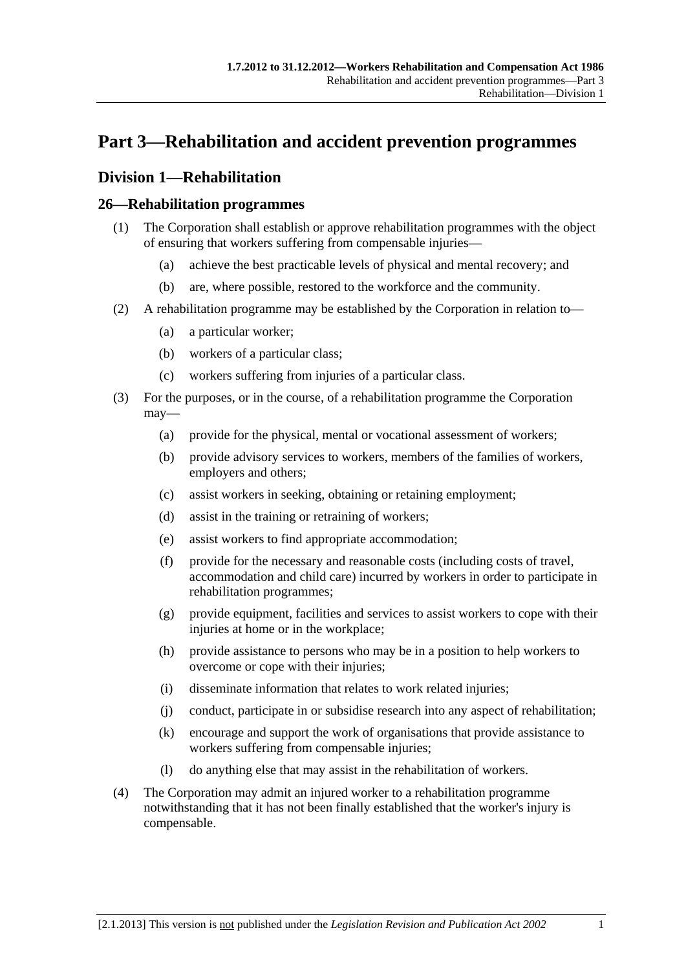## <span id="page-30-0"></span>**Part 3—Rehabilitation and accident prevention programmes**

## **Division 1—Rehabilitation**

## **26—Rehabilitation programmes**

- (1) The Corporation shall establish or approve rehabilitation programmes with the object of ensuring that workers suffering from compensable injuries—
	- (a) achieve the best practicable levels of physical and mental recovery; and
	- (b) are, where possible, restored to the workforce and the community.
- (2) A rehabilitation programme may be established by the Corporation in relation to—
	- (a) a particular worker;
	- (b) workers of a particular class;
	- (c) workers suffering from injuries of a particular class.
- (3) For the purposes, or in the course, of a rehabilitation programme the Corporation may—
	- (a) provide for the physical, mental or vocational assessment of workers;
	- (b) provide advisory services to workers, members of the families of workers, employers and others;
	- (c) assist workers in seeking, obtaining or retaining employment;
	- (d) assist in the training or retraining of workers;
	- (e) assist workers to find appropriate accommodation;
	- (f) provide for the necessary and reasonable costs (including costs of travel, accommodation and child care) incurred by workers in order to participate in rehabilitation programmes;
	- (g) provide equipment, facilities and services to assist workers to cope with their injuries at home or in the workplace;
	- (h) provide assistance to persons who may be in a position to help workers to overcome or cope with their injuries;
	- (i) disseminate information that relates to work related injuries;
	- (j) conduct, participate in or subsidise research into any aspect of rehabilitation;
	- (k) encourage and support the work of organisations that provide assistance to workers suffering from compensable injuries;
	- (l) do anything else that may assist in the rehabilitation of workers.
- (4) The Corporation may admit an injured worker to a rehabilitation programme notwithstanding that it has not been finally established that the worker's injury is compensable.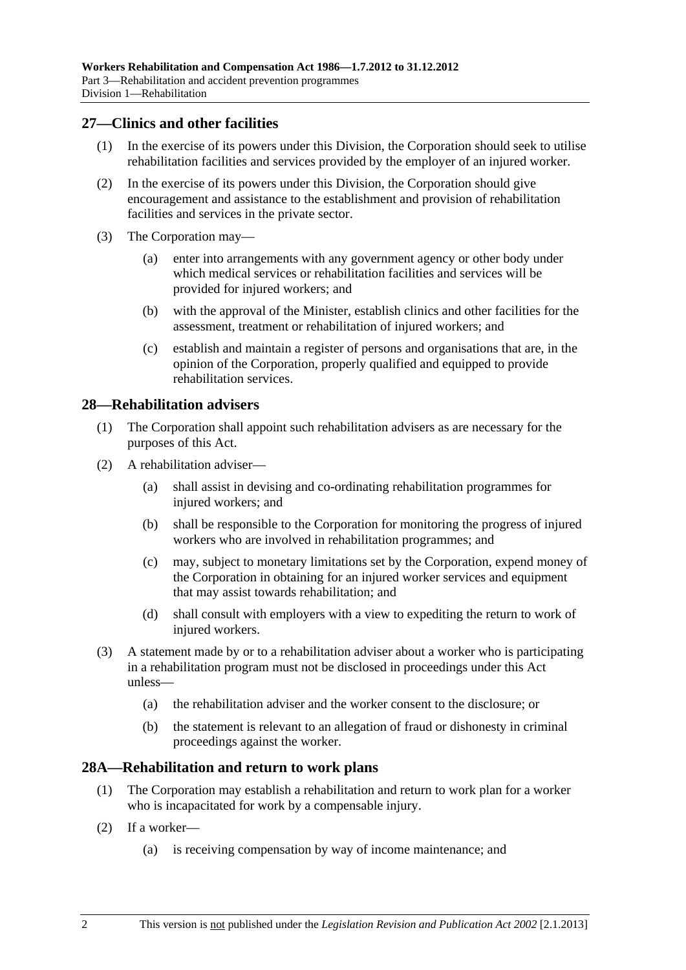#### <span id="page-31-0"></span>**27—Clinics and other facilities**

- (1) In the exercise of its powers under this Division, the Corporation should seek to utilise rehabilitation facilities and services provided by the employer of an injured worker.
- (2) In the exercise of its powers under this Division, the Corporation should give encouragement and assistance to the establishment and provision of rehabilitation facilities and services in the private sector.
- (3) The Corporation may—
	- (a) enter into arrangements with any government agency or other body under which medical services or rehabilitation facilities and services will be provided for injured workers; and
	- (b) with the approval of the Minister, establish clinics and other facilities for the assessment, treatment or rehabilitation of injured workers; and
	- (c) establish and maintain a register of persons and organisations that are, in the opinion of the Corporation, properly qualified and equipped to provide rehabilitation services.

#### **28—Rehabilitation advisers**

- (1) The Corporation shall appoint such rehabilitation advisers as are necessary for the purposes of this Act.
- (2) A rehabilitation adviser—
	- (a) shall assist in devising and co-ordinating rehabilitation programmes for injured workers; and
	- (b) shall be responsible to the Corporation for monitoring the progress of injured workers who are involved in rehabilitation programmes; and
	- (c) may, subject to monetary limitations set by the Corporation, expend money of the Corporation in obtaining for an injured worker services and equipment that may assist towards rehabilitation; and
	- (d) shall consult with employers with a view to expediting the return to work of injured workers.
- (3) A statement made by or to a rehabilitation adviser about a worker who is participating in a rehabilitation program must not be disclosed in proceedings under this Act unless—
	- (a) the rehabilitation adviser and the worker consent to the disclosure; or
	- (b) the statement is relevant to an allegation of fraud or dishonesty in criminal proceedings against the worker.

#### **28A—Rehabilitation and return to work plans**

- (1) The Corporation may establish a rehabilitation and return to work plan for a worker who is incapacitated for work by a compensable injury.
- (2) If a worker—
	- (a) is receiving compensation by way of income maintenance; and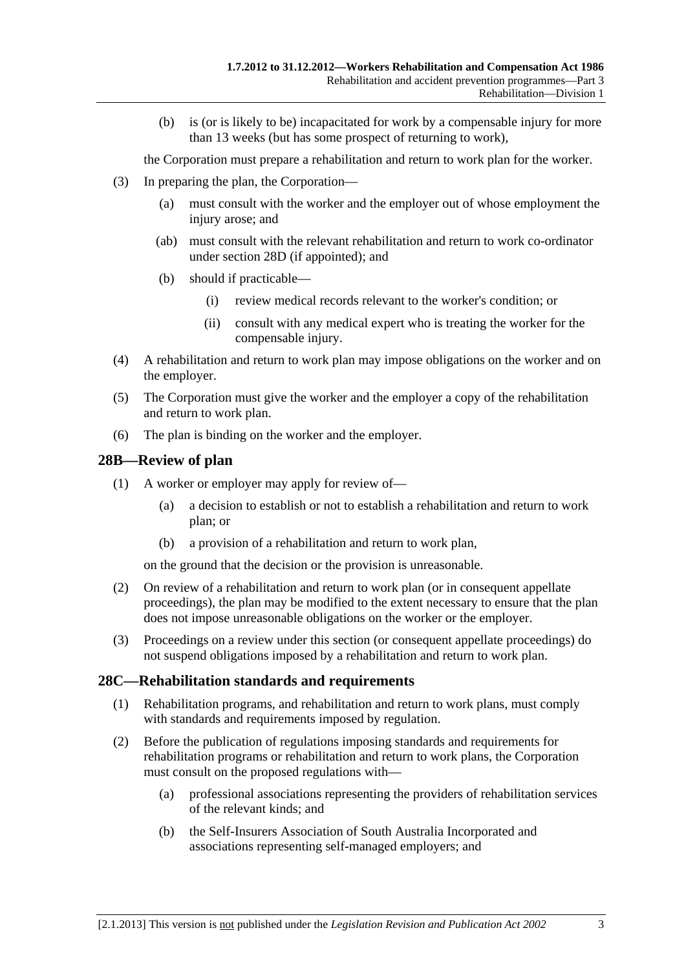<span id="page-32-0"></span> (b) is (or is likely to be) incapacitated for work by a compensable injury for more than 13 weeks (but has some prospect of returning to work),

the Corporation must prepare a rehabilitation and return to work plan for the worker.

- (3) In preparing the plan, the Corporation—
	- (a) must consult with the worker and the employer out of whose employment the injury arose; and
	- (ab) must consult with the relevant rehabilitation and return to work co-ordinator under [section 28D](#page-33-0) (if appointed); and
	- (b) should if practicable—
		- (i) review medical records relevant to the worker's condition; or
		- (ii) consult with any medical expert who is treating the worker for the compensable injury.
- (4) A rehabilitation and return to work plan may impose obligations on the worker and on the employer.
- (5) The Corporation must give the worker and the employer a copy of the rehabilitation and return to work plan.
- (6) The plan is binding on the worker and the employer.

#### **28B—Review of plan**

- (1) A worker or employer may apply for review of—
	- (a) a decision to establish or not to establish a rehabilitation and return to work plan; or
	- (b) a provision of a rehabilitation and return to work plan,

on the ground that the decision or the provision is unreasonable.

- (2) On review of a rehabilitation and return to work plan (or in consequent appellate proceedings), the plan may be modified to the extent necessary to ensure that the plan does not impose unreasonable obligations on the worker or the employer.
- (3) Proceedings on a review under this section (or consequent appellate proceedings) do not suspend obligations imposed by a rehabilitation and return to work plan.

#### **28C—Rehabilitation standards and requirements**

- (1) Rehabilitation programs, and rehabilitation and return to work plans, must comply with standards and requirements imposed by regulation.
- (2) Before the publication of regulations imposing standards and requirements for rehabilitation programs or rehabilitation and return to work plans, the Corporation must consult on the proposed regulations with—
	- (a) professional associations representing the providers of rehabilitation services of the relevant kinds; and
	- (b) the Self-Insurers Association of South Australia Incorporated and associations representing self-managed employers; and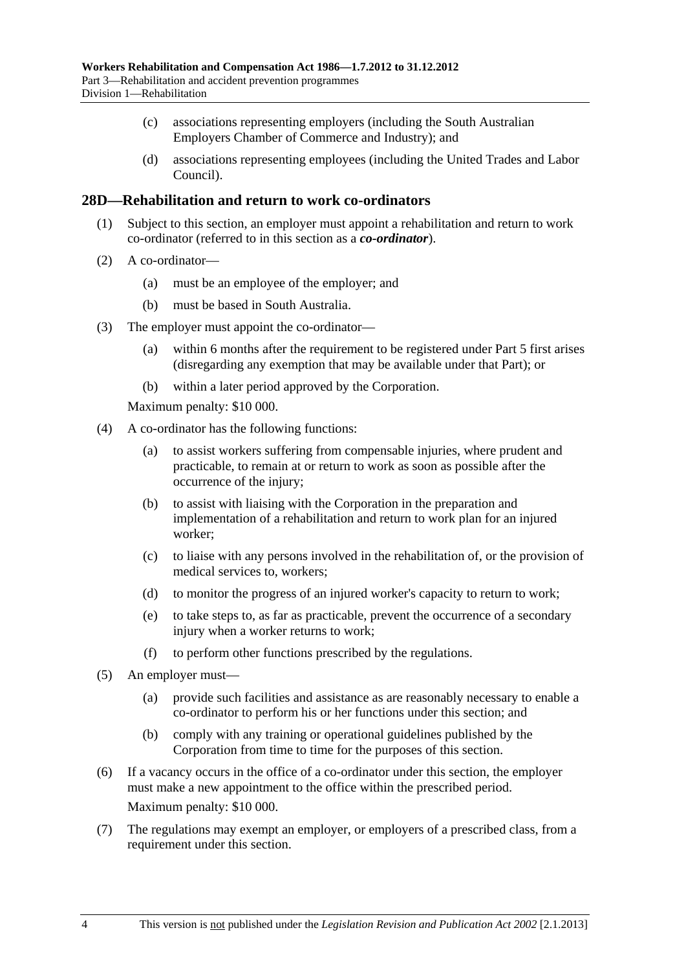- <span id="page-33-0"></span> (c) associations representing employers (including the South Australian Employers Chamber of Commerce and Industry); and
- (d) associations representing employees (including the United Trades and Labor Council).

#### **28D—Rehabilitation and return to work co-ordinators**

- (1) Subject to this section, an employer must appoint a rehabilitation and return to work co-ordinator (referred to in this section as a *co-ordinator*).
- (2) A co-ordinator—
	- (a) must be an employee of the employer; and
	- (b) must be based in South Australia.
- (3) The employer must appoint the co-ordinator—
	- (a) within 6 months after the requirement to be registered under [Part 5](#page-86-0) first arises (disregarding any exemption that may be available under that Part); or
	- (b) within a later period approved by the Corporation.

Maximum penalty: \$10 000.

- (4) A co-ordinator has the following functions:
	- (a) to assist workers suffering from compensable injuries, where prudent and practicable, to remain at or return to work as soon as possible after the occurrence of the injury;
	- (b) to assist with liaising with the Corporation in the preparation and implementation of a rehabilitation and return to work plan for an injured worker;
	- (c) to liaise with any persons involved in the rehabilitation of, or the provision of medical services to, workers;
	- (d) to monitor the progress of an injured worker's capacity to return to work;
	- (e) to take steps to, as far as practicable, prevent the occurrence of a secondary injury when a worker returns to work:
	- (f) to perform other functions prescribed by the regulations.
- (5) An employer must—
	- (a) provide such facilities and assistance as are reasonably necessary to enable a co-ordinator to perform his or her functions under this section; and
	- (b) comply with any training or operational guidelines published by the Corporation from time to time for the purposes of this section.
- (6) If a vacancy occurs in the office of a co-ordinator under this section, the employer must make a new appointment to the office within the prescribed period. Maximum penalty: \$10 000.
- (7) The regulations may exempt an employer, or employers of a prescribed class, from a requirement under this section.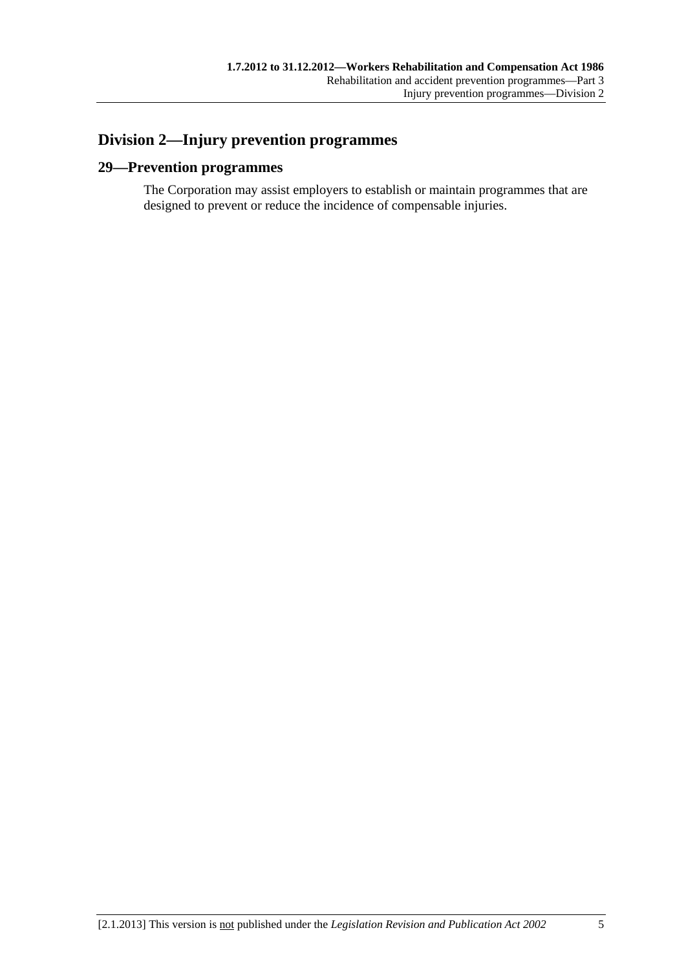## <span id="page-34-0"></span>**Division 2—Injury prevention programmes**

## **29—Prevention programmes**

The Corporation may assist employers to establish or maintain programmes that are designed to prevent or reduce the incidence of compensable injuries.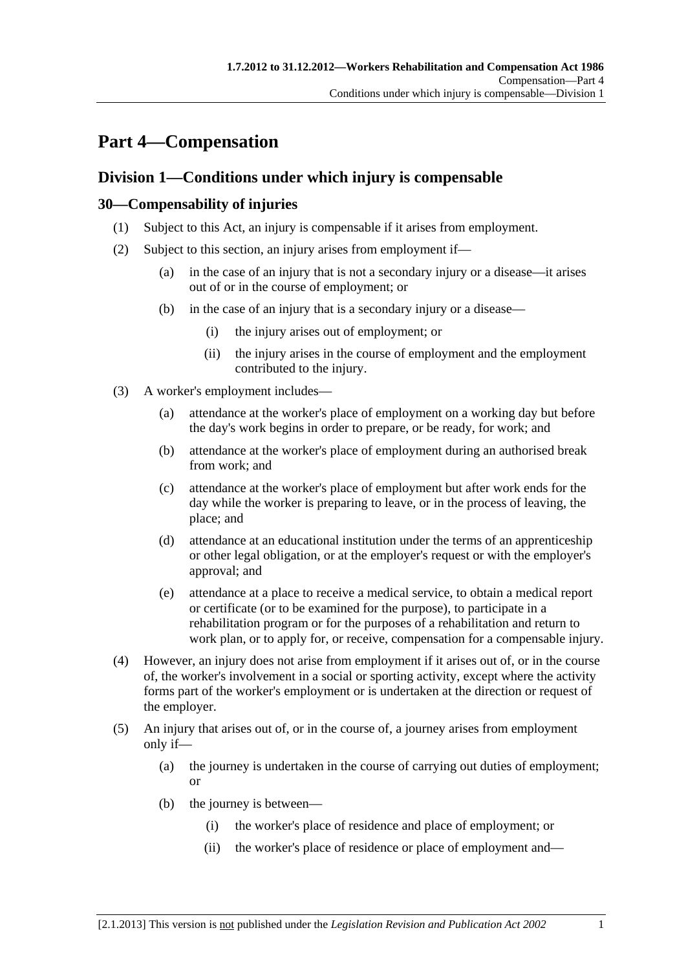# <span id="page-36-0"></span>**Part 4—Compensation**

## **Division 1—Conditions under which injury is compensable**

### **30—Compensability of injuries**

- (1) Subject to this Act, an injury is compensable if it arises from employment.
- (2) Subject to this section, an injury arises from employment if—
	- (a) in the case of an injury that is not a secondary injury or a disease—it arises out of or in the course of employment; or
	- (b) in the case of an injury that is a secondary injury or a disease—
		- (i) the injury arises out of employment; or
		- (ii) the injury arises in the course of employment and the employment contributed to the injury.
- (3) A worker's employment includes—
	- (a) attendance at the worker's place of employment on a working day but before the day's work begins in order to prepare, or be ready, for work; and
	- (b) attendance at the worker's place of employment during an authorised break from work; and
	- (c) attendance at the worker's place of employment but after work ends for the day while the worker is preparing to leave, or in the process of leaving, the place; and
	- (d) attendance at an educational institution under the terms of an apprenticeship or other legal obligation, or at the employer's request or with the employer's approval; and
	- (e) attendance at a place to receive a medical service, to obtain a medical report or certificate (or to be examined for the purpose), to participate in a rehabilitation program or for the purposes of a rehabilitation and return to work plan, or to apply for, or receive, compensation for a compensable injury.
- (4) However, an injury does not arise from employment if it arises out of, or in the course of, the worker's involvement in a social or sporting activity, except where the activity forms part of the worker's employment or is undertaken at the direction or request of the employer.
- (5) An injury that arises out of, or in the course of, a journey arises from employment only if—
	- (a) the journey is undertaken in the course of carrying out duties of employment; or
	- (b) the journey is between—
		- (i) the worker's place of residence and place of employment; or
		- (ii) the worker's place of residence or place of employment and—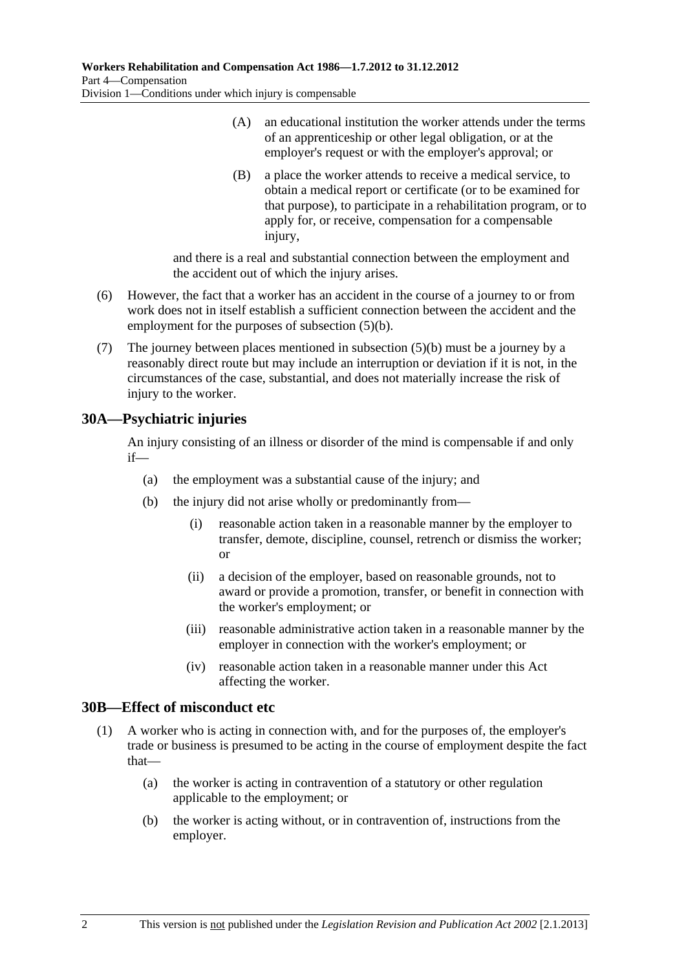- (A) an educational institution the worker attends under the terms of an apprenticeship or other legal obligation, or at the employer's request or with the employer's approval; or
- (B) a place the worker attends to receive a medical service, to obtain a medical report or certificate (or to be examined for that purpose), to participate in a rehabilitation program, or to apply for, or receive, compensation for a compensable injury,

and there is a real and substantial connection between the employment and the accident out of which the injury arises.

- (6) However, the fact that a worker has an accident in the course of a journey to or from work does not in itself establish a sufficient connection between the accident and the employment for the purposes of [subsection \(5\)\(b\).](#page-36-0)
- (7) The journey between places mentioned in [subsection \(5\)\(b\)](#page-36-0) must be a journey by a reasonably direct route but may include an interruption or deviation if it is not, in the circumstances of the case, substantial, and does not materially increase the risk of injury to the worker.

### **30A—Psychiatric injuries**

An injury consisting of an illness or disorder of the mind is compensable if and only if—

- (a) the employment was a substantial cause of the injury; and
- (b) the injury did not arise wholly or predominantly from—
	- (i) reasonable action taken in a reasonable manner by the employer to transfer, demote, discipline, counsel, retrench or dismiss the worker; or
	- (ii) a decision of the employer, based on reasonable grounds, not to award or provide a promotion, transfer, or benefit in connection with the worker's employment; or
	- (iii) reasonable administrative action taken in a reasonable manner by the employer in connection with the worker's employment; or
	- (iv) reasonable action taken in a reasonable manner under this Act affecting the worker.

#### **30B—Effect of misconduct etc**

- (1) A worker who is acting in connection with, and for the purposes of, the employer's trade or business is presumed to be acting in the course of employment despite the fact that—
	- (a) the worker is acting in contravention of a statutory or other regulation applicable to the employment; or
	- (b) the worker is acting without, or in contravention of, instructions from the employer.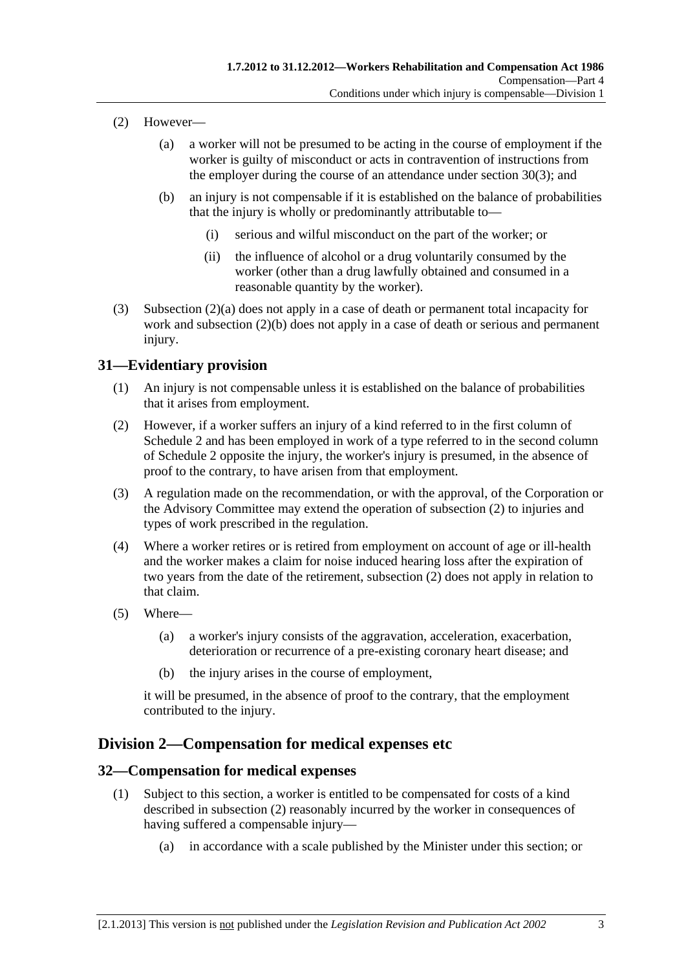- <span id="page-38-0"></span> (2) However—
	- (a) a worker will not be presumed to be acting in the course of employment if the worker is guilty of misconduct or acts in contravention of instructions from the employer during the course of an attendance under [section 30\(3\)](#page-36-0); and
	- (b) an injury is not compensable if it is established on the balance of probabilities that the injury is wholly or predominantly attributable to—
		- (i) serious and wilful misconduct on the part of the worker; or
		- (ii) the influence of alcohol or a drug voluntarily consumed by the worker (other than a drug lawfully obtained and consumed in a reasonable quantity by the worker).
- (3) [Subsection \(2\)\(a\)](#page-38-0) does not apply in a case of death or permanent total incapacity for work and [subsection \(2\)\(b\)](#page-38-0) does not apply in a case of death or serious and permanent injury.

### **31—Evidentiary provision**

- (1) An injury is not compensable unless it is established on the balance of probabilities that it arises from employment.
- (2) However, if a worker suffers an injury of a kind referred to in the first column of [Schedule 2](#page-163-0) and has been employed in work of a type referred to in the second column of [Schedule 2](#page-163-0) opposite the injury, the worker's injury is presumed, in the absence of proof to the contrary, to have arisen from that employment.
- (3) A regulation made on the recommendation, or with the approval, of the Corporation or the Advisory Committee may extend the operation of [subsection \(2\)](#page-38-0) to injuries and types of work prescribed in the regulation.
- (4) Where a worker retires or is retired from employment on account of age or ill-health and the worker makes a claim for noise induced hearing loss after the expiration of two years from the date of the retirement, [subsection \(2\)](#page-38-0) does not apply in relation to that claim.
- (5) Where—
	- (a) a worker's injury consists of the aggravation, acceleration, exacerbation, deterioration or recurrence of a pre-existing coronary heart disease; and
	- (b) the injury arises in the course of employment,

it will be presumed, in the absence of proof to the contrary, that the employment contributed to the injury.

### **Division 2—Compensation for medical expenses etc**

#### **32—Compensation for medical expenses**

- (1) Subject to this section, a worker is entitled to be compensated for costs of a kind described in [subsection \(2\)](#page-39-0) reasonably incurred by the worker in consequences of having suffered a compensable injury—
	- (a) in accordance with a scale published by the Minister under this section; or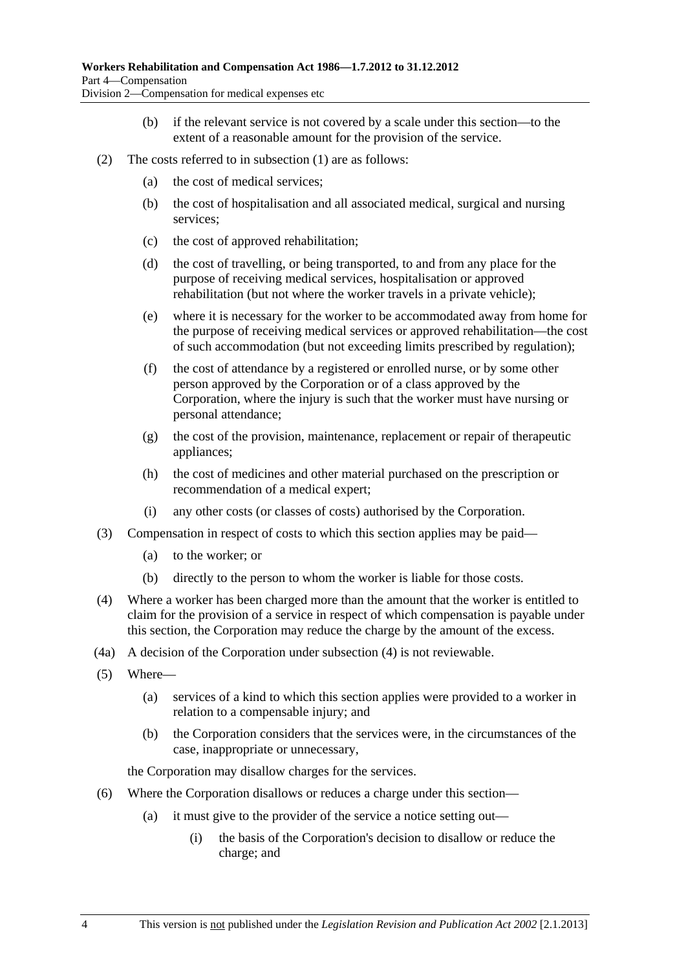- (b) if the relevant service is not covered by a scale under this section—to the extent of a reasonable amount for the provision of the service.
- <span id="page-39-0"></span> (2) The costs referred to in [subsection \(1\)](#page-38-0) are as follows:
	- (a) the cost of medical services;
	- (b) the cost of hospitalisation and all associated medical, surgical and nursing services;
	- (c) the cost of approved rehabilitation;
	- (d) the cost of travelling, or being transported, to and from any place for the purpose of receiving medical services, hospitalisation or approved rehabilitation (but not where the worker travels in a private vehicle);
	- (e) where it is necessary for the worker to be accommodated away from home for the purpose of receiving medical services or approved rehabilitation—the cost of such accommodation (but not exceeding limits prescribed by regulation);
	- (f) the cost of attendance by a registered or enrolled nurse, or by some other person approved by the Corporation or of a class approved by the Corporation, where the injury is such that the worker must have nursing or personal attendance;
	- (g) the cost of the provision, maintenance, replacement or repair of therapeutic appliances;
	- (h) the cost of medicines and other material purchased on the prescription or recommendation of a medical expert;
	- (i) any other costs (or classes of costs) authorised by the Corporation.
- (3) Compensation in respect of costs to which this section applies may be paid—
	- (a) to the worker; or
	- (b) directly to the person to whom the worker is liable for those costs.
- (4) Where a worker has been charged more than the amount that the worker is entitled to claim for the provision of a service in respect of which compensation is payable under this section, the Corporation may reduce the charge by the amount of the excess.
- (4a) A decision of the Corporation under [subsection \(4\)](#page-39-0) is not reviewable.
- (5) Where—
	- (a) services of a kind to which this section applies were provided to a worker in relation to a compensable injury; and
	- (b) the Corporation considers that the services were, in the circumstances of the case, inappropriate or unnecessary,

the Corporation may disallow charges for the services.

- (6) Where the Corporation disallows or reduces a charge under this section—
	- (a) it must give to the provider of the service a notice setting out—
		- (i) the basis of the Corporation's decision to disallow or reduce the charge; and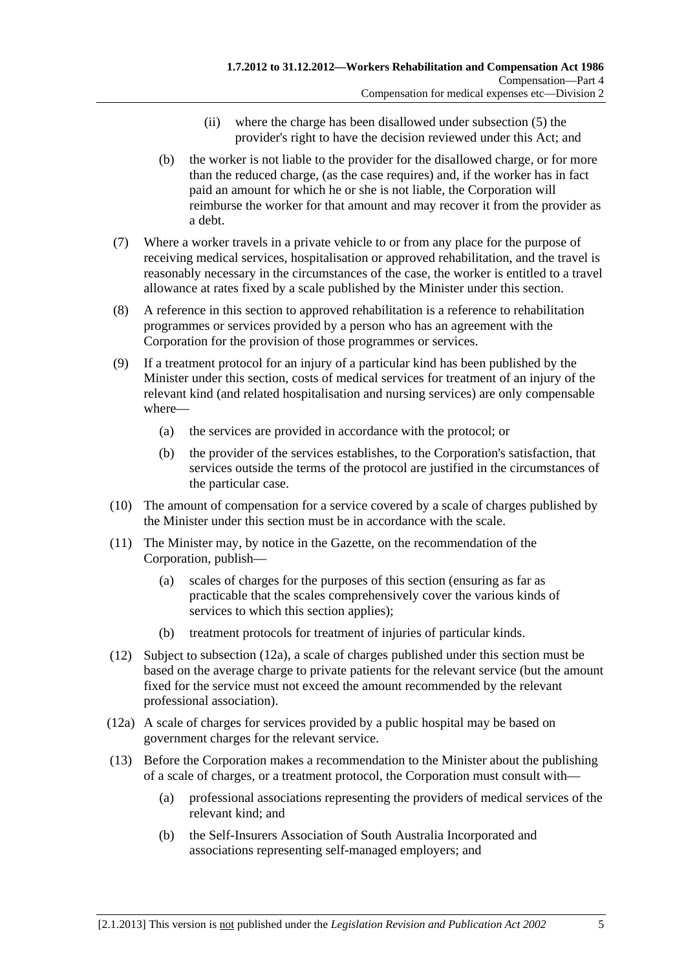- (ii) where the charge has been disallowed under [subsection \(5\)](#page-39-0) the provider's right to have the decision reviewed under this Act; and
- <span id="page-40-0"></span> (b) the worker is not liable to the provider for the disallowed charge, or for more than the reduced charge, (as the case requires) and, if the worker has in fact paid an amount for which he or she is not liable, the Corporation will reimburse the worker for that amount and may recover it from the provider as a debt.
- (7) Where a worker travels in a private vehicle to or from any place for the purpose of receiving medical services, hospitalisation or approved rehabilitation, and the travel is reasonably necessary in the circumstances of the case, the worker is entitled to a travel allowance at rates fixed by a scale published by the Minister under this section.
- (8) A reference in this section to approved rehabilitation is a reference to rehabilitation programmes or services provided by a person who has an agreement with the Corporation for the provision of those programmes or services.
- (9) If a treatment protocol for an injury of a particular kind has been published by the Minister under this section, costs of medical services for treatment of an injury of the relevant kind (and related hospitalisation and nursing services) are only compensable where—
	- (a) the services are provided in accordance with the protocol; or
	- (b) the provider of the services establishes, to the Corporation's satisfaction, that services outside the terms of the protocol are justified in the circumstances of the particular case.
- (10) The amount of compensation for a service covered by a scale of charges published by the Minister under this section must be in accordance with the scale.
- (11) The Minister may, by notice in the Gazette, on the recommendation of the Corporation, publish—
	- (a) scales of charges for the purposes of this section (ensuring as far as practicable that the scales comprehensively cover the various kinds of services to which this section applies);
	- (b) treatment protocols for treatment of injuries of particular kinds.
- (12) Subject to [subsection \(12a\),](#page-40-0) a scale of charges published under this section must be based on the average charge to private patients for the relevant service (but the amount fixed for the service must not exceed the amount recommended by the relevant professional association).
- (12a) A scale of charges for services provided by a public hospital may be based on government charges for the relevant service.
- (13) Before the Corporation makes a recommendation to the Minister about the publishing of a scale of charges, or a treatment protocol, the Corporation must consult with—
	- (a) professional associations representing the providers of medical services of the relevant kind; and
	- (b) the Self-Insurers Association of South Australia Incorporated and associations representing self-managed employers; and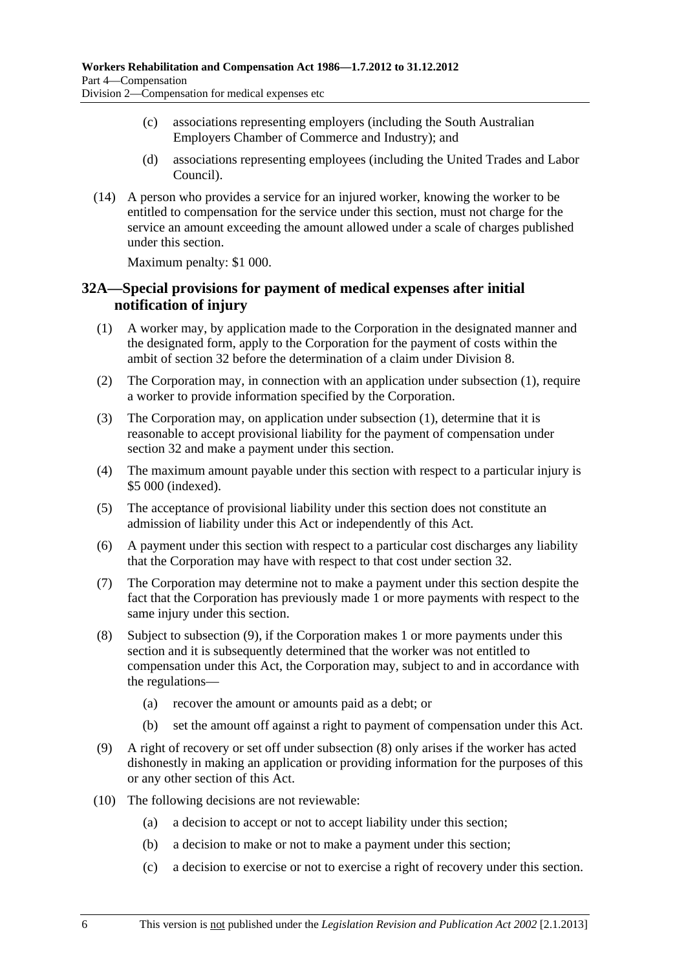- <span id="page-41-0"></span> (c) associations representing employers (including the South Australian Employers Chamber of Commerce and Industry); and
- (d) associations representing employees (including the United Trades and Labor Council).
- (14) A person who provides a service for an injured worker, knowing the worker to be entitled to compensation for the service under this section, must not charge for the service an amount exceeding the amount allowed under a scale of charges published under this section.

Maximum penalty: \$1 000.

### **32A—Special provisions for payment of medical expenses after initial notification of injury**

- (1) A worker may, by application made to the Corporation in the designated manner and the designated form, apply to the Corporation for the payment of costs within the ambit of [section 32](#page-38-0) before the determination of a claim under [Division 8](#page-72-0).
- (2) The Corporation may, in connection with an application under [subsection \(1\),](#page-41-0) require a worker to provide information specified by the Corporation.
- (3) The Corporation may, on application under [subsection \(1\),](#page-41-0) determine that it is reasonable to accept provisional liability for the payment of compensation under [section 32](#page-38-0) and make a payment under this section.
- (4) The maximum amount payable under this section with respect to a particular injury is \$5 000 (indexed).
- (5) The acceptance of provisional liability under this section does not constitute an admission of liability under this Act or independently of this Act.
- (6) A payment under this section with respect to a particular cost discharges any liability that the Corporation may have with respect to that cost under [section 32.](#page-38-0)
- (7) The Corporation may determine not to make a payment under this section despite the fact that the Corporation has previously made 1 or more payments with respect to the same injury under this section.
- (8) Subject to [subsection \(9\),](#page-41-0) if the Corporation makes 1 or more payments under this section and it is subsequently determined that the worker was not entitled to compensation under this Act, the Corporation may, subject to and in accordance with the regulations—
	- (a) recover the amount or amounts paid as a debt; or
	- (b) set the amount off against a right to payment of compensation under this Act.
- (9) A right of recovery or set off under [subsection \(8\)](#page-41-0) only arises if the worker has acted dishonestly in making an application or providing information for the purposes of this or any other section of this Act.
- (10) The following decisions are not reviewable:
	- (a) a decision to accept or not to accept liability under this section;
	- (b) a decision to make or not to make a payment under this section;
	- (c) a decision to exercise or not to exercise a right of recovery under this section.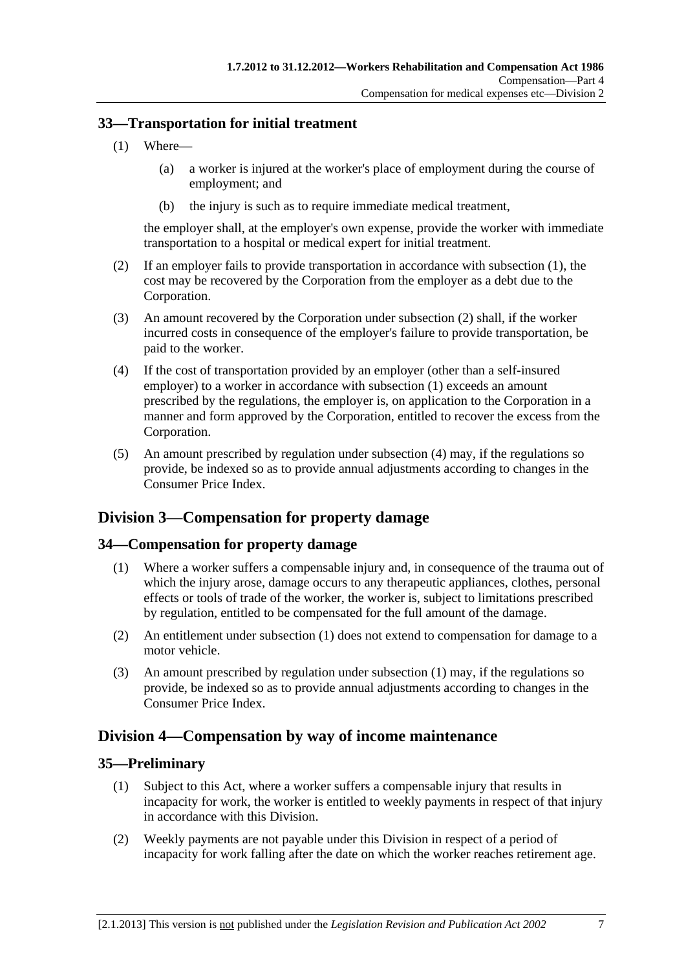### <span id="page-42-0"></span>**33—Transportation for initial treatment**

- (1) Where—
	- (a) a worker is injured at the worker's place of employment during the course of employment; and
	- (b) the injury is such as to require immediate medical treatment,

the employer shall, at the employer's own expense, provide the worker with immediate transportation to a hospital or medical expert for initial treatment.

- (2) If an employer fails to provide transportation in accordance with [subsection \(1\)](#page-42-0), the cost may be recovered by the Corporation from the employer as a debt due to the Corporation.
- (3) An amount recovered by the Corporation under [subsection \(2\)](#page-42-0) shall, if the worker incurred costs in consequence of the employer's failure to provide transportation, be paid to the worker.
- (4) If the cost of transportation provided by an employer (other than a self-insured employer) to a worker in accordance with [subsection \(1\)](#page-42-0) exceeds an amount prescribed by the regulations, the employer is, on application to the Corporation in a manner and form approved by the Corporation, entitled to recover the excess from the Corporation.
- (5) An amount prescribed by regulation under [subsection \(4\)](#page-42-0) may, if the regulations so provide, be indexed so as to provide annual adjustments according to changes in the Consumer Price Index.

## **Division 3—Compensation for property damage**

### **34—Compensation for property damage**

- (1) Where a worker suffers a compensable injury and, in consequence of the trauma out of which the injury arose, damage occurs to any therapeutic appliances, clothes, personal effects or tools of trade of the worker, the worker is, subject to limitations prescribed by regulation, entitled to be compensated for the full amount of the damage.
- (2) An entitlement under [subsection \(1\)](#page-42-0) does not extend to compensation for damage to a motor vehicle.
- (3) An amount prescribed by regulation under [subsection \(1\)](#page-42-0) may, if the regulations so provide, be indexed so as to provide annual adjustments according to changes in the Consumer Price Index.

## **Division 4—Compensation by way of income maintenance**

#### **35—Preliminary**

- (1) Subject to this Act, where a worker suffers a compensable injury that results in incapacity for work, the worker is entitled to weekly payments in respect of that injury in accordance with this Division.
- (2) Weekly payments are not payable under this Division in respect of a period of incapacity for work falling after the date on which the worker reaches retirement age.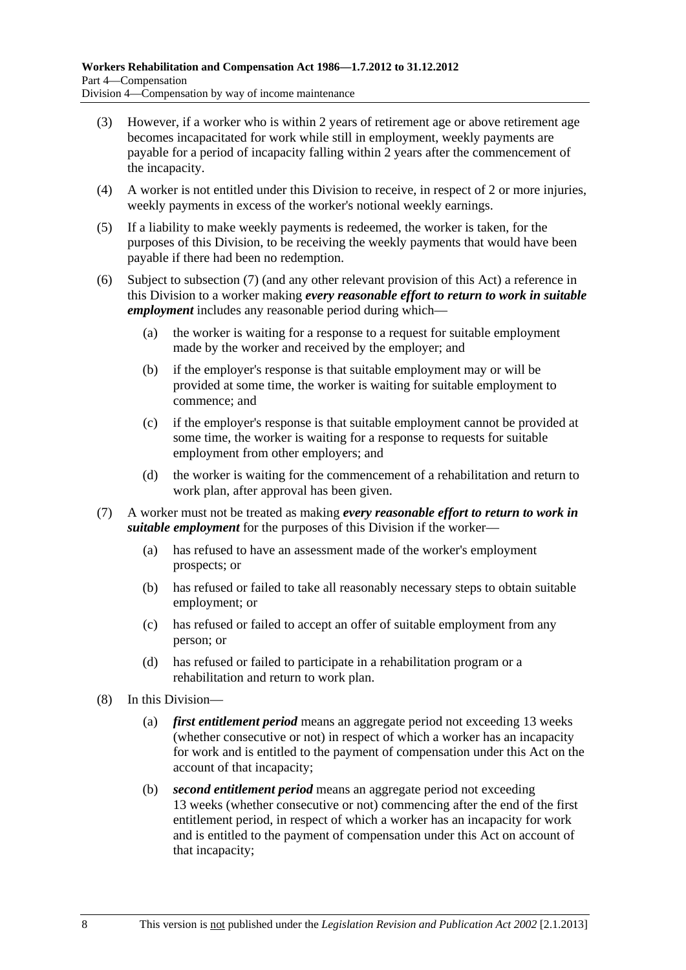- <span id="page-43-0"></span> (3) However, if a worker who is within 2 years of retirement age or above retirement age becomes incapacitated for work while still in employment, weekly payments are payable for a period of incapacity falling within 2 years after the commencement of the incapacity.
- (4) A worker is not entitled under this Division to receive, in respect of 2 or more injuries, weekly payments in excess of the worker's notional weekly earnings.
- (5) If a liability to make weekly payments is redeemed, the worker is taken, for the purposes of this Division, to be receiving the weekly payments that would have been payable if there had been no redemption.
- (6) Subject to [subsection \(7\)](#page-43-0) (and any other relevant provision of this Act) a reference in this Division to a worker making *every reasonable effort to return to work in suitable employment* includes any reasonable period during which—
	- (a) the worker is waiting for a response to a request for suitable employment made by the worker and received by the employer; and
	- (b) if the employer's response is that suitable employment may or will be provided at some time, the worker is waiting for suitable employment to commence; and
	- (c) if the employer's response is that suitable employment cannot be provided at some time, the worker is waiting for a response to requests for suitable employment from other employers; and
	- (d) the worker is waiting for the commencement of a rehabilitation and return to work plan, after approval has been given.
- (7) A worker must not be treated as making *every reasonable effort to return to work in suitable employment* for the purposes of this Division if the worker—
	- (a) has refused to have an assessment made of the worker's employment prospects; or
	- (b) has refused or failed to take all reasonably necessary steps to obtain suitable employment; or
	- (c) has refused or failed to accept an offer of suitable employment from any person; or
	- (d) has refused or failed to participate in a rehabilitation program or a rehabilitation and return to work plan.
- (8) In this Division—
	- (a) *first entitlement period* means an aggregate period not exceeding 13 weeks (whether consecutive or not) in respect of which a worker has an incapacity for work and is entitled to the payment of compensation under this Act on the account of that incapacity;
	- (b) *second entitlement period* means an aggregate period not exceeding 13 weeks (whether consecutive or not) commencing after the end of the first entitlement period, in respect of which a worker has an incapacity for work and is entitled to the payment of compensation under this Act on account of that incapacity;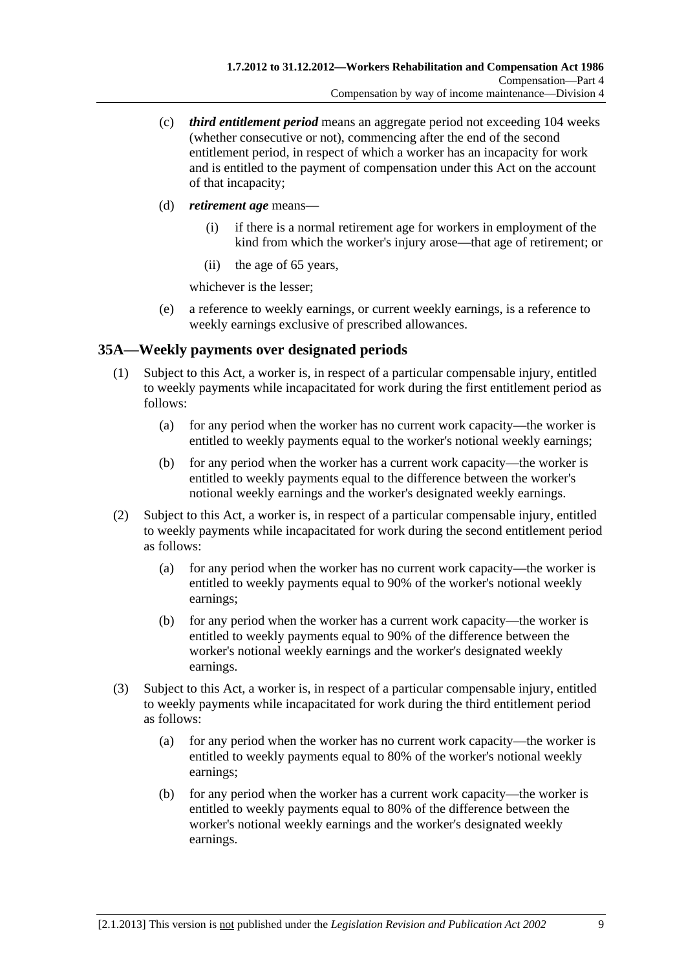- <span id="page-44-0"></span> (c) *third entitlement period* means an aggregate period not exceeding 104 weeks (whether consecutive or not), commencing after the end of the second entitlement period, in respect of which a worker has an incapacity for work and is entitled to the payment of compensation under this Act on the account of that incapacity;
- (d) *retirement age* means—
	- (i) if there is a normal retirement age for workers in employment of the kind from which the worker's injury arose—that age of retirement; or
	- (ii) the age of 65 years,

whichever is the lesser;

 (e) a reference to weekly earnings, or current weekly earnings, is a reference to weekly earnings exclusive of prescribed allowances.

### **35A—Weekly payments over designated periods**

- (1) Subject to this Act, a worker is, in respect of a particular compensable injury, entitled to weekly payments while incapacitated for work during the first entitlement period as follows:
	- (a) for any period when the worker has no current work capacity—the worker is entitled to weekly payments equal to the worker's notional weekly earnings;
	- (b) for any period when the worker has a current work capacity—the worker is entitled to weekly payments equal to the difference between the worker's notional weekly earnings and the worker's designated weekly earnings.
- (2) Subject to this Act, a worker is, in respect of a particular compensable injury, entitled to weekly payments while incapacitated for work during the second entitlement period as follows:
	- (a) for any period when the worker has no current work capacity—the worker is entitled to weekly payments equal to 90% of the worker's notional weekly earnings;
	- (b) for any period when the worker has a current work capacity—the worker is entitled to weekly payments equal to 90% of the difference between the worker's notional weekly earnings and the worker's designated weekly earnings.
- (3) Subject to this Act, a worker is, in respect of a particular compensable injury, entitled to weekly payments while incapacitated for work during the third entitlement period as follows:
	- (a) for any period when the worker has no current work capacity—the worker is entitled to weekly payments equal to 80% of the worker's notional weekly earnings;
	- (b) for any period when the worker has a current work capacity—the worker is entitled to weekly payments equal to 80% of the difference between the worker's notional weekly earnings and the worker's designated weekly earnings.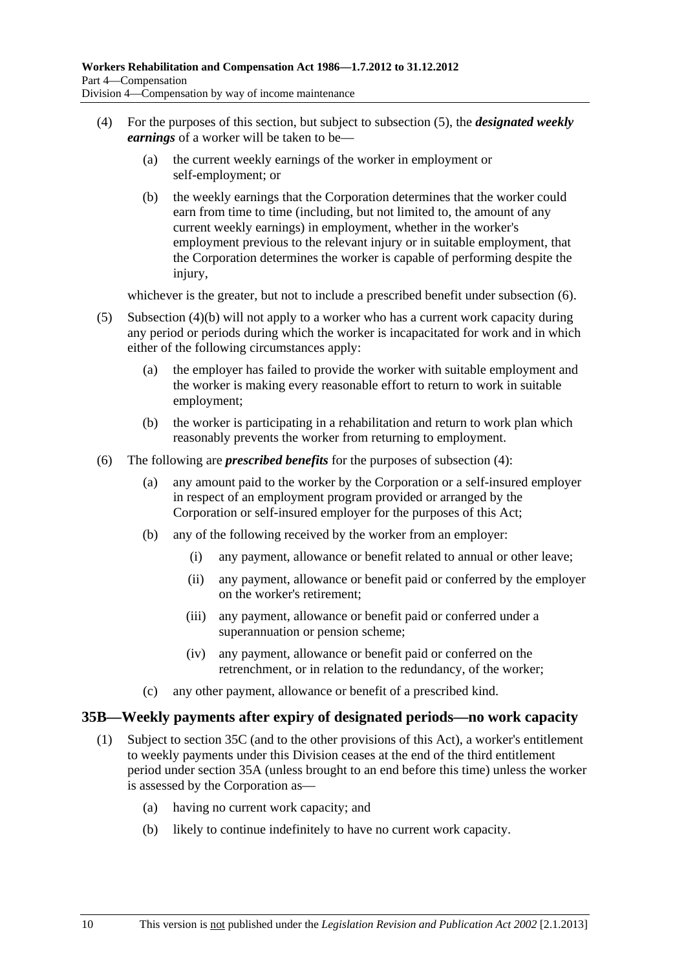- <span id="page-45-0"></span> (4) For the purposes of this section, but subject to [subsection \(5\)](#page-45-0), the *designated weekly earnings* of a worker will be taken to be—
	- (a) the current weekly earnings of the worker in employment or self-employment; or
	- (b) the weekly earnings that the Corporation determines that the worker could earn from time to time (including, but not limited to, the amount of any current weekly earnings) in employment, whether in the worker's employment previous to the relevant injury or in suitable employment, that the Corporation determines the worker is capable of performing despite the injury,

whichever is the greater, but not to include a prescribed benefit under [subsection \(6\).](#page-45-0)

- (5) [Subsection \(4\)\(b\)](#page-45-0) will not apply to a worker who has a current work capacity during any period or periods during which the worker is incapacitated for work and in which either of the following circumstances apply:
	- (a) the employer has failed to provide the worker with suitable employment and the worker is making every reasonable effort to return to work in suitable employment;
	- (b) the worker is participating in a rehabilitation and return to work plan which reasonably prevents the worker from returning to employment.
- (6) The following are *prescribed benefits* for the purposes of [subsection \(4\)](#page-45-0):
	- (a) any amount paid to the worker by the Corporation or a self-insured employer in respect of an employment program provided or arranged by the Corporation or self-insured employer for the purposes of this Act;
	- (b) any of the following received by the worker from an employer:
		- (i) any payment, allowance or benefit related to annual or other leave;
		- (ii) any payment, allowance or benefit paid or conferred by the employer on the worker's retirement;
		- (iii) any payment, allowance or benefit paid or conferred under a superannuation or pension scheme;
		- (iv) any payment, allowance or benefit paid or conferred on the retrenchment, or in relation to the redundancy, of the worker;
	- (c) any other payment, allowance or benefit of a prescribed kind.

#### **35B—Weekly payments after expiry of designated periods—no work capacity**

- (1) Subject to [section 35C](#page-46-0) (and to the other provisions of this Act), a worker's entitlement to weekly payments under this Division ceases at the end of the third entitlement period under [section 35A](#page-44-0) (unless brought to an end before this time) unless the worker is assessed by the Corporation as—
	- (a) having no current work capacity; and
	- (b) likely to continue indefinitely to have no current work capacity.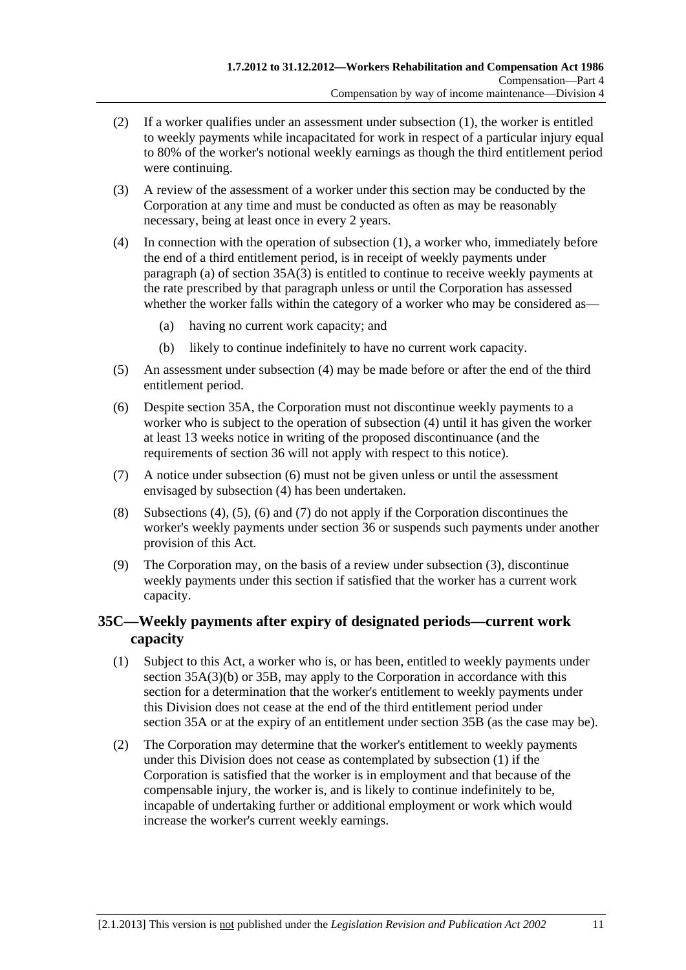- <span id="page-46-0"></span> (2) If a worker qualifies under an assessment under [subsection \(1\),](#page-45-0) the worker is entitled to weekly payments while incapacitated for work in respect of a particular injury equal to 80% of the worker's notional weekly earnings as though the third entitlement period were continuing.
- (3) A review of the assessment of a worker under this section may be conducted by the Corporation at any time and must be conducted as often as may be reasonably necessary, being at least once in every 2 years.
- (4) In connection with the operation of [subsection \(1\)](#page-45-0), a worker who, immediately before the end of a third entitlement period, is in receipt of weekly payments under [paragraph \(a\)](#page-44-0) of section  $35A(3)$  is entitled to continue to receive weekly payments at the rate prescribed by that paragraph unless or until the Corporation has assessed whether the worker falls within the category of a worker who may be considered as—
	- (a) having no current work capacity; and
	- (b) likely to continue indefinitely to have no current work capacity.
- (5) An assessment under [subsection \(4\)](#page-46-0) may be made before or after the end of the third entitlement period.
- (6) Despite [section 35A](#page-44-0), the Corporation must not discontinue weekly payments to a worker who is subject to the operation of [subsection \(4\)](#page-46-0) until it has given the worker at least 13 weeks notice in writing of the proposed discontinuance (and the requirements of [section 36](#page-47-0) will not apply with respect to this notice).
- (7) A notice under [subsection \(6\)](#page-46-0) must not be given unless or until the assessment envisaged by [subsection \(4\)](#page-46-0) has been undertaken.
- (8) [Subsections \(4\)](#page-46-0), [\(5\)](#page-46-0), [\(6\)](#page-46-0) and [\(7\)](#page-46-0) do not apply if the Corporation discontinues the worker's weekly payments under [section 36](#page-47-0) or suspends such payments under another provision of this Act.
- (9) The Corporation may, on the basis of a review under [subsection \(3\)](#page-46-0), discontinue weekly payments under this section if satisfied that the worker has a current work capacity.

### **35C—Weekly payments after expiry of designated periods—current work capacity**

- (1) Subject to this Act, a worker who is, or has been, entitled to weekly payments under [section 35A\(3\)\(b\)](#page-44-0) or [35B](#page-45-0), may apply to the Corporation in accordance with this section for a determination that the worker's entitlement to weekly payments under this Division does not cease at the end of the third entitlement period under [section 35A](#page-44-0) or at the expiry of an entitlement under [section 35B](#page-45-0) (as the case may be).
- (2) The Corporation may determine that the worker's entitlement to weekly payments under this Division does not cease as contemplated by [subsection \(1\)](#page-46-0) if the Corporation is satisfied that the worker is in employment and that because of the compensable injury, the worker is, and is likely to continue indefinitely to be, incapable of undertaking further or additional employment or work which would increase the worker's current weekly earnings.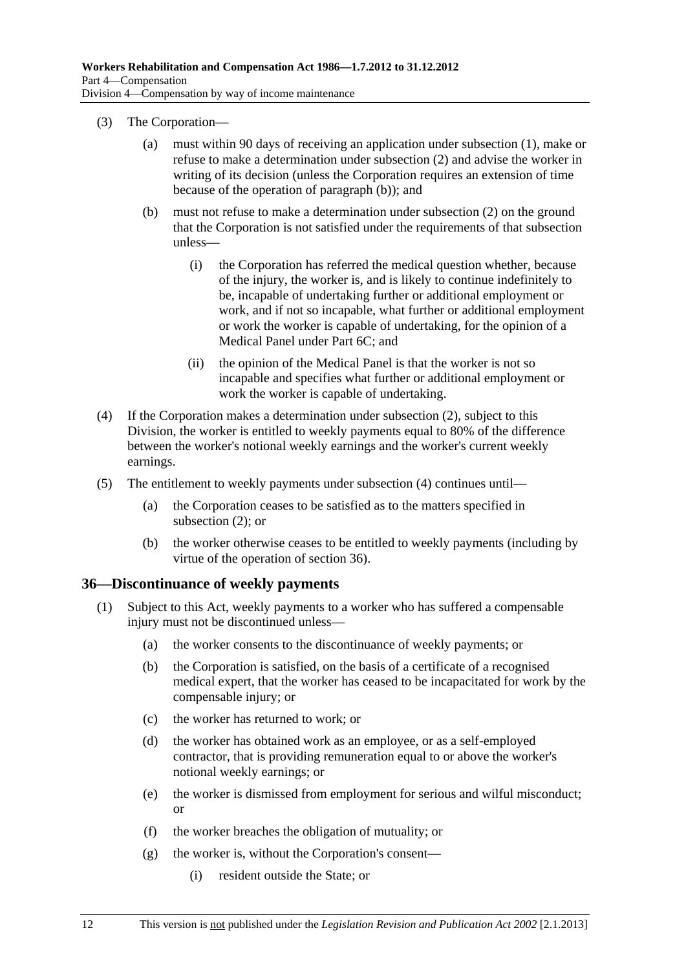- <span id="page-47-0"></span> (3) The Corporation—
	- (a) must within 90 days of receiving an application under [subsection \(1\),](#page-46-0) make or refuse to make a determination under [subsection \(2\)](#page-46-0) and advise the worker in writing of its decision (unless the Corporation requires an extension of time because of the operation of [paragraph \(b\)](#page-47-0)); and
	- (b) must not refuse to make a determination under [subsection \(2\)](#page-46-0) on the ground that the Corporation is not satisfied under the requirements of that subsection unless—
		- (i) the Corporation has referred the medical question whether, because of the injury, the worker is, and is likely to continue indefinitely to be, incapable of undertaking further or additional employment or work, and if not so incapable, what further or additional employment or work the worker is capable of undertaking, for the opinion of a Medical Panel under [Part 6C;](#page-132-0) and
		- (ii) the opinion of the Medical Panel is that the worker is not so incapable and specifies what further or additional employment or work the worker is capable of undertaking.
- (4) If the Corporation makes a determination under [subsection \(2\)](#page-46-0), subject to this Division, the worker is entitled to weekly payments equal to 80% of the difference between the worker's notional weekly earnings and the worker's current weekly earnings.
- (5) The entitlement to weekly payments under [subsection \(4\)](#page-47-0) continues until—
	- (a) the Corporation ceases to be satisfied as to the matters specified in [subsection \(2\)](#page-46-0); or
	- (b) the worker otherwise ceases to be entitled to weekly payments (including by virtue of the operation of [section 36](#page-47-0)).

#### **36—Discontinuance of weekly payments**

- (1) Subject to this Act, weekly payments to a worker who has suffered a compensable injury must not be discontinued unless—
	- (a) the worker consents to the discontinuance of weekly payments; or
	- (b) the Corporation is satisfied, on the basis of a certificate of a recognised medical expert, that the worker has ceased to be incapacitated for work by the compensable injury; or
	- (c) the worker has returned to work; or
	- (d) the worker has obtained work as an employee, or as a self-employed contractor, that is providing remuneration equal to or above the worker's notional weekly earnings; or
	- (e) the worker is dismissed from employment for serious and wilful misconduct; or
	- (f) the worker breaches the obligation of mutuality; or
	- (g) the worker is, without the Corporation's consent—
		- (i) resident outside the State; or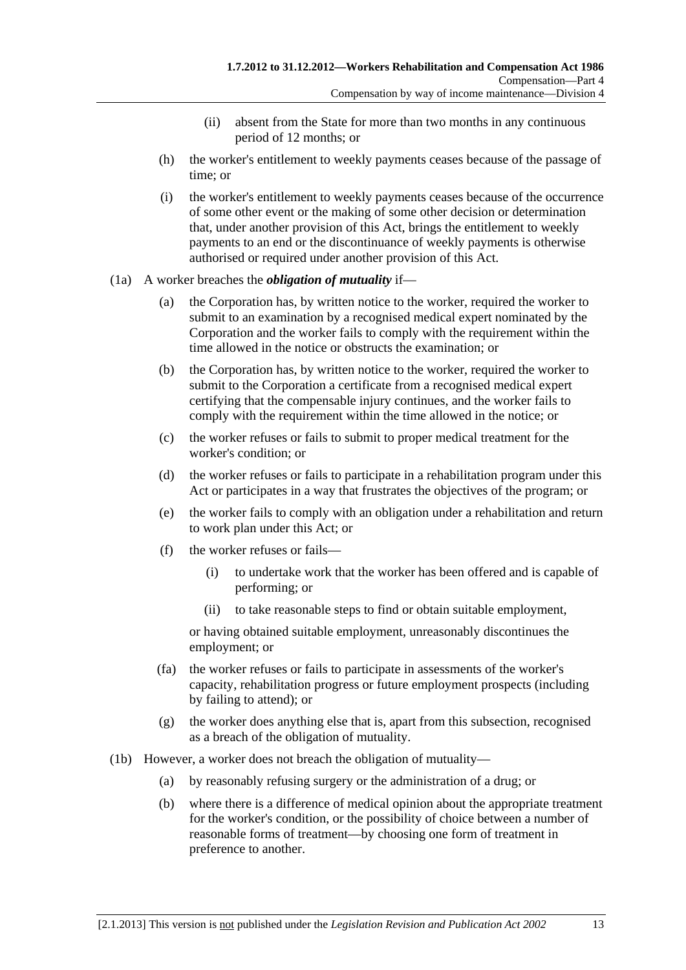- (ii) absent from the State for more than two months in any continuous period of 12 months; or
- (h) the worker's entitlement to weekly payments ceases because of the passage of time; or
- (i) the worker's entitlement to weekly payments ceases because of the occurrence of some other event or the making of some other decision or determination that, under another provision of this Act, brings the entitlement to weekly payments to an end or the discontinuance of weekly payments is otherwise authorised or required under another provision of this Act.
- (1a) A worker breaches the *obligation of mutuality* if—
	- (a) the Corporation has, by written notice to the worker, required the worker to submit to an examination by a recognised medical expert nominated by the Corporation and the worker fails to comply with the requirement within the time allowed in the notice or obstructs the examination; or
	- (b) the Corporation has, by written notice to the worker, required the worker to submit to the Corporation a certificate from a recognised medical expert certifying that the compensable injury continues, and the worker fails to comply with the requirement within the time allowed in the notice; or
	- (c) the worker refuses or fails to submit to proper medical treatment for the worker's condition; or
	- (d) the worker refuses or fails to participate in a rehabilitation program under this Act or participates in a way that frustrates the objectives of the program; or
	- (e) the worker fails to comply with an obligation under a rehabilitation and return to work plan under this Act; or
	- (f) the worker refuses or fails—
		- (i) to undertake work that the worker has been offered and is capable of performing; or
		- (ii) to take reasonable steps to find or obtain suitable employment,

or having obtained suitable employment, unreasonably discontinues the employment; or

- (fa) the worker refuses or fails to participate in assessments of the worker's capacity, rehabilitation progress or future employment prospects (including by failing to attend); or
- (g) the worker does anything else that is, apart from this subsection, recognised as a breach of the obligation of mutuality.
- (1b) However, a worker does not breach the obligation of mutuality—
	- (a) by reasonably refusing surgery or the administration of a drug; or
	- (b) where there is a difference of medical opinion about the appropriate treatment for the worker's condition, or the possibility of choice between a number of reasonable forms of treatment—by choosing one form of treatment in preference to another.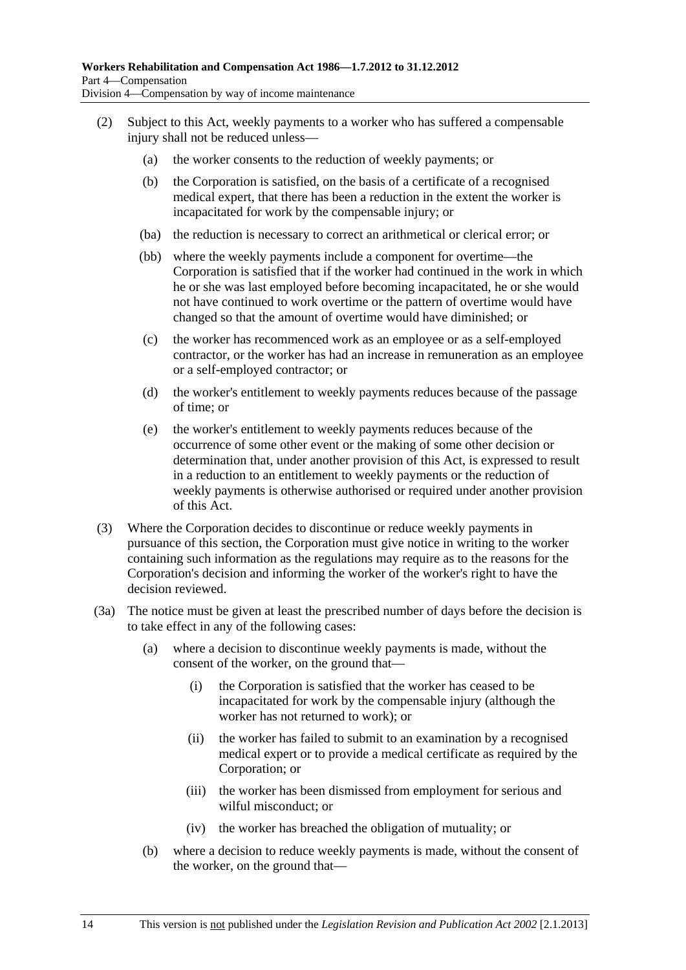- <span id="page-49-0"></span> (2) Subject to this Act, weekly payments to a worker who has suffered a compensable injury shall not be reduced unless—
	- (a) the worker consents to the reduction of weekly payments; or
	- (b) the Corporation is satisfied, on the basis of a certificate of a recognised medical expert, that there has been a reduction in the extent the worker is incapacitated for work by the compensable injury; or
	- (ba) the reduction is necessary to correct an arithmetical or clerical error; or
	- (bb) where the weekly payments include a component for overtime—the Corporation is satisfied that if the worker had continued in the work in which he or she was last employed before becoming incapacitated, he or she would not have continued to work overtime or the pattern of overtime would have changed so that the amount of overtime would have diminished; or
	- (c) the worker has recommenced work as an employee or as a self-employed contractor, or the worker has had an increase in remuneration as an employee or a self-employed contractor; or
	- (d) the worker's entitlement to weekly payments reduces because of the passage of time; or
	- (e) the worker's entitlement to weekly payments reduces because of the occurrence of some other event or the making of some other decision or determination that, under another provision of this Act, is expressed to result in a reduction to an entitlement to weekly payments or the reduction of weekly payments is otherwise authorised or required under another provision of this Act.
- (3) Where the Corporation decides to discontinue or reduce weekly payments in pursuance of this section, the Corporation must give notice in writing to the worker containing such information as the regulations may require as to the reasons for the Corporation's decision and informing the worker of the worker's right to have the decision reviewed.
- (3a) The notice must be given at least the prescribed number of days before the decision is to take effect in any of the following cases:
	- (a) where a decision to discontinue weekly payments is made, without the consent of the worker, on the ground that—
		- (i) the Corporation is satisfied that the worker has ceased to be incapacitated for work by the compensable injury (although the worker has not returned to work); or
		- (ii) the worker has failed to submit to an examination by a recognised medical expert or to provide a medical certificate as required by the Corporation; or
		- (iii) the worker has been dismissed from employment for serious and wilful misconduct; or
		- (iv) the worker has breached the obligation of mutuality; or
	- (b) where a decision to reduce weekly payments is made, without the consent of the worker, on the ground that—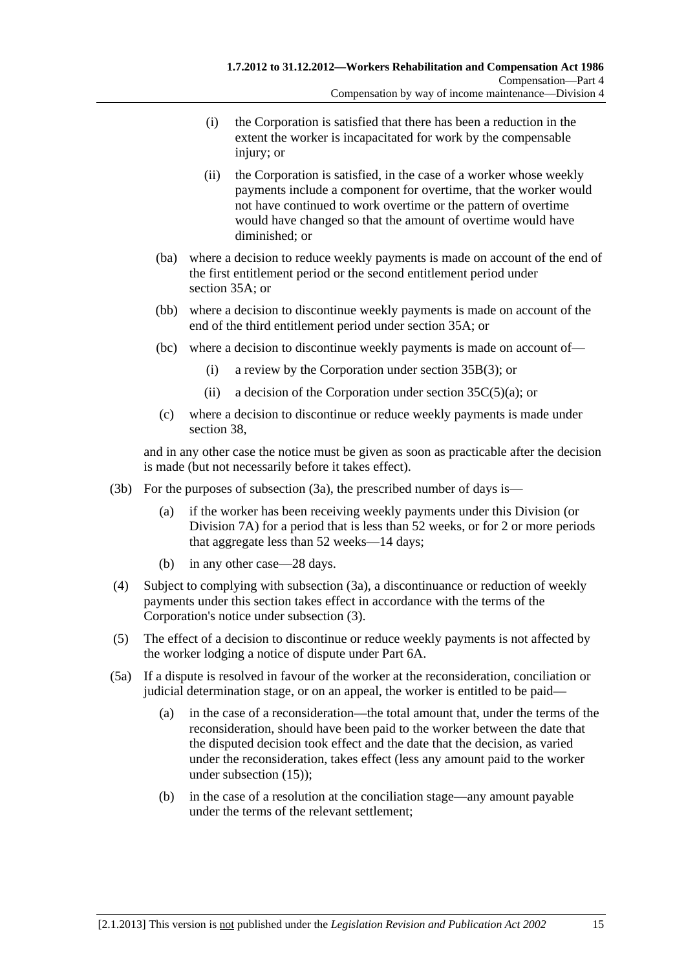- <span id="page-50-0"></span> (i) the Corporation is satisfied that there has been a reduction in the extent the worker is incapacitated for work by the compensable injury; or
- (ii) the Corporation is satisfied, in the case of a worker whose weekly payments include a component for overtime, that the worker would not have continued to work overtime or the pattern of overtime would have changed so that the amount of overtime would have diminished; or
- (ba) where a decision to reduce weekly payments is made on account of the end of the first entitlement period or the second entitlement period under [section 35A;](#page-44-0) or
- (bb) where a decision to discontinue weekly payments is made on account of the end of the third entitlement period under [section 35A](#page-44-0); or
- (bc) where a decision to discontinue weekly payments is made on account of—
	- (i) a review by the Corporation under [section 35B\(3\)](#page-46-0); or
	- (ii) a decision of the Corporation under section  $35C(5)(a)$ ; or
- (c) where a decision to discontinue or reduce weekly payments is made under [section 38](#page-54-0),

and in any other case the notice must be given as soon as practicable after the decision is made (but not necessarily before it takes effect).

- (3b) For the purposes of [subsection \(3a\),](#page-49-0) the prescribed number of days is—
	- (a) if the worker has been receiving weekly payments under this Division (or [Division 7A](#page-70-0)) for a period that is less than 52 weeks, or for 2 or more periods that aggregate less than 52 weeks—14 days;
	- (b) in any other case—28 days.
- (4) Subject to complying with [subsection \(3a\)](#page-49-0), a discontinuance or reduction of weekly payments under this section takes effect in accordance with the terms of the Corporation's notice under [subsection \(3\).](#page-49-0)
- (5) The effect of a decision to discontinue or reduce weekly payments is not affected by the worker lodging a notice of dispute under [Part 6A](#page-122-0).
- (5a) If a dispute is resolved in favour of the worker at the reconsideration, conciliation or judicial determination stage, or on an appeal, the worker is entitled to be paid—
	- (a) in the case of a reconsideration—the total amount that, under the terms of the reconsideration, should have been paid to the worker between the date that the disputed decision took effect and the date that the decision, as varied under the reconsideration, takes effect (less any amount paid to the worker under [subsection \(15\)](#page-52-0));
	- (b) in the case of a resolution at the conciliation stage—any amount payable under the terms of the relevant settlement;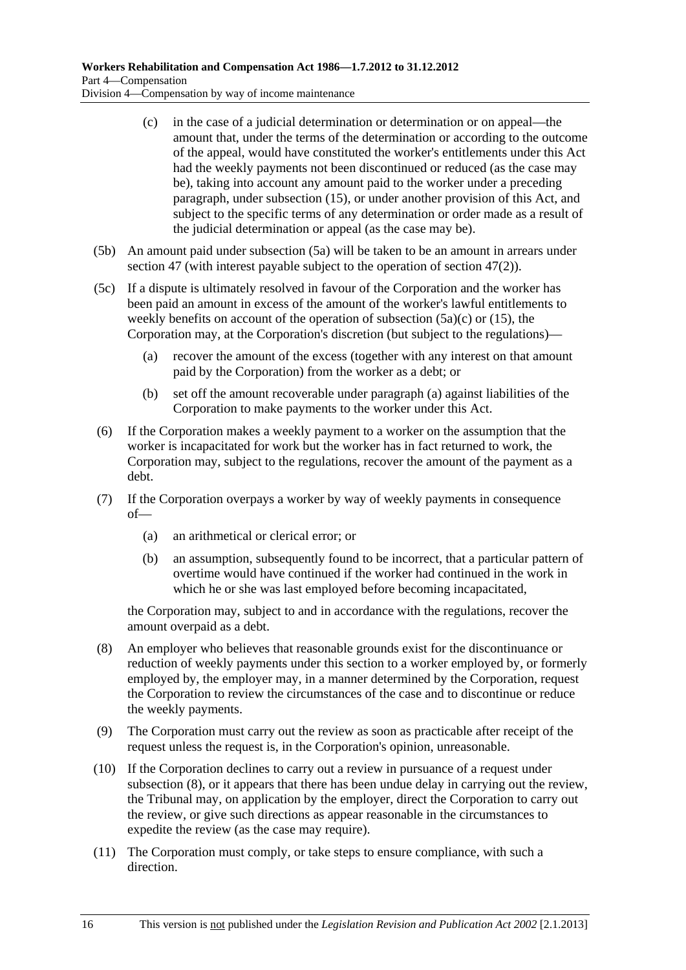- <span id="page-51-0"></span> (c) in the case of a judicial determination or determination or on appeal—the amount that, under the terms of the determination or according to the outcome of the appeal, would have constituted the worker's entitlements under this Act had the weekly payments not been discontinued or reduced (as the case may be), taking into account any amount paid to the worker under a preceding paragraph, under [subsection \(15\),](#page-52-0) or under another provision of this Act, and subject to the specific terms of any determination or order made as a result of the judicial determination or appeal (as the case may be).
- (5b) An amount paid under [subsection \(5a\)](#page-50-0) will be taken to be an amount in arrears under [section 47](#page-69-0) (with interest payable subject to the operation of [section 47\(2\)](#page-69-0)).
- (5c) If a dispute is ultimately resolved in favour of the Corporation and the worker has been paid an amount in excess of the amount of the worker's lawful entitlements to weekly benefits on account of the operation of [subsection \(5a\)\(c\)](#page-51-0) or [\(15\)](#page-52-0), the Corporation may, at the Corporation's discretion (but subject to the regulations)—
	- (a) recover the amount of the excess (together with any interest on that amount paid by the Corporation) from the worker as a debt; or
	- (b) set off the amount recoverable under [paragraph \(a\)](#page-51-0) against liabilities of the Corporation to make payments to the worker under this Act.
- (6) If the Corporation makes a weekly payment to a worker on the assumption that the worker is incapacitated for work but the worker has in fact returned to work, the Corporation may, subject to the regulations, recover the amount of the payment as a debt.
- (7) If the Corporation overpays a worker by way of weekly payments in consequence of—
	- (a) an arithmetical or clerical error; or
	- (b) an assumption, subsequently found to be incorrect, that a particular pattern of overtime would have continued if the worker had continued in the work in which he or she was last employed before becoming incapacitated,

the Corporation may, subject to and in accordance with the regulations, recover the amount overpaid as a debt.

- (8) An employer who believes that reasonable grounds exist for the discontinuance or reduction of weekly payments under this section to a worker employed by, or formerly employed by, the employer may, in a manner determined by the Corporation, request the Corporation to review the circumstances of the case and to discontinue or reduce the weekly payments.
- (9) The Corporation must carry out the review as soon as practicable after receipt of the request unless the request is, in the Corporation's opinion, unreasonable.
- (10) If the Corporation declines to carry out a review in pursuance of a request under [subsection \(8\)](#page-51-0), or it appears that there has been undue delay in carrying out the review, the Tribunal may, on application by the employer, direct the Corporation to carry out the review, or give such directions as appear reasonable in the circumstances to expedite the review (as the case may require).
- (11) The Corporation must comply, or take steps to ensure compliance, with such a direction.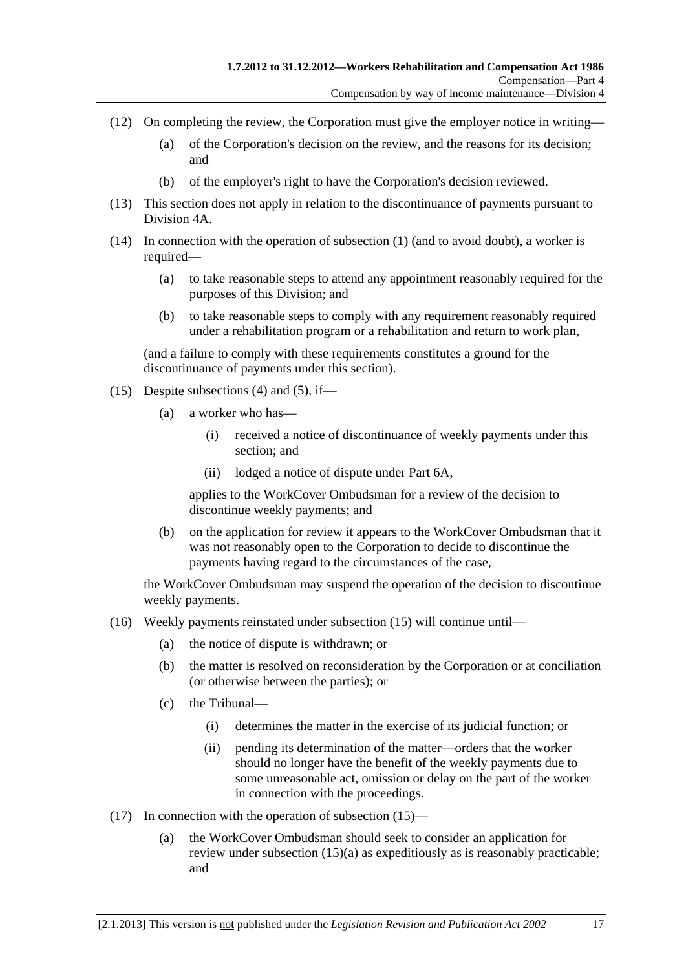- <span id="page-52-0"></span> (12) On completing the review, the Corporation must give the employer notice in writing—
	- (a) of the Corporation's decision on the review, and the reasons for its decision; and
	- (b) of the employer's right to have the Corporation's decision reviewed.
- (13) This section does not apply in relation to the discontinuance of payments pursuant to [Division 4A](#page-56-0).
- (14) In connection with the operation of [subsection \(1\)](#page-47-0) (and to avoid doubt), a worker is required—
	- (a) to take reasonable steps to attend any appointment reasonably required for the purposes of this Division; and
	- (b) to take reasonable steps to comply with any requirement reasonably required under a rehabilitation program or a rehabilitation and return to work plan,

(and a failure to comply with these requirements constitutes a ground for the discontinuance of payments under this section).

- (15) Despite [subsections \(4\)](#page-50-0) and [\(5\),](#page-50-0) if—
	- (a) a worker who has—
		- (i) received a notice of discontinuance of weekly payments under this section; and
		- (ii) lodged a notice of dispute under [Part 6A](#page-122-0),

applies to the WorkCover Ombudsman for a review of the decision to discontinue weekly payments; and

 (b) on the application for review it appears to the WorkCover Ombudsman that it was not reasonably open to the Corporation to decide to discontinue the payments having regard to the circumstances of the case,

the WorkCover Ombudsman may suspend the operation of the decision to discontinue weekly payments.

- (16) Weekly payments reinstated under [subsection \(15\)](#page-52-0) will continue until—
	- (a) the notice of dispute is withdrawn; or
	- (b) the matter is resolved on reconsideration by the Corporation or at conciliation (or otherwise between the parties); or
	- (c) the Tribunal—
		- (i) determines the matter in the exercise of its judicial function; or
		- (ii) pending its determination of the matter—orders that the worker should no longer have the benefit of the weekly payments due to some unreasonable act, omission or delay on the part of the worker in connection with the proceedings.
- (17) In connection with the operation of [subsection \(15\)](#page-52-0)
	- (a) the WorkCover Ombudsman should seek to consider an application for review under [subsection \(15\)\(a\)](#page-52-0) as expeditiously as is reasonably practicable; and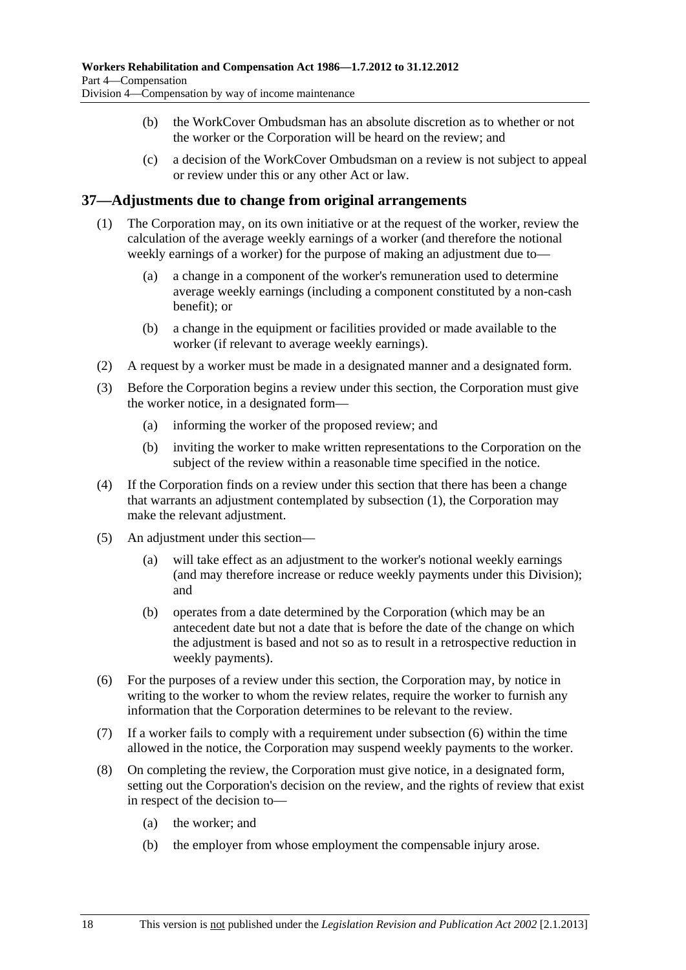- <span id="page-53-0"></span> (b) the WorkCover Ombudsman has an absolute discretion as to whether or not the worker or the Corporation will be heard on the review; and
- (c) a decision of the WorkCover Ombudsman on a review is not subject to appeal or review under this or any other Act or law.

#### **37—Adjustments due to change from original arrangements**

- (1) The Corporation may, on its own initiative or at the request of the worker, review the calculation of the average weekly earnings of a worker (and therefore the notional weekly earnings of a worker) for the purpose of making an adjustment due to—
	- (a) a change in a component of the worker's remuneration used to determine average weekly earnings (including a component constituted by a non-cash benefit); or
	- (b) a change in the equipment or facilities provided or made available to the worker (if relevant to average weekly earnings).
- (2) A request by a worker must be made in a designated manner and a designated form.
- (3) Before the Corporation begins a review under this section, the Corporation must give the worker notice, in a designated form—
	- (a) informing the worker of the proposed review; and
	- (b) inviting the worker to make written representations to the Corporation on the subject of the review within a reasonable time specified in the notice.
- (4) If the Corporation finds on a review under this section that there has been a change that warrants an adjustment contemplated by [subsection \(1\)](#page-53-0), the Corporation may make the relevant adjustment.
- (5) An adjustment under this section—
	- (a) will take effect as an adjustment to the worker's notional weekly earnings (and may therefore increase or reduce weekly payments under this Division); and
	- (b) operates from a date determined by the Corporation (which may be an antecedent date but not a date that is before the date of the change on which the adjustment is based and not so as to result in a retrospective reduction in weekly payments).
- (6) For the purposes of a review under this section, the Corporation may, by notice in writing to the worker to whom the review relates, require the worker to furnish any information that the Corporation determines to be relevant to the review.
- (7) If a worker fails to comply with a requirement under [subsection \(6\)](#page-53-0) within the time allowed in the notice, the Corporation may suspend weekly payments to the worker.
- (8) On completing the review, the Corporation must give notice, in a designated form, setting out the Corporation's decision on the review, and the rights of review that exist in respect of the decision to—
	- (a) the worker; and
	- (b) the employer from whose employment the compensable injury arose.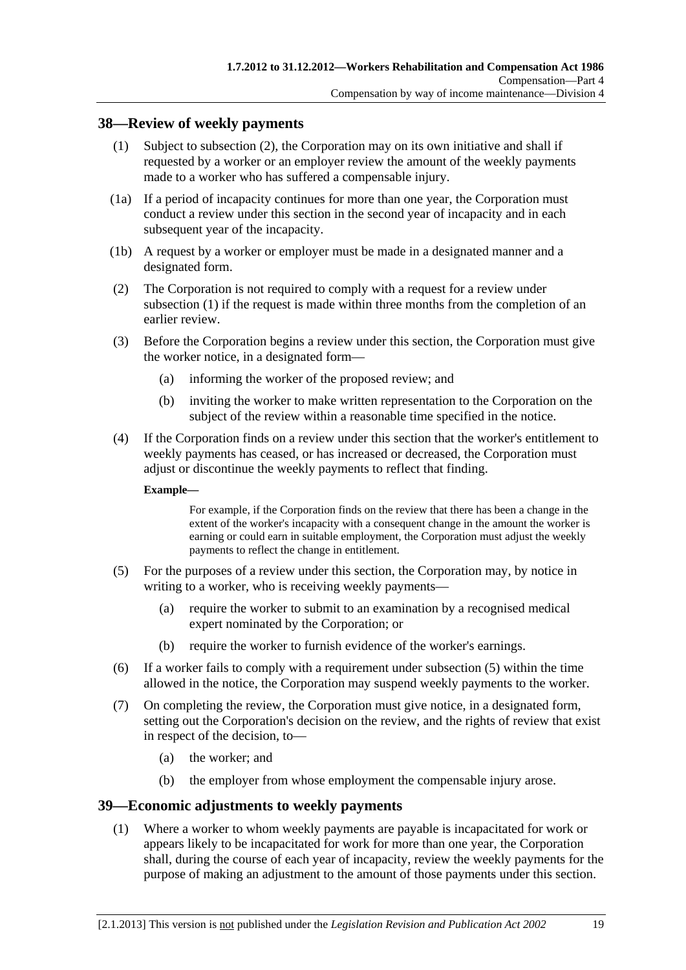#### <span id="page-54-0"></span>**38—Review of weekly payments**

- (1) Subject to [subsection \(2\),](#page-54-0) the Corporation may on its own initiative and shall if requested by a worker or an employer review the amount of the weekly payments made to a worker who has suffered a compensable injury.
- (1a) If a period of incapacity continues for more than one year, the Corporation must conduct a review under this section in the second year of incapacity and in each subsequent year of the incapacity.
- (1b) A request by a worker or employer must be made in a designated manner and a designated form.
- (2) The Corporation is not required to comply with a request for a review under [subsection \(1\)](#page-54-0) if the request is made within three months from the completion of an earlier review.
- (3) Before the Corporation begins a review under this section, the Corporation must give the worker notice, in a designated form—
	- (a) informing the worker of the proposed review; and
	- (b) inviting the worker to make written representation to the Corporation on the subject of the review within a reasonable time specified in the notice.
- (4) If the Corporation finds on a review under this section that the worker's entitlement to weekly payments has ceased, or has increased or decreased, the Corporation must adjust or discontinue the weekly payments to reflect that finding.

#### **Example—**

For example, if the Corporation finds on the review that there has been a change in the extent of the worker's incapacity with a consequent change in the amount the worker is earning or could earn in suitable employment, the Corporation must adjust the weekly payments to reflect the change in entitlement.

- (5) For the purposes of a review under this section, the Corporation may, by notice in writing to a worker, who is receiving weekly payments—
	- (a) require the worker to submit to an examination by a recognised medical expert nominated by the Corporation; or
	- (b) require the worker to furnish evidence of the worker's earnings.
- (6) If a worker fails to comply with a requirement under [subsection \(5\)](#page-54-0) within the time allowed in the notice, the Corporation may suspend weekly payments to the worker.
- (7) On completing the review, the Corporation must give notice, in a designated form, setting out the Corporation's decision on the review, and the rights of review that exist in respect of the decision, to—
	- (a) the worker; and
	- (b) the employer from whose employment the compensable injury arose.

#### **39—Economic adjustments to weekly payments**

 (1) Where a worker to whom weekly payments are payable is incapacitated for work or appears likely to be incapacitated for work for more than one year, the Corporation shall, during the course of each year of incapacity, review the weekly payments for the purpose of making an adjustment to the amount of those payments under this section.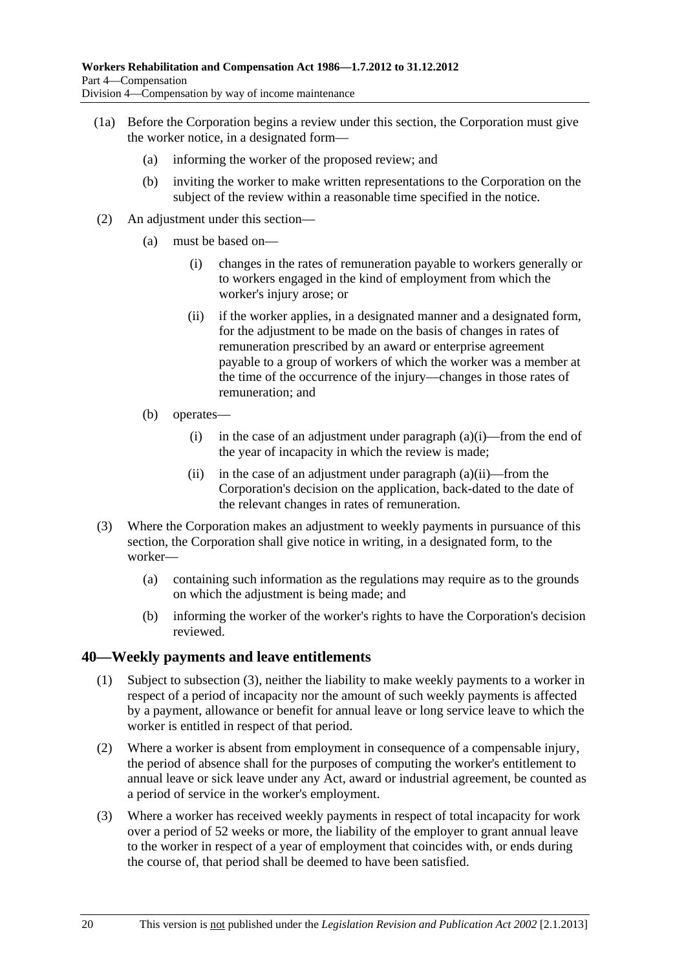- <span id="page-55-0"></span> (1a) Before the Corporation begins a review under this section, the Corporation must give the worker notice, in a designated form—
	- (a) informing the worker of the proposed review; and
	- (b) inviting the worker to make written representations to the Corporation on the subject of the review within a reasonable time specified in the notice.
- (2) An adjustment under this section—
	- (a) must be based on—
		- (i) changes in the rates of remuneration payable to workers generally or to workers engaged in the kind of employment from which the worker's injury arose; or
		- (ii) if the worker applies, in a designated manner and a designated form, for the adjustment to be made on the basis of changes in rates of remuneration prescribed by an award or enterprise agreement payable to a group of workers of which the worker was a member at the time of the occurrence of the injury—changes in those rates of remuneration; and
	- (b) operates—
		- (i) in the case of an adjustment under paragraph  $(a)(i)$ —from the end of the year of incapacity in which the review is made;
		- (ii) in the case of an adjustment under paragraph  $(a)(ii)$ —from the Corporation's decision on the application, back-dated to the date of the relevant changes in rates of remuneration.
- (3) Where the Corporation makes an adjustment to weekly payments in pursuance of this section, the Corporation shall give notice in writing, in a designated form, to the worker—
	- (a) containing such information as the regulations may require as to the grounds on which the adjustment is being made; and
	- (b) informing the worker of the worker's rights to have the Corporation's decision reviewed.

#### **40—Weekly payments and leave entitlements**

- (1) Subject to [subsection \(3\),](#page-55-0) neither the liability to make weekly payments to a worker in respect of a period of incapacity nor the amount of such weekly payments is affected by a payment, allowance or benefit for annual leave or long service leave to which the worker is entitled in respect of that period.
- (2) Where a worker is absent from employment in consequence of a compensable injury, the period of absence shall for the purposes of computing the worker's entitlement to annual leave or sick leave under any Act, award or industrial agreement, be counted as a period of service in the worker's employment.
- (3) Where a worker has received weekly payments in respect of total incapacity for work over a period of 52 weeks or more, the liability of the employer to grant annual leave to the worker in respect of a year of employment that coincides with, or ends during the course of, that period shall be deemed to have been satisfied.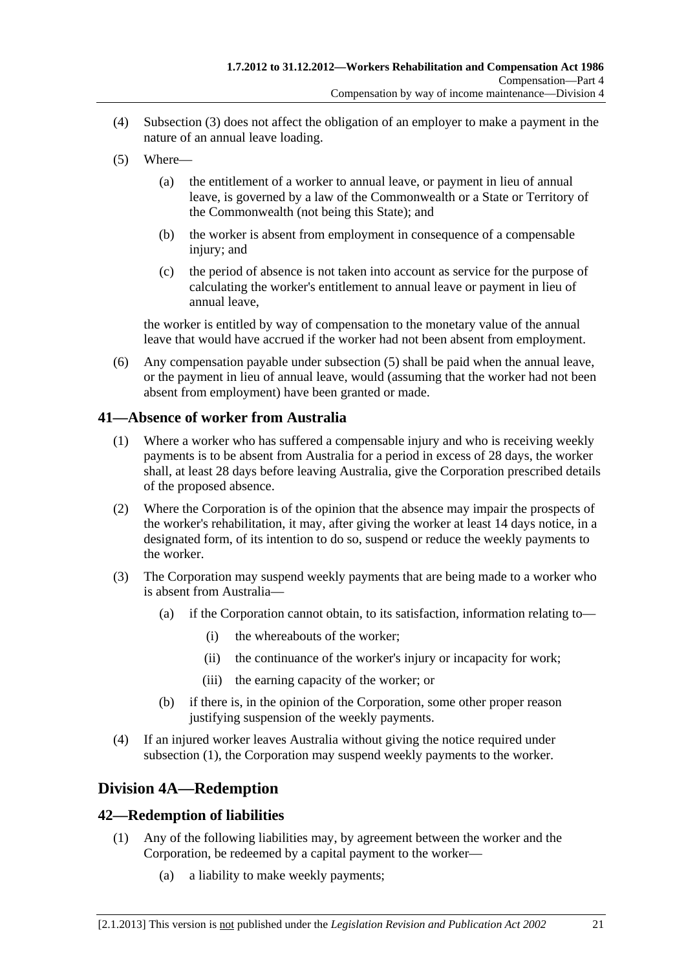- <span id="page-56-0"></span> (4) [Subsection \(3\)](#page-55-0) does not affect the obligation of an employer to make a payment in the nature of an annual leave loading.
- (5) Where—
	- (a) the entitlement of a worker to annual leave, or payment in lieu of annual leave, is governed by a law of the Commonwealth or a State or Territory of the Commonwealth (not being this State); and
	- (b) the worker is absent from employment in consequence of a compensable injury; and
	- (c) the period of absence is not taken into account as service for the purpose of calculating the worker's entitlement to annual leave or payment in lieu of annual leave,

the worker is entitled by way of compensation to the monetary value of the annual leave that would have accrued if the worker had not been absent from employment.

 (6) Any compensation payable under [subsection \(5\)](#page-56-0) shall be paid when the annual leave, or the payment in lieu of annual leave, would (assuming that the worker had not been absent from employment) have been granted or made.

### **41—Absence of worker from Australia**

- (1) Where a worker who has suffered a compensable injury and who is receiving weekly payments is to be absent from Australia for a period in excess of 28 days, the worker shall, at least 28 days before leaving Australia, give the Corporation prescribed details of the proposed absence.
- (2) Where the Corporation is of the opinion that the absence may impair the prospects of the worker's rehabilitation, it may, after giving the worker at least 14 days notice, in a designated form, of its intention to do so, suspend or reduce the weekly payments to the worker.
- (3) The Corporation may suspend weekly payments that are being made to a worker who is absent from Australia—
	- (a) if the Corporation cannot obtain, to its satisfaction, information relating to—
		- (i) the whereabouts of the worker;
		- (ii) the continuance of the worker's injury or incapacity for work;
		- (iii) the earning capacity of the worker; or
	- (b) if there is, in the opinion of the Corporation, some other proper reason justifying suspension of the weekly payments.
- (4) If an injured worker leaves Australia without giving the notice required under [subsection \(1\),](#page-56-0) the Corporation may suspend weekly payments to the worker.

## **Division 4A—Redemption**

#### **42—Redemption of liabilities**

- (1) Any of the following liabilities may, by agreement between the worker and the Corporation, be redeemed by a capital payment to the worker—
	- (a) a liability to make weekly payments;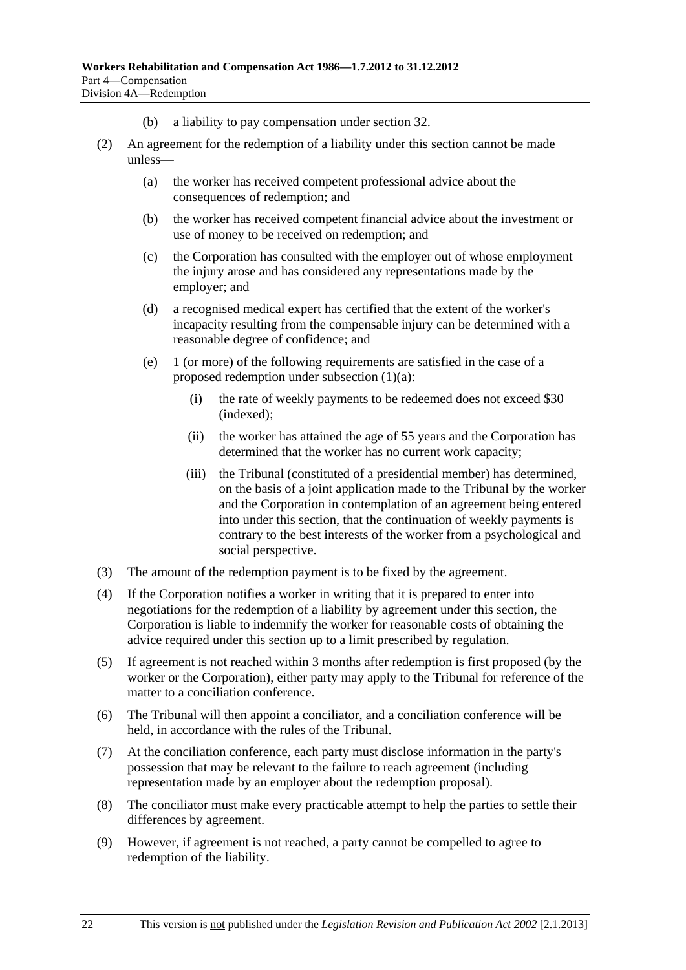- (b) a liability to pay compensation under [section 32.](#page-38-0)
- (2) An agreement for the redemption of a liability under this section cannot be made unless—
	- (a) the worker has received competent professional advice about the consequences of redemption; and
	- (b) the worker has received competent financial advice about the investment or use of money to be received on redemption; and
	- (c) the Corporation has consulted with the employer out of whose employment the injury arose and has considered any representations made by the employer; and
	- (d) a recognised medical expert has certified that the extent of the worker's incapacity resulting from the compensable injury can be determined with a reasonable degree of confidence; and
	- (e) 1 (or more) of the following requirements are satisfied in the case of a proposed redemption under [subsection \(1\)\(a\)](#page-56-0):
		- (i) the rate of weekly payments to be redeemed does not exceed \$30 (indexed);
		- (ii) the worker has attained the age of 55 years and the Corporation has determined that the worker has no current work capacity;
		- (iii) the Tribunal (constituted of a presidential member) has determined, on the basis of a joint application made to the Tribunal by the worker and the Corporation in contemplation of an agreement being entered into under this section, that the continuation of weekly payments is contrary to the best interests of the worker from a psychological and social perspective.
- (3) The amount of the redemption payment is to be fixed by the agreement.
- (4) If the Corporation notifies a worker in writing that it is prepared to enter into negotiations for the redemption of a liability by agreement under this section, the Corporation is liable to indemnify the worker for reasonable costs of obtaining the advice required under this section up to a limit prescribed by regulation.
- (5) If agreement is not reached within 3 months after redemption is first proposed (by the worker or the Corporation), either party may apply to the Tribunal for reference of the matter to a conciliation conference.
- (6) The Tribunal will then appoint a conciliator, and a conciliation conference will be held, in accordance with the rules of the Tribunal.
- (7) At the conciliation conference, each party must disclose information in the party's possession that may be relevant to the failure to reach agreement (including representation made by an employer about the redemption proposal).
- (8) The conciliator must make every practicable attempt to help the parties to settle their differences by agreement.
- (9) However, if agreement is not reached, a party cannot be compelled to agree to redemption of the liability.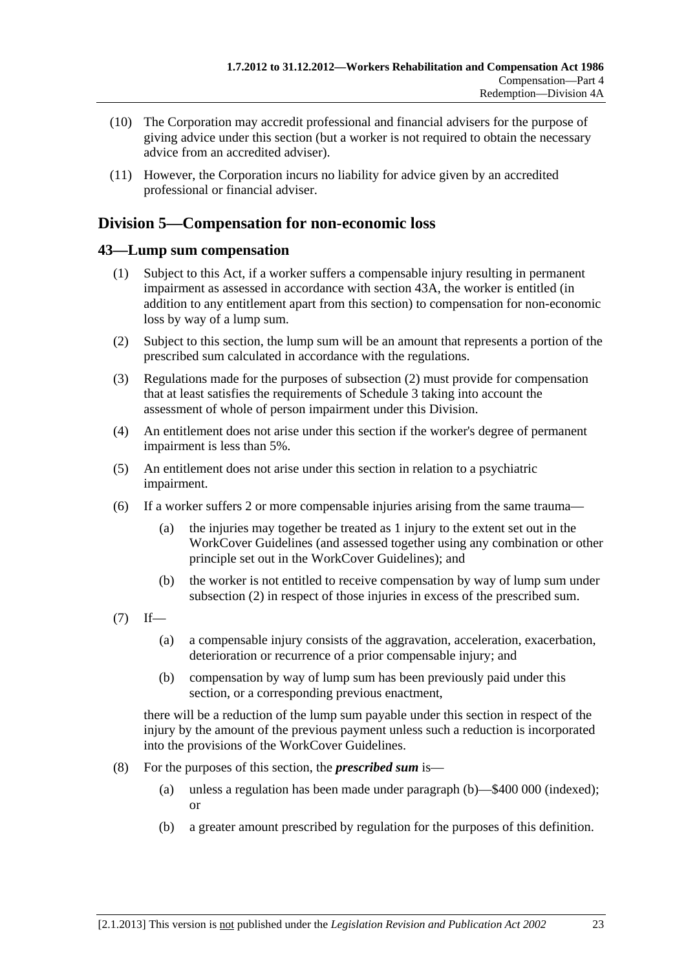- <span id="page-58-0"></span> (10) The Corporation may accredit professional and financial advisers for the purpose of giving advice under this section (but a worker is not required to obtain the necessary advice from an accredited adviser).
- (11) However, the Corporation incurs no liability for advice given by an accredited professional or financial adviser.

## **Division 5—Compensation for non-economic loss**

### **43—Lump sum compensation**

- (1) Subject to this Act, if a worker suffers a compensable injury resulting in permanent impairment as assessed in accordance with [section 43A](#page-59-0), the worker is entitled (in addition to any entitlement apart from this section) to compensation for non-economic loss by way of a lump sum.
- (2) Subject to this section, the lump sum will be an amount that represents a portion of the prescribed sum calculated in accordance with the regulations.
- (3) Regulations made for the purposes of [subsection \(2\)](#page-58-0) must provide for compensation that at least satisfies the requirements of [Schedule 3](#page-165-0) taking into account the assessment of whole of person impairment under this Division.
- (4) An entitlement does not arise under this section if the worker's degree of permanent impairment is less than 5%.
- (5) An entitlement does not arise under this section in relation to a psychiatric impairment.
- (6) If a worker suffers 2 or more compensable injuries arising from the same trauma—
	- (a) the injuries may together be treated as 1 injury to the extent set out in the WorkCover Guidelines (and assessed together using any combination or other principle set out in the WorkCover Guidelines); and
	- (b) the worker is not entitled to receive compensation by way of lump sum under [subsection \(2\)](#page-58-0) in respect of those injuries in excess of the prescribed sum.
- $(7)$  If—
	- (a) a compensable injury consists of the aggravation, acceleration, exacerbation, deterioration or recurrence of a prior compensable injury; and
	- (b) compensation by way of lump sum has been previously paid under this section, or a corresponding previous enactment,

there will be a reduction of the lump sum payable under this section in respect of the injury by the amount of the previous payment unless such a reduction is incorporated into the provisions of the WorkCover Guidelines.

- (8) For the purposes of this section, the *prescribed sum* is—
	- (a) unless a regulation has been made under [paragraph \(b\)](#page-58-0)—\$400 000 (indexed); or
	- (b) a greater amount prescribed by regulation for the purposes of this definition.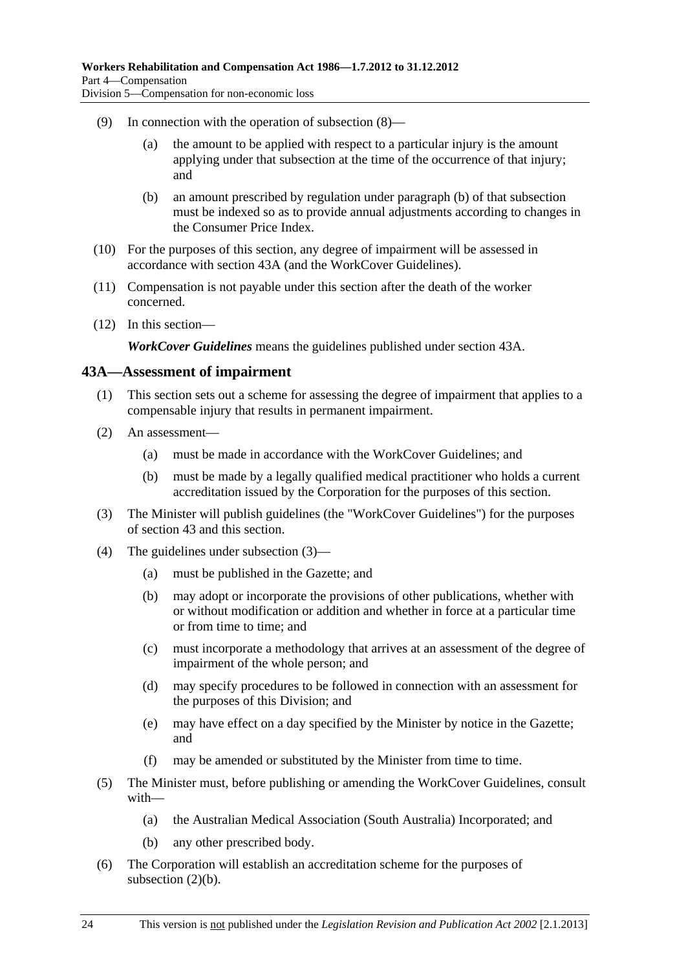- <span id="page-59-0"></span> (9) In connection with the operation of [subsection \(8\)](#page-58-0)—
	- (a) the amount to be applied with respect to a particular injury is the amount applying under that subsection at the time of the occurrence of that injury; and
	- (b) an amount prescribed by regulation under [paragraph \(b\)](#page-58-0) of that subsection must be indexed so as to provide annual adjustments according to changes in the Consumer Price Index.
- (10) For the purposes of this section, any degree of impairment will be assessed in accordance with [section 43A](#page-59-0) (and the WorkCover Guidelines).
- (11) Compensation is not payable under this section after the death of the worker concerned.
- (12) In this section—

*WorkCover Guidelines* means the guidelines published under [section 43A](#page-59-0).

#### **43A—Assessment of impairment**

- (1) This section sets out a scheme for assessing the degree of impairment that applies to a compensable injury that results in permanent impairment.
- (2) An assessment—
	- (a) must be made in accordance with the WorkCover Guidelines; and
	- (b) must be made by a legally qualified medical practitioner who holds a current accreditation issued by the Corporation for the purposes of this section.
- (3) The Minister will publish guidelines (the "WorkCover Guidelines") for the purposes of [section 43](#page-58-0) and this section.
- (4) The guidelines under [subsection \(3\)](#page-59-0)
	- (a) must be published in the Gazette; and
	- (b) may adopt or incorporate the provisions of other publications, whether with or without modification or addition and whether in force at a particular time or from time to time; and
	- (c) must incorporate a methodology that arrives at an assessment of the degree of impairment of the whole person; and
	- (d) may specify procedures to be followed in connection with an assessment for the purposes of this Division; and
	- (e) may have effect on a day specified by the Minister by notice in the Gazette; and
	- (f) may be amended or substituted by the Minister from time to time.
- (5) The Minister must, before publishing or amending the WorkCover Guidelines, consult with—
	- (a) the Australian Medical Association (South Australia) Incorporated; and
	- (b) any other prescribed body.
- (6) The Corporation will establish an accreditation scheme for the purposes of [subsection \(2\)\(b\).](#page-59-0)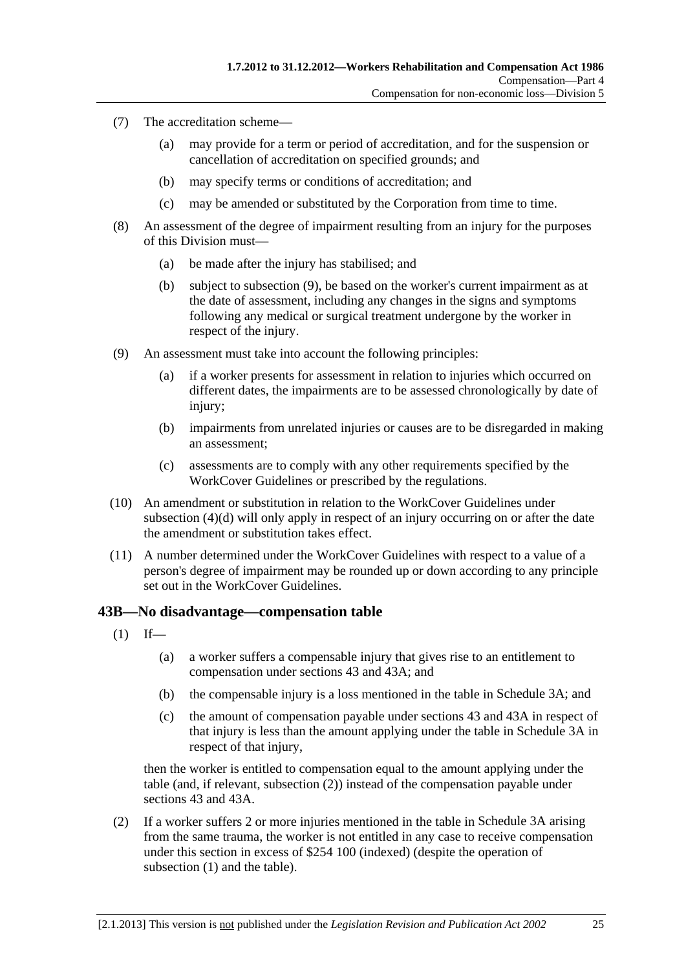- <span id="page-60-0"></span> (7) The accreditation scheme—
	- (a) may provide for a term or period of accreditation, and for the suspension or cancellation of accreditation on specified grounds; and
	- (b) may specify terms or conditions of accreditation; and
	- (c) may be amended or substituted by the Corporation from time to time.
- (8) An assessment of the degree of impairment resulting from an injury for the purposes of this Division must—
	- (a) be made after the injury has stabilised; and
	- (b) subject to [subsection \(9\),](#page-60-0) be based on the worker's current impairment as at the date of assessment, including any changes in the signs and symptoms following any medical or surgical treatment undergone by the worker in respect of the injury.
- (9) An assessment must take into account the following principles:
	- (a) if a worker presents for assessment in relation to injuries which occurred on different dates, the impairments are to be assessed chronologically by date of injury;
	- (b) impairments from unrelated injuries or causes are to be disregarded in making an assessment;
	- (c) assessments are to comply with any other requirements specified by the WorkCover Guidelines or prescribed by the regulations.
- (10) An amendment or substitution in relation to the WorkCover Guidelines under [subsection \(4\)\(d\)](#page-59-0) will only apply in respect of an injury occurring on or after the date the amendment or substitution takes effect.
- (11) A number determined under the WorkCover Guidelines with respect to a value of a person's degree of impairment may be rounded up or down according to any principle set out in the WorkCover Guidelines.

#### **43B—No disadvantage—compensation table**

- $(1)$  If—
	- (a) a worker suffers a compensable injury that gives rise to an entitlement to compensation under [sections 43](#page-58-0) and [43A;](#page-59-0) and
	- (b) the compensable injury is a loss mentioned in the table in [Schedule 3A](#page-165-0); and
	- (c) the amount of compensation payable under [sections 43](#page-58-0) and [43A](#page-59-0) in respect of that injury is less than the amount applying under the table in [Schedule 3A](#page-165-0) in respect of that injury,

then the worker is entitled to compensation equal to the amount applying under the table (and, if relevant, [subsection \(2\)\)](#page-60-0) instead of the compensation payable under [sections 43](#page-58-0) and [43A](#page-59-0).

 (2) If a worker suffers 2 or more injuries mentioned in the table in [Schedule 3A](#page-165-0) arising from the same trauma, the worker is not entitled in any case to receive compensation under this section in excess of \$254 100 (indexed) (despite the operation of subsection  $(1)$  and the table).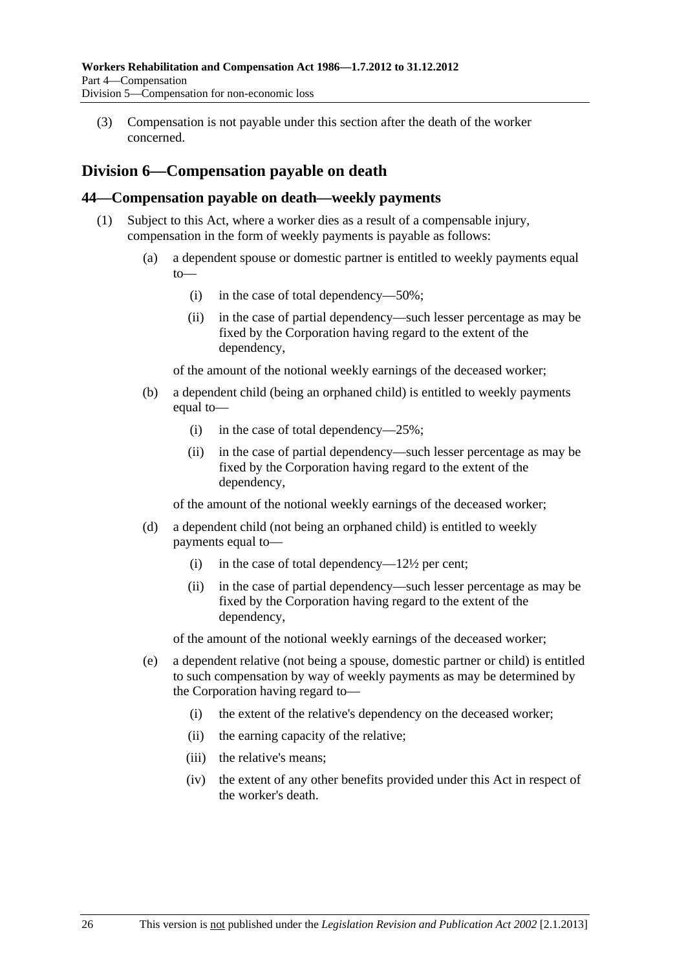<span id="page-61-0"></span> (3) Compensation is not payable under this section after the death of the worker concerned.

## **Division 6—Compensation payable on death**

#### **44—Compensation payable on death—weekly payments**

- (1) Subject to this Act, where a worker dies as a result of a compensable injury, compensation in the form of weekly payments is payable as follows:
	- (a) a dependent spouse or domestic partner is entitled to weekly payments equal  $to$ 
		- (i) in the case of total dependency—50%;
		- (ii) in the case of partial dependency—such lesser percentage as may be fixed by the Corporation having regard to the extent of the dependency,

of the amount of the notional weekly earnings of the deceased worker;

- (b) a dependent child (being an orphaned child) is entitled to weekly payments equal to—
	- (i) in the case of total dependency—25%;
	- (ii) in the case of partial dependency—such lesser percentage as may be fixed by the Corporation having regard to the extent of the dependency,

of the amount of the notional weekly earnings of the deceased worker;

- (d) a dependent child (not being an orphaned child) is entitled to weekly payments equal to—
	- (i) in the case of total dependency— $12\frac{1}{2}$  per cent;
	- (ii) in the case of partial dependency—such lesser percentage as may be fixed by the Corporation having regard to the extent of the dependency,

of the amount of the notional weekly earnings of the deceased worker;

- (e) a dependent relative (not being a spouse, domestic partner or child) is entitled to such compensation by way of weekly payments as may be determined by the Corporation having regard to—
	- (i) the extent of the relative's dependency on the deceased worker;
	- (ii) the earning capacity of the relative;
	- (iii) the relative's means;
	- (iv) the extent of any other benefits provided under this Act in respect of the worker's death.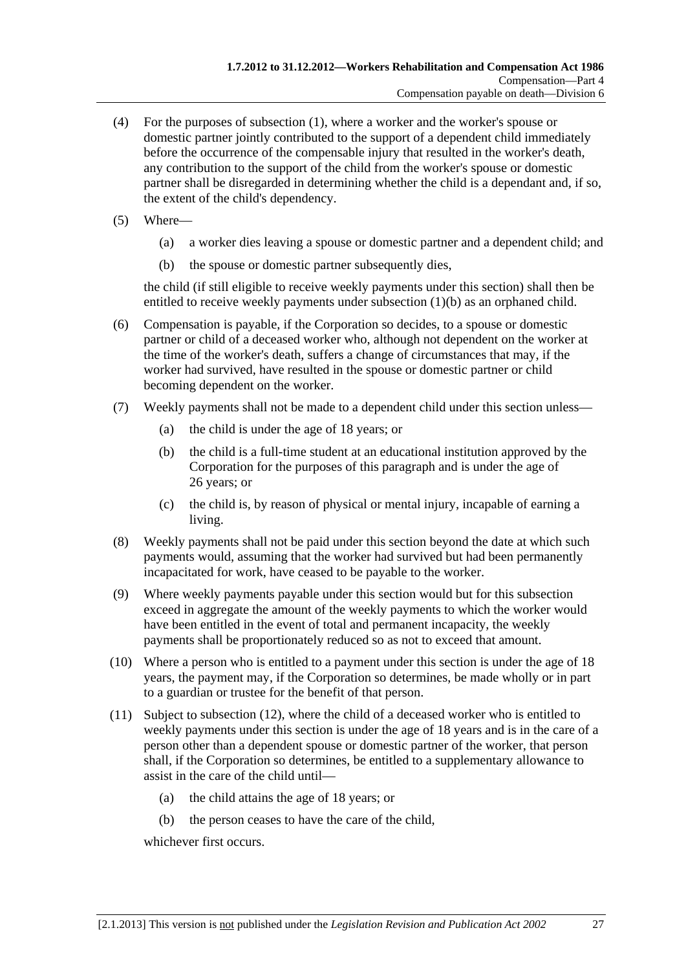- <span id="page-62-0"></span> (4) For the purposes of [subsection \(1\),](#page-61-0) where a worker and the worker's spouse or domestic partner jointly contributed to the support of a dependent child immediately before the occurrence of the compensable injury that resulted in the worker's death, any contribution to the support of the child from the worker's spouse or domestic partner shall be disregarded in determining whether the child is a dependant and, if so, the extent of the child's dependency.
- (5) Where—
	- (a) a worker dies leaving a spouse or domestic partner and a dependent child; and
	- (b) the spouse or domestic partner subsequently dies,

the child (if still eligible to receive weekly payments under this section) shall then be entitled to receive weekly payments under subsection  $(1)(b)$  as an orphaned child.

- (6) Compensation is payable, if the Corporation so decides, to a spouse or domestic partner or child of a deceased worker who, although not dependent on the worker at the time of the worker's death, suffers a change of circumstances that may, if the worker had survived, have resulted in the spouse or domestic partner or child becoming dependent on the worker.
- (7) Weekly payments shall not be made to a dependent child under this section unless—
	- (a) the child is under the age of 18 years; or
	- (b) the child is a full-time student at an educational institution approved by the Corporation for the purposes of this paragraph and is under the age of 26 years; or
	- (c) the child is, by reason of physical or mental injury, incapable of earning a living.
- (8) Weekly payments shall not be paid under this section beyond the date at which such payments would, assuming that the worker had survived but had been permanently incapacitated for work, have ceased to be payable to the worker.
- (9) Where weekly payments payable under this section would but for this subsection exceed in aggregate the amount of the weekly payments to which the worker would have been entitled in the event of total and permanent incapacity, the weekly payments shall be proportionately reduced so as not to exceed that amount.
- (10) Where a person who is entitled to a payment under this section is under the age of 18 years, the payment may, if the Corporation so determines, be made wholly or in part to a guardian or trustee for the benefit of that person.
- (11) Subject to [subsection \(12\),](#page-63-0) where the child of a deceased worker who is entitled to weekly payments under this section is under the age of 18 years and is in the care of a person other than a dependent spouse or domestic partner of the worker, that person shall, if the Corporation so determines, be entitled to a supplementary allowance to assist in the care of the child until—
	- (a) the child attains the age of 18 years; or
	- (b) the person ceases to have the care of the child,

whichever first occurs.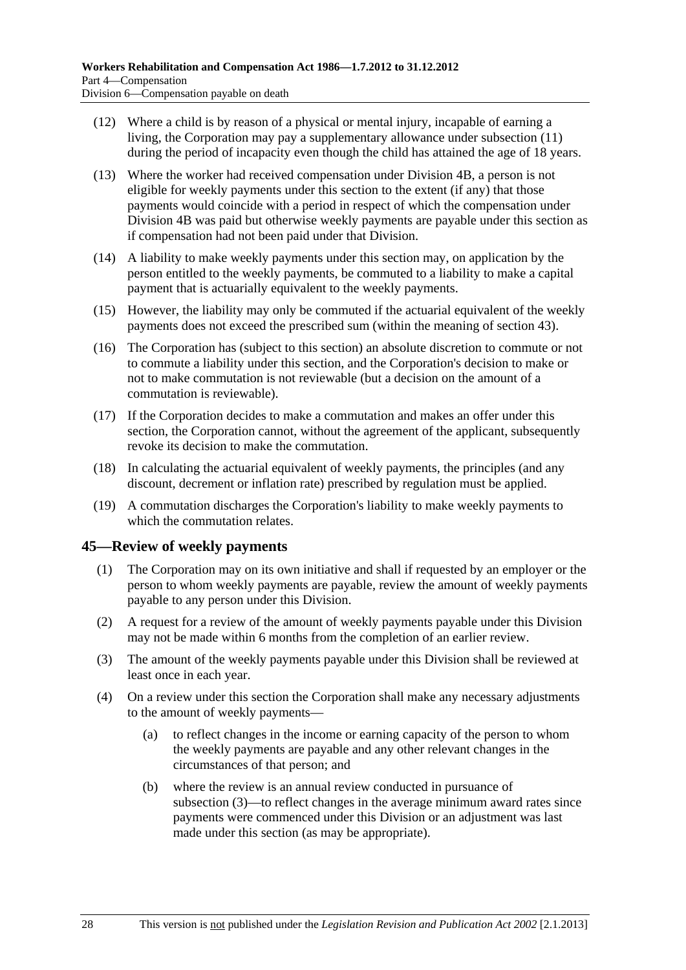- <span id="page-63-0"></span> (12) Where a child is by reason of a physical or mental injury, incapable of earning a living, the Corporation may pay a supplementary allowance under [subsection \(11\)](#page-62-0) during the period of incapacity even though the child has attained the age of 18 years.
- (13) Where the worker had received compensation under Division 4B, a person is not eligible for weekly payments under this section to the extent (if any) that those payments would coincide with a period in respect of which the compensation under Division 4B was paid but otherwise weekly payments are payable under this section as if compensation had not been paid under that Division.
- (14) A liability to make weekly payments under this section may, on application by the person entitled to the weekly payments, be commuted to a liability to make a capital payment that is actuarially equivalent to the weekly payments.
- (15) However, the liability may only be commuted if the actuarial equivalent of the weekly payments does not exceed the prescribed sum (within the meaning of [section 43\)](#page-58-0).
- (16) The Corporation has (subject to this section) an absolute discretion to commute or not to commute a liability under this section, and the Corporation's decision to make or not to make commutation is not reviewable (but a decision on the amount of a commutation is reviewable).
- (17) If the Corporation decides to make a commutation and makes an offer under this section, the Corporation cannot, without the agreement of the applicant, subsequently revoke its decision to make the commutation.
- (18) In calculating the actuarial equivalent of weekly payments, the principles (and any discount, decrement or inflation rate) prescribed by regulation must be applied.
- (19) A commutation discharges the Corporation's liability to make weekly payments to which the commutation relates.

#### **45—Review of weekly payments**

- (1) The Corporation may on its own initiative and shall if requested by an employer or the person to whom weekly payments are payable, review the amount of weekly payments payable to any person under this Division.
- (2) A request for a review of the amount of weekly payments payable under this Division may not be made within 6 months from the completion of an earlier review.
- (3) The amount of the weekly payments payable under this Division shall be reviewed at least once in each year.
- (4) On a review under this section the Corporation shall make any necessary adjustments to the amount of weekly payments—
	- (a) to reflect changes in the income or earning capacity of the person to whom the weekly payments are payable and any other relevant changes in the circumstances of that person; and
	- (b) where the review is an annual review conducted in pursuance of [subsection \(3\)](#page-63-0)—to reflect changes in the average minimum award rates since payments were commenced under this Division or an adjustment was last made under this section (as may be appropriate).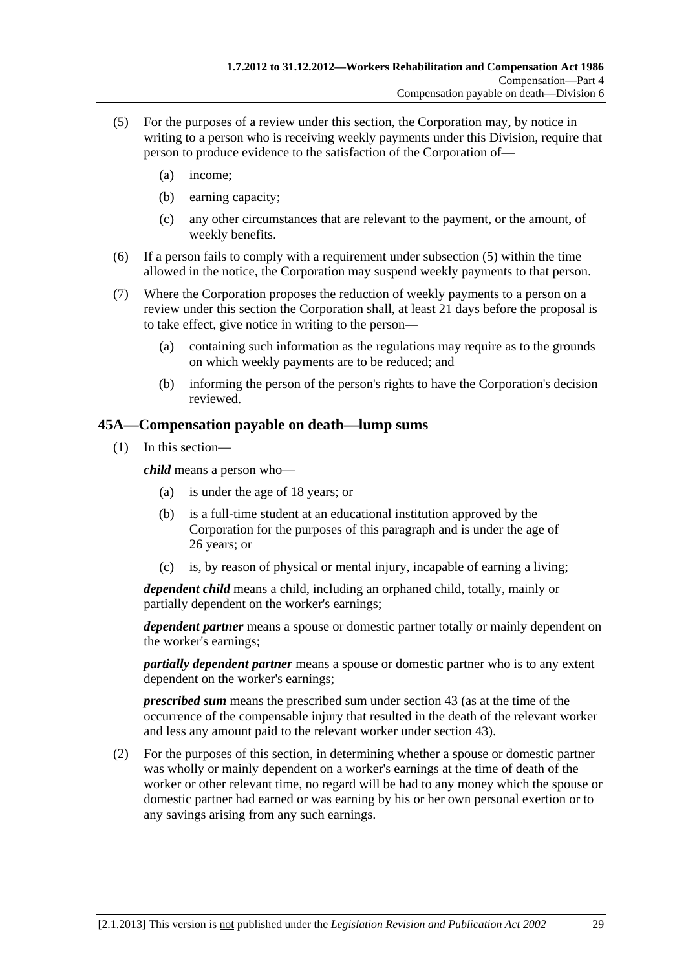- <span id="page-64-0"></span> (5) For the purposes of a review under this section, the Corporation may, by notice in writing to a person who is receiving weekly payments under this Division, require that person to produce evidence to the satisfaction of the Corporation of—
	- (a) income;
	- (b) earning capacity;
	- (c) any other circumstances that are relevant to the payment, or the amount, of weekly benefits.
- (6) If a person fails to comply with a requirement under [subsection \(5\)](#page-64-0) within the time allowed in the notice, the Corporation may suspend weekly payments to that person.
- (7) Where the Corporation proposes the reduction of weekly payments to a person on a review under this section the Corporation shall, at least 21 days before the proposal is to take effect, give notice in writing to the person—
	- (a) containing such information as the regulations may require as to the grounds on which weekly payments are to be reduced; and
	- (b) informing the person of the person's rights to have the Corporation's decision reviewed.

#### **45A—Compensation payable on death—lump sums**

(1) In this section—

*child* means a person who—

- (a) is under the age of 18 years; or
- (b) is a full-time student at an educational institution approved by the Corporation for the purposes of this paragraph and is under the age of 26 years; or
- (c) is, by reason of physical or mental injury, incapable of earning a living;

*dependent child* means a child, including an orphaned child, totally, mainly or partially dependent on the worker's earnings;

*dependent partner* means a spouse or domestic partner totally or mainly dependent on the worker's earnings;

*partially dependent partner* means a spouse or domestic partner who is to any extent dependent on the worker's earnings;

*prescribed sum* means the prescribed sum under [section 43](#page-58-0) (as at the time of the occurrence of the compensable injury that resulted in the death of the relevant worker and less any amount paid to the relevant worker under [section 43](#page-58-0)).

 (2) For the purposes of this section, in determining whether a spouse or domestic partner was wholly or mainly dependent on a worker's earnings at the time of death of the worker or other relevant time, no regard will be had to any money which the spouse or domestic partner had earned or was earning by his or her own personal exertion or to any savings arising from any such earnings.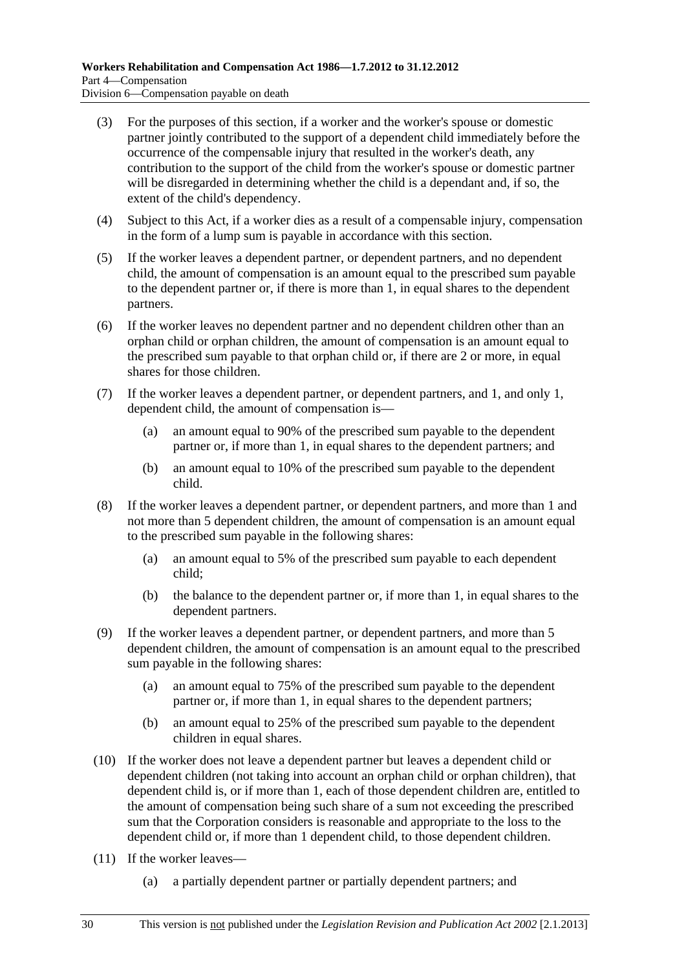- (3) For the purposes of this section, if a worker and the worker's spouse or domestic partner jointly contributed to the support of a dependent child immediately before the occurrence of the compensable injury that resulted in the worker's death, any contribution to the support of the child from the worker's spouse or domestic partner will be disregarded in determining whether the child is a dependant and, if so, the extent of the child's dependency.
- (4) Subject to this Act, if a worker dies as a result of a compensable injury, compensation in the form of a lump sum is payable in accordance with this section.
- (5) If the worker leaves a dependent partner, or dependent partners, and no dependent child, the amount of compensation is an amount equal to the prescribed sum payable to the dependent partner or, if there is more than 1, in equal shares to the dependent partners.
- (6) If the worker leaves no dependent partner and no dependent children other than an orphan child or orphan children, the amount of compensation is an amount equal to the prescribed sum payable to that orphan child or, if there are 2 or more, in equal shares for those children.
- (7) If the worker leaves a dependent partner, or dependent partners, and 1, and only 1, dependent child, the amount of compensation is—
	- (a) an amount equal to 90% of the prescribed sum payable to the dependent partner or, if more than 1, in equal shares to the dependent partners; and
	- (b) an amount equal to 10% of the prescribed sum payable to the dependent child.
- (8) If the worker leaves a dependent partner, or dependent partners, and more than 1 and not more than 5 dependent children, the amount of compensation is an amount equal to the prescribed sum payable in the following shares:
	- (a) an amount equal to 5% of the prescribed sum payable to each dependent child;
	- (b) the balance to the dependent partner or, if more than 1, in equal shares to the dependent partners.
- (9) If the worker leaves a dependent partner, or dependent partners, and more than 5 dependent children, the amount of compensation is an amount equal to the prescribed sum payable in the following shares:
	- (a) an amount equal to 75% of the prescribed sum payable to the dependent partner or, if more than 1, in equal shares to the dependent partners;
	- (b) an amount equal to 25% of the prescribed sum payable to the dependent children in equal shares.
- (10) If the worker does not leave a dependent partner but leaves a dependent child or dependent children (not taking into account an orphan child or orphan children), that dependent child is, or if more than 1, each of those dependent children are, entitled to the amount of compensation being such share of a sum not exceeding the prescribed sum that the Corporation considers is reasonable and appropriate to the loss to the dependent child or, if more than 1 dependent child, to those dependent children.
- (11) If the worker leaves—
	- (a) a partially dependent partner or partially dependent partners; and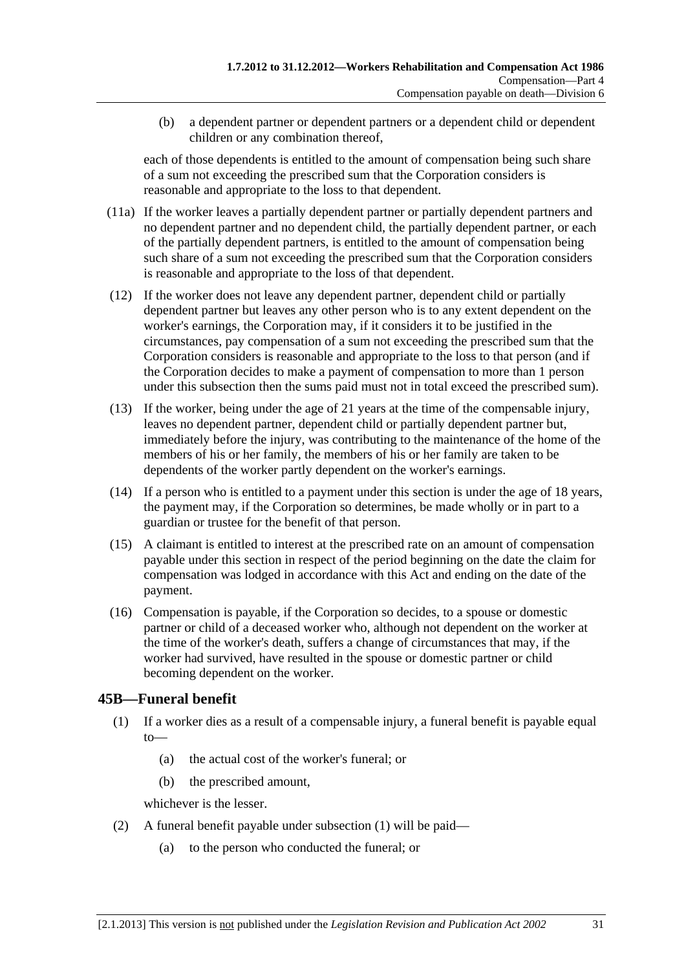<span id="page-66-0"></span> (b) a dependent partner or dependent partners or a dependent child or dependent children or any combination thereof,

each of those dependents is entitled to the amount of compensation being such share of a sum not exceeding the prescribed sum that the Corporation considers is reasonable and appropriate to the loss to that dependent.

- (11a) If the worker leaves a partially dependent partner or partially dependent partners and no dependent partner and no dependent child, the partially dependent partner, or each of the partially dependent partners, is entitled to the amount of compensation being such share of a sum not exceeding the prescribed sum that the Corporation considers is reasonable and appropriate to the loss of that dependent.
- (12) If the worker does not leave any dependent partner, dependent child or partially dependent partner but leaves any other person who is to any extent dependent on the worker's earnings, the Corporation may, if it considers it to be justified in the circumstances, pay compensation of a sum not exceeding the prescribed sum that the Corporation considers is reasonable and appropriate to the loss to that person (and if the Corporation decides to make a payment of compensation to more than 1 person under this subsection then the sums paid must not in total exceed the prescribed sum).
- (13) If the worker, being under the age of 21 years at the time of the compensable injury, leaves no dependent partner, dependent child or partially dependent partner but, immediately before the injury, was contributing to the maintenance of the home of the members of his or her family, the members of his or her family are taken to be dependents of the worker partly dependent on the worker's earnings.
- (14) If a person who is entitled to a payment under this section is under the age of 18 years, the payment may, if the Corporation so determines, be made wholly or in part to a guardian or trustee for the benefit of that person.
- (15) A claimant is entitled to interest at the prescribed rate on an amount of compensation payable under this section in respect of the period beginning on the date the claim for compensation was lodged in accordance with this Act and ending on the date of the payment.
- (16) Compensation is payable, if the Corporation so decides, to a spouse or domestic partner or child of a deceased worker who, although not dependent on the worker at the time of the worker's death, suffers a change of circumstances that may, if the worker had survived, have resulted in the spouse or domestic partner or child becoming dependent on the worker.

### **45B—Funeral benefit**

- (1) If a worker dies as a result of a compensable injury, a funeral benefit is payable equal to—
	- (a) the actual cost of the worker's funeral; or
	- (b) the prescribed amount,

whichever is the lesser.

- (2) A funeral benefit payable under [subsection \(1\)](#page-66-0) will be paid—
	- (a) to the person who conducted the funeral; or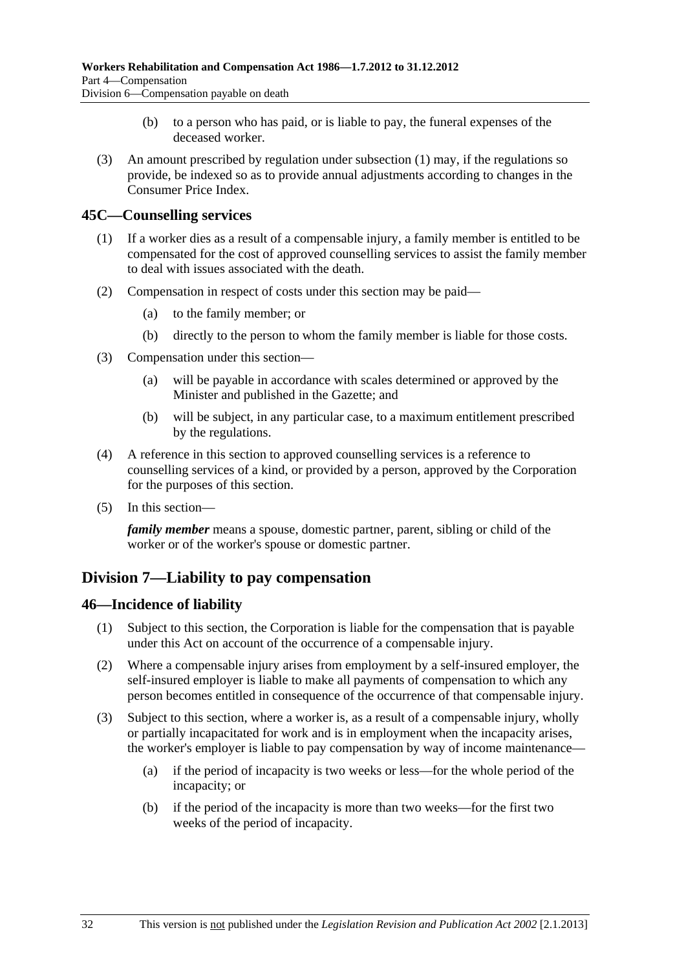- (b) to a person who has paid, or is liable to pay, the funeral expenses of the deceased worker.
- <span id="page-67-0"></span> (3) An amount prescribed by regulation under [subsection \(1\)](#page-66-0) may, if the regulations so provide, be indexed so as to provide annual adjustments according to changes in the Consumer Price Index.

#### **45C—Counselling services**

- (1) If a worker dies as a result of a compensable injury, a family member is entitled to be compensated for the cost of approved counselling services to assist the family member to deal with issues associated with the death.
- (2) Compensation in respect of costs under this section may be paid—
	- (a) to the family member; or
	- (b) directly to the person to whom the family member is liable for those costs.
- (3) Compensation under this section—
	- (a) will be payable in accordance with scales determined or approved by the Minister and published in the Gazette; and
	- (b) will be subject, in any particular case, to a maximum entitlement prescribed by the regulations.
- (4) A reference in this section to approved counselling services is a reference to counselling services of a kind, or provided by a person, approved by the Corporation for the purposes of this section.
- (5) In this section—

*family member* means a spouse, domestic partner, parent, sibling or child of the worker or of the worker's spouse or domestic partner.

## **Division 7—Liability to pay compensation**

#### **46—Incidence of liability**

- (1) Subject to this section, the Corporation is liable for the compensation that is payable under this Act on account of the occurrence of a compensable injury.
- (2) Where a compensable injury arises from employment by a self-insured employer, the self-insured employer is liable to make all payments of compensation to which any person becomes entitled in consequence of the occurrence of that compensable injury.
- (3) Subject to this section, where a worker is, as a result of a compensable injury, wholly or partially incapacitated for work and is in employment when the incapacity arises, the worker's employer is liable to pay compensation by way of income maintenance—
	- (a) if the period of incapacity is two weeks or less—for the whole period of the incapacity; or
	- (b) if the period of the incapacity is more than two weeks—for the first two weeks of the period of incapacity.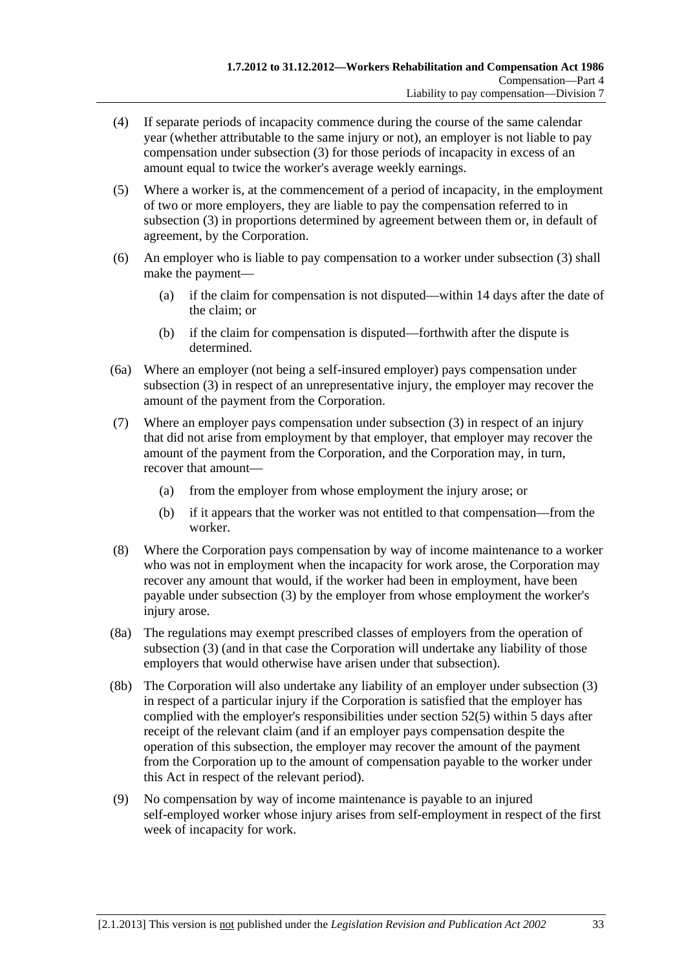- (4) If separate periods of incapacity commence during the course of the same calendar year (whether attributable to the same injury or not), an employer is not liable to pay compensation under [subsection \(3\)](#page-67-0) for those periods of incapacity in excess of an amount equal to twice the worker's average weekly earnings.
- (5) Where a worker is, at the commencement of a period of incapacity, in the employment of two or more employers, they are liable to pay the compensation referred to in [subsection \(3\)](#page-67-0) in proportions determined by agreement between them or, in default of agreement, by the Corporation.
- (6) An employer who is liable to pay compensation to a worker under [subsection \(3\)](#page-67-0) shall make the payment—
	- (a) if the claim for compensation is not disputed—within 14 days after the date of the claim; or
	- (b) if the claim for compensation is disputed—forthwith after the dispute is determined.
- (6a) Where an employer (not being a self-insured employer) pays compensation under [subsection \(3\)](#page-67-0) in respect of an unrepresentative injury, the employer may recover the amount of the payment from the Corporation.
- (7) Where an employer pays compensation under [subsection \(3\)](#page-67-0) in respect of an injury that did not arise from employment by that employer, that employer may recover the amount of the payment from the Corporation, and the Corporation may, in turn, recover that amount—
	- (a) from the employer from whose employment the injury arose; or
	- (b) if it appears that the worker was not entitled to that compensation—from the worker.
- (8) Where the Corporation pays compensation by way of income maintenance to a worker who was not in employment when the incapacity for work arose, the Corporation may recover any amount that would, if the worker had been in employment, have been payable under [subsection \(3\)](#page-67-0) by the employer from whose employment the worker's injury arose.
- (8a) The regulations may exempt prescribed classes of employers from the operation of [subsection \(3\)](#page-67-0) (and in that case the Corporation will undertake any liability of those employers that would otherwise have arisen under that subsection).
- (8b) The Corporation will also undertake any liability of an employer under [subsection \(3\)](#page-67-0)  in respect of a particular injury if the Corporation is satisfied that the employer has complied with the employer's responsibilities under [section 52\(5\)](#page-74-0) within 5 days after receipt of the relevant claim (and if an employer pays compensation despite the operation of this subsection, the employer may recover the amount of the payment from the Corporation up to the amount of compensation payable to the worker under this Act in respect of the relevant period).
- (9) No compensation by way of income maintenance is payable to an injured self-employed worker whose injury arises from self-employment in respect of the first week of incapacity for work.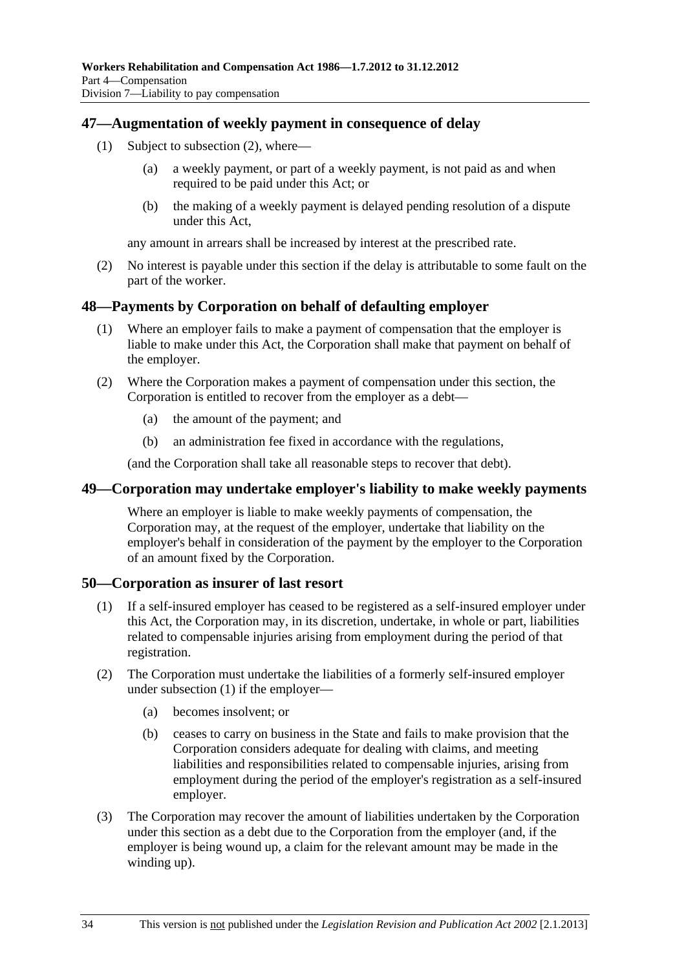#### <span id="page-69-0"></span>**47—Augmentation of weekly payment in consequence of delay**

- (1) Subject to [subsection \(2\),](#page-69-0) where—
	- (a) a weekly payment, or part of a weekly payment, is not paid as and when required to be paid under this Act; or
	- (b) the making of a weekly payment is delayed pending resolution of a dispute under this Act,

any amount in arrears shall be increased by interest at the prescribed rate.

 (2) No interest is payable under this section if the delay is attributable to some fault on the part of the worker.

#### **48—Payments by Corporation on behalf of defaulting employer**

- (1) Where an employer fails to make a payment of compensation that the employer is liable to make under this Act, the Corporation shall make that payment on behalf of the employer.
- (2) Where the Corporation makes a payment of compensation under this section, the Corporation is entitled to recover from the employer as a debt—
	- (a) the amount of the payment; and
	- (b) an administration fee fixed in accordance with the regulations,

(and the Corporation shall take all reasonable steps to recover that debt).

#### **49—Corporation may undertake employer's liability to make weekly payments**

Where an employer is liable to make weekly payments of compensation, the Corporation may, at the request of the employer, undertake that liability on the employer's behalf in consideration of the payment by the employer to the Corporation of an amount fixed by the Corporation.

#### **50—Corporation as insurer of last resort**

- (1) If a self-insured employer has ceased to be registered as a self-insured employer under this Act, the Corporation may, in its discretion, undertake, in whole or part, liabilities related to compensable injuries arising from employment during the period of that registration.
- (2) The Corporation must undertake the liabilities of a formerly self-insured employer under [subsection \(1\)](#page-69-0) if the employer—
	- (a) becomes insolvent; or
	- (b) ceases to carry on business in the State and fails to make provision that the Corporation considers adequate for dealing with claims, and meeting liabilities and responsibilities related to compensable injuries, arising from employment during the period of the employer's registration as a self-insured employer.
- (3) The Corporation may recover the amount of liabilities undertaken by the Corporation under this section as a debt due to the Corporation from the employer (and, if the employer is being wound up, a claim for the relevant amount may be made in the winding up).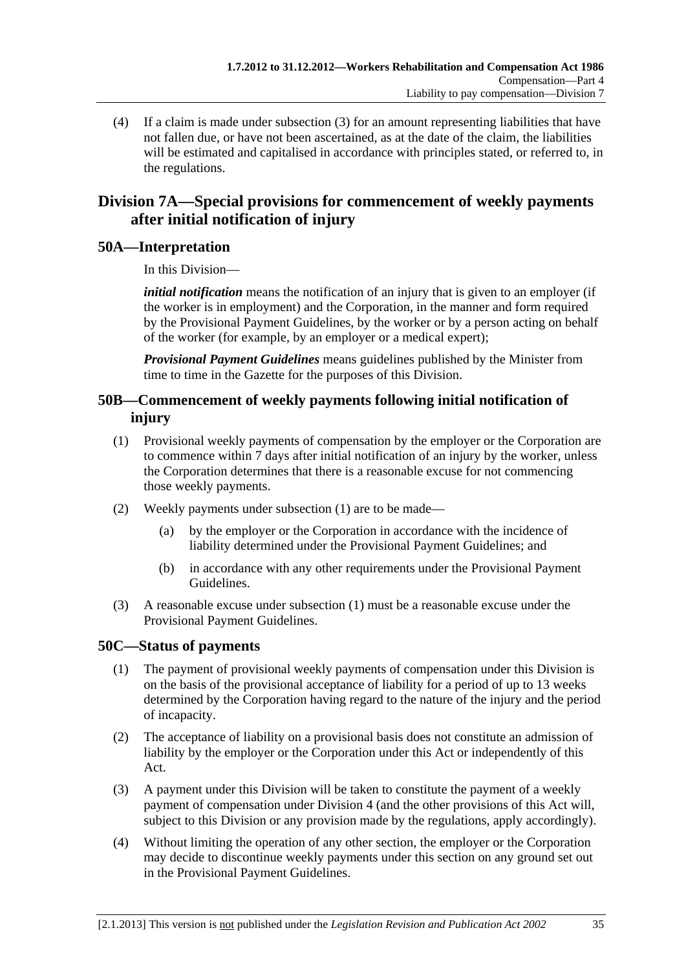<span id="page-70-0"></span> (4) If a claim is made under [subsection \(3\)](#page-69-0) for an amount representing liabilities that have not fallen due, or have not been ascertained, as at the date of the claim, the liabilities will be estimated and capitalised in accordance with principles stated, or referred to, in the regulations.

## **Division 7A—Special provisions for commencement of weekly payments after initial notification of injury**

### **50A—Interpretation**

In this Division—

*initial notification* means the notification of an injury that is given to an employer (if the worker is in employment) and the Corporation, in the manner and form required by the Provisional Payment Guidelines, by the worker or by a person acting on behalf of the worker (for example, by an employer or a medical expert);

*Provisional Payment Guidelines* means guidelines published by the Minister from time to time in the Gazette for the purposes of this Division.

### **50B—Commencement of weekly payments following initial notification of injury**

- (1) Provisional weekly payments of compensation by the employer or the Corporation are to commence within 7 days after initial notification of an injury by the worker, unless the Corporation determines that there is a reasonable excuse for not commencing those weekly payments.
- (2) Weekly payments under [subsection \(1\)](#page-70-0) are to be made—
	- (a) by the employer or the Corporation in accordance with the incidence of liability determined under the Provisional Payment Guidelines; and
	- (b) in accordance with any other requirements under the Provisional Payment Guidelines.
- (3) A reasonable excuse under [subsection \(1\)](#page-70-0) must be a reasonable excuse under the Provisional Payment Guidelines.

### **50C—Status of payments**

- (1) The payment of provisional weekly payments of compensation under this Division is on the basis of the provisional acceptance of liability for a period of up to 13 weeks determined by the Corporation having regard to the nature of the injury and the period of incapacity.
- (2) The acceptance of liability on a provisional basis does not constitute an admission of liability by the employer or the Corporation under this Act or independently of this Act.
- (3) A payment under this Division will be taken to constitute the payment of a weekly payment of compensation under [Division 4](#page-42-0) (and the other provisions of this Act will, subject to this Division or any provision made by the regulations, apply accordingly).
- (4) Without limiting the operation of any other section, the employer or the Corporation may decide to discontinue weekly payments under this section on any ground set out in the Provisional Payment Guidelines.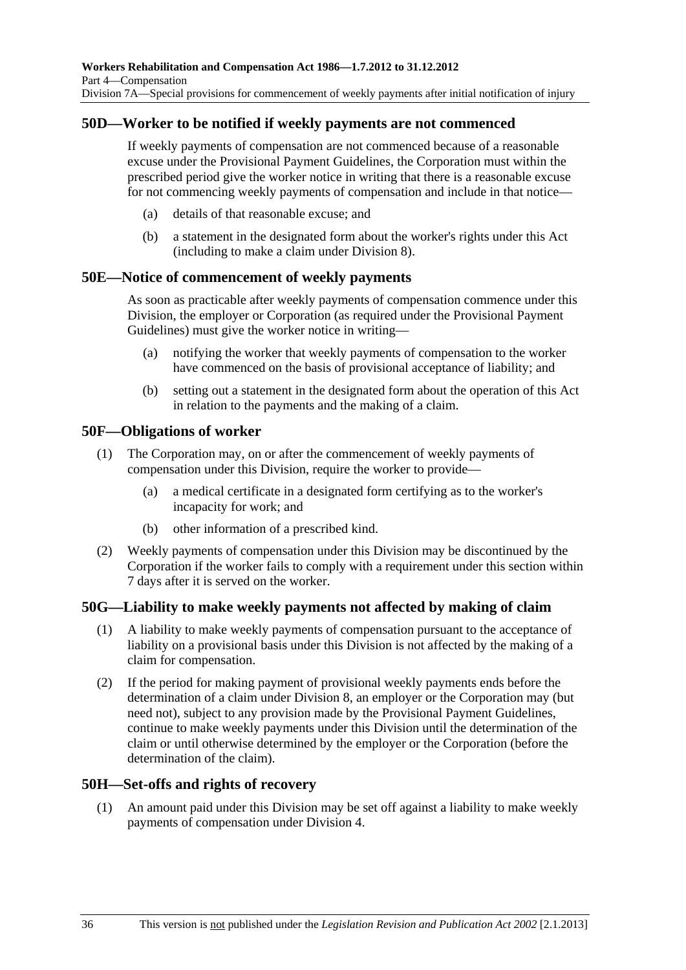#### **50D—Worker to be notified if weekly payments are not commenced**

If weekly payments of compensation are not commenced because of a reasonable excuse under the Provisional Payment Guidelines, the Corporation must within the prescribed period give the worker notice in writing that there is a reasonable excuse for not commencing weekly payments of compensation and include in that notice—

- (a) details of that reasonable excuse; and
- (b) a statement in the designated form about the worker's rights under this Act (including to make a claim under [Division 8\)](#page-72-0).

#### **50E—Notice of commencement of weekly payments**

As soon as practicable after weekly payments of compensation commence under this Division, the employer or Corporation (as required under the Provisional Payment Guidelines) must give the worker notice in writing—

- (a) notifying the worker that weekly payments of compensation to the worker have commenced on the basis of provisional acceptance of liability; and
- (b) setting out a statement in the designated form about the operation of this Act in relation to the payments and the making of a claim.

#### **50F—Obligations of worker**

- (1) The Corporation may, on or after the commencement of weekly payments of compensation under this Division, require the worker to provide—
	- (a) a medical certificate in a designated form certifying as to the worker's incapacity for work; and
	- (b) other information of a prescribed kind.
- (2) Weekly payments of compensation under this Division may be discontinued by the Corporation if the worker fails to comply with a requirement under this section within 7 days after it is served on the worker.

#### **50G—Liability to make weekly payments not affected by making of claim**

- (1) A liability to make weekly payments of compensation pursuant to the acceptance of liability on a provisional basis under this Division is not affected by the making of a claim for compensation.
- (2) If the period for making payment of provisional weekly payments ends before the determination of a claim under [Division 8,](#page-72-0) an employer or the Corporation may (but need not), subject to any provision made by the Provisional Payment Guidelines, continue to make weekly payments under this Division until the determination of the claim or until otherwise determined by the employer or the Corporation (before the determination of the claim).

#### **50H—Set-offs and rights of recovery**

 (1) An amount paid under this Division may be set off against a liability to make weekly payments of compensation under [Division 4](#page-42-0).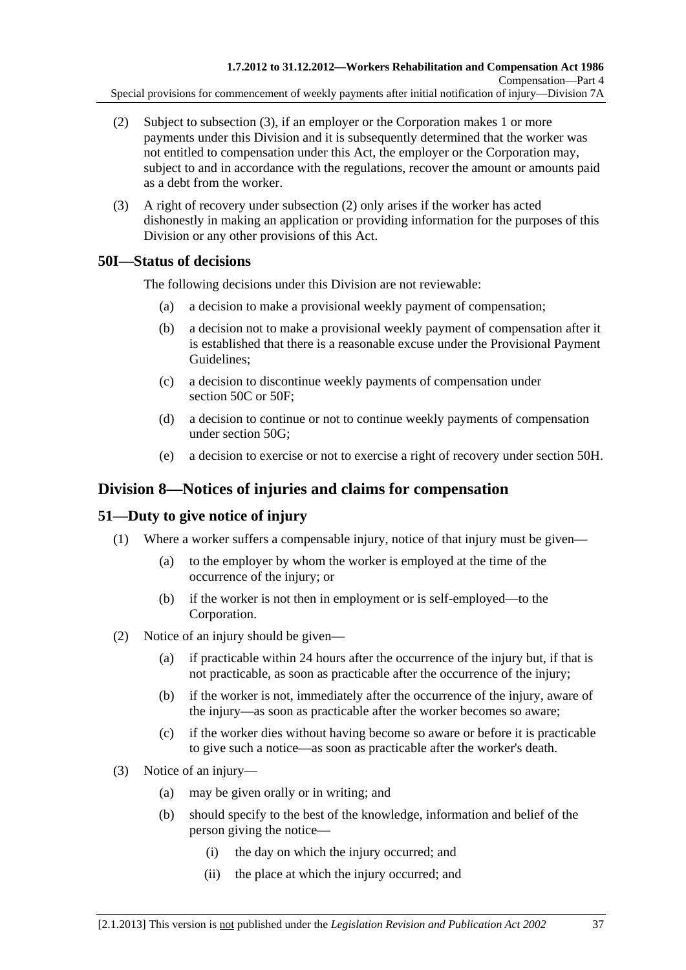- <span id="page-72-0"></span> (2) Subject to [subsection \(3\),](#page-72-0) if an employer or the Corporation makes 1 or more payments under this Division and it is subsequently determined that the worker was not entitled to compensation under this Act, the employer or the Corporation may, subject to and in accordance with the regulations, recover the amount or amounts paid as a debt from the worker.
- (3) A right of recovery under [subsection \(2\)](#page-72-0) only arises if the worker has acted dishonestly in making an application or providing information for the purposes of this Division or any other provisions of this Act.

# **50I—Status of decisions**

The following decisions under this Division are not reviewable:

- (a) a decision to make a provisional weekly payment of compensation;
- (b) a decision not to make a provisional weekly payment of compensation after it is established that there is a reasonable excuse under the Provisional Payment Guidelines;
- (c) a decision to discontinue weekly payments of compensation under [section 50C](#page-70-0) or [50F](#page-71-0);
- (d) a decision to continue or not to continue weekly payments of compensation under [section 50G;](#page-71-0)
- (e) a decision to exercise or not to exercise a right of recovery under [section 50H.](#page-71-0)

# **Division 8—Notices of injuries and claims for compensation**

# **51—Duty to give notice of injury**

- (1) Where a worker suffers a compensable injury, notice of that injury must be given—
	- (a) to the employer by whom the worker is employed at the time of the occurrence of the injury; or
	- (b) if the worker is not then in employment or is self-employed—to the Corporation.
- (2) Notice of an injury should be given—
	- (a) if practicable within 24 hours after the occurrence of the injury but, if that is not practicable, as soon as practicable after the occurrence of the injury;
	- (b) if the worker is not, immediately after the occurrence of the injury, aware of the injury—as soon as practicable after the worker becomes so aware;
	- (c) if the worker dies without having become so aware or before it is practicable to give such a notice—as soon as practicable after the worker's death.
- (3) Notice of an injury—
	- (a) may be given orally or in writing; and
	- (b) should specify to the best of the knowledge, information and belief of the person giving the notice—
		- (i) the day on which the injury occurred; and
		- (ii) the place at which the injury occurred; and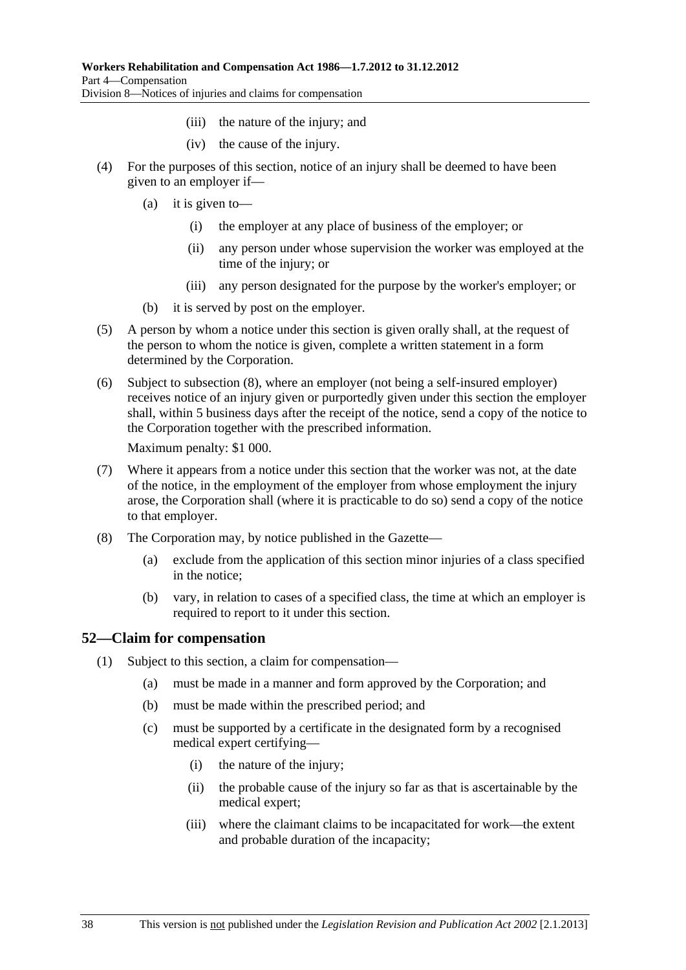- (iii) the nature of the injury; and
- (iv) the cause of the injury.
- <span id="page-73-0"></span> (4) For the purposes of this section, notice of an injury shall be deemed to have been given to an employer if—
	- (a) it is given to—
		- (i) the employer at any place of business of the employer; or
		- (ii) any person under whose supervision the worker was employed at the time of the injury; or
		- (iii) any person designated for the purpose by the worker's employer; or
	- (b) it is served by post on the employer.
- (5) A person by whom a notice under this section is given orally shall, at the request of the person to whom the notice is given, complete a written statement in a form determined by the Corporation.
- (6) Subject to [subsection \(8\),](#page-73-0) where an employer (not being a self-insured employer) receives notice of an injury given or purportedly given under this section the employer shall, within 5 business days after the receipt of the notice, send a copy of the notice to the Corporation together with the prescribed information.

Maximum penalty: \$1 000.

- (7) Where it appears from a notice under this section that the worker was not, at the date of the notice, in the employment of the employer from whose employment the injury arose, the Corporation shall (where it is practicable to do so) send a copy of the notice to that employer.
- (8) The Corporation may, by notice published in the Gazette—
	- (a) exclude from the application of this section minor injuries of a class specified in the notice;
	- (b) vary, in relation to cases of a specified class, the time at which an employer is required to report to it under this section.

### **52—Claim for compensation**

- (1) Subject to this section, a claim for compensation—
	- (a) must be made in a manner and form approved by the Corporation; and
	- (b) must be made within the prescribed period; and
	- (c) must be supported by a certificate in the designated form by a recognised medical expert certifying—
		- (i) the nature of the injury;
		- (ii) the probable cause of the injury so far as that is ascertainable by the medical expert;
		- (iii) where the claimant claims to be incapacitated for work—the extent and probable duration of the incapacity;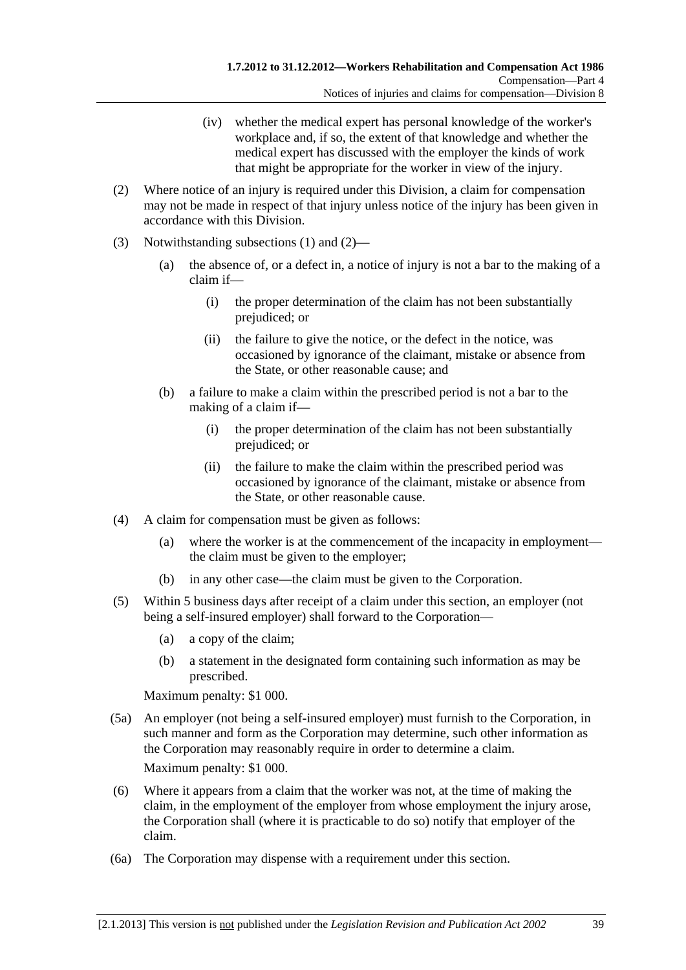- (iv) whether the medical expert has personal knowledge of the worker's workplace and, if so, the extent of that knowledge and whether the medical expert has discussed with the employer the kinds of work that might be appropriate for the worker in view of the injury.
- <span id="page-74-0"></span> (2) Where notice of an injury is required under this Division, a claim for compensation may not be made in respect of that injury unless notice of the injury has been given in accordance with this Division.
- (3) Notwithstanding [subsections \(1\)](#page-73-0) and [\(2\)](#page-74-0)
	- (a) the absence of, or a defect in, a notice of injury is not a bar to the making of a claim if—
		- (i) the proper determination of the claim has not been substantially prejudiced; or
		- (ii) the failure to give the notice, or the defect in the notice, was occasioned by ignorance of the claimant, mistake or absence from the State, or other reasonable cause; and
	- (b) a failure to make a claim within the prescribed period is not a bar to the making of a claim if—
		- (i) the proper determination of the claim has not been substantially prejudiced; or
		- (ii) the failure to make the claim within the prescribed period was occasioned by ignorance of the claimant, mistake or absence from the State, or other reasonable cause.
- (4) A claim for compensation must be given as follows:
	- (a) where the worker is at the commencement of the incapacity in employment the claim must be given to the employer;
	- (b) in any other case—the claim must be given to the Corporation.
- (5) Within 5 business days after receipt of a claim under this section, an employer (not being a self-insured employer) shall forward to the Corporation—
	- (a) a copy of the claim;
	- (b) a statement in the designated form containing such information as may be prescribed.

Maximum penalty: \$1 000.

 (5a) An employer (not being a self-insured employer) must furnish to the Corporation, in such manner and form as the Corporation may determine, such other information as the Corporation may reasonably require in order to determine a claim.

Maximum penalty: \$1 000.

- (6) Where it appears from a claim that the worker was not, at the time of making the claim, in the employment of the employer from whose employment the injury arose, the Corporation shall (where it is practicable to do so) notify that employer of the claim.
- (6a) The Corporation may dispense with a requirement under this section.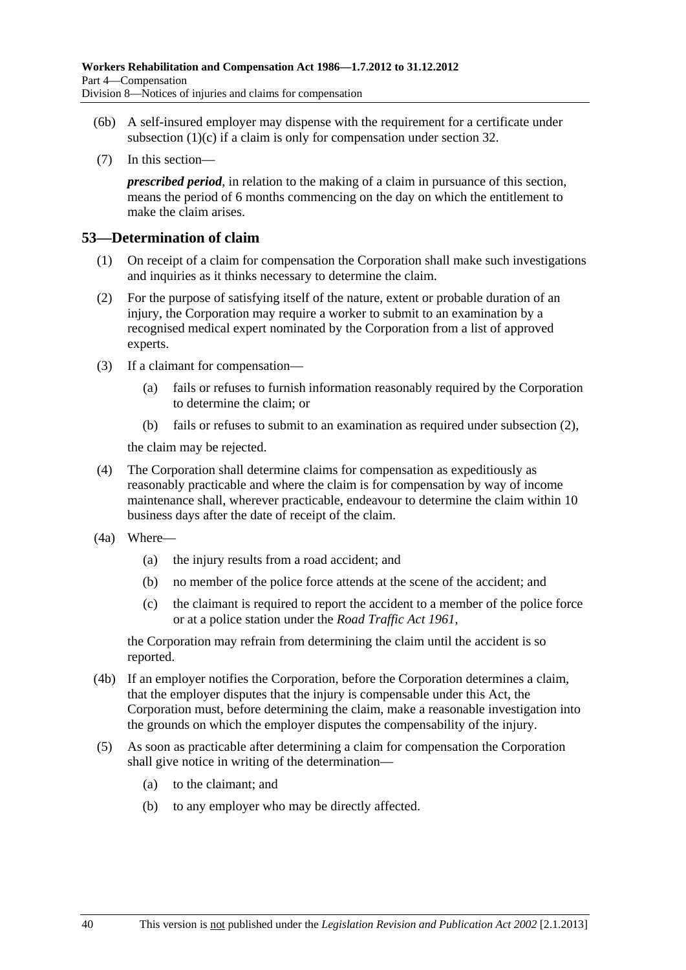- <span id="page-75-0"></span> (6b) A self-insured employer may dispense with the requirement for a certificate under subsection  $(1)(c)$  if a claim is only for compensation under [section 32](#page-38-0).
- (7) In this section—

*prescribed period*, in relation to the making of a claim in pursuance of this section, means the period of 6 months commencing on the day on which the entitlement to make the claim arises.

### **53—Determination of claim**

- (1) On receipt of a claim for compensation the Corporation shall make such investigations and inquiries as it thinks necessary to determine the claim.
- (2) For the purpose of satisfying itself of the nature, extent or probable duration of an injury, the Corporation may require a worker to submit to an examination by a recognised medical expert nominated by the Corporation from a list of approved experts.
- (3) If a claimant for compensation—
	- (a) fails or refuses to furnish information reasonably required by the Corporation to determine the claim; or
	- (b) fails or refuses to submit to an examination as required under [subsection \(2\),](#page-75-0)

the claim may be rejected.

- (4) The Corporation shall determine claims for compensation as expeditiously as reasonably practicable and where the claim is for compensation by way of income maintenance shall, wherever practicable, endeavour to determine the claim within 10 business days after the date of receipt of the claim.
- (4a) Where—
	- (a) the injury results from a road accident; and
	- (b) no member of the police force attends at the scene of the accident; and
	- (c) the claimant is required to report the accident to a member of the police force or at a police station under the *[Road Traffic Act 1961](http://www.legislation.sa.gov.au/index.aspx?action=legref&type=act&legtitle=Road%20Traffic%20Act%201961)*,

the Corporation may refrain from determining the claim until the accident is so reported.

- (4b) If an employer notifies the Corporation, before the Corporation determines a claim, that the employer disputes that the injury is compensable under this Act, the Corporation must, before determining the claim, make a reasonable investigation into the grounds on which the employer disputes the compensability of the injury.
- (5) As soon as practicable after determining a claim for compensation the Corporation shall give notice in writing of the determination—
	- (a) to the claimant; and
	- (b) to any employer who may be directly affected.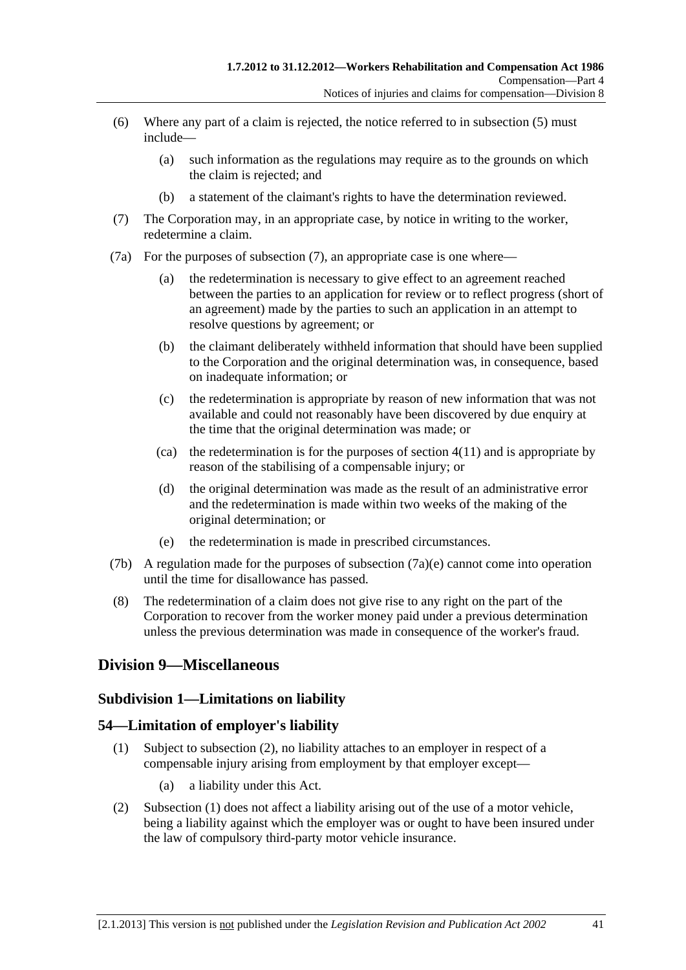- <span id="page-76-0"></span> (6) Where any part of a claim is rejected, the notice referred to in [subsection \(5\)](#page-75-0) must include—
	- (a) such information as the regulations may require as to the grounds on which the claim is rejected; and
	- (b) a statement of the claimant's rights to have the determination reviewed.
- (7) The Corporation may, in an appropriate case, by notice in writing to the worker, redetermine a claim.
- (7a) For the purposes of [subsection \(7\),](#page-76-0) an appropriate case is one where—
	- (a) the redetermination is necessary to give effect to an agreement reached between the parties to an application for review or to reflect progress (short of an agreement) made by the parties to such an application in an attempt to resolve questions by agreement; or
	- (b) the claimant deliberately withheld information that should have been supplied to the Corporation and the original determination was, in consequence, based on inadequate information; or
	- (c) the redetermination is appropriate by reason of new information that was not available and could not reasonably have been discovered by due enquiry at the time that the original determination was made; or
	- (ca) the redetermination is for the purposes of section  $4(11)$  and is appropriate by reason of the stabilising of a compensable injury; or
	- (d) the original determination was made as the result of an administrative error and the redetermination is made within two weeks of the making of the original determination; or
	- (e) the redetermination is made in prescribed circumstances.
- (7b) A regulation made for the purposes of [subsection \(7a\)\(e\)](#page-76-0) cannot come into operation until the time for disallowance has passed.
- (8) The redetermination of a claim does not give rise to any right on the part of the Corporation to recover from the worker money paid under a previous determination unless the previous determination was made in consequence of the worker's fraud.

# **Division 9—Miscellaneous**

### **Subdivision 1—Limitations on liability**

### **54—Limitation of employer's liability**

- (1) Subject to [subsection \(2\),](#page-76-0) no liability attaches to an employer in respect of a compensable injury arising from employment by that employer except—
	- (a) a liability under this Act.
- (2) [Subsection \(1\)](#page-76-0) does not affect a liability arising out of the use of a motor vehicle, being a liability against which the employer was or ought to have been insured under the law of compulsory third-party motor vehicle insurance.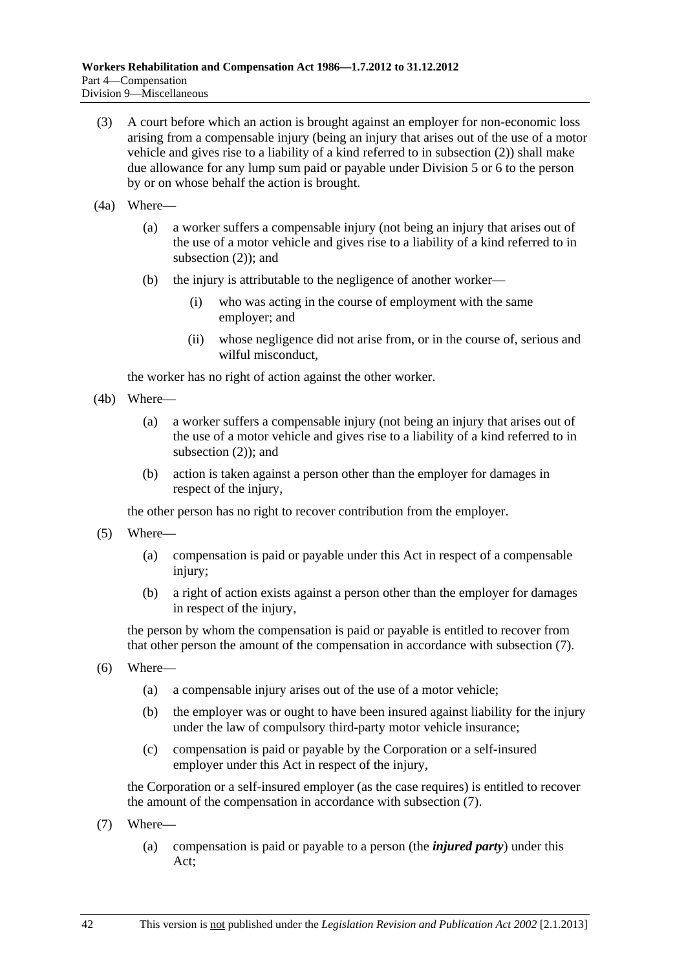- <span id="page-77-0"></span> (3) A court before which an action is brought against an employer for non-economic loss arising from a compensable injury (being an injury that arises out of the use of a motor vehicle and gives rise to a liability of a kind referred to in [subsection \(2\)\)](#page-76-0) shall make due allowance for any lump sum paid or payable under [Division 5](#page-58-0) or [6](#page-61-0) to the person by or on whose behalf the action is brought.
- (4a) Where—
	- (a) a worker suffers a compensable injury (not being an injury that arises out of the use of a motor vehicle and gives rise to a liability of a kind referred to in [subsection \(2\)](#page-76-0)); and
	- (b) the injury is attributable to the negligence of another worker—
		- (i) who was acting in the course of employment with the same employer; and
		- (ii) whose negligence did not arise from, or in the course of, serious and wilful misconduct,

the worker has no right of action against the other worker.

- (4b) Where—
	- (a) a worker suffers a compensable injury (not being an injury that arises out of the use of a motor vehicle and gives rise to a liability of a kind referred to in [subsection \(2\)](#page-76-0)); and
	- (b) action is taken against a person other than the employer for damages in respect of the injury,

the other person has no right to recover contribution from the employer.

- (5) Where—
	- (a) compensation is paid or payable under this Act in respect of a compensable injury;
	- (b) a right of action exists against a person other than the employer for damages in respect of the injury,

the person by whom the compensation is paid or payable is entitled to recover from that other person the amount of the compensation in accordance with [subsection \(7\).](#page-77-0)

- (6) Where—
	- (a) a compensable injury arises out of the use of a motor vehicle;
	- (b) the employer was or ought to have been insured against liability for the injury under the law of compulsory third-party motor vehicle insurance;
	- (c) compensation is paid or payable by the Corporation or a self-insured employer under this Act in respect of the injury,

the Corporation or a self-insured employer (as the case requires) is entitled to recover the amount of the compensation in accordance with [subsection \(7\).](#page-77-0)

- (7) Where—
	- (a) compensation is paid or payable to a person (the *injured party*) under this Act;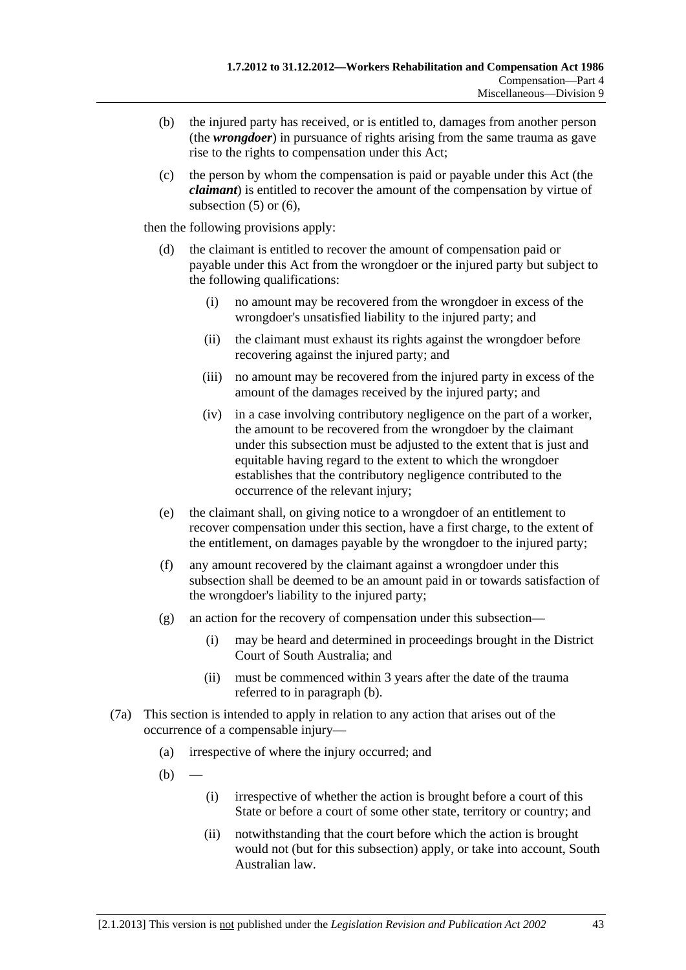- <span id="page-78-0"></span> (b) the injured party has received, or is entitled to, damages from another person (the *wrongdoer*) in pursuance of rights arising from the same trauma as gave rise to the rights to compensation under this Act;
- (c) the person by whom the compensation is paid or payable under this Act (the *claimant*) is entitled to recover the amount of the compensation by virtue of subsection  $(5)$  or  $(6)$ ,

then the following provisions apply:

- (d) the claimant is entitled to recover the amount of compensation paid or payable under this Act from the wrongdoer or the injured party but subject to the following qualifications:
	- (i) no amount may be recovered from the wrongdoer in excess of the wrongdoer's unsatisfied liability to the injured party; and
	- (ii) the claimant must exhaust its rights against the wrongdoer before recovering against the injured party; and
	- (iii) no amount may be recovered from the injured party in excess of the amount of the damages received by the injured party; and
	- (iv) in a case involving contributory negligence on the part of a worker, the amount to be recovered from the wrongdoer by the claimant under this subsection must be adjusted to the extent that is just and equitable having regard to the extent to which the wrongdoer establishes that the contributory negligence contributed to the occurrence of the relevant injury;
- (e) the claimant shall, on giving notice to a wrongdoer of an entitlement to recover compensation under this section, have a first charge, to the extent of the entitlement, on damages payable by the wrongdoer to the injured party;
- (f) any amount recovered by the claimant against a wrongdoer under this subsection shall be deemed to be an amount paid in or towards satisfaction of the wrongdoer's liability to the injured party;
- (g) an action for the recovery of compensation under this subsection—
	- (i) may be heard and determined in proceedings brought in the District Court of South Australia; and
	- (ii) must be commenced within 3 years after the date of the trauma referred to in [paragraph \(b\)](#page-78-0).
- (7a) This section is intended to apply in relation to any action that arises out of the occurrence of a compensable injury—
	- (a) irrespective of where the injury occurred; and
	- $(b)$ 
		- (i) irrespective of whether the action is brought before a court of this State or before a court of some other state, territory or country; and
		- (ii) notwithstanding that the court before which the action is brought would not (but for this subsection) apply, or take into account, South Australian law.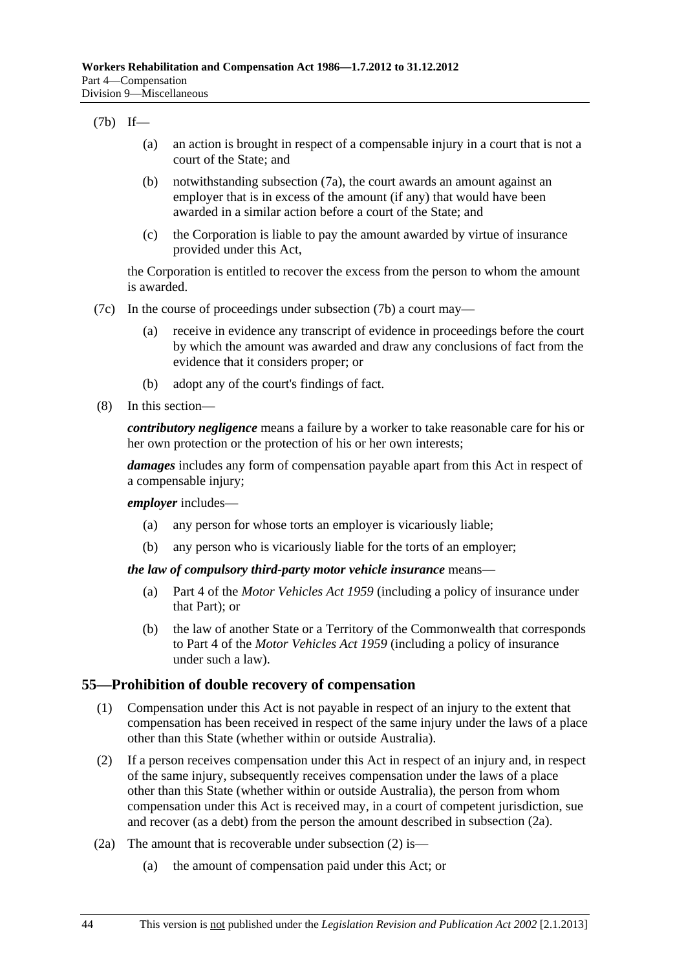#### <span id="page-79-0"></span>(7b) If—

- (a) an action is brought in respect of a compensable injury in a court that is not a court of the State; and
- (b) notwithstanding [subsection \(7a\)](#page-78-0), the court awards an amount against an employer that is in excess of the amount (if any) that would have been awarded in a similar action before a court of the State; and
- (c) the Corporation is liable to pay the amount awarded by virtue of insurance provided under this Act,

the Corporation is entitled to recover the excess from the person to whom the amount is awarded.

- (7c) In the course of proceedings under [subsection \(7b\)](#page-79-0) a court may—
	- (a) receive in evidence any transcript of evidence in proceedings before the court by which the amount was awarded and draw any conclusions of fact from the evidence that it considers proper; or
	- (b) adopt any of the court's findings of fact.
- (8) In this section—

*contributory negligence* means a failure by a worker to take reasonable care for his or her own protection or the protection of his or her own interests;

*damages* includes any form of compensation payable apart from this Act in respect of a compensable injury;

*employer* includes—

- (a) any person for whose torts an employer is vicariously liable;
- (b) any person who is vicariously liable for the torts of an employer;

#### *the law of compulsory third-party motor vehicle insurance* means—

- (a) Part 4 of the *[Motor Vehicles Act 1959](http://www.legislation.sa.gov.au/index.aspx?action=legref&type=act&legtitle=Motor%20Vehicles%20Act%201959)* (including a policy of insurance under that Part); or
- (b) the law of another State or a Territory of the Commonwealth that corresponds to Part 4 of the *[Motor Vehicles Act 1959](http://www.legislation.sa.gov.au/index.aspx?action=legref&type=act&legtitle=Motor%20Vehicles%20Act%201959)* (including a policy of insurance under such a law).

### **55—Prohibition of double recovery of compensation**

- (1) Compensation under this Act is not payable in respect of an injury to the extent that compensation has been received in respect of the same injury under the laws of a place other than this State (whether within or outside Australia).
- (2) If a person receives compensation under this Act in respect of an injury and, in respect of the same injury, subsequently receives compensation under the laws of a place other than this State (whether within or outside Australia), the person from whom compensation under this Act is received may, in a court of competent jurisdiction, sue and recover (as a debt) from the person the amount described in [subsection \(2a\).](#page-79-0)
- (2a) The amount that is recoverable under [subsection \(2\)](#page-79-0) is—
	- (a) the amount of compensation paid under this Act; or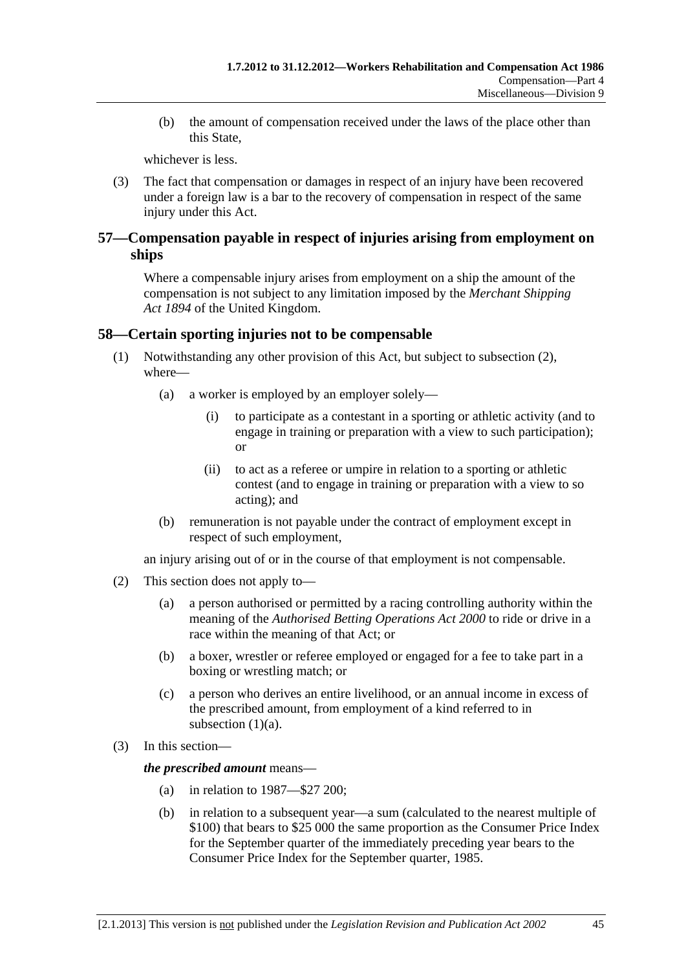<span id="page-80-0"></span> (b) the amount of compensation received under the laws of the place other than this State,

whichever is less.

 (3) The fact that compensation or damages in respect of an injury have been recovered under a foreign law is a bar to the recovery of compensation in respect of the same injury under this Act.

# **57—Compensation payable in respect of injuries arising from employment on ships**

Where a compensable injury arises from employment on a ship the amount of the compensation is not subject to any limitation imposed by the *Merchant Shipping Act 1894* of the United Kingdom.

# **58—Certain sporting injuries not to be compensable**

- (1) Notwithstanding any other provision of this Act, but subject to [subsection \(2\),](#page-80-0) where—
	- (a) a worker is employed by an employer solely—
		- (i) to participate as a contestant in a sporting or athletic activity (and to engage in training or preparation with a view to such participation); or
		- (ii) to act as a referee or umpire in relation to a sporting or athletic contest (and to engage in training or preparation with a view to so acting); and
	- (b) remuneration is not payable under the contract of employment except in respect of such employment,

an injury arising out of or in the course of that employment is not compensable.

- (2) This section does not apply to—
	- (a) a person authorised or permitted by a racing controlling authority within the meaning of the *[Authorised Betting Operations Act 2000](http://www.legislation.sa.gov.au/index.aspx?action=legref&type=act&legtitle=Authorised%20Betting%20Operations%20Act%202000)* to ride or drive in a race within the meaning of that Act; or
	- (b) a boxer, wrestler or referee employed or engaged for a fee to take part in a boxing or wrestling match; or
	- (c) a person who derives an entire livelihood, or an annual income in excess of the prescribed amount, from employment of a kind referred to in subsection  $(1)(a)$ .
- (3) In this section—

*the prescribed amount* means—

- (a) in relation to 1987—\$27 200;
- (b) in relation to a subsequent year—a sum (calculated to the nearest multiple of \$100) that bears to \$25 000 the same proportion as the Consumer Price Index for the September quarter of the immediately preceding year bears to the Consumer Price Index for the September quarter, 1985.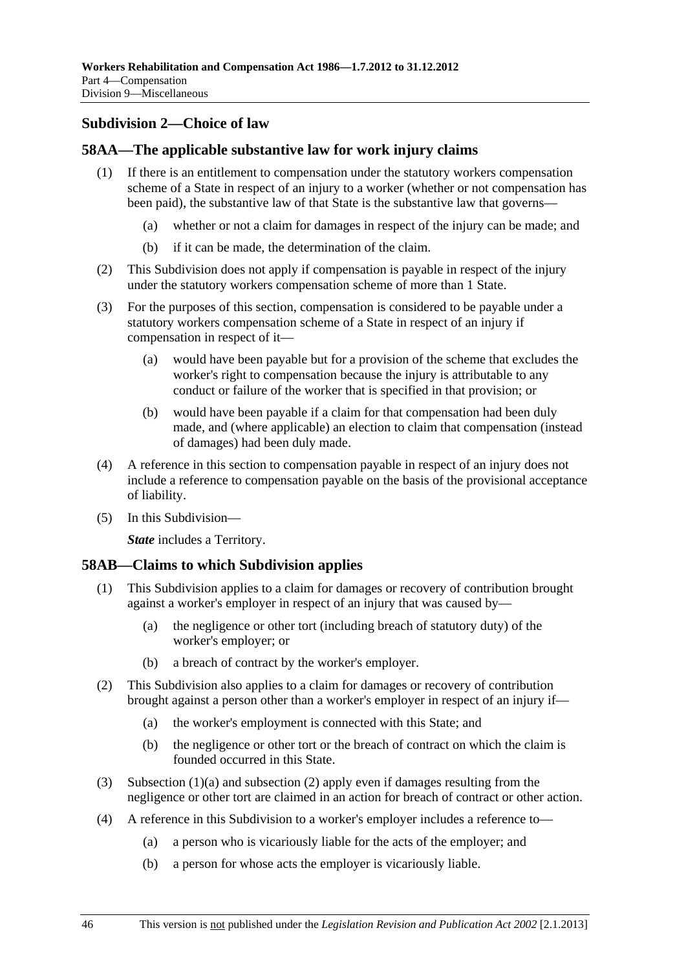# <span id="page-81-0"></span>**Subdivision 2—Choice of law**

# **58AA—The applicable substantive law for work injury claims**

- (1) If there is an entitlement to compensation under the statutory workers compensation scheme of a State in respect of an injury to a worker (whether or not compensation has been paid), the substantive law of that State is the substantive law that governs—
	- (a) whether or not a claim for damages in respect of the injury can be made; and
	- (b) if it can be made, the determination of the claim.
- (2) This Subdivision does not apply if compensation is payable in respect of the injury under the statutory workers compensation scheme of more than 1 State.
- (3) For the purposes of this section, compensation is considered to be payable under a statutory workers compensation scheme of a State in respect of an injury if compensation in respect of it—
	- (a) would have been payable but for a provision of the scheme that excludes the worker's right to compensation because the injury is attributable to any conduct or failure of the worker that is specified in that provision; or
	- (b) would have been payable if a claim for that compensation had been duly made, and (where applicable) an election to claim that compensation (instead of damages) had been duly made.
- (4) A reference in this section to compensation payable in respect of an injury does not include a reference to compensation payable on the basis of the provisional acceptance of liability.
- (5) In this Subdivision—

*State* includes a Territory.

### **58AB—Claims to which Subdivision applies**

- (1) This Subdivision applies to a claim for damages or recovery of contribution brought against a worker's employer in respect of an injury that was caused by—
	- (a) the negligence or other tort (including breach of statutory duty) of the worker's employer; or
	- (b) a breach of contract by the worker's employer.
- (2) This Subdivision also applies to a claim for damages or recovery of contribution brought against a person other than a worker's employer in respect of an injury if—
	- (a) the worker's employment is connected with this State; and
	- (b) the negligence or other tort or the breach of contract on which the claim is founded occurred in this State.
- (3) Subsection  $(1)(a)$  and subsection  $(2)$  apply even if damages resulting from the negligence or other tort are claimed in an action for breach of contract or other action.
- (4) A reference in this Subdivision to a worker's employer includes a reference to—
	- (a) a person who is vicariously liable for the acts of the employer; and
	- (b) a person for whose acts the employer is vicariously liable.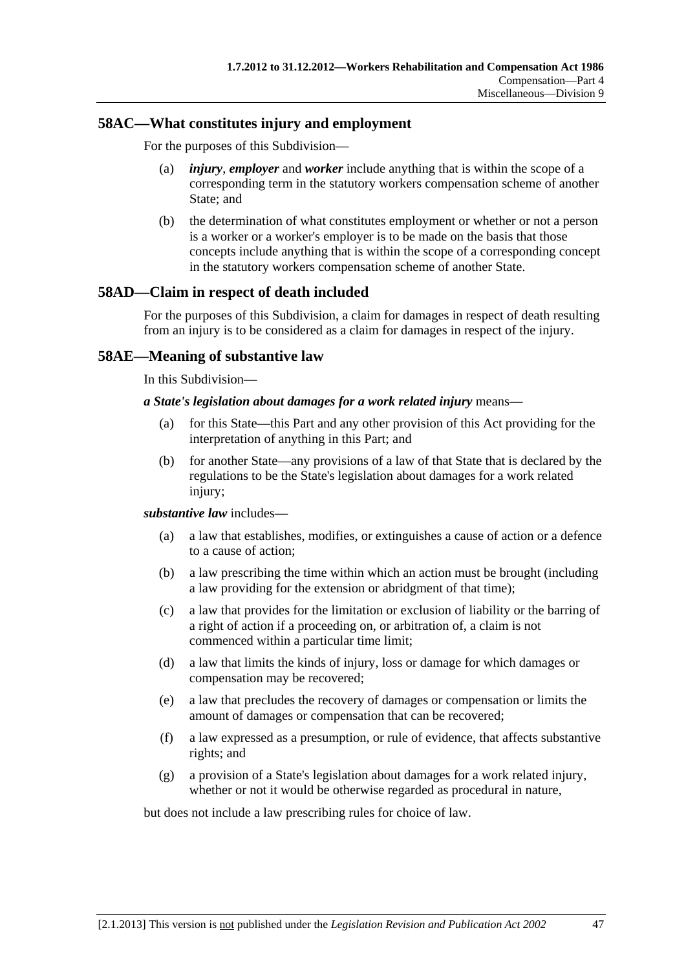# **58AC—What constitutes injury and employment**

For the purposes of this Subdivision—

- (a) *injury*, *employer* and *worker* include anything that is within the scope of a corresponding term in the statutory workers compensation scheme of another State; and
- (b) the determination of what constitutes employment or whether or not a person is a worker or a worker's employer is to be made on the basis that those concepts include anything that is within the scope of a corresponding concept in the statutory workers compensation scheme of another State.

# **58AD—Claim in respect of death included**

For the purposes of this Subdivision, a claim for damages in respect of death resulting from an injury is to be considered as a claim for damages in respect of the injury.

# **58AE—Meaning of substantive law**

In this Subdivision—

#### *a State's legislation about damages for a work related injury* means—

- (a) for this State—this Part and any other provision of this Act providing for the interpretation of anything in this Part; and
- (b) for another State—any provisions of a law of that State that is declared by the regulations to be the State's legislation about damages for a work related injury;

#### *substantive law* includes—

- (a) a law that establishes, modifies, or extinguishes a cause of action or a defence to a cause of action;
- (b) a law prescribing the time within which an action must be brought (including a law providing for the extension or abridgment of that time);
- (c) a law that provides for the limitation or exclusion of liability or the barring of a right of action if a proceeding on, or arbitration of, a claim is not commenced within a particular time limit;
- (d) a law that limits the kinds of injury, loss or damage for which damages or compensation may be recovered;
- (e) a law that precludes the recovery of damages or compensation or limits the amount of damages or compensation that can be recovered;
- (f) a law expressed as a presumption, or rule of evidence, that affects substantive rights; and
- (g) a provision of a State's legislation about damages for a work related injury, whether or not it would be otherwise regarded as procedural in nature,

but does not include a law prescribing rules for choice of law.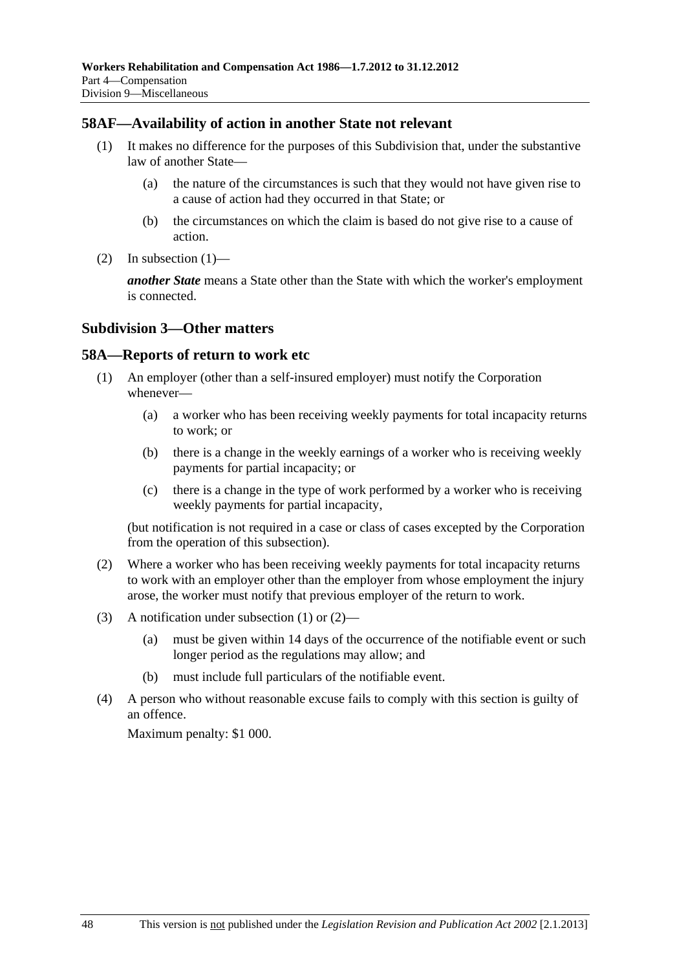### <span id="page-83-0"></span>**58AF—Availability of action in another State not relevant**

- (1) It makes no difference for the purposes of this Subdivision that, under the substantive law of another State—
	- (a) the nature of the circumstances is such that they would not have given rise to a cause of action had they occurred in that State; or
	- (b) the circumstances on which the claim is based do not give rise to a cause of action.
- (2) In subsection  $(1)$ —

*another State* means a State other than the State with which the worker's employment is connected.

### **Subdivision 3—Other matters**

### **58A—Reports of return to work etc**

- (1) An employer (other than a self-insured employer) must notify the Corporation whenever—
	- (a) a worker who has been receiving weekly payments for total incapacity returns to work; or
	- (b) there is a change in the weekly earnings of a worker who is receiving weekly payments for partial incapacity; or
	- (c) there is a change in the type of work performed by a worker who is receiving weekly payments for partial incapacity,

(but notification is not required in a case or class of cases excepted by the Corporation from the operation of this subsection).

- (2) Where a worker who has been receiving weekly payments for total incapacity returns to work with an employer other than the employer from whose employment the injury arose, the worker must notify that previous employer of the return to work.
- (3) A notification under [subsection \(1\)](#page-83-0) or [\(2\)](#page-83-0)
	- (a) must be given within 14 days of the occurrence of the notifiable event or such longer period as the regulations may allow; and
	- (b) must include full particulars of the notifiable event.
- (4) A person who without reasonable excuse fails to comply with this section is guilty of an offence.

Maximum penalty: \$1 000.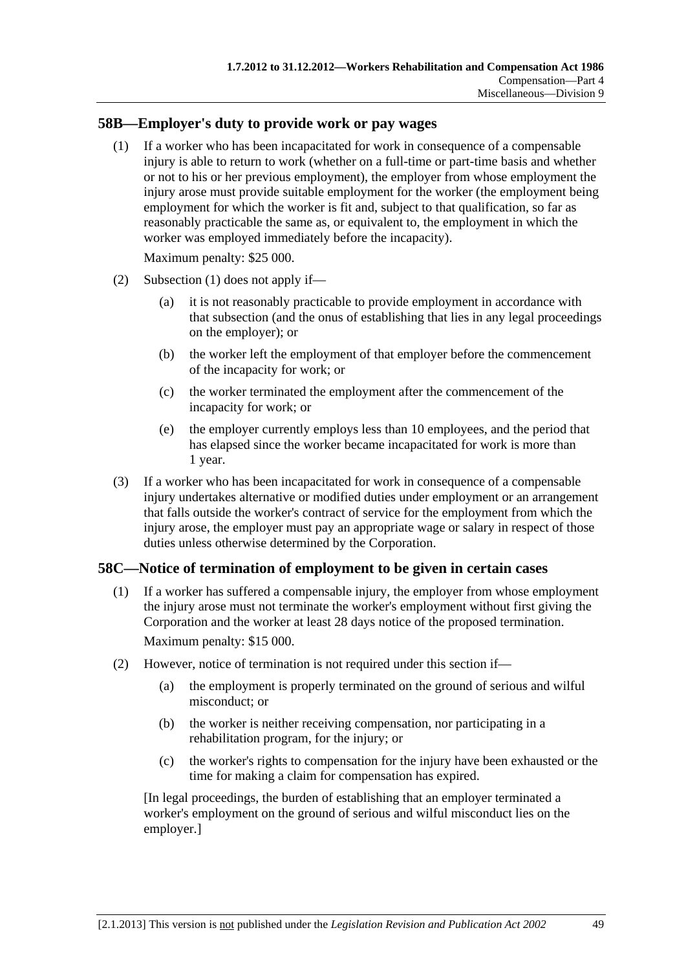# <span id="page-84-0"></span>**58B—Employer's duty to provide work or pay wages**

 (1) If a worker who has been incapacitated for work in consequence of a compensable injury is able to return to work (whether on a full-time or part-time basis and whether or not to his or her previous employment), the employer from whose employment the injury arose must provide suitable employment for the worker (the employment being employment for which the worker is fit and, subject to that qualification, so far as reasonably practicable the same as, or equivalent to, the employment in which the worker was employed immediately before the incapacity).

Maximum penalty: \$25 000.

- (2) [Subsection \(1\)](#page-84-0) does not apply if—
	- (a) it is not reasonably practicable to provide employment in accordance with that subsection (and the onus of establishing that lies in any legal proceedings on the employer); or
	- (b) the worker left the employment of that employer before the commencement of the incapacity for work; or
	- (c) the worker terminated the employment after the commencement of the incapacity for work; or
	- (e) the employer currently employs less than 10 employees, and the period that has elapsed since the worker became incapacitated for work is more than 1 year.
- (3) If a worker who has been incapacitated for work in consequence of a compensable injury undertakes alternative or modified duties under employment or an arrangement that falls outside the worker's contract of service for the employment from which the injury arose, the employer must pay an appropriate wage or salary in respect of those duties unless otherwise determined by the Corporation.

# **58C—Notice of termination of employment to be given in certain cases**

 (1) If a worker has suffered a compensable injury, the employer from whose employment the injury arose must not terminate the worker's employment without first giving the Corporation and the worker at least 28 days notice of the proposed termination.

Maximum penalty: \$15 000.

- (2) However, notice of termination is not required under this section if—
	- (a) the employment is properly terminated on the ground of serious and wilful misconduct; or
	- (b) the worker is neither receiving compensation, nor participating in a rehabilitation program, for the injury; or
	- (c) the worker's rights to compensation for the injury have been exhausted or the time for making a claim for compensation has expired.

[In legal proceedings, the burden of establishing that an employer terminated a worker's employment on the ground of serious and wilful misconduct lies on the employer.]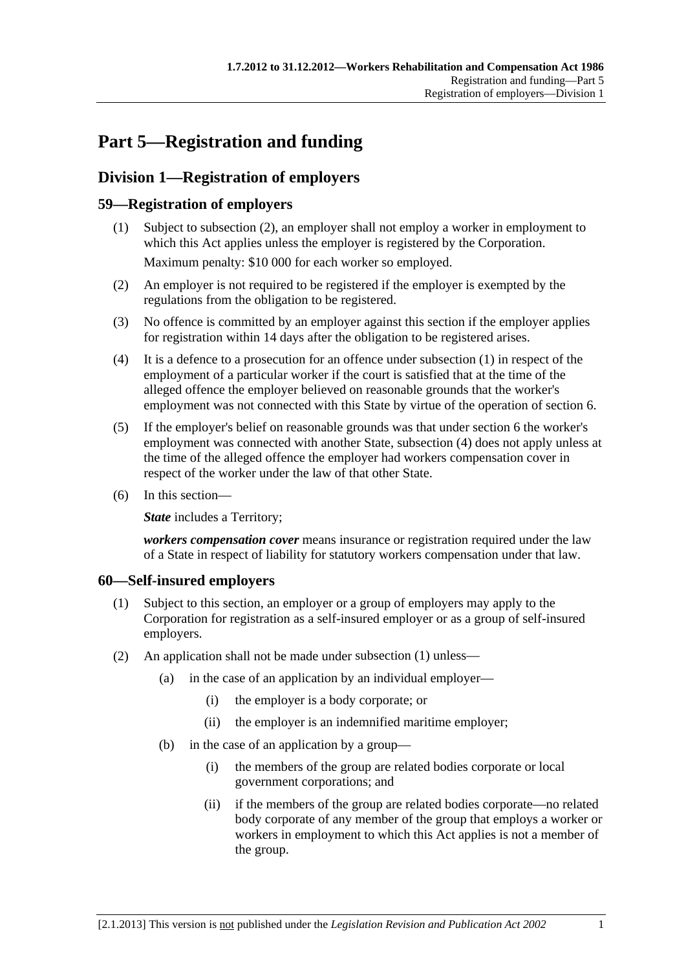# <span id="page-86-0"></span>**Part 5—Registration and funding**

# **Division 1—Registration of employers**

# **59—Registration of employers**

- (1) Subject to [subsection \(2\),](#page-86-0) an employer shall not employ a worker in employment to which this Act applies unless the employer is registered by the Corporation. Maximum penalty: \$10 000 for each worker so employed.
- (2) An employer is not required to be registered if the employer is exempted by the regulations from the obligation to be registered.
- (3) No offence is committed by an employer against this section if the employer applies for registration within 14 days after the obligation to be registered arises.
- (4) It is a defence to a prosecution for an offence under [subsection \(1\)](#page-86-0) in respect of the employment of a particular worker if the court is satisfied that at the time of the alleged offence the employer believed on reasonable grounds that the worker's employment was not connected with this State by virtue of the operation of [section 6](#page-22-0).
- (5) If the employer's belief on reasonable grounds was that under [section 6](#page-22-0) the worker's employment was connected with another State, [subsection \(4\)](#page-86-0) does not apply unless at the time of the alleged offence the employer had workers compensation cover in respect of the worker under the law of that other State.
- (6) In this section—

**State** includes a Territory;

*workers compensation cover* means insurance or registration required under the law of a State in respect of liability for statutory workers compensation under that law.

# **60—Self-insured employers**

- (1) Subject to this section, an employer or a group of employers may apply to the Corporation for registration as a self-insured employer or as a group of self-insured employers.
- (2) An application shall not be made under [subsection \(1\)](#page-86-0) unless—
	- (a) in the case of an application by an individual employer—
		- (i) the employer is a body corporate; or
		- (ii) the employer is an indemnified maritime employer;
	- (b) in the case of an application by a group—
		- (i) the members of the group are related bodies corporate or local government corporations; and
		- (ii) if the members of the group are related bodies corporate—no related body corporate of any member of the group that employs a worker or workers in employment to which this Act applies is not a member of the group.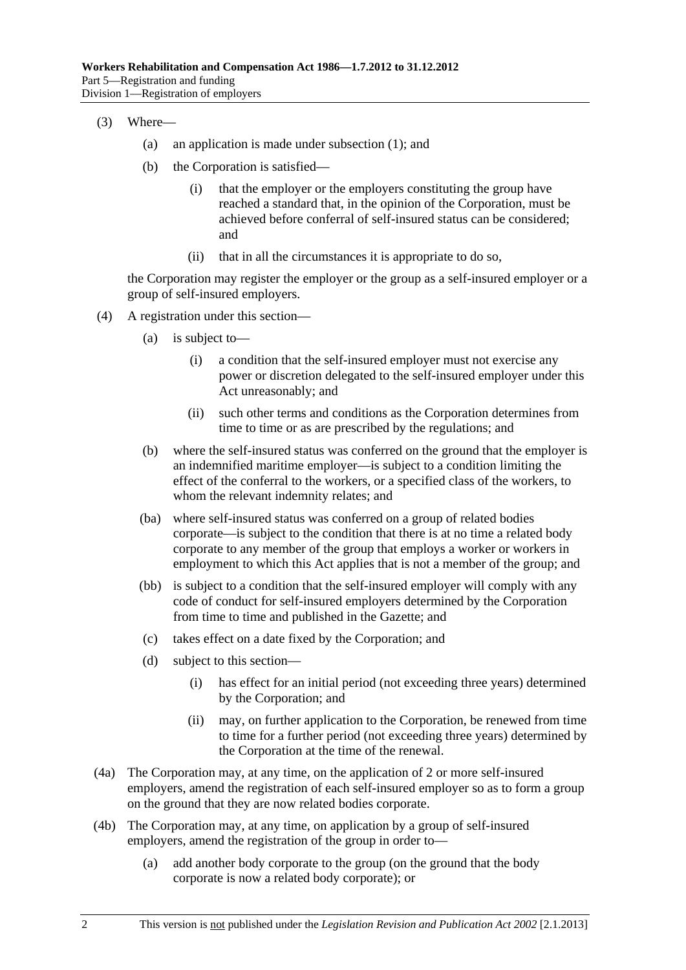- (3) Where—
	- (a) an application is made under [subsection \(1\)](#page-86-0); and
	- (b) the Corporation is satisfied—
		- (i) that the employer or the employers constituting the group have reached a standard that, in the opinion of the Corporation, must be achieved before conferral of self-insured status can be considered; and
		- (ii) that in all the circumstances it is appropriate to do so,

the Corporation may register the employer or the group as a self-insured employer or a group of self-insured employers.

- (4) A registration under this section—
	- (a) is subject to—
		- (i) a condition that the self-insured employer must not exercise any power or discretion delegated to the self-insured employer under this Act unreasonably; and
		- (ii) such other terms and conditions as the Corporation determines from time to time or as are prescribed by the regulations; and
	- (b) where the self-insured status was conferred on the ground that the employer is an indemnified maritime employer—is subject to a condition limiting the effect of the conferral to the workers, or a specified class of the workers, to whom the relevant indemnity relates; and
	- (ba) where self-insured status was conferred on a group of related bodies corporate—is subject to the condition that there is at no time a related body corporate to any member of the group that employs a worker or workers in employment to which this Act applies that is not a member of the group; and
	- (bb) is subject to a condition that the self-insured employer will comply with any code of conduct for self-insured employers determined by the Corporation from time to time and published in the Gazette; and
	- (c) takes effect on a date fixed by the Corporation; and
	- (d) subject to this section—
		- (i) has effect for an initial period (not exceeding three years) determined by the Corporation; and
		- (ii) may, on further application to the Corporation, be renewed from time to time for a further period (not exceeding three years) determined by the Corporation at the time of the renewal.
- (4a) The Corporation may, at any time, on the application of 2 or more self-insured employers, amend the registration of each self-insured employer so as to form a group on the ground that they are now related bodies corporate.
- (4b) The Corporation may, at any time, on application by a group of self-insured employers, amend the registration of the group in order to—
	- (a) add another body corporate to the group (on the ground that the body corporate is now a related body corporate); or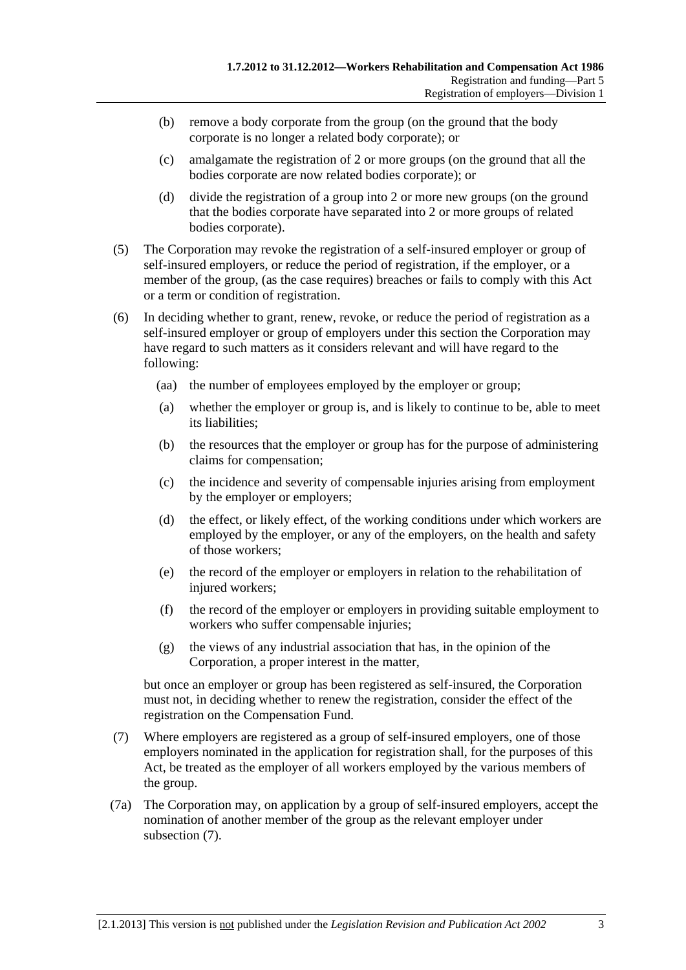- <span id="page-88-0"></span> (b) remove a body corporate from the group (on the ground that the body corporate is no longer a related body corporate); or
- (c) amalgamate the registration of 2 or more groups (on the ground that all the bodies corporate are now related bodies corporate); or
- (d) divide the registration of a group into 2 or more new groups (on the ground that the bodies corporate have separated into 2 or more groups of related bodies corporate).
- (5) The Corporation may revoke the registration of a self-insured employer or group of self-insured employers, or reduce the period of registration, if the employer, or a member of the group, (as the case requires) breaches or fails to comply with this Act or a term or condition of registration.
- (6) In deciding whether to grant, renew, revoke, or reduce the period of registration as a self-insured employer or group of employers under this section the Corporation may have regard to such matters as it considers relevant and will have regard to the following:
	- (aa) the number of employees employed by the employer or group;
	- (a) whether the employer or group is, and is likely to continue to be, able to meet its liabilities;
	- (b) the resources that the employer or group has for the purpose of administering claims for compensation;
	- (c) the incidence and severity of compensable injuries arising from employment by the employer or employers;
	- (d) the effect, or likely effect, of the working conditions under which workers are employed by the employer, or any of the employers, on the health and safety of those workers;
	- (e) the record of the employer or employers in relation to the rehabilitation of injured workers;
	- (f) the record of the employer or employers in providing suitable employment to workers who suffer compensable injuries;
	- (g) the views of any industrial association that has, in the opinion of the Corporation, a proper interest in the matter,

but once an employer or group has been registered as self-insured, the Corporation must not, in deciding whether to renew the registration, consider the effect of the registration on the Compensation Fund.

- (7) Where employers are registered as a group of self-insured employers, one of those employers nominated in the application for registration shall, for the purposes of this Act, be treated as the employer of all workers employed by the various members of the group.
- (7a) The Corporation may, on application by a group of self-insured employers, accept the nomination of another member of the group as the relevant employer under [subsection \(7\).](#page-88-0)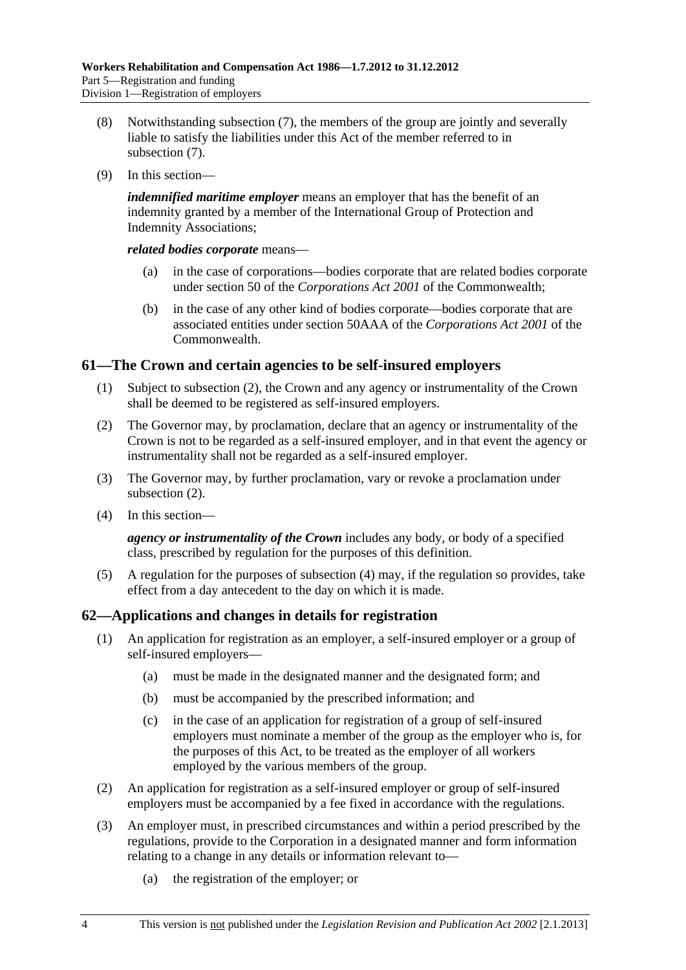- <span id="page-89-0"></span> (8) Notwithstanding [subsection \(7\)](#page-88-0), the members of the group are jointly and severally liable to satisfy the liabilities under this Act of the member referred to in [subsection \(7\).](#page-88-0)
- (9) In this section—

*indemnified maritime employer* means an employer that has the benefit of an indemnity granted by a member of the International Group of Protection and Indemnity Associations;

*related bodies corporate* means—

- (a) in the case of corporations—bodies corporate that are related bodies corporate under section 50 of the *Corporations Act 2001* of the Commonwealth;
- (b) in the case of any other kind of bodies corporate—bodies corporate that are associated entities under section 50AAA of the *Corporations Act 2001* of the **Commonwealth**

# **61—The Crown and certain agencies to be self-insured employers**

- (1) Subject to [subsection \(2\),](#page-89-0) the Crown and any agency or instrumentality of the Crown shall be deemed to be registered as self-insured employers.
- (2) The Governor may, by proclamation, declare that an agency or instrumentality of the Crown is not to be regarded as a self-insured employer, and in that event the agency or instrumentality shall not be regarded as a self-insured employer.
- (3) The Governor may, by further proclamation, vary or revoke a proclamation under [subsection \(2\).](#page-89-0)
- (4) In this section—

*agency or instrumentality of the Crown* includes any body, or body of a specified class, prescribed by regulation for the purposes of this definition.

 (5) A regulation for the purposes of [subsection \(4\)](#page-89-0) may, if the regulation so provides, take effect from a day antecedent to the day on which it is made.

# **62—Applications and changes in details for registration**

- (1) An application for registration as an employer, a self-insured employer or a group of self-insured employers—
	- (a) must be made in the designated manner and the designated form; and
	- (b) must be accompanied by the prescribed information; and
	- (c) in the case of an application for registration of a group of self-insured employers must nominate a member of the group as the employer who is, for the purposes of this Act, to be treated as the employer of all workers employed by the various members of the group.
- (2) An application for registration as a self-insured employer or group of self-insured employers must be accompanied by a fee fixed in accordance with the regulations.
- (3) An employer must, in prescribed circumstances and within a period prescribed by the regulations, provide to the Corporation in a designated manner and form information relating to a change in any details or information relevant to—
	- (a) the registration of the employer; or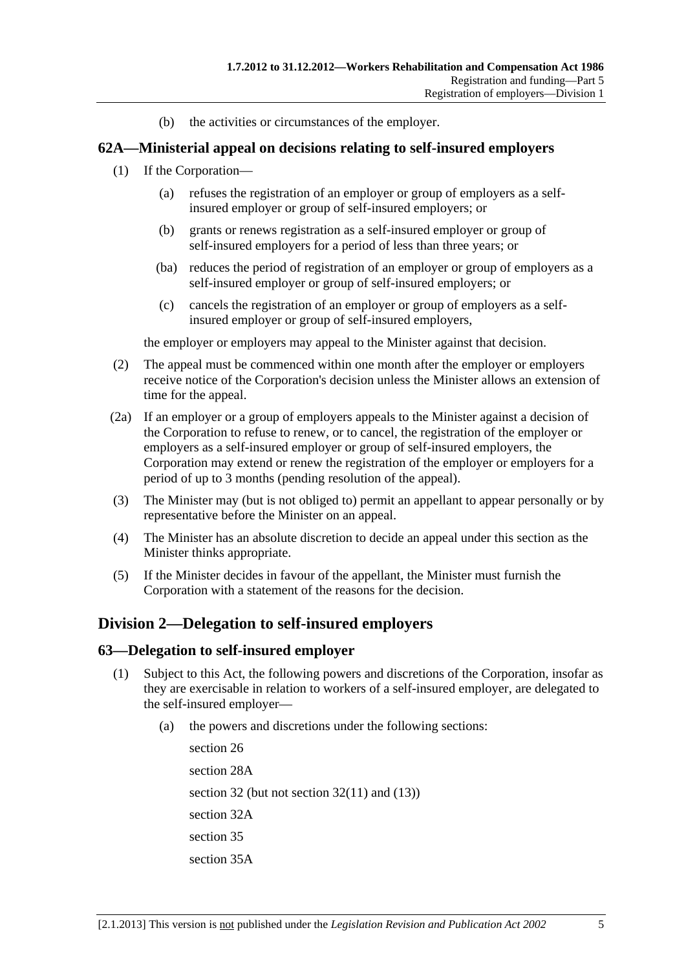(b) the activities or circumstances of the employer.

# <span id="page-90-0"></span>**62A—Ministerial appeal on decisions relating to self-insured employers**

- (1) If the Corporation—
	- (a) refuses the registration of an employer or group of employers as a selfinsured employer or group of self-insured employers; or
	- (b) grants or renews registration as a self-insured employer or group of self-insured employers for a period of less than three years; or
	- (ba) reduces the period of registration of an employer or group of employers as a self-insured employer or group of self-insured employers; or
	- (c) cancels the registration of an employer or group of employers as a selfinsured employer or group of self-insured employers,

the employer or employers may appeal to the Minister against that decision.

- (2) The appeal must be commenced within one month after the employer or employers receive notice of the Corporation's decision unless the Minister allows an extension of time for the appeal.
- (2a) If an employer or a group of employers appeals to the Minister against a decision of the Corporation to refuse to renew, or to cancel, the registration of the employer or employers as a self-insured employer or group of self-insured employers, the Corporation may extend or renew the registration of the employer or employers for a period of up to 3 months (pending resolution of the appeal).
- (3) The Minister may (but is not obliged to) permit an appellant to appear personally or by representative before the Minister on an appeal.
- (4) The Minister has an absolute discretion to decide an appeal under this section as the Minister thinks appropriate.
- (5) If the Minister decides in favour of the appellant, the Minister must furnish the Corporation with a statement of the reasons for the decision.

# **Division 2—Delegation to self-insured employers**

### **63—Delegation to self-insured employer**

- (1) Subject to this Act, the following powers and discretions of the Corporation, insofar as they are exercisable in relation to workers of a self-insured employer, are delegated to the self-insured employer—
	- (a) the powers and discretions under the following sections:

[section 26](#page-30-0) [section 28A](#page-31-0)  [section 32](#page-38-0) (but not section  $32(11)$  and  $(13)$ ) [section 32A](#page-41-0)  [section 35](#page-42-0) [section 35A](#page-44-0)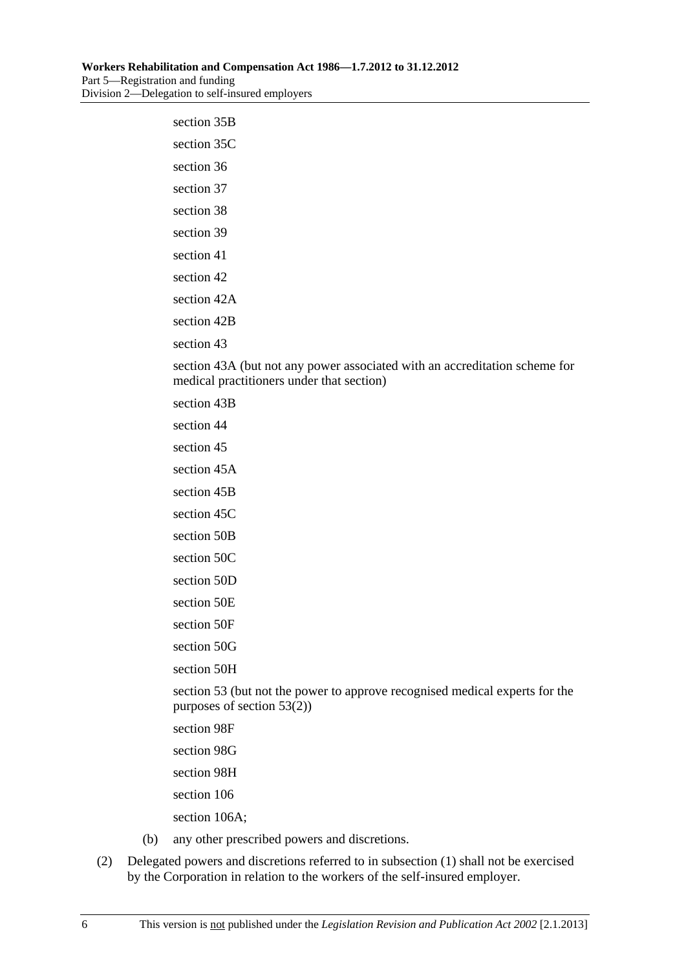# [section 35B](#page-45-0)  [section 35C](#page-46-0)  [section 36](#page-47-0) [section 37](#page-53-0) [section 38](#page-54-0) [section 39](#page-54-0) [section 41](#page-56-0) [section 42](#page-56-0) section 42A section 42B [section 43](#page-58-0)

[section 43A](#page-59-0) (but not any power associated with an accreditation scheme for medical practitioners under that section)

[section 43B](#page-60-0) 

[section 44](#page-61-0)

[section 45](#page-63-0)

[section 45A](#page-64-0) 

[section 45B](#page-66-0) 

[section 45C](#page-67-0) 

[section 50B](#page-70-0) 

[section 50C](#page-70-0) 

[section 50D](#page-71-0) 

[section 50E](#page-71-0)

[section 50F](#page-71-0) 

[section 50G](#page-71-0) 

[section 50H](#page-71-0) 

[section 53](#page-75-0) (but not the power to approve recognised medical experts for the purposes of [section 53\(2\)\)](#page-75-0)

[section 98F](#page-135-0) 

[section 98G](#page-135-0) 

[section 98H](#page-136-0) 

[section 106](#page-145-0)

[section 106A](#page-145-0);

- (b) any other prescribed powers and discretions.
- (2) Delegated powers and discretions referred to in [subsection \(1\)](#page-90-0) shall not be exercised by the Corporation in relation to the workers of the self-insured employer.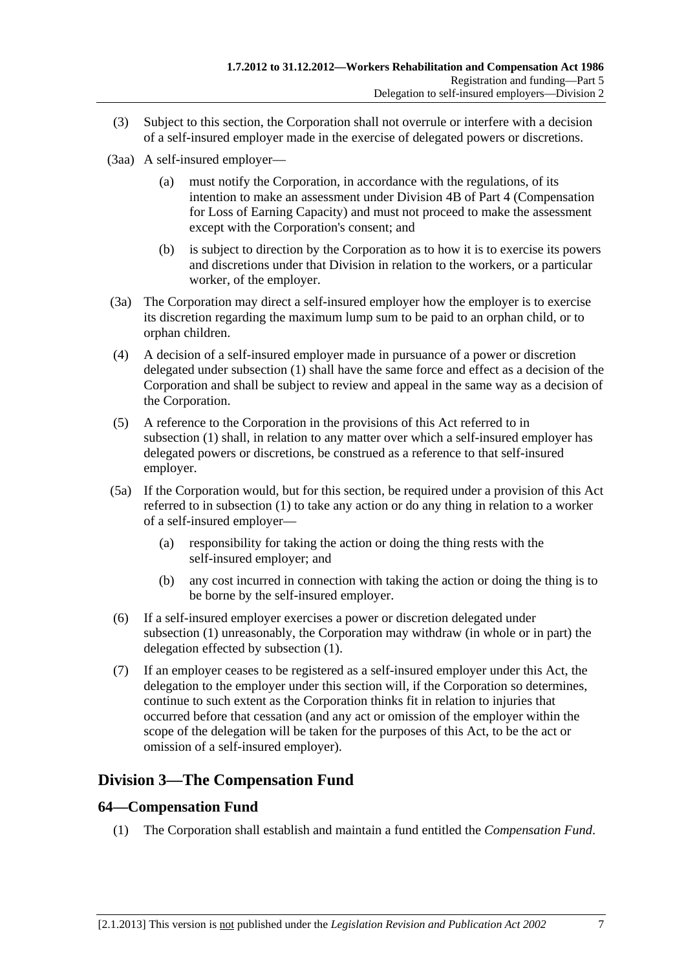- (3) Subject to this section, the Corporation shall not overrule or interfere with a decision of a self-insured employer made in the exercise of delegated powers or discretions.
- (3aa) A self-insured employer—
	- (a) must notify the Corporation, in accordance with the regulations, of its intention to make an assessment under Division 4B of [Part 4](#page-36-0) (Compensation for Loss of Earning Capacity) and must not proceed to make the assessment except with the Corporation's consent; and
	- (b) is subject to direction by the Corporation as to how it is to exercise its powers and discretions under that Division in relation to the workers, or a particular worker, of the employer.
- (3a) The Corporation may direct a self-insured employer how the employer is to exercise its discretion regarding the maximum lump sum to be paid to an orphan child, or to orphan children.
- (4) A decision of a self-insured employer made in pursuance of a power or discretion delegated under [subsection \(1\)](#page-90-0) shall have the same force and effect as a decision of the Corporation and shall be subject to review and appeal in the same way as a decision of the Corporation.
- (5) A reference to the Corporation in the provisions of this Act referred to in [subsection \(1\)](#page-90-0) shall, in relation to any matter over which a self-insured employer has delegated powers or discretions, be construed as a reference to that self-insured employer.
- (5a) If the Corporation would, but for this section, be required under a provision of this Act referred to in [subsection \(1\)](#page-90-0) to take any action or do any thing in relation to a worker of a self-insured employer—
	- (a) responsibility for taking the action or doing the thing rests with the self-insured employer; and
	- (b) any cost incurred in connection with taking the action or doing the thing is to be borne by the self-insured employer.
- (6) If a self-insured employer exercises a power or discretion delegated under [subsection \(1\)](#page-90-0) unreasonably, the Corporation may withdraw (in whole or in part) the delegation effected by [subsection \(1\).](#page-90-0)
- (7) If an employer ceases to be registered as a self-insured employer under this Act, the delegation to the employer under this section will, if the Corporation so determines, continue to such extent as the Corporation thinks fit in relation to injuries that occurred before that cessation (and any act or omission of the employer within the scope of the delegation will be taken for the purposes of this Act, to be the act or omission of a self-insured employer).

# **Division 3—The Compensation Fund**

# **64—Compensation Fund**

(1) The Corporation shall establish and maintain a fund entitled the *Compensation Fund*.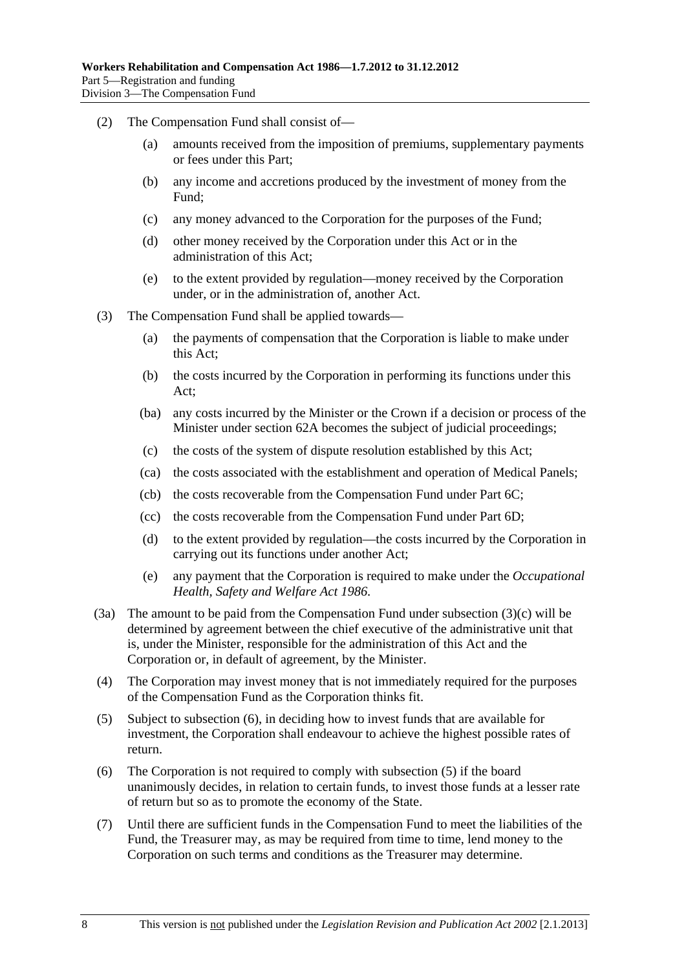- <span id="page-93-0"></span> (2) The Compensation Fund shall consist of—
	- (a) amounts received from the imposition of premiums, supplementary payments or fees under this Part;
	- (b) any income and accretions produced by the investment of money from the Fund;
	- (c) any money advanced to the Corporation for the purposes of the Fund;
	- (d) other money received by the Corporation under this Act or in the administration of this Act;
	- (e) to the extent provided by regulation—money received by the Corporation under, or in the administration of, another Act.
- (3) The Compensation Fund shall be applied towards—
	- (a) the payments of compensation that the Corporation is liable to make under this Act;
	- (b) the costs incurred by the Corporation in performing its functions under this Act;
	- (ba) any costs incurred by the Minister or the Crown if a decision or process of the Minister under [section 62A](#page-90-0) becomes the subject of judicial proceedings;
	- (c) the costs of the system of dispute resolution established by this Act;
	- (ca) the costs associated with the establishment and operation of Medical Panels;
	- (cb) the costs recoverable from the Compensation Fund under [Part 6C](#page-132-0);
	- (cc) the costs recoverable from the Compensation Fund under [Part 6D](#page-138-0);
	- (d) to the extent provided by regulation—the costs incurred by the Corporation in carrying out its functions under another Act;
	- (e) any payment that the Corporation is required to make under the *[Occupational](http://www.legislation.sa.gov.au/index.aspx?action=legref&type=act&legtitle=Occupational%20Health%20Safety%20and%20Welfare%20Act%201986)  [Health, Safety and Welfare Act 1986](http://www.legislation.sa.gov.au/index.aspx?action=legref&type=act&legtitle=Occupational%20Health%20Safety%20and%20Welfare%20Act%201986)*.
- (3a) The amount to be paid from the Compensation Fund under [subsection \(3\)\(c\)](#page-93-0) will be determined by agreement between the chief executive of the administrative unit that is, under the Minister, responsible for the administration of this Act and the Corporation or, in default of agreement, by the Minister.
- (4) The Corporation may invest money that is not immediately required for the purposes of the Compensation Fund as the Corporation thinks fit.
- (5) Subject to [subsection \(6\),](#page-93-0) in deciding how to invest funds that are available for investment, the Corporation shall endeavour to achieve the highest possible rates of return.
- (6) The Corporation is not required to comply with [subsection \(5\)](#page-93-0) if the board unanimously decides, in relation to certain funds, to invest those funds at a lesser rate of return but so as to promote the economy of the State.
- (7) Until there are sufficient funds in the Compensation Fund to meet the liabilities of the Fund, the Treasurer may, as may be required from time to time, lend money to the Corporation on such terms and conditions as the Treasurer may determine.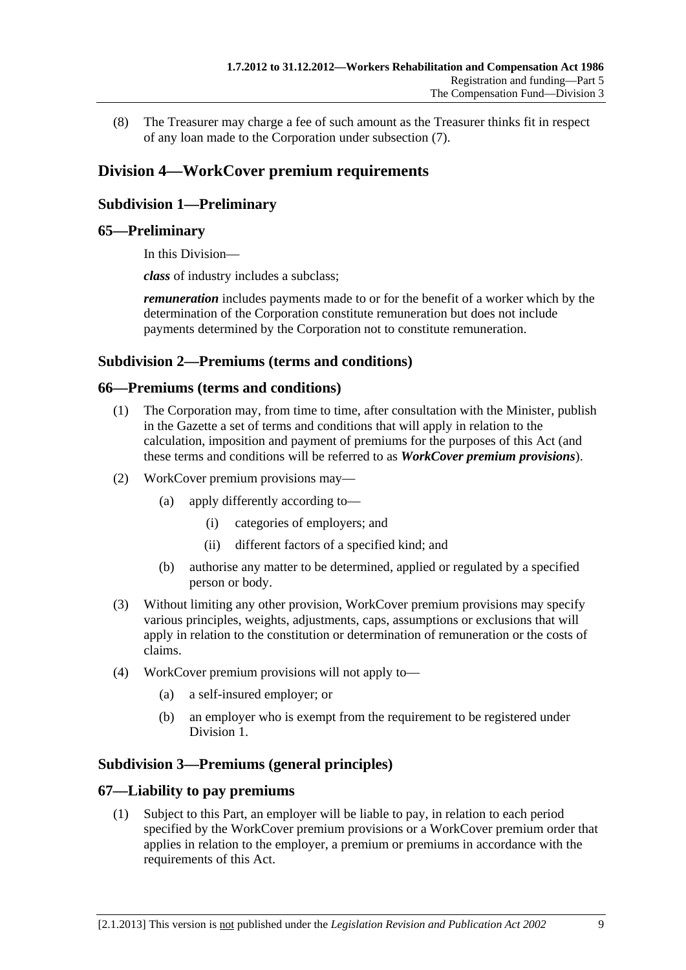(8) The Treasurer may charge a fee of such amount as the Treasurer thinks fit in respect of any loan made to the Corporation under [subsection \(7\)](#page-93-0).

# **Division 4—WorkCover premium requirements**

# **Subdivision 1—Preliminary**

# **65—Preliminary**

In this Division—

*class* of industry includes a subclass;

*remuneration* includes payments made to or for the benefit of a worker which by the determination of the Corporation constitute remuneration but does not include payments determined by the Corporation not to constitute remuneration.

### **Subdivision 2—Premiums (terms and conditions)**

### **66—Premiums (terms and conditions)**

- (1) The Corporation may, from time to time, after consultation with the Minister, publish in the Gazette a set of terms and conditions that will apply in relation to the calculation, imposition and payment of premiums for the purposes of this Act (and these terms and conditions will be referred to as *WorkCover premium provisions*).
- (2) WorkCover premium provisions may—
	- (a) apply differently according to—
		- (i) categories of employers; and
		- (ii) different factors of a specified kind; and
	- (b) authorise any matter to be determined, applied or regulated by a specified person or body.
- (3) Without limiting any other provision, WorkCover premium provisions may specify various principles, weights, adjustments, caps, assumptions or exclusions that will apply in relation to the constitution or determination of remuneration or the costs of claims.
- (4) WorkCover premium provisions will not apply to—
	- (a) a self-insured employer; or
	- (b) an employer who is exempt from the requirement to be registered under Division 1.

# **Subdivision 3—Premiums (general principles)**

### **67—Liability to pay premiums**

 (1) Subject to this Part, an employer will be liable to pay, in relation to each period specified by the WorkCover premium provisions or a WorkCover premium order that applies in relation to the employer, a premium or premiums in accordance with the requirements of this Act.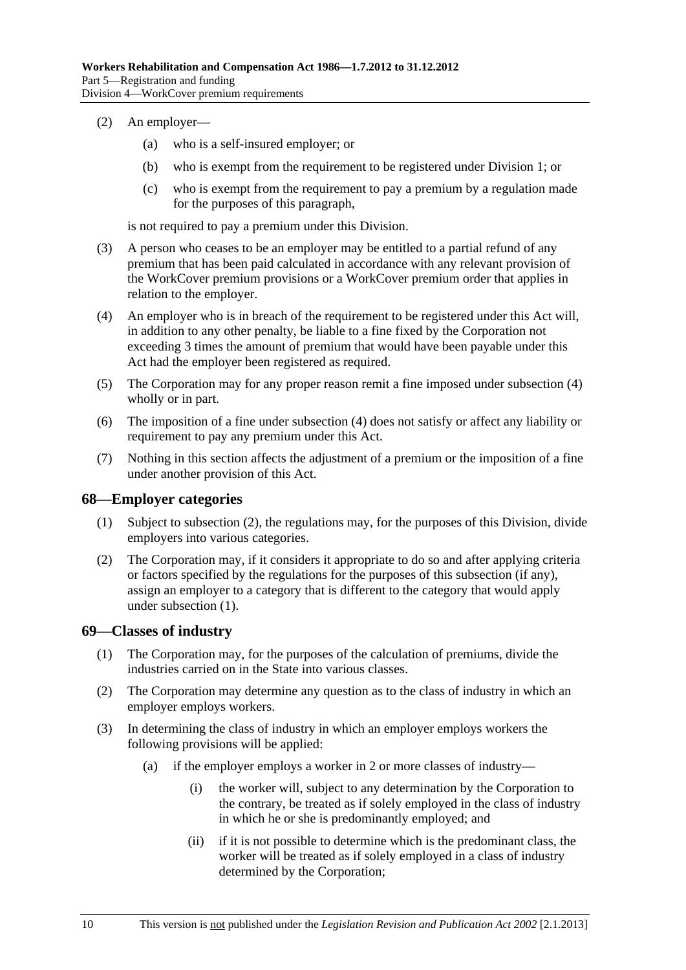- <span id="page-95-0"></span> (2) An employer—
	- (a) who is a self-insured employer; or
	- (b) who is exempt from the requirement to be registered under Division 1; or
	- (c) who is exempt from the requirement to pay a premium by a regulation made for the purposes of this paragraph,

is not required to pay a premium under this Division.

- (3) A person who ceases to be an employer may be entitled to a partial refund of any premium that has been paid calculated in accordance with any relevant provision of the WorkCover premium provisions or a WorkCover premium order that applies in relation to the employer.
- (4) An employer who is in breach of the requirement to be registered under this Act will, in addition to any other penalty, be liable to a fine fixed by the Corporation not exceeding 3 times the amount of premium that would have been payable under this Act had the employer been registered as required.
- (5) The Corporation may for any proper reason remit a fine imposed under [subsection \(4\)](#page-95-0)  wholly or in part.
- (6) The imposition of a fine under [subsection \(4\)](#page-95-0) does not satisfy or affect any liability or requirement to pay any premium under this Act.
- (7) Nothing in this section affects the adjustment of a premium or the imposition of a fine under another provision of this Act.

### **68—Employer categories**

- (1) Subject to [subsection \(2\),](#page-95-0) the regulations may, for the purposes of this Division, divide employers into various categories.
- (2) The Corporation may, if it considers it appropriate to do so and after applying criteria or factors specified by the regulations for the purposes of this subsection (if any), assign an employer to a category that is different to the category that would apply under [subsection \(1\).](#page-95-0)

### **69—Classes of industry**

- (1) The Corporation may, for the purposes of the calculation of premiums, divide the industries carried on in the State into various classes.
- (2) The Corporation may determine any question as to the class of industry in which an employer employs workers.
- (3) In determining the class of industry in which an employer employs workers the following provisions will be applied:
	- (a) if the employer employs a worker in 2 or more classes of industry—
		- (i) the worker will, subject to any determination by the Corporation to the contrary, be treated as if solely employed in the class of industry in which he or she is predominantly employed; and
		- (ii) if it is not possible to determine which is the predominant class, the worker will be treated as if solely employed in a class of industry determined by the Corporation;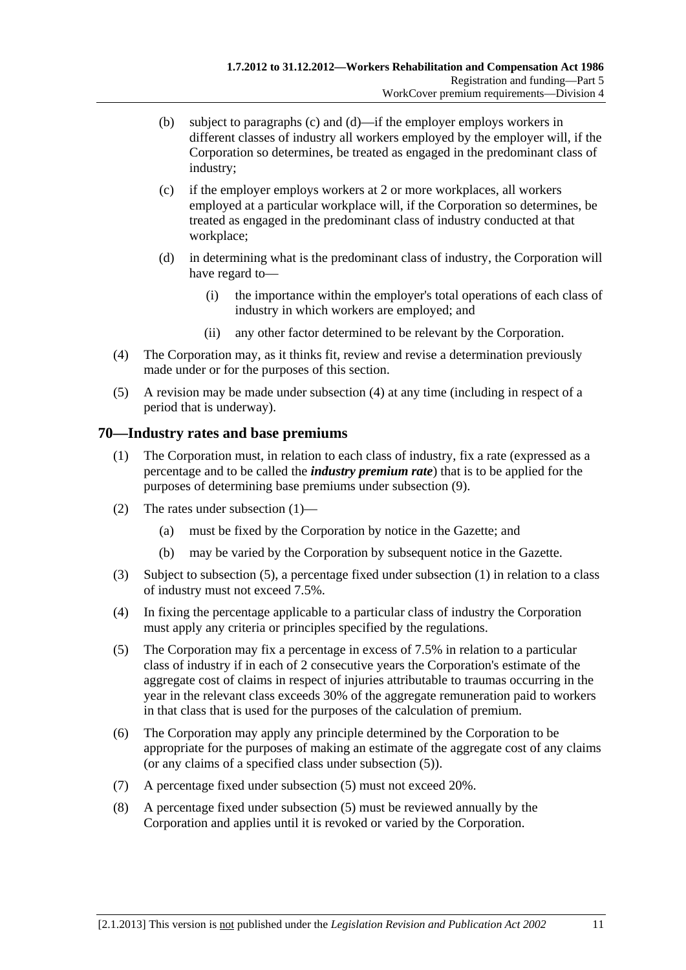- <span id="page-96-0"></span> (b) subject to [paragraphs \(c\)](#page-96-0) and [\(d\)—](#page-96-0)if the employer employs workers in different classes of industry all workers employed by the employer will, if the Corporation so determines, be treated as engaged in the predominant class of industry;
- (c) if the employer employs workers at 2 or more workplaces, all workers employed at a particular workplace will, if the Corporation so determines, be treated as engaged in the predominant class of industry conducted at that workplace;
- (d) in determining what is the predominant class of industry, the Corporation will have regard to—
	- (i) the importance within the employer's total operations of each class of industry in which workers are employed; and
	- (ii) any other factor determined to be relevant by the Corporation.
- (4) The Corporation may, as it thinks fit, review and revise a determination previously made under or for the purposes of this section.
- (5) A revision may be made under [subsection \(4\)](#page-96-0) at any time (including in respect of a period that is underway).

### **70—Industry rates and base premiums**

- (1) The Corporation must, in relation to each class of industry, fix a rate (expressed as a percentage and to be called the *industry premium rate*) that is to be applied for the purposes of determining base premiums under [subsection \(9\).](#page-97-0)
- (2) The rates under [subsection \(1\)](#page-96-0)
	- (a) must be fixed by the Corporation by notice in the Gazette; and
	- (b) may be varied by the Corporation by subsequent notice in the Gazette.
- (3) Subject to [subsection \(5\),](#page-96-0) a percentage fixed under [subsection \(1\)](#page-96-0) in relation to a class of industry must not exceed 7.5%.
- (4) In fixing the percentage applicable to a particular class of industry the Corporation must apply any criteria or principles specified by the regulations.
- (5) The Corporation may fix a percentage in excess of 7.5% in relation to a particular class of industry if in each of 2 consecutive years the Corporation's estimate of the aggregate cost of claims in respect of injuries attributable to traumas occurring in the year in the relevant class exceeds 30% of the aggregate remuneration paid to workers in that class that is used for the purposes of the calculation of premium.
- (6) The Corporation may apply any principle determined by the Corporation to be appropriate for the purposes of making an estimate of the aggregate cost of any claims (or any claims of a specified class under [subsection \(5\)](#page-96-0)).
- (7) A percentage fixed under [subsection \(5\)](#page-96-0) must not exceed 20%.
- (8) A percentage fixed under [subsection \(5\)](#page-96-0) must be reviewed annually by the Corporation and applies until it is revoked or varied by the Corporation.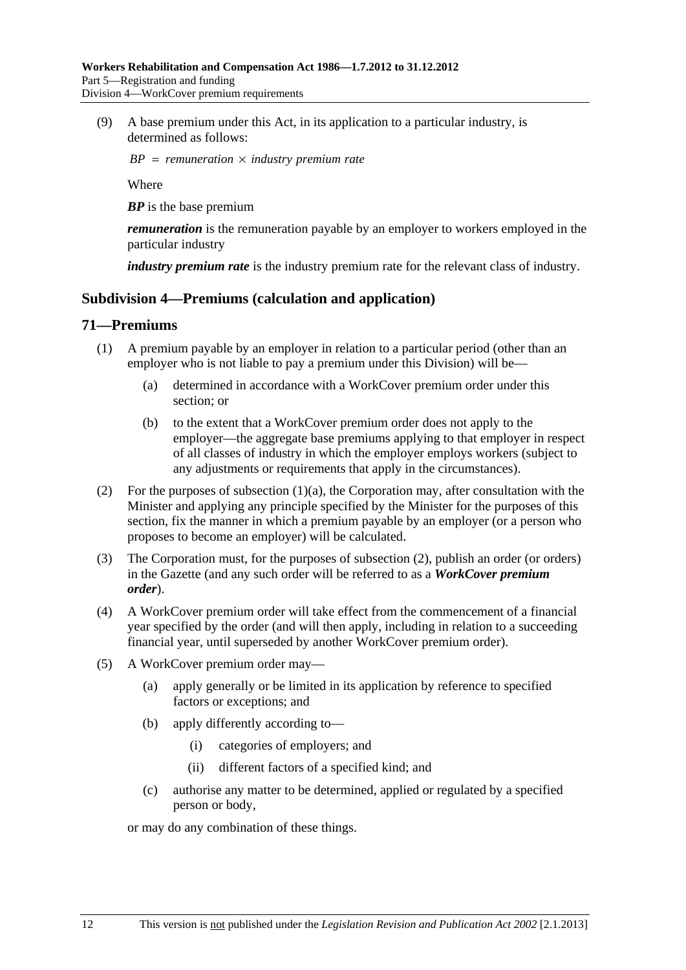<span id="page-97-0"></span> (9) A base premium under this Act, in its application to a particular industry, is determined as follows:

 $BP = remuneration \times industry premium rate$ 

Where

*BP* is the base premium

*remuneration* is the remuneration payable by an employer to workers employed in the particular industry

*industry premium rate* is the industry premium rate for the relevant class of industry.

### **Subdivision 4—Premiums (calculation and application)**

### **71—Premiums**

- (1) A premium payable by an employer in relation to a particular period (other than an employer who is not liable to pay a premium under this Division) will be—
	- (a) determined in accordance with a WorkCover premium order under this section; or
	- (b) to the extent that a WorkCover premium order does not apply to the employer—the aggregate base premiums applying to that employer in respect of all classes of industry in which the employer employs workers (subject to any adjustments or requirements that apply in the circumstances).
- (2) For the purposes of subsection  $(1)(a)$ , the Corporation may, after consultation with the Minister and applying any principle specified by the Minister for the purposes of this section, fix the manner in which a premium payable by an employer (or a person who proposes to become an employer) will be calculated.
- (3) The Corporation must, for the purposes of [subsection \(2\)](#page-97-0), publish an order (or orders) in the Gazette (and any such order will be referred to as a *WorkCover premium order*).
- (4) A WorkCover premium order will take effect from the commencement of a financial year specified by the order (and will then apply, including in relation to a succeeding financial year, until superseded by another WorkCover premium order).
- (5) A WorkCover premium order may—
	- (a) apply generally or be limited in its application by reference to specified factors or exceptions; and
	- (b) apply differently according to—
		- (i) categories of employers; and
		- (ii) different factors of a specified kind; and
	- (c) authorise any matter to be determined, applied or regulated by a specified person or body,

or may do any combination of these things.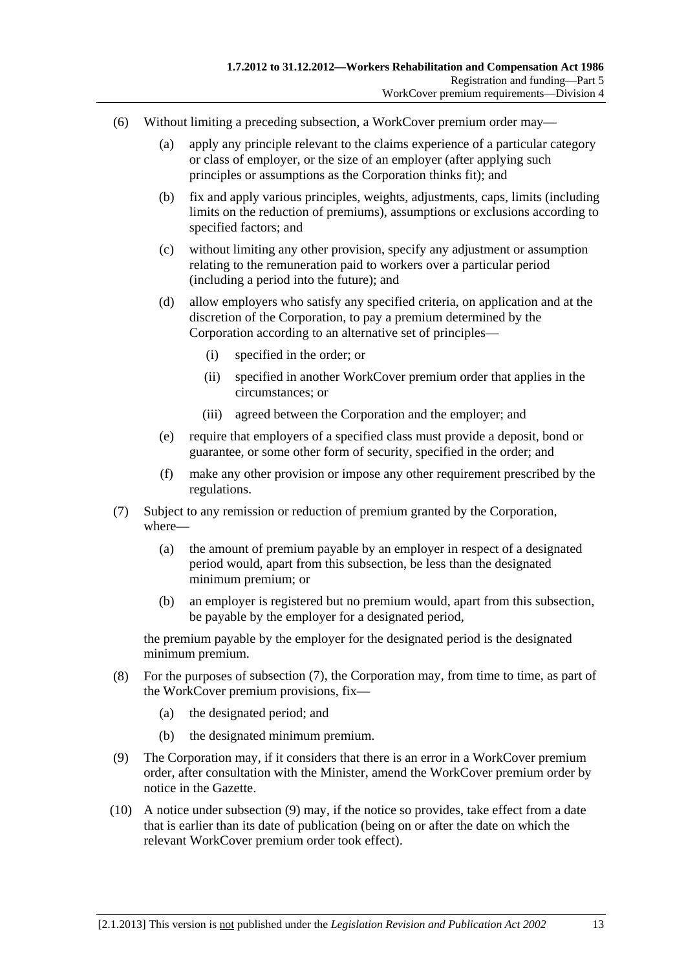- <span id="page-98-0"></span> (6) Without limiting a preceding subsection, a WorkCover premium order may—
	- (a) apply any principle relevant to the claims experience of a particular category or class of employer, or the size of an employer (after applying such principles or assumptions as the Corporation thinks fit); and
	- (b) fix and apply various principles, weights, adjustments, caps, limits (including limits on the reduction of premiums), assumptions or exclusions according to specified factors; and
	- (c) without limiting any other provision, specify any adjustment or assumption relating to the remuneration paid to workers over a particular period (including a period into the future); and
	- (d) allow employers who satisfy any specified criteria, on application and at the discretion of the Corporation, to pay a premium determined by the Corporation according to an alternative set of principles—
		- (i) specified in the order; or
		- (ii) specified in another WorkCover premium order that applies in the circumstances; or
		- (iii) agreed between the Corporation and the employer; and
	- (e) require that employers of a specified class must provide a deposit, bond or guarantee, or some other form of security, specified in the order; and
	- (f) make any other provision or impose any other requirement prescribed by the regulations.
- (7) Subject to any remission or reduction of premium granted by the Corporation, where—
	- (a) the amount of premium payable by an employer in respect of a designated period would, apart from this subsection, be less than the designated minimum premium; or
	- (b) an employer is registered but no premium would, apart from this subsection, be payable by the employer for a designated period,

the premium payable by the employer for the designated period is the designated minimum premium.

- (8) For the purposes of [subsection \(7\),](#page-98-0) the Corporation may, from time to time, as part of the WorkCover premium provisions, fix—
	- (a) the designated period; and
	- (b) the designated minimum premium.
- (9) The Corporation may, if it considers that there is an error in a WorkCover premium order, after consultation with the Minister, amend the WorkCover premium order by notice in the Gazette.
- (10) A notice under [subsection \(9\)](#page-98-0) may, if the notice so provides, take effect from a date that is earlier than its date of publication (being on or after the date on which the relevant WorkCover premium order took effect).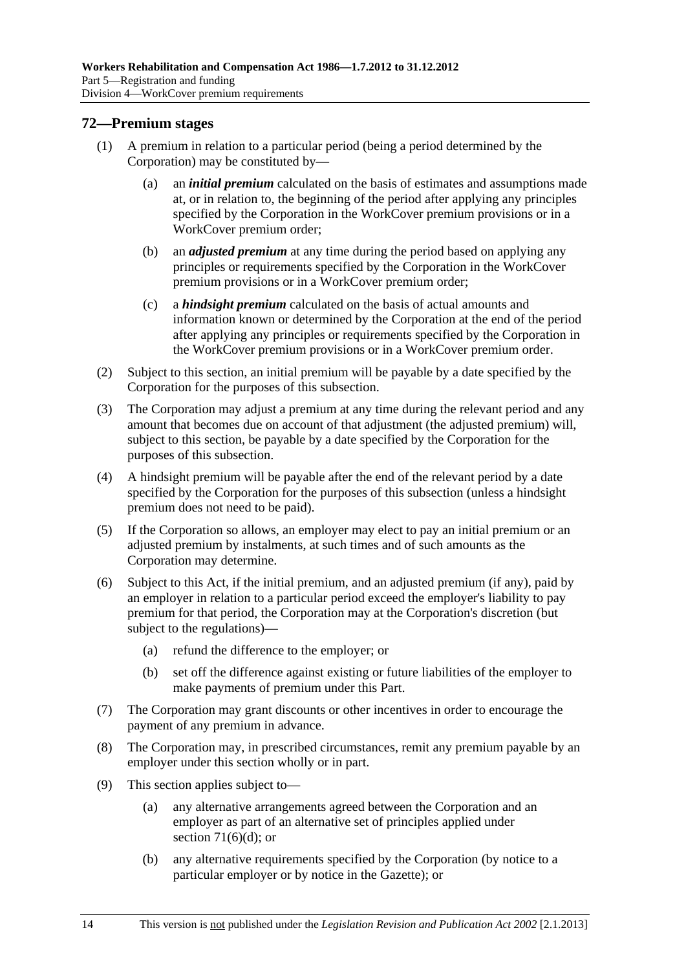# <span id="page-99-0"></span>**72—Premium stages**

- (1) A premium in relation to a particular period (being a period determined by the Corporation) may be constituted by—
	- (a) an *initial premium* calculated on the basis of estimates and assumptions made at, or in relation to, the beginning of the period after applying any principles specified by the Corporation in the WorkCover premium provisions or in a WorkCover premium order;
	- (b) an *adjusted premium* at any time during the period based on applying any principles or requirements specified by the Corporation in the WorkCover premium provisions or in a WorkCover premium order;
	- (c) a *hindsight premium* calculated on the basis of actual amounts and information known or determined by the Corporation at the end of the period after applying any principles or requirements specified by the Corporation in the WorkCover premium provisions or in a WorkCover premium order.
- (2) Subject to this section, an initial premium will be payable by a date specified by the Corporation for the purposes of this subsection.
- (3) The Corporation may adjust a premium at any time during the relevant period and any amount that becomes due on account of that adjustment (the adjusted premium) will, subject to this section, be payable by a date specified by the Corporation for the purposes of this subsection.
- (4) A hindsight premium will be payable after the end of the relevant period by a date specified by the Corporation for the purposes of this subsection (unless a hindsight premium does not need to be paid).
- (5) If the Corporation so allows, an employer may elect to pay an initial premium or an adjusted premium by instalments, at such times and of such amounts as the Corporation may determine.
- (6) Subject to this Act, if the initial premium, and an adjusted premium (if any), paid by an employer in relation to a particular period exceed the employer's liability to pay premium for that period, the Corporation may at the Corporation's discretion (but subject to the regulations)—
	- (a) refund the difference to the employer; or
	- (b) set off the difference against existing or future liabilities of the employer to make payments of premium under this Part.
- (7) The Corporation may grant discounts or other incentives in order to encourage the payment of any premium in advance.
- (8) The Corporation may, in prescribed circumstances, remit any premium payable by an employer under this section wholly or in part.
- (9) This section applies subject to—
	- (a) any alternative arrangements agreed between the Corporation and an employer as part of an alternative set of principles applied under section  $71(6)(d)$ ; or
	- (b) any alternative requirements specified by the Corporation (by notice to a particular employer or by notice in the Gazette); or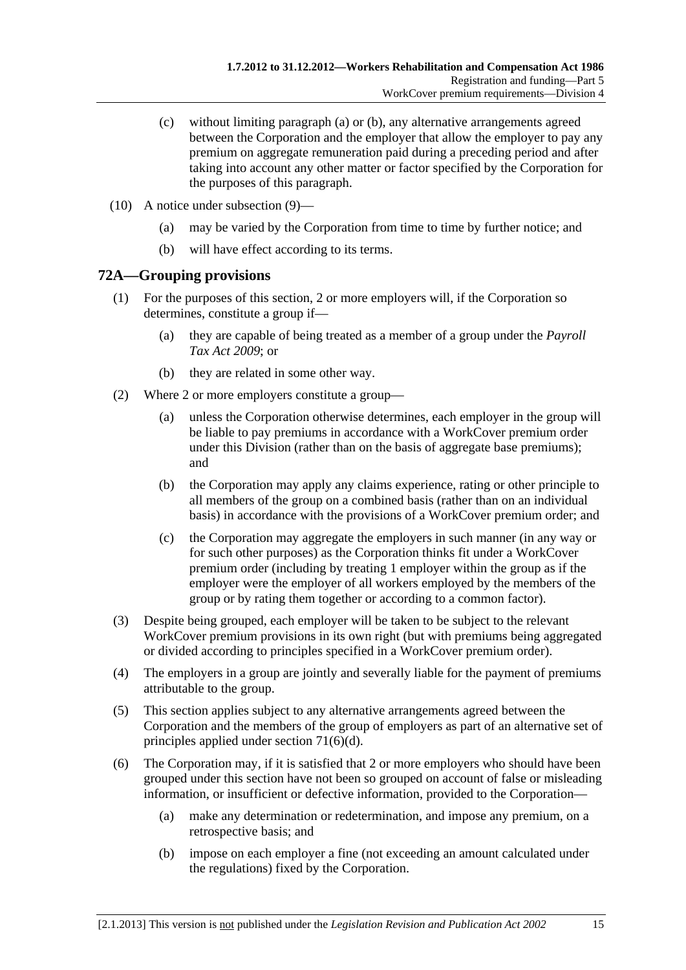- <span id="page-100-0"></span> (c) without limiting [paragraph \(a\)](#page-99-0) or [\(b\)](#page-99-0), any alternative arrangements agreed between the Corporation and the employer that allow the employer to pay any premium on aggregate remuneration paid during a preceding period and after taking into account any other matter or factor specified by the Corporation for the purposes of this paragraph.
- (10) A notice under [subsection \(9\)—](#page-99-0)
	- (a) may be varied by the Corporation from time to time by further notice; and
	- (b) will have effect according to its terms.

# **72A—Grouping provisions**

- (1) For the purposes of this section, 2 or more employers will, if the Corporation so determines, constitute a group if—
	- (a) they are capable of being treated as a member of a group under the *[Payroll](http://www.legislation.sa.gov.au/index.aspx?action=legref&type=act&legtitle=Payroll%20Tax%20Act%202009)  [Tax Act 2009](http://www.legislation.sa.gov.au/index.aspx?action=legref&type=act&legtitle=Payroll%20Tax%20Act%202009)*; or
	- (b) they are related in some other way.
- (2) Where 2 or more employers constitute a group—
	- (a) unless the Corporation otherwise determines, each employer in the group will be liable to pay premiums in accordance with a WorkCover premium order under this Division (rather than on the basis of aggregate base premiums); and
	- (b) the Corporation may apply any claims experience, rating or other principle to all members of the group on a combined basis (rather than on an individual basis) in accordance with the provisions of a WorkCover premium order; and
	- (c) the Corporation may aggregate the employers in such manner (in any way or for such other purposes) as the Corporation thinks fit under a WorkCover premium order (including by treating 1 employer within the group as if the employer were the employer of all workers employed by the members of the group or by rating them together or according to a common factor).
- (3) Despite being grouped, each employer will be taken to be subject to the relevant WorkCover premium provisions in its own right (but with premiums being aggregated or divided according to principles specified in a WorkCover premium order).
- (4) The employers in a group are jointly and severally liable for the payment of premiums attributable to the group.
- (5) This section applies subject to any alternative arrangements agreed between the Corporation and the members of the group of employers as part of an alternative set of principles applied under [section 71\(6\)\(d\).](#page-98-0)
- (6) The Corporation may, if it is satisfied that 2 or more employers who should have been grouped under this section have not been so grouped on account of false or misleading information, or insufficient or defective information, provided to the Corporation—
	- (a) make any determination or redetermination, and impose any premium, on a retrospective basis; and
	- (b) impose on each employer a fine (not exceeding an amount calculated under the regulations) fixed by the Corporation.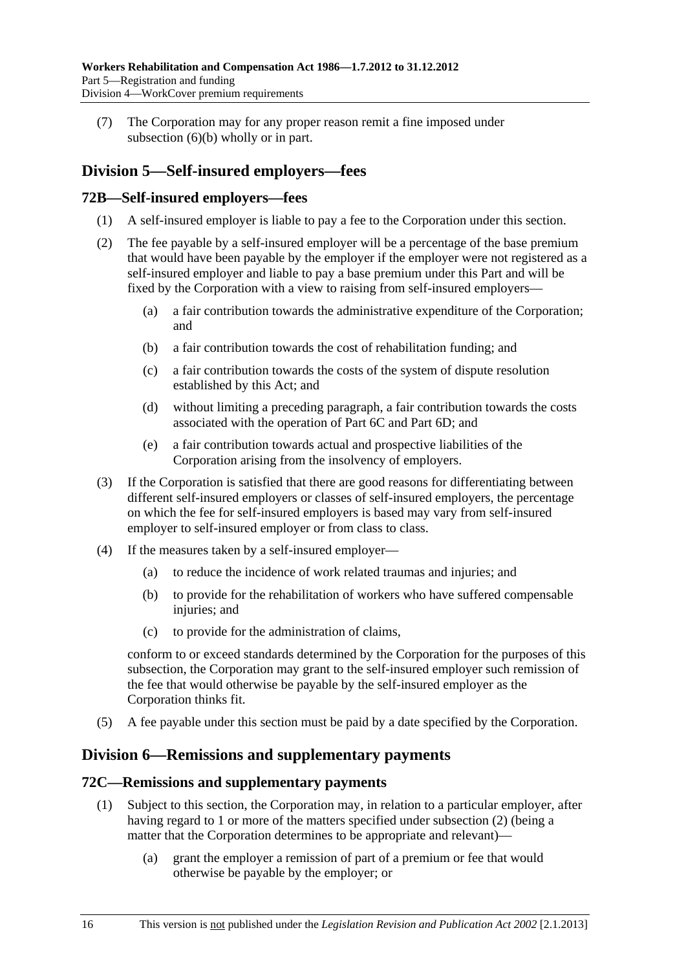<span id="page-101-0"></span> (7) The Corporation may for any proper reason remit a fine imposed under [subsection \(6\)\(b\)](#page-100-0) wholly or in part.

# **Division 5—Self-insured employers—fees**

# **72B—Self-insured employers—fees**

- (1) A self-insured employer is liable to pay a fee to the Corporation under this section.
- (2) The fee payable by a self-insured employer will be a percentage of the base premium that would have been payable by the employer if the employer were not registered as a self-insured employer and liable to pay a base premium under this Part and will be fixed by the Corporation with a view to raising from self-insured employers—
	- (a) a fair contribution towards the administrative expenditure of the Corporation; and
	- (b) a fair contribution towards the cost of rehabilitation funding; and
	- (c) a fair contribution towards the costs of the system of dispute resolution established by this Act; and
	- (d) without limiting a preceding paragraph, a fair contribution towards the costs associated with the operation of Part 6C and Part 6D; and
	- (e) a fair contribution towards actual and prospective liabilities of the Corporation arising from the insolvency of employers.
- (3) If the Corporation is satisfied that there are good reasons for differentiating between different self-insured employers or classes of self-insured employers, the percentage on which the fee for self-insured employers is based may vary from self-insured employer to self-insured employer or from class to class.
- (4) If the measures taken by a self-insured employer—
	- (a) to reduce the incidence of work related traumas and injuries; and
	- (b) to provide for the rehabilitation of workers who have suffered compensable injuries; and
	- (c) to provide for the administration of claims,

conform to or exceed standards determined by the Corporation for the purposes of this subsection, the Corporation may grant to the self-insured employer such remission of the fee that would otherwise be payable by the self-insured employer as the Corporation thinks fit.

(5) A fee payable under this section must be paid by a date specified by the Corporation.

# **Division 6—Remissions and supplementary payments**

# **72C—Remissions and supplementary payments**

- (1) Subject to this section, the Corporation may, in relation to a particular employer, after having regard to 1 or more of the matters specified under [subsection \(2\)](#page-102-0) (being a matter that the Corporation determines to be appropriate and relevant)—
	- (a) grant the employer a remission of part of a premium or fee that would otherwise be payable by the employer; or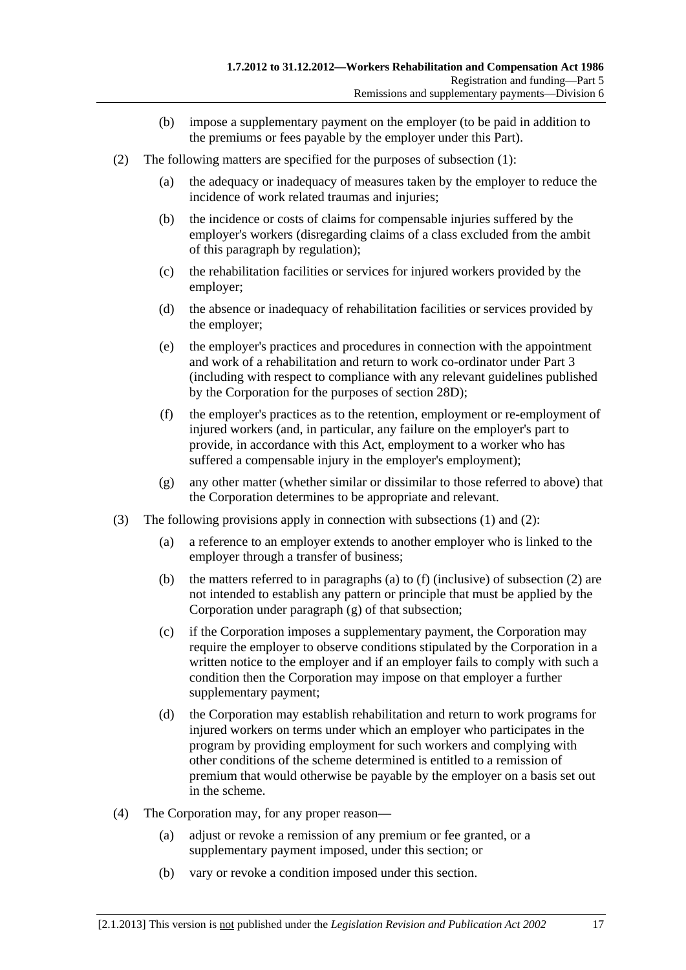- (b) impose a supplementary payment on the employer (to be paid in addition to the premiums or fees payable by the employer under this Part).
- <span id="page-102-0"></span> (2) The following matters are specified for the purposes of [subsection \(1\)](#page-101-0):
	- (a) the adequacy or inadequacy of measures taken by the employer to reduce the incidence of work related traumas and injuries;
	- (b) the incidence or costs of claims for compensable injuries suffered by the employer's workers (disregarding claims of a class excluded from the ambit of this paragraph by regulation);
	- (c) the rehabilitation facilities or services for injured workers provided by the employer;
	- (d) the absence or inadequacy of rehabilitation facilities or services provided by the employer;
	- (e) the employer's practices and procedures in connection with the appointment and work of a rehabilitation and return to work co-ordinator under Part 3 (including with respect to compliance with any relevant guidelines published by the Corporation for the purposes of [section 28D\)](#page-33-0);
	- (f) the employer's practices as to the retention, employment or re-employment of injured workers (and, in particular, any failure on the employer's part to provide, in accordance with this Act, employment to a worker who has suffered a compensable injury in the employer's employment);
	- (g) any other matter (whether similar or dissimilar to those referred to above) that the Corporation determines to be appropriate and relevant.
- (3) The following provisions apply in connection with [subsections \(1\)](#page-101-0) and [\(2\):](#page-102-0)
	- (a) a reference to an employer extends to another employer who is linked to the employer through a transfer of business;
	- (b) the matters referred to in [paragraphs \(a\)](#page-102-0) to [\(f\)](#page-102-0) (inclusive) of [subsection \(2\)](#page-102-0) are not intended to establish any pattern or principle that must be applied by the Corporation under [paragraph \(g\)](#page-102-0) of that subsection;
	- (c) if the Corporation imposes a supplementary payment, the Corporation may require the employer to observe conditions stipulated by the Corporation in a written notice to the employer and if an employer fails to comply with such a condition then the Corporation may impose on that employer a further supplementary payment;
	- (d) the Corporation may establish rehabilitation and return to work programs for injured workers on terms under which an employer who participates in the program by providing employment for such workers and complying with other conditions of the scheme determined is entitled to a remission of premium that would otherwise be payable by the employer on a basis set out in the scheme.
- (4) The Corporation may, for any proper reason—
	- (a) adjust or revoke a remission of any premium or fee granted, or a supplementary payment imposed, under this section; or
	- (b) vary or revoke a condition imposed under this section.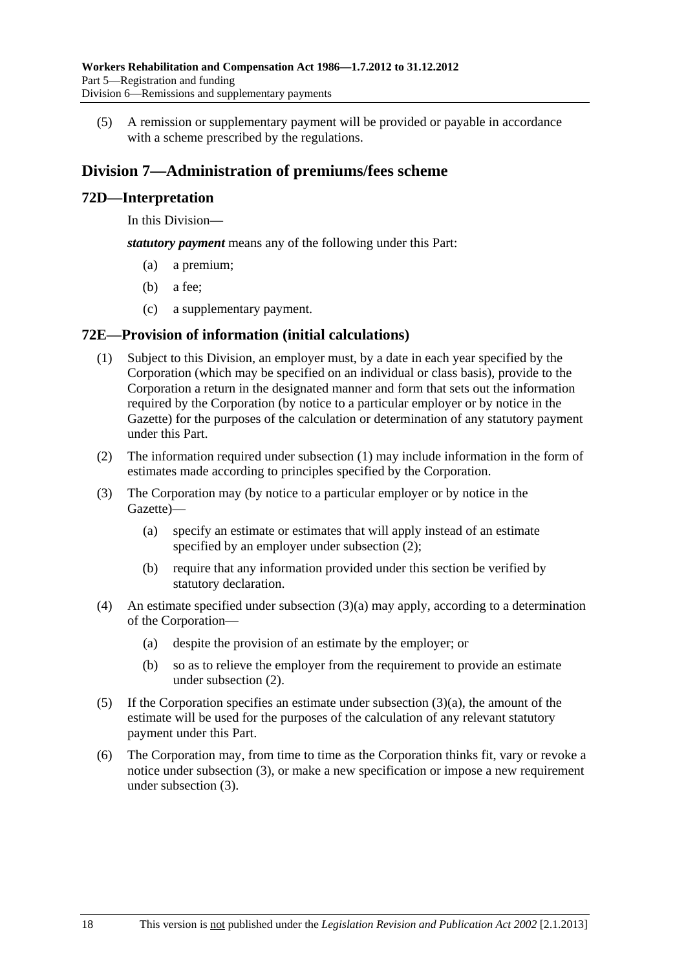<span id="page-103-0"></span> (5) A remission or supplementary payment will be provided or payable in accordance with a scheme prescribed by the regulations.

# **Division 7—Administration of premiums/fees scheme**

# **72D—Interpretation**

In this Division—

*statutory payment* means any of the following under this Part:

- (a) a premium;
- (b) a fee;
- (c) a supplementary payment.

### **72E—Provision of information (initial calculations)**

- (1) Subject to this Division, an employer must, by a date in each year specified by the Corporation (which may be specified on an individual or class basis), provide to the Corporation a return in the designated manner and form that sets out the information required by the Corporation (by notice to a particular employer or by notice in the Gazette) for the purposes of the calculation or determination of any statutory payment under this Part.
- (2) The information required under [subsection \(1\)](#page-103-0) may include information in the form of estimates made according to principles specified by the Corporation.
- (3) The Corporation may (by notice to a particular employer or by notice in the Gazette)—
	- (a) specify an estimate or estimates that will apply instead of an estimate specified by an employer under subsection  $(2)$ ;
	- (b) require that any information provided under this section be verified by statutory declaration.
- (4) An estimate specified under [subsection \(3\)\(a\)](#page-103-0) may apply, according to a determination of the Corporation—
	- (a) despite the provision of an estimate by the employer; or
	- (b) so as to relieve the employer from the requirement to provide an estimate under [subsection \(2\)](#page-103-0).
- (5) If the Corporation specifies an estimate under [subsection \(3\)\(a\)](#page-103-0), the amount of the estimate will be used for the purposes of the calculation of any relevant statutory payment under this Part.
- (6) The Corporation may, from time to time as the Corporation thinks fit, vary or revoke a notice under [subsection \(3\),](#page-103-0) or make a new specification or impose a new requirement under [subsection \(3\).](#page-103-0)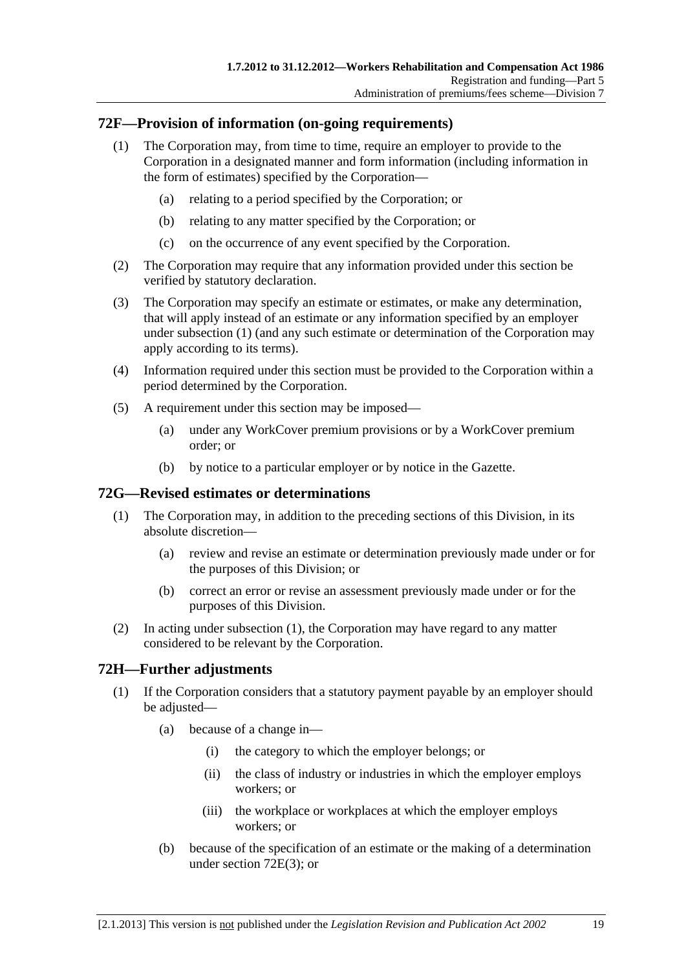# <span id="page-104-0"></span>**72F—Provision of information (on-going requirements)**

- (1) The Corporation may, from time to time, require an employer to provide to the Corporation in a designated manner and form information (including information in the form of estimates) specified by the Corporation—
	- (a) relating to a period specified by the Corporation; or
	- (b) relating to any matter specified by the Corporation; or
	- (c) on the occurrence of any event specified by the Corporation.
- (2) The Corporation may require that any information provided under this section be verified by statutory declaration.
- (3) The Corporation may specify an estimate or estimates, or make any determination, that will apply instead of an estimate or any information specified by an employer under [subsection \(1\)](#page-104-0) (and any such estimate or determination of the Corporation may apply according to its terms).
- (4) Information required under this section must be provided to the Corporation within a period determined by the Corporation.
- (5) A requirement under this section may be imposed—
	- (a) under any WorkCover premium provisions or by a WorkCover premium order; or
	- (b) by notice to a particular employer or by notice in the Gazette.

### **72G—Revised estimates or determinations**

- (1) The Corporation may, in addition to the preceding sections of this Division, in its absolute discretion—
	- (a) review and revise an estimate or determination previously made under or for the purposes of this Division; or
	- (b) correct an error or revise an assessment previously made under or for the purposes of this Division.
- (2) In acting under [subsection \(1\)](#page-104-0), the Corporation may have regard to any matter considered to be relevant by the Corporation.

# **72H—Further adjustments**

- (1) If the Corporation considers that a statutory payment payable by an employer should be adjusted—
	- (a) because of a change in—
		- (i) the category to which the employer belongs; or
		- (ii) the class of industry or industries in which the employer employs workers; or
		- (iii) the workplace or workplaces at which the employer employs workers; or
	- (b) because of the specification of an estimate or the making of a determination under [section 72E\(3\);](#page-103-0) or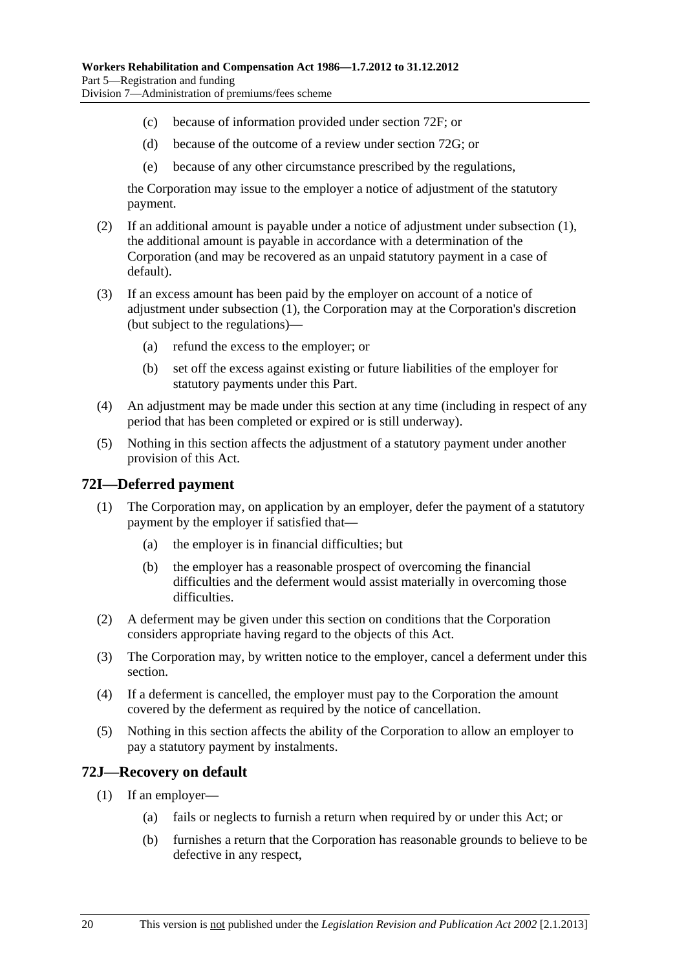- <span id="page-105-0"></span>(c) because of information provided under [section 72F](#page-104-0); or
- (d) because of the outcome of a review under [section 72G](#page-104-0); or
- (e) because of any other circumstance prescribed by the regulations,

the Corporation may issue to the employer a notice of adjustment of the statutory payment.

- (2) If an additional amount is payable under a notice of adjustment under [subsection \(1\)](#page-104-0), the additional amount is payable in accordance with a determination of the Corporation (and may be recovered as an unpaid statutory payment in a case of default).
- (3) If an excess amount has been paid by the employer on account of a notice of adjustment under [subsection \(1\),](#page-104-0) the Corporation may at the Corporation's discretion (but subject to the regulations)—
	- (a) refund the excess to the employer; or
	- (b) set off the excess against existing or future liabilities of the employer for statutory payments under this Part.
- (4) An adjustment may be made under this section at any time (including in respect of any period that has been completed or expired or is still underway).
- (5) Nothing in this section affects the adjustment of a statutory payment under another provision of this Act.

### **72I—Deferred payment**

- (1) The Corporation may, on application by an employer, defer the payment of a statutory payment by the employer if satisfied that—
	- (a) the employer is in financial difficulties; but
	- (b) the employer has a reasonable prospect of overcoming the financial difficulties and the deferment would assist materially in overcoming those difficulties.
- (2) A deferment may be given under this section on conditions that the Corporation considers appropriate having regard to the objects of this Act.
- (3) The Corporation may, by written notice to the employer, cancel a deferment under this section.
- (4) If a deferment is cancelled, the employer must pay to the Corporation the amount covered by the deferment as required by the notice of cancellation.
- (5) Nothing in this section affects the ability of the Corporation to allow an employer to pay a statutory payment by instalments.

### **72J—Recovery on default**

- (1) If an employer—
	- (a) fails or neglects to furnish a return when required by or under this Act; or
	- (b) furnishes a return that the Corporation has reasonable grounds to believe to be defective in any respect,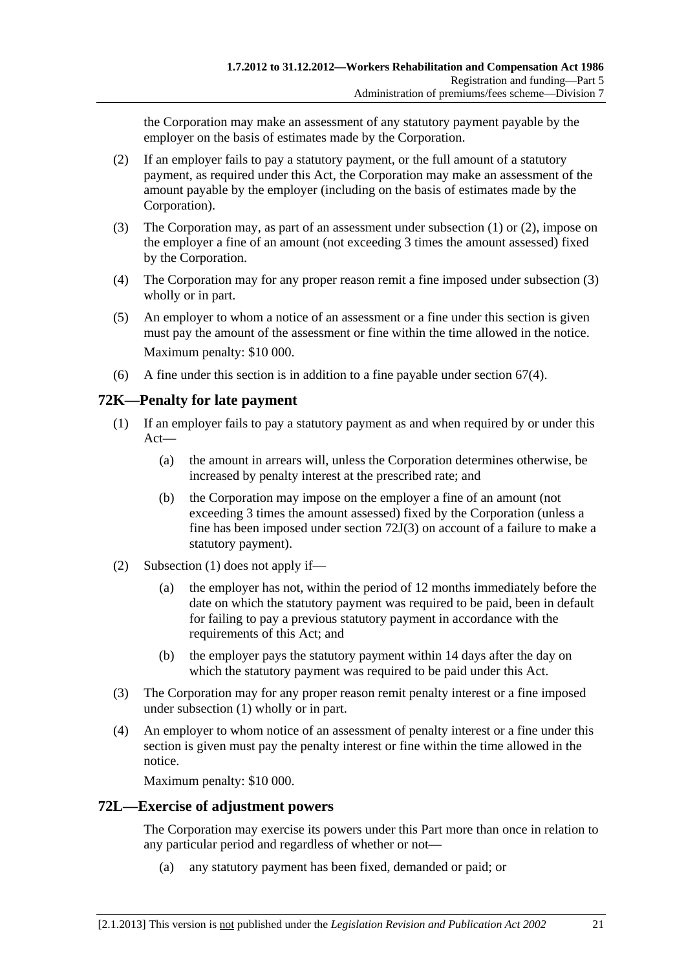<span id="page-106-0"></span>the Corporation may make an assessment of any statutory payment payable by the employer on the basis of estimates made by the Corporation.

- (2) If an employer fails to pay a statutory payment, or the full amount of a statutory payment, as required under this Act, the Corporation may make an assessment of the amount payable by the employer (including on the basis of estimates made by the Corporation).
- (3) The Corporation may, as part of an assessment under [subsection \(1\)](#page-105-0) or [\(2\),](#page-106-0) impose on the employer a fine of an amount (not exceeding 3 times the amount assessed) fixed by the Corporation.
- (4) The Corporation may for any proper reason remit a fine imposed under [subsection \(3\)](#page-106-0)  wholly or in part.
- (5) An employer to whom a notice of an assessment or a fine under this section is given must pay the amount of the assessment or fine within the time allowed in the notice. Maximum penalty: \$10 000.
- (6) A fine under this section is in addition to a fine payable under [section 67\(4\)](#page-95-0).

# **72K—Penalty for late payment**

- (1) If an employer fails to pay a statutory payment as and when required by or under this Act—
	- (a) the amount in arrears will, unless the Corporation determines otherwise, be increased by penalty interest at the prescribed rate; and
	- (b) the Corporation may impose on the employer a fine of an amount (not exceeding 3 times the amount assessed) fixed by the Corporation (unless a fine has been imposed under [section 72J\(3\)](#page-106-0) on account of a failure to make a statutory payment).
- (2) [Subsection \(1\)](#page-106-0) does not apply if—
	- (a) the employer has not, within the period of 12 months immediately before the date on which the statutory payment was required to be paid, been in default for failing to pay a previous statutory payment in accordance with the requirements of this Act; and
	- (b) the employer pays the statutory payment within 14 days after the day on which the statutory payment was required to be paid under this Act.
- (3) The Corporation may for any proper reason remit penalty interest or a fine imposed under [subsection \(1\)](#page-106-0) wholly or in part.
- (4) An employer to whom notice of an assessment of penalty interest or a fine under this section is given must pay the penalty interest or fine within the time allowed in the notice.

Maximum penalty: \$10 000.

# **72L—Exercise of adjustment powers**

The Corporation may exercise its powers under this Part more than once in relation to any particular period and regardless of whether or not—

(a) any statutory payment has been fixed, demanded or paid; or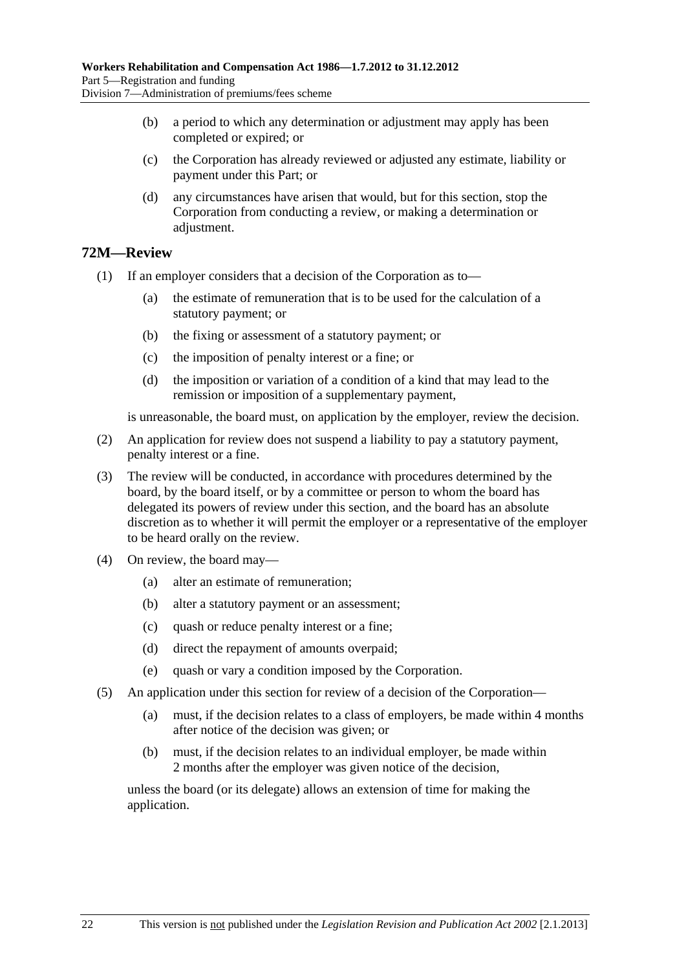- (b) a period to which any determination or adjustment may apply has been completed or expired; or
- (c) the Corporation has already reviewed or adjusted any estimate, liability or payment under this Part; or
- (d) any circumstances have arisen that would, but for this section, stop the Corporation from conducting a review, or making a determination or adjustment.

# **72M—Review**

(1) If an employer considers that a decision of the Corporation as to—

- (a) the estimate of remuneration that is to be used for the calculation of a statutory payment; or
- (b) the fixing or assessment of a statutory payment; or
- (c) the imposition of penalty interest or a fine; or
- (d) the imposition or variation of a condition of a kind that may lead to the remission or imposition of a supplementary payment,

is unreasonable, the board must, on application by the employer, review the decision.

- (2) An application for review does not suspend a liability to pay a statutory payment, penalty interest or a fine.
- (3) The review will be conducted, in accordance with procedures determined by the board, by the board itself, or by a committee or person to whom the board has delegated its powers of review under this section, and the board has an absolute discretion as to whether it will permit the employer or a representative of the employer to be heard orally on the review.
- (4) On review, the board may—
	- (a) alter an estimate of remuneration;
	- (b) alter a statutory payment or an assessment;
	- (c) quash or reduce penalty interest or a fine;
	- (d) direct the repayment of amounts overpaid;
	- (e) quash or vary a condition imposed by the Corporation.
- (5) An application under this section for review of a decision of the Corporation—
	- (a) must, if the decision relates to a class of employers, be made within 4 months after notice of the decision was given; or
	- (b) must, if the decision relates to an individual employer, be made within 2 months after the employer was given notice of the decision,

unless the board (or its delegate) allows an extension of time for making the application.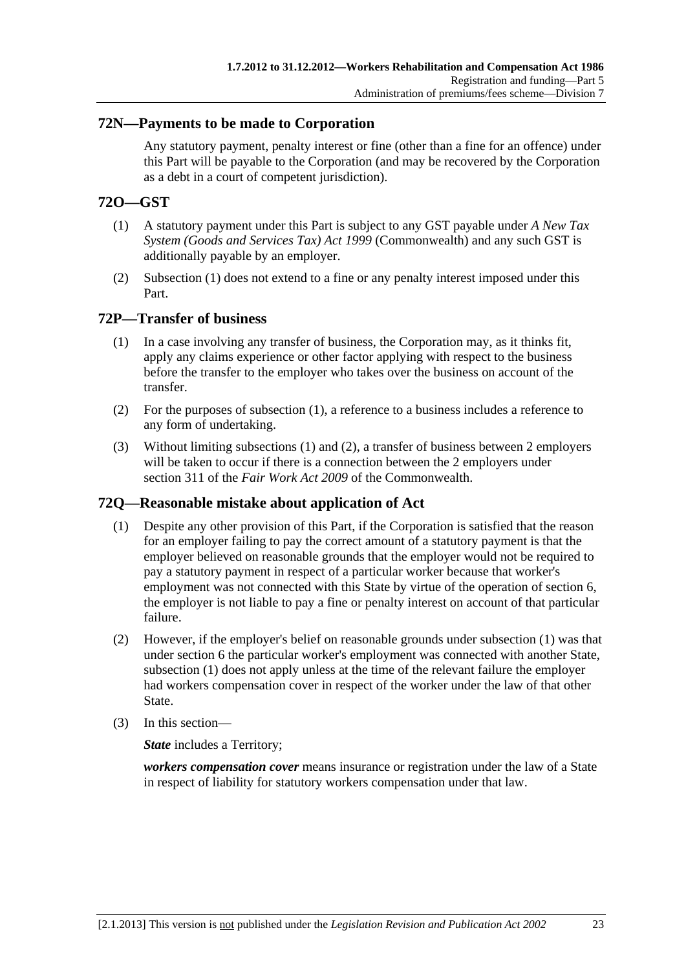### <span id="page-108-0"></span>**72N—Payments to be made to Corporation**

Any statutory payment, penalty interest or fine (other than a fine for an offence) under this Part will be payable to the Corporation (and may be recovered by the Corporation as a debt in a court of competent jurisdiction).

# **72O—GST**

- (1) A statutory payment under this Part is subject to any GST payable under *A New Tax System (Goods and Services Tax) Act 1999* (Commonwealth) and any such GST is additionally payable by an employer.
- (2) [Subsection \(1\)](#page-108-0) does not extend to a fine or any penalty interest imposed under this Part.

### **72P—Transfer of business**

- (1) In a case involving any transfer of business, the Corporation may, as it thinks fit, apply any claims experience or other factor applying with respect to the business before the transfer to the employer who takes over the business on account of the transfer.
- (2) For the purposes of [subsection \(1\),](#page-108-0) a reference to a business includes a reference to any form of undertaking.
- (3) Without limiting [subsections \(1\)](#page-108-0) and [\(2\),](#page-108-0) a transfer of business between 2 employers will be taken to occur if there is a connection between the 2 employers under section 311 of the *Fair Work Act 2009* of the Commonwealth.

# **72Q—Reasonable mistake about application of Act**

- (1) Despite any other provision of this Part, if the Corporation is satisfied that the reason for an employer failing to pay the correct amount of a statutory payment is that the employer believed on reasonable grounds that the employer would not be required to pay a statutory payment in respect of a particular worker because that worker's employment was not connected with this State by virtue of the operation of [section 6](#page-22-0), the employer is not liable to pay a fine or penalty interest on account of that particular failure.
- (2) However, if the employer's belief on reasonable grounds under [subsection \(1\)](#page-108-0) was that under [section 6](#page-22-0) the particular worker's employment was connected with another State, [subsection \(1\)](#page-108-0) does not apply unless at the time of the relevant failure the employer had workers compensation cover in respect of the worker under the law of that other State.
- (3) In this section—

*State* includes a Territory;

*workers compensation cover* means insurance or registration under the law of a State in respect of liability for statutory workers compensation under that law.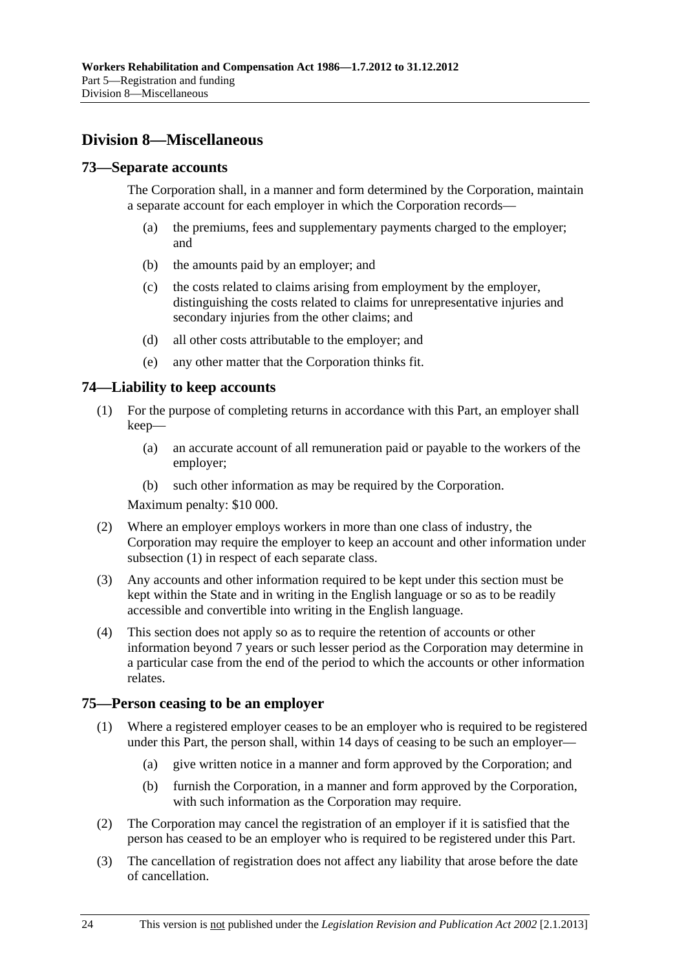# <span id="page-109-0"></span>**Division 8—Miscellaneous**

### **73—Separate accounts**

The Corporation shall, in a manner and form determined by the Corporation, maintain a separate account for each employer in which the Corporation records—

- (a) the premiums, fees and supplementary payments charged to the employer; and
- (b) the amounts paid by an employer; and
- (c) the costs related to claims arising from employment by the employer, distinguishing the costs related to claims for unrepresentative injuries and secondary injuries from the other claims; and
- (d) all other costs attributable to the employer; and
- (e) any other matter that the Corporation thinks fit.

# **74—Liability to keep accounts**

- (1) For the purpose of completing returns in accordance with this Part, an employer shall keep—
	- (a) an accurate account of all remuneration paid or payable to the workers of the employer;
	- (b) such other information as may be required by the Corporation.

Maximum penalty: \$10 000.

- (2) Where an employer employs workers in more than one class of industry, the Corporation may require the employer to keep an account and other information under [subsection \(1\)](#page-109-0) in respect of each separate class.
- (3) Any accounts and other information required to be kept under this section must be kept within the State and in writing in the English language or so as to be readily accessible and convertible into writing in the English language.
- (4) This section does not apply so as to require the retention of accounts or other information beyond 7 years or such lesser period as the Corporation may determine in a particular case from the end of the period to which the accounts or other information relates.

#### **75—Person ceasing to be an employer**

- (1) Where a registered employer ceases to be an employer who is required to be registered under this Part, the person shall, within 14 days of ceasing to be such an employer—
	- (a) give written notice in a manner and form approved by the Corporation; and
	- (b) furnish the Corporation, in a manner and form approved by the Corporation, with such information as the Corporation may require.
- (2) The Corporation may cancel the registration of an employer if it is satisfied that the person has ceased to be an employer who is required to be registered under this Part.
- (3) The cancellation of registration does not affect any liability that arose before the date of cancellation.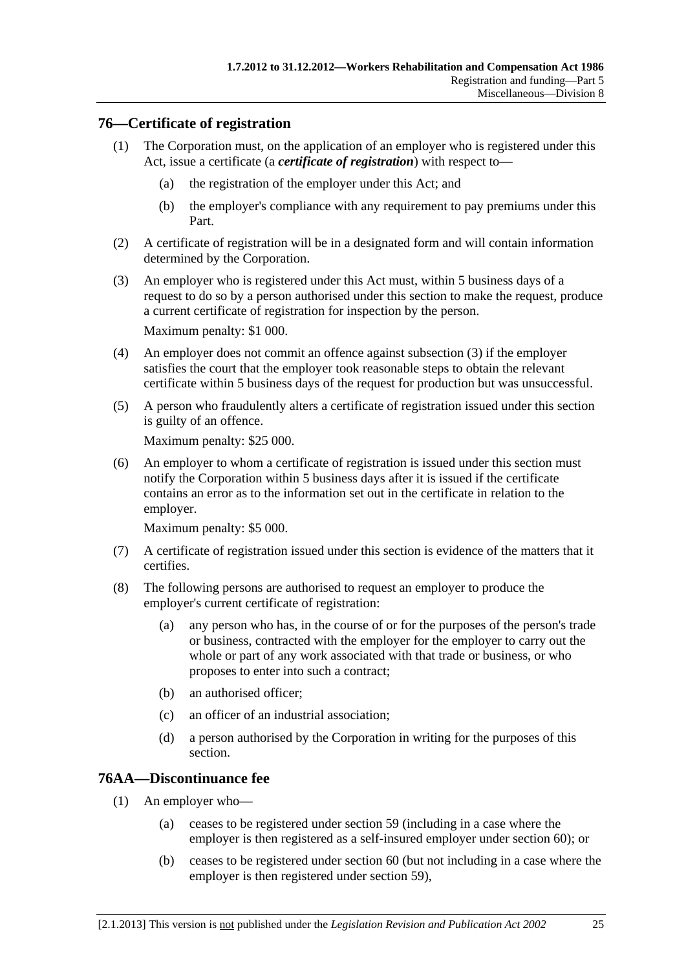# <span id="page-110-0"></span>**76—Certificate of registration**

- (1) The Corporation must, on the application of an employer who is registered under this Act, issue a certificate (a *certificate of registration*) with respect to—
	- (a) the registration of the employer under this Act; and
	- (b) the employer's compliance with any requirement to pay premiums under this Part.
- (2) A certificate of registration will be in a designated form and will contain information determined by the Corporation.
- (3) An employer who is registered under this Act must, within 5 business days of a request to do so by a person authorised under this section to make the request, produce a current certificate of registration for inspection by the person. Maximum penalty: \$1 000.
- (4) An employer does not commit an offence against [subsection \(3\)](#page-110-0) if the employer satisfies the court that the employer took reasonable steps to obtain the relevant certificate within 5 business days of the request for production but was unsuccessful.
- (5) A person who fraudulently alters a certificate of registration issued under this section is guilty of an offence.

Maximum penalty: \$25 000.

 (6) An employer to whom a certificate of registration is issued under this section must notify the Corporation within 5 business days after it is issued if the certificate contains an error as to the information set out in the certificate in relation to the employer.

Maximum penalty: \$5 000.

- (7) A certificate of registration issued under this section is evidence of the matters that it certifies.
- (8) The following persons are authorised to request an employer to produce the employer's current certificate of registration:
	- (a) any person who has, in the course of or for the purposes of the person's trade or business, contracted with the employer for the employer to carry out the whole or part of any work associated with that trade or business, or who proposes to enter into such a contract;
	- (b) an authorised officer;
	- (c) an officer of an industrial association;
	- (d) a person authorised by the Corporation in writing for the purposes of this section.

# **76AA—Discontinuance fee**

- (1) An employer who—
	- (a) ceases to be registered under [section 59](#page-86-0) (including in a case where the employer is then registered as a self-insured employer under [section 60](#page-86-0)); or
	- (b) ceases to be registered under [section 60](#page-86-0) (but not including in a case where the employer is then registered under [section 59](#page-86-0)),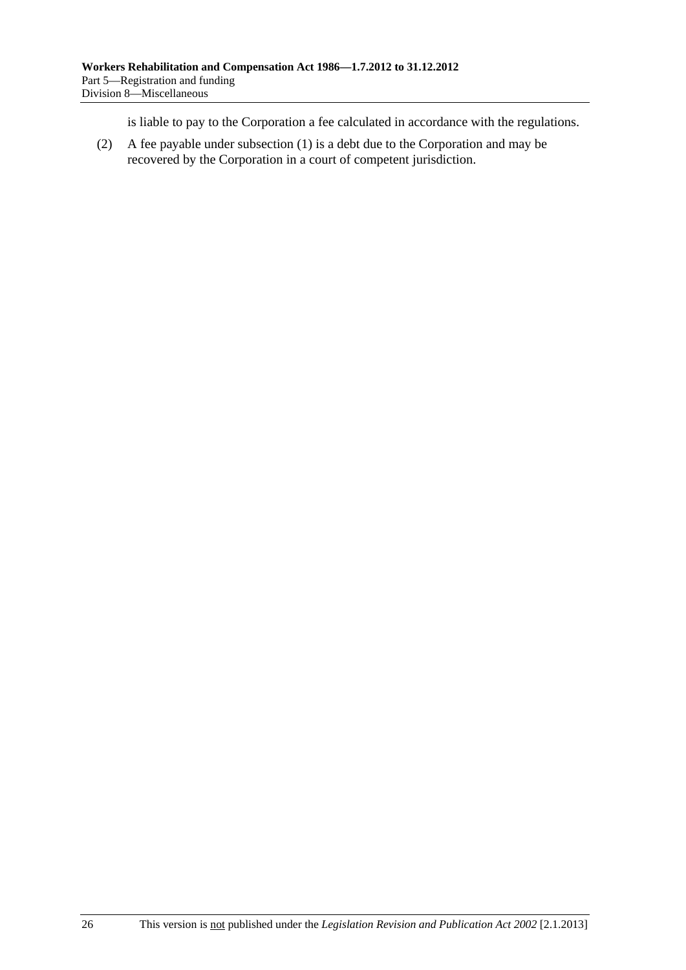is liable to pay to the Corporation a fee calculated in accordance with the regulations.

 (2) A fee payable under [subsection \(1\)](#page-110-0) is a debt due to the Corporation and may be recovered by the Corporation in a court of competent jurisdiction.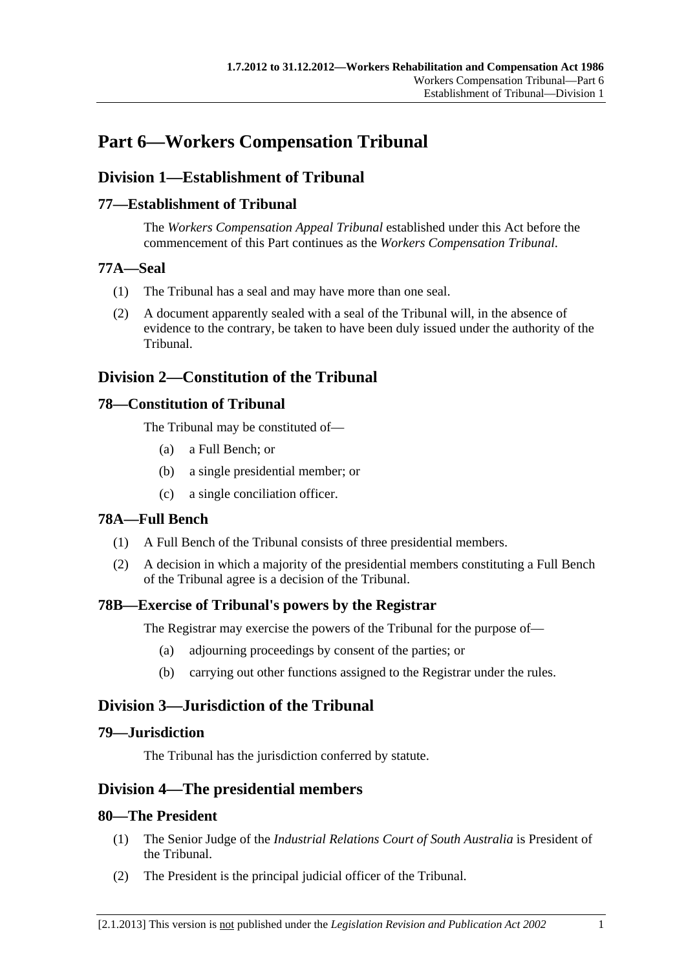# <span id="page-112-0"></span>**Part 6—Workers Compensation Tribunal**

# **Division 1—Establishment of Tribunal**

# **77—Establishment of Tribunal**

The *Workers Compensation Appeal Tribunal* established under this Act before the commencement of this Part continues as the *Workers Compensation Tribunal*.

### **77A—Seal**

- (1) The Tribunal has a seal and may have more than one seal.
- (2) A document apparently sealed with a seal of the Tribunal will, in the absence of evidence to the contrary, be taken to have been duly issued under the authority of the Tribunal.

# **Division 2—Constitution of the Tribunal**

# **78—Constitution of Tribunal**

The Tribunal may be constituted of—

- (a) a Full Bench; or
- (b) a single presidential member; or
- (c) a single conciliation officer.

# **78A—Full Bench**

- (1) A Full Bench of the Tribunal consists of three presidential members.
- (2) A decision in which a majority of the presidential members constituting a Full Bench of the Tribunal agree is a decision of the Tribunal.

# **78B—Exercise of Tribunal's powers by the Registrar**

The Registrar may exercise the powers of the Tribunal for the purpose of—

- (a) adjourning proceedings by consent of the parties; or
- (b) carrying out other functions assigned to the Registrar under the rules.

# **Division 3—Jurisdiction of the Tribunal**

# **79—Jurisdiction**

The Tribunal has the jurisdiction conferred by statute.

# **Division 4—The presidential members**

# **80—The President**

- (1) The Senior Judge of the *Industrial Relations Court of South Australia* is President of the Tribunal.
- (2) The President is the principal judicial officer of the Tribunal.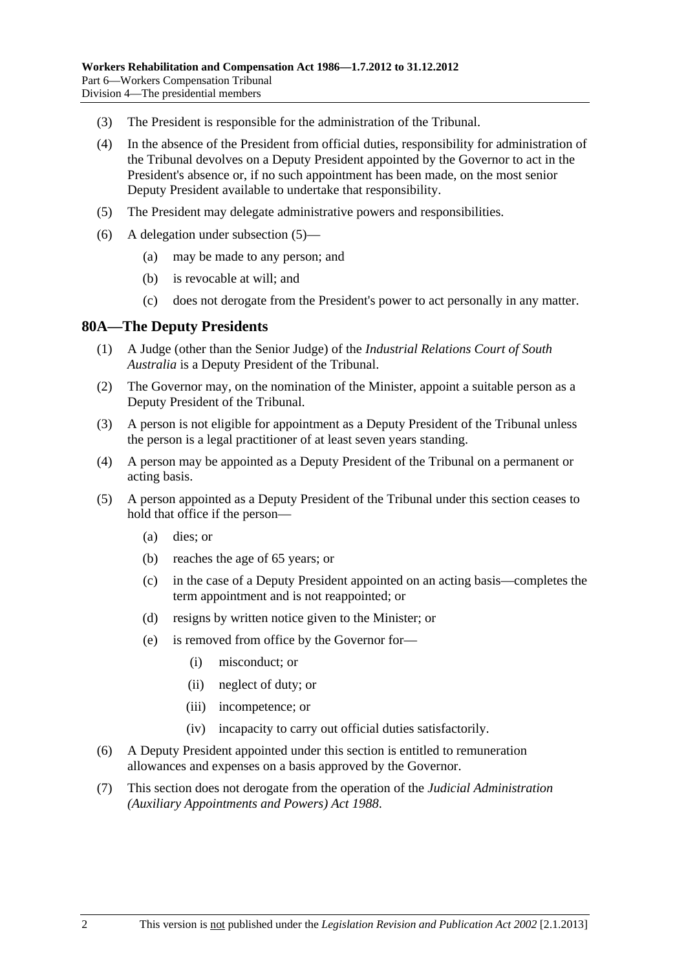- <span id="page-113-0"></span>(3) The President is responsible for the administration of the Tribunal.
- (4) In the absence of the President from official duties, responsibility for administration of the Tribunal devolves on a Deputy President appointed by the Governor to act in the President's absence or, if no such appointment has been made, on the most senior Deputy President available to undertake that responsibility.
- (5) The President may delegate administrative powers and responsibilities.
- (6) A delegation under [subsection \(5\)—](#page-113-0)
	- (a) may be made to any person; and
	- (b) is revocable at will; and
	- (c) does not derogate from the President's power to act personally in any matter.

### **80A—The Deputy Presidents**

- (1) A Judge (other than the Senior Judge) of the *Industrial Relations Court of South Australia* is a Deputy President of the Tribunal.
- (2) The Governor may, on the nomination of the Minister, appoint a suitable person as a Deputy President of the Tribunal.
- (3) A person is not eligible for appointment as a Deputy President of the Tribunal unless the person is a legal practitioner of at least seven years standing.
- (4) A person may be appointed as a Deputy President of the Tribunal on a permanent or acting basis.
- (5) A person appointed as a Deputy President of the Tribunal under this section ceases to hold that office if the person—
	- (a) dies; or
	- (b) reaches the age of 65 years; or
	- (c) in the case of a Deputy President appointed on an acting basis—completes the term appointment and is not reappointed; or
	- (d) resigns by written notice given to the Minister; or
	- (e) is removed from office by the Governor for—
		- (i) misconduct; or
		- (ii) neglect of duty; or
		- (iii) incompetence; or
		- (iv) incapacity to carry out official duties satisfactorily.
- (6) A Deputy President appointed under this section is entitled to remuneration allowances and expenses on a basis approved by the Governor.
- (7) This section does not derogate from the operation of the *[Judicial Administration](http://www.legislation.sa.gov.au/index.aspx?action=legref&type=act&legtitle=Judicial%20Administration%20(Auxiliary%20Appointments%20and%20Powers)%20Act%201988)  [\(Auxiliary Appointments and Powers\) Act 1988](http://www.legislation.sa.gov.au/index.aspx?action=legref&type=act&legtitle=Judicial%20Administration%20(Auxiliary%20Appointments%20and%20Powers)%20Act%201988)*.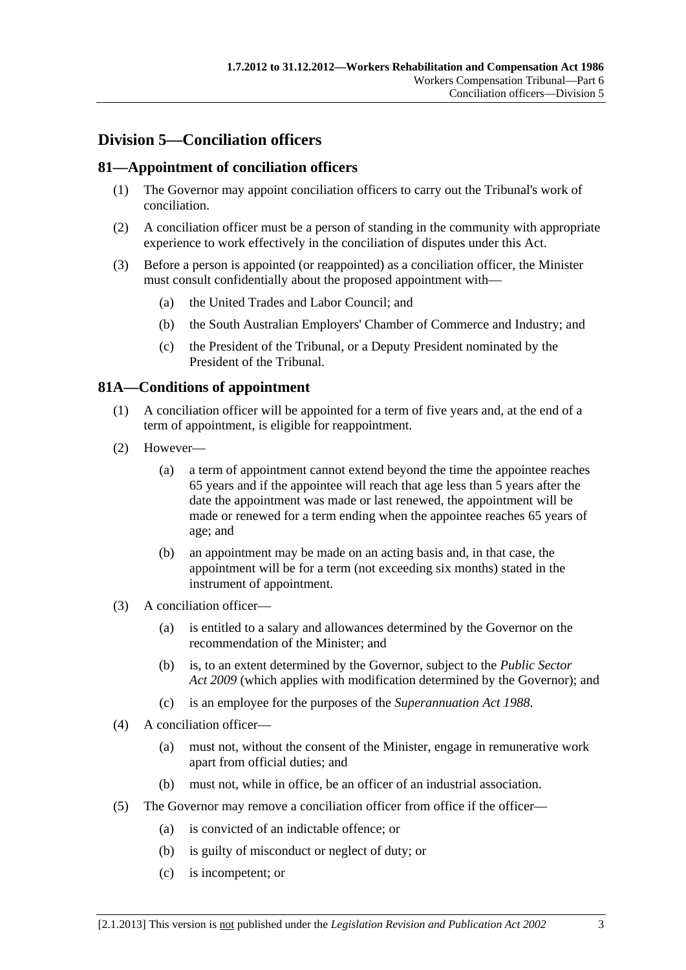# <span id="page-114-0"></span>**Division 5—Conciliation officers**

# **81—Appointment of conciliation officers**

- (1) The Governor may appoint conciliation officers to carry out the Tribunal's work of conciliation.
- (2) A conciliation officer must be a person of standing in the community with appropriate experience to work effectively in the conciliation of disputes under this Act.
- (3) Before a person is appointed (or reappointed) as a conciliation officer, the Minister must consult confidentially about the proposed appointment with—
	- (a) the United Trades and Labor Council; and
	- (b) the South Australian Employers' Chamber of Commerce and Industry; and
	- (c) the President of the Tribunal, or a Deputy President nominated by the President of the Tribunal.

# **81A—Conditions of appointment**

- (1) A conciliation officer will be appointed for a term of five years and, at the end of a term of appointment, is eligible for reappointment.
- (2) However—
	- (a) a term of appointment cannot extend beyond the time the appointee reaches 65 years and if the appointee will reach that age less than 5 years after the date the appointment was made or last renewed, the appointment will be made or renewed for a term ending when the appointee reaches 65 years of age; and
	- (b) an appointment may be made on an acting basis and, in that case, the appointment will be for a term (not exceeding six months) stated in the instrument of appointment.
- (3) A conciliation officer—
	- (a) is entitled to a salary and allowances determined by the Governor on the recommendation of the Minister; and
	- (b) is, to an extent determined by the Governor, subject to the *[Public Sector](http://www.legislation.sa.gov.au/index.aspx?action=legref&type=act&legtitle=Public%20Sector%20Act%202009)  [Act 2009](http://www.legislation.sa.gov.au/index.aspx?action=legref&type=act&legtitle=Public%20Sector%20Act%202009)* (which applies with modification determined by the Governor); and
	- (c) is an employee for the purposes of the *[Superannuation Act 1988](http://www.legislation.sa.gov.au/index.aspx?action=legref&type=act&legtitle=Superannuation%20Act%201988)*.
- (4) A conciliation officer—
	- (a) must not, without the consent of the Minister, engage in remunerative work apart from official duties; and
	- (b) must not, while in office, be an officer of an industrial association.
- (5) The Governor may remove a conciliation officer from office if the officer—
	- (a) is convicted of an indictable offence; or
	- (b) is guilty of misconduct or neglect of duty; or
	- (c) is incompetent; or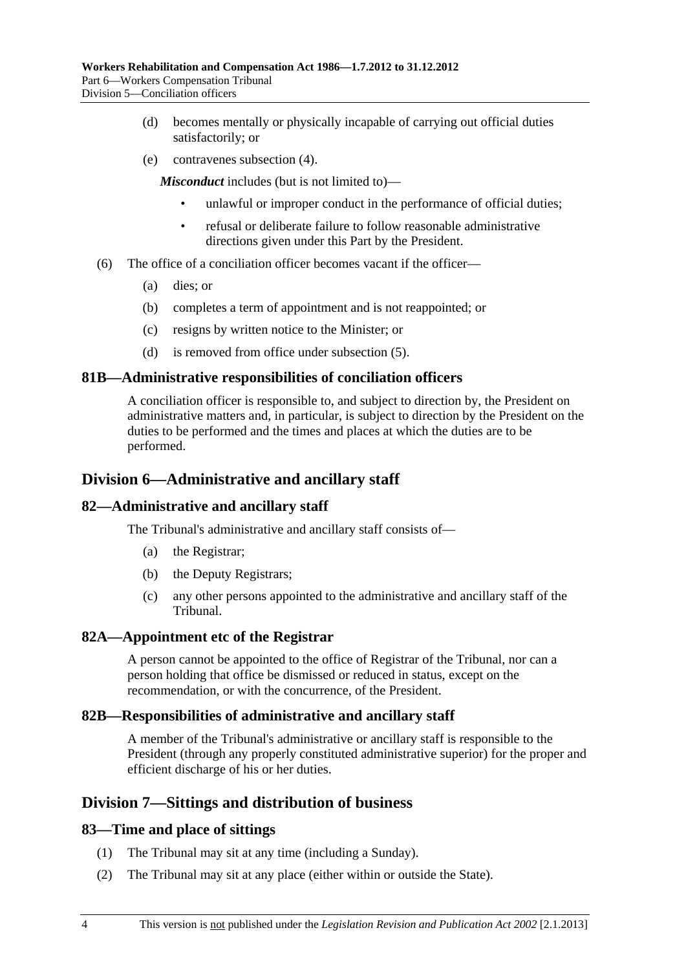- (d) becomes mentally or physically incapable of carrying out official duties satisfactorily; or
- (e) contravenes [subsection \(4\).](#page-114-0)

*Misconduct* includes (but is not limited to)—

- unlawful or improper conduct in the performance of official duties;
- refusal or deliberate failure to follow reasonable administrative directions given under this Part by the President.
- (6) The office of a conciliation officer becomes vacant if the officer—
	- (a) dies; or
	- (b) completes a term of appointment and is not reappointed; or
	- (c) resigns by written notice to the Minister; or
	- (d) is removed from office under [subsection \(5\).](#page-114-0)

#### **81B—Administrative responsibilities of conciliation officers**

A conciliation officer is responsible to, and subject to direction by, the President on administrative matters and, in particular, is subject to direction by the President on the duties to be performed and the times and places at which the duties are to be performed.

### **Division 6—Administrative and ancillary staff**

### **82—Administrative and ancillary staff**

The Tribunal's administrative and ancillary staff consists of—

- (a) the Registrar;
- (b) the Deputy Registrars;
- (c) any other persons appointed to the administrative and ancillary staff of the Tribunal.

#### **82A—Appointment etc of the Registrar**

A person cannot be appointed to the office of Registrar of the Tribunal, nor can a person holding that office be dismissed or reduced in status, except on the recommendation, or with the concurrence, of the President.

#### **82B—Responsibilities of administrative and ancillary staff**

A member of the Tribunal's administrative or ancillary staff is responsible to the President (through any properly constituted administrative superior) for the proper and efficient discharge of his or her duties.

# **Division 7—Sittings and distribution of business**

#### **83—Time and place of sittings**

- (1) The Tribunal may sit at any time (including a Sunday).
- (2) The Tribunal may sit at any place (either within or outside the State).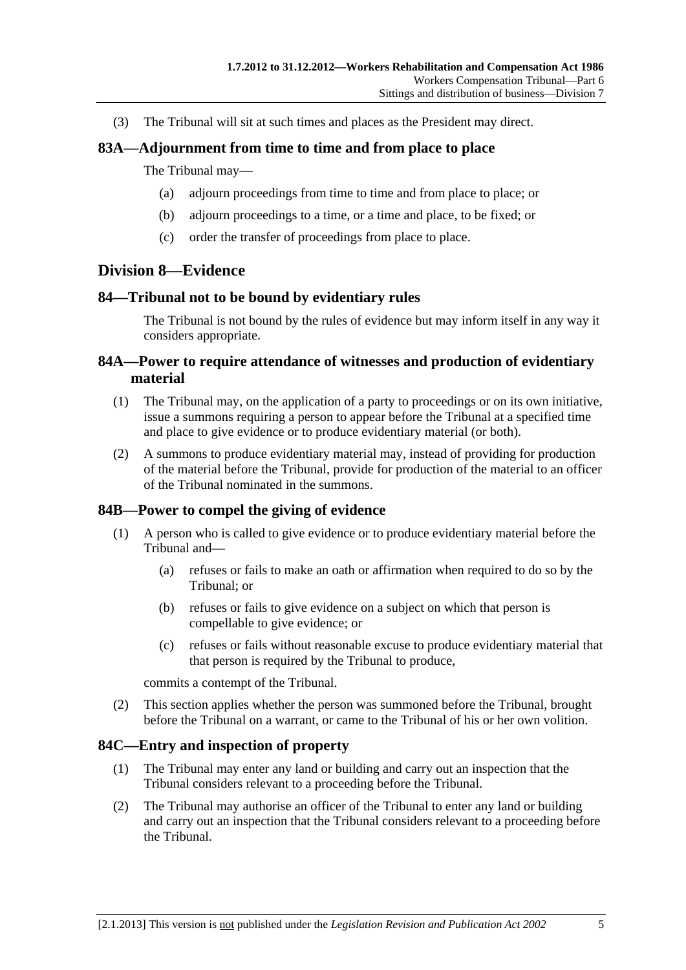(3) The Tribunal will sit at such times and places as the President may direct.

### **83A—Adjournment from time to time and from place to place**

#### The Tribunal may—

- (a) adjourn proceedings from time to time and from place to place; or
- (b) adjourn proceedings to a time, or a time and place, to be fixed; or
- (c) order the transfer of proceedings from place to place.

# **Division 8—Evidence**

#### **84—Tribunal not to be bound by evidentiary rules**

The Tribunal is not bound by the rules of evidence but may inform itself in any way it considers appropriate.

### **84A—Power to require attendance of witnesses and production of evidentiary material**

- (1) The Tribunal may, on the application of a party to proceedings or on its own initiative, issue a summons requiring a person to appear before the Tribunal at a specified time and place to give evidence or to produce evidentiary material (or both).
- (2) A summons to produce evidentiary material may, instead of providing for production of the material before the Tribunal, provide for production of the material to an officer of the Tribunal nominated in the summons.

# **84B—Power to compel the giving of evidence**

- (1) A person who is called to give evidence or to produce evidentiary material before the Tribunal and—
	- (a) refuses or fails to make an oath or affirmation when required to do so by the Tribunal; or
	- (b) refuses or fails to give evidence on a subject on which that person is compellable to give evidence; or
	- (c) refuses or fails without reasonable excuse to produce evidentiary material that that person is required by the Tribunal to produce,

commits a contempt of the Tribunal.

 (2) This section applies whether the person was summoned before the Tribunal, brought before the Tribunal on a warrant, or came to the Tribunal of his or her own volition.

#### **84C—Entry and inspection of property**

- (1) The Tribunal may enter any land or building and carry out an inspection that the Tribunal considers relevant to a proceeding before the Tribunal.
- (2) The Tribunal may authorise an officer of the Tribunal to enter any land or building and carry out an inspection that the Tribunal considers relevant to a proceeding before the Tribunal.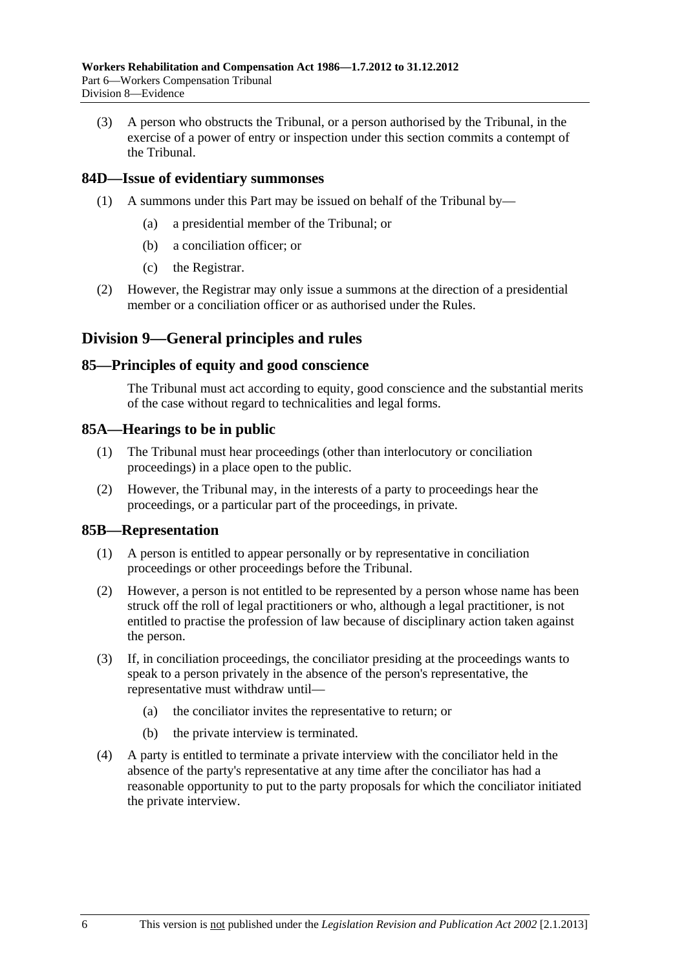(3) A person who obstructs the Tribunal, or a person authorised by the Tribunal, in the exercise of a power of entry or inspection under this section commits a contempt of the Tribunal.

### **84D—Issue of evidentiary summonses**

- (1) A summons under this Part may be issued on behalf of the Tribunal by—
	- (a) a presidential member of the Tribunal; or
	- (b) a conciliation officer; or
	- (c) the Registrar.
- (2) However, the Registrar may only issue a summons at the direction of a presidential member or a conciliation officer or as authorised under the Rules.

# **Division 9—General principles and rules**

#### **85—Principles of equity and good conscience**

The Tribunal must act according to equity, good conscience and the substantial merits of the case without regard to technicalities and legal forms.

#### **85A—Hearings to be in public**

- (1) The Tribunal must hear proceedings (other than interlocutory or conciliation proceedings) in a place open to the public.
- (2) However, the Tribunal may, in the interests of a party to proceedings hear the proceedings, or a particular part of the proceedings, in private.

#### **85B—Representation**

- (1) A person is entitled to appear personally or by representative in conciliation proceedings or other proceedings before the Tribunal.
- (2) However, a person is not entitled to be represented by a person whose name has been struck off the roll of legal practitioners or who, although a legal practitioner, is not entitled to practise the profession of law because of disciplinary action taken against the person.
- (3) If, in conciliation proceedings, the conciliator presiding at the proceedings wants to speak to a person privately in the absence of the person's representative, the representative must withdraw until—
	- (a) the conciliator invites the representative to return; or
	- (b) the private interview is terminated.
- (4) A party is entitled to terminate a private interview with the conciliator held in the absence of the party's representative at any time after the conciliator has had a reasonable opportunity to put to the party proposals for which the conciliator initiated the private interview.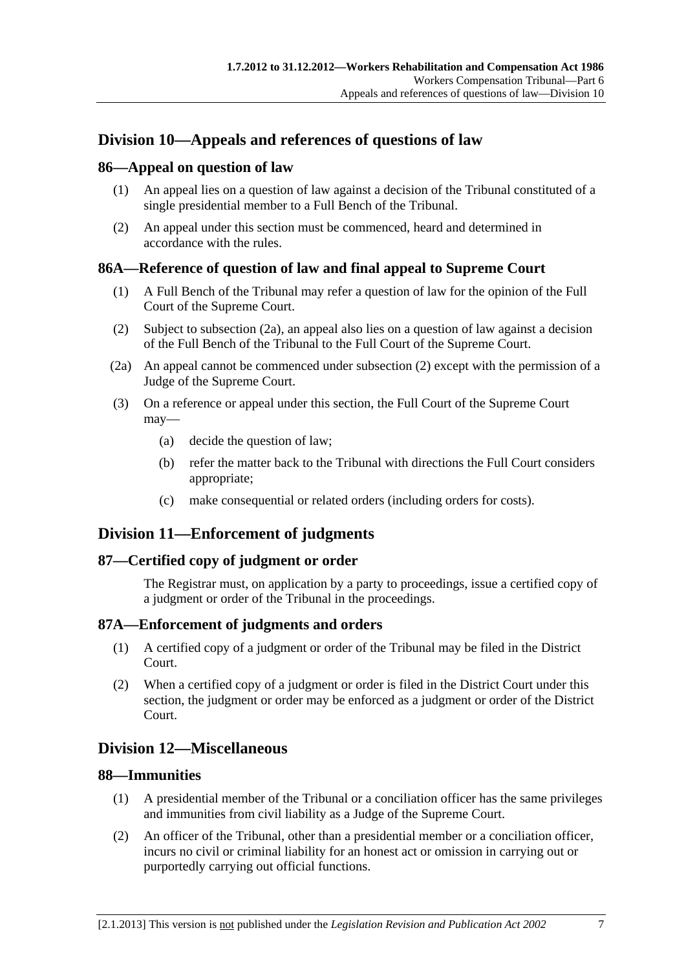# <span id="page-118-0"></span>**Division 10—Appeals and references of questions of law**

# **86—Appeal on question of law**

- (1) An appeal lies on a question of law against a decision of the Tribunal constituted of a single presidential member to a Full Bench of the Tribunal.
- (2) An appeal under this section must be commenced, heard and determined in accordance with the rules.

# **86A—Reference of question of law and final appeal to Supreme Court**

- (1) A Full Bench of the Tribunal may refer a question of law for the opinion of the Full Court of the Supreme Court.
- (2) Subject to [subsection \(2a\),](#page-118-0) an appeal also lies on a question of law against a decision of the Full Bench of the Tribunal to the Full Court of the Supreme Court.
- (2a) An appeal cannot be commenced under [subsection \(2\)](#page-118-0) except with the permission of a Judge of the Supreme Court.
- (3) On a reference or appeal under this section, the Full Court of the Supreme Court may—
	- (a) decide the question of law;
	- (b) refer the matter back to the Tribunal with directions the Full Court considers appropriate;
	- (c) make consequential or related orders (including orders for costs).

# **Division 11—Enforcement of judgments**

# **87—Certified copy of judgment or order**

The Registrar must, on application by a party to proceedings, issue a certified copy of a judgment or order of the Tribunal in the proceedings.

# **87A—Enforcement of judgments and orders**

- (1) A certified copy of a judgment or order of the Tribunal may be filed in the District Court.
- (2) When a certified copy of a judgment or order is filed in the District Court under this section, the judgment or order may be enforced as a judgment or order of the District Court.

# **Division 12—Miscellaneous**

# **88—Immunities**

- (1) A presidential member of the Tribunal or a conciliation officer has the same privileges and immunities from civil liability as a Judge of the Supreme Court.
- (2) An officer of the Tribunal, other than a presidential member or a conciliation officer, incurs no civil or criminal liability for an honest act or omission in carrying out or purportedly carrying out official functions.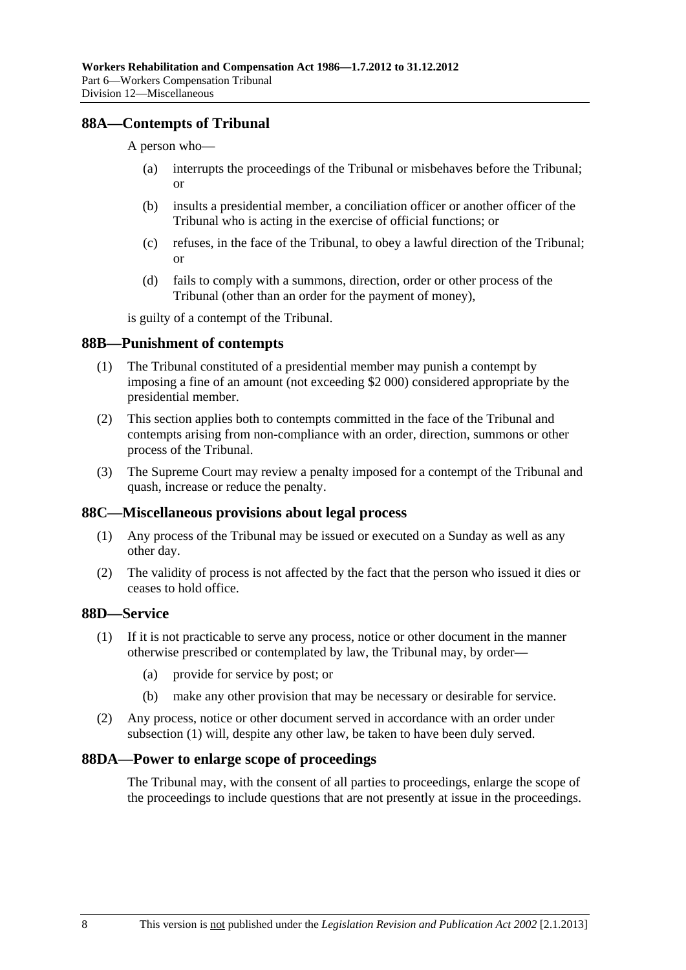# <span id="page-119-0"></span>**88A—Contempts of Tribunal**

A person who—

- (a) interrupts the proceedings of the Tribunal or misbehaves before the Tribunal; or
- (b) insults a presidential member, a conciliation officer or another officer of the Tribunal who is acting in the exercise of official functions; or
- (c) refuses, in the face of the Tribunal, to obey a lawful direction of the Tribunal; or
- (d) fails to comply with a summons, direction, order or other process of the Tribunal (other than an order for the payment of money),

is guilty of a contempt of the Tribunal.

#### **88B—Punishment of contempts**

- (1) The Tribunal constituted of a presidential member may punish a contempt by imposing a fine of an amount (not exceeding \$2 000) considered appropriate by the presidential member.
- (2) This section applies both to contempts committed in the face of the Tribunal and contempts arising from non-compliance with an order, direction, summons or other process of the Tribunal.
- (3) The Supreme Court may review a penalty imposed for a contempt of the Tribunal and quash, increase or reduce the penalty.

#### **88C—Miscellaneous provisions about legal process**

- (1) Any process of the Tribunal may be issued or executed on a Sunday as well as any other day.
- (2) The validity of process is not affected by the fact that the person who issued it dies or ceases to hold office.

# **88D—Service**

- (1) If it is not practicable to serve any process, notice or other document in the manner otherwise prescribed or contemplated by law, the Tribunal may, by order—
	- (a) provide for service by post; or
	- (b) make any other provision that may be necessary or desirable for service.
- (2) Any process, notice or other document served in accordance with an order under [subsection \(1\)](#page-119-0) will, despite any other law, be taken to have been duly served.

#### **88DA—Power to enlarge scope of proceedings**

The Tribunal may, with the consent of all parties to proceedings, enlarge the scope of the proceedings to include questions that are not presently at issue in the proceedings.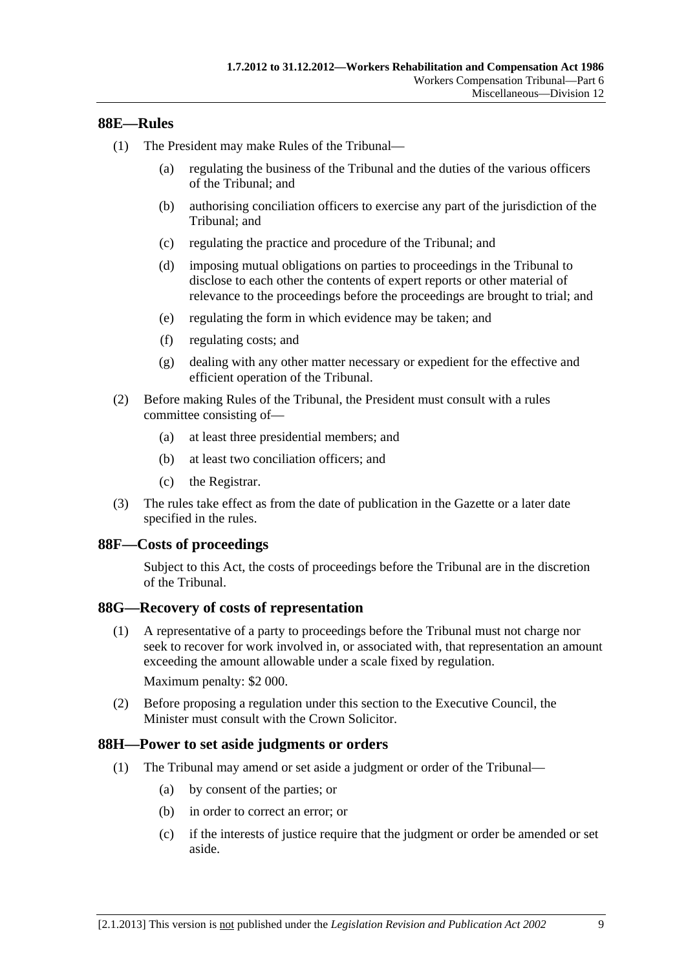### <span id="page-120-0"></span>**88E—Rules**

- (1) The President may make Rules of the Tribunal—
	- (a) regulating the business of the Tribunal and the duties of the various officers of the Tribunal; and
	- (b) authorising conciliation officers to exercise any part of the jurisdiction of the Tribunal; and
	- (c) regulating the practice and procedure of the Tribunal; and
	- (d) imposing mutual obligations on parties to proceedings in the Tribunal to disclose to each other the contents of expert reports or other material of relevance to the proceedings before the proceedings are brought to trial; and
	- (e) regulating the form in which evidence may be taken; and
	- (f) regulating costs; and
	- (g) dealing with any other matter necessary or expedient for the effective and efficient operation of the Tribunal.
- (2) Before making Rules of the Tribunal, the President must consult with a rules committee consisting of—
	- (a) at least three presidential members; and
	- (b) at least two conciliation officers; and
	- (c) the Registrar.
- (3) The rules take effect as from the date of publication in the Gazette or a later date specified in the rules.

#### **88F—Costs of proceedings**

Subject to this Act, the costs of proceedings before the Tribunal are in the discretion of the Tribunal.

#### **88G—Recovery of costs of representation**

 (1) A representative of a party to proceedings before the Tribunal must not charge nor seek to recover for work involved in, or associated with, that representation an amount exceeding the amount allowable under a scale fixed by regulation.

Maximum penalty: \$2 000.

 (2) Before proposing a regulation under this section to the Executive Council, the Minister must consult with the Crown Solicitor.

#### **88H—Power to set aside judgments or orders**

- (1) The Tribunal may amend or set aside a judgment or order of the Tribunal—
	- (a) by consent of the parties; or
	- (b) in order to correct an error; or
	- (c) if the interests of justice require that the judgment or order be amended or set aside.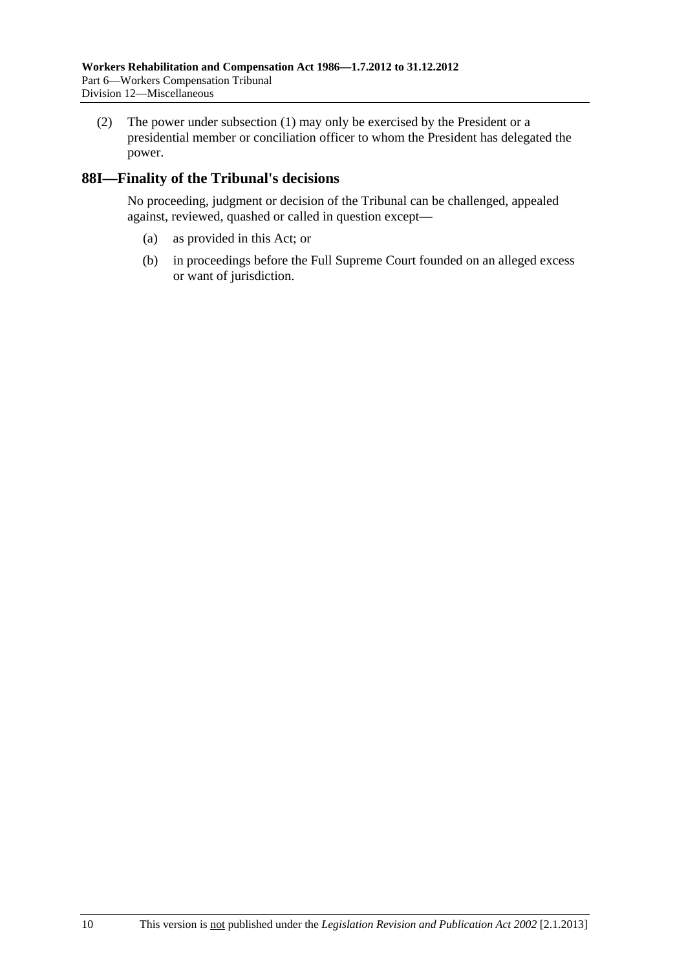(2) The power under [subsection \(1\)](#page-120-0) may only be exercised by the President or a presidential member or conciliation officer to whom the President has delegated the power.

# **88I—Finality of the Tribunal's decisions**

No proceeding, judgment or decision of the Tribunal can be challenged, appealed against, reviewed, quashed or called in question except—

- (a) as provided in this Act; or
- (b) in proceedings before the Full Supreme Court founded on an alleged excess or want of jurisdiction.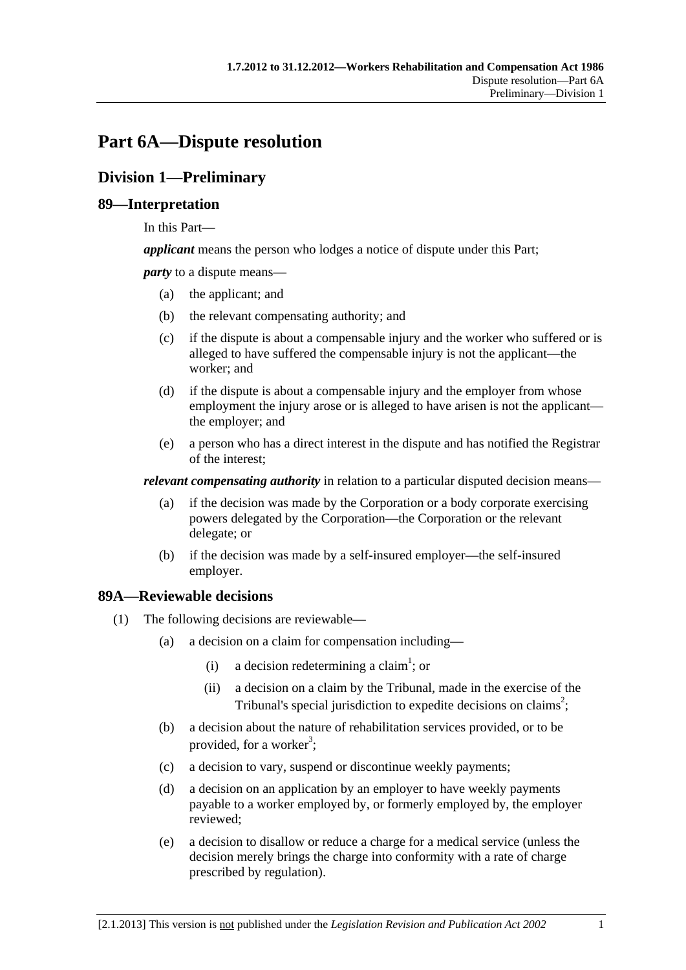# <span id="page-122-0"></span>**Part 6A—Dispute resolution**

# **Division 1—Preliminary**

# **89—Interpretation**

In this Part—

*applicant* means the person who lodges a notice of dispute under this Part;

*party* to a dispute means—

- (a) the applicant; and
- (b) the relevant compensating authority; and
- (c) if the dispute is about a compensable injury and the worker who suffered or is alleged to have suffered the compensable injury is not the applicant—the worker; and
- (d) if the dispute is about a compensable injury and the employer from whose employment the injury arose or is alleged to have arisen is not the applicant the employer; and
- (e) a person who has a direct interest in the dispute and has notified the Registrar of the interest;

*relevant compensating authority* in relation to a particular disputed decision means—

- (a) if the decision was made by the Corporation or a body corporate exercising powers delegated by the Corporation—the Corporation or the relevant delegate; or
- (b) if the decision was made by a self-insured employer—the self-insured employer.

# **89A—Reviewable decisions**

- (1) The following decisions are reviewable—
	- (a) a decision on a claim for compensation including—
		- (i) a decision redetermining a claim<sup>1</sup>; or
			- (ii) a decision on a claim by the Tribunal, made in the exercise of the Tribunal's special jurisdiction to expedite decisions on claims<sup>2</sup>;
	- (b) a decision about the nature of rehabilitation services provided, or to be provided, for a worker<sup>3</sup>;
	- (c) a decision to vary, suspend or discontinue weekly payments;
	- (d) a decision on an application by an employer to have weekly payments payable to a worker employed by, or formerly employed by, the employer reviewed;
	- (e) a decision to disallow or reduce a charge for a medical service (unless the decision merely brings the charge into conformity with a rate of charge prescribed by regulation).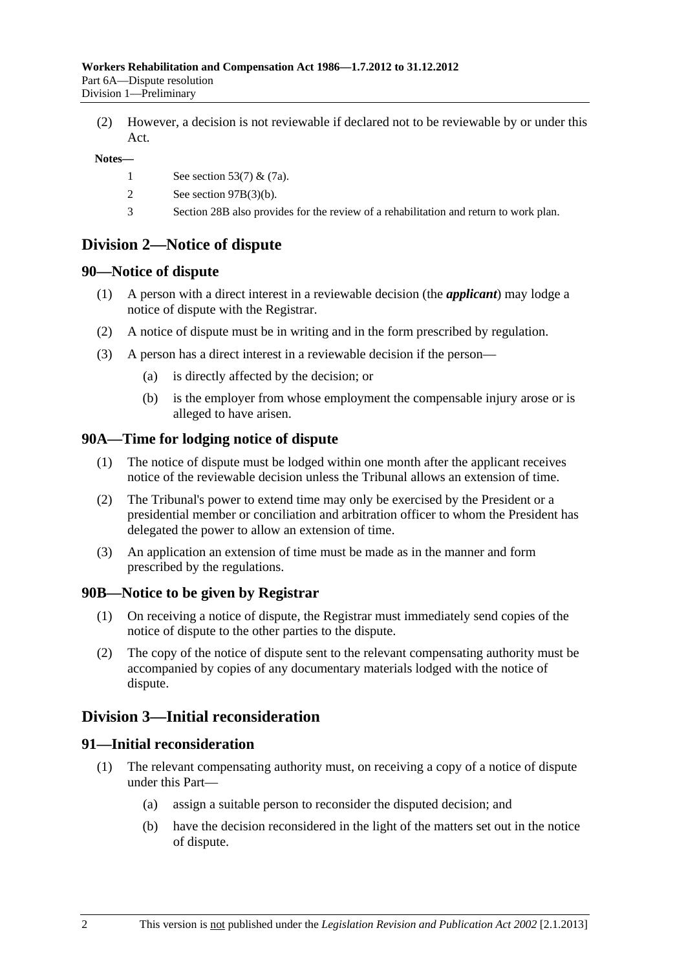(2) However, a decision is not reviewable if declared not to be reviewable by or under this Act.

#### **Notes—**

- 1 See [section 53\(7\)](#page-76-0) & [\(7a\).](#page-76-0)
- 2 See [section 97B\(3\)\(b\)](#page-130-0).
- 3 [Section 28B](#page-32-0) also provides for the review of a rehabilitation and return to work plan.

# **Division 2—Notice of dispute**

### **90—Notice of dispute**

- (1) A person with a direct interest in a reviewable decision (the *applicant*) may lodge a notice of dispute with the Registrar.
- (2) A notice of dispute must be in writing and in the form prescribed by regulation.
- (3) A person has a direct interest in a reviewable decision if the person—
	- (a) is directly affected by the decision; or
	- (b) is the employer from whose employment the compensable injury arose or is alleged to have arisen.

### **90A—Time for lodging notice of dispute**

- (1) The notice of dispute must be lodged within one month after the applicant receives notice of the reviewable decision unless the Tribunal allows an extension of time.
- (2) The Tribunal's power to extend time may only be exercised by the President or a presidential member or conciliation and arbitration officer to whom the President has delegated the power to allow an extension of time.
- (3) An application an extension of time must be made as in the manner and form prescribed by the regulations.

#### **90B—Notice to be given by Registrar**

- (1) On receiving a notice of dispute, the Registrar must immediately send copies of the notice of dispute to the other parties to the dispute.
- (2) The copy of the notice of dispute sent to the relevant compensating authority must be accompanied by copies of any documentary materials lodged with the notice of dispute.

# **Division 3—Initial reconsideration**

#### **91—Initial reconsideration**

- (1) The relevant compensating authority must, on receiving a copy of a notice of dispute under this Part—
	- (a) assign a suitable person to reconsider the disputed decision; and
	- (b) have the decision reconsidered in the light of the matters set out in the notice of dispute.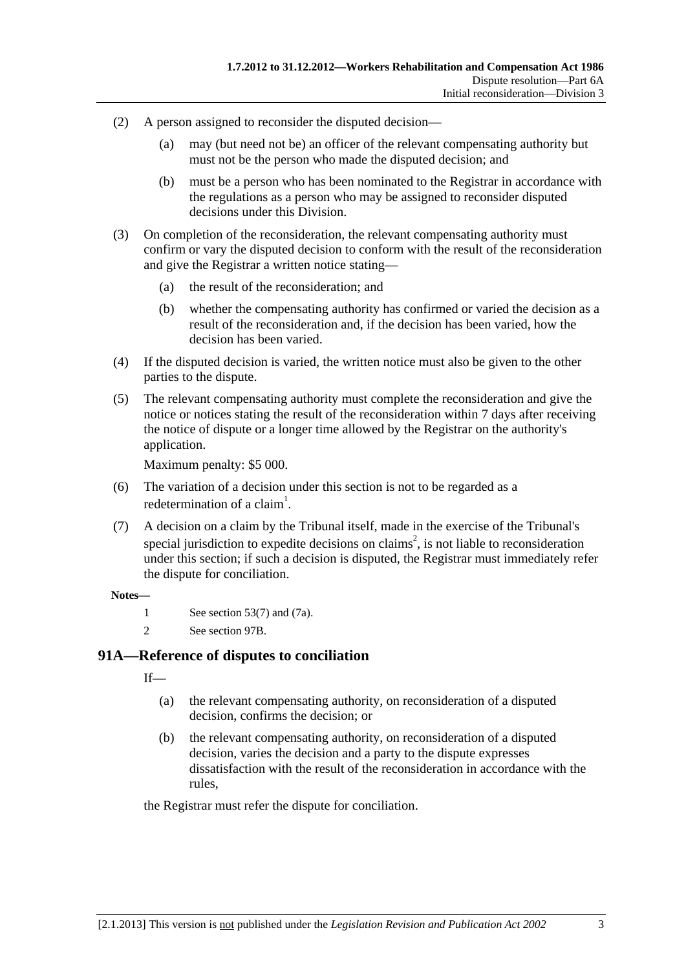- (2) A person assigned to reconsider the disputed decision—
	- (a) may (but need not be) an officer of the relevant compensating authority but must not be the person who made the disputed decision; and
	- (b) must be a person who has been nominated to the Registrar in accordance with the regulations as a person who may be assigned to reconsider disputed decisions under this Division.
- (3) On completion of the reconsideration, the relevant compensating authority must confirm or vary the disputed decision to conform with the result of the reconsideration and give the Registrar a written notice stating—
	- (a) the result of the reconsideration; and
	- (b) whether the compensating authority has confirmed or varied the decision as a result of the reconsideration and, if the decision has been varied, how the decision has been varied.
- (4) If the disputed decision is varied, the written notice must also be given to the other parties to the dispute.
- (5) The relevant compensating authority must complete the reconsideration and give the notice or notices stating the result of the reconsideration within 7 days after receiving the notice of dispute or a longer time allowed by the Registrar on the authority's application.

Maximum penalty: \$5 000.

- (6) The variation of a decision under this section is not to be regarded as a redetermination of a claim<sup>1</sup>.
- (7) A decision on a claim by the Tribunal itself, made in the exercise of the Tribunal's special jurisdiction to expedite decisions on claims<sup>2</sup>, is not liable to reconsideration under this section; if such a decision is disputed, the Registrar must immediately refer the dispute for conciliation.

#### **Notes—**

- 1 See [section 53\(7\)](#page-76-0) and [\(7a\)](#page-76-0).
- 2 See [section 97B.](#page-130-0)

# **91A—Reference of disputes to conciliation**

 $If$ <sub>—</sub>

- (a) the relevant compensating authority, on reconsideration of a disputed decision, confirms the decision; or
- (b) the relevant compensating authority, on reconsideration of a disputed decision, varies the decision and a party to the dispute expresses dissatisfaction with the result of the reconsideration in accordance with the rules,

the Registrar must refer the dispute for conciliation.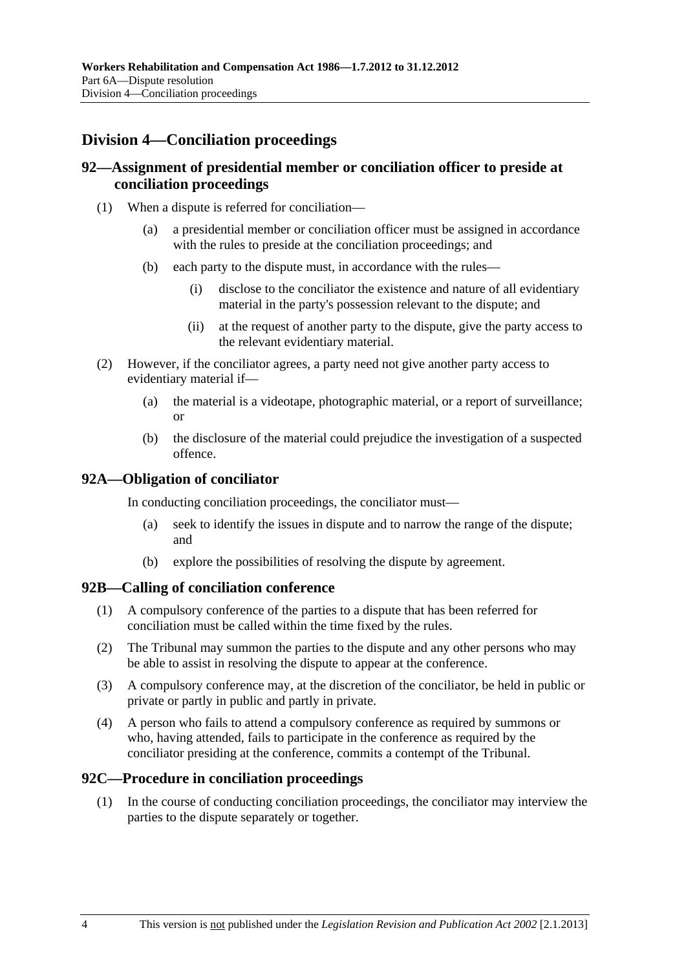# **Division 4—Conciliation proceedings**

# **92—Assignment of presidential member or conciliation officer to preside at conciliation proceedings**

- (1) When a dispute is referred for conciliation—
	- (a) a presidential member or conciliation officer must be assigned in accordance with the rules to preside at the conciliation proceedings; and
	- (b) each party to the dispute must, in accordance with the rules—
		- (i) disclose to the conciliator the existence and nature of all evidentiary material in the party's possession relevant to the dispute; and
		- (ii) at the request of another party to the dispute, give the party access to the relevant evidentiary material.
- (2) However, if the conciliator agrees, a party need not give another party access to evidentiary material if—
	- (a) the material is a videotape, photographic material, or a report of surveillance; or
	- (b) the disclosure of the material could prejudice the investigation of a suspected offence.

### **92A—Obligation of conciliator**

In conducting conciliation proceedings, the conciliator must—

- (a) seek to identify the issues in dispute and to narrow the range of the dispute; and
- (b) explore the possibilities of resolving the dispute by agreement.

#### **92B—Calling of conciliation conference**

- (1) A compulsory conference of the parties to a dispute that has been referred for conciliation must be called within the time fixed by the rules.
- (2) The Tribunal may summon the parties to the dispute and any other persons who may be able to assist in resolving the dispute to appear at the conference.
- (3) A compulsory conference may, at the discretion of the conciliator, be held in public or private or partly in public and partly in private.
- (4) A person who fails to attend a compulsory conference as required by summons or who, having attended, fails to participate in the conference as required by the conciliator presiding at the conference, commits a contempt of the Tribunal.

#### **92C—Procedure in conciliation proceedings**

 (1) In the course of conducting conciliation proceedings, the conciliator may interview the parties to the dispute separately or together.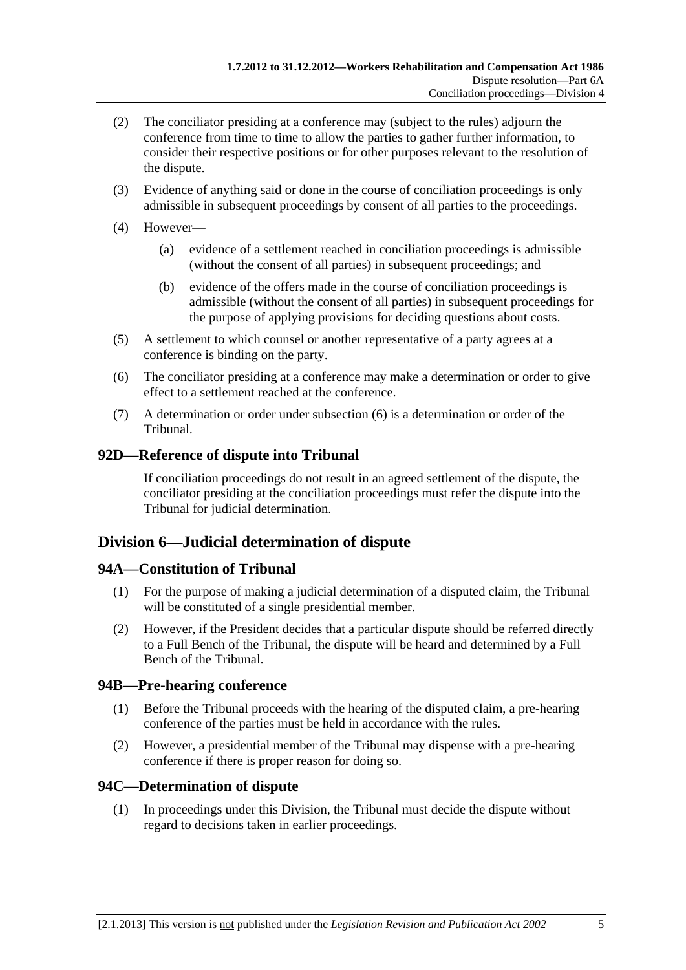- <span id="page-126-0"></span> (2) The conciliator presiding at a conference may (subject to the rules) adjourn the conference from time to time to allow the parties to gather further information, to consider their respective positions or for other purposes relevant to the resolution of the dispute.
- (3) Evidence of anything said or done in the course of conciliation proceedings is only admissible in subsequent proceedings by consent of all parties to the proceedings.
- (4) However—
	- (a) evidence of a settlement reached in conciliation proceedings is admissible (without the consent of all parties) in subsequent proceedings; and
	- (b) evidence of the offers made in the course of conciliation proceedings is admissible (without the consent of all parties) in subsequent proceedings for the purpose of applying provisions for deciding questions about costs.
- (5) A settlement to which counsel or another representative of a party agrees at a conference is binding on the party.
- (6) The conciliator presiding at a conference may make a determination or order to give effect to a settlement reached at the conference.
- (7) A determination or order under [subsection \(6\)](#page-126-0) is a determination or order of the Tribunal.

# **92D—Reference of dispute into Tribunal**

If conciliation proceedings do not result in an agreed settlement of the dispute, the conciliator presiding at the conciliation proceedings must refer the dispute into the Tribunal for judicial determination.

# **Division 6—Judicial determination of dispute**

# **94A—Constitution of Tribunal**

- (1) For the purpose of making a judicial determination of a disputed claim, the Tribunal will be constituted of a single presidential member.
- (2) However, if the President decides that a particular dispute should be referred directly to a Full Bench of the Tribunal, the dispute will be heard and determined by a Full Bench of the Tribunal.

# **94B—Pre-hearing conference**

- (1) Before the Tribunal proceeds with the hearing of the disputed claim, a pre-hearing conference of the parties must be held in accordance with the rules.
- (2) However, a presidential member of the Tribunal may dispense with a pre-hearing conference if there is proper reason for doing so.

# **94C—Determination of dispute**

 (1) In proceedings under this Division, the Tribunal must decide the dispute without regard to decisions taken in earlier proceedings.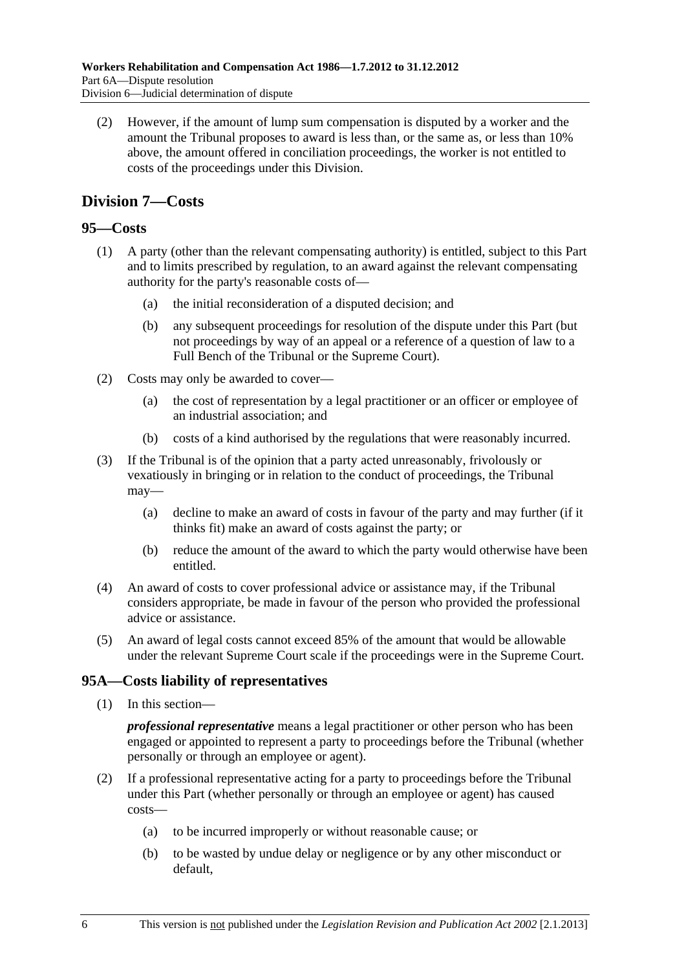<span id="page-127-0"></span> (2) However, if the amount of lump sum compensation is disputed by a worker and the amount the Tribunal proposes to award is less than, or the same as, or less than 10% above, the amount offered in conciliation proceedings, the worker is not entitled to costs of the proceedings under this Division.

# **Division 7—Costs**

# **95—Costs**

- (1) A party (other than the relevant compensating authority) is entitled, subject to this Part and to limits prescribed by regulation, to an award against the relevant compensating authority for the party's reasonable costs of—
	- (a) the initial reconsideration of a disputed decision; and
	- (b) any subsequent proceedings for resolution of the dispute under this Part (but not proceedings by way of an appeal or a reference of a question of law to a Full Bench of the Tribunal or the Supreme Court).
- (2) Costs may only be awarded to cover—
	- (a) the cost of representation by a legal practitioner or an officer or employee of an industrial association; and
	- (b) costs of a kind authorised by the regulations that were reasonably incurred.
- (3) If the Tribunal is of the opinion that a party acted unreasonably, frivolously or vexatiously in bringing or in relation to the conduct of proceedings, the Tribunal may—
	- (a) decline to make an award of costs in favour of the party and may further (if it thinks fit) make an award of costs against the party; or
	- (b) reduce the amount of the award to which the party would otherwise have been entitled.
- (4) An award of costs to cover professional advice or assistance may, if the Tribunal considers appropriate, be made in favour of the person who provided the professional advice or assistance.
- (5) An award of legal costs cannot exceed 85% of the amount that would be allowable under the relevant Supreme Court scale if the proceedings were in the Supreme Court.

# **95A—Costs liability of representatives**

(1) In this section—

*professional representative* means a legal practitioner or other person who has been engaged or appointed to represent a party to proceedings before the Tribunal (whether personally or through an employee or agent).

- (2) If a professional representative acting for a party to proceedings before the Tribunal under this Part (whether personally or through an employee or agent) has caused costs—
	- (a) to be incurred improperly or without reasonable cause; or
	- (b) to be wasted by undue delay or negligence or by any other misconduct or default,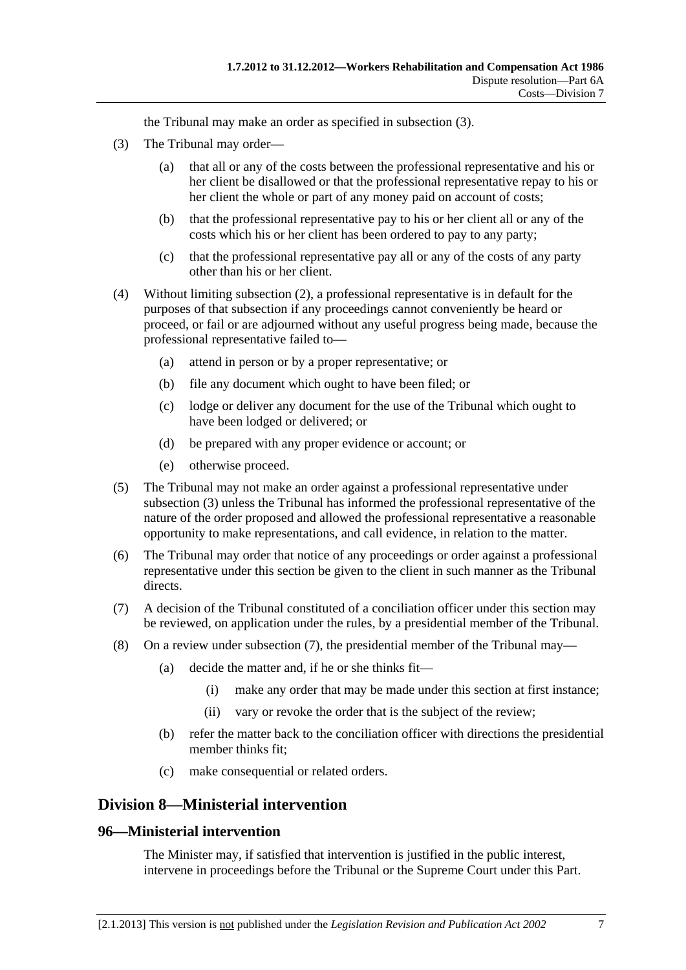the Tribunal may make an order as specified in [subsection \(3\)](#page-128-0).

- <span id="page-128-0"></span> (3) The Tribunal may order—
	- (a) that all or any of the costs between the professional representative and his or her client be disallowed or that the professional representative repay to his or her client the whole or part of any money paid on account of costs;
	- (b) that the professional representative pay to his or her client all or any of the costs which his or her client has been ordered to pay to any party;
	- (c) that the professional representative pay all or any of the costs of any party other than his or her client.
- (4) Without limiting [subsection \(2\),](#page-127-0) a professional representative is in default for the purposes of that subsection if any proceedings cannot conveniently be heard or proceed, or fail or are adjourned without any useful progress being made, because the professional representative failed to—
	- (a) attend in person or by a proper representative; or
	- (b) file any document which ought to have been filed; or
	- (c) lodge or deliver any document for the use of the Tribunal which ought to have been lodged or delivered; or
	- (d) be prepared with any proper evidence or account; or
	- (e) otherwise proceed.
- (5) The Tribunal may not make an order against a professional representative under [subsection \(3\)](#page-128-0) unless the Tribunal has informed the professional representative of the nature of the order proposed and allowed the professional representative a reasonable opportunity to make representations, and call evidence, in relation to the matter.
- (6) The Tribunal may order that notice of any proceedings or order against a professional representative under this section be given to the client in such manner as the Tribunal directs.
- (7) A decision of the Tribunal constituted of a conciliation officer under this section may be reviewed, on application under the rules, by a presidential member of the Tribunal.
- (8) On a review under [subsection \(7\),](#page-128-0) the presidential member of the Tribunal may—
	- (a) decide the matter and, if he or she thinks fit—
		- (i) make any order that may be made under this section at first instance;
		- (ii) vary or revoke the order that is the subject of the review;
	- (b) refer the matter back to the conciliation officer with directions the presidential member thinks fit;
	- (c) make consequential or related orders.

# **Division 8—Ministerial intervention**

#### **96—Ministerial intervention**

The Minister may, if satisfied that intervention is justified in the public interest, intervene in proceedings before the Tribunal or the Supreme Court under this Part.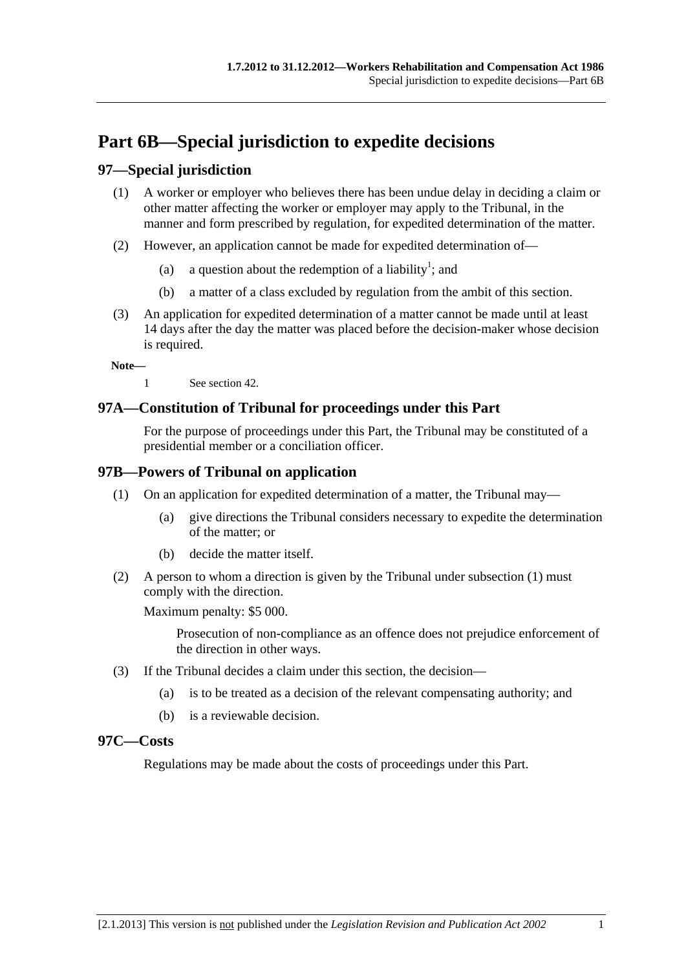# <span id="page-130-0"></span>**Part 6B—Special jurisdiction to expedite decisions**

# **97—Special jurisdiction**

- (1) A worker or employer who believes there has been undue delay in deciding a claim or other matter affecting the worker or employer may apply to the Tribunal, in the manner and form prescribed by regulation, for expedited determination of the matter.
- (2) However, an application cannot be made for expedited determination of—
	- (a) a question about the redemption of a liability<sup>1</sup>; and
		- (b) a matter of a class excluded by regulation from the ambit of this section.
- (3) An application for expedited determination of a matter cannot be made until at least 14 days after the day the matter was placed before the decision-maker whose decision is required.

**Note—** 

1 See [section 42](#page-56-0).

# **97A—Constitution of Tribunal for proceedings under this Part**

For the purpose of proceedings under this Part, the Tribunal may be constituted of a presidential member or a conciliation officer.

# **97B—Powers of Tribunal on application**

- (1) On an application for expedited determination of a matter, the Tribunal may—
	- (a) give directions the Tribunal considers necessary to expedite the determination of the matter; or
	- (b) decide the matter itself.
- (2) A person to whom a direction is given by the Tribunal under [subsection \(1\)](#page-130-0) must comply with the direction.

Maximum penalty: \$5 000.

Prosecution of non-compliance as an offence does not prejudice enforcement of the direction in other ways.

- (3) If the Tribunal decides a claim under this section, the decision—
	- (a) is to be treated as a decision of the relevant compensating authority; and
	- (b) is a reviewable decision.

### **97C—Costs**

Regulations may be made about the costs of proceedings under this Part.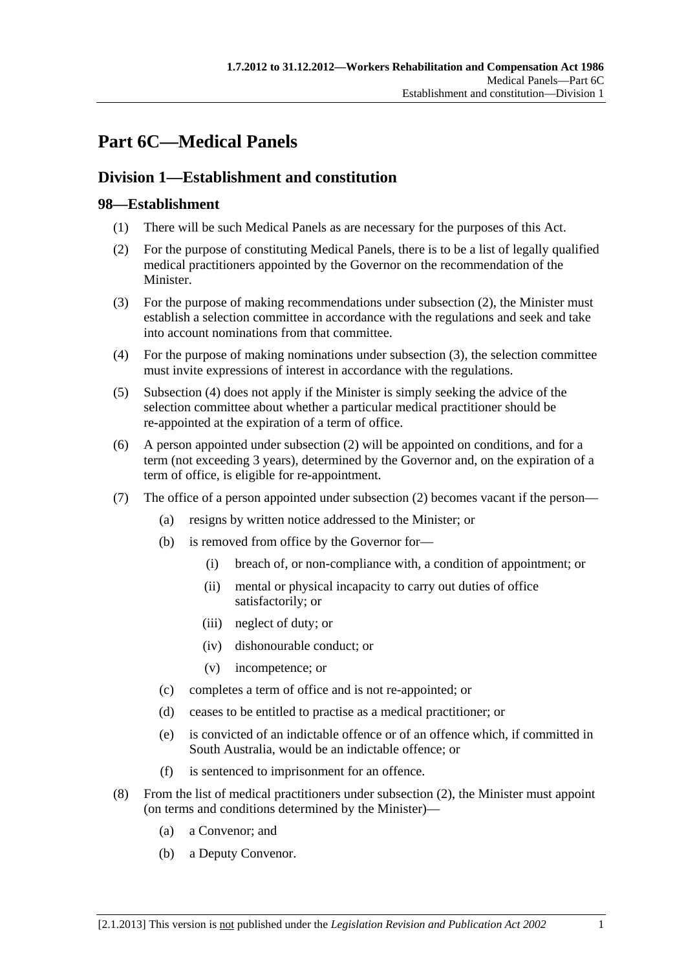# <span id="page-132-0"></span>**Part 6C—Medical Panels**

# **Division 1—Establishment and constitution**

# **98—Establishment**

- (1) There will be such Medical Panels as are necessary for the purposes of this Act.
- (2) For the purpose of constituting Medical Panels, there is to be a list of legally qualified medical practitioners appointed by the Governor on the recommendation of the Minister.
- (3) For the purpose of making recommendations under [subsection \(2\)](#page-132-0), the Minister must establish a selection committee in accordance with the regulations and seek and take into account nominations from that committee.
- (4) For the purpose of making nominations under [subsection \(3\)](#page-132-0), the selection committee must invite expressions of interest in accordance with the regulations.
- (5) [Subsection \(4\)](#page-132-0) does not apply if the Minister is simply seeking the advice of the selection committee about whether a particular medical practitioner should be re-appointed at the expiration of a term of office.
- (6) A person appointed under [subsection \(2\)](#page-132-0) will be appointed on conditions, and for a term (not exceeding 3 years), determined by the Governor and, on the expiration of a term of office, is eligible for re-appointment.
- (7) The office of a person appointed under [subsection \(2\)](#page-132-0) becomes vacant if the person—
	- (a) resigns by written notice addressed to the Minister; or
	- (b) is removed from office by the Governor for—
		- (i) breach of, or non-compliance with, a condition of appointment; or
		- (ii) mental or physical incapacity to carry out duties of office satisfactorily; or
		- (iii) neglect of duty; or
		- (iv) dishonourable conduct; or
		- (v) incompetence; or
	- (c) completes a term of office and is not re-appointed; or
	- (d) ceases to be entitled to practise as a medical practitioner; or
	- (e) is convicted of an indictable offence or of an offence which, if committed in South Australia, would be an indictable offence; or
	- (f) is sentenced to imprisonment for an offence.
- (8) From the list of medical practitioners under [subsection \(2\)](#page-132-0), the Minister must appoint (on terms and conditions determined by the Minister)—
	- (a) a Convenor; and
	- (b) a Deputy Convenor.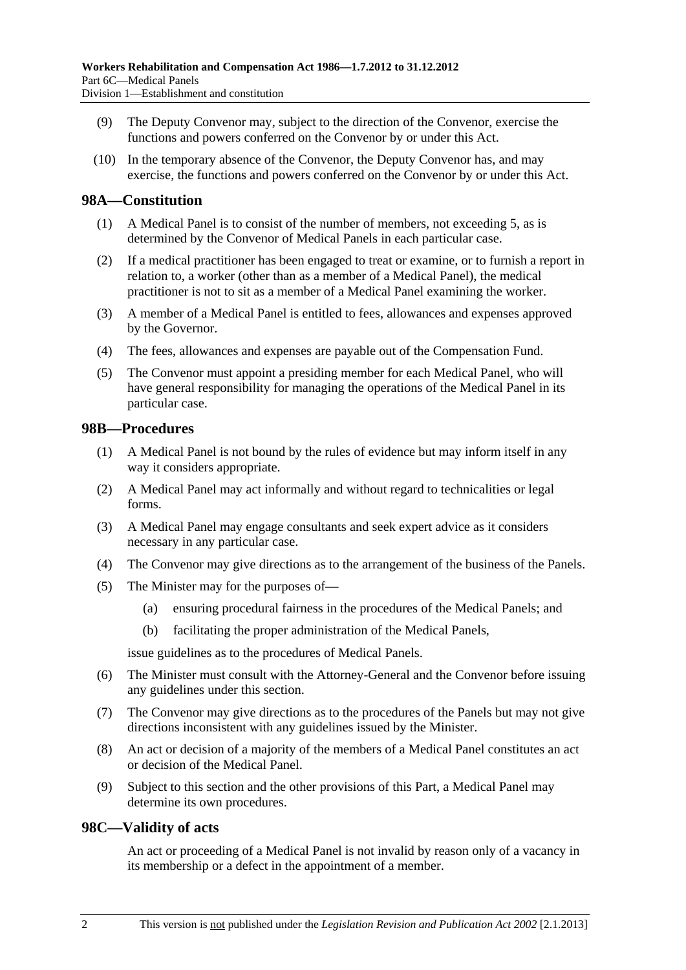- (9) The Deputy Convenor may, subject to the direction of the Convenor, exercise the functions and powers conferred on the Convenor by or under this Act.
- (10) In the temporary absence of the Convenor, the Deputy Convenor has, and may exercise, the functions and powers conferred on the Convenor by or under this Act.

### **98A—Constitution**

- (1) A Medical Panel is to consist of the number of members, not exceeding 5, as is determined by the Convenor of Medical Panels in each particular case.
- (2) If a medical practitioner has been engaged to treat or examine, or to furnish a report in relation to, a worker (other than as a member of a Medical Panel), the medical practitioner is not to sit as a member of a Medical Panel examining the worker.
- (3) A member of a Medical Panel is entitled to fees, allowances and expenses approved by the Governor.
- (4) The fees, allowances and expenses are payable out of the Compensation Fund.
- (5) The Convenor must appoint a presiding member for each Medical Panel, who will have general responsibility for managing the operations of the Medical Panel in its particular case.

### **98B—Procedures**

- (1) A Medical Panel is not bound by the rules of evidence but may inform itself in any way it considers appropriate.
- (2) A Medical Panel may act informally and without regard to technicalities or legal forms.
- (3) A Medical Panel may engage consultants and seek expert advice as it considers necessary in any particular case.
- (4) The Convenor may give directions as to the arrangement of the business of the Panels.
- (5) The Minister may for the purposes of—
	- (a) ensuring procedural fairness in the procedures of the Medical Panels; and
	- (b) facilitating the proper administration of the Medical Panels,

issue guidelines as to the procedures of Medical Panels.

- (6) The Minister must consult with the Attorney-General and the Convenor before issuing any guidelines under this section.
- (7) The Convenor may give directions as to the procedures of the Panels but may not give directions inconsistent with any guidelines issued by the Minister.
- (8) An act or decision of a majority of the members of a Medical Panel constitutes an act or decision of the Medical Panel.
- (9) Subject to this section and the other provisions of this Part, a Medical Panel may determine its own procedures.

#### **98C—Validity of acts**

An act or proceeding of a Medical Panel is not invalid by reason only of a vacancy in its membership or a defect in the appointment of a member.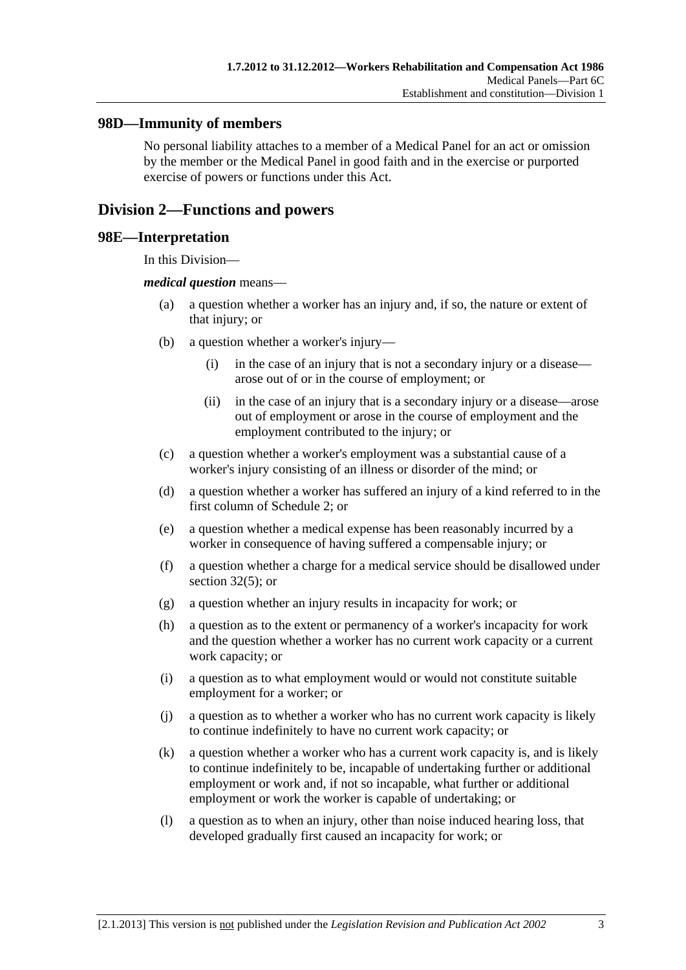### **98D—Immunity of members**

No personal liability attaches to a member of a Medical Panel for an act or omission by the member or the Medical Panel in good faith and in the exercise or purported exercise of powers or functions under this Act.

# **Division 2—Functions and powers**

#### **98E—Interpretation**

In this Division—

#### *medical question* means—

- (a) a question whether a worker has an injury and, if so, the nature or extent of that injury; or
- (b) a question whether a worker's injury—
	- (i) in the case of an injury that is not a secondary injury or a disease arose out of or in the course of employment; or
	- (ii) in the case of an injury that is a secondary injury or a disease—arose out of employment or arose in the course of employment and the employment contributed to the injury; or
- (c) a question whether a worker's employment was a substantial cause of a worker's injury consisting of an illness or disorder of the mind; or
- (d) a question whether a worker has suffered an injury of a kind referred to in the first column of [Schedule 2](#page-163-0); or
- (e) a question whether a medical expense has been reasonably incurred by a worker in consequence of having suffered a compensable injury; or
- (f) a question whether a charge for a medical service should be disallowed under [section 32\(5\);](#page-39-0) or
- (g) a question whether an injury results in incapacity for work; or
- (h) a question as to the extent or permanency of a worker's incapacity for work and the question whether a worker has no current work capacity or a current work capacity; or
- (i) a question as to what employment would or would not constitute suitable employment for a worker; or
- (j) a question as to whether a worker who has no current work capacity is likely to continue indefinitely to have no current work capacity; or
- (k) a question whether a worker who has a current work capacity is, and is likely to continue indefinitely to be, incapable of undertaking further or additional employment or work and, if not so incapable, what further or additional employment or work the worker is capable of undertaking; or
- (l) a question as to when an injury, other than noise induced hearing loss, that developed gradually first caused an incapacity for work; or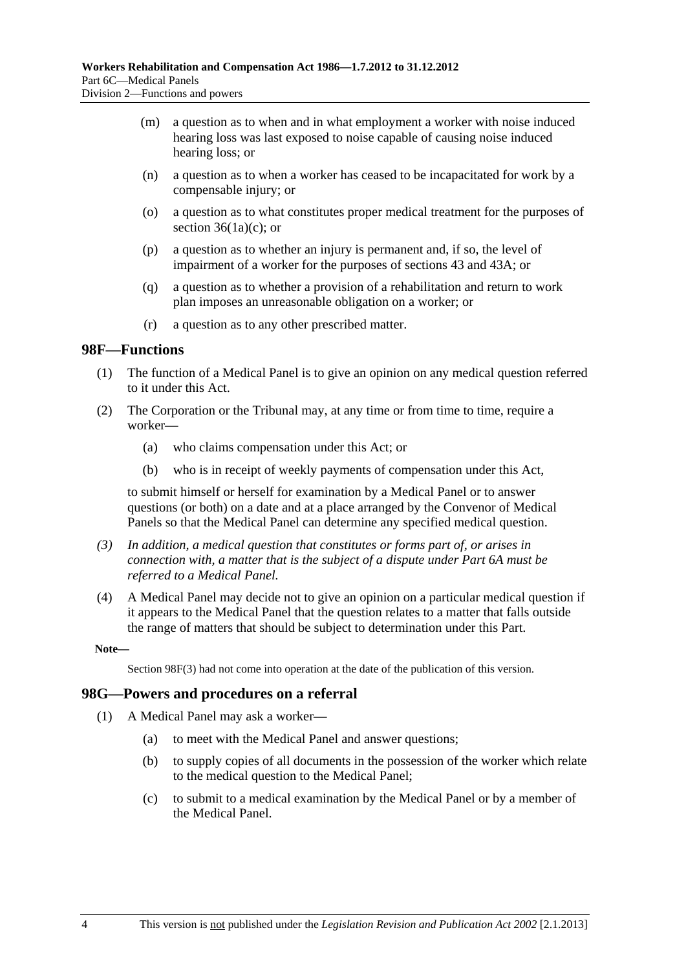- <span id="page-135-0"></span> (m) a question as to when and in what employment a worker with noise induced hearing loss was last exposed to noise capable of causing noise induced hearing loss; or
- (n) a question as to when a worker has ceased to be incapacitated for work by a compensable injury; or
- (o) a question as to what constitutes proper medical treatment for the purposes of section  $36(1a)(c)$ ; or
- (p) a question as to whether an injury is permanent and, if so, the level of impairment of a worker for the purposes of [sections 43](#page-58-0) and [43A](#page-59-0); or
- (q) a question as to whether a provision of a rehabilitation and return to work plan imposes an unreasonable obligation on a worker; or
- (r) a question as to any other prescribed matter.

#### **98F—Functions**

- (1) The function of a Medical Panel is to give an opinion on any medical question referred to it under this Act.
- (2) The Corporation or the Tribunal may, at any time or from time to time, require a worker—
	- (a) who claims compensation under this Act; or
	- (b) who is in receipt of weekly payments of compensation under this Act,

to submit himself or herself for examination by a Medical Panel or to answer questions (or both) on a date and at a place arranged by the Convenor of Medical Panels so that the Medical Panel can determine any specified medical question.

- *(3) In addition, a medical question that constitutes or forms part of, or arises in connection with, a matter that is the subject of a dispute under [Part 6A](#page-122-0) must be referred to a Medical Panel.*
- (4) A Medical Panel may decide not to give an opinion on a particular medical question if it appears to the Medical Panel that the question relates to a matter that falls outside the range of matters that should be subject to determination under this Part.

**Note—** 

Section 98F(3) had not come into operation at the date of the publication of this version.

#### **98G—Powers and procedures on a referral**

- (1) A Medical Panel may ask a worker—
	- (a) to meet with the Medical Panel and answer questions;
	- (b) to supply copies of all documents in the possession of the worker which relate to the medical question to the Medical Panel;
	- (c) to submit to a medical examination by the Medical Panel or by a member of the Medical Panel.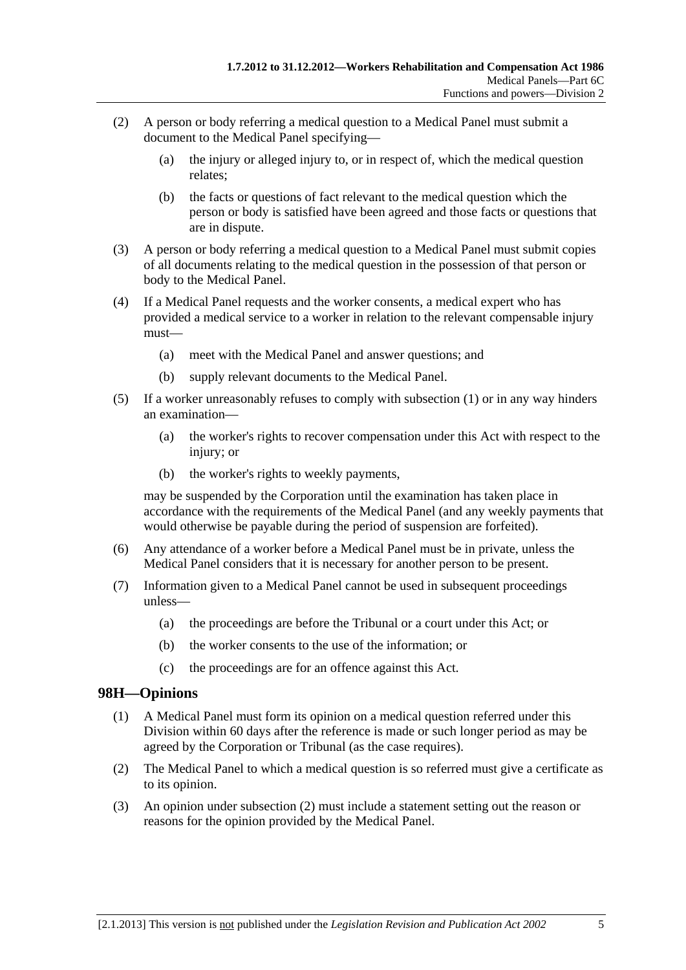- <span id="page-136-0"></span> (2) A person or body referring a medical question to a Medical Panel must submit a document to the Medical Panel specifying—
	- (a) the injury or alleged injury to, or in respect of, which the medical question relates;
	- (b) the facts or questions of fact relevant to the medical question which the person or body is satisfied have been agreed and those facts or questions that are in dispute.
- (3) A person or body referring a medical question to a Medical Panel must submit copies of all documents relating to the medical question in the possession of that person or body to the Medical Panel.
- (4) If a Medical Panel requests and the worker consents, a medical expert who has provided a medical service to a worker in relation to the relevant compensable injury must—
	- (a) meet with the Medical Panel and answer questions; and
	- (b) supply relevant documents to the Medical Panel.
- (5) If a worker unreasonably refuses to comply with [subsection \(1\)](#page-135-0) or in any way hinders an examination—
	- (a) the worker's rights to recover compensation under this Act with respect to the injury; or
	- (b) the worker's rights to weekly payments,

may be suspended by the Corporation until the examination has taken place in accordance with the requirements of the Medical Panel (and any weekly payments that would otherwise be payable during the period of suspension are forfeited).

- (6) Any attendance of a worker before a Medical Panel must be in private, unless the Medical Panel considers that it is necessary for another person to be present.
- (7) Information given to a Medical Panel cannot be used in subsequent proceedings unless—
	- (a) the proceedings are before the Tribunal or a court under this Act; or
	- (b) the worker consents to the use of the information; or
	- (c) the proceedings are for an offence against this Act.

# **98H—Opinions**

- (1) A Medical Panel must form its opinion on a medical question referred under this Division within 60 days after the reference is made or such longer period as may be agreed by the Corporation or Tribunal (as the case requires).
- (2) The Medical Panel to which a medical question is so referred must give a certificate as to its opinion.
- (3) An opinion under [subsection \(2\)](#page-136-0) must include a statement setting out the reason or reasons for the opinion provided by the Medical Panel.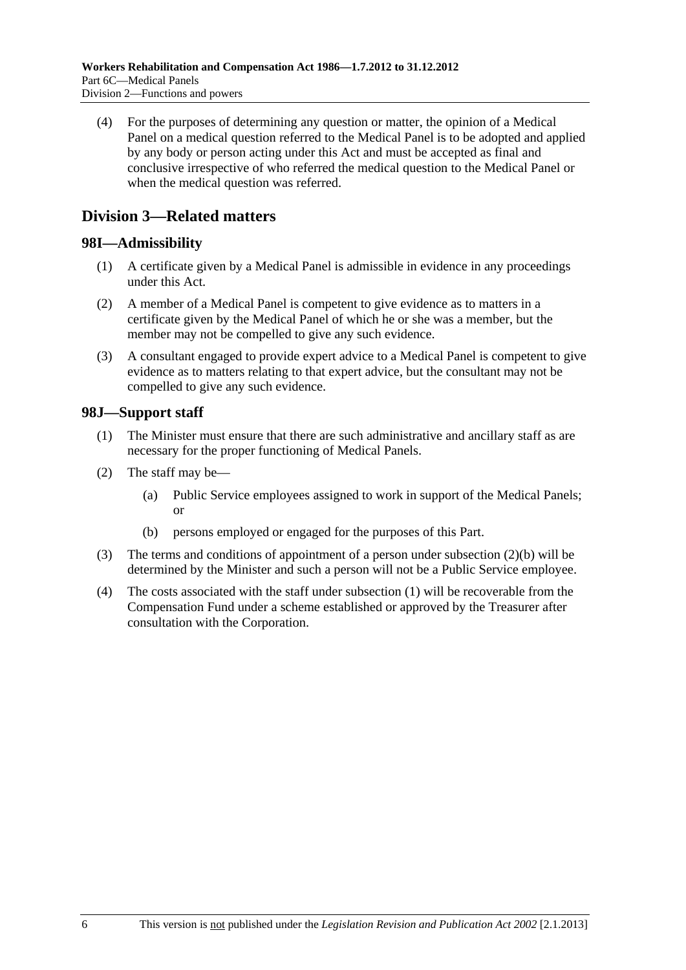<span id="page-137-0"></span> (4) For the purposes of determining any question or matter, the opinion of a Medical Panel on a medical question referred to the Medical Panel is to be adopted and applied by any body or person acting under this Act and must be accepted as final and conclusive irrespective of who referred the medical question to the Medical Panel or when the medical question was referred.

# **Division 3—Related matters**

# **98I—Admissibility**

- (1) A certificate given by a Medical Panel is admissible in evidence in any proceedings under this Act.
- (2) A member of a Medical Panel is competent to give evidence as to matters in a certificate given by the Medical Panel of which he or she was a member, but the member may not be compelled to give any such evidence.
- (3) A consultant engaged to provide expert advice to a Medical Panel is competent to give evidence as to matters relating to that expert advice, but the consultant may not be compelled to give any such evidence.

# **98J—Support staff**

- (1) The Minister must ensure that there are such administrative and ancillary staff as are necessary for the proper functioning of Medical Panels.
- (2) The staff may be—
	- (a) Public Service employees assigned to work in support of the Medical Panels; or
	- (b) persons employed or engaged for the purposes of this Part.
- (3) The terms and conditions of appointment of a person under [subsection \(2\)\(b\)](#page-137-0) will be determined by the Minister and such a person will not be a Public Service employee.
- (4) The costs associated with the staff under [subsection \(1\)](#page-137-0) will be recoverable from the Compensation Fund under a scheme established or approved by the Treasurer after consultation with the Corporation.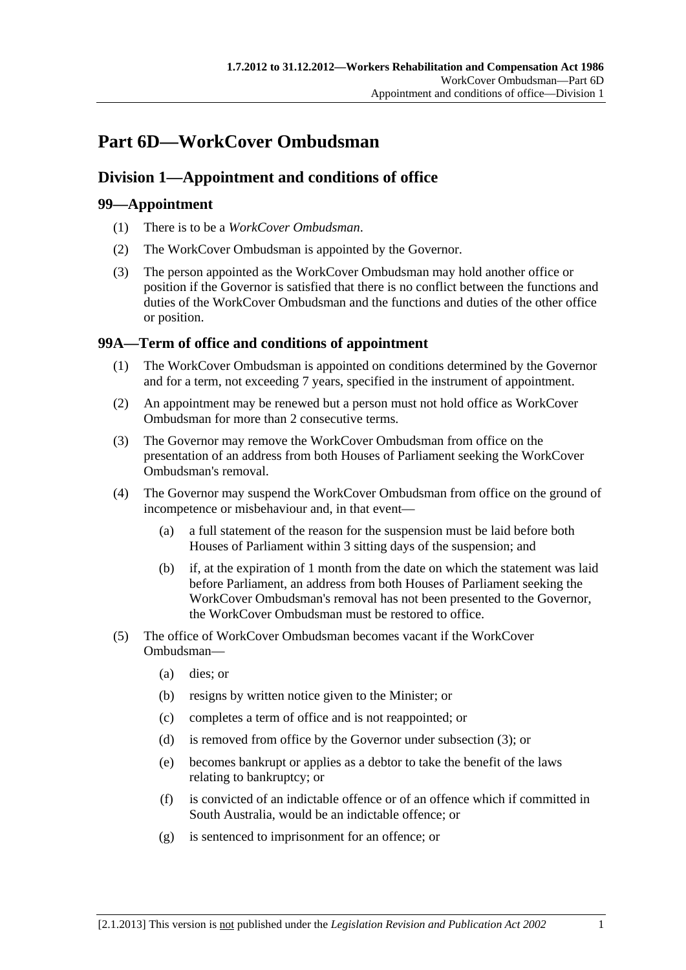# <span id="page-138-0"></span>**Part 6D—WorkCover Ombudsman**

# **Division 1—Appointment and conditions of office**

# **99—Appointment**

- (1) There is to be a *WorkCover Ombudsman*.
- (2) The WorkCover Ombudsman is appointed by the Governor.
- (3) The person appointed as the WorkCover Ombudsman may hold another office or position if the Governor is satisfied that there is no conflict between the functions and duties of the WorkCover Ombudsman and the functions and duties of the other office or position.

# **99A—Term of office and conditions of appointment**

- (1) The WorkCover Ombudsman is appointed on conditions determined by the Governor and for a term, not exceeding 7 years, specified in the instrument of appointment.
- (2) An appointment may be renewed but a person must not hold office as WorkCover Ombudsman for more than 2 consecutive terms.
- (3) The Governor may remove the WorkCover Ombudsman from office on the presentation of an address from both Houses of Parliament seeking the WorkCover Ombudsman's removal.
- (4) The Governor may suspend the WorkCover Ombudsman from office on the ground of incompetence or misbehaviour and, in that event—
	- (a) a full statement of the reason for the suspension must be laid before both Houses of Parliament within 3 sitting days of the suspension; and
	- (b) if, at the expiration of 1 month from the date on which the statement was laid before Parliament, an address from both Houses of Parliament seeking the WorkCover Ombudsman's removal has not been presented to the Governor, the WorkCover Ombudsman must be restored to office.
- (5) The office of WorkCover Ombudsman becomes vacant if the WorkCover Ombudsman—
	- (a) dies; or
	- (b) resigns by written notice given to the Minister; or
	- (c) completes a term of office and is not reappointed; or
	- (d) is removed from office by the Governor under [subsection \(3\)](#page-138-0); or
	- (e) becomes bankrupt or applies as a debtor to take the benefit of the laws relating to bankruptcy; or
	- (f) is convicted of an indictable offence or of an offence which if committed in South Australia, would be an indictable offence; or
	- (g) is sentenced to imprisonment for an offence; or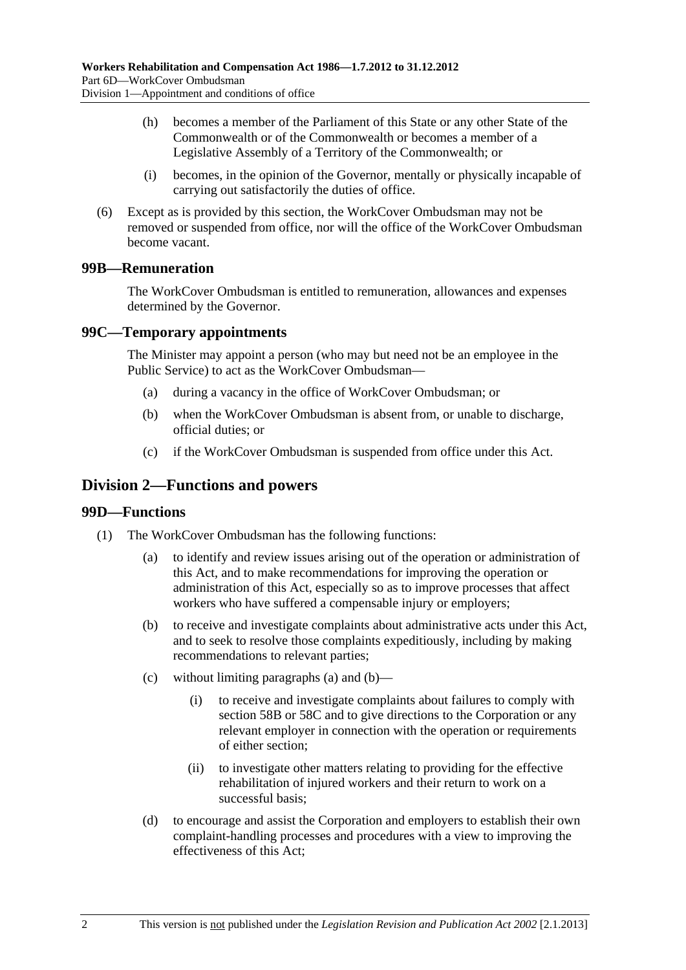- <span id="page-139-0"></span> (h) becomes a member of the Parliament of this State or any other State of the Commonwealth or of the Commonwealth or becomes a member of a Legislative Assembly of a Territory of the Commonwealth; or
- (i) becomes, in the opinion of the Governor, mentally or physically incapable of carrying out satisfactorily the duties of office.
- (6) Except as is provided by this section, the WorkCover Ombudsman may not be removed or suspended from office, nor will the office of the WorkCover Ombudsman become vacant.

# **99B—Remuneration**

The WorkCover Ombudsman is entitled to remuneration, allowances and expenses determined by the Governor.

# **99C—Temporary appointments**

The Minister may appoint a person (who may but need not be an employee in the Public Service) to act as the WorkCover Ombudsman—

- (a) during a vacancy in the office of WorkCover Ombudsman; or
- (b) when the WorkCover Ombudsman is absent from, or unable to discharge, official duties; or
- (c) if the WorkCover Ombudsman is suspended from office under this Act.

# **Division 2—Functions and powers**

#### **99D—Functions**

- (1) The WorkCover Ombudsman has the following functions:
	- (a) to identify and review issues arising out of the operation or administration of this Act, and to make recommendations for improving the operation or administration of this Act, especially so as to improve processes that affect workers who have suffered a compensable injury or employers;
	- (b) to receive and investigate complaints about administrative acts under this Act, and to seek to resolve those complaints expeditiously, including by making recommendations to relevant parties;
	- (c) without limiting [paragraphs \(a\)](#page-139-0) and [\(b\)](#page-139-0)
		- (i) to receive and investigate complaints about failures to comply with [section 58B](#page-84-0) or [58C](#page-84-0) and to give directions to the Corporation or any relevant employer in connection with the operation or requirements of either section;
		- (ii) to investigate other matters relating to providing for the effective rehabilitation of injured workers and their return to work on a successful basis;
	- (d) to encourage and assist the Corporation and employers to establish their own complaint-handling processes and procedures with a view to improving the effectiveness of this Act;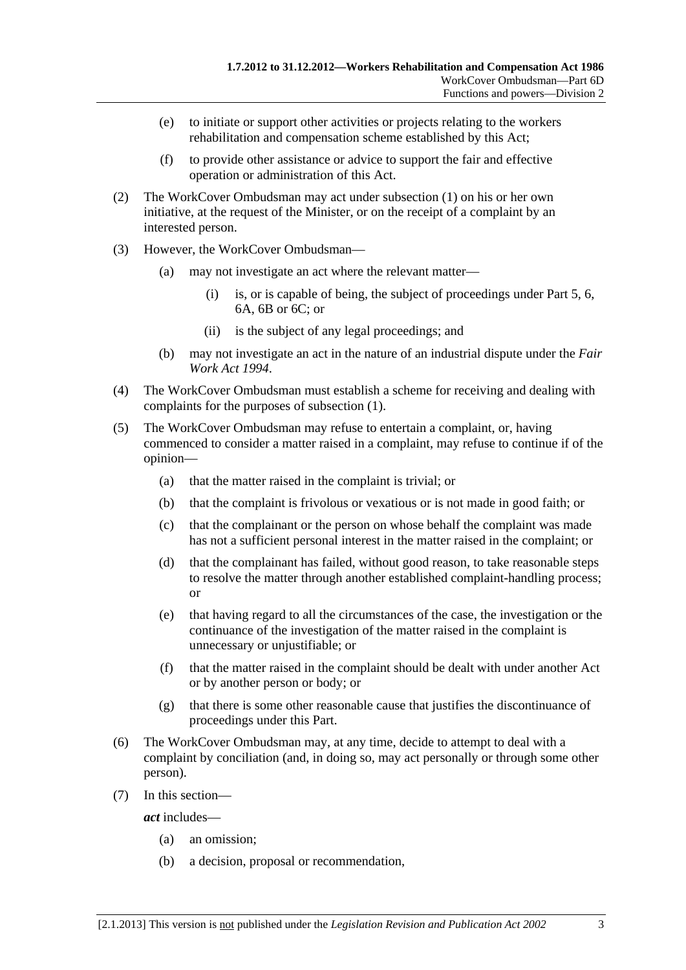- (e) to initiate or support other activities or projects relating to the workers rehabilitation and compensation scheme established by this Act;
- (f) to provide other assistance or advice to support the fair and effective operation or administration of this Act.
- (2) The WorkCover Ombudsman may act under [subsection \(1\)](#page-139-0) on his or her own initiative, at the request of the Minister, or on the receipt of a complaint by an interested person.
- (3) However, the WorkCover Ombudsman—
	- (a) may not investigate an act where the relevant matter—
		- (i) is, or is capable of being, the subject of proceedings under [Part 5,](#page-86-0) [6](#page-112-0), [6A](#page-122-0), [6B](#page-130-0) or 6C; or
		- (ii) is the subject of any legal proceedings; and
	- (b) may not investigate an act in the nature of an industrial dispute under the *[Fair](http://www.legislation.sa.gov.au/index.aspx?action=legref&type=act&legtitle=Fair%20Work%20Act%201994)  [Work Act 1994](http://www.legislation.sa.gov.au/index.aspx?action=legref&type=act&legtitle=Fair%20Work%20Act%201994)*.
- (4) The WorkCover Ombudsman must establish a scheme for receiving and dealing with complaints for the purposes of [subsection \(1\)](#page-139-0).
- (5) The WorkCover Ombudsman may refuse to entertain a complaint, or, having commenced to consider a matter raised in a complaint, may refuse to continue if of the opinion—
	- (a) that the matter raised in the complaint is trivial; or
	- (b) that the complaint is frivolous or vexatious or is not made in good faith; or
	- (c) that the complainant or the person on whose behalf the complaint was made has not a sufficient personal interest in the matter raised in the complaint; or
	- (d) that the complainant has failed, without good reason, to take reasonable steps to resolve the matter through another established complaint-handling process; or
	- (e) that having regard to all the circumstances of the case, the investigation or the continuance of the investigation of the matter raised in the complaint is unnecessary or unjustifiable; or
	- (f) that the matter raised in the complaint should be dealt with under another Act or by another person or body; or
	- (g) that there is some other reasonable cause that justifies the discontinuance of proceedings under this Part.
- (6) The WorkCover Ombudsman may, at any time, decide to attempt to deal with a complaint by conciliation (and, in doing so, may act personally or through some other person).
- (7) In this section—

*act* includes—

- (a) an omission;
- (b) a decision, proposal or recommendation,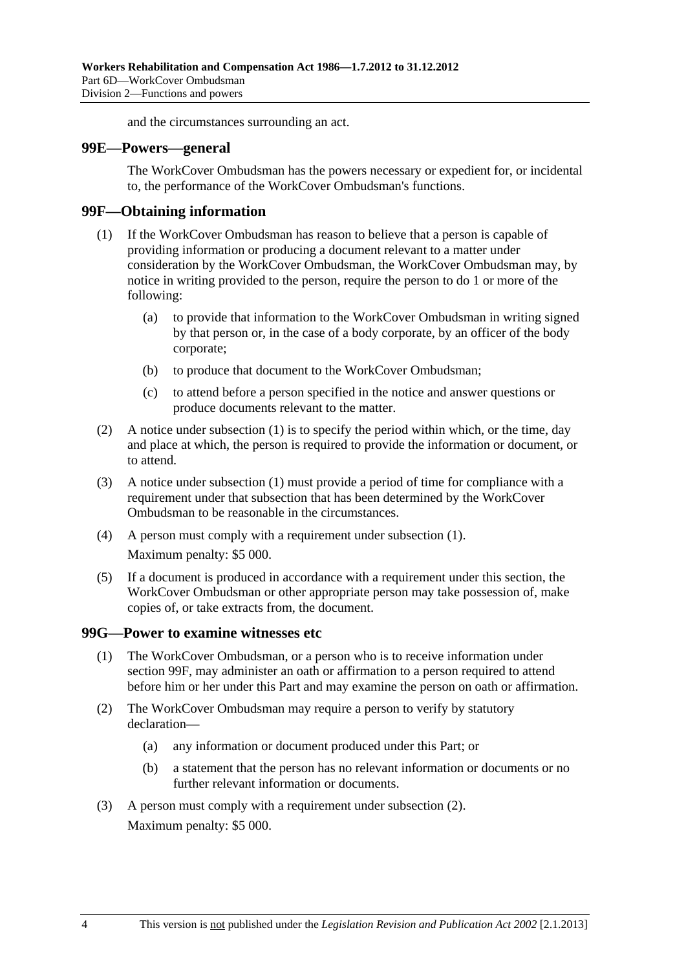and the circumstances surrounding an act.

#### <span id="page-141-0"></span>**99E—Powers—general**

The WorkCover Ombudsman has the powers necessary or expedient for, or incidental to, the performance of the WorkCover Ombudsman's functions.

#### **99F—Obtaining information**

- (1) If the WorkCover Ombudsman has reason to believe that a person is capable of providing information or producing a document relevant to a matter under consideration by the WorkCover Ombudsman, the WorkCover Ombudsman may, by notice in writing provided to the person, require the person to do 1 or more of the following:
	- (a) to provide that information to the WorkCover Ombudsman in writing signed by that person or, in the case of a body corporate, by an officer of the body corporate;
	- (b) to produce that document to the WorkCover Ombudsman;
	- (c) to attend before a person specified in the notice and answer questions or produce documents relevant to the matter.
- (2) A notice under [subsection \(1\)](#page-141-0) is to specify the period within which, or the time, day and place at which, the person is required to provide the information or document, or to attend.
- (3) A notice under [subsection \(1\)](#page-141-0) must provide a period of time for compliance with a requirement under that subsection that has been determined by the WorkCover Ombudsman to be reasonable in the circumstances.
- (4) A person must comply with a requirement under [subsection \(1\).](#page-141-0) Maximum penalty: \$5 000.
- (5) If a document is produced in accordance with a requirement under this section, the WorkCover Ombudsman or other appropriate person may take possession of, make copies of, or take extracts from, the document.

#### **99G—Power to examine witnesses etc**

- (1) The WorkCover Ombudsman, or a person who is to receive information under [section 99F](#page-141-0), may administer an oath or affirmation to a person required to attend before him or her under this Part and may examine the person on oath or affirmation.
- (2) The WorkCover Ombudsman may require a person to verify by statutory declaration—
	- (a) any information or document produced under this Part; or
	- (b) a statement that the person has no relevant information or documents or no further relevant information or documents.
- (3) A person must comply with a requirement under [subsection \(2\).](#page-141-0) Maximum penalty: \$5 000.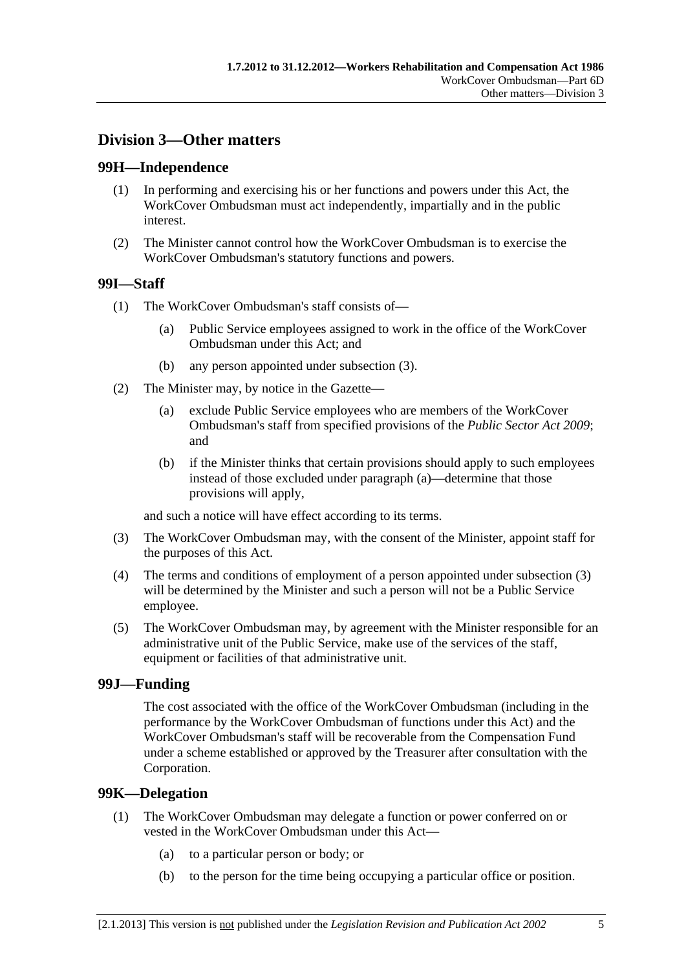# <span id="page-142-0"></span>**Division 3—Other matters**

### **99H—Independence**

- (1) In performing and exercising his or her functions and powers under this Act, the WorkCover Ombudsman must act independently, impartially and in the public interest.
- (2) The Minister cannot control how the WorkCover Ombudsman is to exercise the WorkCover Ombudsman's statutory functions and powers.

# **99I—Staff**

- (1) The WorkCover Ombudsman's staff consists of—
	- (a) Public Service employees assigned to work in the office of the WorkCover Ombudsman under this Act; and
	- (b) any person appointed under [subsection \(3\).](#page-142-0)
- (2) The Minister may, by notice in the Gazette—
	- (a) exclude Public Service employees who are members of the WorkCover Ombudsman's staff from specified provisions of the *[Public Sector Act 2009](http://www.legislation.sa.gov.au/index.aspx?action=legref&type=act&legtitle=Public%20Sector%20Act%202009)*; and
	- (b) if the Minister thinks that certain provisions should apply to such employees instead of those excluded under [paragraph \(a\)—](#page-142-0)determine that those provisions will apply,

and such a notice will have effect according to its terms.

- (3) The WorkCover Ombudsman may, with the consent of the Minister, appoint staff for the purposes of this Act.
- (4) The terms and conditions of employment of a person appointed under [subsection \(3\)](#page-142-0) will be determined by the Minister and such a person will not be a Public Service employee.
- (5) The WorkCover Ombudsman may, by agreement with the Minister responsible for an administrative unit of the Public Service, make use of the services of the staff, equipment or facilities of that administrative unit.

#### **99J—Funding**

The cost associated with the office of the WorkCover Ombudsman (including in the performance by the WorkCover Ombudsman of functions under this Act) and the WorkCover Ombudsman's staff will be recoverable from the Compensation Fund under a scheme established or approved by the Treasurer after consultation with the Corporation.

#### **99K—Delegation**

- (1) The WorkCover Ombudsman may delegate a function or power conferred on or vested in the WorkCover Ombudsman under this Act—
	- (a) to a particular person or body; or
	- (b) to the person for the time being occupying a particular office or position.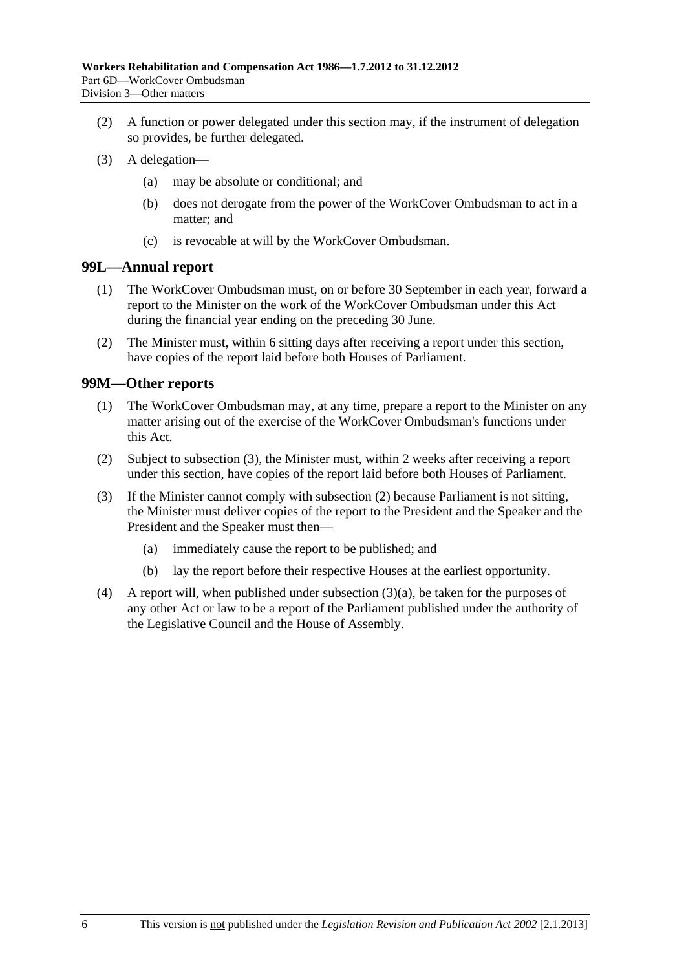- <span id="page-143-0"></span> (2) A function or power delegated under this section may, if the instrument of delegation so provides, be further delegated.
- (3) A delegation—
	- (a) may be absolute or conditional; and
	- (b) does not derogate from the power of the WorkCover Ombudsman to act in a matter; and
	- (c) is revocable at will by the WorkCover Ombudsman.

### **99L—Annual report**

- (1) The WorkCover Ombudsman must, on or before 30 September in each year, forward a report to the Minister on the work of the WorkCover Ombudsman under this Act during the financial year ending on the preceding 30 June.
- (2) The Minister must, within 6 sitting days after receiving a report under this section, have copies of the report laid before both Houses of Parliament.

### **99M—Other reports**

- (1) The WorkCover Ombudsman may, at any time, prepare a report to the Minister on any matter arising out of the exercise of the WorkCover Ombudsman's functions under this Act.
- (2) Subject to [subsection \(3\),](#page-143-0) the Minister must, within 2 weeks after receiving a report under this section, have copies of the report laid before both Houses of Parliament.
- (3) If the Minister cannot comply with [subsection \(2\)](#page-143-0) because Parliament is not sitting, the Minister must deliver copies of the report to the President and the Speaker and the President and the Speaker must then—
	- (a) immediately cause the report to be published; and
	- (b) lay the report before their respective Houses at the earliest opportunity.
- (4) A report will, when published under [subsection \(3\)\(a\),](#page-143-0) be taken for the purposes of any other Act or law to be a report of the Parliament published under the authority of the Legislative Council and the House of Assembly.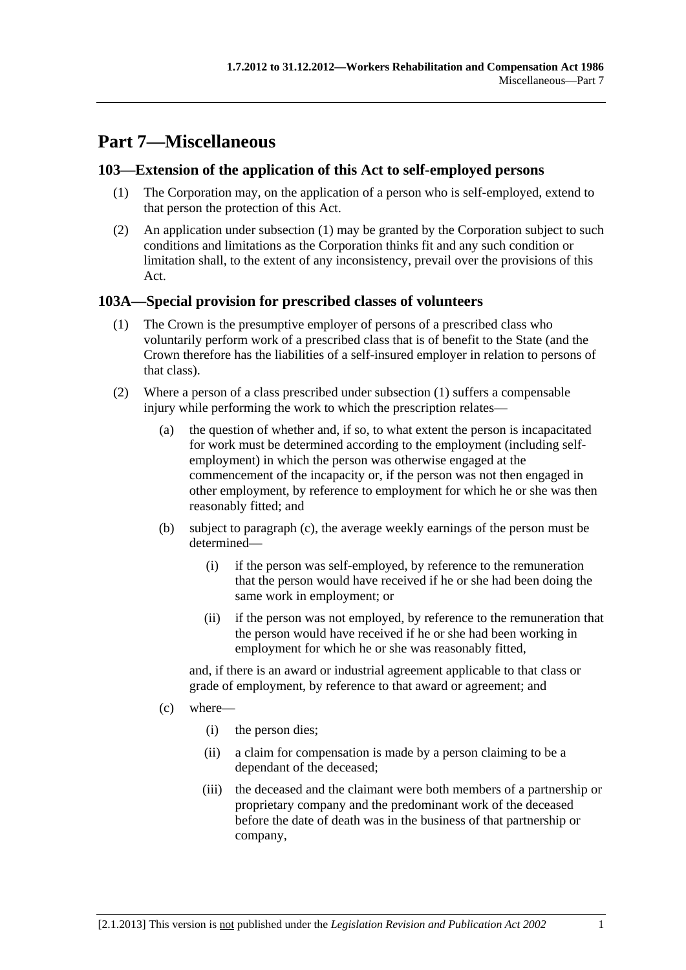# <span id="page-144-0"></span>**Part 7—Miscellaneous**

# **103—Extension of the application of this Act to self-employed persons**

- (1) The Corporation may, on the application of a person who is self-employed, extend to that person the protection of this Act.
- (2) An application under [subsection \(1\)](#page-144-0) may be granted by the Corporation subject to such conditions and limitations as the Corporation thinks fit and any such condition or limitation shall, to the extent of any inconsistency, prevail over the provisions of this Act.

# **103A—Special provision for prescribed classes of volunteers**

- (1) The Crown is the presumptive employer of persons of a prescribed class who voluntarily perform work of a prescribed class that is of benefit to the State (and the Crown therefore has the liabilities of a self-insured employer in relation to persons of that class).
- (2) Where a person of a class prescribed under [subsection \(1\)](#page-144-0) suffers a compensable injury while performing the work to which the prescription relates—
	- (a) the question of whether and, if so, to what extent the person is incapacitated for work must be determined according to the employment (including selfemployment) in which the person was otherwise engaged at the commencement of the incapacity or, if the person was not then engaged in other employment, by reference to employment for which he or she was then reasonably fitted; and
	- (b) subject to [paragraph \(c\)](#page-144-0), the average weekly earnings of the person must be determined—
		- (i) if the person was self-employed, by reference to the remuneration that the person would have received if he or she had been doing the same work in employment; or
		- (ii) if the person was not employed, by reference to the remuneration that the person would have received if he or she had been working in employment for which he or she was reasonably fitted,

and, if there is an award or industrial agreement applicable to that class or grade of employment, by reference to that award or agreement; and

- (c) where—
	- (i) the person dies;
	- (ii) a claim for compensation is made by a person claiming to be a dependant of the deceased;
	- (iii) the deceased and the claimant were both members of a partnership or proprietary company and the predominant work of the deceased before the date of death was in the business of that partnership or company,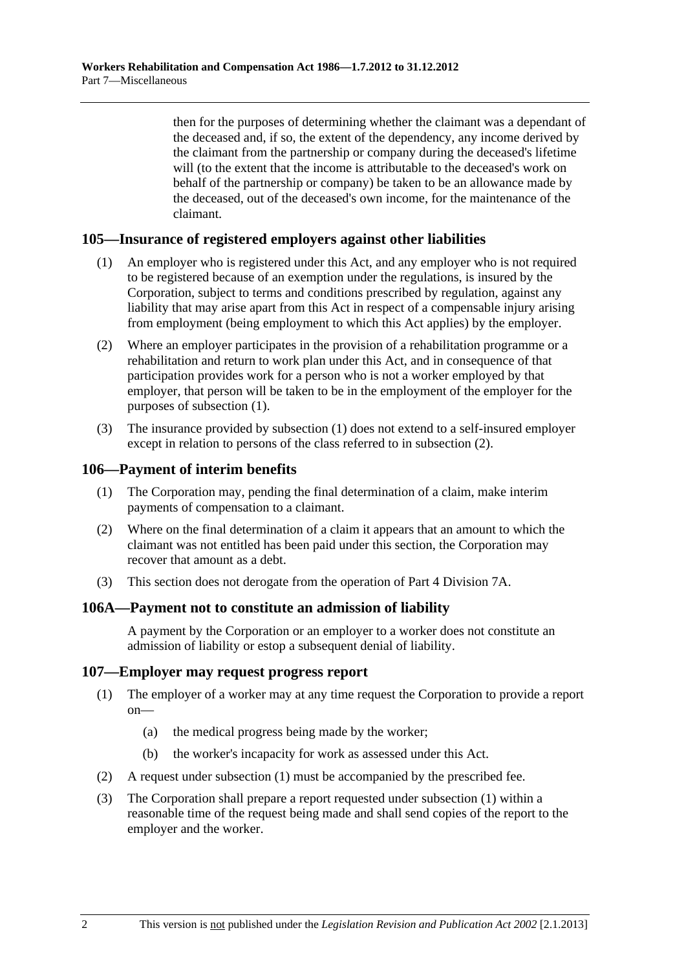<span id="page-145-0"></span>then for the purposes of determining whether the claimant was a dependant of the deceased and, if so, the extent of the dependency, any income derived by the claimant from the partnership or company during the deceased's lifetime will (to the extent that the income is attributable to the deceased's work on behalf of the partnership or company) be taken to be an allowance made by the deceased, out of the deceased's own income, for the maintenance of the claimant.

# **105—Insurance of registered employers against other liabilities**

- (1) An employer who is registered under this Act, and any employer who is not required to be registered because of an exemption under the regulations, is insured by the Corporation, subject to terms and conditions prescribed by regulation, against any liability that may arise apart from this Act in respect of a compensable injury arising from employment (being employment to which this Act applies) by the employer.
- (2) Where an employer participates in the provision of a rehabilitation programme or a rehabilitation and return to work plan under this Act, and in consequence of that participation provides work for a person who is not a worker employed by that employer, that person will be taken to be in the employment of the employer for the purposes of [subsection \(1\).](#page-145-0)
- (3) The insurance provided by [subsection \(1\)](#page-145-0) does not extend to a self-insured employer except in relation to persons of the class referred to in [subsection \(2\).](#page-145-0)

# **106—Payment of interim benefits**

- (1) The Corporation may, pending the final determination of a claim, make interim payments of compensation to a claimant.
- (2) Where on the final determination of a claim it appears that an amount to which the claimant was not entitled has been paid under this section, the Corporation may recover that amount as a debt.
- (3) This section does not derogate from the operation of [Part 4 Division 7A.](#page-70-0)

### **106A—Payment not to constitute an admission of liability**

A payment by the Corporation or an employer to a worker does not constitute an admission of liability or estop a subsequent denial of liability.

### **107—Employer may request progress report**

- (1) The employer of a worker may at any time request the Corporation to provide a report on—
	- (a) the medical progress being made by the worker;
	- (b) the worker's incapacity for work as assessed under this Act.
- (2) A request under [subsection \(1\)](#page-145-0) must be accompanied by the prescribed fee.
- (3) The Corporation shall prepare a report requested under [subsection \(1\)](#page-145-0) within a reasonable time of the request being made and shall send copies of the report to the employer and the worker.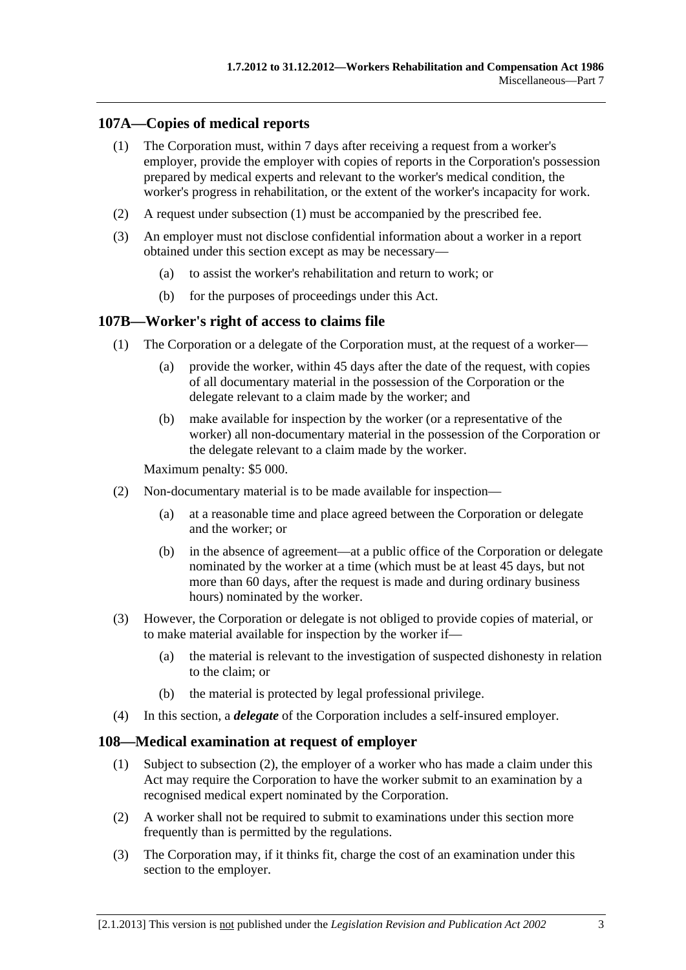# <span id="page-146-0"></span>**107A—Copies of medical reports**

- (1) The Corporation must, within 7 days after receiving a request from a worker's employer, provide the employer with copies of reports in the Corporation's possession prepared by medical experts and relevant to the worker's medical condition, the worker's progress in rehabilitation, or the extent of the worker's incapacity for work.
- (2) A request under [subsection \(1\)](#page-146-0) must be accompanied by the prescribed fee.
- (3) An employer must not disclose confidential information about a worker in a report obtained under this section except as may be necessary—
	- (a) to assist the worker's rehabilitation and return to work; or
	- (b) for the purposes of proceedings under this Act.

# **107B—Worker's right of access to claims file**

- (1) The Corporation or a delegate of the Corporation must, at the request of a worker—
	- (a) provide the worker, within 45 days after the date of the request, with copies of all documentary material in the possession of the Corporation or the delegate relevant to a claim made by the worker; and
	- (b) make available for inspection by the worker (or a representative of the worker) all non-documentary material in the possession of the Corporation or the delegate relevant to a claim made by the worker.

Maximum penalty: \$5 000.

- (2) Non-documentary material is to be made available for inspection—
	- (a) at a reasonable time and place agreed between the Corporation or delegate and the worker; or
	- (b) in the absence of agreement—at a public office of the Corporation or delegate nominated by the worker at a time (which must be at least 45 days, but not more than 60 days, after the request is made and during ordinary business hours) nominated by the worker.
- (3) However, the Corporation or delegate is not obliged to provide copies of material, or to make material available for inspection by the worker if—
	- (a) the material is relevant to the investigation of suspected dishonesty in relation to the claim; or
	- (b) the material is protected by legal professional privilege.
- (4) In this section, a *delegate* of the Corporation includes a self-insured employer.

### **108—Medical examination at request of employer**

- (1) Subject to [subsection \(2\),](#page-146-0) the employer of a worker who has made a claim under this Act may require the Corporation to have the worker submit to an examination by a recognised medical expert nominated by the Corporation.
- (2) A worker shall not be required to submit to examinations under this section more frequently than is permitted by the regulations.
- (3) The Corporation may, if it thinks fit, charge the cost of an examination under this section to the employer.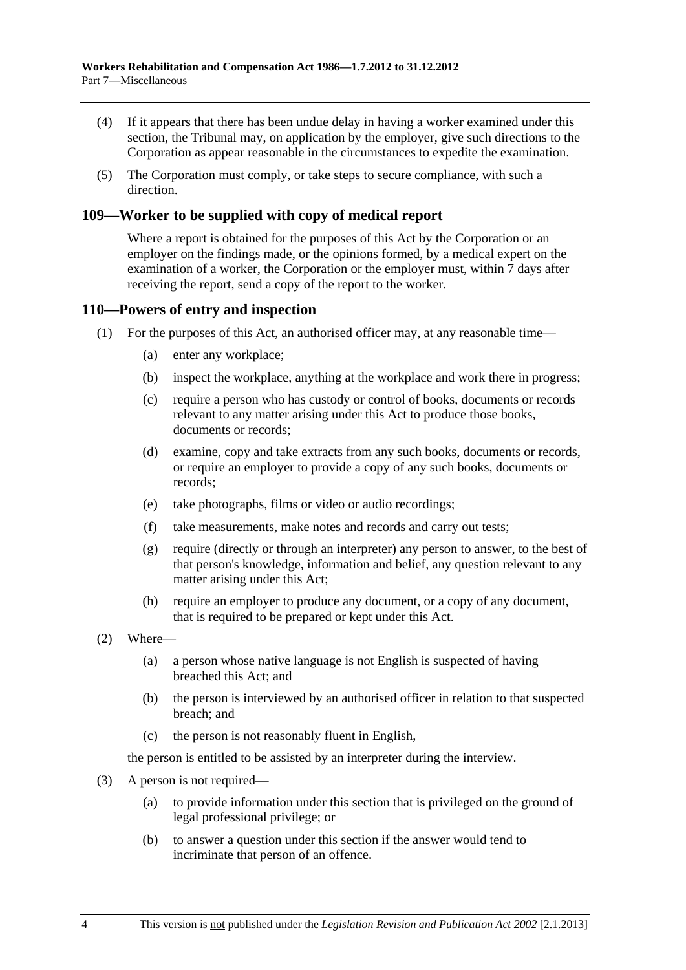- (4) If it appears that there has been undue delay in having a worker examined under this section, the Tribunal may, on application by the employer, give such directions to the Corporation as appear reasonable in the circumstances to expedite the examination.
- (5) The Corporation must comply, or take steps to secure compliance, with such a direction.

# **109—Worker to be supplied with copy of medical report**

Where a report is obtained for the purposes of this Act by the Corporation or an employer on the findings made, or the opinions formed, by a medical expert on the examination of a worker, the Corporation or the employer must, within 7 days after receiving the report, send a copy of the report to the worker.

### **110—Powers of entry and inspection**

- (1) For the purposes of this Act, an authorised officer may, at any reasonable time—
	- (a) enter any workplace;
	- (b) inspect the workplace, anything at the workplace and work there in progress;
	- (c) require a person who has custody or control of books, documents or records relevant to any matter arising under this Act to produce those books, documents or records;
	- (d) examine, copy and take extracts from any such books, documents or records, or require an employer to provide a copy of any such books, documents or records;
	- (e) take photographs, films or video or audio recordings;
	- (f) take measurements, make notes and records and carry out tests;
	- (g) require (directly or through an interpreter) any person to answer, to the best of that person's knowledge, information and belief, any question relevant to any matter arising under this Act;
	- (h) require an employer to produce any document, or a copy of any document, that is required to be prepared or kept under this Act.
- (2) Where—
	- (a) a person whose native language is not English is suspected of having breached this Act; and
	- (b) the person is interviewed by an authorised officer in relation to that suspected breach; and
	- (c) the person is not reasonably fluent in English,

the person is entitled to be assisted by an interpreter during the interview.

- (3) A person is not required—
	- (a) to provide information under this section that is privileged on the ground of legal professional privilege; or
	- (b) to answer a question under this section if the answer would tend to incriminate that person of an offence.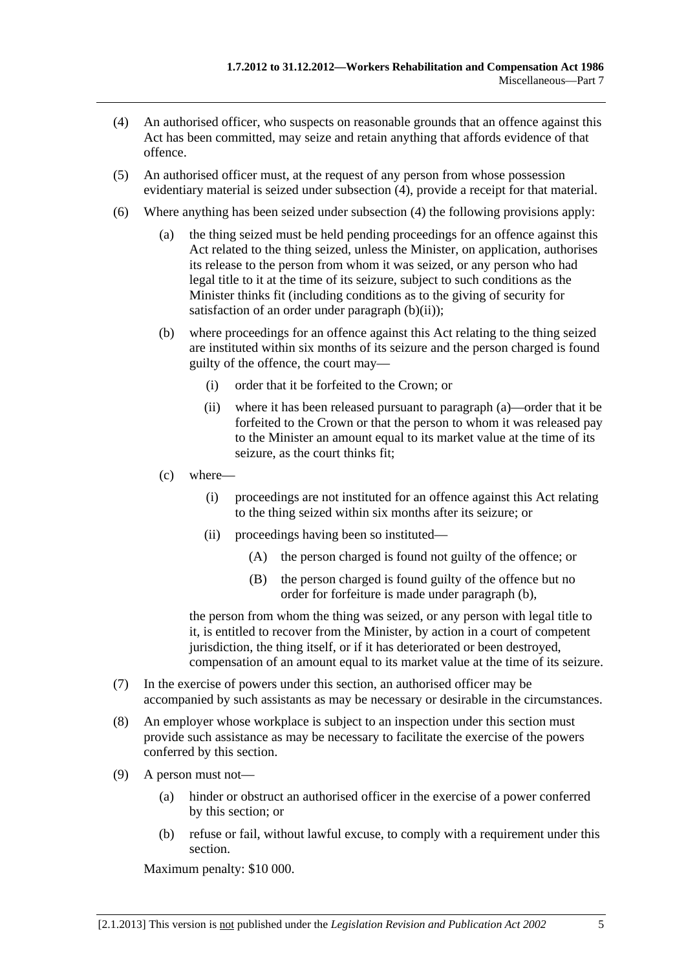- <span id="page-148-0"></span> (4) An authorised officer, who suspects on reasonable grounds that an offence against this Act has been committed, may seize and retain anything that affords evidence of that offence.
- (5) An authorised officer must, at the request of any person from whose possession evidentiary material is seized under [subsection \(4\),](#page-148-0) provide a receipt for that material.
- (6) Where anything has been seized under [subsection \(4\)](#page-148-0) the following provisions apply:
	- (a) the thing seized must be held pending proceedings for an offence against this Act related to the thing seized, unless the Minister, on application, authorises its release to the person from whom it was seized, or any person who had legal title to it at the time of its seizure, subject to such conditions as the Minister thinks fit (including conditions as to the giving of security for satisfaction of an order under [paragraph \(b\)\(ii\)](#page-148-0));
	- (b) where proceedings for an offence against this Act relating to the thing seized are instituted within six months of its seizure and the person charged is found guilty of the offence, the court may—
		- (i) order that it be forfeited to the Crown; or
		- (ii) where it has been released pursuant to [paragraph \(a\)—](#page-148-0)order that it be forfeited to the Crown or that the person to whom it was released pay to the Minister an amount equal to its market value at the time of its seizure, as the court thinks fit;
	- (c) where—
		- (i) proceedings are not instituted for an offence against this Act relating to the thing seized within six months after its seizure; or
		- (ii) proceedings having been so instituted—
			- (A) the person charged is found not guilty of the offence; or
			- (B) the person charged is found guilty of the offence but no order for forfeiture is made under [paragraph \(b\)](#page-148-0),

the person from whom the thing was seized, or any person with legal title to it, is entitled to recover from the Minister, by action in a court of competent jurisdiction, the thing itself, or if it has deteriorated or been destroyed, compensation of an amount equal to its market value at the time of its seizure.

- (7) In the exercise of powers under this section, an authorised officer may be accompanied by such assistants as may be necessary or desirable in the circumstances.
- (8) An employer whose workplace is subject to an inspection under this section must provide such assistance as may be necessary to facilitate the exercise of the powers conferred by this section.
- (9) A person must not—
	- (a) hinder or obstruct an authorised officer in the exercise of a power conferred by this section; or
	- (b) refuse or fail, without lawful excuse, to comply with a requirement under this section.

Maximum penalty: \$10 000.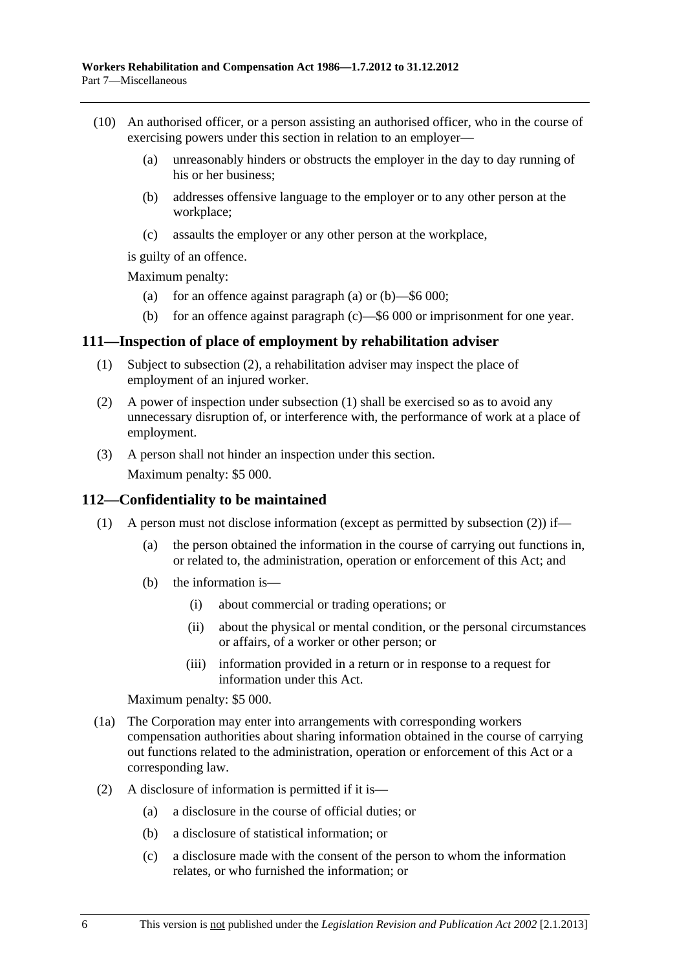- <span id="page-149-0"></span> (10) An authorised officer, or a person assisting an authorised officer, who in the course of exercising powers under this section in relation to an employer—
	- (a) unreasonably hinders or obstructs the employer in the day to day running of his or her business;
	- (b) addresses offensive language to the employer or to any other person at the workplace;
	- (c) assaults the employer or any other person at the workplace,

is guilty of an offence.

Maximum penalty:

- (a) for an offence against [paragraph \(a\)](#page-149-0) or  $(b)$ —\$6 000;
- (b) for an offence against [paragraph \(c\)—](#page-149-0)\$6 000 or imprisonment for one year.

### **111—Inspection of place of employment by rehabilitation adviser**

- (1) Subject to [subsection \(2\),](#page-149-0) a rehabilitation adviser may inspect the place of employment of an injured worker.
- (2) A power of inspection under [subsection \(1\)](#page-149-0) shall be exercised so as to avoid any unnecessary disruption of, or interference with, the performance of work at a place of employment.
- (3) A person shall not hinder an inspection under this section.

Maximum penalty: \$5 000.

### **112—Confidentiality to be maintained**

- (1) A person must not disclose information (except as permitted by subsection  $(2)$ ) if—
	- (a) the person obtained the information in the course of carrying out functions in, or related to, the administration, operation or enforcement of this Act; and
	- (b) the information is—
		- (i) about commercial or trading operations; or
		- (ii) about the physical or mental condition, or the personal circumstances or affairs, of a worker or other person; or
		- (iii) information provided in a return or in response to a request for information under this Act.

Maximum penalty: \$5 000.

- (1a) The Corporation may enter into arrangements with corresponding workers compensation authorities about sharing information obtained in the course of carrying out functions related to the administration, operation or enforcement of this Act or a corresponding law.
- (2) A disclosure of information is permitted if it is—
	- (a) a disclosure in the course of official duties; or
	- (b) a disclosure of statistical information; or
	- (c) a disclosure made with the consent of the person to whom the information relates, or who furnished the information; or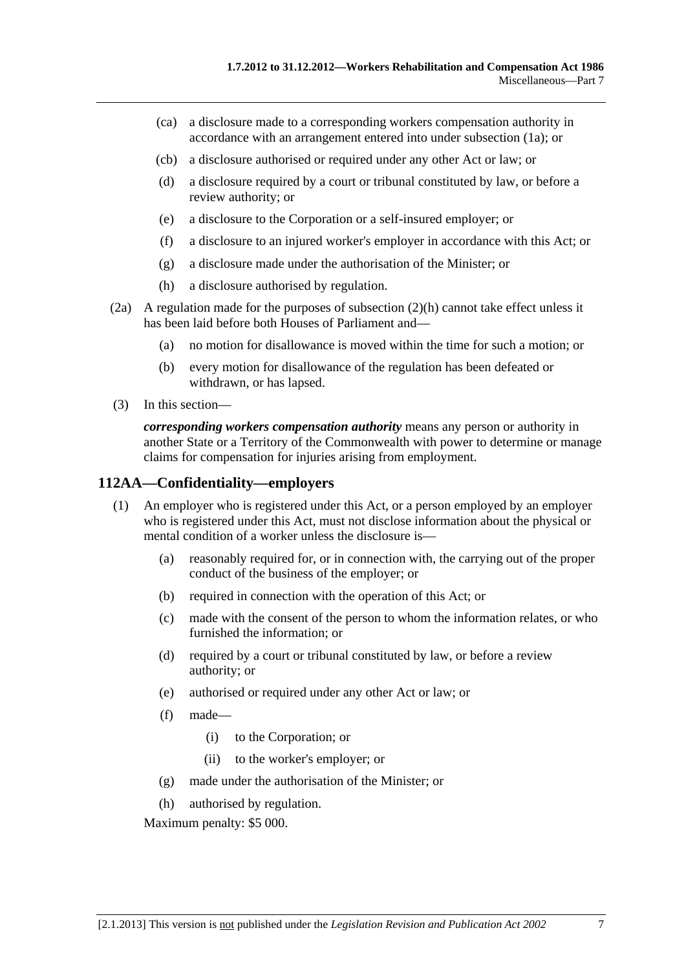- <span id="page-150-0"></span> (ca) a disclosure made to a corresponding workers compensation authority in accordance with an arrangement entered into under [subsection \(1a\);](#page-149-0) or
- (cb) a disclosure authorised or required under any other Act or law; or
- (d) a disclosure required by a court or tribunal constituted by law, or before a review authority; or
- (e) a disclosure to the Corporation or a self-insured employer; or
- (f) a disclosure to an injured worker's employer in accordance with this Act; or
- (g) a disclosure made under the authorisation of the Minister; or
- (h) a disclosure authorised by regulation.
- (2a) A regulation made for the purposes of [subsection \(2\)\(h\)](#page-150-0) cannot take effect unless it has been laid before both Houses of Parliament and—
	- (a) no motion for disallowance is moved within the time for such a motion; or
	- (b) every motion for disallowance of the regulation has been defeated or withdrawn, or has lapsed.
- (3) In this section—

*corresponding workers compensation authority* means any person or authority in another State or a Territory of the Commonwealth with power to determine or manage claims for compensation for injuries arising from employment.

#### **112AA—Confidentiality—employers**

- (1) An employer who is registered under this Act, or a person employed by an employer who is registered under this Act, must not disclose information about the physical or mental condition of a worker unless the disclosure is—
	- (a) reasonably required for, or in connection with, the carrying out of the proper conduct of the business of the employer; or
	- (b) required in connection with the operation of this Act; or
	- (c) made with the consent of the person to whom the information relates, or who furnished the information; or
	- (d) required by a court or tribunal constituted by law, or before a review authority; or
	- (e) authorised or required under any other Act or law; or
	- (f) made—
		- (i) to the Corporation; or
		- (ii) to the worker's employer; or
	- (g) made under the authorisation of the Minister; or
	- (h) authorised by regulation.

Maximum penalty: \$5 000.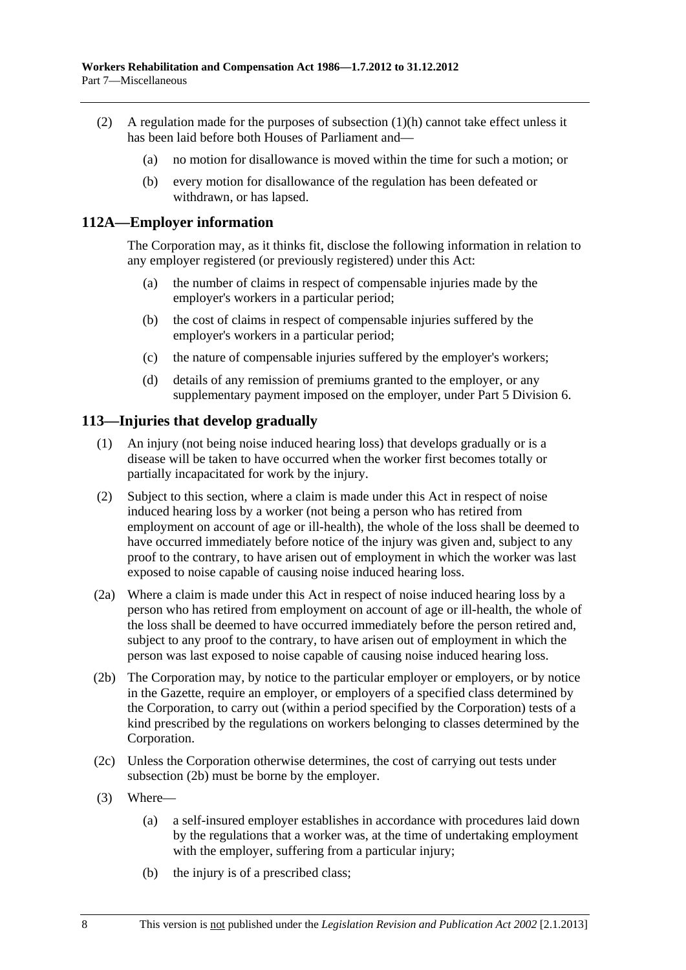- <span id="page-151-0"></span> (2) A regulation made for the purposes of [subsection \(1\)\(h\)](#page-150-0) cannot take effect unless it has been laid before both Houses of Parliament and—
	- (a) no motion for disallowance is moved within the time for such a motion; or
	- (b) every motion for disallowance of the regulation has been defeated or withdrawn, or has lapsed.

## **112A—Employer information**

The Corporation may, as it thinks fit, disclose the following information in relation to any employer registered (or previously registered) under this Act:

- (a) the number of claims in respect of compensable injuries made by the employer's workers in a particular period;
- (b) the cost of claims in respect of compensable injuries suffered by the employer's workers in a particular period;
- (c) the nature of compensable injuries suffered by the employer's workers;
- (d) details of any remission of premiums granted to the employer, or any supplementary payment imposed on the employer, under Part 5 Division 6.

# **113—Injuries that develop gradually**

- (1) An injury (not being noise induced hearing loss) that develops gradually or is a disease will be taken to have occurred when the worker first becomes totally or partially incapacitated for work by the injury.
- (2) Subject to this section, where a claim is made under this Act in respect of noise induced hearing loss by a worker (not being a person who has retired from employment on account of age or ill-health), the whole of the loss shall be deemed to have occurred immediately before notice of the injury was given and, subject to any proof to the contrary, to have arisen out of employment in which the worker was last exposed to noise capable of causing noise induced hearing loss.
- (2a) Where a claim is made under this Act in respect of noise induced hearing loss by a person who has retired from employment on account of age or ill-health, the whole of the loss shall be deemed to have occurred immediately before the person retired and, subject to any proof to the contrary, to have arisen out of employment in which the person was last exposed to noise capable of causing noise induced hearing loss.
- (2b) The Corporation may, by notice to the particular employer or employers, or by notice in the Gazette, require an employer, or employers of a specified class determined by the Corporation, to carry out (within a period specified by the Corporation) tests of a kind prescribed by the regulations on workers belonging to classes determined by the Corporation.
- (2c) Unless the Corporation otherwise determines, the cost of carrying out tests under [subsection \(2b\)](#page-151-0) must be borne by the employer.
- (3) Where—
	- (a) a self-insured employer establishes in accordance with procedures laid down by the regulations that a worker was, at the time of undertaking employment with the employer, suffering from a particular injury;
	- (b) the injury is of a prescribed class;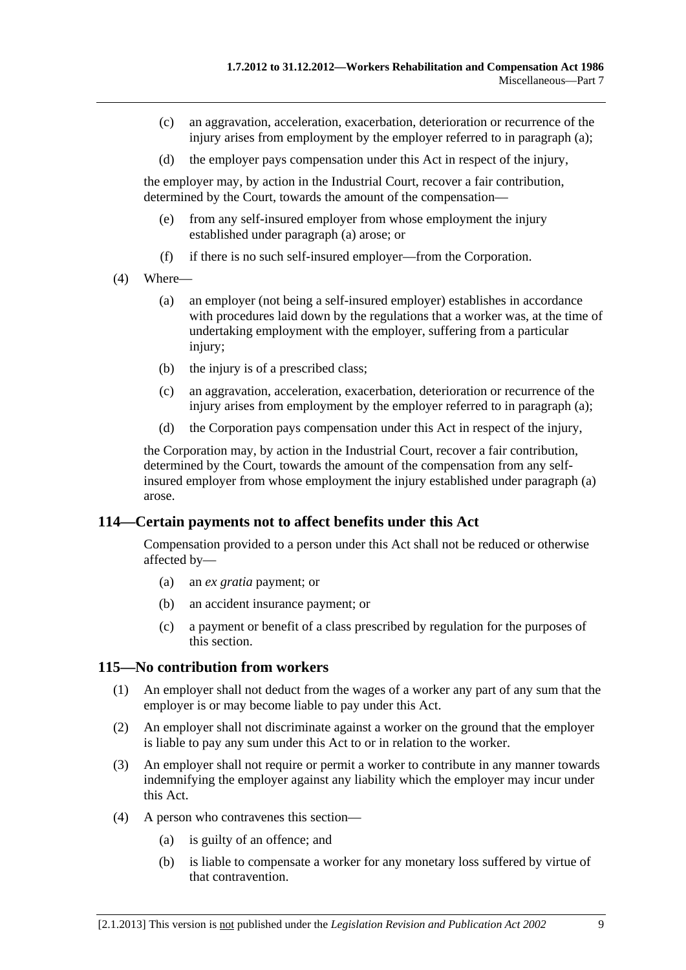- <span id="page-152-0"></span> (c) an aggravation, acceleration, exacerbation, deterioration or recurrence of the injury arises from employment by the employer referred to in [paragraph \(a\);](#page-151-0)
- (d) the employer pays compensation under this Act in respect of the injury,

the employer may, by action in the Industrial Court, recover a fair contribution, determined by the Court, towards the amount of the compensation—

- (e) from any self-insured employer from whose employment the injury established under [paragraph \(a\)](#page-151-0) arose; or
- (f) if there is no such self-insured employer—from the Corporation.
- (4) Where—
	- (a) an employer (not being a self-insured employer) establishes in accordance with procedures laid down by the regulations that a worker was, at the time of undertaking employment with the employer, suffering from a particular injury;
	- (b) the injury is of a prescribed class;
	- (c) an aggravation, acceleration, exacerbation, deterioration or recurrence of the injury arises from employment by the employer referred to in [paragraph \(a\);](#page-152-0)
	- (d) the Corporation pays compensation under this Act in respect of the injury,

the Corporation may, by action in the Industrial Court, recover a fair contribution, determined by the Court, towards the amount of the compensation from any selfinsured employer from whose employment the injury established under [paragraph \(a\)](#page-152-0)  arose.

### **114—Certain payments not to affect benefits under this Act**

Compensation provided to a person under this Act shall not be reduced or otherwise affected by—

- (a) an *ex gratia* payment; or
- (b) an accident insurance payment; or
- (c) a payment or benefit of a class prescribed by regulation for the purposes of this section.

### **115—No contribution from workers**

- (1) An employer shall not deduct from the wages of a worker any part of any sum that the employer is or may become liable to pay under this Act.
- (2) An employer shall not discriminate against a worker on the ground that the employer is liable to pay any sum under this Act to or in relation to the worker.
- (3) An employer shall not require or permit a worker to contribute in any manner towards indemnifying the employer against any liability which the employer may incur under this Act.
- (4) A person who contravenes this section—
	- (a) is guilty of an offence; and
	- (b) is liable to compensate a worker for any monetary loss suffered by virtue of that contravention.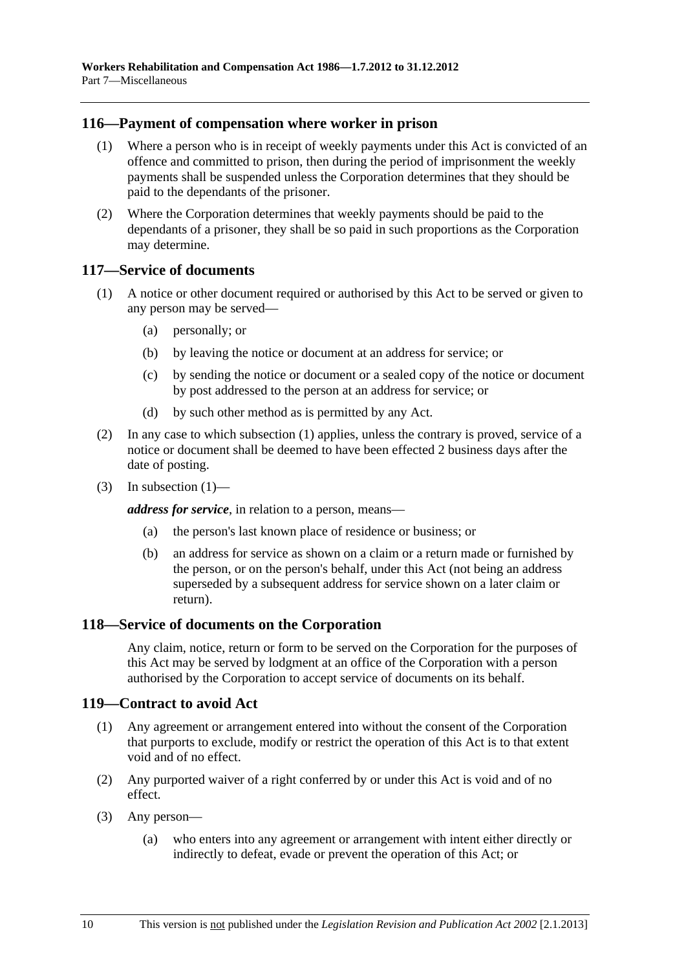# <span id="page-153-0"></span>**116—Payment of compensation where worker in prison**

- (1) Where a person who is in receipt of weekly payments under this Act is convicted of an offence and committed to prison, then during the period of imprisonment the weekly payments shall be suspended unless the Corporation determines that they should be paid to the dependants of the prisoner.
- (2) Where the Corporation determines that weekly payments should be paid to the dependants of a prisoner, they shall be so paid in such proportions as the Corporation may determine.

### **117—Service of documents**

- (1) A notice or other document required or authorised by this Act to be served or given to any person may be served—
	- (a) personally; or
	- (b) by leaving the notice or document at an address for service; or
	- (c) by sending the notice or document or a sealed copy of the notice or document by post addressed to the person at an address for service; or
	- (d) by such other method as is permitted by any Act.
- (2) In any case to which [subsection \(1\)](#page-153-0) applies, unless the contrary is proved, service of a notice or document shall be deemed to have been effected 2 business days after the date of posting.
- (3) In subsection  $(1)$ —

*address for service*, in relation to a person, means—

- (a) the person's last known place of residence or business; or
- (b) an address for service as shown on a claim or a return made or furnished by the person, or on the person's behalf, under this Act (not being an address superseded by a subsequent address for service shown on a later claim or return).

### **118—Service of documents on the Corporation**

Any claim, notice, return or form to be served on the Corporation for the purposes of this Act may be served by lodgment at an office of the Corporation with a person authorised by the Corporation to accept service of documents on its behalf.

# **119—Contract to avoid Act**

- (1) Any agreement or arrangement entered into without the consent of the Corporation that purports to exclude, modify or restrict the operation of this Act is to that extent void and of no effect.
- (2) Any purported waiver of a right conferred by or under this Act is void and of no effect.
- (3) Any person—
	- (a) who enters into any agreement or arrangement with intent either directly or indirectly to defeat, evade or prevent the operation of this Act; or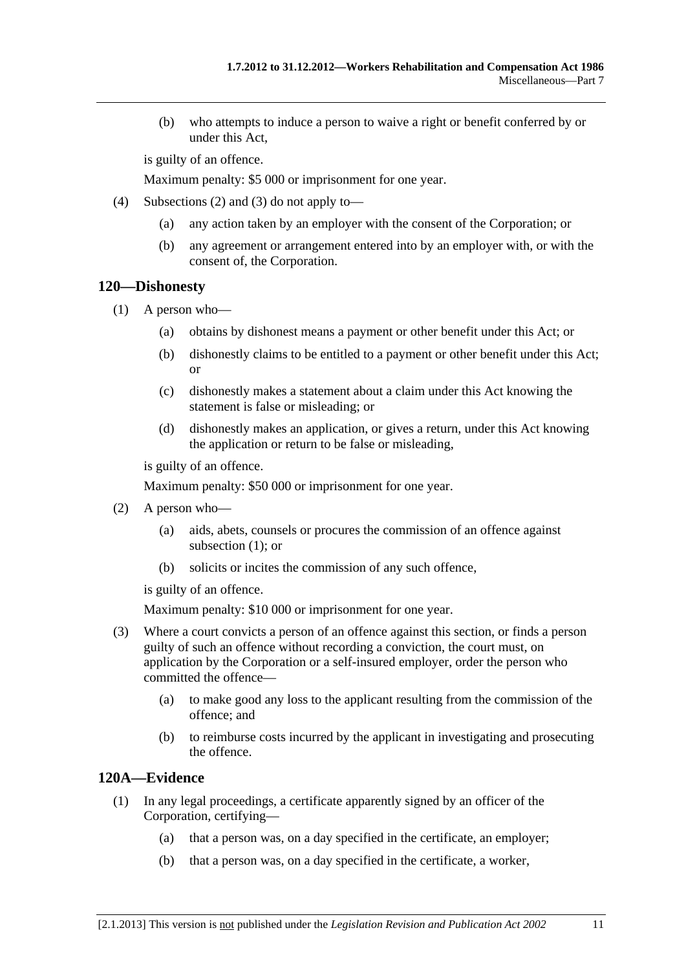<span id="page-154-0"></span> (b) who attempts to induce a person to waive a right or benefit conferred by or under this Act,

is guilty of an offence.

Maximum penalty: \$5 000 or imprisonment for one year.

- (4) [Subsections \(2\)](#page-153-0) and [\(3\)](#page-153-0) do not apply to—
	- (a) any action taken by an employer with the consent of the Corporation; or
	- (b) any agreement or arrangement entered into by an employer with, or with the consent of, the Corporation.

### **120—Dishonesty**

- (1) A person who—
	- (a) obtains by dishonest means a payment or other benefit under this Act; or
	- (b) dishonestly claims to be entitled to a payment or other benefit under this Act; or
	- (c) dishonestly makes a statement about a claim under this Act knowing the statement is false or misleading; or
	- (d) dishonestly makes an application, or gives a return, under this Act knowing the application or return to be false or misleading,

is guilty of an offence.

Maximum penalty: \$50 000 or imprisonment for one year.

- (2) A person who—
	- (a) aids, abets, counsels or procures the commission of an offence against subsection  $(1)$ ; or
	- (b) solicits or incites the commission of any such offence,

is guilty of an offence.

Maximum penalty: \$10 000 or imprisonment for one year.

- (3) Where a court convicts a person of an offence against this section, or finds a person guilty of such an offence without recording a conviction, the court must, on application by the Corporation or a self-insured employer, order the person who committed the offence—
	- (a) to make good any loss to the applicant resulting from the commission of the offence; and
	- (b) to reimburse costs incurred by the applicant in investigating and prosecuting the offence.

# **120A—Evidence**

- (1) In any legal proceedings, a certificate apparently signed by an officer of the Corporation, certifying—
	- (a) that a person was, on a day specified in the certificate, an employer;
	- (b) that a person was, on a day specified in the certificate, a worker,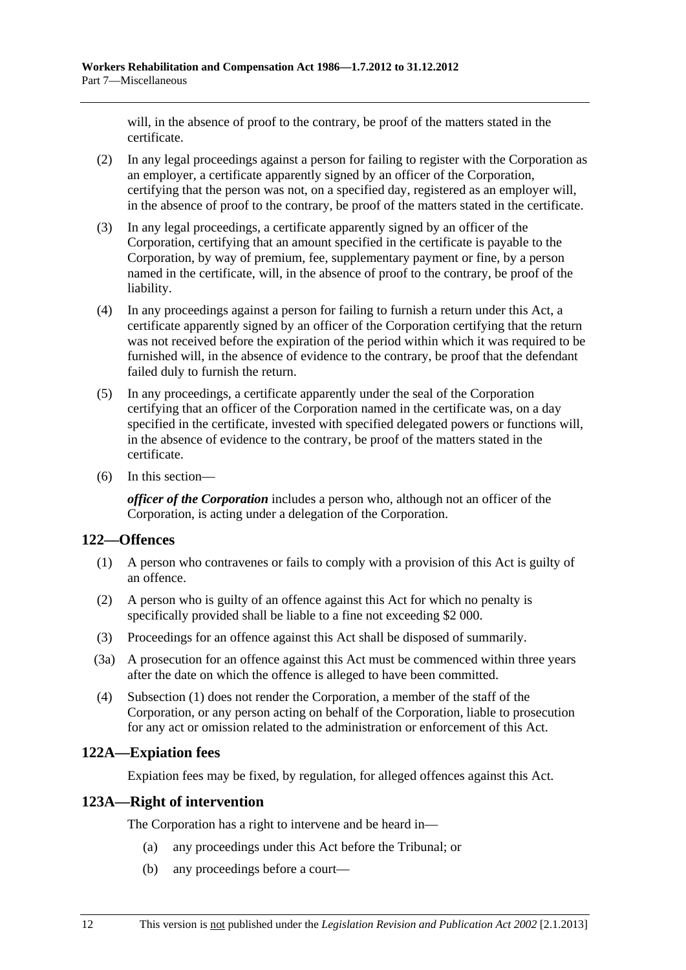<span id="page-155-0"></span>will, in the absence of proof to the contrary, be proof of the matters stated in the certificate.

- (2) In any legal proceedings against a person for failing to register with the Corporation as an employer, a certificate apparently signed by an officer of the Corporation, certifying that the person was not, on a specified day, registered as an employer will, in the absence of proof to the contrary, be proof of the matters stated in the certificate.
- (3) In any legal proceedings, a certificate apparently signed by an officer of the Corporation, certifying that an amount specified in the certificate is payable to the Corporation, by way of premium, fee, supplementary payment or fine, by a person named in the certificate, will, in the absence of proof to the contrary, be proof of the liability.
- (4) In any proceedings against a person for failing to furnish a return under this Act, a certificate apparently signed by an officer of the Corporation certifying that the return was not received before the expiration of the period within which it was required to be furnished will, in the absence of evidence to the contrary, be proof that the defendant failed duly to furnish the return.
- (5) In any proceedings, a certificate apparently under the seal of the Corporation certifying that an officer of the Corporation named in the certificate was, on a day specified in the certificate, invested with specified delegated powers or functions will, in the absence of evidence to the contrary, be proof of the matters stated in the certificate.
- (6) In this section—

*officer of the Corporation* includes a person who, although not an officer of the Corporation, is acting under a delegation of the Corporation.

# **122—Offences**

- (1) A person who contravenes or fails to comply with a provision of this Act is guilty of an offence.
- (2) A person who is guilty of an offence against this Act for which no penalty is specifically provided shall be liable to a fine not exceeding \$2 000.
- (3) Proceedings for an offence against this Act shall be disposed of summarily.
- (3a) A prosecution for an offence against this Act must be commenced within three years after the date on which the offence is alleged to have been committed.
- (4) [Subsection \(1\)](#page-155-0) does not render the Corporation, a member of the staff of the Corporation, or any person acting on behalf of the Corporation, liable to prosecution for any act or omission related to the administration or enforcement of this Act.

# **122A—Expiation fees**

Expiation fees may be fixed, by regulation, for alleged offences against this Act.

# **123A—Right of intervention**

The Corporation has a right to intervene and be heard in—

- (a) any proceedings under this Act before the Tribunal; or
- (b) any proceedings before a court—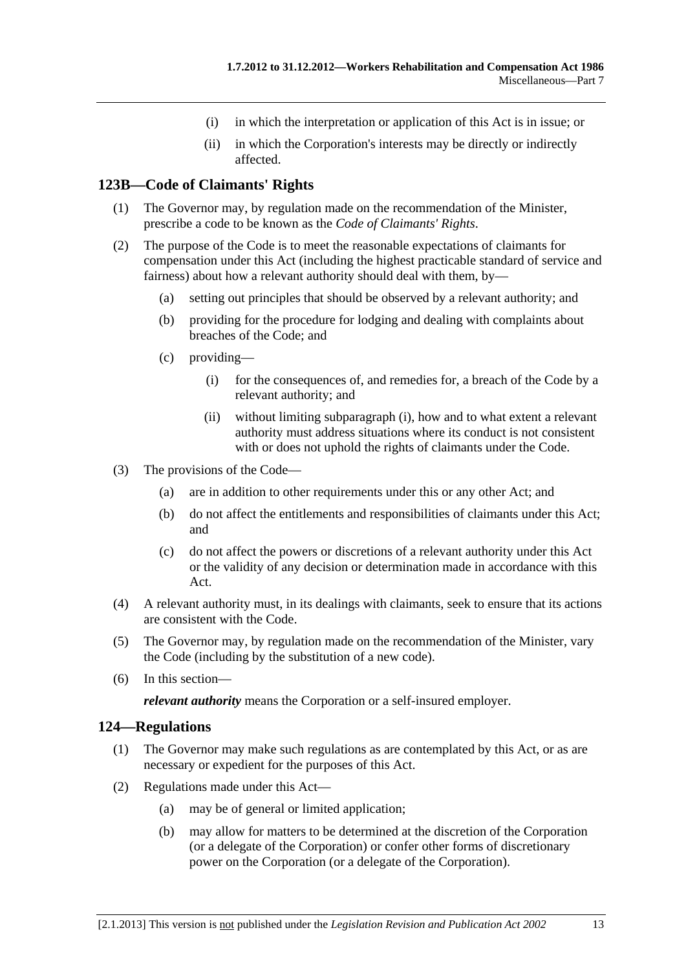- (i) in which the interpretation or application of this Act is in issue; or
- (ii) in which the Corporation's interests may be directly or indirectly affected.

# <span id="page-156-0"></span>**123B—Code of Claimants' Rights**

- (1) The Governor may, by regulation made on the recommendation of the Minister, prescribe a code to be known as the *Code of Claimants' Rights*.
- (2) The purpose of the Code is to meet the reasonable expectations of claimants for compensation under this Act (including the highest practicable standard of service and fairness) about how a relevant authority should deal with them, by—
	- (a) setting out principles that should be observed by a relevant authority; and
	- (b) providing for the procedure for lodging and dealing with complaints about breaches of the Code; and
	- (c) providing—
		- (i) for the consequences of, and remedies for, a breach of the Code by a relevant authority; and
		- (ii) without limiting [subparagraph \(i\)](#page-156-0), how and to what extent a relevant authority must address situations where its conduct is not consistent with or does not uphold the rights of claimants under the Code.
- (3) The provisions of the Code—
	- (a) are in addition to other requirements under this or any other Act; and
	- (b) do not affect the entitlements and responsibilities of claimants under this Act; and
	- (c) do not affect the powers or discretions of a relevant authority under this Act or the validity of any decision or determination made in accordance with this Act.
- (4) A relevant authority must, in its dealings with claimants, seek to ensure that its actions are consistent with the Code.
- (5) The Governor may, by regulation made on the recommendation of the Minister, vary the Code (including by the substitution of a new code).
- (6) In this section—

*relevant authority* means the Corporation or a self-insured employer.

### **124—Regulations**

- (1) The Governor may make such regulations as are contemplated by this Act, or as are necessary or expedient for the purposes of this Act.
- (2) Regulations made under this Act—
	- (a) may be of general or limited application;
	- (b) may allow for matters to be determined at the discretion of the Corporation (or a delegate of the Corporation) or confer other forms of discretionary power on the Corporation (or a delegate of the Corporation).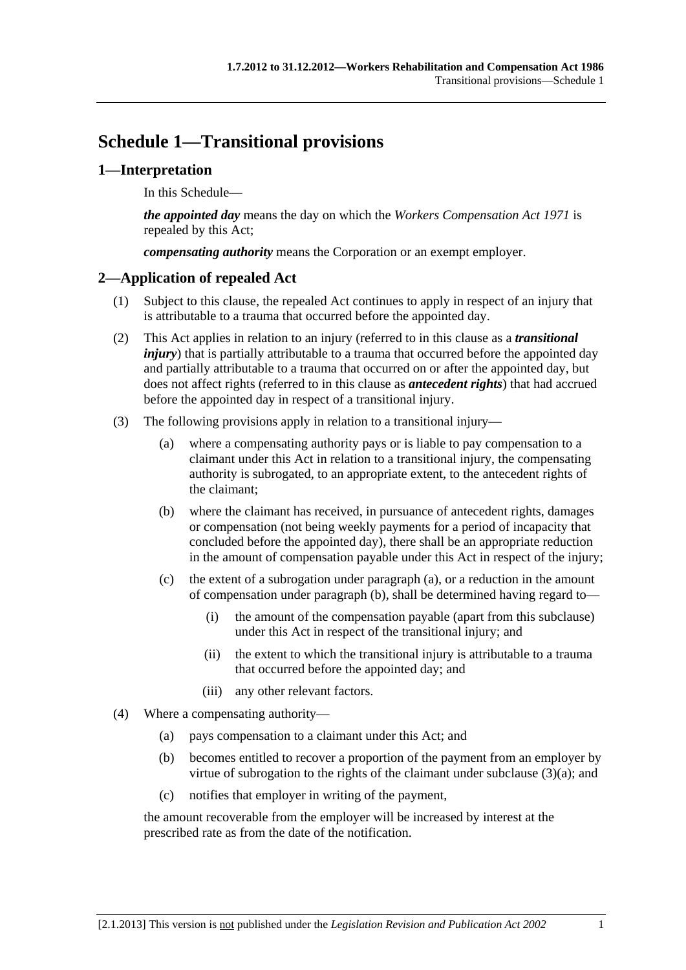# <span id="page-158-0"></span>**Schedule 1—Transitional provisions**

# **1—Interpretation**

In this Schedule—

*the appointed day* means the day on which the *[Workers Compensation Act 1971](http://www.legislation.sa.gov.au/index.aspx?action=legref&type=act&legtitle=Workers%20Compensation%20Act%201971)* is repealed by this Act;

*compensating authority* means the Corporation or an exempt employer.

# **2—Application of repealed Act**

- (1) Subject to this clause, the repealed Act continues to apply in respect of an injury that is attributable to a trauma that occurred before the appointed day.
- (2) This Act applies in relation to an injury (referred to in this clause as a *transitional injury*) that is partially attributable to a trauma that occurred before the appointed day and partially attributable to a trauma that occurred on or after the appointed day, but does not affect rights (referred to in this clause as *antecedent rights*) that had accrued before the appointed day in respect of a transitional injury.
- (3) The following provisions apply in relation to a transitional injury—
	- (a) where a compensating authority pays or is liable to pay compensation to a claimant under this Act in relation to a transitional injury, the compensating authority is subrogated, to an appropriate extent, to the antecedent rights of the claimant;
	- (b) where the claimant has received, in pursuance of antecedent rights, damages or compensation (not being weekly payments for a period of incapacity that concluded before the appointed day), there shall be an appropriate reduction in the amount of compensation payable under this Act in respect of the injury;
	- (c) the extent of a subrogation under [paragraph \(a\),](#page-158-0) or a reduction in the amount of compensation under [paragraph \(b\)](#page-158-0), shall be determined having regard to—
		- (i) the amount of the compensation payable (apart from this subclause) under this Act in respect of the transitional injury; and
		- (ii) the extent to which the transitional injury is attributable to a trauma that occurred before the appointed day; and
		- (iii) any other relevant factors.
- (4) Where a compensating authority—
	- (a) pays compensation to a claimant under this Act; and
	- (b) becomes entitled to recover a proportion of the payment from an employer by virtue of subrogation to the rights of the claimant under subclause  $(3)(a)$ ; and
	- (c) notifies that employer in writing of the payment,

the amount recoverable from the employer will be increased by interest at the prescribed rate as from the date of the notification.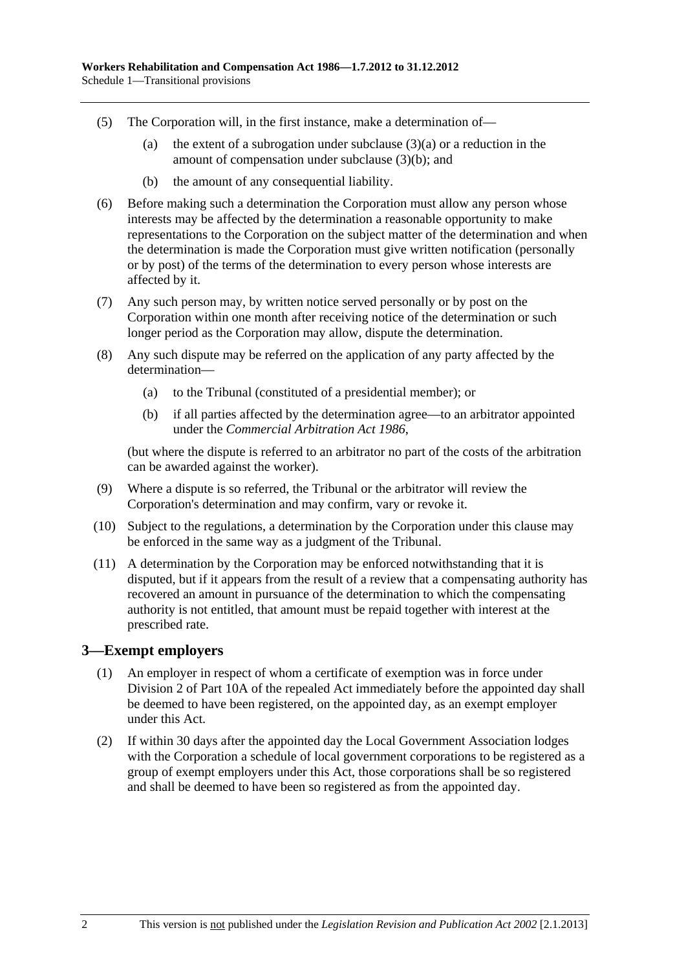- (5) The Corporation will, in the first instance, make a determination of—
	- (a) the extent of a subrogation under subclause  $(3)(a)$  or a reduction in the amount of compensation under [subclause \(3\)\(b\)](#page-158-0); and
	- (b) the amount of any consequential liability.
- (6) Before making such a determination the Corporation must allow any person whose interests may be affected by the determination a reasonable opportunity to make representations to the Corporation on the subject matter of the determination and when the determination is made the Corporation must give written notification (personally or by post) of the terms of the determination to every person whose interests are affected by it.
- (7) Any such person may, by written notice served personally or by post on the Corporation within one month after receiving notice of the determination or such longer period as the Corporation may allow, dispute the determination.
- (8) Any such dispute may be referred on the application of any party affected by the determination—
	- (a) to the Tribunal (constituted of a presidential member); or
	- (b) if all parties affected by the determination agree—to an arbitrator appointed under the *[Commercial Arbitration Act 1986](http://www.legislation.sa.gov.au/index.aspx?action=legref&type=act&legtitle=Commercial%20Arbitration%20Act%201986)*,

(but where the dispute is referred to an arbitrator no part of the costs of the arbitration can be awarded against the worker).

- (9) Where a dispute is so referred, the Tribunal or the arbitrator will review the Corporation's determination and may confirm, vary or revoke it.
- (10) Subject to the regulations, a determination by the Corporation under this clause may be enforced in the same way as a judgment of the Tribunal.
- (11) A determination by the Corporation may be enforced notwithstanding that it is disputed, but if it appears from the result of a review that a compensating authority has recovered an amount in pursuance of the determination to which the compensating authority is not entitled, that amount must be repaid together with interest at the prescribed rate.

### **3—Exempt employers**

- (1) An employer in respect of whom a certificate of exemption was in force under Division 2 of Part 10A of the repealed Act immediately before the appointed day shall be deemed to have been registered, on the appointed day, as an exempt employer under this Act.
- (2) If within 30 days after the appointed day the Local Government Association lodges with the Corporation a schedule of local government corporations to be registered as a group of exempt employers under this Act, those corporations shall be so registered and shall be deemed to have been so registered as from the appointed day.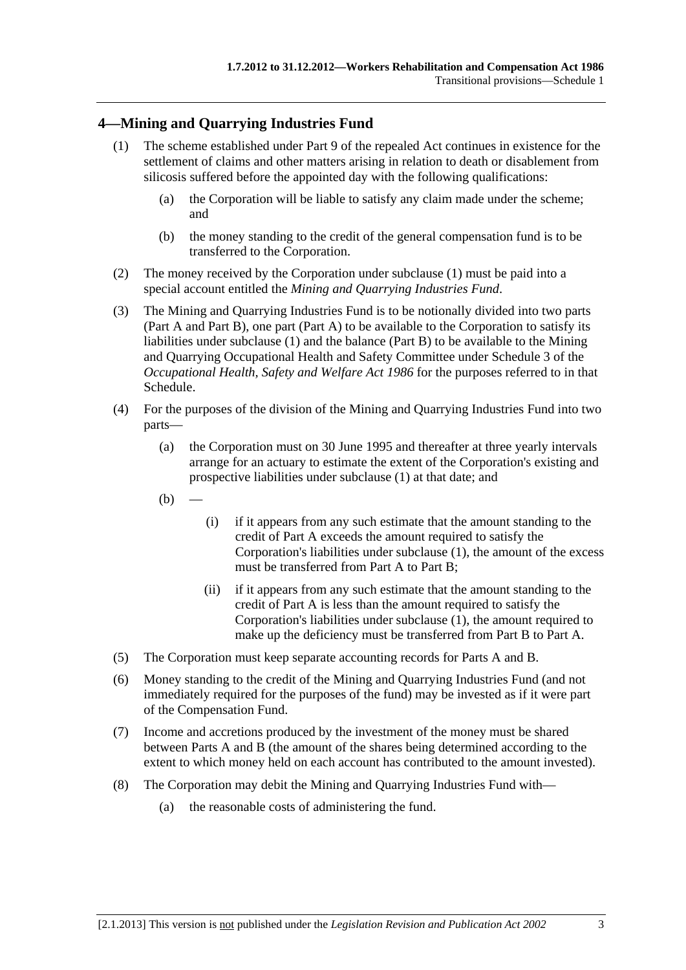# <span id="page-160-0"></span>**4—Mining and Quarrying Industries Fund**

- (1) The scheme established under Part 9 of the repealed Act continues in existence for the settlement of claims and other matters arising in relation to death or disablement from silicosis suffered before the appointed day with the following qualifications:
	- (a) the Corporation will be liable to satisfy any claim made under the scheme; and
	- (b) the money standing to the credit of the general compensation fund is to be transferred to the Corporation.
- (2) The money received by the Corporation under [subclause \(1\)](#page-160-0) must be paid into a special account entitled the *Mining and Quarrying Industries Fund*.
- (3) The Mining and Quarrying Industries Fund is to be notionally divided into two parts (Part A and Part B), one part (Part A) to be available to the Corporation to satisfy its liabilities under [subclause \(1\)](#page-160-0) and the balance (Part B) to be available to the Mining and Quarrying Occupational Health and Safety Committee under Schedule 3 of the *[Occupational Health, Safety and Welfare Act 1986](http://www.legislation.sa.gov.au/index.aspx?action=legref&type=act&legtitle=Occupational%20Health%20Safety%20and%20Welfare%20Act%201986)* for the purposes referred to in that Schedule.
- (4) For the purposes of the division of the Mining and Quarrying Industries Fund into two parts—
	- (a) the Corporation must on 30 June 1995 and thereafter at three yearly intervals arrange for an actuary to estimate the extent of the Corporation's existing and prospective liabilities under [subclause \(1\)](#page-160-0) at that date; and
	- $(b)$
- (i) if it appears from any such estimate that the amount standing to the credit of Part A exceeds the amount required to satisfy the Corporation's liabilities under [subclause \(1\),](#page-160-0) the amount of the excess must be transferred from Part A to Part B;
- (ii) if it appears from any such estimate that the amount standing to the credit of Part A is less than the amount required to satisfy the Corporation's liabilities under [subclause \(1\),](#page-160-0) the amount required to make up the deficiency must be transferred from Part B to Part A.
- (5) The Corporation must keep separate accounting records for Parts A and B.
- (6) Money standing to the credit of the Mining and Quarrying Industries Fund (and not immediately required for the purposes of the fund) may be invested as if it were part of the Compensation Fund.
- (7) Income and accretions produced by the investment of the money must be shared between Parts A and B (the amount of the shares being determined according to the extent to which money held on each account has contributed to the amount invested).
- (8) The Corporation may debit the Mining and Quarrying Industries Fund with—
	- (a) the reasonable costs of administering the fund.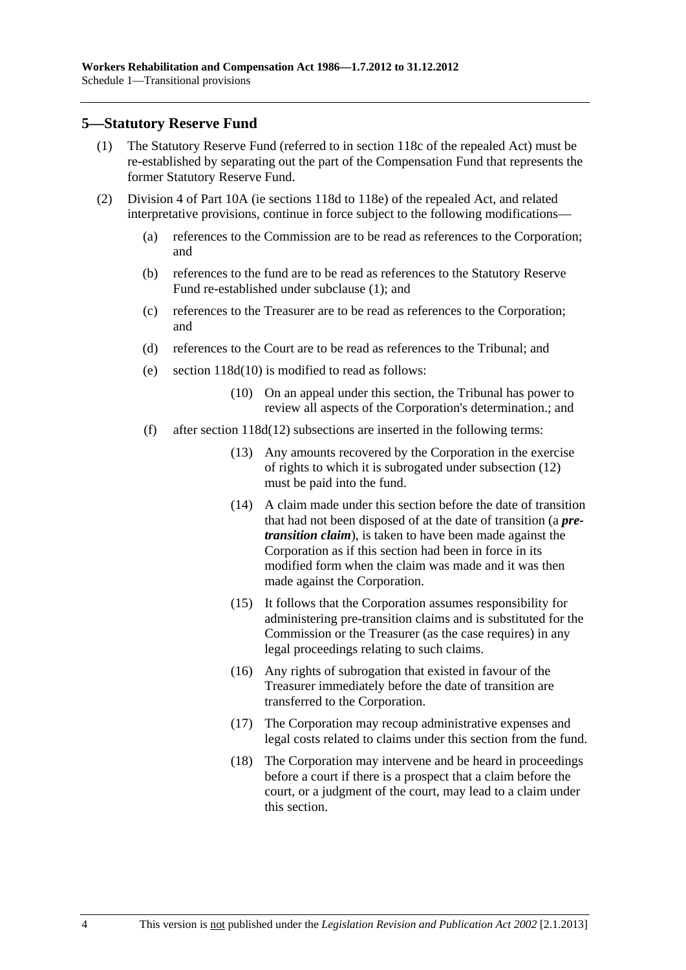# <span id="page-161-0"></span>**5—Statutory Reserve Fund**

- (1) The Statutory Reserve Fund (referred to in section 118c of the repealed Act) must be re-established by separating out the part of the Compensation Fund that represents the former Statutory Reserve Fund.
- (2) Division 4 of Part 10A (ie sections 118d to 118e) of the repealed Act, and related interpretative provisions, continue in force subject to the following modifications—
	- (a) references to the Commission are to be read as references to the Corporation; and
	- (b) references to the fund are to be read as references to the Statutory Reserve Fund re-established under [subclause \(1\);](#page-161-0) and
	- (c) references to the Treasurer are to be read as references to the Corporation; and
	- (d) references to the Court are to be read as references to the Tribunal; and
	- (e) section 118d(10) is modified to read as follows:
		- (10) On an appeal under this section, the Tribunal has power to review all aspects of the Corporation's determination.; and
	- (f) after section 118d(12) subsections are inserted in the following terms:
		- (13) Any amounts recovered by the Corporation in the exercise of rights to which it is subrogated under subsection (12) must be paid into the fund.
		- (14) A claim made under this section before the date of transition that had not been disposed of at the date of transition (a *pretransition claim*), is taken to have been made against the Corporation as if this section had been in force in its modified form when the claim was made and it was then made against the Corporation.
		- (15) It follows that the Corporation assumes responsibility for administering pre-transition claims and is substituted for the Commission or the Treasurer (as the case requires) in any legal proceedings relating to such claims.
		- (16) Any rights of subrogation that existed in favour of the Treasurer immediately before the date of transition are transferred to the Corporation.
		- (17) The Corporation may recoup administrative expenses and legal costs related to claims under this section from the fund.
		- (18) The Corporation may intervene and be heard in proceedings before a court if there is a prospect that a claim before the court, or a judgment of the court, may lead to a claim under this section.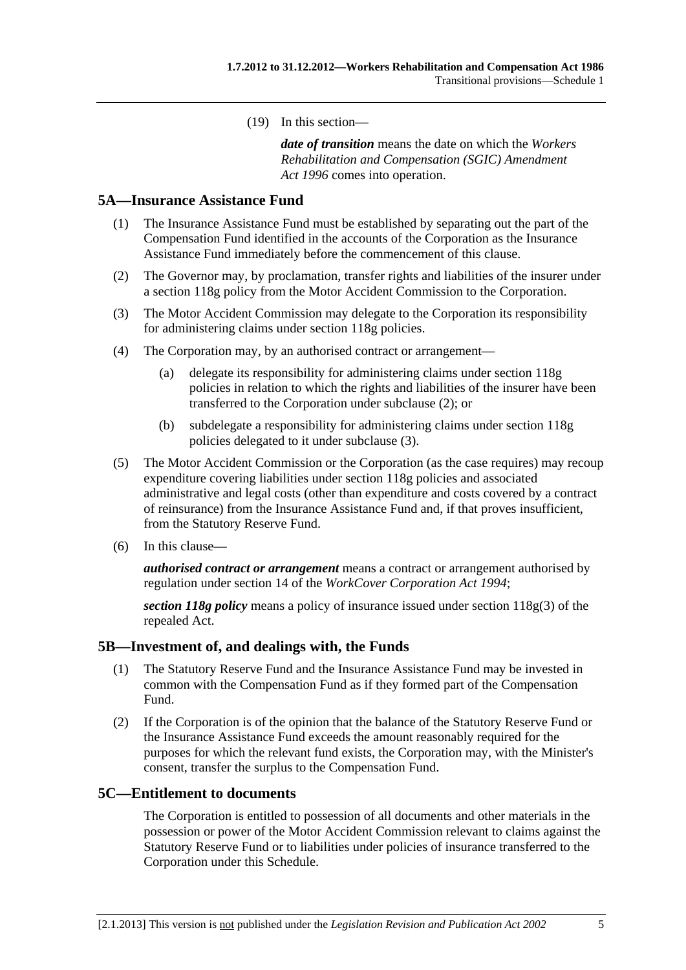(19) In this section—

*date of transition* means the date on which the *[Workers](http://www.legislation.sa.gov.au/index.aspx?action=legref&type=act&legtitle=Workers%20Rehabilitation%20and%20Compensation%20(SGIC)%20Amendment%20Act%201996)  [Rehabilitation and Compensation \(SGIC\) Amendment](http://www.legislation.sa.gov.au/index.aspx?action=legref&type=act&legtitle=Workers%20Rehabilitation%20and%20Compensation%20(SGIC)%20Amendment%20Act%201996)  [Act 1996](http://www.legislation.sa.gov.au/index.aspx?action=legref&type=act&legtitle=Workers%20Rehabilitation%20and%20Compensation%20(SGIC)%20Amendment%20Act%201996)* comes into operation.

## <span id="page-162-0"></span>**5A—Insurance Assistance Fund**

- (1) The Insurance Assistance Fund must be established by separating out the part of the Compensation Fund identified in the accounts of the Corporation as the Insurance Assistance Fund immediately before the commencement of this clause.
- (2) The Governor may, by proclamation, transfer rights and liabilities of the insurer under a section 118g policy from the Motor Accident Commission to the Corporation.
- (3) The Motor Accident Commission may delegate to the Corporation its responsibility for administering claims under section 118g policies.
- (4) The Corporation may, by an authorised contract or arrangement—
	- (a) delegate its responsibility for administering claims under section 118g policies in relation to which the rights and liabilities of the insurer have been transferred to the Corporation under [subclause \(2\)](#page-162-0); or
	- (b) subdelegate a responsibility for administering claims under section 118g policies delegated to it under [subclause \(3\)](#page-162-0).
- (5) The Motor Accident Commission or the Corporation (as the case requires) may recoup expenditure covering liabilities under section 118g policies and associated administrative and legal costs (other than expenditure and costs covered by a contract of reinsurance) from the Insurance Assistance Fund and, if that proves insufficient, from the Statutory Reserve Fund.
- (6) In this clause—

*authorised contract or arrangement* means a contract or arrangement authorised by regulation under section 14 of the *[WorkCover Corporation Act 1994](http://www.legislation.sa.gov.au/index.aspx?action=legref&type=act&legtitle=WorkCover%20Corporation%20Act%201994)*;

*section 118g policy* means a policy of insurance issued under section 118g(3) of the repealed Act.

#### **5B—Investment of, and dealings with, the Funds**

- (1) The Statutory Reserve Fund and the Insurance Assistance Fund may be invested in common with the Compensation Fund as if they formed part of the Compensation Fund.
- (2) If the Corporation is of the opinion that the balance of the Statutory Reserve Fund or the Insurance Assistance Fund exceeds the amount reasonably required for the purposes for which the relevant fund exists, the Corporation may, with the Minister's consent, transfer the surplus to the Compensation Fund.

#### **5C—Entitlement to documents**

The Corporation is entitled to possession of all documents and other materials in the possession or power of the Motor Accident Commission relevant to claims against the Statutory Reserve Fund or to liabilities under policies of insurance transferred to the Corporation under this Schedule.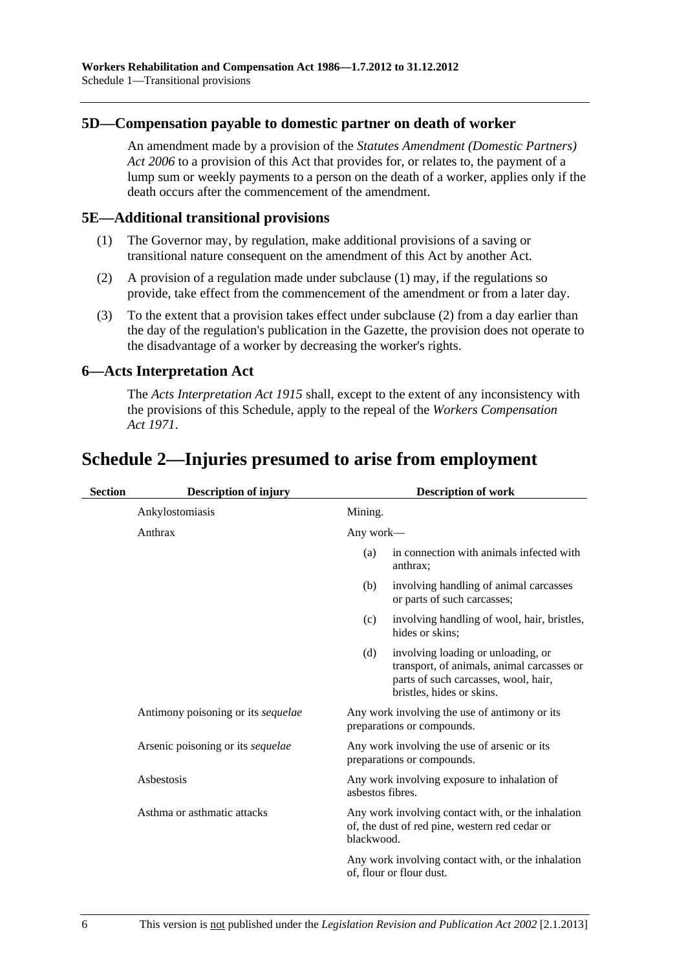# <span id="page-163-0"></span>**5D—Compensation payable to domestic partner on death of worker**

An amendment made by a provision of the *[Statutes Amendment \(Domestic Partners\)](http://www.legislation.sa.gov.au/index.aspx?action=legref&type=act&legtitle=Statutes%20Amendment%20(Domestic%20Partners)%20Act%202006)  [Act 2006](http://www.legislation.sa.gov.au/index.aspx?action=legref&type=act&legtitle=Statutes%20Amendment%20(Domestic%20Partners)%20Act%202006)* to a provision of this Act that provides for, or relates to, the payment of a lump sum or weekly payments to a person on the death of a worker, applies only if the death occurs after the commencement of the amendment.

### **5E—Additional transitional provisions**

- (1) The Governor may, by regulation, make additional provisions of a saving or transitional nature consequent on the amendment of this Act by another Act.
- (2) A provision of a regulation made under [subclause \(1\)](#page-163-0) may, if the regulations so provide, take effect from the commencement of the amendment or from a later day.
- (3) To the extent that a provision takes effect under [subclause \(2\)](#page-163-0) from a day earlier than the day of the regulation's publication in the Gazette, the provision does not operate to the disadvantage of a worker by decreasing the worker's rights.

# **6—Acts Interpretation Act**

The *[Acts Interpretation Act 1915](http://www.legislation.sa.gov.au/index.aspx?action=legref&type=act&legtitle=Acts%20Interpretation%20Act%201915)* shall, except to the extent of any inconsistency with the provisions of this Schedule, apply to the repeal of the *[Workers Compensation](http://www.legislation.sa.gov.au/index.aspx?action=legref&type=act&legtitle=Workers%20Compensation%20Act%201971)  [Act 1971](http://www.legislation.sa.gov.au/index.aspx?action=legref&type=act&legtitle=Workers%20Compensation%20Act%201971)*.

# **Section Description of injury Description of work**  Ankylostomiasis Mining. Anthrax Any work— (a) in connection with animals infected with anthrax; (b) involving handling of animal carcasses or parts of such carcasses; (c) involving handling of wool, hair, bristles, hides or skins; (d) involving loading or unloading, or transport, of animals, animal carcasses or parts of such carcasses, wool, hair, bristles, hides or skins. Antimony poisoning or its *sequelae* Any work involving the use of antimony or its preparations or compounds. Arsenic poisoning or its *sequelae* Any work involving the use of arsenic or its preparations or compounds. Asbestosis Any work involving exposure to inhalation of asbestos fibres. Asthma or asthmatic attacks Any work involving contact with, or the inhalation of, the dust of red pine, western red cedar or blackwood. Any work involving contact with, or the inhalation of, flour or flour dust.

# **Schedule 2—Injuries presumed to arise from employment**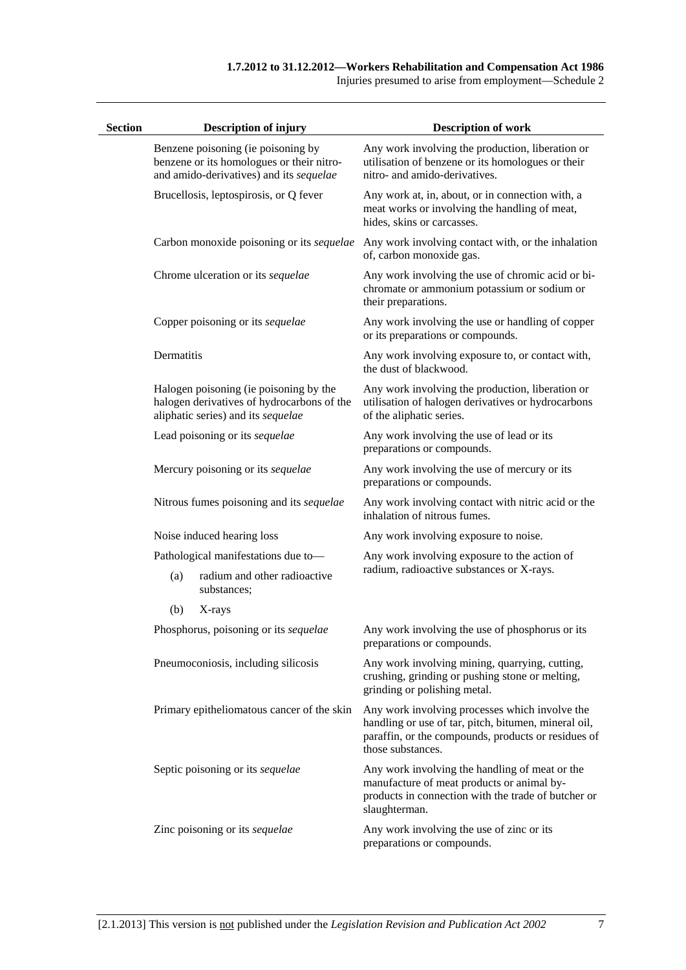Injuries presumed to arise from employment—Schedule 2

| <b>Section</b> |            | <b>Description of injury</b>                                                                                               | <b>Description of work</b>                                                                                                                                                         |
|----------------|------------|----------------------------------------------------------------------------------------------------------------------------|------------------------------------------------------------------------------------------------------------------------------------------------------------------------------------|
|                |            | Benzene poisoning (ie poisoning by<br>benzene or its homologues or their nitro-<br>and amido-derivatives) and its sequelae | Any work involving the production, liberation or<br>utilisation of benzene or its homologues or their<br>nitro- and amido-derivatives.                                             |
|                |            | Brucellosis, leptospirosis, or Q fever                                                                                     | Any work at, in, about, or in connection with, a<br>meat works or involving the handling of meat,<br>hides, skins or carcasses.                                                    |
|                |            | Carbon monoxide poisoning or its sequelae                                                                                  | Any work involving contact with, or the inhalation<br>of, carbon monoxide gas.                                                                                                     |
|                |            | Chrome ulceration or its sequelae                                                                                          | Any work involving the use of chromic acid or bi-<br>chromate or ammonium potassium or sodium or<br>their preparations.                                                            |
|                |            | Copper poisoning or its sequelae                                                                                           | Any work involving the use or handling of copper<br>or its preparations or compounds.                                                                                              |
|                | Dermatitis |                                                                                                                            | Any work involving exposure to, or contact with,<br>the dust of blackwood.                                                                                                         |
|                |            | Halogen poisoning (ie poisoning by the<br>halogen derivatives of hydrocarbons of the<br>aliphatic series) and its sequelae | Any work involving the production, liberation or<br>utilisation of halogen derivatives or hydrocarbons<br>of the aliphatic series.                                                 |
|                |            | Lead poisoning or its sequelae                                                                                             | Any work involving the use of lead or its<br>preparations or compounds.                                                                                                            |
|                |            | Mercury poisoning or its sequelae                                                                                          | Any work involving the use of mercury or its<br>preparations or compounds.                                                                                                         |
|                |            | Nitrous fumes poisoning and its sequelae                                                                                   | Any work involving contact with nitric acid or the<br>inhalation of nitrous fumes.                                                                                                 |
|                |            | Noise induced hearing loss                                                                                                 | Any work involving exposure to noise.                                                                                                                                              |
|                |            | Pathological manifestations due to-                                                                                        | Any work involving exposure to the action of                                                                                                                                       |
|                | (a)        | radium and other radioactive<br>substances;                                                                                | radium, radioactive substances or X-rays.                                                                                                                                          |
|                | (b)        | X-rays                                                                                                                     |                                                                                                                                                                                    |
|                |            | Phosphorus, poisoning or its sequelae                                                                                      | Any work involving the use of phosphorus or its<br>preparations or compounds.                                                                                                      |
|                |            | Pneumoconiosis, including silicosis                                                                                        | Any work involving mining, quarrying, cutting,<br>crushing, grinding or pushing stone or melting,<br>grinding or polishing metal.                                                  |
|                |            | Primary epitheliomatous cancer of the skin                                                                                 | Any work involving processes which involve the<br>handling or use of tar, pitch, bitumen, mineral oil,<br>paraffin, or the compounds, products or residues of<br>those substances. |
|                |            | Septic poisoning or its sequelae                                                                                           | Any work involving the handling of meat or the<br>manufacture of meat products or animal by-<br>products in connection with the trade of butcher or<br>slaughterman.               |
|                |            | Zinc poisoning or its sequelae                                                                                             | Any work involving the use of zinc or its<br>preparations or compounds.                                                                                                            |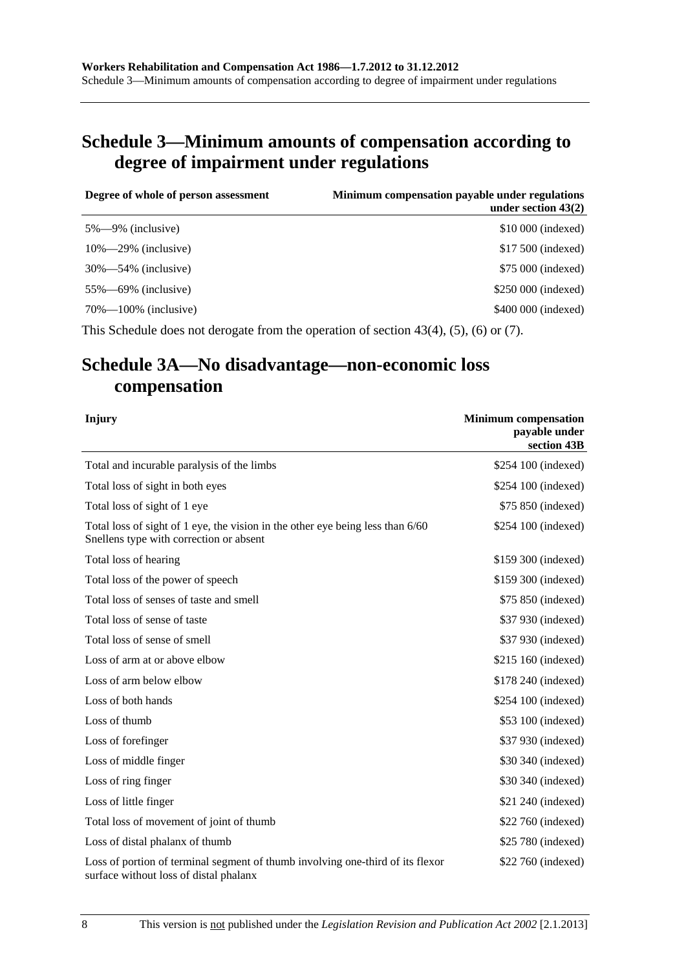# **Schedule 3—Minimum amounts of compensation according to degree of impairment under regulations**

| Degree of whole of person assessment | Minimum compensation payable under regulations<br>under section $43(2)$ |
|--------------------------------------|-------------------------------------------------------------------------|
| $5\% - 9\%$ (inclusive)              | \$10 000 (indexed)                                                      |
| $10\% - 29\%$ (inclusive)            | \$17,500 (indexed)                                                      |
| $30\% - 54\%$ (inclusive)            | \$75,000 (indexed)                                                      |
| $55\%$ —69% (inclusive)              | \$250 000 (indexed)                                                     |
| $70\% - 100\%$ (inclusive)           | \$400 000 (indexed)                                                     |
|                                      |                                                                         |

This Schedule does not derogate from the operation of [section 43\(4\), \(5\),](#page-58-0) [\(6\)](#page-58-0) or [\(7\).](#page-58-0)

# **Schedule 3A—No disadvantage—non-economic loss compensation**

| Injury                                                                                                                    | <b>Minimum</b> compensation<br>payable under<br>section 43B |
|---------------------------------------------------------------------------------------------------------------------------|-------------------------------------------------------------|
| Total and incurable paralysis of the limbs                                                                                | \$254 100 (indexed)                                         |
| Total loss of sight in both eyes                                                                                          | \$254 100 (indexed)                                         |
| Total loss of sight of 1 eye                                                                                              | \$75 850 (indexed)                                          |
| Total loss of sight of 1 eye, the vision in the other eye being less than 6/60<br>Snellens type with correction or absent | \$254 100 (indexed)                                         |
| Total loss of hearing                                                                                                     | \$159 300 (indexed)                                         |
| Total loss of the power of speech                                                                                         | \$159 300 (indexed)                                         |
| Total loss of senses of taste and smell                                                                                   | \$75 850 (indexed)                                          |
| Total loss of sense of taste                                                                                              | \$37 930 (indexed)                                          |
| Total loss of sense of smell                                                                                              | \$37 930 (indexed)                                          |
| Loss of arm at or above elbow                                                                                             | \$215 160 (indexed)                                         |
| Loss of arm below elbow                                                                                                   | \$178 240 (indexed)                                         |
| Loss of both hands                                                                                                        | \$254 100 (indexed)                                         |
| Loss of thumb                                                                                                             | \$53 100 (indexed)                                          |
| Loss of forefinger                                                                                                        | \$37 930 (indexed)                                          |
| Loss of middle finger                                                                                                     | \$30 340 (indexed)                                          |
| Loss of ring finger                                                                                                       | \$30 340 (indexed)                                          |
| Loss of little finger                                                                                                     | \$21 240 (indexed)                                          |
| Total loss of movement of joint of thumb                                                                                  | \$22 760 (indexed)                                          |
| Loss of distal phalanx of thumb                                                                                           | \$25 780 (indexed)                                          |
| Loss of portion of terminal segment of thumb involving one-third of its flexor<br>surface without loss of distal phalanx  | \$22 760 (indexed)                                          |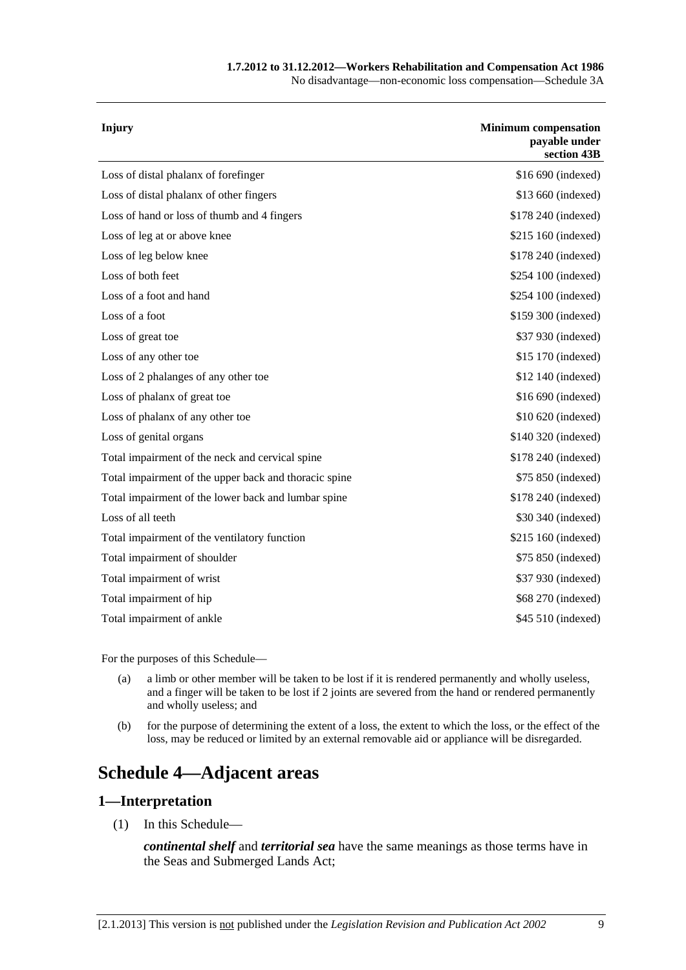#### **1.7.2012 to 31.12.2012—Workers Rehabilitation and Compensation Act 1986**

No disadvantage—non-economic loss compensation—Schedule 3A

| \$16 690 (indexed)<br>Loss of distal phalanx of forefinger<br>Loss of distal phalanx of other fingers<br>\$13 660 (indexed)<br>Loss of hand or loss of thumb and 4 fingers<br>\$178 240 (indexed)<br>\$215 160 (indexed)<br>Loss of leg at or above knee<br>Loss of leg below knee<br>\$178 240 (indexed)<br>Loss of both feet<br>\$254 100 (indexed)<br>Loss of a foot and hand<br>\$254 100 (indexed)<br>Loss of a foot<br>\$159 300 (indexed)<br>Loss of great toe<br>\$37 930 (indexed)<br>Loss of any other toe<br>\$15 170 (indexed)<br>Loss of 2 phalanges of any other toe<br>\$12 140 (indexed)<br>\$16 690 (indexed)<br>Loss of phalanx of great toe<br>Loss of phalanx of any other toe<br>\$10 620 (indexed)<br>\$140 320 (indexed)<br>Loss of genital organs<br>Total impairment of the neck and cervical spine<br>\$178 240 (indexed)<br>Total impairment of the upper back and thoracic spine<br>\$75 850 (indexed)<br>Total impairment of the lower back and lumbar spine<br>\$178 240 (indexed)<br>Loss of all teeth<br>\$30 340 (indexed)<br>Total impairment of the ventilatory function<br>\$215 160 (indexed)<br>Total impairment of shoulder<br>\$75 850 (indexed)<br>Total impairment of wrist<br>\$37 930 (indexed)<br>Total impairment of hip<br>\$68 270 (indexed) | <b>Injury</b> | <b>Minimum compensation</b><br>payable under<br>section 43B |
|----------------------------------------------------------------------------------------------------------------------------------------------------------------------------------------------------------------------------------------------------------------------------------------------------------------------------------------------------------------------------------------------------------------------------------------------------------------------------------------------------------------------------------------------------------------------------------------------------------------------------------------------------------------------------------------------------------------------------------------------------------------------------------------------------------------------------------------------------------------------------------------------------------------------------------------------------------------------------------------------------------------------------------------------------------------------------------------------------------------------------------------------------------------------------------------------------------------------------------------------------------------------------------------------|---------------|-------------------------------------------------------------|
|                                                                                                                                                                                                                                                                                                                                                                                                                                                                                                                                                                                                                                                                                                                                                                                                                                                                                                                                                                                                                                                                                                                                                                                                                                                                                              |               |                                                             |
|                                                                                                                                                                                                                                                                                                                                                                                                                                                                                                                                                                                                                                                                                                                                                                                                                                                                                                                                                                                                                                                                                                                                                                                                                                                                                              |               |                                                             |
|                                                                                                                                                                                                                                                                                                                                                                                                                                                                                                                                                                                                                                                                                                                                                                                                                                                                                                                                                                                                                                                                                                                                                                                                                                                                                              |               |                                                             |
|                                                                                                                                                                                                                                                                                                                                                                                                                                                                                                                                                                                                                                                                                                                                                                                                                                                                                                                                                                                                                                                                                                                                                                                                                                                                                              |               |                                                             |
|                                                                                                                                                                                                                                                                                                                                                                                                                                                                                                                                                                                                                                                                                                                                                                                                                                                                                                                                                                                                                                                                                                                                                                                                                                                                                              |               |                                                             |
|                                                                                                                                                                                                                                                                                                                                                                                                                                                                                                                                                                                                                                                                                                                                                                                                                                                                                                                                                                                                                                                                                                                                                                                                                                                                                              |               |                                                             |
|                                                                                                                                                                                                                                                                                                                                                                                                                                                                                                                                                                                                                                                                                                                                                                                                                                                                                                                                                                                                                                                                                                                                                                                                                                                                                              |               |                                                             |
|                                                                                                                                                                                                                                                                                                                                                                                                                                                                                                                                                                                                                                                                                                                                                                                                                                                                                                                                                                                                                                                                                                                                                                                                                                                                                              |               |                                                             |
|                                                                                                                                                                                                                                                                                                                                                                                                                                                                                                                                                                                                                                                                                                                                                                                                                                                                                                                                                                                                                                                                                                                                                                                                                                                                                              |               |                                                             |
|                                                                                                                                                                                                                                                                                                                                                                                                                                                                                                                                                                                                                                                                                                                                                                                                                                                                                                                                                                                                                                                                                                                                                                                                                                                                                              |               |                                                             |
|                                                                                                                                                                                                                                                                                                                                                                                                                                                                                                                                                                                                                                                                                                                                                                                                                                                                                                                                                                                                                                                                                                                                                                                                                                                                                              |               |                                                             |
|                                                                                                                                                                                                                                                                                                                                                                                                                                                                                                                                                                                                                                                                                                                                                                                                                                                                                                                                                                                                                                                                                                                                                                                                                                                                                              |               |                                                             |
|                                                                                                                                                                                                                                                                                                                                                                                                                                                                                                                                                                                                                                                                                                                                                                                                                                                                                                                                                                                                                                                                                                                                                                                                                                                                                              |               |                                                             |
|                                                                                                                                                                                                                                                                                                                                                                                                                                                                                                                                                                                                                                                                                                                                                                                                                                                                                                                                                                                                                                                                                                                                                                                                                                                                                              |               |                                                             |
|                                                                                                                                                                                                                                                                                                                                                                                                                                                                                                                                                                                                                                                                                                                                                                                                                                                                                                                                                                                                                                                                                                                                                                                                                                                                                              |               |                                                             |
|                                                                                                                                                                                                                                                                                                                                                                                                                                                                                                                                                                                                                                                                                                                                                                                                                                                                                                                                                                                                                                                                                                                                                                                                                                                                                              |               |                                                             |
|                                                                                                                                                                                                                                                                                                                                                                                                                                                                                                                                                                                                                                                                                                                                                                                                                                                                                                                                                                                                                                                                                                                                                                                                                                                                                              |               |                                                             |
|                                                                                                                                                                                                                                                                                                                                                                                                                                                                                                                                                                                                                                                                                                                                                                                                                                                                                                                                                                                                                                                                                                                                                                                                                                                                                              |               |                                                             |
|                                                                                                                                                                                                                                                                                                                                                                                                                                                                                                                                                                                                                                                                                                                                                                                                                                                                                                                                                                                                                                                                                                                                                                                                                                                                                              |               |                                                             |
|                                                                                                                                                                                                                                                                                                                                                                                                                                                                                                                                                                                                                                                                                                                                                                                                                                                                                                                                                                                                                                                                                                                                                                                                                                                                                              |               |                                                             |
|                                                                                                                                                                                                                                                                                                                                                                                                                                                                                                                                                                                                                                                                                                                                                                                                                                                                                                                                                                                                                                                                                                                                                                                                                                                                                              |               |                                                             |
|                                                                                                                                                                                                                                                                                                                                                                                                                                                                                                                                                                                                                                                                                                                                                                                                                                                                                                                                                                                                                                                                                                                                                                                                                                                                                              |               |                                                             |
| Total impairment of ankle<br>\$45 510 (indexed)                                                                                                                                                                                                                                                                                                                                                                                                                                                                                                                                                                                                                                                                                                                                                                                                                                                                                                                                                                                                                                                                                                                                                                                                                                              |               |                                                             |

For the purposes of this Schedule—

- (a) a limb or other member will be taken to be lost if it is rendered permanently and wholly useless, and a finger will be taken to be lost if 2 joints are severed from the hand or rendered permanently and wholly useless; and
- (b) for the purpose of determining the extent of a loss, the extent to which the loss, or the effect of the loss, may be reduced or limited by an external removable aid or appliance will be disregarded.

# **Schedule 4—Adjacent areas**

### **1—Interpretation**

(1) In this Schedule—

*continental shelf* and *territorial sea* have the same meanings as those terms have in the Seas and Submerged Lands Act;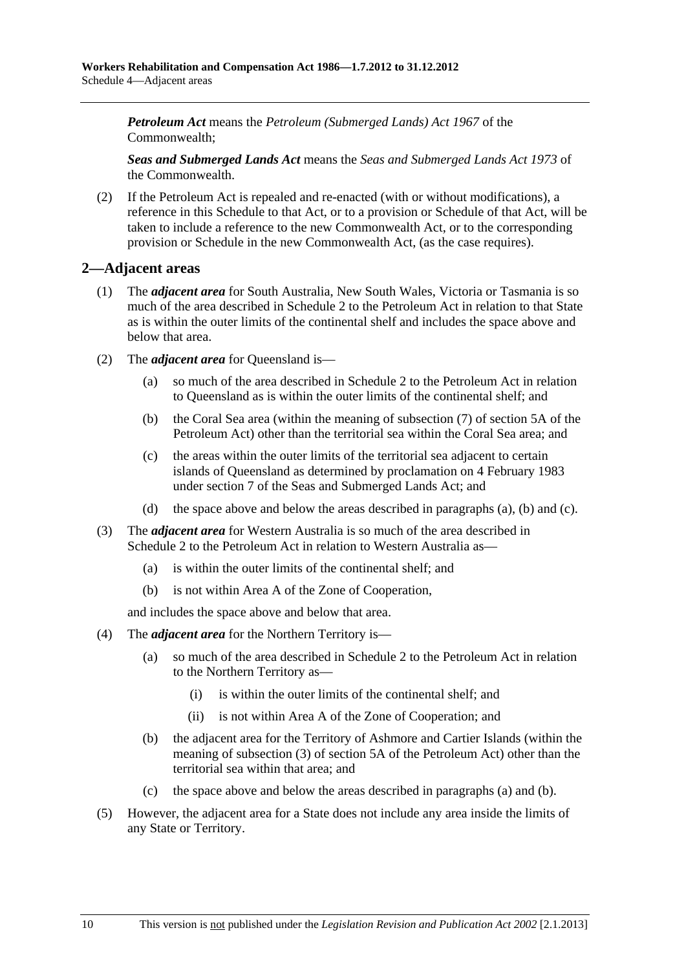<span id="page-167-0"></span>*Petroleum Act* means the *Petroleum (Submerged Lands) Act 1967* of the Commonwealth;

*Seas and Submerged Lands Act* means the *Seas and Submerged Lands Act 1973* of the Commonwealth.

 (2) If the Petroleum Act is repealed and re-enacted (with or without modifications), a reference in this Schedule to that Act, or to a provision or Schedule of that Act, will be taken to include a reference to the new Commonwealth Act, or to the corresponding provision or Schedule in the new Commonwealth Act, (as the case requires).

# **2—Adjacent areas**

- (1) The *adjacent area* for South Australia, New South Wales, Victoria or Tasmania is so much of the area described in Schedule 2 to the Petroleum Act in relation to that State as is within the outer limits of the continental shelf and includes the space above and below that area.
- (2) The *adjacent area* for Queensland is—
	- (a) so much of the area described in Schedule 2 to the Petroleum Act in relation to Queensland as is within the outer limits of the continental shelf; and
	- (b) the Coral Sea area (within the meaning of subsection (7) of section 5A of the Petroleum Act) other than the territorial sea within the Coral Sea area; and
	- (c) the areas within the outer limits of the territorial sea adjacent to certain islands of Queensland as determined by proclamation on 4 February 1983 under section 7 of the Seas and Submerged Lands Act; and
	- (d) the space above and below the areas described in [paragraphs \(a\), \(b\)](#page-167-0) and [\(c\).](#page-167-0)
- (3) The *adjacent area* for Western Australia is so much of the area described in Schedule 2 to the Petroleum Act in relation to Western Australia as—
	- (a) is within the outer limits of the continental shelf; and
	- (b) is not within Area A of the Zone of Cooperation,

and includes the space above and below that area.

- (4) The *adjacent area* for the Northern Territory is—
	- (a) so much of the area described in Schedule 2 to the Petroleum Act in relation to the Northern Territory as—
		- (i) is within the outer limits of the continental shelf; and
		- (ii) is not within Area A of the Zone of Cooperation; and
	- (b) the adjacent area for the Territory of Ashmore and Cartier Islands (within the meaning of subsection (3) of section 5A of the Petroleum Act) other than the territorial sea within that area; and
	- (c) the space above and below the areas described in [paragraphs \(a\)](#page-167-0) and [\(b\)](#page-167-0).
- (5) However, the adjacent area for a State does not include any area inside the limits of any State or Territory.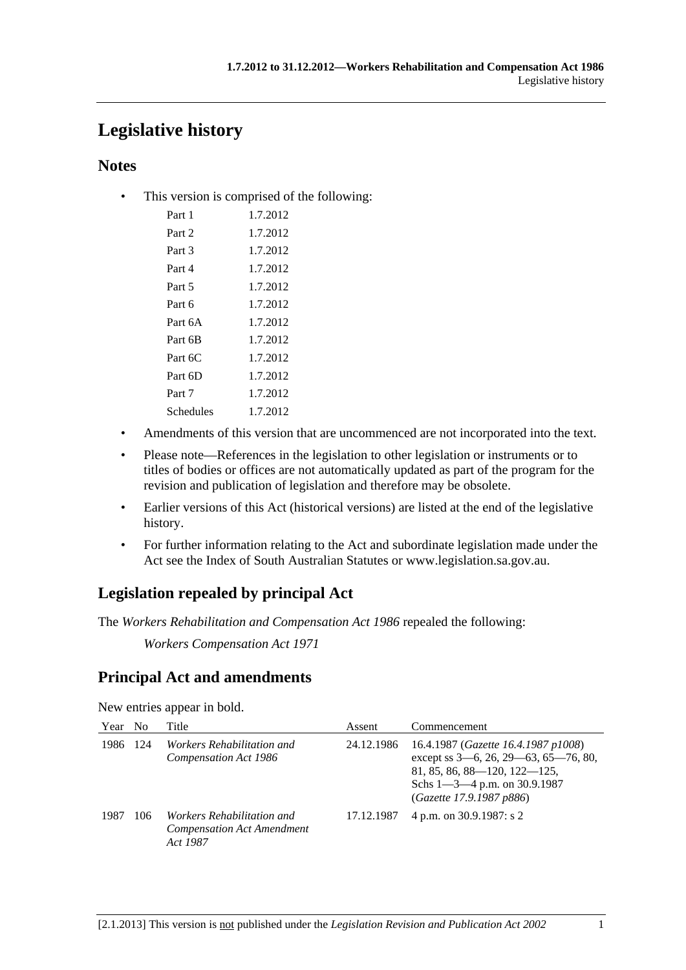# **Legislative history**

# **Notes**

• This version is comprised of the following:

| Part 1    | 1.7.2012 |
|-----------|----------|
| Part 2    | 1.7.2012 |
| Part 3    | 1.7.2012 |
| Part 4    | 1.7.2012 |
| Part 5    | 1.7.2012 |
| Part 6    | 1.7.2012 |
| Part 6A   | 1.7.2012 |
| Part 6B   | 1.7.2012 |
| Part 6C   | 1.7.2012 |
| Part 6D   | 1.7.2012 |
| Part 7    | 1.7.2012 |
| Schedules | 1.7.2012 |

- Amendments of this version that are uncommenced are not incorporated into the text.
- Please note—References in the legislation to other legislation or instruments or to titles of bodies or offices are not automatically updated as part of the program for the revision and publication of legislation and therefore may be obsolete.
- Earlier versions of this Act (historical versions) are listed at the end of the legislative history.
- For further information relating to the Act and subordinate legislation made under the Act see the Index of South Australian Statutes or www.legislation.sa.gov.au.

# **Legislation repealed by principal Act**

The *Workers Rehabilitation and Compensation Act 1986* repealed the following:

*Workers Compensation Act 1971*

# **Principal Act and amendments**

New entries appear in bold.

| Year | N <sub>0</sub> | Title                                                                              | Assent     | Commencement                                                                                                                                                                  |
|------|----------------|------------------------------------------------------------------------------------|------------|-------------------------------------------------------------------------------------------------------------------------------------------------------------------------------|
| 1986 | 124            | <i>Workers Rehabilitation and</i><br>Compensation Act 1986                         | 24.12.1986 | 16.4.1987 (Gazette 16.4.1987 p1008)<br>except ss 3-6, 26, 29-63, 65-76, 80,<br>81, 85, 86, 88-120, 122-125,<br>Schs $1 - 3 - 4$ p.m. on 30.9.1987<br>(Gazette 17.9.1987 p886) |
| 1987 | 106            | <i>Workers Rehabilitation and</i><br><b>Compensation Act Amendment</b><br>Act 1987 | 17.12.1987 | 4 p.m. on 30.9.1987: s 2                                                                                                                                                      |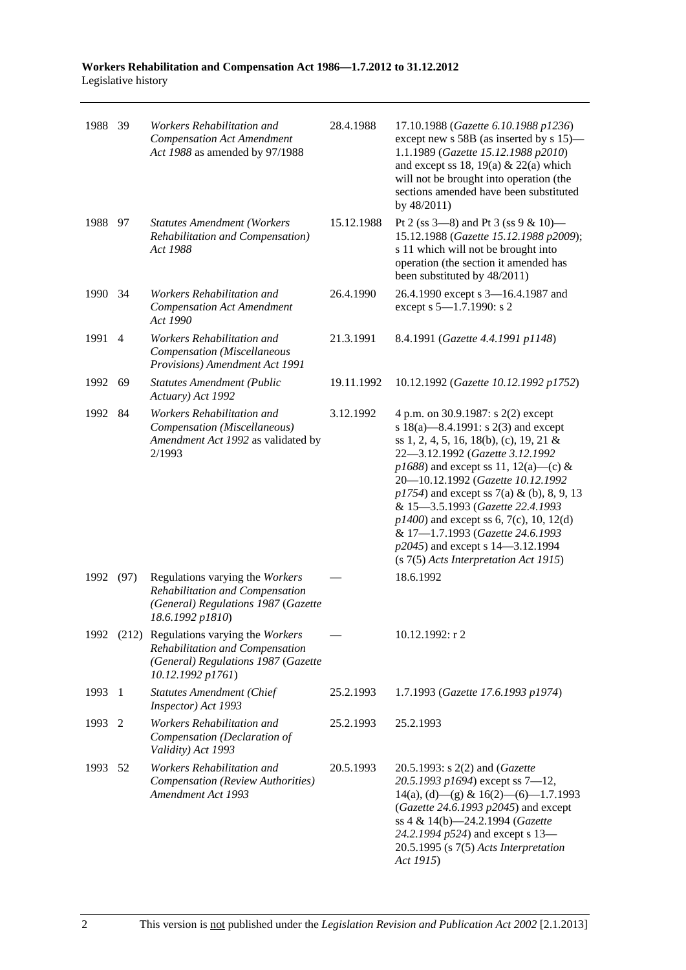**Workers Rehabilitation and Compensation Act 1986—1.7.2012 to 31.12.2012**  Legislative history

| 1988    | 39             | Workers Rehabilitation and<br><b>Compensation Act Amendment</b><br>Act 1988 as amended by 97/1988                                         | 28.4.1988  | 17.10.1988 (Gazette 6.10.1988 p1236)<br>except new s 58B (as inserted by s 15)–<br>1.1.1989 (Gazette 15.12.1988 p2010)<br>and except ss 18, 19(a) & 22(a) which<br>will not be brought into operation (the<br>sections amended have been substituted<br>by 48/2011)                                                                                                                                                                                                                          |
|---------|----------------|-------------------------------------------------------------------------------------------------------------------------------------------|------------|----------------------------------------------------------------------------------------------------------------------------------------------------------------------------------------------------------------------------------------------------------------------------------------------------------------------------------------------------------------------------------------------------------------------------------------------------------------------------------------------|
| 1988 97 |                | <b>Statutes Amendment (Workers</b><br>Rehabilitation and Compensation)<br>Act 1988                                                        | 15.12.1988 | Pt 2 (ss $3-8$ ) and Pt 3 (ss $9 & 10$ )<br>15.12.1988 (Gazette 15.12.1988 p2009);<br>s 11 which will not be brought into<br>operation (the section it amended has<br>been substituted by 48/2011)                                                                                                                                                                                                                                                                                           |
| 1990    | 34             | Workers Rehabilitation and<br><b>Compensation Act Amendment</b><br>Act 1990                                                               | 26.4.1990  | 26.4.1990 except s 3-16.4.1987 and<br>except s 5-1.7.1990: s 2                                                                                                                                                                                                                                                                                                                                                                                                                               |
| 1991    | $\overline{4}$ | Workers Rehabilitation and<br>Compensation (Miscellaneous<br>Provisions) Amendment Act 1991                                               | 21.3.1991  | 8.4.1991 (Gazette 4.4.1991 p1148)                                                                                                                                                                                                                                                                                                                                                                                                                                                            |
| 1992    | 69             | <b>Statutes Amendment (Public</b><br>Actuary) Act 1992                                                                                    | 19.11.1992 | 10.12.1992 (Gazette 10.12.1992 p1752)                                                                                                                                                                                                                                                                                                                                                                                                                                                        |
| 1992    | 84             | Workers Rehabilitation and<br>Compensation (Miscellaneous)<br>Amendment Act 1992 as validated by<br>2/1993                                | 3.12.1992  | 4 p.m. on 30.9.1987: s 2(2) except<br>s 18(a)—8.4.1991: s 2(3) and except<br>ss 1, 2, 4, 5, 16, 18(b), (c), 19, 21 &<br>22-3.12.1992 (Gazette 3.12.1992<br>$p1688$ ) and except ss 11, 12(a)—(c) &<br>20-10.12.1992 (Gazette 10.12.1992<br>$p1754$ ) and except ss 7(a) & (b), 8, 9, 13<br>& 15-3.5.1993 (Gazette 22.4.1993<br>$p1400$ ) and except ss 6, 7(c), 10, 12(d)<br>& 17-1.7.1993 (Gazette 24.6.1993<br>p2045) and except s 14–3.12.1994<br>$(s 7(5)$ Acts Interpretation Act 1915) |
| 1992    | (97)           | Regulations varying the Workers<br>Rehabilitation and Compensation<br>(General) Regulations 1987 (Gazette<br>18.6.1992 p1810)             |            | 18.6.1992                                                                                                                                                                                                                                                                                                                                                                                                                                                                                    |
|         |                | 1992 (212) Regulations varying the Workers<br>Rehabilitation and Compensation<br>(General) Regulations 1987 (Gazette<br>10.12.1992 p1761) |            | 10.12.1992: r 2                                                                                                                                                                                                                                                                                                                                                                                                                                                                              |
| 1993    | -1             | <b>Statutes Amendment (Chief</b><br>Inspector) Act 1993                                                                                   | 25.2.1993  | 1.7.1993 (Gazette 17.6.1993 p1974)                                                                                                                                                                                                                                                                                                                                                                                                                                                           |
| 1993    | 2              | Workers Rehabilitation and<br>Compensation (Declaration of<br>Validity) Act 1993                                                          | 25.2.1993  | 25.2.1993                                                                                                                                                                                                                                                                                                                                                                                                                                                                                    |
| 1993    | 52             | Workers Rehabilitation and<br>Compensation (Review Authorities)<br>Amendment Act 1993                                                     | 20.5.1993  | 20.5.1993: s 2(2) and (Gazette<br>20.5.1993 p1694) except ss $7-12$ ,<br>$14(a)$ , (d) - (g) & $16(2)$ - (6) - 1.7.1993<br>(Gazette 24.6.1993 p2045) and except<br>ss 4 & 14(b)-24.2.1994 (Gazette<br>24.2.1994 p524) and except s 13-<br>$20.5.1995$ (s $7(5)$ Acts Interpretation<br>Act 1915)                                                                                                                                                                                             |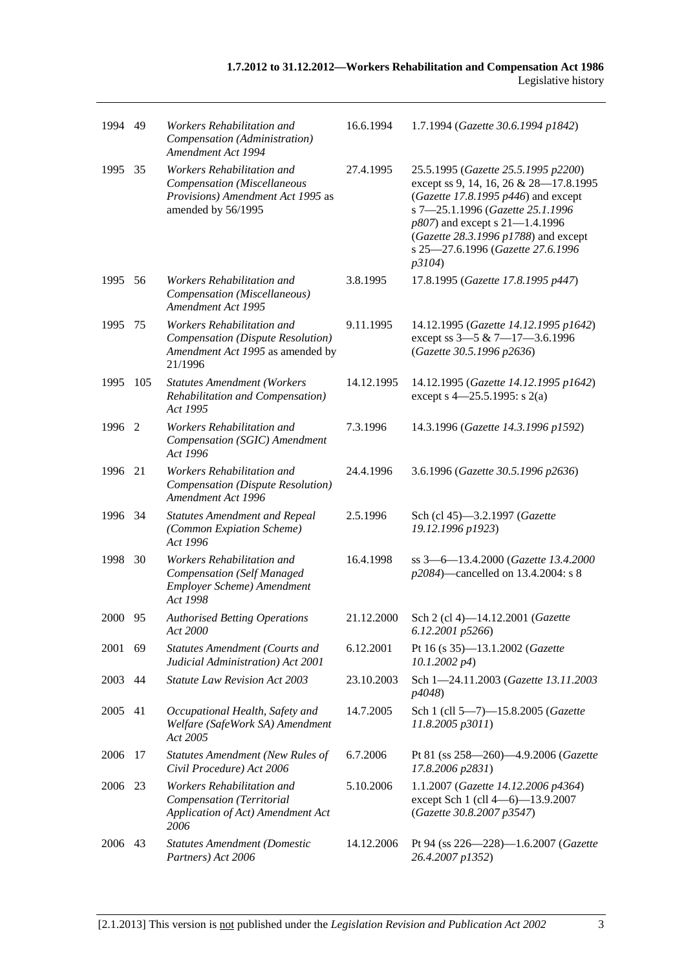| 1994 49 |     | Workers Rehabilitation and<br>Compensation (Administration)<br>Amendment Act 1994                                    | 16.6.1994  | 1.7.1994 (Gazette 30.6.1994 p1842)                                                                                                                                                                                                                                                   |
|---------|-----|----------------------------------------------------------------------------------------------------------------------|------------|--------------------------------------------------------------------------------------------------------------------------------------------------------------------------------------------------------------------------------------------------------------------------------------|
| 1995    | 35  | Workers Rehabilitation and<br>Compensation (Miscellaneous<br>Provisions) Amendment Act 1995 as<br>amended by 56/1995 | 27.4.1995  | 25.5.1995 (Gazette 25.5.1995 p2200)<br>except ss 9, 14, 16, 26 & 28-17.8.1995<br>(Gazette 17.8.1995 $p446$ ) and except<br>s 7-25.1.1996 (Gazette 25.1.1996<br>p807) and except s 21-1.4.1996<br>(Gazette 28.3.1996 p1788) and except<br>s 25-27.6.1996 (Gazette 27.6.1996<br>p3104) |
| 1995    | 56  | Workers Rehabilitation and<br>Compensation (Miscellaneous)<br>Amendment Act 1995                                     | 3.8.1995   | 17.8.1995 (Gazette 17.8.1995 p447)                                                                                                                                                                                                                                                   |
| 1995    | 75  | Workers Rehabilitation and<br>Compensation (Dispute Resolution)<br>Amendment Act 1995 as amended by<br>21/1996       | 9.11.1995  | 14.12.1995 (Gazette 14.12.1995 p1642)<br>except ss 3-5 & 7-17-3.6.1996<br>(Gazette 30.5.1996 p2636)                                                                                                                                                                                  |
| 1995    | 105 | <b>Statutes Amendment (Workers</b><br>Rehabilitation and Compensation)<br>Act 1995                                   | 14.12.1995 | 14.12.1995 (Gazette 14.12.1995 p1642)<br>except s $4-25.5.1995$ : s 2(a)                                                                                                                                                                                                             |
| 1996 2  |     | Workers Rehabilitation and<br>Compensation (SGIC) Amendment<br>Act 1996                                              | 7.3.1996   | 14.3.1996 (Gazette 14.3.1996 p1592)                                                                                                                                                                                                                                                  |
| 1996    | 21  | Workers Rehabilitation and<br>Compensation (Dispute Resolution)<br>Amendment Act 1996                                | 24.4.1996  | 3.6.1996 (Gazette 30.5.1996 p2636)                                                                                                                                                                                                                                                   |
| 1996    | 34  | <b>Statutes Amendment and Repeal</b><br>(Common Expiation Scheme)<br>Act 1996                                        | 2.5.1996   | Sch (cl 45)-3.2.1997 (Gazette<br>19.12.1996 p1923)                                                                                                                                                                                                                                   |
| 1998    | 30  | Workers Rehabilitation and<br><b>Compensation</b> (Self Managed<br>Employer Scheme) Amendment<br>Act 1998            | 16.4.1998  | ss 3-6-13.4.2000 (Gazette 13.4.2000<br>p2084)—cancelled on 13.4.2004: s 8                                                                                                                                                                                                            |
| 2000    | 95  | <b>Authorised Betting Operations</b><br>Act 2000                                                                     | 21.12.2000 | Sch 2 (cl 4)-14.12.2001 (Gazette<br>6.12.2001 p5266)                                                                                                                                                                                                                                 |
| 2001    | 69  | <b>Statutes Amendment (Courts and</b><br>Judicial Administration) Act 2001                                           | 6.12.2001  | Pt 16 (s 35)-13.1.2002 (Gazette<br>$10.1.2002\ p4$                                                                                                                                                                                                                                   |
| 2003    | 44  | <b>Statute Law Revision Act 2003</b>                                                                                 | 23.10.2003 | Sch 1-24.11.2003 (Gazette 13.11.2003)<br>p4048)                                                                                                                                                                                                                                      |
| 2005 41 |     | Occupational Health, Safety and<br>Welfare (SafeWork SA) Amendment<br>Act 2005                                       | 14.7.2005  | Sch 1 (cll 5-7)-15.8.2005 (Gazette<br>11.8.2005 p3011)                                                                                                                                                                                                                               |
| 2006    | 17  | <b>Statutes Amendment (New Rules of</b><br>Civil Procedure) Act 2006                                                 | 6.7.2006   | Pt 81 (ss 258-260)-4.9.2006 (Gazette<br>17.8.2006 p2831)                                                                                                                                                                                                                             |
| 2006    | 23  | Workers Rehabilitation and<br>Compensation (Territorial<br>Application of Act) Amendment Act<br>2006                 | 5.10.2006  | 1.1.2007 (Gazette 14.12.2006 p4364)<br>except Sch 1 (cll 4-6)-13.9.2007<br>(Gazette 30.8.2007 p3547)                                                                                                                                                                                 |
| 2006    | 43  | <b>Statutes Amendment (Domestic</b><br>Partners) Act 2006                                                            | 14.12.2006 | Pt 94 (ss 226-228)-1.6.2007 (Gazette<br>26.4.2007 p1352)                                                                                                                                                                                                                             |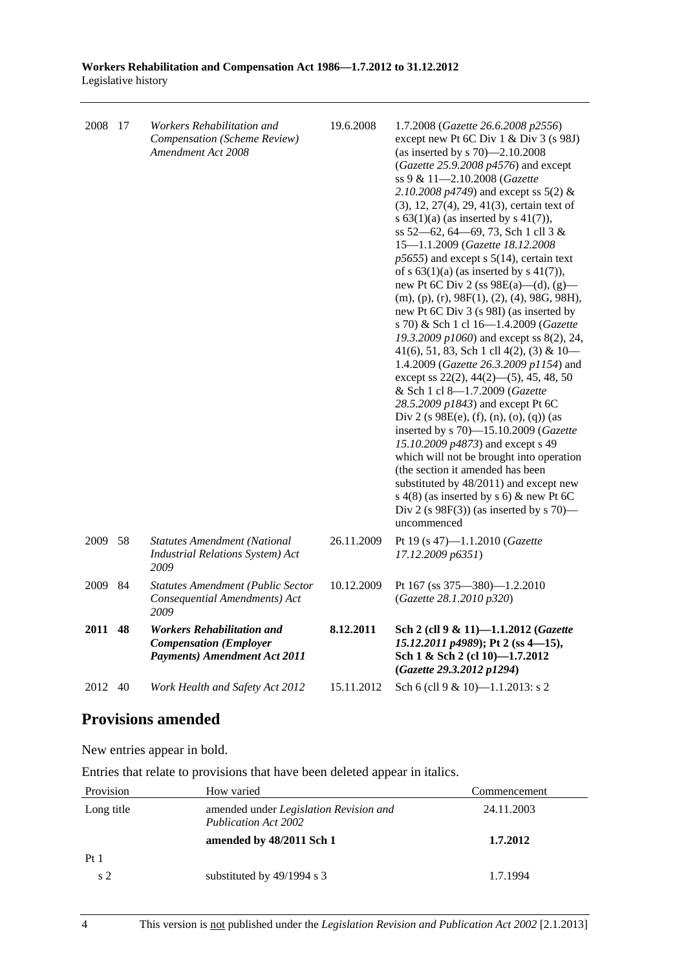| 2008 | 17 | Workers Rehabilitation and<br>Compensation (Scheme Review)<br>Amendment Act 2008                                  | 19.6.2008  | 1.7.2008 (Gazette 26.6.2008 p2556)<br>except new Pt 6C Div 1 & Div 3 (s 98J)<br>(as inserted by s $70$ )-2.10.2008<br>(Gazette 25.9.2008 p4576) and except<br>ss 9 & 11-2.10.2008 (Gazette<br>2.10.2008 $p4749$ ) and except ss 5(2) &<br>(3), 12, 27(4), 29, 41(3), certain text of<br>s $63(1)(a)$ (as inserted by s $41(7)$ ),<br>ss 52–62, 64–69, 73, Sch 1 cll 3 &<br>15-1.1.2009 (Gazette 18.12.2008<br>$p5655$ ) and except s $5(14)$ , certain text<br>of s $63(1)(a)$ (as inserted by s $41(7)$ ),<br>new Pt 6C Div 2 (ss $98E(a)$ —(d), (g)—<br>$(m), (p), (r), 98F(1), (2), (4), 98G, 98H),$<br>new Pt 6C Div 3 (s 98I) (as inserted by<br>s 70) & Sch 1 cl 16-1.4.2009 (Gazette<br>19.3.2009 p1060) and except ss 8(2), 24,<br>41(6), 51, 83, Sch 1 cll 4(2), (3) & $10-$<br>1.4.2009 (Gazette 26.3.2009 p1154) and<br>except ss $22(2)$ , $44(2)$ —(5), 45, 48, 50<br>& Sch 1 cl 8-1.7.2009 (Gazette<br>28.5.2009 p1843) and except Pt 6C<br>Div 2 (s $98E(e)$ , (f), (n), (o), (q)) (as<br>inserted by s 70)-15.10.2009 (Gazette<br>15.10.2009 p4873) and except s 49<br>which will not be brought into operation<br>(the section it amended has been<br>substituted by 48/2011) and except new<br>s $4(8)$ (as inserted by s 6) & new Pt 6C<br>Div 2 (s $98F(3)$ ) (as inserted by s 70)—<br>uncommenced |
|------|----|-------------------------------------------------------------------------------------------------------------------|------------|-------------------------------------------------------------------------------------------------------------------------------------------------------------------------------------------------------------------------------------------------------------------------------------------------------------------------------------------------------------------------------------------------------------------------------------------------------------------------------------------------------------------------------------------------------------------------------------------------------------------------------------------------------------------------------------------------------------------------------------------------------------------------------------------------------------------------------------------------------------------------------------------------------------------------------------------------------------------------------------------------------------------------------------------------------------------------------------------------------------------------------------------------------------------------------------------------------------------------------------------------------------------------------------------------------------------------|
| 2009 | 58 | <b>Statutes Amendment (National</b><br><b>Industrial Relations System)</b> Act<br>2009                            | 26.11.2009 | Pt 19 (s 47)-1.1.2010 (Gazette<br>17.12.2009 p6351)                                                                                                                                                                                                                                                                                                                                                                                                                                                                                                                                                                                                                                                                                                                                                                                                                                                                                                                                                                                                                                                                                                                                                                                                                                                                     |
| 2009 | 84 | <b>Statutes Amendment (Public Sector</b><br>Consequential Amendments) Act<br>2009                                 | 10.12.2009 | Pt 167 (ss 375-380)-1.2.2010<br>(Gazette 28.1.2010 p320)                                                                                                                                                                                                                                                                                                                                                                                                                                                                                                                                                                                                                                                                                                                                                                                                                                                                                                                                                                                                                                                                                                                                                                                                                                                                |
| 2011 | 48 | <b>Workers Rehabilitation and</b><br><b>Compensation</b> ( <i>Employer</i><br><b>Payments)</b> Amendment Act 2011 | 8.12.2011  | Sch 2 (cll 9 & 11)-1.1.2012 (Gazette<br>15.12.2011 p4989); Pt 2 (ss 4-15),<br>Sch 1 & Sch 2 (cl 10)-1.7.2012<br>(Gazette 29.3.2012 p1294)                                                                                                                                                                                                                                                                                                                                                                                                                                                                                                                                                                                                                                                                                                                                                                                                                                                                                                                                                                                                                                                                                                                                                                               |
| 2012 | 40 | Work Health and Safety Act 2012                                                                                   | 15.11.2012 | Sch 6 (cll 9 & 10)-1.1.2013: s 2                                                                                                                                                                                                                                                                                                                                                                                                                                                                                                                                                                                                                                                                                                                                                                                                                                                                                                                                                                                                                                                                                                                                                                                                                                                                                        |

# **Provisions amended**

New entries appear in bold.

Entries that relate to provisions that have been deleted appear in italics.

| Provision      | How varied                                                     | Commencement |
|----------------|----------------------------------------------------------------|--------------|
| Long title     | amended under Legislation Revision and<br>Publication Act 2002 | 24.11.2003   |
|                | amended by 48/2011 Sch 1                                       | 1.7.2012     |
| Pt1            |                                                                |              |
| s <sub>2</sub> | substituted by 49/1994 s 3                                     | 1.7.1994     |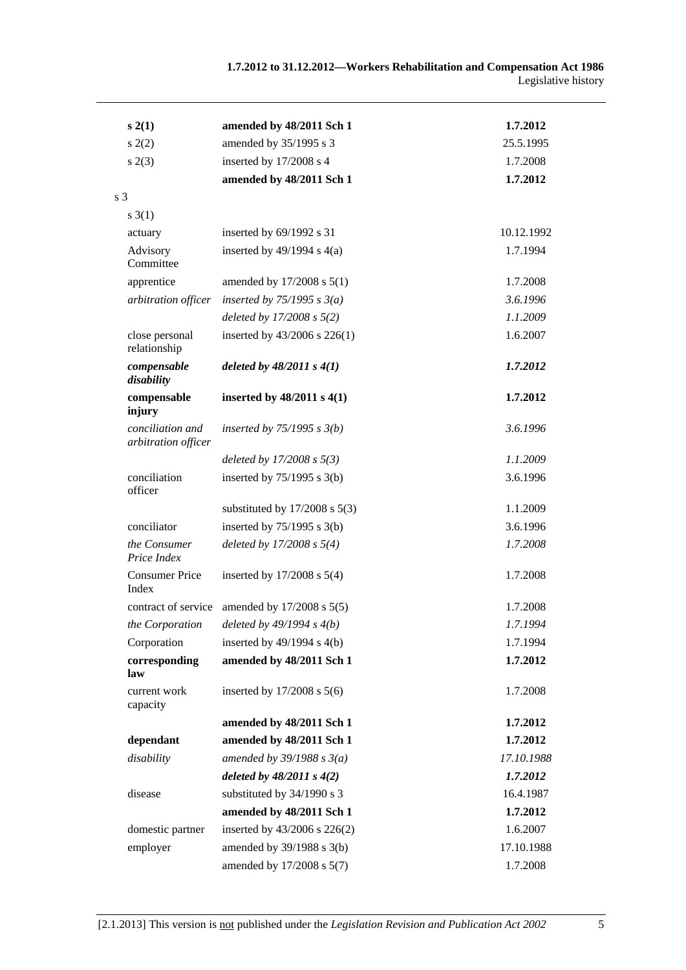| s(2(1))                                 | amended by 48/2011 Sch 1          | 1.7.2012   |
|-----------------------------------------|-----------------------------------|------------|
| s(2)                                    | amended by 35/1995 s 3            | 25.5.1995  |
| s(2(3))                                 | inserted by 17/2008 s 4           | 1.7.2008   |
|                                         | amended by 48/2011 Sch 1          | 1.7.2012   |
| s <sub>3</sub>                          |                                   |            |
| $s \; 3(1)$                             |                                   |            |
| actuary                                 | inserted by 69/1992 s 31          | 10.12.1992 |
| Advisory<br>Committee                   | inserted by $49/1994$ s $4(a)$    | 1.7.1994   |
| apprentice                              | amended by $17/2008$ s $5(1)$     | 1.7.2008   |
| arbitration officer                     | inserted by $75/1995$ s $3(a)$    | 3.6.1996   |
|                                         | deleted by $17/2008 s 5(2)$       | 1.1.2009   |
| close personal<br>relationship          | inserted by 43/2006 s 226(1)      | 1.6.2007   |
| compensable<br>disability               | deleted by $48/2011 s 4(1)$       | 1.7.2012   |
| compensable<br>injury                   | inserted by $48/2011$ s $4(1)$    | 1.7.2012   |
| conciliation and<br>arbitration officer | inserted by $75/1995$ s $3(b)$    | 3.6.1996   |
|                                         | deleted by $17/2008 s 5(3)$       | 1.1.2009   |
| conciliation<br>officer                 | inserted by $75/1995$ s 3(b)      | 3.6.1996   |
|                                         | substituted by $17/2008$ s $5(3)$ | 1.1.2009   |
| conciliator                             | inserted by $75/1995$ s 3(b)      | 3.6.1996   |
| the Consumer<br>Price Index             | deleted by $17/2008 s 5(4)$       | 1.7.2008   |
| <b>Consumer Price</b><br>Index          | inserted by $17/2008$ s $5(4)$    | 1.7.2008   |
| contract of service                     | amended by 17/2008 s 5(5)         | 1.7.2008   |
| the Corporation                         | deleted by $49/1994 s 4(b)$       | 1.7.1994   |
| Corporation                             | inserted by $49/1994$ s $4(b)$    | 1.7.1994   |
| corresponding<br>law                    | amended by 48/2011 Sch 1          | 1.7.2012   |
| current work<br>capacity                | inserted by $17/2008$ s $5(6)$    | 1.7.2008   |
|                                         | amended by 48/2011 Sch 1          | 1.7.2012   |
| dependant                               | amended by 48/2011 Sch 1          | 1.7.2012   |
| disability                              | amended by $39/1988 s 3(a)$       | 17.10.1988 |
|                                         | deleted by $48/2011 s 4(2)$       | 1.7.2012   |
| disease                                 | substituted by 34/1990 s 3        | 16.4.1987  |
|                                         | amended by 48/2011 Sch 1          | 1.7.2012   |
| domestic partner                        | inserted by 43/2006 s 226(2)      | 1.6.2007   |
| employer                                | amended by 39/1988 s 3(b)         | 17.10.1988 |
|                                         | amended by 17/2008 s 5(7)         | 1.7.2008   |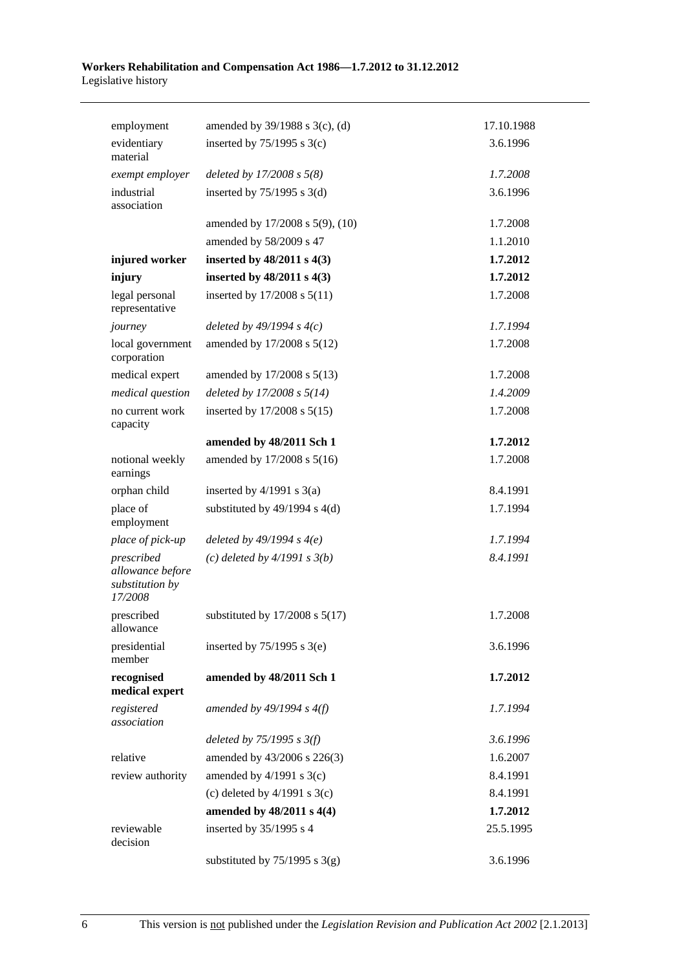#### **Workers Rehabilitation and Compensation Act 1986—1.7.2012 to 31.12.2012**  Legislative history

| employment                                                   | amended by 39/1988 s 3(c), (d)     | 17.10.1988 |
|--------------------------------------------------------------|------------------------------------|------------|
| evidentiary<br>material                                      | inserted by $75/1995$ s 3(c)       | 3.6.1996   |
| exempt employer                                              | deleted by $17/2008 s 5(8)$        | 1.7.2008   |
| industrial<br>association                                    | inserted by $75/1995$ s 3(d)       | 3.6.1996   |
|                                                              | amended by 17/2008 s 5(9), (10)    | 1.7.2008   |
|                                                              | amended by 58/2009 s 47            | 1.1.2010   |
| injured worker                                               | inserted by 48/2011 s 4(3)         | 1.7.2012   |
| injury                                                       | inserted by $48/2011$ s $4(3)$     | 1.7.2012   |
| legal personal<br>representative                             | inserted by 17/2008 s 5(11)        | 1.7.2008   |
| journey                                                      | deleted by $49/1994 s 4(c)$        | 1.7.1994   |
| local government<br>corporation                              | amended by 17/2008 s 5(12)         | 1.7.2008   |
| medical expert                                               | amended by 17/2008 s 5(13)         | 1.7.2008   |
| medical question                                             | deleted by $17/2008 s 5(14)$       | 1.4.2009   |
| no current work<br>capacity                                  | inserted by $17/2008$ s $5(15)$    | 1.7.2008   |
|                                                              | amended by 48/2011 Sch 1           | 1.7.2012   |
| notional weekly<br>earnings                                  | amended by 17/2008 s 5(16)         | 1.7.2008   |
| orphan child                                                 | inserted by $4/1991$ s $3(a)$      | 8.4.1991   |
| place of<br>employment                                       | substituted by $49/1994$ s $4(d)$  | 1.7.1994   |
| place of pick-up                                             | deleted by $49/1994 s 4(e)$        | 1.7.1994   |
| prescribed<br>allowance before<br>substitution by<br>17/2008 | (c) deleted by $4/1991 s 3(b)$     | 8.4.1991   |
| prescribed<br>allowance                                      | substituted by $17/2008$ s $5(17)$ | 1.7.2008   |
| presidential<br>member                                       | inserted by $75/1995$ s 3(e)       | 3.6.1996   |
| recognised<br>medical expert                                 | amended by 48/2011 Sch 1           | 1.7.2012   |
| registered<br>association                                    | amended by $49/1994 s 4(f)$        | 1.7.1994   |
|                                                              | deleted by $75/1995$ s $3(f)$      | 3.6.1996   |
| relative                                                     | amended by 43/2006 s 226(3)        | 1.6.2007   |
| review authority                                             | amended by $4/1991$ s $3(c)$       | 8.4.1991   |
|                                                              | (c) deleted by $4/1991$ s $3(c)$   | 8.4.1991   |
|                                                              | amended by 48/2011 s 4(4)          | 1.7.2012   |
| reviewable<br>decision                                       | inserted by 35/1995 s 4            | 25.5.1995  |
|                                                              | substituted by $75/1995$ s 3(g)    | 3.6.1996   |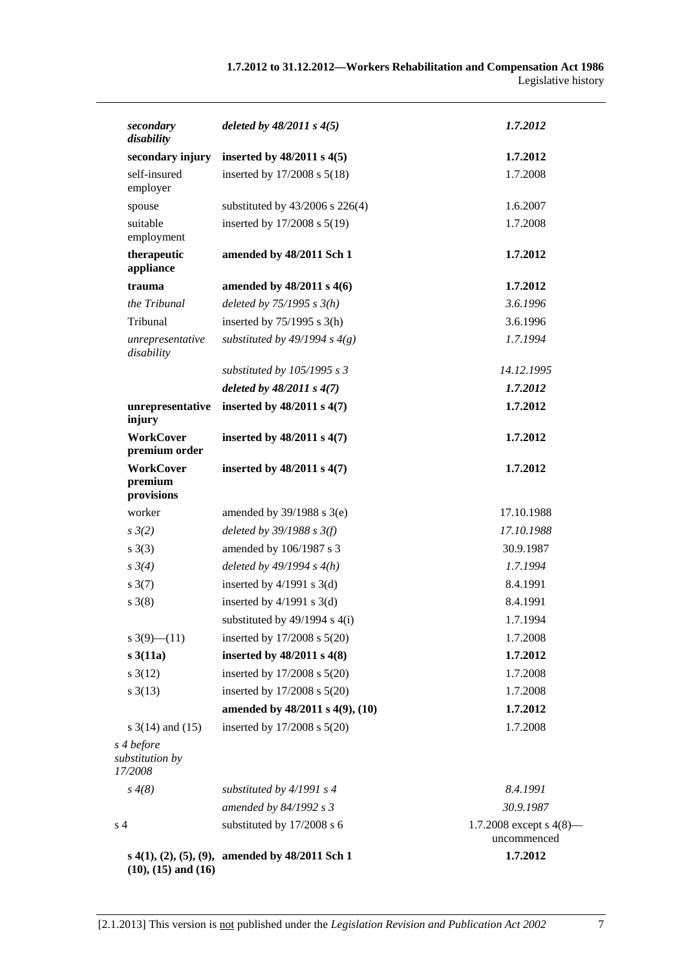| secondary<br>disability                   | deleted by $48/2011 s 4(5)$                                   | 1.7.2012                                |
|-------------------------------------------|---------------------------------------------------------------|-----------------------------------------|
| secondary injury                          | inserted by $48/2011$ s $4(5)$                                | 1.7.2012                                |
| self-insured<br>employer                  | inserted by 17/2008 s 5(18)                                   | 1.7.2008                                |
| spouse                                    | substituted by 43/2006 s 226(4)                               | 1.6.2007                                |
| suitable<br>employment                    | inserted by 17/2008 s 5(19)                                   | 1.7.2008                                |
| therapeutic<br>appliance                  | amended by 48/2011 Sch 1                                      | 1.7.2012                                |
| trauma                                    | amended by 48/2011 s 4(6)                                     | 1.7.2012                                |
| the Tribunal                              | deleted by $75/1995 s 3(h)$                                   | 3.6.1996                                |
| Tribunal                                  | inserted by $75/1995$ s 3(h)                                  | 3.6.1996                                |
| unrepresentative<br>disability            | substituted by 49/1994 s $4(g)$                               | 1.7.1994                                |
|                                           | substituted by $105/1995 s 3$                                 | 14.12.1995                              |
|                                           | deleted by $48/2011 s 4(7)$                                   | 1.7.2012                                |
| unrepresentative<br>injury                | inserted by 48/2011 s 4(7)                                    | 1.7.2012                                |
| <b>WorkCover</b><br>premium order         | inserted by $48/2011$ s $4(7)$                                | 1.7.2012                                |
| <b>WorkCover</b><br>premium<br>provisions | inserted by $48/2011$ s $4(7)$                                | 1.7.2012                                |
| worker                                    | amended by $39/1988$ s $3(e)$                                 | 17.10.1988                              |
| $s \frac{3}{2}$                           | deleted by $39/1988$ s $3(f)$                                 | 17.10.1988                              |
| $s \; 3(3)$                               | amended by 106/1987 s 3                                       | 30.9.1987                               |
| $s \, 3(4)$                               | deleted by $49/1994 s 4(h)$                                   | 1.7.1994                                |
| $s \frac{3(7)}{2}$                        | inserted by $4/1991$ s $3(d)$                                 | 8.4.1991                                |
| $s \; 3(8)$                               | inserted by $4/1991$ s $3(d)$                                 | 8.4.1991                                |
|                                           | substituted by $49/1994$ s $4(i)$                             | 1.7.1994                                |
| $s \frac{3(9)-(11)}{2}$                   | inserted by 17/2008 s 5(20)                                   | 1.7.2008                                |
| s3(11a)                                   | inserted by $48/2011$ s $4(8)$                                | 1.7.2012                                |
| $s \frac{3(12)}{2}$                       | inserted by 17/2008 s 5(20)                                   | 1.7.2008                                |
| $s \frac{3(13)}{2}$                       | inserted by 17/2008 s 5(20)                                   | 1.7.2008                                |
|                                           | amended by 48/2011 s 4(9), (10)                               | 1.7.2012                                |
| s $3(14)$ and $(15)$                      | inserted by 17/2008 s 5(20)                                   | 1.7.2008                                |
| s 4 before<br>substitution by<br>17/2008  |                                                               |                                         |
| $s \, 4(8)$                               | substituted by $4/1991 s 4$                                   | 8.4.1991                                |
|                                           | amended by 84/1992 s 3                                        | 30.9.1987                               |
| s <sub>4</sub>                            | substituted by 17/2008 s 6                                    | 1.7.2008 except s $4(8)$<br>uncommenced |
|                                           | s $4(1)$ , $(2)$ , $(5)$ , $(9)$ , amended by $48/2011$ Sch 1 | 1.7.2012                                |

**(10), (15) and (16)** 

[2.1.2013] This version is not published under the *Legislation Revision and Publication Act 2002* 7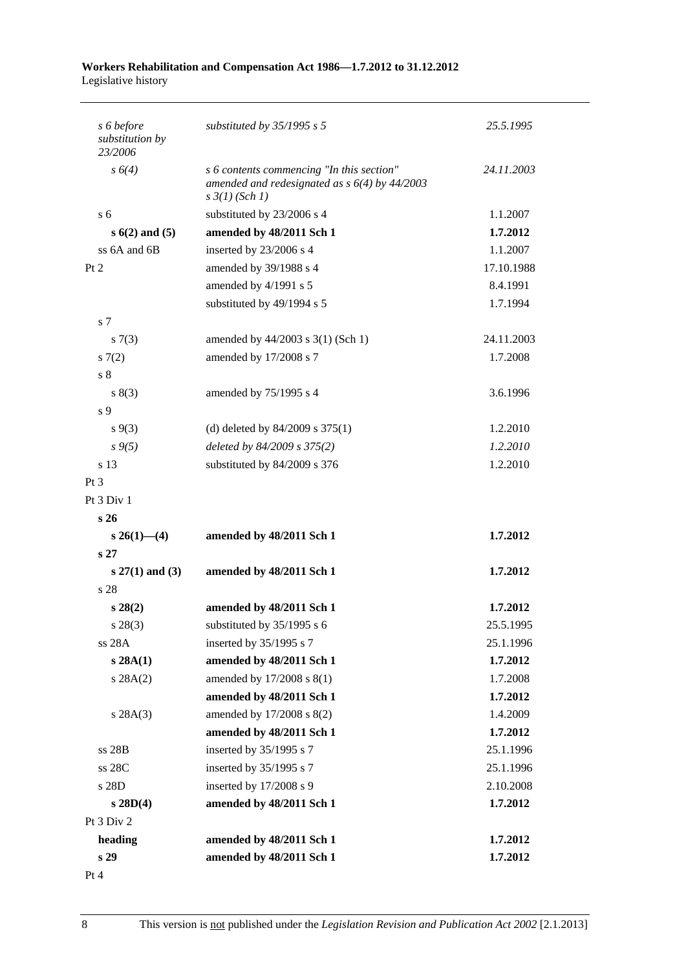#### **Workers Rehabilitation and Compensation Act 1986—1.7.2012 to 31.12.2012**  Legislative history

| s 6 before<br>substitution by<br>23/2006 | substituted by $35/1995$ s 5                                                                                            | 25.5.1995  |
|------------------------------------------|-------------------------------------------------------------------------------------------------------------------------|------------|
| s 6(4)                                   | s 6 contents commencing "In this section"<br>amended and redesignated as $s$ 6(4) by 44/2003<br>$s \frac{3}{1} (Sch 1)$ | 24.11.2003 |
| s <sub>6</sub>                           | substituted by 23/2006 s 4                                                                                              | 1.1.2007   |
| $s(6(2)$ and $(5)$                       | amended by 48/2011 Sch 1                                                                                                | 1.7.2012   |
| ss 6A and 6B                             | inserted by 23/2006 s 4                                                                                                 | 1.1.2007   |
| Pt 2                                     | amended by 39/1988 s 4                                                                                                  | 17.10.1988 |
|                                          | amended by 4/1991 s 5                                                                                                   | 8.4.1991   |
|                                          | substituted by 49/1994 s 5                                                                                              | 1.7.1994   |
| s 7                                      |                                                                                                                         |            |
| s(7(3)                                   | amended by $44/2003$ s 3(1) (Sch 1)                                                                                     | 24.11.2003 |
| s(7(2)                                   | amended by 17/2008 s 7                                                                                                  | 1.7.2008   |
| s <sub>8</sub>                           |                                                                                                                         |            |
| s(3)                                     | amended by 75/1995 s 4                                                                                                  | 3.6.1996   |
| s 9                                      |                                                                                                                         |            |
| $s \, 9(3)$                              | (d) deleted by $84/2009$ s $375(1)$                                                                                     | 1.2.2010   |
| $s \, 9(5)$                              | deleted by 84/2009 s 375(2)                                                                                             | 1.2.2010   |
| s 13                                     | substituted by 84/2009 s 376                                                                                            | 1.2.2010   |
| $Pt\,3$                                  |                                                                                                                         |            |
| Pt 3 Div 1                               |                                                                                                                         |            |
| s <sub>26</sub>                          |                                                                                                                         |            |
| $s\,26(1)$ —(4)                          | amended by 48/2011 Sch 1                                                                                                | 1.7.2012   |
| s <sub>27</sub>                          |                                                                                                                         |            |
| $s 27(1)$ and (3)                        | amended by 48/2011 Sch 1                                                                                                | 1.7.2012   |
| s 28                                     |                                                                                                                         |            |
| $s\,28(2)$                               | amended by 48/2011 Sch 1                                                                                                | 1.7.2012   |
| $s\,28(3)$                               | substituted by $35/1995$ s 6                                                                                            | 25.5.1995  |
| ss 28A                                   | inserted by 35/1995 s 7                                                                                                 | 25.1.1996  |
| s 28A(1)                                 | amended by 48/2011 Sch 1                                                                                                | 1.7.2012   |
| s 28A(2)                                 | amended by 17/2008 s 8(1)                                                                                               | 1.7.2008   |
|                                          | amended by 48/2011 Sch 1                                                                                                | 1.7.2012   |
| s 28A(3)                                 | amended by 17/2008 s 8(2)                                                                                               | 1.4.2009   |
|                                          | amended by 48/2011 Sch 1                                                                                                | 1.7.2012   |
| ss 28B                                   | inserted by 35/1995 s 7                                                                                                 | 25.1.1996  |
| ss 28C                                   | inserted by 35/1995 s 7                                                                                                 | 25.1.1996  |
| s 28D                                    | inserted by 17/2008 s 9                                                                                                 | 2.10.2008  |
| $s$ 28D(4)                               | amended by 48/2011 Sch 1                                                                                                | 1.7.2012   |
| Pt 3 Div 2                               |                                                                                                                         |            |
| heading                                  | amended by 48/2011 Sch 1                                                                                                | 1.7.2012   |
| s 29                                     | amended by 48/2011 Sch 1                                                                                                | 1.7.2012   |
| Pt 4                                     |                                                                                                                         |            |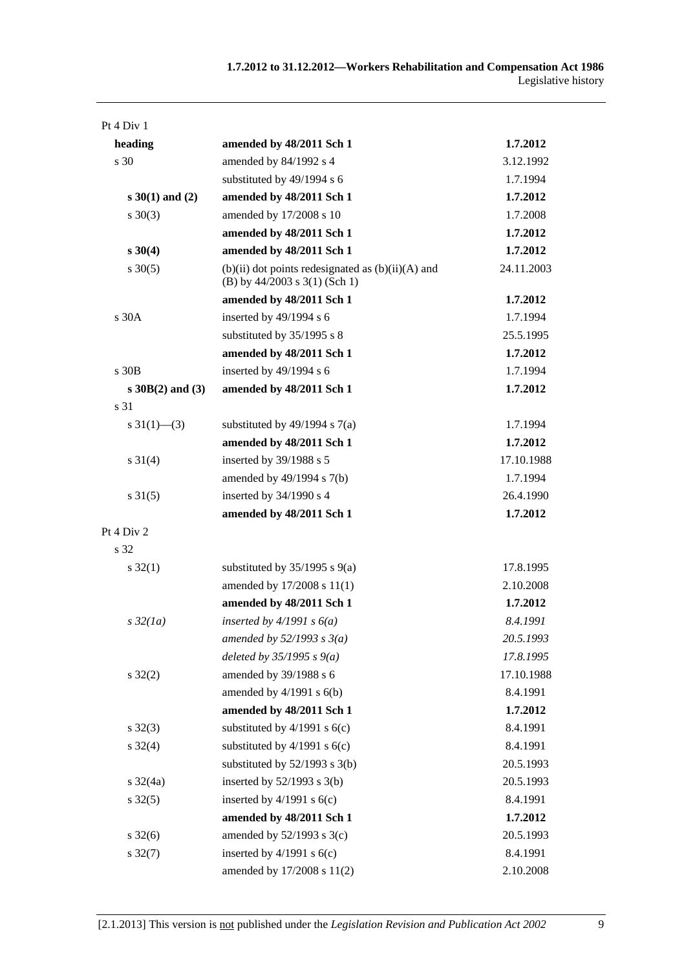| Pt 4 Div 1              |                                                                                          |            |
|-------------------------|------------------------------------------------------------------------------------------|------------|
| heading                 | amended by 48/2011 Sch 1                                                                 | 1.7.2012   |
| s 30                    | amended by 84/1992 s 4                                                                   | 3.12.1992  |
|                         | substituted by 49/1994 s 6                                                               | 1.7.1994   |
| $s \ 30(1)$ and (2)     | amended by 48/2011 Sch 1                                                                 | 1.7.2012   |
| $s \ 30(3)$             | amended by 17/2008 s 10                                                                  | 1.7.2008   |
|                         | amended by 48/2011 Sch 1                                                                 | 1.7.2012   |
| $s \, 30(4)$            | amended by 48/2011 Sch 1                                                                 | 1.7.2012   |
| $s \, 30(5)$            | $(b)(ii)$ dot points redesignated as $(b)(ii)(A)$ and<br>(B) by $44/2003$ s 3(1) (Sch 1) | 24.11.2003 |
|                         | amended by 48/2011 Sch 1                                                                 | 1.7.2012   |
| s 30A                   | inserted by 49/1994 s 6                                                                  | 1.7.1994   |
|                         | substituted by 35/1995 s 8                                                               | 25.5.1995  |
|                         | amended by 48/2011 Sch 1                                                                 | 1.7.2012   |
| s 30B                   | inserted by 49/1994 s 6                                                                  | 1.7.1994   |
| $s \, 30B(2)$ and (3)   | amended by 48/2011 Sch 1                                                                 | 1.7.2012   |
| s 31                    |                                                                                          |            |
| $s \frac{31(1)}{6}$ (3) | substituted by $49/1994$ s $7(a)$                                                        | 1.7.1994   |
|                         | amended by 48/2011 Sch 1                                                                 | 1.7.2012   |
| $s \, 31(4)$            | inserted by 39/1988 s 5                                                                  | 17.10.1988 |
|                         | amended by 49/1994 s 7(b)                                                                | 1.7.1994   |
| $s \, 31(5)$            | inserted by 34/1990 s 4                                                                  | 26.4.1990  |
|                         | amended by 48/2011 Sch 1                                                                 | 1.7.2012   |
| Pt 4 Div 2              |                                                                                          |            |
| s 32                    |                                                                                          |            |
| $s \, 32(1)$            | substituted by $35/1995$ s $9(a)$                                                        | 17.8.1995  |
|                         | amended by 17/2008 s 11(1)                                                               | 2.10.2008  |
|                         | amended by 48/2011 Sch 1                                                                 | 1.7.2012   |
| $s\,32(1a)$             | inserted by $4/1991 s 6(a)$                                                              | 8.4.1991   |
|                         | amended by $52/1993 s 3(a)$                                                              | 20.5.1993  |
|                         | deleted by $35/1995 s 9(a)$                                                              | 17.8.1995  |
| $s \, 32(2)$            | amended by 39/1988 s 6                                                                   | 17.10.1988 |
|                         | amended by $4/1991$ s $6(b)$                                                             | 8.4.1991   |
|                         | amended by 48/2011 Sch 1                                                                 | 1.7.2012   |
| $s \, 32(3)$            | substituted by $4/1991$ s $6(c)$                                                         | 8.4.1991   |
| $s \, 32(4)$            | substituted by $4/1991$ s $6(c)$                                                         | 8.4.1991   |
|                         | substituted by $52/1993$ s $3(b)$                                                        | 20.5.1993  |
| $s \frac{32}{4a}$       | inserted by $52/1993$ s $3(b)$                                                           | 20.5.1993  |
| $s \, 32(5)$            | inserted by $4/1991$ s $6(c)$                                                            | 8.4.1991   |
|                         | amended by 48/2011 Sch 1                                                                 | 1.7.2012   |
| $s \frac{32(6)}{2}$     | amended by $52/1993$ s $3(c)$                                                            | 20.5.1993  |
| $s \frac{32(7)}{2}$     | inserted by $4/1991$ s $6(c)$                                                            | 8.4.1991   |
|                         | amended by 17/2008 s 11(2)                                                               | 2.10.2008  |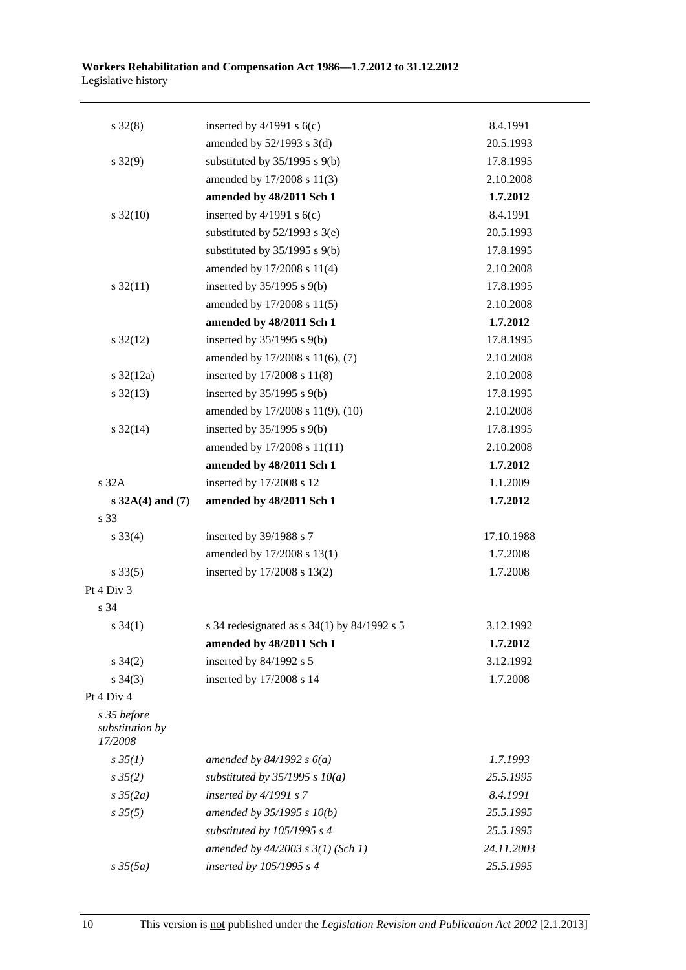| $s \, 32(8)$                              | inserted by $4/1991$ s $6(c)$                 | 8.4.1991   |
|-------------------------------------------|-----------------------------------------------|------------|
|                                           | amended by $52/1993$ s $3(d)$                 | 20.5.1993  |
| $s \, 32(9)$                              | substituted by $35/1995$ s $9(b)$             | 17.8.1995  |
|                                           | amended by 17/2008 s 11(3)                    | 2.10.2008  |
|                                           | amended by 48/2011 Sch 1                      | 1.7.2012   |
| $s \frac{32(10)}{2}$                      | inserted by $4/1991$ s $6(c)$                 | 8.4.1991   |
|                                           | substituted by $52/1993$ s $3(e)$             | 20.5.1993  |
|                                           | substituted by $35/1995$ s $9(b)$             | 17.8.1995  |
|                                           | amended by 17/2008 s 11(4)                    | 2.10.2008  |
| $s \frac{32(11)}{2}$                      | inserted by $35/1995$ s $9(b)$                | 17.8.1995  |
|                                           | amended by 17/2008 s 11(5)                    | 2.10.2008  |
|                                           | amended by 48/2011 Sch 1                      | 1.7.2012   |
| $s \frac{32(12)}{2}$                      | inserted by $35/1995$ s $9(b)$                | 17.8.1995  |
|                                           | amended by 17/2008 s 11(6), (7)               | 2.10.2008  |
| $s \frac{32(12a)}{2}$                     | inserted by 17/2008 s 11(8)                   | 2.10.2008  |
| $s \frac{32(13)}{2}$                      | inserted by $35/1995$ s $9(b)$                | 17.8.1995  |
|                                           | amended by 17/2008 s 11(9), (10)              | 2.10.2008  |
| $s \frac{32(14)}{2}$                      | inserted by $35/1995$ s $9(b)$                | 17.8.1995  |
|                                           | amended by 17/2008 s 11(11)                   | 2.10.2008  |
|                                           | amended by 48/2011 Sch 1                      | 1.7.2012   |
| s 32A                                     | inserted by 17/2008 s 12                      | 1.1.2009   |
| $s 32A(4)$ and (7)                        | amended by 48/2011 Sch 1                      | 1.7.2012   |
| s 33                                      |                                               |            |
| $s \, 33(4)$                              | inserted by 39/1988 s 7                       | 17.10.1988 |
|                                           | amended by 17/2008 s 13(1)                    | 1.7.2008   |
| $s \, 33(5)$                              | inserted by 17/2008 s 13(2)                   | 1.7.2008   |
| Pt 4 Div 3                                |                                               |            |
| s 34                                      |                                               |            |
| $s \, 34(1)$                              | s 34 redesignated as $s$ 34(1) by 84/1992 s 5 | 3.12.1992  |
|                                           | amended by 48/2011 Sch 1                      | 1.7.2012   |
| $s \; 34(2)$                              | inserted by 84/1992 s 5                       | 3.12.1992  |
| $s \; 34(3)$                              | inserted by 17/2008 s 14                      | 1.7.2008   |
| Pt 4 Div 4                                |                                               |            |
| s 35 before<br>substitution by<br>17/2008 |                                               |            |
| $s \, 35(1)$                              | amended by $84/1992 s 6(a)$                   | 1.7.1993   |
| $s \frac{35(2)}{2}$                       | substituted by $35/1995 s 10(a)$              | 25.5.1995  |
| $s \frac{35}{2a}$                         | inserted by $4/1991 s$ 7                      | 8.4.1991   |
| $s \, 35(5)$                              | amended by 35/1995 s 10(b)                    | 25.5.1995  |
|                                           | substituted by $105/1995 s 4$                 | 25.5.1995  |
|                                           | amended by 44/2003 s 3(1) (Sch 1)             | 24.11.2003 |
| $s \frac{35(5a)}{2}$                      | inserted by 105/1995 s 4                      | 25.5.1995  |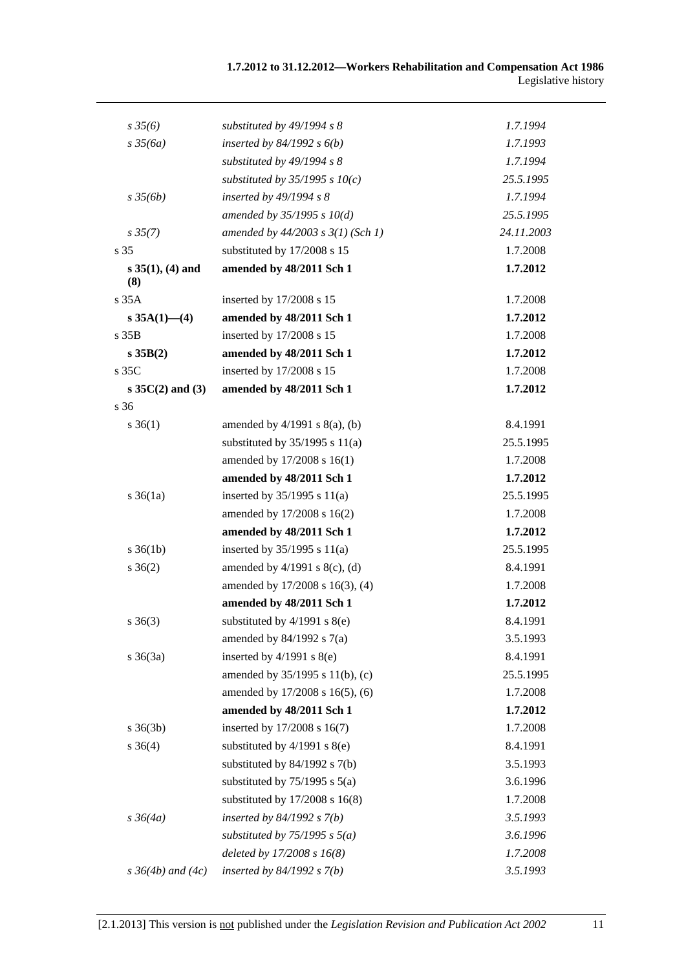| $s \frac{35}{6}$          | substituted by 49/1994 s 8         | 1.7.1994   |
|---------------------------|------------------------------------|------------|
| $s \frac{35}{6a}$         | inserted by $84/1992 s 6(b)$       | 1.7.1993   |
|                           | substituted by 49/1994 s 8         | 1.7.1994   |
|                           | substituted by $35/1995 s 10(c)$   | 25.5.1995  |
| $s \frac{35}{6b}$         | inserted by $49/1994 s 8$          | 1.7.1994   |
|                           | amended by $35/1995 s 10(d)$       | 25.5.1995  |
| $s\,35(7)$                | amended by 44/2003 s 3(1) (Sch 1)  | 24.11.2003 |
| s 35                      | substituted by 17/2008 s 15        | 1.7.2008   |
| $s 35(1), (4)$ and<br>(8) | amended by 48/2011 Sch 1           | 1.7.2012   |
| s35A                      | inserted by 17/2008 s 15           | 1.7.2008   |
| s $35A(1)$ - (4)          | amended by 48/2011 Sch 1           | 1.7.2012   |
| s <sub>35B</sub>          | inserted by 17/2008 s 15           | 1.7.2008   |
| s 35B(2)                  | amended by 48/2011 Sch 1           | 1.7.2012   |
| s 35C                     | inserted by 17/2008 s 15           | 1.7.2008   |
| $s \, 35C(2)$ and (3)     | amended by 48/2011 Sch 1           | 1.7.2012   |
| s 36                      |                                    |            |
| $s \; 36(1)$              | amended by $4/1991$ s $8(a)$ , (b) | 8.4.1991   |
|                           | substituted by $35/1995$ s $11(a)$ | 25.5.1995  |
|                           | amended by 17/2008 s 16(1)         | 1.7.2008   |
|                           | amended by 48/2011 Sch 1           | 1.7.2012   |
| $s \, 36(1a)$             | inserted by $35/1995$ s $11(a)$    | 25.5.1995  |
|                           | amended by 17/2008 s 16(2)         | 1.7.2008   |
|                           | amended by 48/2011 Sch 1           | 1.7.2012   |
| $s \, 36(1b)$             | inserted by $35/1995$ s $11(a)$    | 25.5.1995  |
| $s \; 36(2)$              | amended by $4/1991$ s $8(c)$ , (d) | 8.4.1991   |
|                           | amended by 17/2008 s 16(3), (4)    | 1.7.2008   |
|                           | amended by 48/2011 Sch 1           | 1.7.2012   |
| $s \; 36(3)$              | substituted by $4/1991$ s $8(e)$   | 8.4.1991   |
|                           | amended by $84/1992$ s $7(a)$      | 3.5.1993   |
| $s \; 36(3a)$             | inserted by $4/1991$ s $8(e)$      | 8.4.1991   |
|                           | amended by 35/1995 s 11(b), (c)    | 25.5.1995  |
|                           | amended by 17/2008 s 16(5), (6)    | 1.7.2008   |
|                           | amended by 48/2011 Sch 1           | 1.7.2012   |
| $s \; 36(3b)$             | inserted by 17/2008 s 16(7)        | 1.7.2008   |
| $s \; 36(4)$              | substituted by $4/1991$ s $8(e)$   | 8.4.1991   |
|                           | substituted by $84/1992$ s $7(b)$  | 3.5.1993   |
|                           | substituted by $75/1995$ s $5(a)$  | 3.6.1996   |
|                           | substituted by $17/2008$ s $16(8)$ | 1.7.2008   |
| $s \frac{36}{4a}$         | inserted by $84/1992$ s $7(b)$     | 3.5.1993   |
|                           | substituted by $75/1995$ s $5(a)$  | 3.6.1996   |
|                           | deleted by $17/2008 s 16(8)$       | 1.7.2008   |
| $s \, 36(4b)$ and $(4c)$  | inserted by $84/1992 s 7(b)$       | 3.5.1993   |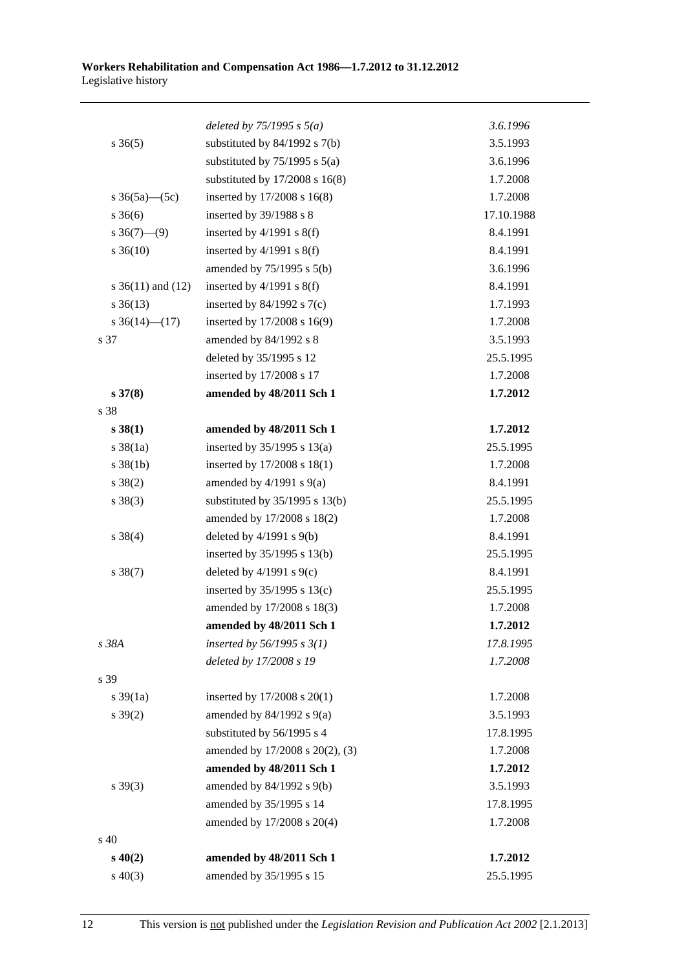#### **Workers Rehabilitation and Compensation Act 1986—1.7.2012 to 31.12.2012**  Legislative history

|                       | deleted by $75/1995$ s $5(a)$      | 3.6.1996   |
|-----------------------|------------------------------------|------------|
| $s \; 36(5)$          | substituted by $84/1992$ s $7(b)$  | 3.5.1993   |
|                       | substituted by $75/1995$ s $5(a)$  | 3.6.1996   |
|                       | substituted by $17/2008$ s $16(8)$ | 1.7.2008   |
| s $36(5a)$ (5c)       | inserted by 17/2008 s 16(8)        | 1.7.2008   |
| $s \; 36(6)$          | inserted by 39/1988 s 8            | 17.10.1988 |
| $s \; 36(7) - (9)$    | inserted by $4/1991$ s $8(f)$      | 8.4.1991   |
| $s \, 36(10)$         | inserted by $4/1991$ s $8(f)$      | 8.4.1991   |
|                       | amended by $75/1995$ s $5(b)$      | 3.6.1996   |
| s $36(11)$ and $(12)$ | inserted by $4/1991$ s $8(f)$      | 8.4.1991   |
| $s \, 36(13)$         | inserted by $84/1992$ s $7(c)$     | 1.7.1993   |
| s $36(14)$ (17)       | inserted by 17/2008 s 16(9)        | 1.7.2008   |
| s 37                  | amended by 84/1992 s 8             | 3.5.1993   |
|                       | deleted by 35/1995 s 12            | 25.5.1995  |
|                       | inserted by 17/2008 s 17           | 1.7.2008   |
| $s \, 37(8)$          | amended by 48/2011 Sch 1           | 1.7.2012   |
| s 38                  |                                    |            |
| s 38(1)               | amended by 48/2011 Sch 1           | 1.7.2012   |
| $s \frac{38}{1a}$     | inserted by $35/1995$ s $13(a)$    | 25.5.1995  |
| $s \, 38(1b)$         | inserted by $17/2008$ s $18(1)$    | 1.7.2008   |
| $s \ 38(2)$           | amended by $4/1991$ s $9(a)$       | 8.4.1991   |
| $s \ 38(3)$           | substituted by $35/1995$ s $13(b)$ | 25.5.1995  |
|                       | amended by 17/2008 s 18(2)         | 1.7.2008   |
| $s \ 38(4)$           | deleted by $4/1991$ s $9(b)$       | 8.4.1991   |
|                       | inserted by $35/1995$ s $13(b)$    | 25.5.1995  |
| $s \ 38(7)$           | deleted by $4/1991$ s $9(c)$       | 8.4.1991   |
|                       | inserted by $35/1995$ s $13(c)$    | 25.5.1995  |
|                       | amended by 17/2008 s 18(3)         | 1.7.2008   |
|                       | amended by 48/2011 Sch 1           | 1.7.2012   |
| s 38A                 | inserted by $56/1995$ s $3(1)$     | 17.8.1995  |
|                       | deleted by 17/2008 s 19            | 1.7.2008   |
| s 39                  |                                    |            |
| $s \frac{39}{1a}$     | inserted by 17/2008 s 20(1)        | 1.7.2008   |
| $s \, 39(2)$          | amended by $84/1992$ s $9(a)$      | 3.5.1993   |
|                       | substituted by 56/1995 s 4         | 17.8.1995  |
|                       | amended by 17/2008 s 20(2), (3)    | 1.7.2008   |
|                       | amended by 48/2011 Sch 1           | 1.7.2012   |
| $s \ 39(3)$           | amended by 84/1992 s 9(b)          | 3.5.1993   |
|                       | amended by 35/1995 s 14            | 17.8.1995  |
|                       | amended by 17/2008 s 20(4)         | 1.7.2008   |
| $s\,40$               |                                    |            |
| $s\,40(2)$            | amended by 48/2011 Sch 1           | 1.7.2012   |
| $s\ 40(3)$            | amended by 35/1995 s 15            | 25.5.1995  |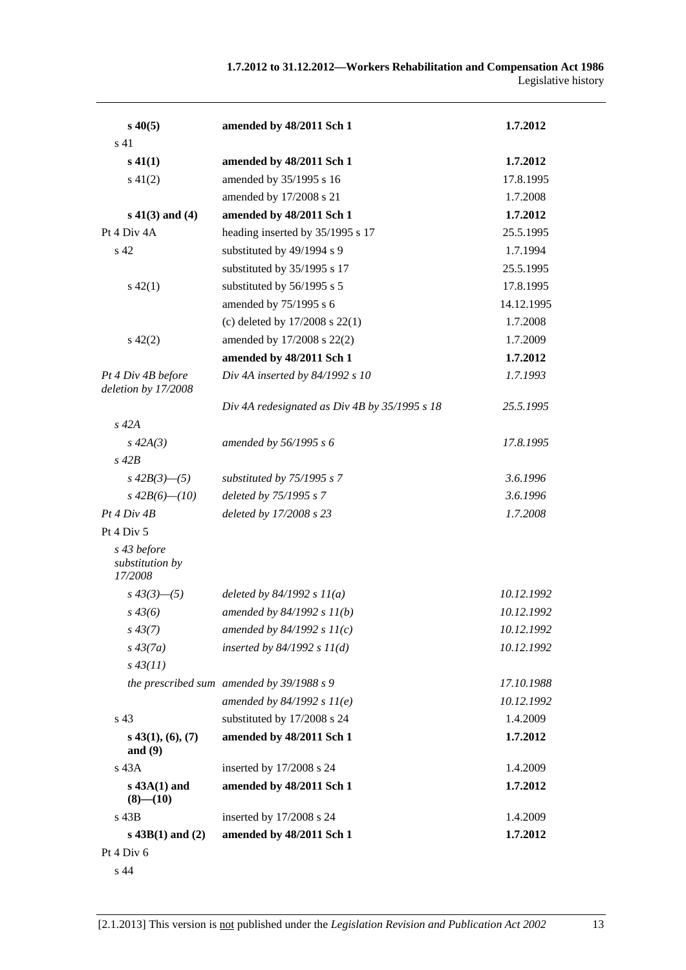| $s\,40(5)$                                | amended by 48/2011 Sch 1                      | 1.7.2012   |
|-------------------------------------------|-----------------------------------------------|------------|
| s <sub>41</sub>                           |                                               |            |
| $s\,41(1)$                                | amended by 48/2011 Sch 1                      | 1.7.2012   |
| $s\ 41(2)$                                | amended by 35/1995 s 16                       | 17.8.1995  |
|                                           | amended by 17/2008 s 21                       | 1.7.2008   |
| $s\ 41(3)$ and (4)                        | amended by 48/2011 Sch 1                      | 1.7.2012   |
| Pt 4 Div 4A                               | heading inserted by 35/1995 s 17              | 25.5.1995  |
| s <sub>42</sub>                           | substituted by 49/1994 s 9                    | 1.7.1994   |
|                                           | substituted by 35/1995 s 17                   | 25.5.1995  |
| $s\ 42(1)$                                | substituted by 56/1995 s 5                    | 17.8.1995  |
|                                           | amended by 75/1995 s 6                        | 14.12.1995 |
|                                           | (c) deleted by $17/2008$ s $22(1)$            | 1.7.2008   |
| $s\ 42(2)$                                | amended by 17/2008 s 22(2)                    | 1.7.2009   |
|                                           | amended by 48/2011 Sch 1                      | 1.7.2012   |
| Pt 4 Div 4B before<br>deletion by 17/2008 | Div 4A inserted by 84/1992 s 10               | 1.7.1993   |
|                                           | Div 4A redesignated as Div 4B by 35/1995 s 18 | 25.5.1995  |
| $s$ 42 $A$                                |                                               |            |
| $s\,42A(3)$                               | amended by 56/1995 s 6                        | 17.8.1995  |
| $s\ 42B$                                  |                                               |            |
| $s\,42B(3)$ - (5)                         | substituted by 75/1995 s 7                    | 3.6.1996   |
| $s\,42B(6)$ — $(10)$                      | deleted by 75/1995 s 7                        | 3.6.1996   |
| Pt 4 Div 4B                               | deleted by 17/2008 s 23                       | 1.7.2008   |
| Pt 4 Div 5                                |                                               |            |
| s 43 before<br>substitution by<br>17/2008 |                                               |            |
| $s\,43(3)$ - (5)                          | deleted by $84/1992 s 11(a)$                  | 10.12.1992 |
| $s\,43(6)$                                | amended by $84/1992 s 11(b)$                  | 10.12.1992 |
| $s\,43(7)$                                | amended by $84/1992 s 11(c)$                  | 10.12.1992 |
| $s\,43(7a)$                               | inserted by $84/1992 s 11(d)$                 | 10.12.1992 |
| $s\,43(11)$                               |                                               |            |
|                                           | the prescribed sum amended by 39/1988 s 9     | 17.10.1988 |
|                                           | amended by $84/1992 s 11(e)$                  | 10.12.1992 |
| s 43                                      | substituted by 17/2008 s 24                   | 1.4.2009   |
| $s$ 43(1), (6), (7)<br>and $(9)$          | amended by 48/2011 Sch 1                      | 1.7.2012   |
| $s$ 43 $A$                                | inserted by 17/2008 s 24                      | 1.4.2009   |
| $s$ 43A $(1)$ and<br>$(8)$ — $(10)$       | amended by 48/2011 Sch 1                      | 1.7.2012   |
| s 43B                                     | inserted by 17/2008 s 24                      | 1.4.2009   |
| $s$ 43B(1) and (2)                        | amended by 48/2011 Sch 1                      | 1.7.2012   |
| Pt 4 Div 6                                |                                               |            |
|                                           |                                               |            |

s 44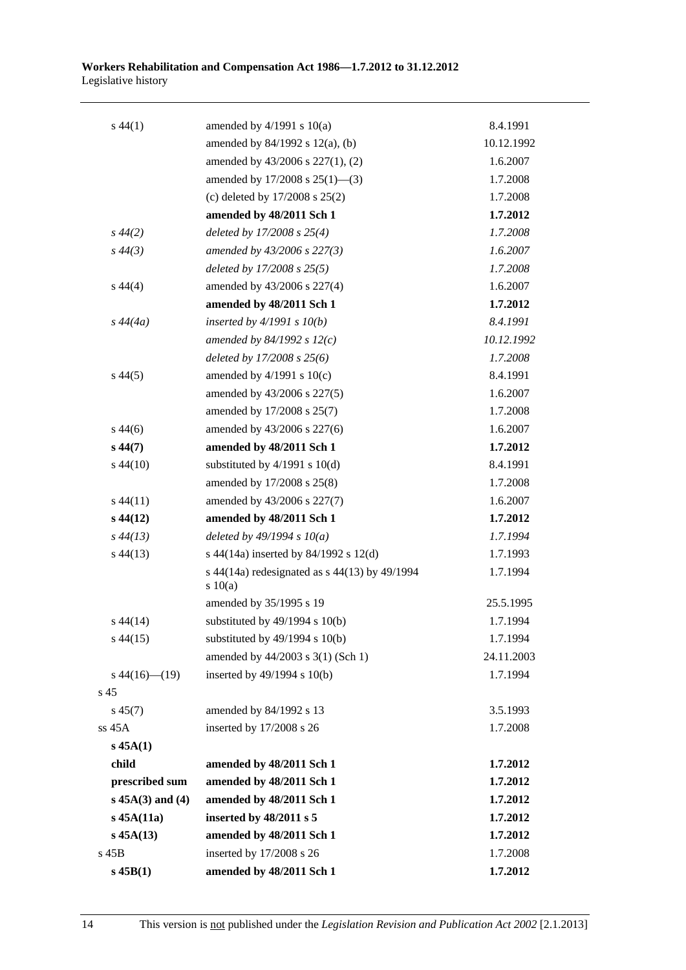| $s\,44(1)$         | amended by $4/1991$ s $10(a)$                            | 8.4.1991   |
|--------------------|----------------------------------------------------------|------------|
|                    | amended by 84/1992 s 12(a), (b)                          | 10.12.1992 |
|                    | amended by 43/2006 s 227(1), (2)                         | 1.6.2007   |
|                    | amended by $17/2008$ s $25(1)$ —(3)                      | 1.7.2008   |
|                    | (c) deleted by 17/2008 s 25(2)                           | 1.7.2008   |
|                    | amended by 48/2011 Sch 1                                 | 1.7.2012   |
| $s\,44(2)$         | deleted by 17/2008 s 25(4)                               | 1.7.2008   |
| $s\,44(3)$         | amended by 43/2006 s 227(3)                              | 1.6.2007   |
|                    | deleted by 17/2008 s 25(5)                               | 1.7.2008   |
| $s\,44(4)$         | amended by 43/2006 s 227(4)                              | 1.6.2007   |
|                    | amended by 48/2011 Sch 1                                 | 1.7.2012   |
| $s\,44(4a)$        | inserted by $4/1991 s 10(b)$                             | 8.4.1991   |
|                    | amended by 84/1992 s $12(c)$                             | 10.12.1992 |
|                    | deleted by $17/2008$ s $25(6)$                           | 1.7.2008   |
| $s\,44(5)$         | amended by $4/1991$ s $10(c)$                            | 8.4.1991   |
|                    | amended by 43/2006 s 227(5)                              | 1.6.2007   |
|                    | amended by 17/2008 s 25(7)                               | 1.7.2008   |
| $s\,44(6)$         | amended by 43/2006 s 227(6)                              | 1.6.2007   |
| $s\,44(7)$         | amended by 48/2011 Sch 1                                 | 1.7.2012   |
| $s\,44(10)$        | substituted by $4/1991$ s $10(d)$                        | 8.4.1991   |
|                    | amended by 17/2008 s 25(8)                               | 1.7.2008   |
| $s\,44(11)$        | amended by 43/2006 s 227(7)                              | 1.6.2007   |
| $s\,44(12)$        | amended by 48/2011 Sch 1                                 | 1.7.2012   |
| $s\,44(13)$        | deleted by $49/1994 s 10(a)$                             | 1.7.1994   |
| $s\,44(13)$        | s 44(14a) inserted by 84/1992 s 12(d)                    | 1.7.1993   |
|                    | s 44(14a) redesignated as $s$ 44(13) by 49/1994<br>10(a) | 1.7.1994   |
|                    | amended by 35/1995 s 19                                  | 25.5.1995  |
| $s\,44(14)$        | substituted by $49/1994$ s $10(b)$                       | 1.7.1994   |
| $s\,44(15)$        | substituted by $49/1994$ s $10(b)$                       | 1.7.1994   |
|                    | amended by 44/2003 s 3(1) (Sch 1)                        | 24.11.2003 |
| $s\,44(16)$ (19)   | inserted by 49/1994 s 10(b)                              | 1.7.1994   |
| s 45               |                                                          |            |
| $s\,45(7)$         | amended by 84/1992 s 13                                  | 3.5.1993   |
| ss 45A             | inserted by 17/2008 s 26                                 | 1.7.2008   |
| $s$ 45A $(1)$      |                                                          |            |
| child              | amended by 48/2011 Sch 1                                 | 1.7.2012   |
| prescribed sum     | amended by 48/2011 Sch 1                                 | 1.7.2012   |
| $s$ 45A(3) and (4) | amended by 48/2011 Sch 1                                 | 1.7.2012   |
| $s$ 45A $(11a)$    | inserted by 48/2011 s 5                                  | 1.7.2012   |
| $s\,45A(13)$       | amended by 48/2011 Sch 1                                 | 1.7.2012   |
| $s$ 45 $B$         | inserted by 17/2008 s 26                                 | 1.7.2008   |
| $s$ 45 $B(1)$      | amended by 48/2011 Sch 1                                 | 1.7.2012   |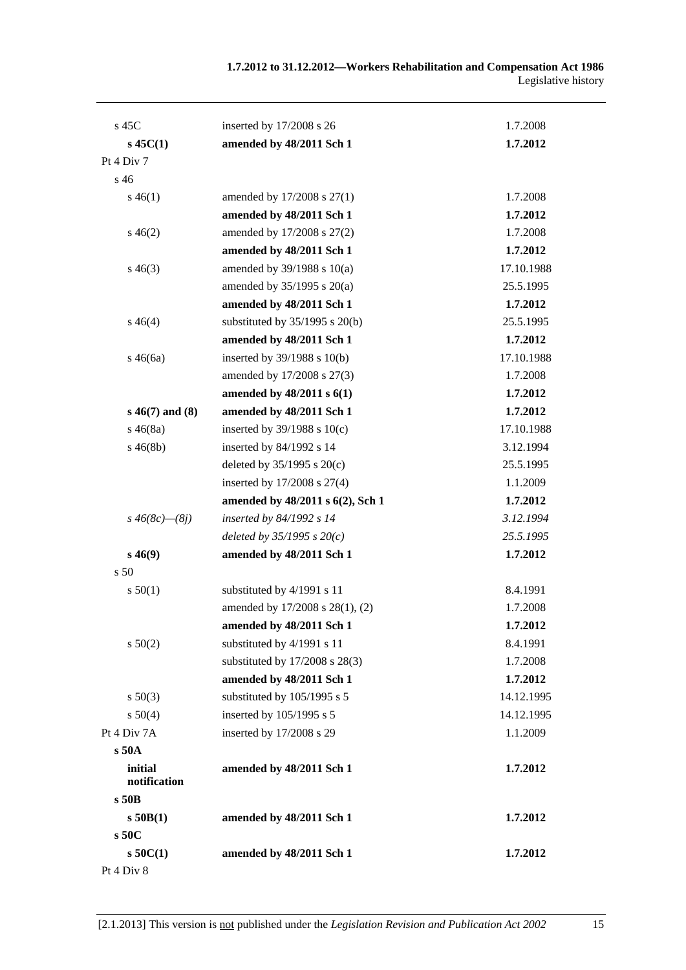| $s$ 45C                 | inserted by 17/2008 s 26           | 1.7.2008   |
|-------------------------|------------------------------------|------------|
| $s\,45C(1)$             | amended by 48/2011 Sch 1           | 1.7.2012   |
| Pt 4 Div 7              |                                    |            |
| s 46                    |                                    |            |
| $s\,46(1)$              | amended by 17/2008 s 27(1)         | 1.7.2008   |
|                         | amended by 48/2011 Sch 1           | 1.7.2012   |
| $s\,46(2)$              | amended by 17/2008 s 27(2)         | 1.7.2008   |
|                         | amended by 48/2011 Sch 1           | 1.7.2012   |
| $s\,46(3)$              | amended by 39/1988 s 10(a)         | 17.10.1988 |
|                         | amended by 35/1995 s 20(a)         | 25.5.1995  |
|                         | amended by 48/2011 Sch 1           | 1.7.2012   |
| $s\,46(4)$              | substituted by $35/1995$ s $20(b)$ | 25.5.1995  |
|                         | amended by 48/2011 Sch 1           | 1.7.2012   |
| $s\,46(6a)$             | inserted by $39/1988$ s $10(b)$    | 17.10.1988 |
|                         | amended by 17/2008 s 27(3)         | 1.7.2008   |
|                         | amended by 48/2011 s 6(1)          | 1.7.2012   |
| $s\,46(7)$ and $(8)$    | amended by 48/2011 Sch 1           | 1.7.2012   |
| $s\,46(8a)$             | inserted by $39/1988$ s $10(c)$    | 17.10.1988 |
| $s\,46(8b)$             | inserted by 84/1992 s 14           | 3.12.1994  |
|                         | deleted by $35/1995$ s $20(c)$     | 25.5.1995  |
|                         | inserted by 17/2008 s 27(4)        | 1.1.2009   |
|                         | amended by 48/2011 s 6(2), Sch 1   | 1.7.2012   |
| $s\,46(8c)$ — $(8j)$    | inserted by 84/1992 s 14           | 3.12.1994  |
|                         | deleted by $35/1995 s 20(c)$       | 25.5.1995  |
| $s\,46(9)$              | amended by 48/2011 Sch 1           | 1.7.2012   |
| s 50                    |                                    |            |
| s 50(1)                 | substituted by 4/1991 s 11         | 8.4.1991   |
|                         | amended by 17/2008 s 28(1), (2)    | 1.7.2008   |
|                         | amended by 48/2011 Sch 1           | 1.7.2012   |
| s 50(2)                 | substituted by 4/1991 s 11         | 8.4.1991   |
|                         | substituted by 17/2008 s 28(3)     | 1.7.2008   |
|                         | amended by 48/2011 Sch 1           | 1.7.2012   |
| $s\ 50(3)$              | substituted by 105/1995 s 5        | 14.12.1995 |
| s 50(4)                 | inserted by 105/1995 s 5           | 14.12.1995 |
| Pt 4 Div 7A             | inserted by 17/2008 s 29           | 1.1.2009   |
| s50A                    |                                    |            |
| initial<br>notification | amended by 48/2011 Sch 1           | 1.7.2012   |
| $s$ 50 $B$              |                                    |            |
| $s$ 50 $B(1)$           | amended by 48/2011 Sch 1           | 1.7.2012   |
| s 50C                   |                                    |            |
| $s$ 50 $C(1)$           | amended by 48/2011 Sch 1           | 1.7.2012   |
| Pt 4 Div 8              |                                    |            |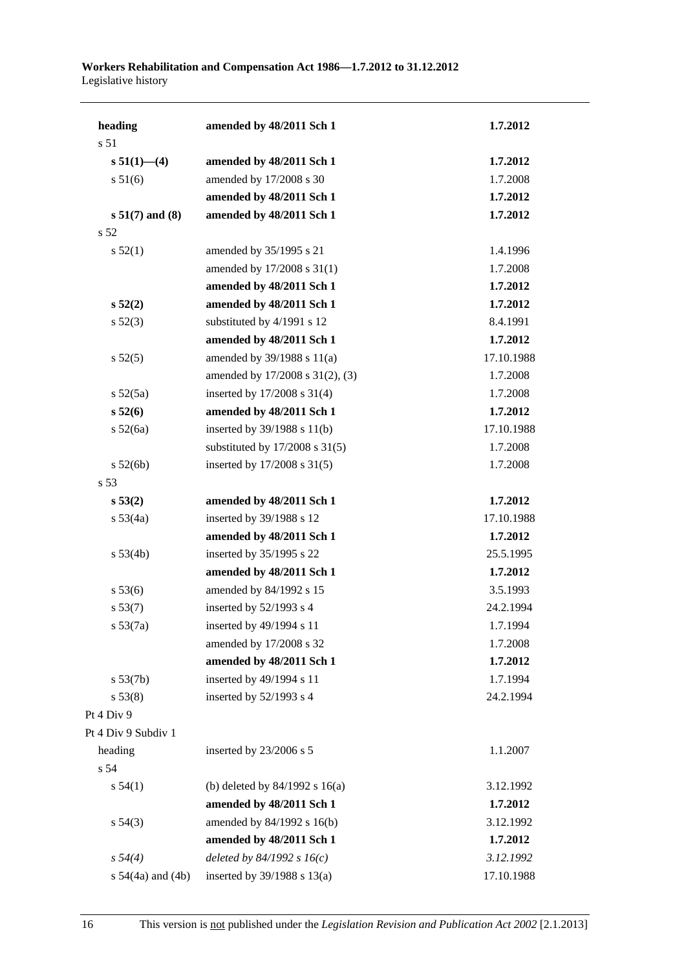| heading               | amended by 48/2011 Sch 1           | 1.7.2012   |
|-----------------------|------------------------------------|------------|
| s 51                  |                                    |            |
| $s 51(1)$ - (4)       | amended by 48/2011 Sch 1           | 1.7.2012   |
| s 51(6)               | amended by 17/2008 s 30            | 1.7.2008   |
|                       | amended by 48/2011 Sch 1           | 1.7.2012   |
| $s 51(7)$ and $(8)$   | amended by 48/2011 Sch 1           | 1.7.2012   |
| s 52                  |                                    |            |
| s 52(1)               | amended by 35/1995 s 21            | 1.4.1996   |
|                       | amended by 17/2008 s 31(1)         | 1.7.2008   |
|                       | amended by 48/2011 Sch 1           | 1.7.2012   |
| s 52(2)               | amended by 48/2011 Sch 1           | 1.7.2012   |
| $s\,52(3)$            | substituted by 4/1991 s 12         | 8.4.1991   |
|                       | amended by 48/2011 Sch 1           | 1.7.2012   |
| s 52(5)               | amended by $39/1988$ s $11(a)$     | 17.10.1988 |
|                       | amended by 17/2008 s 31(2), (3)    | 1.7.2008   |
| $s\,52(5a)$           | inserted by 17/2008 s 31(4)        | 1.7.2008   |
| s 52(6)               | amended by 48/2011 Sch 1           | 1.7.2012   |
| $s\ 52(6a)$           | inserted by 39/1988 s 11(b)        | 17.10.1988 |
|                       | substituted by $17/2008$ s $31(5)$ | 1.7.2008   |
| s 52(6b)              | inserted by 17/2008 s 31(5)        | 1.7.2008   |
| s 53                  |                                    |            |
| s 53(2)               | amended by 48/2011 Sch 1           | 1.7.2012   |
| $s\,53(4a)$           | inserted by 39/1988 s 12           | 17.10.1988 |
|                       | amended by 48/2011 Sch 1           | 1.7.2012   |
| s 53(4b)              | inserted by 35/1995 s 22           | 25.5.1995  |
|                       | amended by 48/2011 Sch 1           | 1.7.2012   |
| s 53(6)               | amended by 84/1992 s 15            | 3.5.1993   |
| s 53(7)               | inserted by 52/1993 s 4            | 24.2.1994  |
| s 53(7a)              | inserted by 49/1994 s 11           | 1.7.1994   |
|                       | amended by 17/2008 s 32            | 1.7.2008   |
|                       | amended by 48/2011 Sch 1           | 1.7.2012   |
| s 53(7b)              | inserted by 49/1994 s 11           | 1.7.1994   |
| s 53(8)               | inserted by 52/1993 s 4            | 24.2.1994  |
| Pt 4 Div 9            |                                    |            |
| Pt 4 Div 9 Subdiv 1   |                                    |            |
| heading               | inserted by 23/2006 s 5            | 1.1.2007   |
| s 54                  |                                    |            |
| s 54(1)               | (b) deleted by $84/1992$ s $16(a)$ | 3.12.1992  |
|                       | amended by 48/2011 Sch 1           | 1.7.2012   |
| $s\,54(3)$            | amended by 84/1992 s 16(b)         | 3.12.1992  |
|                       | amended by 48/2011 Sch 1           | 1.7.2012   |
| $s\,54(4)$            | deleted by $84/1992 s 16(c)$       | 3.12.1992  |
| s $54(4a)$ and $(4b)$ | inserted by $39/1988$ s $13(a)$    | 17.10.1988 |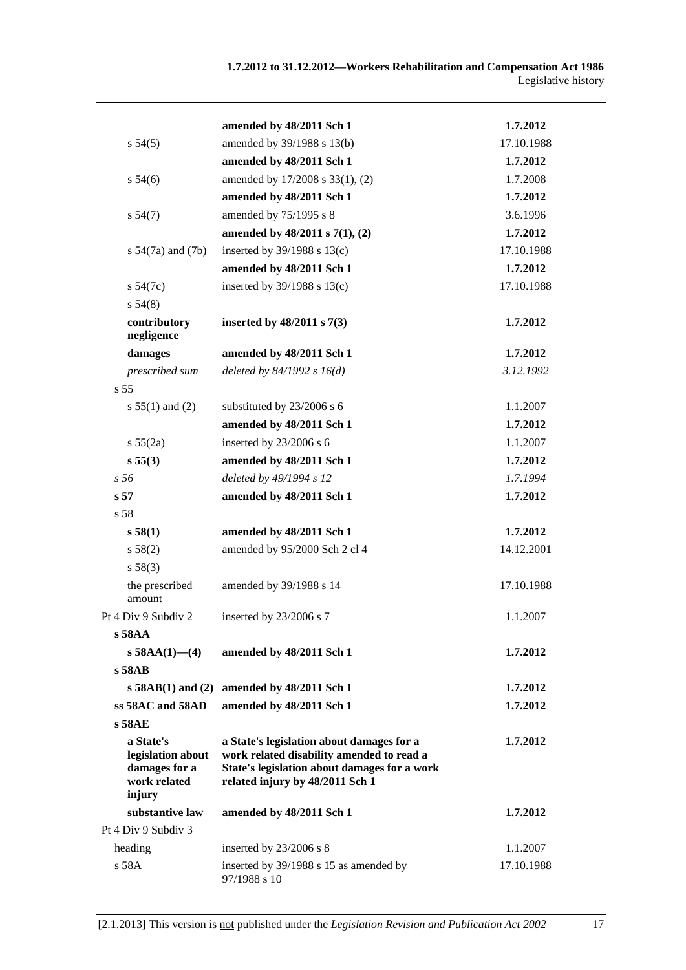|                                                                           | amended by 48/2011 Sch 1                                                                                                                                                  | 1.7.2012   |
|---------------------------------------------------------------------------|---------------------------------------------------------------------------------------------------------------------------------------------------------------------------|------------|
| $s\,54(5)$                                                                | amended by 39/1988 s 13(b)                                                                                                                                                | 17.10.1988 |
|                                                                           | amended by 48/2011 Sch 1                                                                                                                                                  | 1.7.2012   |
| $s\,54(6)$                                                                | amended by 17/2008 s 33(1), (2)                                                                                                                                           | 1.7.2008   |
|                                                                           | amended by 48/2011 Sch 1                                                                                                                                                  | 1.7.2012   |
| s 54(7)                                                                   | amended by 75/1995 s 8                                                                                                                                                    | 3.6.1996   |
|                                                                           | amended by 48/2011 s 7(1), (2)                                                                                                                                            | 1.7.2012   |
| s $54(7a)$ and $(7b)$                                                     | inserted by $39/1988$ s $13(c)$                                                                                                                                           | 17.10.1988 |
|                                                                           | amended by 48/2011 Sch 1                                                                                                                                                  | 1.7.2012   |
| $s\,54(7c)$                                                               | inserted by 39/1988 s 13(c)                                                                                                                                               | 17.10.1988 |
| s 54(8)                                                                   |                                                                                                                                                                           |            |
| contributory<br>negligence                                                | inserted by $48/2011$ s $7(3)$                                                                                                                                            | 1.7.2012   |
| damages                                                                   | amended by 48/2011 Sch 1                                                                                                                                                  | 1.7.2012   |
| prescribed sum                                                            | deleted by $84/1992 s 16(d)$                                                                                                                                              | 3.12.1992  |
| s, 55                                                                     |                                                                                                                                                                           |            |
| s $55(1)$ and (2)                                                         | substituted by 23/2006 s 6                                                                                                                                                | 1.1.2007   |
|                                                                           | amended by 48/2011 Sch 1                                                                                                                                                  | 1.7.2012   |
| s 55(2a)                                                                  | inserted by 23/2006 s 6                                                                                                                                                   | 1.1.2007   |
| s 55(3)                                                                   | amended by 48/2011 Sch 1                                                                                                                                                  | 1.7.2012   |
| s <sub>56</sub>                                                           | deleted by 49/1994 s 12                                                                                                                                                   | 1.7.1994   |
| s <sub>57</sub>                                                           | amended by 48/2011 Sch 1                                                                                                                                                  | 1.7.2012   |
| s 58                                                                      |                                                                                                                                                                           |            |
| s 58(1)                                                                   | amended by 48/2011 Sch 1                                                                                                                                                  | 1.7.2012   |
| s 58(2)                                                                   | amended by 95/2000 Sch 2 cl 4                                                                                                                                             | 14.12.2001 |
| s 58(3)                                                                   |                                                                                                                                                                           |            |
| the prescribed<br>amount                                                  | amended by 39/1988 s 14                                                                                                                                                   | 17.10.1988 |
| Pt 4 Div 9 Subdiv 2                                                       | inserted by 23/2006 s 7                                                                                                                                                   | 1.1.2007   |
| s 58AA                                                                    |                                                                                                                                                                           |            |
| s $58AA(1)$ - (4)                                                         | amended by 48/2011 Sch 1                                                                                                                                                  | 1.7.2012   |
| s 58AB                                                                    |                                                                                                                                                                           |            |
| $s$ 58AB(1) and (2)                                                       | amended by 48/2011 Sch 1                                                                                                                                                  | 1.7.2012   |
| ss 58AC and 58AD                                                          | amended by 48/2011 Sch 1                                                                                                                                                  | 1.7.2012   |
| s 58AE                                                                    |                                                                                                                                                                           |            |
| a State's<br>legislation about<br>damages for a<br>work related<br>injury | a State's legislation about damages for a<br>work related disability amended to read a<br>State's legislation about damages for a work<br>related injury by 48/2011 Sch 1 | 1.7.2012   |
| substantive law                                                           | amended by 48/2011 Sch 1                                                                                                                                                  | 1.7.2012   |
| Pt 4 Div 9 Subdiv 3                                                       |                                                                                                                                                                           |            |
| heading                                                                   | inserted by $23/2006$ s 8                                                                                                                                                 | 1.1.2007   |
| s 58A                                                                     | inserted by 39/1988 s 15 as amended by<br>97/1988 s 10                                                                                                                    | 17.10.1988 |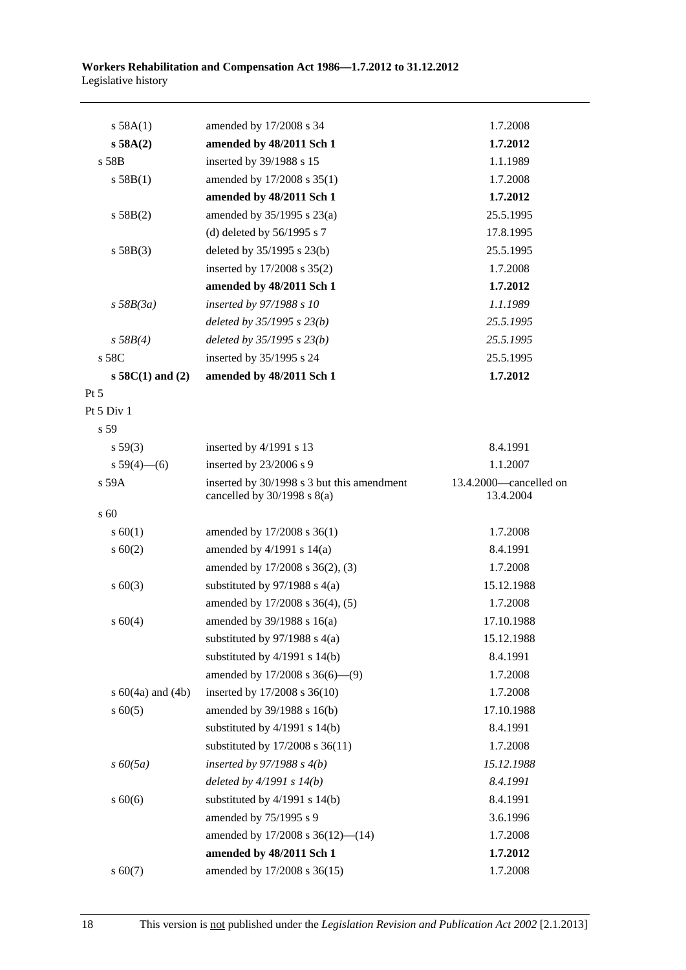| s 58A(1)              | amended by 17/2008 s 34                                                       | 1.7.2008                            |
|-----------------------|-------------------------------------------------------------------------------|-------------------------------------|
| s 58A(2)              | amended by 48/2011 Sch 1                                                      | 1.7.2012                            |
| s 58B                 | inserted by 39/1988 s 15                                                      | 1.1.1989                            |
| s 58B(1)              | amended by 17/2008 s 35(1)                                                    | 1.7.2008                            |
|                       | amended by 48/2011 Sch 1                                                      | 1.7.2012                            |
| s 58B(2)              | amended by 35/1995 s 23(a)                                                    | 25.5.1995                           |
|                       | (d) deleted by $56/1995$ s 7                                                  | 17.8.1995                           |
| s 58B(3)              | deleted by 35/1995 s 23(b)                                                    | 25.5.1995                           |
|                       | inserted by 17/2008 s 35(2)                                                   | 1.7.2008                            |
|                       | amended by 48/2011 Sch 1                                                      | 1.7.2012                            |
| $s$ 58B(3a)           | inserted by 97/1988 s 10                                                      | 1.1.1989                            |
|                       | deleted by $35/1995$ s $23(b)$                                                | 25.5.1995                           |
| s 58B(4)              | deleted by $35/1995$ s $23(b)$                                                | 25.5.1995                           |
| s 58C                 | inserted by 35/1995 s 24                                                      | 25.5.1995                           |
| $s\,58C(1)$ and (2)   | amended by 48/2011 Sch 1                                                      | 1.7.2012                            |
| $Pt\,5$               |                                                                               |                                     |
| Pt 5 Div 1            |                                                                               |                                     |
| s 59                  |                                                                               |                                     |
| $s\,59(3)$            | inserted by 4/1991 s 13                                                       | 8.4.1991                            |
| $s 59(4)$ (6)         | inserted by 23/2006 s 9                                                       | 1.1.2007                            |
| s 59A                 | inserted by 30/1998 s 3 but this amendment<br>cancelled by $30/1998$ s $8(a)$ | 13.4.2000-cancelled on<br>13.4.2004 |
| $\mathrm{s}$ 60       |                                                                               |                                     |
| $s \ 60(1)$           | amended by 17/2008 s 36(1)                                                    | 1.7.2008                            |
| $s \ 60(2)$           | amended by $4/1991$ s $14(a)$                                                 | 8.4.1991                            |
|                       | amended by 17/2008 s 36(2), (3)                                               | 1.7.2008                            |
| $s \ 60(3)$           | substituted by $97/1988$ s 4(a)                                               | 15.12.1988                          |
|                       | amended by 17/2008 s 36(4), (5)                                               | 1.7.2008                            |
| s 60(4)               | amended by 39/1988 s 16(a)                                                    | 17.10.1988                          |
|                       | substituted by $97/1988$ s $4(a)$                                             | 15.12.1988                          |
|                       | substituted by $4/1991$ s $14(b)$                                             | 8.4.1991                            |
|                       | amended by 17/2008 s 36(6)-(9)                                                | 1.7.2008                            |
| s $60(4a)$ and $(4b)$ | inserted by 17/2008 s 36(10)                                                  | 1.7.2008                            |
| $s \ 60(5)$           | amended by 39/1988 s 16(b)                                                    | 17.10.1988                          |
|                       | substituted by $4/1991$ s $14(b)$                                             | 8.4.1991                            |
|                       | substituted by 17/2008 s 36(11)                                               | 1.7.2008                            |
| $s\,60(5a)$           | inserted by $97/1988 s 4(b)$                                                  | 15.12.1988                          |
|                       | deleted by $4/1991 s 14(b)$                                                   | 8.4.1991                            |
| $s\ 60(6)$            | substituted by $4/1991$ s $14(b)$                                             | 8.4.1991                            |
|                       | amended by 75/1995 s 9                                                        | 3.6.1996                            |
|                       | amended by $17/2008$ s $36(12)$ — $(14)$                                      | 1.7.2008                            |
|                       | amended by 48/2011 Sch 1                                                      | 1.7.2012                            |
| $s\ 60(7)$            | amended by 17/2008 s 36(15)                                                   | 1.7.2008                            |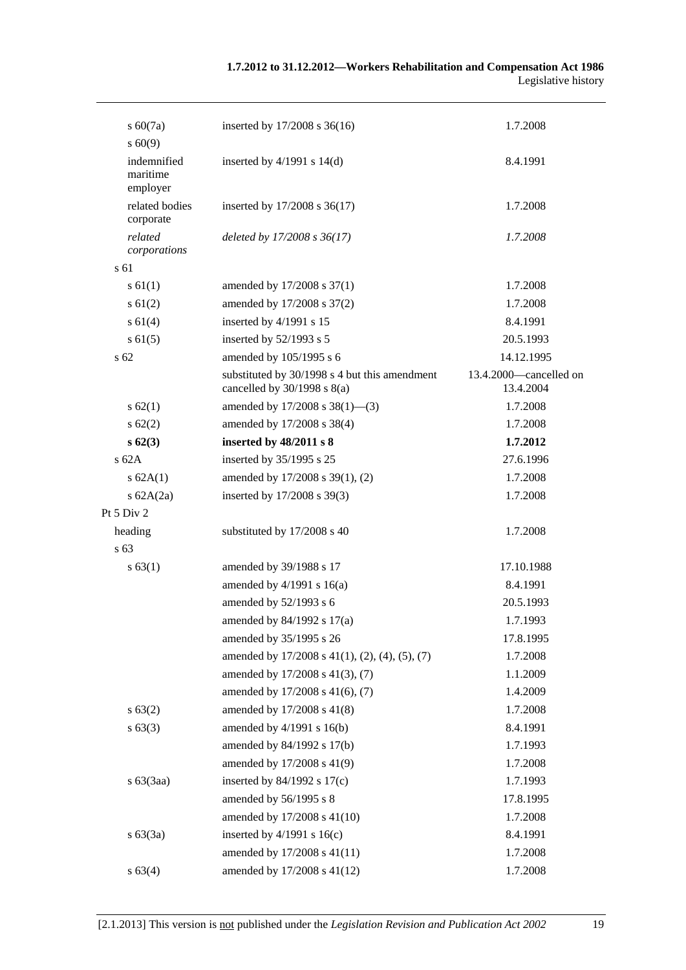| $s\ 60(7a)$                         | inserted by 17/2008 s 36(16)                                                     | 1.7.2008                            |
|-------------------------------------|----------------------------------------------------------------------------------|-------------------------------------|
| s 60(9)                             |                                                                                  |                                     |
| indemnified<br>maritime<br>employer | inserted by $4/1991$ s $14(d)$                                                   | 8.4.1991                            |
| related bodies<br>corporate         | inserted by 17/2008 s 36(17)                                                     | 1.7.2008                            |
| related<br>corporations             | deleted by 17/2008 s 36(17)                                                      | 1.7.2008                            |
| s 61                                |                                                                                  |                                     |
| $s \, 61(1)$                        | amended by 17/2008 s 37(1)                                                       | 1.7.2008                            |
| $s \ 61(2)$                         | amended by 17/2008 s 37(2)                                                       | 1.7.2008                            |
| s 61(4)                             | inserted by 4/1991 s 15                                                          | 8.4.1991                            |
| $s \, 61(5)$                        | inserted by 52/1993 s 5                                                          | 20.5.1993                           |
| s <sub>62</sub>                     | amended by 105/1995 s 6                                                          | 14.12.1995                          |
|                                     | substituted by 30/1998 s 4 but this amendment<br>cancelled by $30/1998$ s $8(a)$ | 13.4.2000—cancelled on<br>13.4.2004 |
| $s \, 62(1)$                        | amended by 17/2008 s 38(1)–(3)                                                   | 1.7.2008                            |
| $s \, 62(2)$                        | amended by 17/2008 s 38(4)                                                       | 1.7.2008                            |
| s62(3)                              | inserted by 48/2011 s 8                                                          | 1.7.2012                            |
| s62A                                | inserted by 35/1995 s 25                                                         | 27.6.1996                           |
| s 62A(1)                            | amended by 17/2008 s 39(1), (2)                                                  | 1.7.2008                            |
| s $62A(2a)$                         | inserted by 17/2008 s 39(3)                                                      | 1.7.2008                            |
| Pt 5 Div 2                          |                                                                                  |                                     |
| heading                             | substituted by 17/2008 s 40                                                      | 1.7.2008                            |
| s <sub>63</sub>                     |                                                                                  |                                     |
| s 63(1)                             | amended by 39/1988 s 17                                                          | 17.10.1988                          |
|                                     | amended by $4/1991$ s $16(a)$                                                    | 8.4.1991                            |
|                                     | amended by 52/1993 s 6                                                           | 20.5.1993                           |
|                                     | amended by $84/1992$ s $17(a)$                                                   | 1.7.1993                            |
|                                     | amended by 35/1995 s 26                                                          | 17.8.1995                           |
|                                     | amended by $17/2008$ s $41(1)$ , $(2)$ , $(4)$ , $(5)$ , $(7)$                   | 1.7.2008                            |
|                                     | amended by 17/2008 s 41(3), (7)                                                  | 1.1.2009                            |
|                                     | amended by 17/2008 s 41(6), (7)                                                  | 1.4.2009                            |
| s 63(2)                             | amended by 17/2008 s 41(8)                                                       | 1.7.2008                            |
| s 63(3)                             | amended by 4/1991 s 16(b)                                                        | 8.4.1991                            |
|                                     | amended by 84/1992 s 17(b)                                                       | 1.7.1993                            |
|                                     | amended by 17/2008 s 41(9)                                                       | 1.7.2008                            |
| $s\ 63(3aa)$                        | inserted by $84/1992$ s $17(c)$                                                  | 1.7.1993                            |
|                                     | amended by 56/1995 s 8                                                           | 17.8.1995                           |
|                                     | amended by 17/2008 s 41(10)                                                      | 1.7.2008                            |
| s 63(3a)                            | inserted by $4/1991$ s $16(c)$                                                   | 8.4.1991                            |
|                                     | amended by 17/2008 s 41(11)                                                      | 1.7.2008                            |
| s 63(4)                             | amended by 17/2008 s 41(12)                                                      | 1.7.2008                            |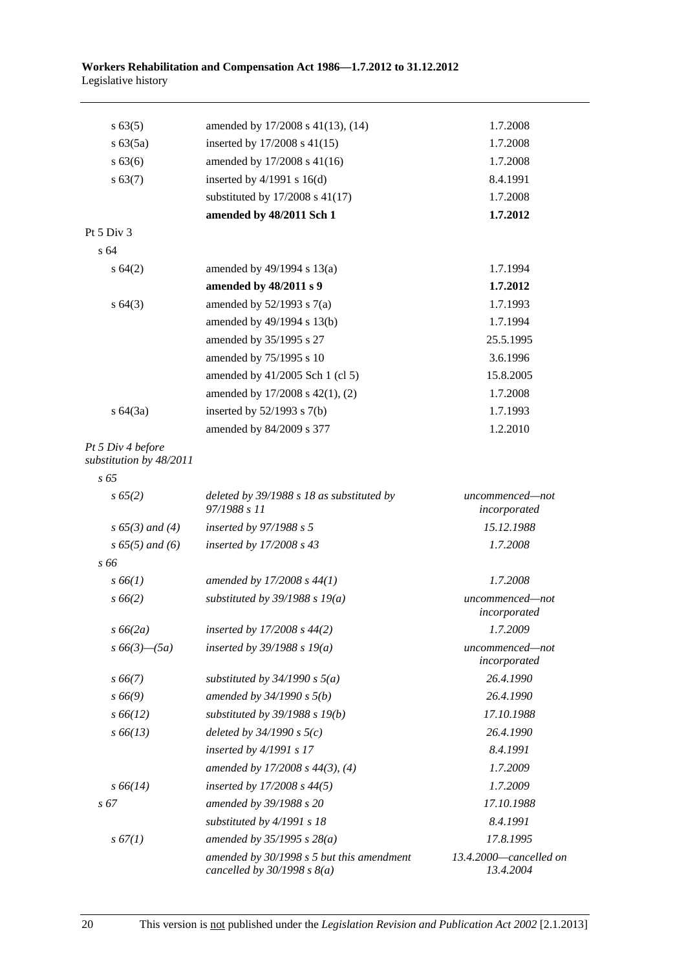| s 63(5)                                      | amended by 17/2008 s 41(13), (14)                                          | 1.7.2008                            |
|----------------------------------------------|----------------------------------------------------------------------------|-------------------------------------|
| s 63(5a)                                     | inserted by $17/2008$ s $41(15)$                                           | 1.7.2008                            |
| s 63(6)                                      | amended by 17/2008 s 41(16)                                                | 1.7.2008                            |
| s 63(7)                                      | inserted by $4/1991$ s $16(d)$                                             | 8.4.1991                            |
|                                              | substituted by 17/2008 s 41(17)                                            | 1.7.2008                            |
|                                              | amended by 48/2011 Sch 1                                                   | 1.7.2012                            |
| Pt 5 Div 3                                   |                                                                            |                                     |
| s 64                                         |                                                                            |                                     |
| $s \, 64(2)$                                 | amended by $49/1994$ s $13(a)$                                             | 1.7.1994                            |
|                                              | amended by 48/2011 s 9                                                     | 1.7.2012                            |
| $s \, 64(3)$                                 | amended by $52/1993$ s $7(a)$                                              | 1.7.1993                            |
|                                              | amended by 49/1994 s 13(b)                                                 | 1.7.1994                            |
|                                              | amended by 35/1995 s 27                                                    | 25.5.1995                           |
|                                              | amended by 75/1995 s 10                                                    | 3.6.1996                            |
|                                              | amended by 41/2005 Sch 1 (cl 5)                                            | 15.8.2005                           |
|                                              | amended by 17/2008 s 42(1), (2)                                            | 1.7.2008                            |
| s 64(3a)                                     | inserted by $52/1993$ s $7(b)$                                             | 1.7.1993                            |
|                                              | amended by 84/2009 s 377                                                   | 1.2.2010                            |
| Pt 5 Div 4 before<br>substitution by 48/2011 |                                                                            |                                     |
| $s\,65$                                      |                                                                            |                                     |
| $s\,65(2)$                                   | deleted by 39/1988 s 18 as substituted by<br>97/1988 s 11                  | uncommenced-not<br>incorporated     |
| $s\,65(3)$ and (4)                           | inserted by 97/1988 s 5                                                    | 15.12.1988                          |
| $s\,65(5)$ and (6)                           | inserted by 17/2008 s 43                                                   | 1.7.2008                            |
| s 66                                         |                                                                            |                                     |
| $s\,66(1)$                                   | amended by $17/2008 s 44(1)$                                               | 1.7.2008                            |
| $s\,66(2)$                                   | substituted by $39/1988$ s $19(a)$                                         | uncommenced-not<br>incorporated     |
| $s\,66(2a)$                                  | inserted by 17/2008 s 44(2)                                                | 1.7.2009                            |
| $s\,66(3)$ - $(5a)$                          | inserted by $39/1988$ s $19(a)$                                            | uncommenced—not<br>incorporated     |
| $s\,66(7)$                                   | substituted by $34/1990 s 5(a)$                                            | 26.4.1990                           |
| $s\,66(9)$                                   | amended by $34/1990 s 5(b)$                                                | 26.4.1990                           |
| $s\,66(12)$                                  | substituted by $39/1988$ s $19(b)$                                         | 17.10.1988                          |
| $s\,66(13)$                                  | deleted by $34/1990 s 5(c)$                                                | 26.4.1990                           |
|                                              | inserted by $4/1991 s 17$                                                  | 8.4.1991                            |
|                                              | amended by $17/2008$ s $44(3)$ , (4)                                       | 1.7.2009                            |
| $s\,66(14)$                                  | inserted by $17/2008 s 44(5)$                                              | 1.7.2009                            |
| $s\,67$                                      | amended by 39/1988 s 20                                                    | 17.10.1988                          |
|                                              | substituted by 4/1991 s 18                                                 | 8.4.1991                            |
| s 67(1)                                      | amended by $35/1995 s 28(a)$                                               | 17.8.1995                           |
|                                              | amended by 30/1998 s 5 but this amendment<br>cancelled by $30/1998 s 8(a)$ | 13.4.2000-cancelled on<br>13.4.2004 |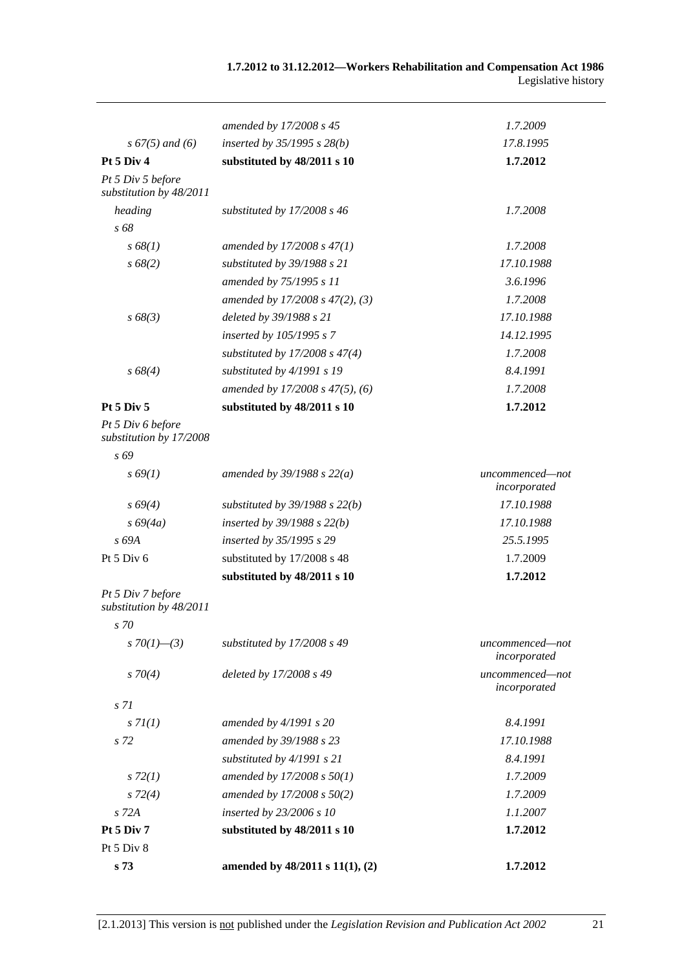|                                              | amended by 17/2008 s 45              | 1.7.2009                        |
|----------------------------------------------|--------------------------------------|---------------------------------|
| $s\,67(5)$ and (6)                           | inserted by $35/1995$ s $28(b)$      | 17.8.1995                       |
| Pt 5 Div 4                                   | substituted by 48/2011 s 10          | 1.7.2012                        |
| Pt 5 Div 5 before<br>substitution by 48/2011 |                                      |                                 |
| heading                                      | substituted by 17/2008 s 46          | 1.7.2008                        |
| s 68                                         |                                      |                                 |
| s 68(1)                                      | amended by 17/2008 s 47(1)           | 1.7.2008                        |
| $s\,68(2)$                                   | substituted by 39/1988 s 21          | 17.10.1988                      |
|                                              | amended by 75/1995 s 11              | 3.6.1996                        |
|                                              | amended by 17/2008 s 47(2), (3)      | 1.7.2008                        |
| $s\,68(3)$                                   | deleted by 39/1988 s 21              | 17.10.1988                      |
|                                              | inserted by 105/1995 s 7             | 14.12.1995                      |
|                                              | substituted by $17/2008$ s $47(4)$   | 1.7.2008                        |
| $s\,68(4)$                                   | substituted by 4/1991 s 19           | 8.4.1991                        |
|                                              | amended by 17/2008 s 47(5), (6)      | 1.7.2008                        |
| Pt 5 Div 5                                   | substituted by 48/2011 s 10          | 1.7.2012                        |
| Pt 5 Div 6 before<br>substitution by 17/2008 |                                      |                                 |
| s 69                                         |                                      |                                 |
| $s\,69(1)$                                   | amended by $39/1988 s 22(a)$         | uncommenced-not<br>incorporated |
| $s\,69(4)$                                   | substituted by $39/1988$ s $22(b)$   | 17.10.1988                      |
| $s\,69(4a)$                                  | inserted by $39/1988$ s $22(b)$      | 17.10.1988                      |
| s 69A                                        | inserted by 35/1995 s 29             | 25.5.1995                       |
| Pt 5 Div 6                                   | substituted by 17/2008 s 48          | 1.7.2009                        |
|                                              | substituted by 48/2011 s 10          | 1.7.2012                        |
| Pt 5 Div 7 before<br>substitution by 48/2011 |                                      |                                 |
| s 70                                         |                                      |                                 |
| s 70(1)–(3)                                  | substituted by 17/2008 s 49          | uncommenced-not<br>incorporated |
| $s \, 70(4)$                                 | deleted by 17/2008 s 49              | uncommenced-not<br>incorporated |
| s 71                                         |                                      |                                 |
| s 7I(1)                                      | amended by $4/1991 s 20$             | 8.4.1991                        |
| s 72                                         | amended by 39/1988 s 23              | 17.10.1988                      |
|                                              | substituted by 4/1991 s 21           | 8.4.1991                        |
| $s\,72(1)$                                   | amended by 17/2008 s 50(1)           | 1.7.2009                        |
| $s\,72(4)$                                   | amended by 17/2008 s 50(2)           | 1.7.2009                        |
| s 72A                                        | inserted by 23/2006 s 10             | 1.1.2007                        |
| Pt 5 Div 7                                   | substituted by 48/2011 s 10          | 1.7.2012                        |
| Pt 5 Div 8                                   |                                      |                                 |
| s 73                                         | amended by $48/2011$ s $11(1)$ , (2) | 1.7.2012                        |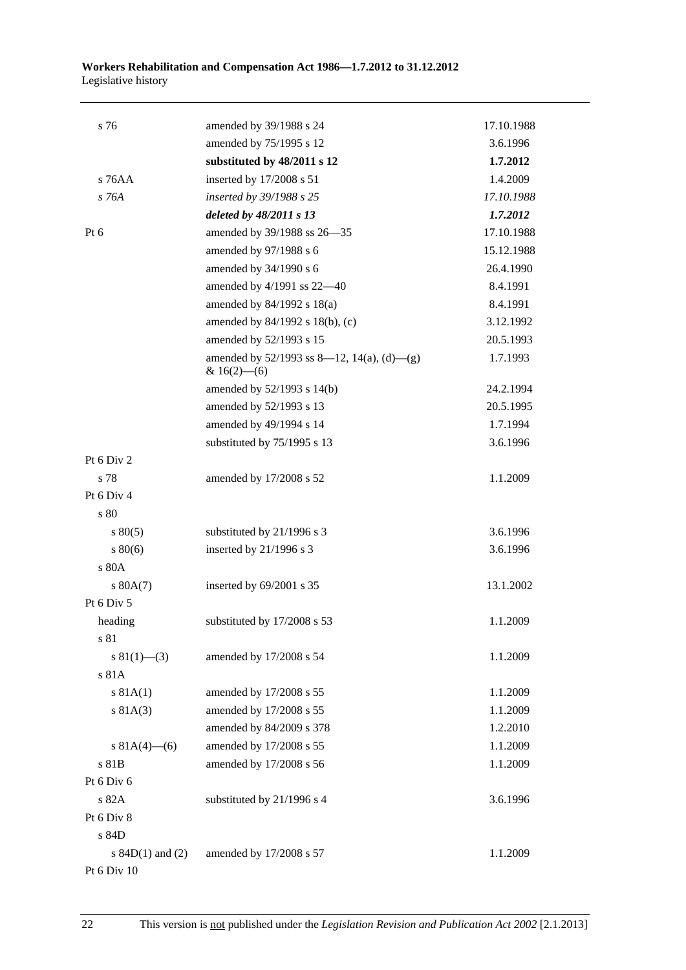| s 76                 | amended by 39/1988 s 24                                         | 17.10.1988 |
|----------------------|-----------------------------------------------------------------|------------|
|                      | amended by 75/1995 s 12                                         | 3.6.1996   |
|                      | substituted by 48/2011 s 12                                     | 1.7.2012   |
| $s$ 76AA             | inserted by 17/2008 s 51                                        | 1.4.2009   |
| $s$ 76A              | inserted by 39/1988 s 25                                        | 17.10.1988 |
|                      | deleted by 48/2011 s 13                                         | 1.7.2012   |
| $Pt\ 6$              | amended by 39/1988 ss 26-35                                     | 17.10.1988 |
|                      | amended by 97/1988 s 6                                          | 15.12.1988 |
|                      | amended by 34/1990 s 6                                          | 26.4.1990  |
|                      | amended by 4/1991 ss 22-40                                      | 8.4.1991   |
|                      | amended by 84/1992 s 18(a)                                      | 8.4.1991   |
|                      | amended by 84/1992 s 18(b), (c)                                 | 3.12.1992  |
|                      | amended by 52/1993 s 15                                         | 20.5.1993  |
|                      | amended by $52/1993$ ss 8—12, 14(a), (d)—(g)<br>& $16(2)$ - (6) | 1.7.1993   |
|                      | amended by 52/1993 s 14(b)                                      | 24.2.1994  |
|                      | amended by 52/1993 s 13                                         | 20.5.1995  |
|                      | amended by 49/1994 s 14                                         | 1.7.1994   |
|                      | substituted by 75/1995 s 13                                     | 3.6.1996   |
| Pt 6 Div 2           |                                                                 |            |
| s 78                 | amended by 17/2008 s 52                                         | 1.1.2009   |
| Pt 6 Div 4           |                                                                 |            |
| s 80                 |                                                                 |            |
| $s\,80(5)$           | substituted by 21/1996 s 3                                      | 3.6.1996   |
| $s\,80(6)$           | inserted by $21/1996$ s 3                                       | 3.6.1996   |
| s 80A                |                                                                 |            |
| s 80A(7)             | inserted by 69/2001 s 35                                        | 13.1.2002  |
| Pt 6 Div 5           |                                                                 |            |
| heading              | substituted by 17/2008 s 53                                     | 1.1.2009   |
| s 81                 |                                                                 |            |
| $s \ 81(1)$ (3)      | amended by 17/2008 s 54                                         | 1.1.2009   |
| s81A                 |                                                                 |            |
| s 81A(1)             | amended by 17/2008 s 55                                         | 1.1.2009   |
| s 81A(3)             | amended by 17/2008 s 55                                         | 1.1.2009   |
|                      | amended by 84/2009 s 378                                        | 1.2.2010   |
| s $81A(4)$ – (6)     | amended by 17/2008 s 55                                         | 1.1.2009   |
| s 81B                | amended by 17/2008 s 56                                         | 1.1.2009   |
| Pt 6 Div 6           |                                                                 |            |
| s 82A                | substituted by 21/1996 s 4                                      | 3.6.1996   |
| Pt 6 Div 8           |                                                                 |            |
| s 84D                |                                                                 |            |
| s $84D(1)$ and $(2)$ | amended by 17/2008 s 57                                         | 1.1.2009   |
| Pt 6 Div 10          |                                                                 |            |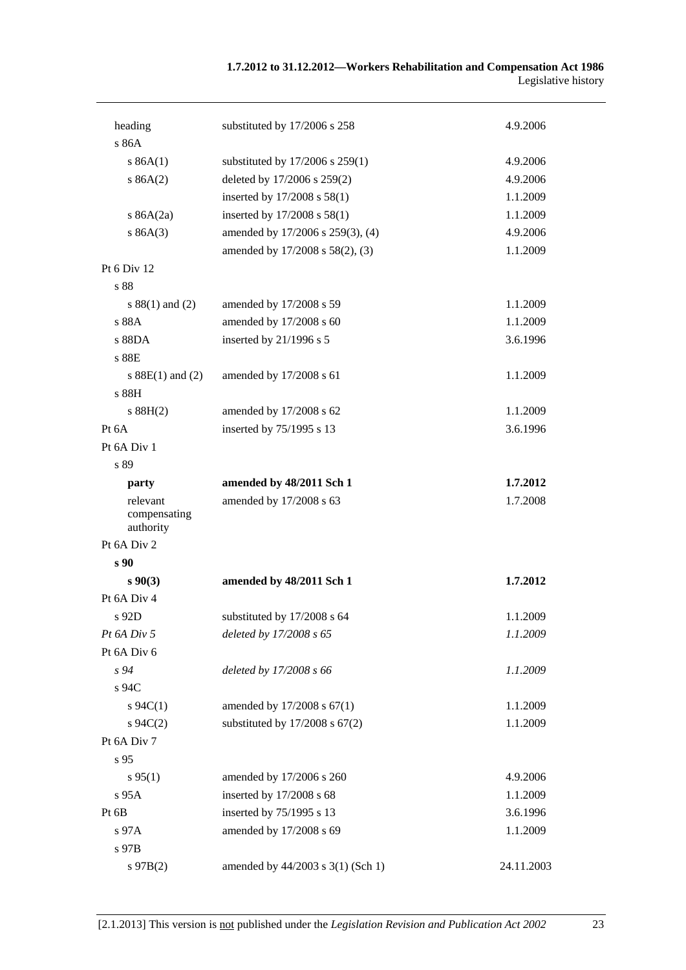| heading                   | substituted by 17/2006 s 258        | 4.9.2006   |
|---------------------------|-------------------------------------|------------|
| s 86A                     |                                     |            |
| s 86A(1)                  | substituted by $17/2006$ s $259(1)$ | 4.9.2006   |
| s 86A(2)                  | deleted by 17/2006 s 259(2)         | 4.9.2006   |
|                           | inserted by 17/2008 s 58(1)         | 1.1.2009   |
| s $86A(2a)$               | inserted by 17/2008 s 58(1)         | 1.1.2009   |
| s 86A(3)                  | amended by 17/2006 s 259(3), (4)    | 4.9.2006   |
|                           | amended by 17/2008 s 58(2), (3)     | 1.1.2009   |
| Pt 6 Div 12               |                                     |            |
| s 88                      |                                     |            |
| $s 88(1)$ and (2)         | amended by 17/2008 s 59             | 1.1.2009   |
| s 88A                     | amended by 17/2008 s 60             | 1.1.2009   |
| s 88DA                    | inserted by 21/1996 s 5             | 3.6.1996   |
| s 88E                     |                                     |            |
| s $88E(1)$ and $(2)$      | amended by 17/2008 s 61             | 1.1.2009   |
| s 88H                     |                                     |            |
| s 88H(2)                  | amended by 17/2008 s 62             | 1.1.2009   |
| Pt 6A                     | inserted by 75/1995 s 13            | 3.6.1996   |
| Pt 6A Div 1               |                                     |            |
| s 89                      |                                     |            |
| party                     | amended by 48/2011 Sch 1            | 1.7.2012   |
| relevant                  | amended by 17/2008 s 63             | 1.7.2008   |
| compensating<br>authority |                                     |            |
| Pt 6A Div 2               |                                     |            |
| s 90                      |                                     |            |
| $s\,90(3)$                | amended by 48/2011 Sch 1            | 1.7.2012   |
| Pt 6A Div 4               |                                     |            |
| s 92D                     | substituted by 17/2008 s 64         | 1.1.2009   |
| Pt 6A Div 5               | deleted by 17/2008 s 65             | 1.1.2009   |
| Pt 6A Div 6               |                                     |            |
| s 94                      | deleted by 17/2008 s 66             | 1.1.2009   |
| s 94C                     |                                     |            |
| $s \, 94C(1)$             | amended by 17/2008 s 67(1)          | 1.1.2009   |
| $s \, 94C(2)$             | substituted by $17/2008$ s $67(2)$  | 1.1.2009   |
| Pt 6A Div 7               |                                     |            |
| s 95                      |                                     |            |
| $s\,95(1)$                | amended by 17/2006 s 260            | 4.9.2006   |
| s 95A                     | inserted by 17/2008 s 68            | 1.1.2009   |
| Pt 6B                     | inserted by 75/1995 s 13            | 3.6.1996   |
| s 97A                     | amended by 17/2008 s 69             | 1.1.2009   |
| s 97B                     |                                     |            |
| $s\,97B(2)$               | amended by 44/2003 s 3(1) (Sch 1)   | 24.11.2003 |
|                           |                                     |            |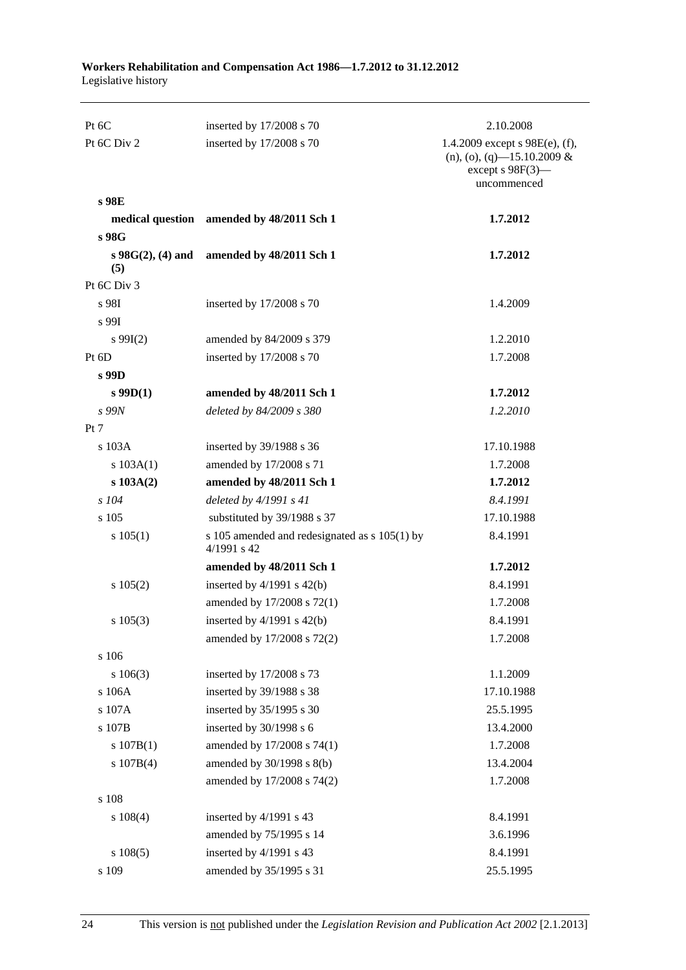| Pt 6C                       | inserted by 17/2008 s 70                                     | 2.10.2008                                                                                            |
|-----------------------------|--------------------------------------------------------------|------------------------------------------------------------------------------------------------------|
| Pt 6C Div 2                 | inserted by 17/2008 s 70                                     | 1.4.2009 except $s$ 98E(e), (f),<br>$(n), (o), (q)$ -15.10.2009 &<br>except s 98F(3)-<br>uncommenced |
| s 98E                       |                                                              |                                                                                                      |
|                             | medical question amended by 48/2011 Sch 1                    | 1.7.2012                                                                                             |
| s 98G                       |                                                              |                                                                                                      |
| $s\,98G(2), (4)$ and<br>(5) | amended by 48/2011 Sch 1                                     | 1.7.2012                                                                                             |
| Pt 6C Div 3                 |                                                              |                                                                                                      |
| s 98I                       | inserted by 17/2008 s 70                                     | 1.4.2009                                                                                             |
| s 99I                       |                                                              |                                                                                                      |
| $s\,99I(2)$                 | amended by 84/2009 s 379                                     | 1.2.2010                                                                                             |
| Pt 6D                       | inserted by 17/2008 s 70                                     | 1.7.2008                                                                                             |
| s 99D                       |                                                              |                                                                                                      |
| $s$ 99D(1)                  | amended by 48/2011 Sch 1                                     | 1.7.2012                                                                                             |
| s 99N                       | deleted by 84/2009 s 380                                     | 1.2.2010                                                                                             |
| Pt 7                        |                                                              |                                                                                                      |
| s 103A                      | inserted by 39/1988 s 36                                     | 17.10.1988                                                                                           |
| s 103A(1)                   | amended by 17/2008 s 71                                      | 1.7.2008                                                                                             |
| s 103A(2)                   | amended by 48/2011 Sch 1                                     | 1.7.2012                                                                                             |
| $s$ 104                     | deleted by $4/1991 s 41$                                     | 8.4.1991                                                                                             |
| s 105                       | substituted by 39/1988 s 37                                  | 17.10.1988                                                                                           |
| s 105(1)                    | s 105 amended and redesignated as s 105(1) by<br>4/1991 s 42 | 8.4.1991                                                                                             |
|                             | amended by 48/2011 Sch 1                                     | 1.7.2012                                                                                             |
| s 105(2)                    | inserted by $4/1991$ s $42(b)$                               | 8.4.1991                                                                                             |
|                             | amended by 17/2008 s 72(1)                                   | 1.7.2008                                                                                             |
| $s\ 105(3)$                 | inserted by $4/1991$ s $42(b)$                               | 8.4.1991                                                                                             |
|                             | amended by 17/2008 s 72(2)                                   | 1.7.2008                                                                                             |
| s 106                       |                                                              |                                                                                                      |
| $s\ 106(3)$                 | inserted by 17/2008 s 73                                     | 1.1.2009                                                                                             |
| s 106A                      | inserted by 39/1988 s 38                                     | 17.10.1988                                                                                           |
| s 107A                      | inserted by 35/1995 s 30                                     | 25.5.1995                                                                                            |
| s 107B                      | inserted by 30/1998 s 6                                      | 13.4.2000                                                                                            |
| s 107B(1)                   | amended by 17/2008 s 74(1)                                   | 1.7.2008                                                                                             |
| s 107B(4)                   | amended by $30/1998$ s $8(b)$                                | 13.4.2004                                                                                            |
|                             | amended by 17/2008 s 74(2)                                   | 1.7.2008                                                                                             |
| s 108                       |                                                              |                                                                                                      |
| $s\ 108(4)$                 | inserted by 4/1991 s 43                                      | 8.4.1991                                                                                             |
|                             | amended by 75/1995 s 14                                      | 3.6.1996                                                                                             |
| s 108(5)                    | inserted by 4/1991 s 43                                      | 8.4.1991                                                                                             |
| s 109                       | amended by 35/1995 s 31                                      | 25.5.1995                                                                                            |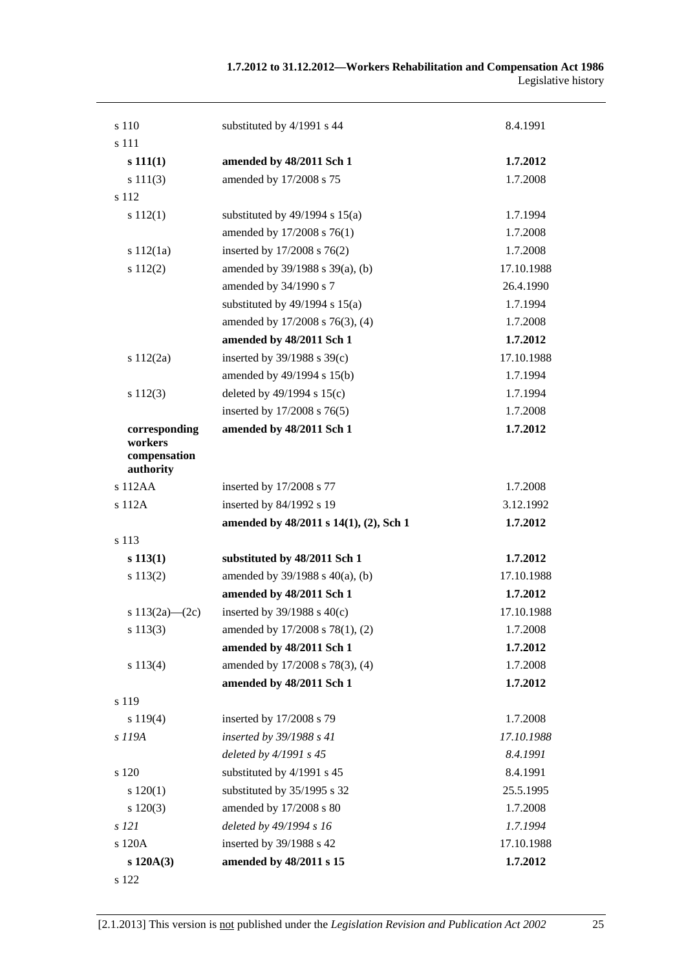| s 110                                                 | substituted by 4/1991 s 44             | 8.4.1991   |
|-------------------------------------------------------|----------------------------------------|------------|
| s 111                                                 |                                        |            |
| s 111(1)                                              | amended by 48/2011 Sch 1               | 1.7.2012   |
| s 111(3)                                              | amended by 17/2008 s 75                | 1.7.2008   |
| s 112                                                 |                                        |            |
| s 112(1)                                              | substituted by $49/1994$ s $15(a)$     | 1.7.1994   |
|                                                       | amended by 17/2008 s 76(1)             | 1.7.2008   |
| s 112(1a)                                             | inserted by 17/2008 s 76(2)            | 1.7.2008   |
| s 112(2)                                              | amended by 39/1988 s 39(a), (b)        | 17.10.1988 |
|                                                       | amended by 34/1990 s 7                 | 26.4.1990  |
|                                                       | substituted by $49/1994$ s $15(a)$     | 1.7.1994   |
|                                                       | amended by 17/2008 s 76(3), (4)        | 1.7.2008   |
|                                                       | amended by 48/2011 Sch 1               | 1.7.2012   |
| s 112(2a)                                             | inserted by $39/1988$ s $39(c)$        | 17.10.1988 |
|                                                       | amended by 49/1994 s 15(b)             | 1.7.1994   |
| $s\ 112(3)$                                           | deleted by 49/1994 s 15(c)             | 1.7.1994   |
|                                                       | inserted by 17/2008 s 76(5)            | 1.7.2008   |
| corresponding<br>workers<br>compensation<br>authority | amended by 48/2011 Sch 1               | 1.7.2012   |
| s112AA                                                | inserted by 17/2008 s 77               | 1.7.2008   |
| s 112A                                                | inserted by 84/1992 s 19               | 3.12.1992  |
|                                                       | amended by 48/2011 s 14(1), (2), Sch 1 | 1.7.2012   |
| s 113                                                 |                                        |            |
| $s\ 113(1)$                                           | substituted by 48/2011 Sch 1           | 1.7.2012   |
| s 113(2)                                              | amended by $39/1988$ s $40(a)$ , (b)   | 17.10.1988 |
|                                                       | amended by 48/2011 Sch 1               | 1.7.2012   |
| s $113(2a)$ — $(2c)$                                  | inserted by $39/1988$ s $40(c)$        | 17.10.1988 |
| s 113(3)                                              | amended by 17/2008 s 78(1), (2)        | 1.7.2008   |
|                                                       | amended by 48/2011 Sch 1               | 1.7.2012   |
| s 113(4)                                              | amended by 17/2008 s 78(3), (4)        | 1.7.2008   |
|                                                       | amended by 48/2011 Sch 1               | 1.7.2012   |
| s 119                                                 |                                        |            |
| s 119(4)                                              | inserted by 17/2008 s 79               | 1.7.2008   |
| s 119A                                                | inserted by 39/1988 s 41               | 17.10.1988 |
|                                                       | deleted by 4/1991 s 45                 | 8.4.1991   |
| s 120                                                 | substituted by 4/1991 s 45             | 8.4.1991   |
| s 120(1)                                              | substituted by 35/1995 s 32            | 25.5.1995  |
| s 120(3)                                              | amended by 17/2008 s 80                | 1.7.2008   |
| s 121                                                 | deleted by 49/1994 s 16                | 1.7.1994   |
| s 120A                                                | inserted by 39/1988 s 42               | 17.10.1988 |
| s 120A(3)                                             | amended by 48/2011 s 15                | 1.7.2012   |
| s 122                                                 |                                        |            |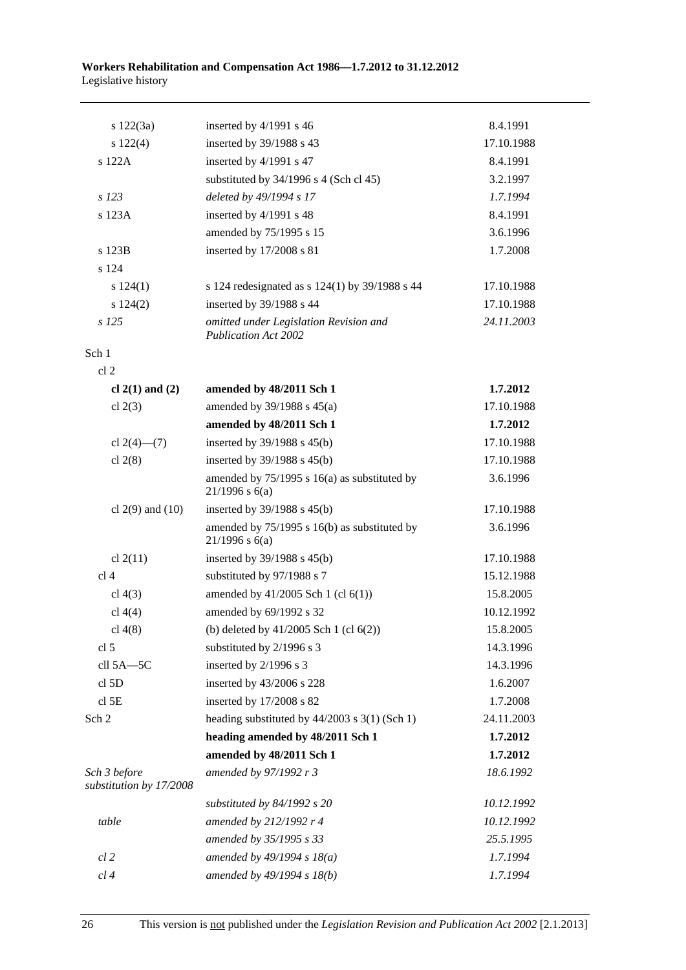| s 122(3a)                               | inserted by 4/1991 s 46                                            | 8.4.1991   |
|-----------------------------------------|--------------------------------------------------------------------|------------|
| $s\ 122(4)$                             | inserted by 39/1988 s 43                                           | 17.10.1988 |
| s 122A                                  | inserted by 4/1991 s 47                                            | 8.4.1991   |
|                                         | substituted by 34/1996 s 4 (Sch cl 45)                             | 3.2.1997   |
| s 123                                   | deleted by 49/1994 s 17                                            | 1.7.1994   |
| s 123A                                  | inserted by 4/1991 s 48                                            | 8.4.1991   |
|                                         | amended by 75/1995 s 15                                            | 3.6.1996   |
| s 123B                                  | inserted by 17/2008 s 81                                           | 1.7.2008   |
| s 124                                   |                                                                    |            |
| s 124(1)                                | s 124 redesignated as s 124(1) by 39/1988 s 44                     | 17.10.1988 |
| s 124(2)                                | inserted by 39/1988 s 44                                           | 17.10.1988 |
| $s$ 125                                 | omitted under Legislation Revision and<br>Publication Act 2002     | 24.11.2003 |
| Sch 1                                   |                                                                    |            |
| cl <sub>2</sub>                         |                                                                    |            |
| cl $2(1)$ and $(2)$                     | amended by 48/2011 Sch 1                                           | 1.7.2012   |
| cl $2(3)$                               | amended by 39/1988 s 45(a)                                         | 17.10.1988 |
|                                         | amended by 48/2011 Sch 1                                           | 1.7.2012   |
| cl $2(4)$ — $(7)$                       | inserted by 39/1988 s 45(b)                                        | 17.10.1988 |
| cl $2(8)$                               | inserted by $39/1988$ s $45(b)$                                    | 17.10.1988 |
|                                         | amended by $75/1995$ s 16(a) as substituted by<br>$21/1996$ s 6(a) | 3.6.1996   |
| cl $2(9)$ and $(10)$                    | inserted by $39/1988$ s $45(b)$                                    | 17.10.1988 |
|                                         | amended by 75/1995 s 16(b) as substituted by<br>$21/1996$ s $6(a)$ | 3.6.1996   |
| cl $2(11)$                              | inserted by $39/1988$ s $45(b)$                                    | 17.10.1988 |
| cl <sub>4</sub>                         | substituted by 97/1988 s 7                                         | 15.12.1988 |
| cl $4(3)$                               | amended by $41/2005$ Sch 1 (cl $6(1)$ )                            | 15.8.2005  |
| cl 4(4)                                 | amended by 69/1992 s 32                                            | 10.12.1992 |
| cl $4(8)$                               | (b) deleted by $41/2005$ Sch 1 (cl $6(2)$ )                        | 15.8.2005  |
| cl <sub>5</sub>                         | substituted by 2/1996 s 3                                          | 14.3.1996  |
| cll 5A-5C                               | inserted by 2/1996 s 3                                             | 14.3.1996  |
| cl 5D                                   | inserted by 43/2006 s 228                                          | 1.6.2007   |
| cl <sub>5E</sub>                        | inserted by 17/2008 s 82                                           | 1.7.2008   |
| Sch 2                                   | heading substituted by $44/2003$ s $3(1)$ (Sch 1)                  | 24.11.2003 |
|                                         | heading amended by 48/2011 Sch 1                                   | 1.7.2012   |
|                                         | amended by 48/2011 Sch 1                                           | 1.7.2012   |
| Sch 3 before<br>substitution by 17/2008 | amended by 97/1992 r 3                                             | 18.6.1992  |
|                                         | substituted by $84/1992$ s 20                                      | 10.12.1992 |
| table                                   | amended by 212/1992 r 4                                            | 10.12.1992 |
|                                         | amended by 35/1995 s 33                                            | 25.5.1995  |
| $cl$ 2                                  | amended by $49/1994 s 18(a)$                                       | 1.7.1994   |
| cl 4                                    | amended by 49/1994 s 18(b)                                         | 1.7.1994   |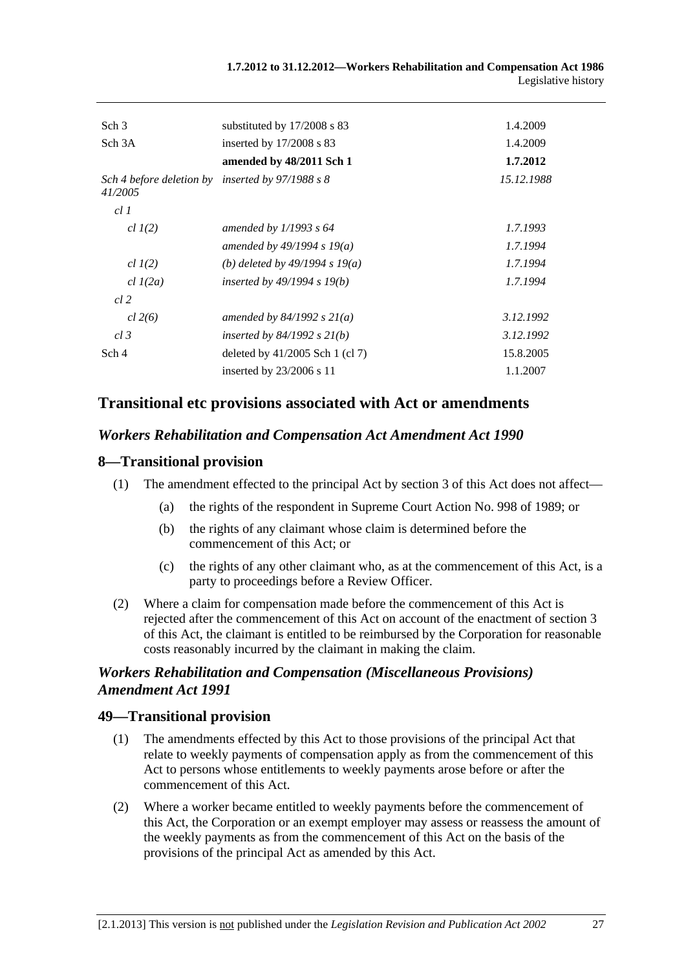| Sch <sub>3</sub>                    | substituted by $17/2008$ s 83     | 1.4.2009   |
|-------------------------------------|-----------------------------------|------------|
| Sch <sub>3</sub> A                  | inserted by $17/2008$ s 83        | 1.4.2009   |
|                                     | amended by 48/2011 Sch 1          | 1.7.2012   |
| Sch 4 before deletion by<br>41/2005 | inserted by $97/1988$ s 8         | 15.12.1988 |
| cl1                                 |                                   |            |
| $cl$ $I(2)$                         | amended by $1/1993$ s 64          | 1.7.1993   |
|                                     | amended by 49/1994 s 19(a)        | 1.7.1994   |
| $cl$ $I(2)$                         | (b) deleted by $49/1994 s 19(a)$  | 1.7.1994   |
| $cl$ $I(2a)$                        | inserted by $49/1994 s 19(b)$     | 1.7.1994   |
| cl 2                                |                                   |            |
| cl 2(6)                             | amended by $84/1992 s 21(a)$      | 3.12.1992  |
| cl.3                                | inserted by $84/1992$ s $21(b)$   | 3.12.1992  |
| Sch 4                               | deleted by $41/2005$ Sch 1 (cl 7) | 15.8.2005  |
|                                     | inserted by $23/2006$ s 11        | 1.1.2007   |
|                                     |                                   |            |

# **Transitional etc provisions associated with Act or amendments**

### *Workers Rehabilitation and Compensation Act Amendment Act 1990*

### **8—Transitional provision**

- (1) The amendment effected to the principal Act by section 3 of this Act does not affect—
	- (a) the rights of the respondent in Supreme Court Action No. 998 of 1989; or
	- (b) the rights of any claimant whose claim is determined before the commencement of this Act; or
	- (c) the rights of any other claimant who, as at the commencement of this Act, is a party to proceedings before a Review Officer.
- (2) Where a claim for compensation made before the commencement of this Act is rejected after the commencement of this Act on account of the enactment of section 3 of this Act, the claimant is entitled to be reimbursed by the Corporation for reasonable costs reasonably incurred by the claimant in making the claim.

# *Workers Rehabilitation and Compensation (Miscellaneous Provisions) Amendment Act 1991*

#### **49—Transitional provision**

- (1) The amendments effected by this Act to those provisions of the principal Act that relate to weekly payments of compensation apply as from the commencement of this Act to persons whose entitlements to weekly payments arose before or after the commencement of this Act.
- (2) Where a worker became entitled to weekly payments before the commencement of this Act, the Corporation or an exempt employer may assess or reassess the amount of the weekly payments as from the commencement of this Act on the basis of the provisions of the principal Act as amended by this Act.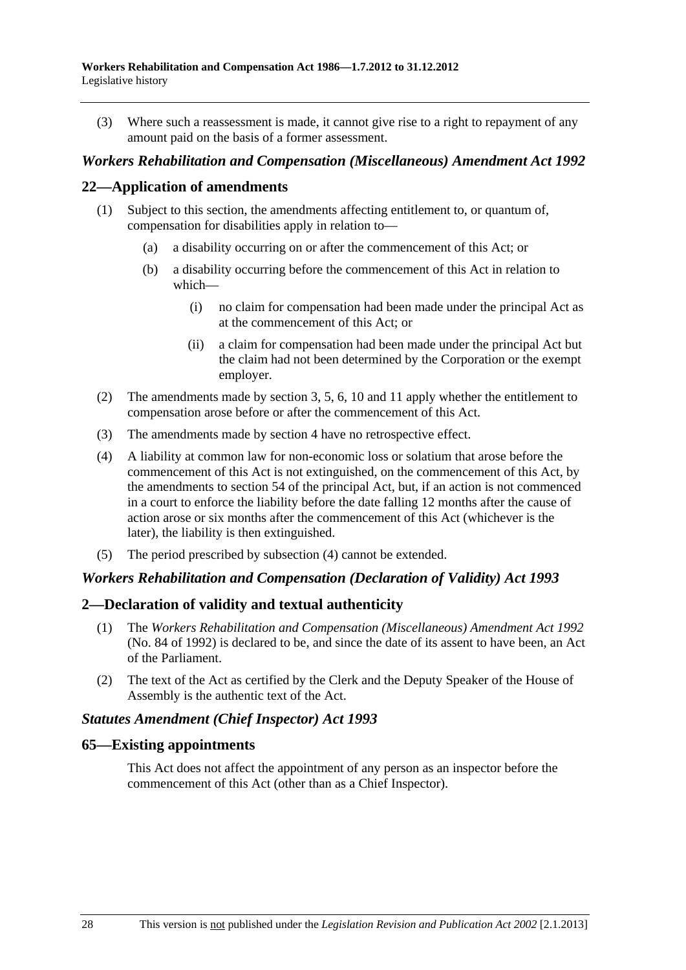(3) Where such a reassessment is made, it cannot give rise to a right to repayment of any amount paid on the basis of a former assessment.

### *Workers Rehabilitation and Compensation (Miscellaneous) Amendment Act 1992*

### **22—Application of amendments**

- (1) Subject to this section, the amendments affecting entitlement to, or quantum of, compensation for disabilities apply in relation to—
	- (a) a disability occurring on or after the commencement of this Act; or
	- (b) a disability occurring before the commencement of this Act in relation to which—
		- (i) no claim for compensation had been made under the principal Act as at the commencement of this Act; or
		- (ii) a claim for compensation had been made under the principal Act but the claim had not been determined by the Corporation or the exempt employer.
- (2) The amendments made by section 3, 5, 6, 10 and 11 apply whether the entitlement to compensation arose before or after the commencement of this Act.
- (3) The amendments made by section 4 have no retrospective effect.
- (4) A liability at common law for non-economic loss or solatium that arose before the commencement of this Act is not extinguished, on the commencement of this Act, by the amendments to section 54 of the principal Act, but, if an action is not commenced in a court to enforce the liability before the date falling 12 months after the cause of action arose or six months after the commencement of this Act (whichever is the later), the liability is then extinguished.
- (5) The period prescribed by subsection (4) cannot be extended.

#### *Workers Rehabilitation and Compensation (Declaration of Validity) Act 1993*

#### **2—Declaration of validity and textual authenticity**

- (1) The *[Workers Rehabilitation and Compensation \(Miscellaneous\) Amendment Act 1992](http://www.legislation.sa.gov.au/index.aspx?action=legref&type=act&legtitle=Workers%20Rehabilitation%20and%20Compensation%20(Miscellaneous)%20Amendment%20Act%201992)* (No. 84 of 1992) is declared to be, and since the date of its assent to have been, an Act of the Parliament.
- (2) The text of the Act as certified by the Clerk and the Deputy Speaker of the House of Assembly is the authentic text of the Act.

#### *Statutes Amendment (Chief Inspector) Act 1993*

#### **65—Existing appointments**

This Act does not affect the appointment of any person as an inspector before the commencement of this Act (other than as a Chief Inspector).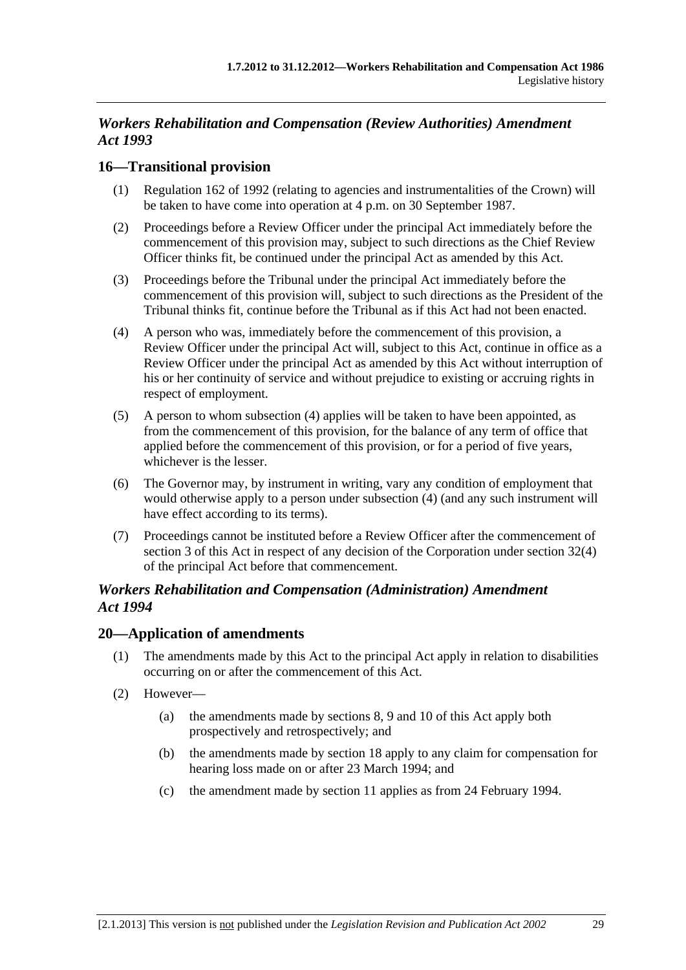# *Workers Rehabilitation and Compensation (Review Authorities) Amendment Act 1993*

# **16—Transitional provision**

- (1) Regulation 162 of 1992 (relating to agencies and instrumentalities of the Crown) will be taken to have come into operation at 4 p.m. on 30 September 1987.
- (2) Proceedings before a Review Officer under the principal Act immediately before the commencement of this provision may, subject to such directions as the Chief Review Officer thinks fit, be continued under the principal Act as amended by this Act.
- (3) Proceedings before the Tribunal under the principal Act immediately before the commencement of this provision will, subject to such directions as the President of the Tribunal thinks fit, continue before the Tribunal as if this Act had not been enacted.
- (4) A person who was, immediately before the commencement of this provision, a Review Officer under the principal Act will, subject to this Act, continue in office as a Review Officer under the principal Act as amended by this Act without interruption of his or her continuity of service and without prejudice to existing or accruing rights in respect of employment.
- (5) A person to whom subsection (4) applies will be taken to have been appointed, as from the commencement of this provision, for the balance of any term of office that applied before the commencement of this provision, or for a period of five years, whichever is the lesser.
- (6) The Governor may, by instrument in writing, vary any condition of employment that would otherwise apply to a person under subsection (4) (and any such instrument will have effect according to its terms).
- (7) Proceedings cannot be instituted before a Review Officer after the commencement of section 3 of this Act in respect of any decision of the Corporation under section 32(4) of the principal Act before that commencement.

# *Workers Rehabilitation and Compensation (Administration) Amendment Act 1994*

# **20—Application of amendments**

- (1) The amendments made by this Act to the principal Act apply in relation to disabilities occurring on or after the commencement of this Act.
- (2) However—
	- (a) the amendments made by sections 8, 9 and 10 of this Act apply both prospectively and retrospectively; and
	- (b) the amendments made by section 18 apply to any claim for compensation for hearing loss made on or after 23 March 1994; and
	- (c) the amendment made by section 11 applies as from 24 February 1994.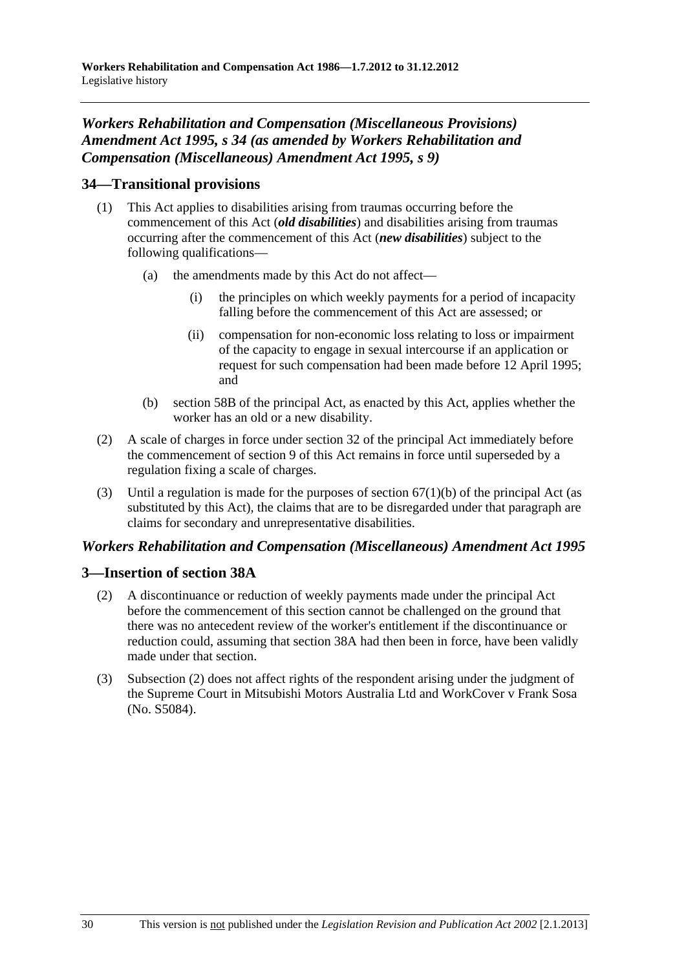# *Workers Rehabilitation and Compensation (Miscellaneous Provisions) Amendment Act 1995, s 34 (as amended by Workers Rehabilitation and Compensation (Miscellaneous) Amendment Act 1995, s 9)*

# **34—Transitional provisions**

- (1) This Act applies to disabilities arising from traumas occurring before the commencement of this Act (*old disabilities*) and disabilities arising from traumas occurring after the commencement of this Act (*new disabilities*) subject to the following qualifications—
	- (a) the amendments made by this Act do not affect—
		- (i) the principles on which weekly payments for a period of incapacity falling before the commencement of this Act are assessed; or
		- (ii) compensation for non-economic loss relating to loss or impairment of the capacity to engage in sexual intercourse if an application or request for such compensation had been made before 12 April 1995; and
	- (b) section 58B of the principal Act, as enacted by this Act, applies whether the worker has an old or a new disability.
- (2) A scale of charges in force under section 32 of the principal Act immediately before the commencement of section 9 of this Act remains in force until superseded by a regulation fixing a scale of charges.
- (3) Until a regulation is made for the purposes of section  $67(1)(b)$  of the principal Act (as substituted by this Act), the claims that are to be disregarded under that paragraph are claims for secondary and unrepresentative disabilities.

# *Workers Rehabilitation and Compensation (Miscellaneous) Amendment Act 1995*

# **3—Insertion of section 38A**

- (2) A discontinuance or reduction of weekly payments made under the principal Act before the commencement of this section cannot be challenged on the ground that there was no antecedent review of the worker's entitlement if the discontinuance or reduction could, assuming that section 38A had then been in force, have been validly made under that section.
- (3) Subsection (2) does not affect rights of the respondent arising under the judgment of the Supreme Court in Mitsubishi Motors Australia Ltd and WorkCover v Frank Sosa (No. S5084).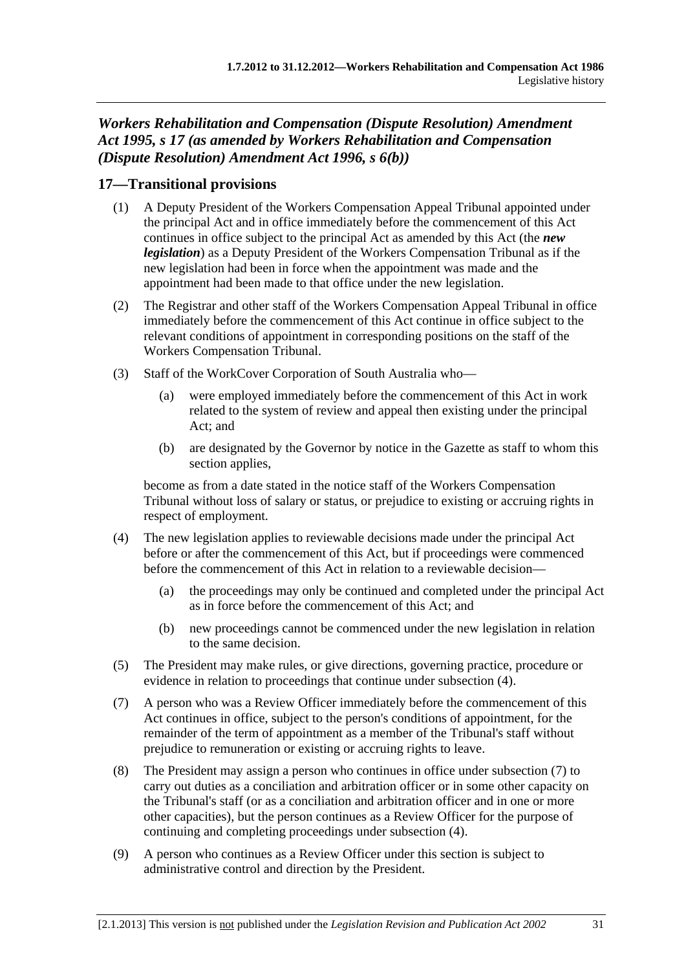*Workers Rehabilitation and Compensation (Dispute Resolution) Amendment Act 1995, s 17 (as amended by Workers Rehabilitation and Compensation (Dispute Resolution) Amendment Act 1996, s 6(b))* 

# **17—Transitional provisions**

- (1) A Deputy President of the Workers Compensation Appeal Tribunal appointed under the principal Act and in office immediately before the commencement of this Act continues in office subject to the principal Act as amended by this Act (the *new legislation*) as a Deputy President of the Workers Compensation Tribunal as if the new legislation had been in force when the appointment was made and the appointment had been made to that office under the new legislation.
- (2) The Registrar and other staff of the Workers Compensation Appeal Tribunal in office immediately before the commencement of this Act continue in office subject to the relevant conditions of appointment in corresponding positions on the staff of the Workers Compensation Tribunal.
- (3) Staff of the WorkCover Corporation of South Australia who—
	- (a) were employed immediately before the commencement of this Act in work related to the system of review and appeal then existing under the principal Act; and
	- (b) are designated by the Governor by notice in the Gazette as staff to whom this section applies.

become as from a date stated in the notice staff of the Workers Compensation Tribunal without loss of salary or status, or prejudice to existing or accruing rights in respect of employment.

- (4) The new legislation applies to reviewable decisions made under the principal Act before or after the commencement of this Act, but if proceedings were commenced before the commencement of this Act in relation to a reviewable decision—
	- (a) the proceedings may only be continued and completed under the principal Act as in force before the commencement of this Act; and
	- (b) new proceedings cannot be commenced under the new legislation in relation to the same decision.
- (5) The President may make rules, or give directions, governing practice, procedure or evidence in relation to proceedings that continue under subsection (4).
- (7) A person who was a Review Officer immediately before the commencement of this Act continues in office, subject to the person's conditions of appointment, for the remainder of the term of appointment as a member of the Tribunal's staff without prejudice to remuneration or existing or accruing rights to leave.
- (8) The President may assign a person who continues in office under subsection (7) to carry out duties as a conciliation and arbitration officer or in some other capacity on the Tribunal's staff (or as a conciliation and arbitration officer and in one or more other capacities), but the person continues as a Review Officer for the purpose of continuing and completing proceedings under subsection (4).
- (9) A person who continues as a Review Officer under this section is subject to administrative control and direction by the President.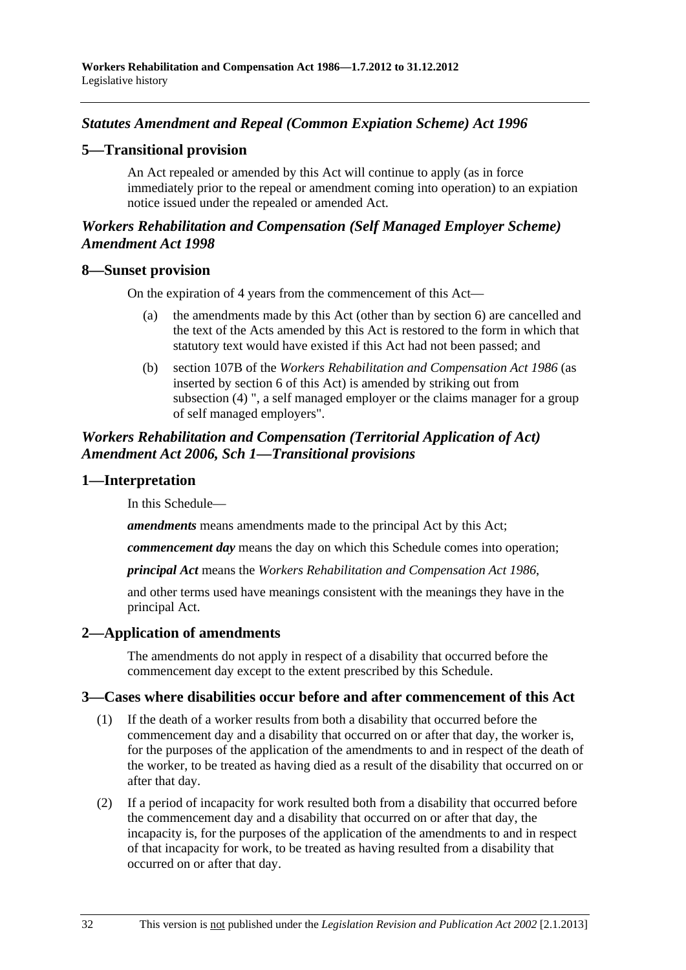# <span id="page-199-0"></span>*Statutes Amendment and Repeal (Common Expiation Scheme) Act 1996*

### **5—Transitional provision**

An Act repealed or amended by this Act will continue to apply (as in force immediately prior to the repeal or amendment coming into operation) to an expiation notice issued under the repealed or amended Act.

# *Workers Rehabilitation and Compensation (Self Managed Employer Scheme) Amendment Act 1998*

#### **8—Sunset provision**

On the expiration of 4 years from the commencement of this Act—

- (a) the amendments made by this Act (other than by section 6) are cancelled and the text of the Acts amended by this Act is restored to the form in which that statutory text would have existed if this Act had not been passed; and
- (b) section 107B of the *[Workers Rehabilitation and Compensation Act 1986](http://www.legislation.sa.gov.au/index.aspx?action=legref&type=act&legtitle=Workers%20Rehabilitation%20and%20Compensation%20Act%201986)* (as inserted by section 6 of this Act) is amended by striking out from subsection (4) ", a self managed employer or the claims manager for a group of self managed employers".

### *Workers Rehabilitation and Compensation (Territorial Application of Act) Amendment Act 2006, Sch 1—Transitional provisions*

#### **1—Interpretation**

In this Schedule—

*amendments* means amendments made to the principal Act by this Act;

*commencement day* means the day on which this Schedule comes into operation;

*principal Act* means the *[Workers Rehabilitation and Compensation Act 1986](http://www.legislation.sa.gov.au/index.aspx?action=legref&type=act&legtitle=Workers%20Rehabilitation%20and%20Compensation%20Act%201986)*,

and other terms used have meanings consistent with the meanings they have in the principal Act.

# **2—Application of amendments**

The amendments do not apply in respect of a disability that occurred before the commencement day except to the extent prescribed by this Schedule.

#### **3—Cases where disabilities occur before and after commencement of this Act**

- (1) If the death of a worker results from both a disability that occurred before the commencement day and a disability that occurred on or after that day, the worker is, for the purposes of the application of the amendments to and in respect of the death of the worker, to be treated as having died as a result of the disability that occurred on or after that day.
- (2) If a period of incapacity for work resulted both from a disability that occurred before the commencement day and a disability that occurred on or after that day, the incapacity is, for the purposes of the application of the amendments to and in respect of that incapacity for work, to be treated as having resulted from a disability that occurred on or after that day.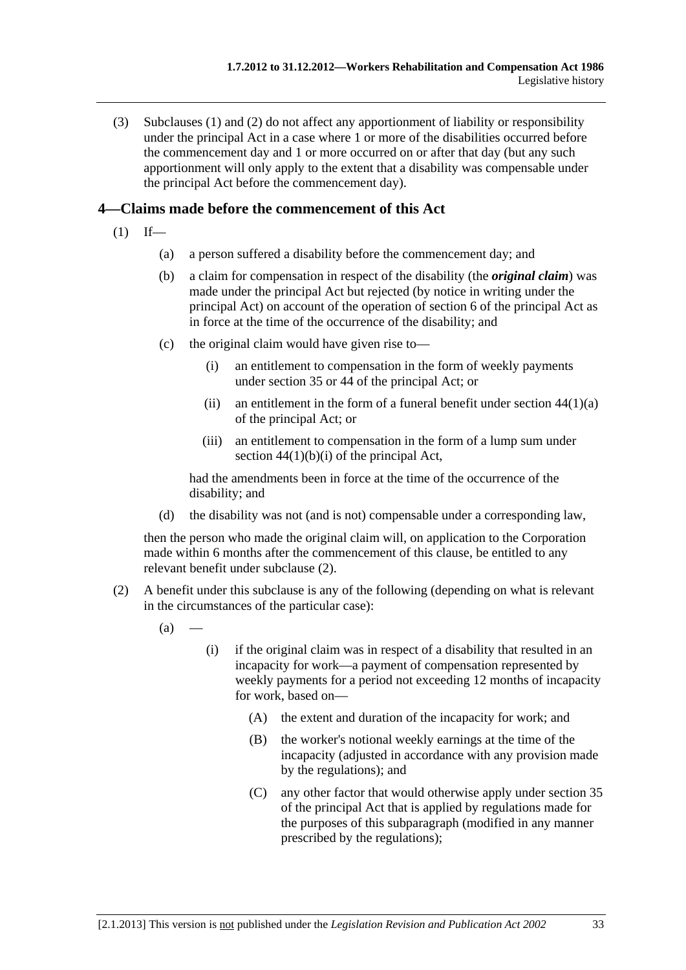<span id="page-200-0"></span> (3) [Subclauses \(1\)](#page-199-0) and [\(2\)](#page-199-0) do not affect any apportionment of liability or responsibility under the principal Act in a case where 1 or more of the disabilities occurred before the commencement day and 1 or more occurred on or after that day (but any such apportionment will only apply to the extent that a disability was compensable under the principal Act before the commencement day).

# **4—Claims made before the commencement of this Act**

- $(1)$  If—
	- (a) a person suffered a disability before the commencement day; and
	- (b) a claim for compensation in respect of the disability (the *original claim*) was made under the principal Act but rejected (by notice in writing under the principal Act) on account of the operation of section 6 of the principal Act as in force at the time of the occurrence of the disability; and
	- (c) the original claim would have given rise to—
		- (i) an entitlement to compensation in the form of weekly payments under section 35 or 44 of the principal Act; or
		- (ii) an entitlement in the form of a funeral benefit under section  $44(1)(a)$ of the principal Act; or
		- (iii) an entitlement to compensation in the form of a lump sum under section  $44(1)(b)(i)$  of the principal Act,

had the amendments been in force at the time of the occurrence of the disability; and

(d) the disability was not (and is not) compensable under a corresponding law,

then the person who made the original claim will, on application to the Corporation made within 6 months after the commencement of this clause, be entitled to any relevant benefit under [subclause \(2\).](#page-200-0)

- (2) A benefit under this subclause is any of the following (depending on what is relevant in the circumstances of the particular case):
	- $(a)$
- (i) if the original claim was in respect of a disability that resulted in an incapacity for work—a payment of compensation represented by weekly payments for a period not exceeding 12 months of incapacity for work, based on—
	- (A) the extent and duration of the incapacity for work; and
	- (B) the worker's notional weekly earnings at the time of the incapacity (adjusted in accordance with any provision made by the regulations); and
	- (C) any other factor that would otherwise apply under section 35 of the principal Act that is applied by regulations made for the purposes of this subparagraph (modified in any manner prescribed by the regulations);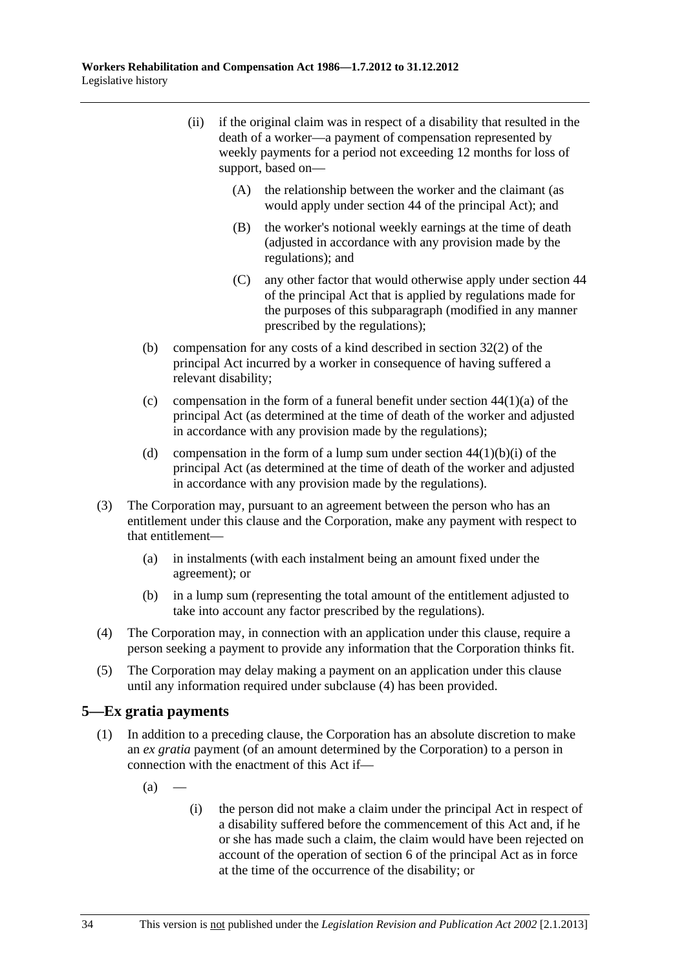- <span id="page-201-0"></span> (ii) if the original claim was in respect of a disability that resulted in the death of a worker—a payment of compensation represented by weekly payments for a period not exceeding 12 months for loss of support, based on—
	- (A) the relationship between the worker and the claimant (as would apply under section 44 of the principal Act); and
	- (B) the worker's notional weekly earnings at the time of death (adjusted in accordance with any provision made by the regulations); and
	- (C) any other factor that would otherwise apply under section 44 of the principal Act that is applied by regulations made for the purposes of this subparagraph (modified in any manner prescribed by the regulations);
- (b) compensation for any costs of a kind described in section 32(2) of the principal Act incurred by a worker in consequence of having suffered a relevant disability;
- (c) compensation in the form of a funeral benefit under section  $44(1)(a)$  of the principal Act (as determined at the time of death of the worker and adjusted in accordance with any provision made by the regulations);
- (d) compensation in the form of a lump sum under section  $44(1)(b)(i)$  of the principal Act (as determined at the time of death of the worker and adjusted in accordance with any provision made by the regulations).
- (3) The Corporation may, pursuant to an agreement between the person who has an entitlement under this clause and the Corporation, make any payment with respect to that entitlement—
	- (a) in instalments (with each instalment being an amount fixed under the agreement); or
	- (b) in a lump sum (representing the total amount of the entitlement adjusted to take into account any factor prescribed by the regulations).
- (4) The Corporation may, in connection with an application under this clause, require a person seeking a payment to provide any information that the Corporation thinks fit.
- (5) The Corporation may delay making a payment on an application under this clause until any information required under [subclause \(4\)](#page-201-0) has been provided.

# **5—Ex gratia payments**

- (1) In addition to a preceding clause, the Corporation has an absolute discretion to make an *ex gratia* payment (of an amount determined by the Corporation) to a person in connection with the enactment of this Act if—
	- $(a)$
- (i) the person did not make a claim under the principal Act in respect of a disability suffered before the commencement of this Act and, if he or she has made such a claim, the claim would have been rejected on account of the operation of section 6 of the principal Act as in force at the time of the occurrence of the disability; or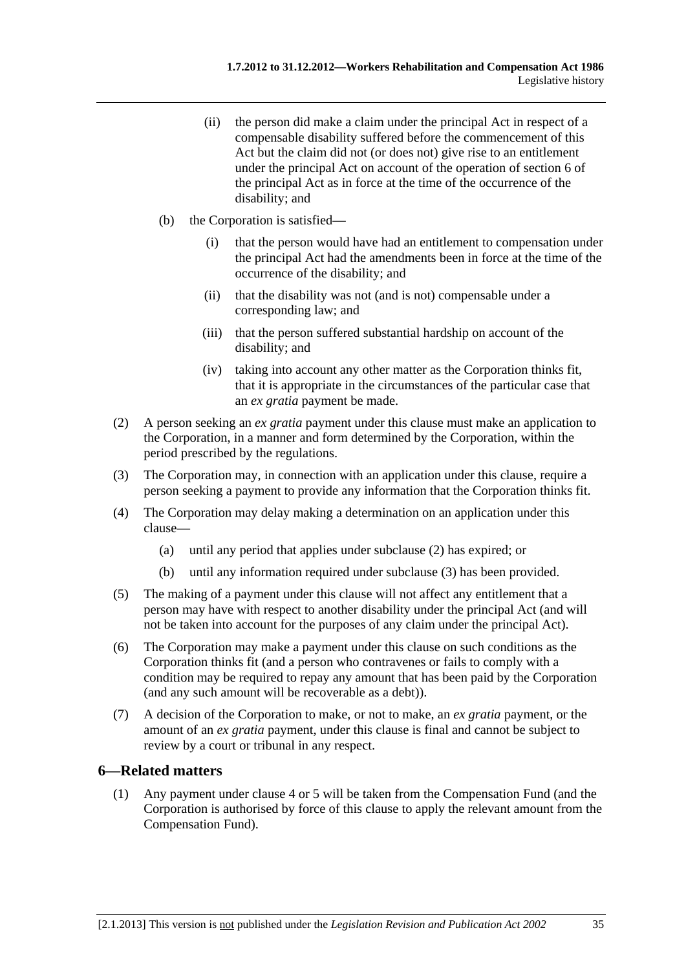- <span id="page-202-0"></span> (ii) the person did make a claim under the principal Act in respect of a compensable disability suffered before the commencement of this Act but the claim did not (or does not) give rise to an entitlement under the principal Act on account of the operation of section 6 of the principal Act as in force at the time of the occurrence of the disability; and
- (b) the Corporation is satisfied—
	- (i) that the person would have had an entitlement to compensation under the principal Act had the amendments been in force at the time of the occurrence of the disability; and
	- (ii) that the disability was not (and is not) compensable under a corresponding law; and
	- (iii) that the person suffered substantial hardship on account of the disability; and
	- (iv) taking into account any other matter as the Corporation thinks fit, that it is appropriate in the circumstances of the particular case that an *ex gratia* payment be made.
- (2) A person seeking an *ex gratia* payment under this clause must make an application to the Corporation, in a manner and form determined by the Corporation, within the period prescribed by the regulations.
- (3) The Corporation may, in connection with an application under this clause, require a person seeking a payment to provide any information that the Corporation thinks fit.
- (4) The Corporation may delay making a determination on an application under this clause—
	- (a) until any period that applies under [subclause \(2\)](#page-202-0) has expired; or
	- (b) until any information required under [subclause \(3\)](#page-202-0) has been provided.
- (5) The making of a payment under this clause will not affect any entitlement that a person may have with respect to another disability under the principal Act (and will not be taken into account for the purposes of any claim under the principal Act).
- (6) The Corporation may make a payment under this clause on such conditions as the Corporation thinks fit (and a person who contravenes or fails to comply with a condition may be required to repay any amount that has been paid by the Corporation (and any such amount will be recoverable as a debt)).
- (7) A decision of the Corporation to make, or not to make, an *ex gratia* payment, or the amount of an *ex gratia* payment, under this clause is final and cannot be subject to review by a court or tribunal in any respect.

# **6—Related matters**

 (1) Any payment under [clause 4](#page-200-0) or [5](#page-201-0) will be taken from the Compensation Fund (and the Corporation is authorised by force of this clause to apply the relevant amount from the Compensation Fund).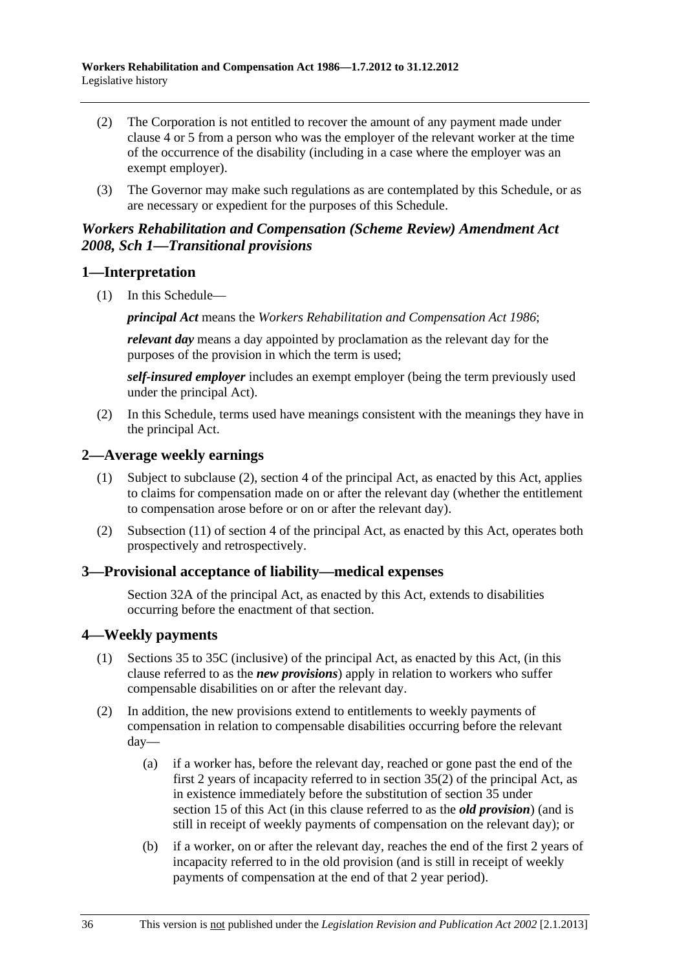- <span id="page-203-0"></span> (2) The Corporation is not entitled to recover the amount of any payment made under [clause 4](#page-200-0) or [5](#page-201-0) from a person who was the employer of the relevant worker at the time of the occurrence of the disability (including in a case where the employer was an exempt employer).
- (3) The Governor may make such regulations as are contemplated by this Schedule, or as are necessary or expedient for the purposes of this Schedule.

# *Workers Rehabilitation and Compensation (Scheme Review) Amendment Act 2008, Sch 1—Transitional provisions*

# **1—Interpretation**

(1) In this Schedule—

*principal Act* means the *[Workers Rehabilitation and Compensation Act 1986](http://www.legislation.sa.gov.au/index.aspx?action=legref&type=act&legtitle=Workers%20Rehabilitation%20and%20Compensation%20Act%201986)*;

*relevant day* means a day appointed by proclamation as the relevant day for the purposes of the provision in which the term is used;

*self-insured employer* includes an exempt employer (being the term previously used under the principal Act).

 (2) In this Schedule, terms used have meanings consistent with the meanings they have in the principal Act.

# **2—Average weekly earnings**

- (1) Subject to subclause (2), section 4 of the principal Act, as enacted by this Act, applies to claims for compensation made on or after the relevant day (whether the entitlement to compensation arose before or on or after the relevant day).
- (2) Subsection (11) of section 4 of the principal Act, as enacted by this Act, operates both prospectively and retrospectively.

# **3—Provisional acceptance of liability—medical expenses**

Section 32A of the principal Act, as enacted by this Act, extends to disabilities occurring before the enactment of that section.

# **4—Weekly payments**

- (1) Sections 35 to 35C (inclusive) of the principal Act, as enacted by this Act, (in this clause referred to as the *new provisions*) apply in relation to workers who suffer compensable disabilities on or after the relevant day.
- (2) In addition, the new provisions extend to entitlements to weekly payments of compensation in relation to compensable disabilities occurring before the relevant day—
	- (a) if a worker has, before the relevant day, reached or gone past the end of the first 2 years of incapacity referred to in section 35(2) of the principal Act, as in existence immediately before the substitution of section 35 under [section 15](#page-0-0) of this Act (in this clause referred to as the *old provision*) (and is still in receipt of weekly payments of compensation on the relevant day); or
	- (b) if a worker, on or after the relevant day, reaches the end of the first 2 years of incapacity referred to in the old provision (and is still in receipt of weekly payments of compensation at the end of that 2 year period).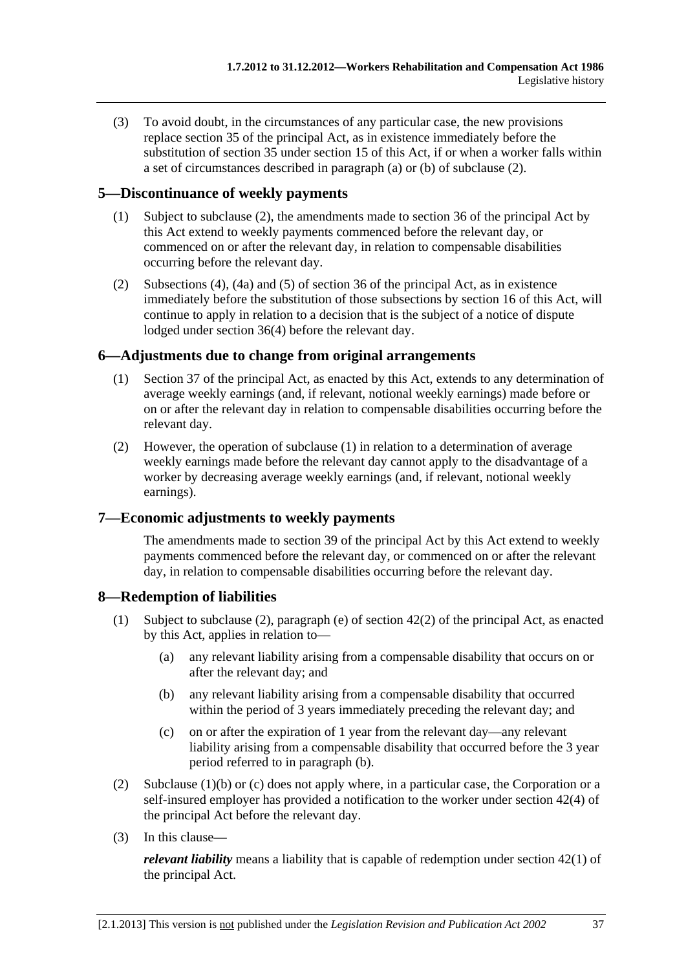(3) To avoid doubt, in the circumstances of any particular case, the new provisions replace section 35 of the principal Act, as in existence immediately before the substitution of section 35 under [section 15](#page-0-0) of this Act, if or when a worker falls within a set of circumstances described in [paragraph \(a\)](#page-203-0) or [\(b\)](#page-203-0) of subclause (2).

# **5—Discontinuance of weekly payments**

- (1) Subject to subclause (2), the amendments made to section 36 of the principal Act by this Act extend to weekly payments commenced before the relevant day, or commenced on or after the relevant day, in relation to compensable disabilities occurring before the relevant day.
- (2) Subsections (4), (4a) and (5) of section 36 of the principal Act, as in existence immediately before the substitution of those subsections by [section 16](#page-0-0) of this Act, will continue to apply in relation to a decision that is the subject of a notice of dispute lodged under section 36(4) before the relevant day.

# **6—Adjustments due to change from original arrangements**

- (1) Section 37 of the principal Act, as enacted by this Act, extends to any determination of average weekly earnings (and, if relevant, notional weekly earnings) made before or on or after the relevant day in relation to compensable disabilities occurring before the relevant day.
- (2) However, the operation of subclause (1) in relation to a determination of average weekly earnings made before the relevant day cannot apply to the disadvantage of a worker by decreasing average weekly earnings (and, if relevant, notional weekly earnings).

# **7—Economic adjustments to weekly payments**

The amendments made to section 39 of the principal Act by this Act extend to weekly payments commenced before the relevant day, or commenced on or after the relevant day, in relation to compensable disabilities occurring before the relevant day.

# **8—Redemption of liabilities**

- (1) Subject to subclause (2), paragraph (e) of section 42(2) of the principal Act, as enacted by this Act, applies in relation to—
	- (a) any relevant liability arising from a compensable disability that occurs on or after the relevant day; and
	- (b) any relevant liability arising from a compensable disability that occurred within the period of 3 years immediately preceding the relevant day; and
	- (c) on or after the expiration of 1 year from the relevant day—any relevant liability arising from a compensable disability that occurred before the 3 year period referred to in paragraph (b).
- (2) Subclause  $(1)(b)$  or (c) does not apply where, in a particular case, the Corporation or a self-insured employer has provided a notification to the worker under section 42(4) of the principal Act before the relevant day.
- (3) In this clause—

*relevant liability* means a liability that is capable of redemption under section 42(1) of the principal Act.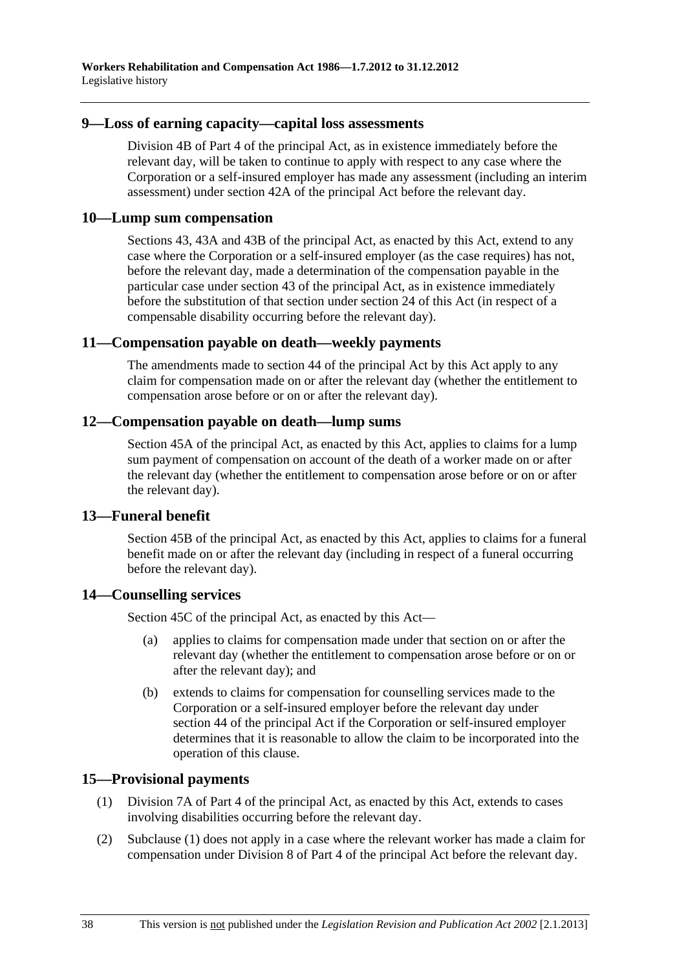#### **9—Loss of earning capacity—capital loss assessments**

Division 4B of Part 4 of the principal Act, as in existence immediately before the relevant day, will be taken to continue to apply with respect to any case where the Corporation or a self-insured employer has made any assessment (including an interim assessment) under section 42A of the principal Act before the relevant day.

### **10—Lump sum compensation**

Sections 43, 43A and 43B of the principal Act, as enacted by this Act, extend to any case where the Corporation or a self-insured employer (as the case requires) has not, before the relevant day, made a determination of the compensation payable in the particular case under section 43 of the principal Act, as in existence immediately before the substitution of that section under [section 24](#page-0-0) of this Act (in respect of a compensable disability occurring before the relevant day).

### **11—Compensation payable on death—weekly payments**

The amendments made to section 44 of the principal Act by this Act apply to any claim for compensation made on or after the relevant day (whether the entitlement to compensation arose before or on or after the relevant day).

### **12—Compensation payable on death—lump sums**

Section 45A of the principal Act, as enacted by this Act, applies to claims for a lump sum payment of compensation on account of the death of a worker made on or after the relevant day (whether the entitlement to compensation arose before or on or after the relevant day).

#### **13—Funeral benefit**

Section 45B of the principal Act, as enacted by this Act, applies to claims for a funeral benefit made on or after the relevant day (including in respect of a funeral occurring before the relevant day).

# **14—Counselling services**

Section 45C of the principal Act, as enacted by this Act—

- (a) applies to claims for compensation made under that section on or after the relevant day (whether the entitlement to compensation arose before or on or after the relevant day); and
- (b) extends to claims for compensation for counselling services made to the Corporation or a self-insured employer before the relevant day under section 44 of the principal Act if the Corporation or self-insured employer determines that it is reasonable to allow the claim to be incorporated into the operation of this clause.

# **15—Provisional payments**

- (1) Division 7A of Part 4 of the principal Act, as enacted by this Act, extends to cases involving disabilities occurring before the relevant day.
- (2) Subclause (1) does not apply in a case where the relevant worker has made a claim for compensation under Division 8 of Part 4 of the principal Act before the relevant day.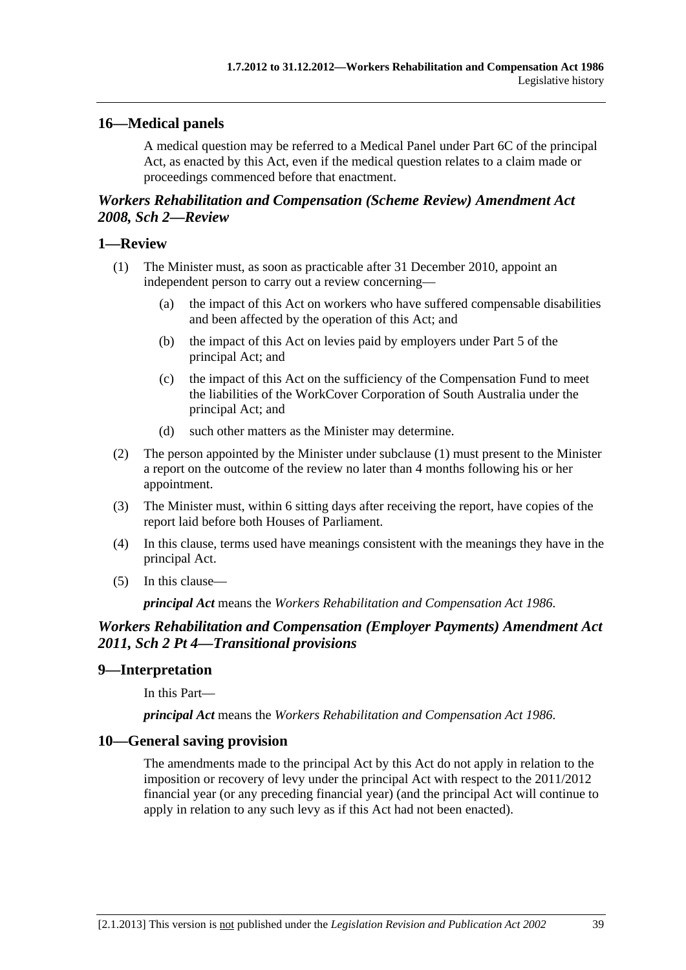# <span id="page-206-0"></span>**16—Medical panels**

A medical question may be referred to a Medical Panel under Part 6C of the principal Act, as enacted by this Act, even if the medical question relates to a claim made or proceedings commenced before that enactment.

# *Workers Rehabilitation and Compensation (Scheme Review) Amendment Act 2008, Sch 2—Review*

### **1—Review**

- (1) The Minister must, as soon as practicable after 31 December 2010, appoint an independent person to carry out a review concerning—
	- (a) the impact of this Act on workers who have suffered compensable disabilities and been affected by the operation of this Act; and
	- (b) the impact of this Act on levies paid by employers under Part 5 of the principal Act; and
	- (c) the impact of this Act on the sufficiency of the Compensation Fund to meet the liabilities of the WorkCover Corporation of South Australia under the principal Act; and
	- (d) such other matters as the Minister may determine.
- (2) The person appointed by the Minister under [subclause \(1\)](#page-206-0) must present to the Minister a report on the outcome of the review no later than 4 months following his or her appointment.
- (3) The Minister must, within 6 sitting days after receiving the report, have copies of the report laid before both Houses of Parliament.
- (4) In this clause, terms used have meanings consistent with the meanings they have in the principal Act.
- (5) In this clause—

*principal Act* means the *[Workers Rehabilitation and Compensation Act 1986](http://www.legislation.sa.gov.au/index.aspx?action=legref&type=act&legtitle=Workers%20Rehabilitation%20and%20Compensation%20Act%201986)*.

# *Workers Rehabilitation and Compensation (Employer Payments) Amendment Act 2011, Sch 2 Pt 4—Transitional provisions*

# **9—Interpretation**

In this Part—

*principal Act* means the *[Workers Rehabilitation and Compensation Act 1986](http://www.legislation.sa.gov.au/index.aspx?action=legref&type=act&legtitle=Workers%20Rehabilitation%20and%20Compensation%20Act%201986)*.

# **10—General saving provision**

The amendments made to the principal Act by this Act do not apply in relation to the imposition or recovery of levy under the principal Act with respect to the 2011/2012 financial year (or any preceding financial year) (and the principal Act will continue to apply in relation to any such levy as if this Act had not been enacted).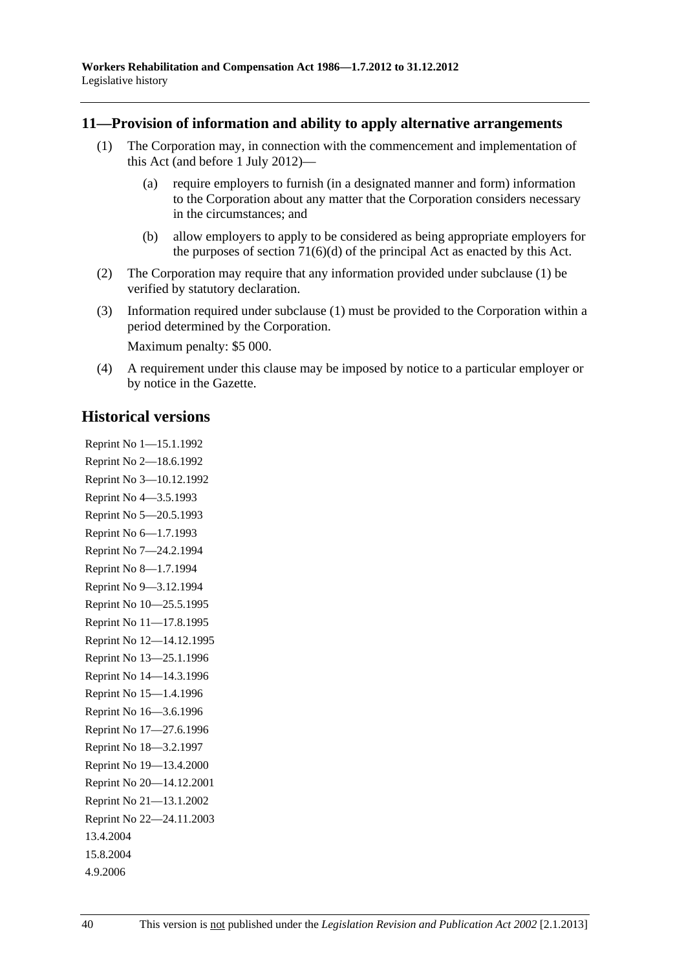### <span id="page-207-0"></span>**11—Provision of information and ability to apply alternative arrangements**

- (1) The Corporation may, in connection with the commencement and implementation of this Act (and before 1 July 2012)—
	- (a) require employers to furnish (in a designated manner and form) information to the Corporation about any matter that the Corporation considers necessary in the circumstances; and
	- (b) allow employers to apply to be considered as being appropriate employers for the purposes of section  $71(6)(d)$  of the principal Act as enacted by this Act.
- (2) The Corporation may require that any information provided under [subclause \(1\)](#page-207-0) be verified by statutory declaration.
- (3) Information required under [subclause \(1\)](#page-207-0) must be provided to the Corporation within a period determined by the Corporation.

Maximum penalty: \$5 000.

 (4) A requirement under this clause may be imposed by notice to a particular employer or by notice in the Gazette.

# **Historical versions**

Reprint No 1—15.1.1992 Reprint No 2—18.6.1992 Reprint No 3—10.12.1992 Reprint No 4—3.5.1993 Reprint No 5—20.5.1993 Reprint No 6—1.7.1993 Reprint No 7—24.2.1994 Reprint No 8—1.7.1994 Reprint No 9—3.12.1994 Reprint No 10—25.5.1995 Reprint No 11—17.8.1995 Reprint No 12—14.12.1995 Reprint No 13—25.1.1996 Reprint No 14—14.3.1996 Reprint No 15—1.4.1996 Reprint No 16—3.6.1996 Reprint No 17—27.6.1996 Reprint No 18—3.2.1997 Reprint No 19—13.4.2000 Reprint No 20—14.12.2001 Reprint No 21—13.1.2002 Reprint No 22—24.11.2003 13.4.2004 15.8.2004 4.9.2006